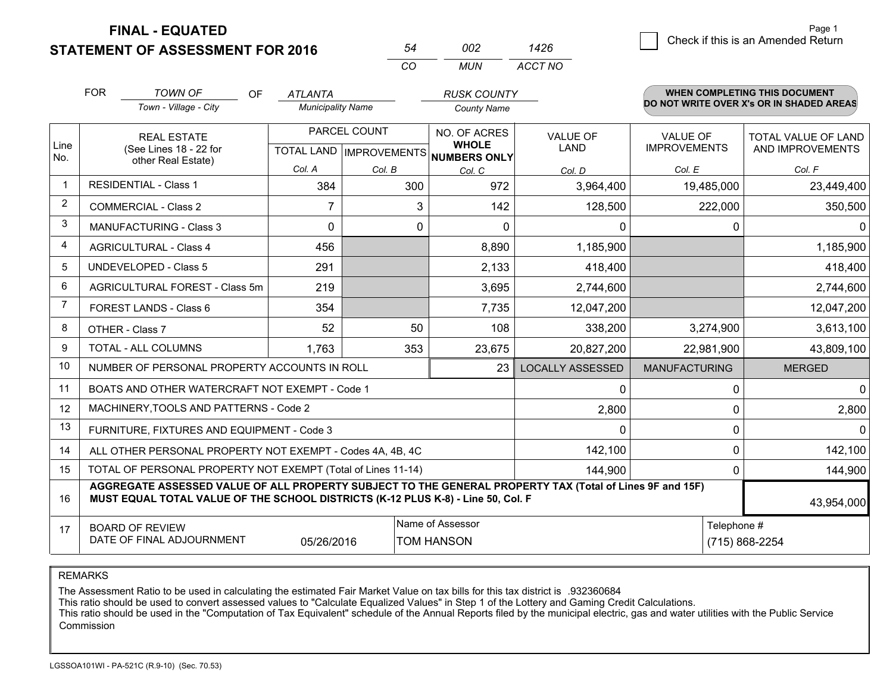**STATEMENT OF ASSESSMENT FOR 2016** 

|   | Page 1                             |
|---|------------------------------------|
| 6 | Check if this is an Amended Return |

Page 1

|                | <b>FOR</b>                                                   | <b>TOWN OF</b><br>OF                                                                                                                                                                         | <b>ATLANTA</b>           |                                | <b>RUSK COUNTY</b>           |                         |                      | WHEN COMPLETING THIS DOCUMENT            |
|----------------|--------------------------------------------------------------|----------------------------------------------------------------------------------------------------------------------------------------------------------------------------------------------|--------------------------|--------------------------------|------------------------------|-------------------------|----------------------|------------------------------------------|
|                |                                                              | Town - Village - City                                                                                                                                                                        | <b>Municipality Name</b> |                                | <b>County Name</b>           |                         |                      | DO NOT WRITE OVER X's OR IN SHADED AREAS |
|                |                                                              | <b>REAL ESTATE</b>                                                                                                                                                                           |                          | PARCEL COUNT                   | NO. OF ACRES                 | <b>VALUE OF</b>         | <b>VALUE OF</b>      | <b>TOTAL VALUE OF LAND</b>               |
| Line<br>No.    |                                                              | (See Lines 18 - 22 for<br>other Real Estate)                                                                                                                                                 |                          | <b>TOTAL LAND IMPROVEMENTS</b> | <b>WHOLE</b><br>NUMBERS ONLY | LAND                    | <b>IMPROVEMENTS</b>  | AND IMPROVEMENTS                         |
|                |                                                              |                                                                                                                                                                                              | Col. A                   | Col. B                         | Col. C                       | Col. D                  | Col. E               | Col. F                                   |
| -1             |                                                              | <b>RESIDENTIAL - Class 1</b>                                                                                                                                                                 | 384                      |                                | 972<br>300                   | 3,964,400               | 19,485,000           | 23,449,400                               |
| $\overline{2}$ |                                                              | <b>COMMERCIAL - Class 2</b>                                                                                                                                                                  | 7                        |                                | 3<br>142                     | 128,500                 | 222,000              | 350,500                                  |
| 3              |                                                              | <b>MANUFACTURING - Class 3</b>                                                                                                                                                               | $\Omega$                 |                                | 0<br>$\Omega$                | $\Omega$                | 0                    |                                          |
| 4              |                                                              | <b>AGRICULTURAL - Class 4</b>                                                                                                                                                                | 456                      |                                | 8,890                        | 1,185,900               |                      | 1,185,900                                |
| 5              |                                                              | <b>UNDEVELOPED - Class 5</b>                                                                                                                                                                 | 291                      |                                | 2,133                        | 418,400                 |                      | 418,400                                  |
| 6              |                                                              | AGRICULTURAL FOREST - Class 5m                                                                                                                                                               | 219                      |                                | 3,695                        | 2,744,600               |                      | 2,744,600                                |
| $\overline{7}$ |                                                              | FOREST LANDS - Class 6                                                                                                                                                                       | 354                      |                                | 7,735                        | 12,047,200              |                      | 12,047,200                               |
| 8              |                                                              | OTHER - Class 7                                                                                                                                                                              | 52                       |                                | 50<br>108                    | 338,200                 | 3,274,900            | 3,613,100                                |
| 9              |                                                              | TOTAL - ALL COLUMNS                                                                                                                                                                          | 1,763                    |                                | 353<br>23,675                | 20,827,200              | 22,981,900           | 43,809,100                               |
| 10             |                                                              | NUMBER OF PERSONAL PROPERTY ACCOUNTS IN ROLL                                                                                                                                                 |                          |                                | 23                           | <b>LOCALLY ASSESSED</b> | <b>MANUFACTURING</b> | <b>MERGED</b>                            |
| 11             |                                                              | BOATS AND OTHER WATERCRAFT NOT EXEMPT - Code 1                                                                                                                                               |                          |                                |                              | 0                       | 0                    |                                          |
| 12             |                                                              | MACHINERY, TOOLS AND PATTERNS - Code 2                                                                                                                                                       |                          |                                |                              | 2,800                   | 0                    | 2,800                                    |
| 13             |                                                              | FURNITURE, FIXTURES AND EQUIPMENT - Code 3                                                                                                                                                   |                          |                                |                              | 0                       | 0                    |                                          |
| 14             | ALL OTHER PERSONAL PROPERTY NOT EXEMPT - Codes 4A, 4B, 4C    |                                                                                                                                                                                              |                          |                                |                              | 142,100                 | 0                    | 142,100                                  |
| 15             | TOTAL OF PERSONAL PROPERTY NOT EXEMPT (Total of Lines 11-14) |                                                                                                                                                                                              |                          |                                |                              | 144,900                 | 0                    | 144,900                                  |
| 16             |                                                              | AGGREGATE ASSESSED VALUE OF ALL PROPERTY SUBJECT TO THE GENERAL PROPERTY TAX (Total of Lines 9F and 15F)<br>MUST EQUAL TOTAL VALUE OF THE SCHOOL DISTRICTS (K-12 PLUS K-8) - Line 50, Col. F |                          |                                |                              |                         |                      | 43,954,000                               |
| 17             |                                                              | <b>BOARD OF REVIEW</b>                                                                                                                                                                       |                          |                                | Name of Assessor             |                         | Telephone #          |                                          |
|                |                                                              | DATE OF FINAL ADJOURNMENT                                                                                                                                                                    | 05/26/2016               |                                | <b>TOM HANSON</b>            |                         |                      | (715) 868-2254                           |

*CO*

*MUN*

*ACCT NO1426*

*<sup>54</sup> <sup>002</sup>*

REMARKS

The Assessment Ratio to be used in calculating the estimated Fair Market Value on tax bills for this tax district is .932360684<br>This ratio should be used to convert assessed values to "Calculate Equalized Values" in Step 1 Commission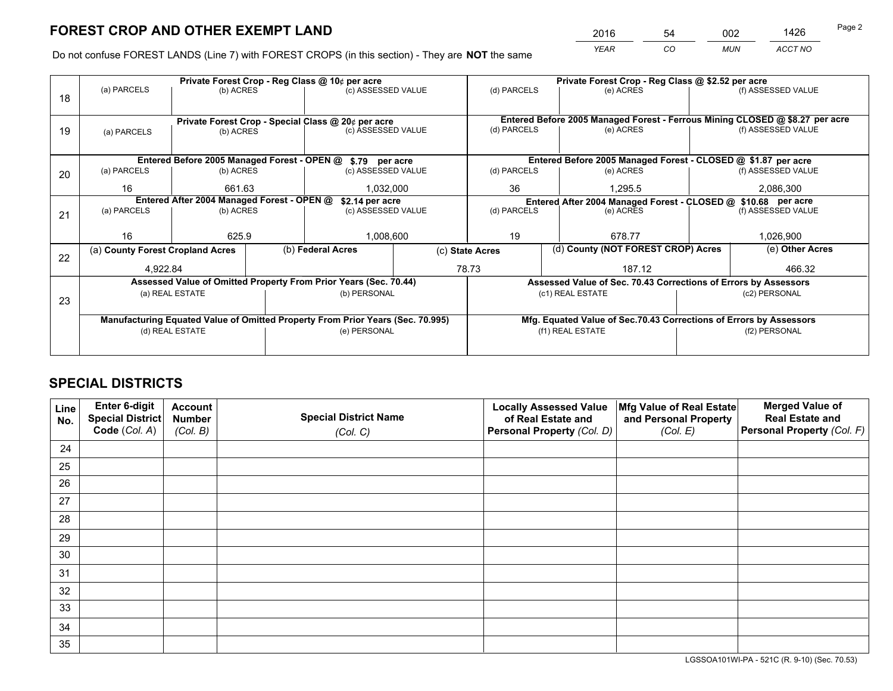*YEAR CO MUN ACCT NO* <sup>2016</sup> <sup>54</sup> <sup>002</sup> <sup>1426</sup>

Do not confuse FOREST LANDS (Line 7) with FOREST CROPS (in this section) - They are **NOT** the same

|    |                                            |                 |  | Private Forest Crop - Reg Class @ 10¢ per acre                                 |  | Private Forest Crop - Reg Class @ \$2.52 per acre             |                                                                    |               |                                                                                                    |  |
|----|--------------------------------------------|-----------------|--|--------------------------------------------------------------------------------|--|---------------------------------------------------------------|--------------------------------------------------------------------|---------------|----------------------------------------------------------------------------------------------------|--|
| 18 | (a) PARCELS                                | (b) ACRES       |  | (c) ASSESSED VALUE                                                             |  | (d) PARCELS                                                   | (e) ACRES                                                          |               | (f) ASSESSED VALUE                                                                                 |  |
|    |                                            |                 |  |                                                                                |  |                                                               |                                                                    |               |                                                                                                    |  |
|    |                                            |                 |  | Private Forest Crop - Special Class @ 20¢ per acre<br>(c) ASSESSED VALUE       |  | (d) PARCELS                                                   | (e) ACRES                                                          |               | Entered Before 2005 Managed Forest - Ferrous Mining CLOSED @ \$8.27 per acre<br>(f) ASSESSED VALUE |  |
| 19 | (a) PARCELS                                | (b) ACRES       |  |                                                                                |  |                                                               |                                                                    |               |                                                                                                    |  |
|    |                                            |                 |  |                                                                                |  |                                                               |                                                                    |               |                                                                                                    |  |
|    |                                            |                 |  | Entered Before 2005 Managed Forest - OPEN @ \$.79 per acre                     |  |                                                               | Entered Before 2005 Managed Forest - CLOSED @ \$1.87 per acre      |               |                                                                                                    |  |
| 20 | (a) PARCELS                                | (b) ACRES       |  | (c) ASSESSED VALUE                                                             |  | (d) PARCELS                                                   | (e) ACRES                                                          |               | (f) ASSESSED VALUE                                                                                 |  |
|    | 16                                         | 661.63          |  | 1,032,000                                                                      |  | 36                                                            | 1,295.5                                                            |               | 2,086,300                                                                                          |  |
|    | Entered After 2004 Managed Forest - OPEN @ |                 |  | \$2.14 per acre                                                                |  | Entered After 2004 Managed Forest - CLOSED @ \$10.68 per acre |                                                                    |               |                                                                                                    |  |
| 21 | (a) PARCELS                                | (b) ACRES       |  | (c) ASSESSED VALUE                                                             |  | (d) PARCELS                                                   | (e) ACRES                                                          |               | (f) ASSESSED VALUE                                                                                 |  |
|    |                                            |                 |  |                                                                                |  |                                                               |                                                                    |               |                                                                                                    |  |
|    | 16                                         | 625.9           |  | 1,008,600                                                                      |  | 19<br>678.77                                                  |                                                                    | 1,026,900     |                                                                                                    |  |
| 22 | (a) County Forest Cropland Acres           |                 |  | (b) Federal Acres                                                              |  | (d) County (NOT FOREST CROP) Acres<br>(c) State Acres         |                                                                    |               | (e) Other Acres                                                                                    |  |
|    | 4,922.84                                   |                 |  |                                                                                |  | 78.73                                                         | 187.12                                                             |               | 466.32                                                                                             |  |
|    |                                            |                 |  | Assessed Value of Omitted Property From Prior Years (Sec. 70.44)               |  |                                                               | Assessed Value of Sec. 70.43 Corrections of Errors by Assessors    |               |                                                                                                    |  |
|    |                                            | (a) REAL ESTATE |  | (b) PERSONAL                                                                   |  |                                                               | (c1) REAL ESTATE                                                   | (c2) PERSONAL |                                                                                                    |  |
| 23 |                                            |                 |  |                                                                                |  |                                                               |                                                                    |               |                                                                                                    |  |
|    |                                            |                 |  | Manufacturing Equated Value of Omitted Property From Prior Years (Sec. 70.995) |  |                                                               | Mfg. Equated Value of Sec.70.43 Corrections of Errors by Assessors |               |                                                                                                    |  |
|    | (d) REAL ESTATE                            |                 |  | (e) PERSONAL                                                                   |  |                                                               | (f1) REAL ESTATE                                                   |               | (f2) PERSONAL                                                                                      |  |
|    |                                            |                 |  |                                                                                |  |                                                               |                                                                    |               |                                                                                                    |  |
|    |                                            |                 |  |                                                                                |  |                                                               |                                                                    |               |                                                                                                    |  |

## **SPECIAL DISTRICTS**

| Line<br>No. | Enter 6-digit<br>Special District<br>Code (Col. A) | <b>Account</b><br><b>Number</b> | <b>Special District Name</b> | <b>Locally Assessed Value</b><br>of Real Estate and | Mfg Value of Real Estate<br>and Personal Property | <b>Merged Value of</b><br><b>Real Estate and</b><br>Personal Property (Col. F) |
|-------------|----------------------------------------------------|---------------------------------|------------------------------|-----------------------------------------------------|---------------------------------------------------|--------------------------------------------------------------------------------|
|             |                                                    | (Col. B)                        | (Col. C)                     | Personal Property (Col. D)                          | (Col. E)                                          |                                                                                |
| 24          |                                                    |                                 |                              |                                                     |                                                   |                                                                                |
| 25          |                                                    |                                 |                              |                                                     |                                                   |                                                                                |
| 26          |                                                    |                                 |                              |                                                     |                                                   |                                                                                |
| 27          |                                                    |                                 |                              |                                                     |                                                   |                                                                                |
| 28          |                                                    |                                 |                              |                                                     |                                                   |                                                                                |
| 29          |                                                    |                                 |                              |                                                     |                                                   |                                                                                |
| 30          |                                                    |                                 |                              |                                                     |                                                   |                                                                                |
| 31          |                                                    |                                 |                              |                                                     |                                                   |                                                                                |
| 32          |                                                    |                                 |                              |                                                     |                                                   |                                                                                |
| 33          |                                                    |                                 |                              |                                                     |                                                   |                                                                                |
| 34          |                                                    |                                 |                              |                                                     |                                                   |                                                                                |
| 35          |                                                    |                                 |                              |                                                     |                                                   |                                                                                |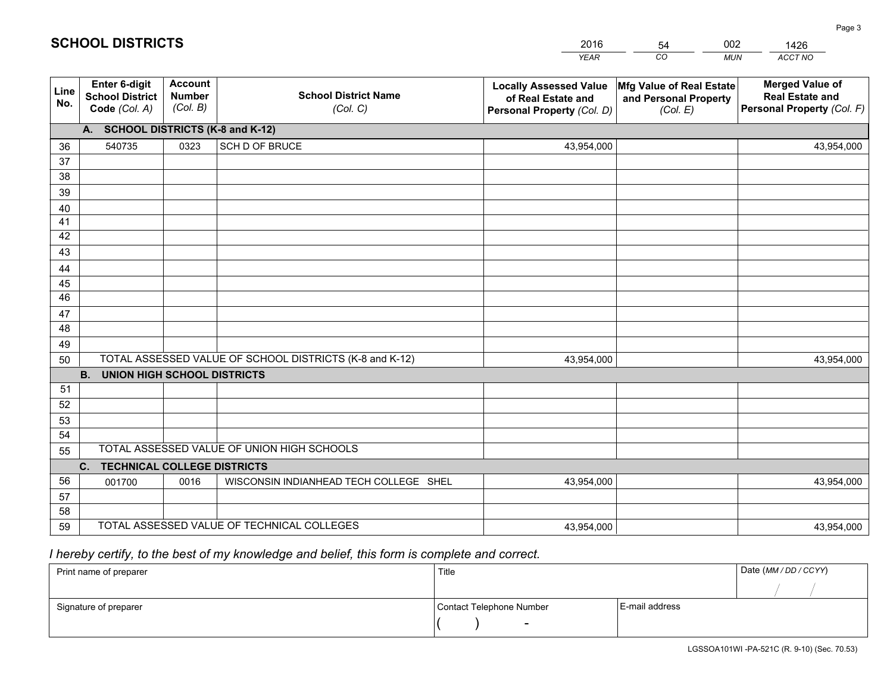|             |                                                          |                                             |                                                         | <b>YEAR</b>                                                                       | CO<br><b>MUN</b>                                              | ACCT NO                                                                        |
|-------------|----------------------------------------------------------|---------------------------------------------|---------------------------------------------------------|-----------------------------------------------------------------------------------|---------------------------------------------------------------|--------------------------------------------------------------------------------|
| Line<br>No. | Enter 6-digit<br><b>School District</b><br>Code (Col. A) | <b>Account</b><br><b>Number</b><br>(Col. B) | <b>School District Name</b><br>(Col. C)                 | <b>Locally Assessed Value</b><br>of Real Estate and<br>Personal Property (Col. D) | Mfg Value of Real Estate<br>and Personal Property<br>(Col. E) | <b>Merged Value of</b><br><b>Real Estate and</b><br>Personal Property (Col. F) |
|             | A. SCHOOL DISTRICTS (K-8 and K-12)                       |                                             |                                                         |                                                                                   |                                                               |                                                                                |
| 36          | 540735                                                   | 0323                                        | SCH D OF BRUCE                                          | 43,954,000                                                                        |                                                               | 43,954,000                                                                     |
| 37          |                                                          |                                             |                                                         |                                                                                   |                                                               |                                                                                |
| 38          |                                                          |                                             |                                                         |                                                                                   |                                                               |                                                                                |
| 39          |                                                          |                                             |                                                         |                                                                                   |                                                               |                                                                                |
| 40          |                                                          |                                             |                                                         |                                                                                   |                                                               |                                                                                |
| 41          |                                                          |                                             |                                                         |                                                                                   |                                                               |                                                                                |
| 42          |                                                          |                                             |                                                         |                                                                                   |                                                               |                                                                                |
| 43          |                                                          |                                             |                                                         |                                                                                   |                                                               |                                                                                |
| 44<br>45    |                                                          |                                             |                                                         |                                                                                   |                                                               |                                                                                |
| 46          |                                                          |                                             |                                                         |                                                                                   |                                                               |                                                                                |
| 47          |                                                          |                                             |                                                         |                                                                                   |                                                               |                                                                                |
| 48          |                                                          |                                             |                                                         |                                                                                   |                                                               |                                                                                |
| 49          |                                                          |                                             |                                                         |                                                                                   |                                                               |                                                                                |
| 50          |                                                          |                                             | TOTAL ASSESSED VALUE OF SCHOOL DISTRICTS (K-8 and K-12) | 43,954,000                                                                        |                                                               | 43,954,000                                                                     |
|             | B <sub>1</sub><br><b>UNION HIGH SCHOOL DISTRICTS</b>     |                                             |                                                         |                                                                                   |                                                               |                                                                                |
| 51          |                                                          |                                             |                                                         |                                                                                   |                                                               |                                                                                |
| 52          |                                                          |                                             |                                                         |                                                                                   |                                                               |                                                                                |
| 53          |                                                          |                                             |                                                         |                                                                                   |                                                               |                                                                                |
| 54          |                                                          |                                             |                                                         |                                                                                   |                                                               |                                                                                |
| 55          |                                                          |                                             | TOTAL ASSESSED VALUE OF UNION HIGH SCHOOLS              |                                                                                   |                                                               |                                                                                |
|             | C. TECHNICAL COLLEGE DISTRICTS                           |                                             |                                                         |                                                                                   |                                                               |                                                                                |
| 56          | 001700                                                   | 0016                                        | WISCONSIN INDIANHEAD TECH COLLEGE SHEL                  | 43,954,000                                                                        |                                                               | 43,954,000                                                                     |
| 57          |                                                          |                                             |                                                         |                                                                                   |                                                               |                                                                                |
| 58          |                                                          |                                             |                                                         |                                                                                   |                                                               |                                                                                |
| 59          |                                                          |                                             | TOTAL ASSESSED VALUE OF TECHNICAL COLLEGES              | 43,954,000                                                                        |                                                               | 43,954,000                                                                     |

54

002

## *I hereby certify, to the best of my knowledge and belief, this form is complete and correct.*

**SCHOOL DISTRICTS**

| Print name of preparer | Title                    |                | Date (MM / DD / CCYY) |
|------------------------|--------------------------|----------------|-----------------------|
|                        |                          |                |                       |
| Signature of preparer  | Contact Telephone Number | E-mail address |                       |
|                        | $\sim$                   |                |                       |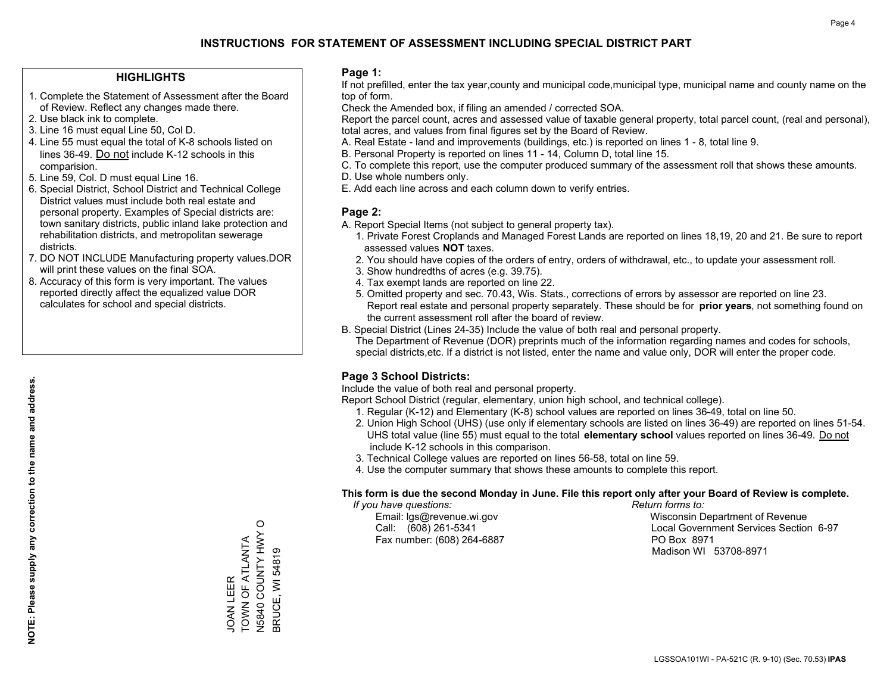#### **HIGHLIGHTS**

- 1. Complete the Statement of Assessment after the Board of Review. Reflect any changes made there.
- 2. Use black ink to complete.
- 3. Line 16 must equal Line 50, Col D.
- 4. Line 55 must equal the total of K-8 schools listed on lines 36-49. Do not include K-12 schools in this comparision.
- 5. Line 59, Col. D must equal Line 16.
- 6. Special District, School District and Technical College District values must include both real estate and personal property. Examples of Special districts are: town sanitary districts, public inland lake protection and rehabilitation districts, and metropolitan sewerage districts.
- 7. DO NOT INCLUDE Manufacturing property values.DOR will print these values on the final SOA.
- 8. Accuracy of this form is very important. The values reported directly affect the equalized value DOR calculates for school and special districts.

#### **Page 1:**

 If not prefilled, enter the tax year,county and municipal code,municipal type, municipal name and county name on the top of form.

Check the Amended box, if filing an amended / corrected SOA.

 Report the parcel count, acres and assessed value of taxable general property, total parcel count, (real and personal), total acres, and values from final figures set by the Board of Review.

- A. Real Estate land and improvements (buildings, etc.) is reported on lines 1 8, total line 9.
- B. Personal Property is reported on lines 11 14, Column D, total line 15.
- C. To complete this report, use the computer produced summary of the assessment roll that shows these amounts.
- D. Use whole numbers only.
- E. Add each line across and each column down to verify entries.

#### **Page 2:**

- A. Report Special Items (not subject to general property tax).
- 1. Private Forest Croplands and Managed Forest Lands are reported on lines 18,19, 20 and 21. Be sure to report assessed values **NOT** taxes.
- 2. You should have copies of the orders of entry, orders of withdrawal, etc., to update your assessment roll.
	- 3. Show hundredths of acres (e.g. 39.75).
- 4. Tax exempt lands are reported on line 22.
- 5. Omitted property and sec. 70.43, Wis. Stats., corrections of errors by assessor are reported on line 23. Report real estate and personal property separately. These should be for **prior years**, not something found on the current assessment roll after the board of review.
- B. Special District (Lines 24-35) Include the value of both real and personal property.

 The Department of Revenue (DOR) preprints much of the information regarding names and codes for schools, special districts,etc. If a district is not listed, enter the name and value only, DOR will enter the proper code.

### **Page 3 School Districts:**

Include the value of both real and personal property.

Report School District (regular, elementary, union high school, and technical college).

- 1. Regular (K-12) and Elementary (K-8) school values are reported on lines 36-49, total on line 50.
- 2. Union High School (UHS) (use only if elementary schools are listed on lines 36-49) are reported on lines 51-54. UHS total value (line 55) must equal to the total **elementary school** values reported on lines 36-49. Do notinclude K-12 schools in this comparison.
- 3. Technical College values are reported on lines 56-58, total on line 59.
- 4. Use the computer summary that shows these amounts to complete this report.

#### **This form is due the second Monday in June. File this report only after your Board of Review is complete.**

 *If you have questions: Return forms to:*

Fax number: (608) 264-6887 PO Box 8971

 Email: lgs@revenue.wi.gov Wisconsin Department of Revenue Call: (608) 261-5341 Local Government Services Section 6-97Madison WI 53708-8971

N5840 COUNTY HWY O<br>BRUCE, WI 54819 N5840 COUNTY HWY O TOWN OF ATLANTA JOAN LEER<br>TOWN OF ATLANTA BRUCE, WI 54819 JOAN LEER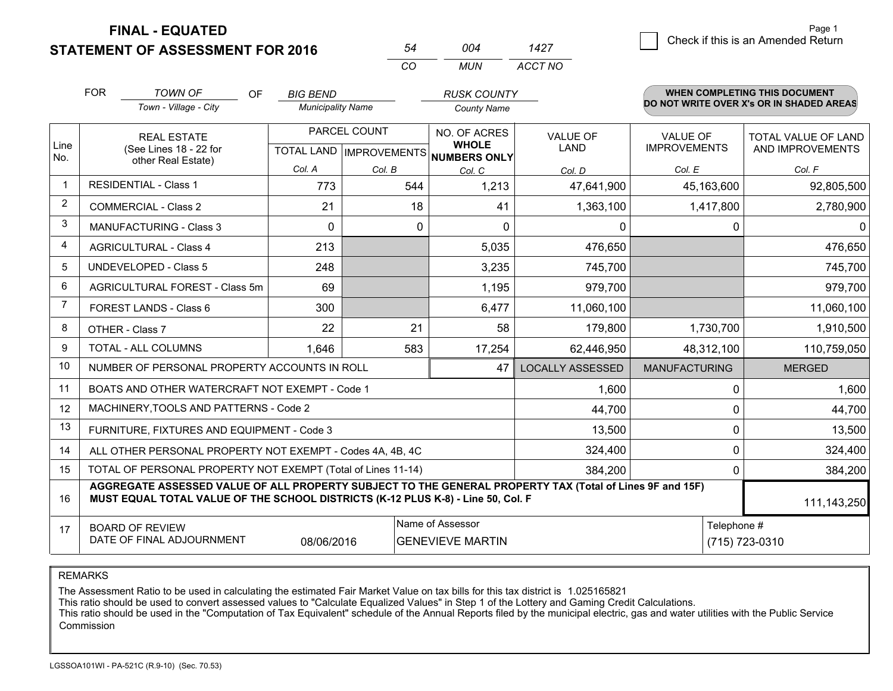**STATEMENT OF ASSESSMENT FOR 2016** 

|     | ∩∩4 | 1427    |
|-----|-----|---------|
| CO. | MUN | ACCT NO |

|                | <b>FOR</b><br><b>TOWN OF</b><br>Town - Village - City                                                                                                                                        | <b>OF</b><br><b>BIG BEND</b><br><b>Municipality Name</b> |              | <b>RUSK COUNTY</b><br><b>County Name</b>                            |                                |                                        | <b>WHEN COMPLETING THIS DOCUMENT</b><br>DO NOT WRITE OVER X's OR IN SHADED AREAS |
|----------------|----------------------------------------------------------------------------------------------------------------------------------------------------------------------------------------------|----------------------------------------------------------|--------------|---------------------------------------------------------------------|--------------------------------|----------------------------------------|----------------------------------------------------------------------------------|
| Line<br>No.    | <b>REAL ESTATE</b><br>(See Lines 18 - 22 for                                                                                                                                                 |                                                          | PARCEL COUNT | NO. OF ACRES<br><b>WHOLE</b><br>TOTAL LAND MPROVEMENTS NUMBERS ONLY | <b>VALUE OF</b><br><b>LAND</b> | <b>VALUE OF</b><br><b>IMPROVEMENTS</b> | <b>TOTAL VALUE OF LAND</b><br>AND IMPROVEMENTS                                   |
|                | other Real Estate)                                                                                                                                                                           | Col. A                                                   | Col. B       | Col. C                                                              | Col. D                         | Col. E                                 | Col. F                                                                           |
| $\mathbf 1$    | <b>RESIDENTIAL - Class 1</b>                                                                                                                                                                 | 773                                                      | 544          | 1,213                                                               | 47,641,900                     | 45,163,600                             | 92,805,500                                                                       |
| $\overline{2}$ | <b>COMMERCIAL - Class 2</b>                                                                                                                                                                  | 21                                                       | 18           | 41                                                                  | 1,363,100                      | 1,417,800                              | 2,780,900                                                                        |
| 3              | MANUFACTURING - Class 3                                                                                                                                                                      | $\Omega$                                                 | 0            | $\Omega$                                                            | 0                              | $\mathbf 0$                            | $\mathbf{0}$                                                                     |
| $\overline{4}$ | <b>AGRICULTURAL - Class 4</b>                                                                                                                                                                | 213                                                      |              | 5,035                                                               | 476,650                        |                                        | 476,650                                                                          |
| 5              | <b>UNDEVELOPED - Class 5</b>                                                                                                                                                                 | 248                                                      |              | 3,235                                                               | 745,700                        |                                        | 745,700                                                                          |
| 6              | AGRICULTURAL FOREST - Class 5m                                                                                                                                                               | 69                                                       |              | 1,195                                                               | 979,700                        |                                        | 979,700                                                                          |
| $\overline{7}$ | FOREST LANDS - Class 6                                                                                                                                                                       | 300                                                      |              | 6,477                                                               | 11,060,100                     |                                        | 11,060,100                                                                       |
| 8              | OTHER - Class 7                                                                                                                                                                              | 22                                                       | 21           | 58                                                                  | 179,800                        | 1,730,700                              | 1,910,500                                                                        |
| 9              | TOTAL - ALL COLUMNS                                                                                                                                                                          | 1,646                                                    | 583          | 17,254                                                              | 62,446,950                     | 48,312,100                             | 110,759,050                                                                      |
| 10             | NUMBER OF PERSONAL PROPERTY ACCOUNTS IN ROLL                                                                                                                                                 |                                                          |              | 47                                                                  | <b>LOCALLY ASSESSED</b>        | <b>MANUFACTURING</b>                   | <b>MERGED</b>                                                                    |
| 11             | BOATS AND OTHER WATERCRAFT NOT EXEMPT - Code 1                                                                                                                                               |                                                          |              |                                                                     | 1,600                          | $\mathbf{0}$                           | 1,600                                                                            |
| 12             | MACHINERY, TOOLS AND PATTERNS - Code 2                                                                                                                                                       |                                                          |              |                                                                     | 44,700                         | 0                                      | 44,700                                                                           |
| 13             | FURNITURE, FIXTURES AND EQUIPMENT - Code 3                                                                                                                                                   |                                                          |              |                                                                     | 13,500                         | 0                                      | 13,500                                                                           |
| 14             | ALL OTHER PERSONAL PROPERTY NOT EXEMPT - Codes 4A, 4B, 4C                                                                                                                                    |                                                          |              |                                                                     | 324,400                        | $\Omega$                               | 324,400                                                                          |
| 15             | TOTAL OF PERSONAL PROPERTY NOT EXEMPT (Total of Lines 11-14)<br>384,200<br>0                                                                                                                 |                                                          |              |                                                                     |                                |                                        | 384,200                                                                          |
| 16             | AGGREGATE ASSESSED VALUE OF ALL PROPERTY SUBJECT TO THE GENERAL PROPERTY TAX (Total of Lines 9F and 15F)<br>MUST EQUAL TOTAL VALUE OF THE SCHOOL DISTRICTS (K-12 PLUS K-8) - Line 50, Col. F |                                                          |              |                                                                     |                                |                                        | 111,143,250                                                                      |
| 17             | Name of Assessor<br>Telephone #<br><b>BOARD OF REVIEW</b><br>DATE OF FINAL ADJOURNMENT<br>(715) 723-0310<br>08/06/2016<br><b>GENEVIEVE MARTIN</b>                                            |                                                          |              |                                                                     |                                |                                        |                                                                                  |

REMARKS

The Assessment Ratio to be used in calculating the estimated Fair Market Value on tax bills for this tax district is 1.025165821

This ratio should be used to convert assessed values to "Calculate Equalized Values" in Step 1 of the Lottery and Gaming Credit Calculations.<br>This ratio should be used in the "Computation of Tax Equivalent" schedule of the Commission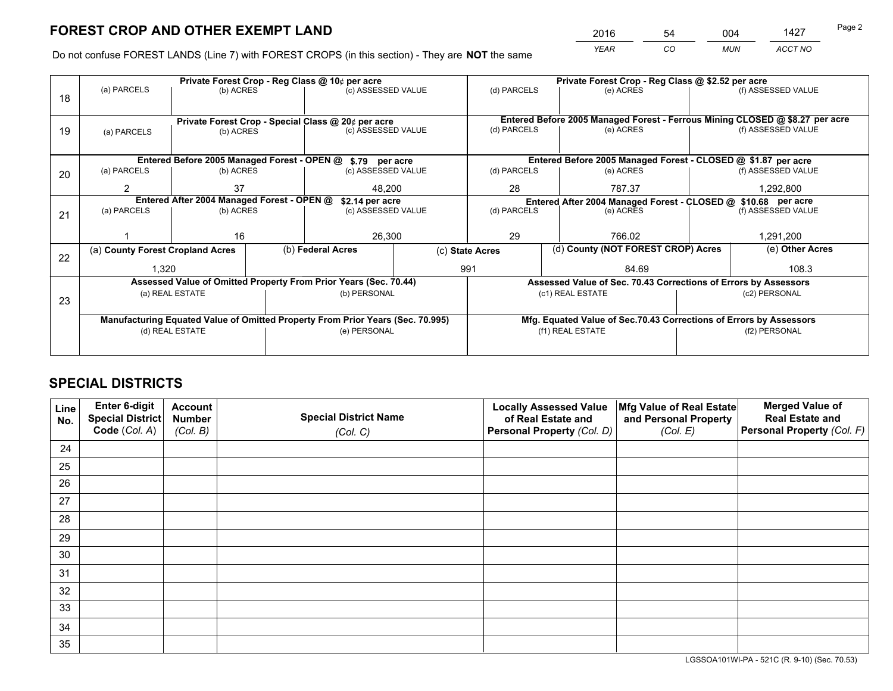*YEAR CO MUN ACCT NO* 2016 54 004 1427

Do not confuse FOREST LANDS (Line 7) with FOREST CROPS (in this section) - They are **NOT** the same

| Private Forest Crop - Reg Class @ 10¢ per acre |                            |                                                                                       |                                                  |                                                                 |                                                                                                                                                                                                                                                                                                                                                                                                                 | Private Forest Crop - Reg Class @ \$2.52 per acre   |                                                |                                                                                                                                                                                                                                              |  |
|------------------------------------------------|----------------------------|---------------------------------------------------------------------------------------|--------------------------------------------------|-----------------------------------------------------------------|-----------------------------------------------------------------------------------------------------------------------------------------------------------------------------------------------------------------------------------------------------------------------------------------------------------------------------------------------------------------------------------------------------------------|-----------------------------------------------------|------------------------------------------------|----------------------------------------------------------------------------------------------------------------------------------------------------------------------------------------------------------------------------------------------|--|
|                                                |                            |                                                                                       |                                                  |                                                                 | (d) PARCELS                                                                                                                                                                                                                                                                                                                                                                                                     | (e) ACRES                                           |                                                | (f) ASSESSED VALUE                                                                                                                                                                                                                           |  |
|                                                |                            |                                                                                       |                                                  |                                                                 |                                                                                                                                                                                                                                                                                                                                                                                                                 |                                                     |                                                |                                                                                                                                                                                                                                              |  |
|                                                |                            |                                                                                       |                                                  |                                                                 | Entered Before 2005 Managed Forest - Ferrous Mining CLOSED @ \$8.27 per acre                                                                                                                                                                                                                                                                                                                                    |                                                     |                                                |                                                                                                                                                                                                                                              |  |
| (a) PARCELS                                    |                            |                                                                                       |                                                  |                                                                 |                                                                                                                                                                                                                                                                                                                                                                                                                 | (e) ACRES                                           |                                                | (f) ASSESSED VALUE                                                                                                                                                                                                                           |  |
|                                                |                            |                                                                                       |                                                  |                                                                 |                                                                                                                                                                                                                                                                                                                                                                                                                 |                                                     |                                                |                                                                                                                                                                                                                                              |  |
|                                                |                            |                                                                                       |                                                  |                                                                 |                                                                                                                                                                                                                                                                                                                                                                                                                 |                                                     |                                                |                                                                                                                                                                                                                                              |  |
| (a) PARCELS                                    |                            |                                                                                       |                                                  |                                                                 | (d) PARCELS                                                                                                                                                                                                                                                                                                                                                                                                     | (e) ACRES                                           |                                                | (f) ASSESSED VALUE                                                                                                                                                                                                                           |  |
| 2                                              | 37                         |                                                                                       |                                                  |                                                                 | 28                                                                                                                                                                                                                                                                                                                                                                                                              | 787.37                                              |                                                | 1,292,800                                                                                                                                                                                                                                    |  |
|                                                |                            |                                                                                       |                                                  |                                                                 | Entered After 2004 Managed Forest - CLOSED @ \$10.68 per acre                                                                                                                                                                                                                                                                                                                                                   |                                                     |                                                |                                                                                                                                                                                                                                              |  |
|                                                |                            |                                                                                       | (c) ASSESSED VALUE                               |                                                                 |                                                                                                                                                                                                                                                                                                                                                                                                                 | (e) ACRES                                           |                                                | (f) ASSESSED VALUE                                                                                                                                                                                                                           |  |
|                                                |                            |                                                                                       |                                                  |                                                                 |                                                                                                                                                                                                                                                                                                                                                                                                                 |                                                     |                                                |                                                                                                                                                                                                                                              |  |
|                                                |                            |                                                                                       |                                                  |                                                                 |                                                                                                                                                                                                                                                                                                                                                                                                                 |                                                     | 1,291,200                                      |                                                                                                                                                                                                                                              |  |
|                                                |                            |                                                                                       |                                                  |                                                                 |                                                                                                                                                                                                                                                                                                                                                                                                                 |                                                     |                                                | (e) Other Acres                                                                                                                                                                                                                              |  |
|                                                |                            |                                                                                       |                                                  | 991                                                             |                                                                                                                                                                                                                                                                                                                                                                                                                 | 84.69                                               |                                                | 108.3                                                                                                                                                                                                                                        |  |
|                                                |                            |                                                                                       |                                                  |                                                                 |                                                                                                                                                                                                                                                                                                                                                                                                                 |                                                     |                                                |                                                                                                                                                                                                                                              |  |
|                                                |                            |                                                                                       |                                                  |                                                                 |                                                                                                                                                                                                                                                                                                                                                                                                                 |                                                     |                                                | (c2) PERSONAL                                                                                                                                                                                                                                |  |
|                                                |                            |                                                                                       |                                                  |                                                                 |                                                                                                                                                                                                                                                                                                                                                                                                                 |                                                     |                                                |                                                                                                                                                                                                                                              |  |
|                                                |                            |                                                                                       |                                                  |                                                                 |                                                                                                                                                                                                                                                                                                                                                                                                                 |                                                     |                                                |                                                                                                                                                                                                                                              |  |
|                                                |                            |                                                                                       |                                                  |                                                                 |                                                                                                                                                                                                                                                                                                                                                                                                                 |                                                     |                                                | (f2) PERSONAL                                                                                                                                                                                                                                |  |
|                                                |                            |                                                                                       |                                                  |                                                                 |                                                                                                                                                                                                                                                                                                                                                                                                                 |                                                     |                                                |                                                                                                                                                                                                                                              |  |
|                                                | (a) PARCELS<br>(a) PARCELS | 16<br>(a) County Forest Cropland Acres<br>1,320<br>(a) REAL ESTATE<br>(d) REAL ESTATE | (b) ACRES<br>(b) ACRES<br>(b) ACRES<br>(b) ACRES | Entered After 2004 Managed Forest - OPEN @<br>(b) Federal Acres | (c) ASSESSED VALUE<br>Private Forest Crop - Special Class @ 20¢ per acre<br>(c) ASSESSED VALUE<br>Entered Before 2005 Managed Forest - OPEN @ \$.79 per acre<br>(c) ASSESSED VALUE<br>48.200<br>\$2.14 per acre<br>26,300<br>Assessed Value of Omitted Property From Prior Years (Sec. 70.44)<br>(b) PERSONAL<br>Manufacturing Equated Value of Omitted Property From Prior Years (Sec. 70.995)<br>(e) PERSONAL | (d) PARCELS<br>(d) PARCELS<br>29<br>(c) State Acres | 766.02<br>(c1) REAL ESTATE<br>(f1) REAL ESTATE | Entered Before 2005 Managed Forest - CLOSED @ \$1.87 per acre<br>(d) County (NOT FOREST CROP) Acres<br>Assessed Value of Sec. 70.43 Corrections of Errors by Assessors<br>Mfg. Equated Value of Sec.70.43 Corrections of Errors by Assessors |  |

## **SPECIAL DISTRICTS**

| Line<br>No. | Enter 6-digit<br>Special District<br>Code (Col. A) | <b>Account</b><br><b>Number</b> | <b>Special District Name</b> | <b>Locally Assessed Value</b><br>of Real Estate and | Mfg Value of Real Estate<br>and Personal Property | <b>Merged Value of</b><br><b>Real Estate and</b><br>Personal Property (Col. F) |
|-------------|----------------------------------------------------|---------------------------------|------------------------------|-----------------------------------------------------|---------------------------------------------------|--------------------------------------------------------------------------------|
|             |                                                    | (Col. B)                        | (Col. C)                     | Personal Property (Col. D)                          | (Col. E)                                          |                                                                                |
| 24          |                                                    |                                 |                              |                                                     |                                                   |                                                                                |
| 25          |                                                    |                                 |                              |                                                     |                                                   |                                                                                |
| 26          |                                                    |                                 |                              |                                                     |                                                   |                                                                                |
| 27          |                                                    |                                 |                              |                                                     |                                                   |                                                                                |
| 28          |                                                    |                                 |                              |                                                     |                                                   |                                                                                |
| 29          |                                                    |                                 |                              |                                                     |                                                   |                                                                                |
| 30          |                                                    |                                 |                              |                                                     |                                                   |                                                                                |
| 31          |                                                    |                                 |                              |                                                     |                                                   |                                                                                |
| 32          |                                                    |                                 |                              |                                                     |                                                   |                                                                                |
| 33          |                                                    |                                 |                              |                                                     |                                                   |                                                                                |
| 34          |                                                    |                                 |                              |                                                     |                                                   |                                                                                |
| 35          |                                                    |                                 |                              |                                                     |                                                   |                                                                                |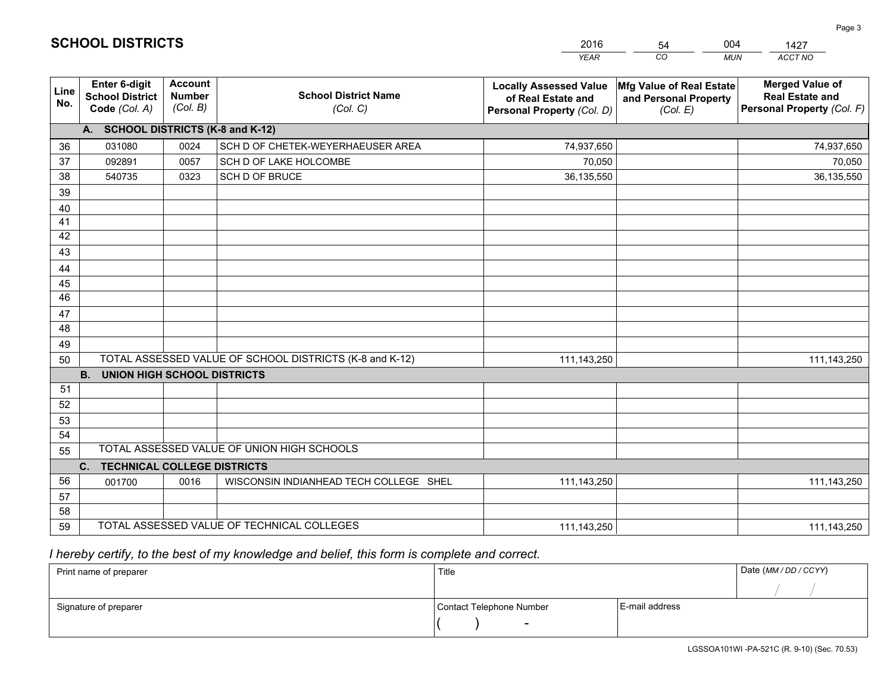|             |                                                          |                                             |                                                         | <b>YEAR</b>                                                                       | CO<br><b>MUN</b>                                              | ACCT NO                                                                        |
|-------------|----------------------------------------------------------|---------------------------------------------|---------------------------------------------------------|-----------------------------------------------------------------------------------|---------------------------------------------------------------|--------------------------------------------------------------------------------|
| Line<br>No. | Enter 6-digit<br><b>School District</b><br>Code (Col. A) | <b>Account</b><br><b>Number</b><br>(Col. B) | <b>School District Name</b><br>(Col. C)                 | <b>Locally Assessed Value</b><br>of Real Estate and<br>Personal Property (Col. D) | Mfg Value of Real Estate<br>and Personal Property<br>(Col. E) | <b>Merged Value of</b><br><b>Real Estate and</b><br>Personal Property (Col. F) |
|             | A. SCHOOL DISTRICTS (K-8 and K-12)                       |                                             |                                                         |                                                                                   |                                                               |                                                                                |
| 36          | 031080                                                   | 0024                                        | SCH D OF CHETEK-WEYERHAEUSER AREA                       | 74,937,650                                                                        |                                                               | 74,937,650                                                                     |
| 37          | 092891                                                   | 0057                                        | SCH D OF LAKE HOLCOMBE                                  | 70,050                                                                            |                                                               | 70,050                                                                         |
| 38          | 540735                                                   | 0323                                        | SCH D OF BRUCE                                          | 36,135,550                                                                        |                                                               | 36,135,550                                                                     |
| 39          |                                                          |                                             |                                                         |                                                                                   |                                                               |                                                                                |
| 40          |                                                          |                                             |                                                         |                                                                                   |                                                               |                                                                                |
| 41          |                                                          |                                             |                                                         |                                                                                   |                                                               |                                                                                |
| 42          |                                                          |                                             |                                                         |                                                                                   |                                                               |                                                                                |
| 43          |                                                          |                                             |                                                         |                                                                                   |                                                               |                                                                                |
| 44          |                                                          |                                             |                                                         |                                                                                   |                                                               |                                                                                |
| 45          |                                                          |                                             |                                                         |                                                                                   |                                                               |                                                                                |
| 46          |                                                          |                                             |                                                         |                                                                                   |                                                               |                                                                                |
| 47          |                                                          |                                             |                                                         |                                                                                   |                                                               |                                                                                |
| 48          |                                                          |                                             |                                                         |                                                                                   |                                                               |                                                                                |
| 49          |                                                          |                                             |                                                         |                                                                                   |                                                               |                                                                                |
| 50          | <b>B.</b><br><b>UNION HIGH SCHOOL DISTRICTS</b>          |                                             | TOTAL ASSESSED VALUE OF SCHOOL DISTRICTS (K-8 and K-12) | 111,143,250                                                                       |                                                               | 111,143,250                                                                    |
| 51          |                                                          |                                             |                                                         |                                                                                   |                                                               |                                                                                |
| 52          |                                                          |                                             |                                                         |                                                                                   |                                                               |                                                                                |
| 53          |                                                          |                                             |                                                         |                                                                                   |                                                               |                                                                                |
| 54          |                                                          |                                             |                                                         |                                                                                   |                                                               |                                                                                |
| 55          |                                                          |                                             | TOTAL ASSESSED VALUE OF UNION HIGH SCHOOLS              |                                                                                   |                                                               |                                                                                |
|             | C. TECHNICAL COLLEGE DISTRICTS                           |                                             |                                                         |                                                                                   |                                                               |                                                                                |
| 56          | 001700                                                   | 0016                                        | WISCONSIN INDIANHEAD TECH COLLEGE SHEL                  | 111,143,250                                                                       |                                                               | 111,143,250                                                                    |
| 57          |                                                          |                                             |                                                         |                                                                                   |                                                               |                                                                                |
| 58          |                                                          |                                             |                                                         |                                                                                   |                                                               |                                                                                |
| 59          |                                                          |                                             | TOTAL ASSESSED VALUE OF TECHNICAL COLLEGES              | 111,143,250                                                                       |                                                               | 111,143,250                                                                    |

54

004

 *I hereby certify, to the best of my knowledge and belief, this form is complete and correct.*

**SCHOOL DISTRICTS**

| Print name of preparer | Title                    |                | Date (MM / DD / CCYY) |
|------------------------|--------------------------|----------------|-----------------------|
|                        |                          |                |                       |
| Signature of preparer  | Contact Telephone Number | E-mail address |                       |
|                        |                          |                |                       |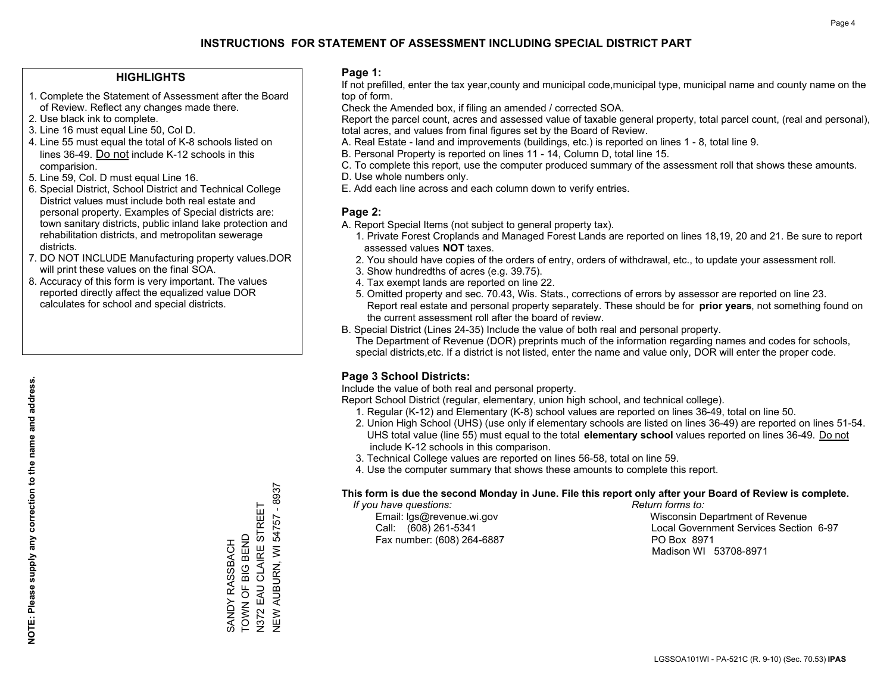#### **HIGHLIGHTS**

- 1. Complete the Statement of Assessment after the Board of Review. Reflect any changes made there.
- 2. Use black ink to complete.
- 3. Line 16 must equal Line 50, Col D.
- 4. Line 55 must equal the total of K-8 schools listed on lines 36-49. Do not include K-12 schools in this comparision.
- 5. Line 59, Col. D must equal Line 16.
- 6. Special District, School District and Technical College District values must include both real estate and personal property. Examples of Special districts are: town sanitary districts, public inland lake protection and rehabilitation districts, and metropolitan sewerage districts.
- 7. DO NOT INCLUDE Manufacturing property values.DOR will print these values on the final SOA.
- 8. Accuracy of this form is very important. The values reported directly affect the equalized value DOR calculates for school and special districts.

#### **Page 1:**

 If not prefilled, enter the tax year,county and municipal code,municipal type, municipal name and county name on the top of form.

Check the Amended box, if filing an amended / corrected SOA.

 Report the parcel count, acres and assessed value of taxable general property, total parcel count, (real and personal), total acres, and values from final figures set by the Board of Review.

- A. Real Estate land and improvements (buildings, etc.) is reported on lines 1 8, total line 9.
- B. Personal Property is reported on lines 11 14, Column D, total line 15.
- C. To complete this report, use the computer produced summary of the assessment roll that shows these amounts.
- D. Use whole numbers only.
- E. Add each line across and each column down to verify entries.

#### **Page 2:**

- A. Report Special Items (not subject to general property tax).
- 1. Private Forest Croplands and Managed Forest Lands are reported on lines 18,19, 20 and 21. Be sure to report assessed values **NOT** taxes.
- 2. You should have copies of the orders of entry, orders of withdrawal, etc., to update your assessment roll.
	- 3. Show hundredths of acres (e.g. 39.75).
- 4. Tax exempt lands are reported on line 22.
- 5. Omitted property and sec. 70.43, Wis. Stats., corrections of errors by assessor are reported on line 23. Report real estate and personal property separately. These should be for **prior years**, not something found on the current assessment roll after the board of review.
- B. Special District (Lines 24-35) Include the value of both real and personal property.
- The Department of Revenue (DOR) preprints much of the information regarding names and codes for schools, special districts,etc. If a district is not listed, enter the name and value only, DOR will enter the proper code.

### **Page 3 School Districts:**

Include the value of both real and personal property.

Report School District (regular, elementary, union high school, and technical college).

- 1. Regular (K-12) and Elementary (K-8) school values are reported on lines 36-49, total on line 50.
- 2. Union High School (UHS) (use only if elementary schools are listed on lines 36-49) are reported on lines 51-54. UHS total value (line 55) must equal to the total **elementary school** values reported on lines 36-49. Do notinclude K-12 schools in this comparison.
- 3. Technical College values are reported on lines 56-58, total on line 59.
- 4. Use the computer summary that shows these amounts to complete this report.

#### **This form is due the second Monday in June. File this report only after your Board of Review is complete.**

 *If you have questions: Return forms to:*

Fax number: (608) 264-6887 PO Box 8971

 Email: lgs@revenue.wi.gov Wisconsin Department of Revenue Call: (608) 261-5341 Local Government Services Section 6-97Madison WI 53708-8971

N372 EAU CLAIRE STREET<br>NEW AUBURN, WI 54757 - 8937 NEW AUBURN, WI 54757 - 8937 N372 EAU CLAIRE STREET TOWN OF BIG BEND SANDY RASSBACH<br>TOWN OF BIG BEND SANDY RASSBACH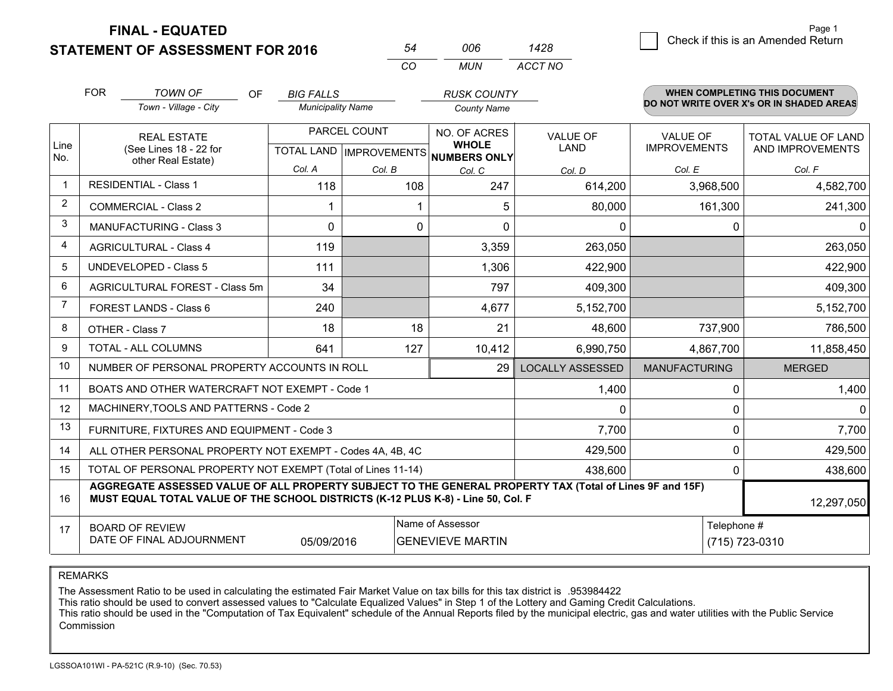**STATEMENT OF ASSESSMENT FOR 2016** 

|              | <b>FOR</b>                                                                           | <b>TOWN OF</b><br><b>OF</b>                                                                                                                                                                  | <b>BIG FALLS</b>         |                           | <b>RUSK COUNTY</b>                  |                         |                      | <b>WHEN COMPLETING THIS DOCUMENT</b>     |
|--------------|--------------------------------------------------------------------------------------|----------------------------------------------------------------------------------------------------------------------------------------------------------------------------------------------|--------------------------|---------------------------|-------------------------------------|-------------------------|----------------------|------------------------------------------|
|              |                                                                                      | Town - Village - City                                                                                                                                                                        | <b>Municipality Name</b> |                           | <b>County Name</b>                  |                         |                      | DO NOT WRITE OVER X's OR IN SHADED AREAS |
|              |                                                                                      | <b>REAL ESTATE</b>                                                                                                                                                                           |                          | PARCEL COUNT              | NO. OF ACRES                        | <b>VALUE OF</b>         | <b>VALUE OF</b>      | <b>TOTAL VALUE OF LAND</b>               |
| Line<br>No.  |                                                                                      | (See Lines 18 - 22 for<br>other Real Estate)                                                                                                                                                 |                          | TOTAL LAND   IMPROVEMENTS | <b>WHOLE</b><br><b>NUMBERS ONLY</b> | <b>LAND</b>             | <b>IMPROVEMENTS</b>  | AND IMPROVEMENTS                         |
|              |                                                                                      |                                                                                                                                                                                              | Col. A                   | Col. B                    | Col. C                              | Col. D                  | Col. E               | Col. F                                   |
| $\mathbf{1}$ |                                                                                      | <b>RESIDENTIAL - Class 1</b>                                                                                                                                                                 | 118                      |                           | 247<br>108                          | 614,200                 | 3,968,500            | 4,582,700                                |
| 2            |                                                                                      | <b>COMMERCIAL - Class 2</b>                                                                                                                                                                  |                          |                           | 5                                   | 80,000                  | 161,300              | 241,300                                  |
| 3            |                                                                                      | <b>MANUFACTURING - Class 3</b>                                                                                                                                                               | 0                        |                           | 0<br>0                              | 0                       | 0                    | $\Omega$                                 |
| 4            |                                                                                      | <b>AGRICULTURAL - Class 4</b>                                                                                                                                                                | 119                      |                           | 3,359                               | 263,050                 |                      | 263,050                                  |
| 5            |                                                                                      | <b>UNDEVELOPED - Class 5</b>                                                                                                                                                                 | 111                      |                           | 1,306                               | 422,900                 |                      | 422,900                                  |
| 6            | AGRICULTURAL FOREST - Class 5m                                                       |                                                                                                                                                                                              | 34                       |                           | 797                                 | 409,300                 |                      | 409,300                                  |
| 7            |                                                                                      | FOREST LANDS - Class 6                                                                                                                                                                       | 240                      |                           | 4,677                               | 5,152,700               |                      | 5,152,700                                |
| 8            |                                                                                      | OTHER - Class 7                                                                                                                                                                              | 18                       |                           | 21<br>18                            | 48,600                  | 737,900              | 786,500                                  |
| 9            |                                                                                      | TOTAL - ALL COLUMNS                                                                                                                                                                          | 641                      |                           | 10,412<br>127                       | 6,990,750               | 4,867,700            | 11,858,450                               |
| 10           |                                                                                      | NUMBER OF PERSONAL PROPERTY ACCOUNTS IN ROLL                                                                                                                                                 |                          |                           | 29                                  | <b>LOCALLY ASSESSED</b> | <b>MANUFACTURING</b> | <b>MERGED</b>                            |
| 11           |                                                                                      | BOATS AND OTHER WATERCRAFT NOT EXEMPT - Code 1                                                                                                                                               |                          |                           |                                     | 1,400                   | $\Omega$             | 1,400                                    |
| 12           |                                                                                      | MACHINERY, TOOLS AND PATTERNS - Code 2                                                                                                                                                       |                          |                           |                                     | 0                       | 0                    | $\Omega$                                 |
| 13           |                                                                                      | FURNITURE, FIXTURES AND EQUIPMENT - Code 3                                                                                                                                                   |                          |                           |                                     | 7,700                   | 0                    | 7,700                                    |
| 14           |                                                                                      | ALL OTHER PERSONAL PROPERTY NOT EXEMPT - Codes 4A, 4B, 4C                                                                                                                                    |                          |                           |                                     | 429,500                 | 0                    | 429,500                                  |
| 15           |                                                                                      | TOTAL OF PERSONAL PROPERTY NOT EXEMPT (Total of Lines 11-14)                                                                                                                                 |                          |                           |                                     | 438,600                 | 0                    | 438,600                                  |
| 16           |                                                                                      | AGGREGATE ASSESSED VALUE OF ALL PROPERTY SUBJECT TO THE GENERAL PROPERTY TAX (Total of Lines 9F and 15F)<br>MUST EQUAL TOTAL VALUE OF THE SCHOOL DISTRICTS (K-12 PLUS K-8) - Line 50, Col. F |                          |                           |                                     |                         |                      | 12,297,050                               |
| 17           |                                                                                      | <b>BOARD OF REVIEW</b>                                                                                                                                                                       |                          |                           | Name of Assessor                    |                         | Telephone #          |                                          |
|              | DATE OF FINAL ADJOURNMENT<br>(715) 723-0310<br>05/09/2016<br><b>GENEVIEVE MARTIN</b> |                                                                                                                                                                                              |                          |                           |                                     |                         |                      |                                          |

*CO*

*MUN*

*ACCT NO1428*

*<sup>54</sup> <sup>006</sup>*

REMARKS

The Assessment Ratio to be used in calculating the estimated Fair Market Value on tax bills for this tax district is .953984422<br>This ratio should be used to convert assessed values to "Calculate Equalized Values" in Step 1 Commission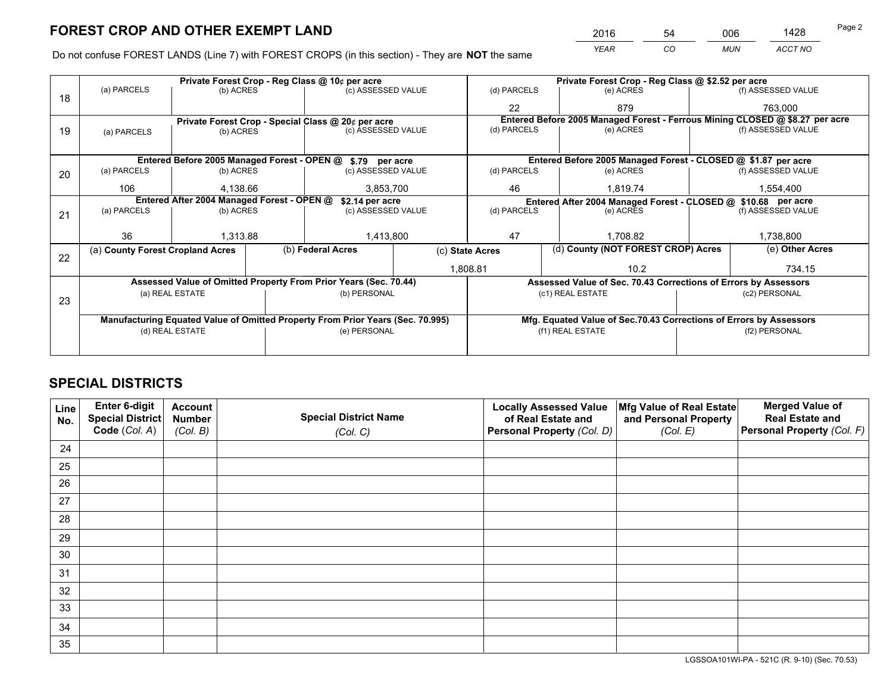*YEAR CO MUN ACCT NO* <sup>2016</sup> <sup>54</sup> <sup>006</sup> <sup>1428</sup>

Do not confuse FOREST LANDS (Line 7) with FOREST CROPS (in this section) - They are **NOT** the same

|    |                                                               |                                             |  | Private Forest Crop - Reg Class @ 10¢ per acre                                 |                 |                | Private Forest Crop - Reg Class @ \$2.52 per acre                            |                                    |                    |  |
|----|---------------------------------------------------------------|---------------------------------------------|--|--------------------------------------------------------------------------------|-----------------|----------------|------------------------------------------------------------------------------|------------------------------------|--------------------|--|
| 18 | (a) PARCELS                                                   | (b) ACRES                                   |  | (c) ASSESSED VALUE                                                             |                 | (d) PARCELS    | (e) ACRES                                                                    |                                    | (f) ASSESSED VALUE |  |
|    |                                                               |                                             |  |                                                                                |                 | 22             | 879                                                                          |                                    | 763,000            |  |
|    |                                                               |                                             |  | Private Forest Crop - Special Class @ 20¢ per acre                             |                 |                | Entered Before 2005 Managed Forest - Ferrous Mining CLOSED @ \$8.27 per acre |                                    |                    |  |
| 19 | (a) PARCELS                                                   | (b) ACRES                                   |  | (c) ASSESSED VALUE                                                             |                 | (d) PARCELS    | (e) ACRES                                                                    |                                    | (f) ASSESSED VALUE |  |
|    |                                                               |                                             |  |                                                                                |                 |                |                                                                              |                                    |                    |  |
|    |                                                               | Entered Before 2005 Managed Forest - OPEN @ |  | \$.79 per acre                                                                 |                 |                | Entered Before 2005 Managed Forest - CLOSED @ \$1.87 per acre                |                                    |                    |  |
| 20 | (a) PARCELS                                                   | (b) ACRES                                   |  | (c) ASSESSED VALUE                                                             |                 | (d) PARCELS    | (e) ACRES                                                                    |                                    | (f) ASSESSED VALUE |  |
|    | 106                                                           | 4.138.66                                    |  | 3,853,700                                                                      |                 | 46<br>1.819.74 |                                                                              |                                    | 1,554,400          |  |
|    | Entered After 2004 Managed Forest - OPEN @<br>\$2.14 per acre |                                             |  |                                                                                |                 |                | Entered After 2004 Managed Forest - CLOSED @ \$10.68 per acre                |                                    |                    |  |
| 21 | (a) PARCELS                                                   | (b) ACRES                                   |  | (c) ASSESSED VALUE                                                             | (d) PARCELS     |                | (e) ACRES                                                                    |                                    | (f) ASSESSED VALUE |  |
|    |                                                               |                                             |  |                                                                                |                 |                |                                                                              |                                    |                    |  |
|    | 36                                                            | 1,313.88                                    |  | 1,413,800                                                                      | 47              |                | 1,708.82                                                                     |                                    | 1,738,800          |  |
| 22 | (a) County Forest Cropland Acres                              |                                             |  | (b) Federal Acres                                                              | (c) State Acres |                |                                                                              | (d) County (NOT FOREST CROP) Acres |                    |  |
|    |                                                               |                                             |  |                                                                                |                 | 1,808.81       | 10.2                                                                         |                                    | 734.15             |  |
|    |                                                               |                                             |  | Assessed Value of Omitted Property From Prior Years (Sec. 70.44)               |                 |                | Assessed Value of Sec. 70.43 Corrections of Errors by Assessors              |                                    |                    |  |
|    |                                                               | (a) REAL ESTATE                             |  | (b) PERSONAL                                                                   |                 |                | (c1) REAL ESTATE                                                             |                                    | (c2) PERSONAL      |  |
| 23 |                                                               |                                             |  |                                                                                |                 |                |                                                                              |                                    |                    |  |
|    |                                                               |                                             |  | Manufacturing Equated Value of Omitted Property From Prior Years (Sec. 70.995) |                 |                | Mfg. Equated Value of Sec.70.43 Corrections of Errors by Assessors           |                                    |                    |  |
|    | (d) REAL ESTATE                                               |                                             |  | (e) PERSONAL                                                                   |                 |                | (f1) REAL ESTATE                                                             |                                    | (f2) PERSONAL      |  |
|    |                                                               |                                             |  |                                                                                |                 |                |                                                                              |                                    |                    |  |

## **SPECIAL DISTRICTS**

| Line<br>No. | Enter 6-digit<br><b>Special District</b> | <b>Account</b><br><b>Number</b> | <b>Special District Name</b> | <b>Locally Assessed Value</b><br>of Real Estate and | Mfg Value of Real Estate<br>and Personal Property | <b>Merged Value of</b><br><b>Real Estate and</b> |
|-------------|------------------------------------------|---------------------------------|------------------------------|-----------------------------------------------------|---------------------------------------------------|--------------------------------------------------|
|             | Code (Col. A)                            | (Col. B)                        | (Col. C)                     | Personal Property (Col. D)                          | (Col. E)                                          | Personal Property (Col. F)                       |
| 24          |                                          |                                 |                              |                                                     |                                                   |                                                  |
| 25          |                                          |                                 |                              |                                                     |                                                   |                                                  |
| 26          |                                          |                                 |                              |                                                     |                                                   |                                                  |
| 27          |                                          |                                 |                              |                                                     |                                                   |                                                  |
| 28          |                                          |                                 |                              |                                                     |                                                   |                                                  |
| 29          |                                          |                                 |                              |                                                     |                                                   |                                                  |
| 30          |                                          |                                 |                              |                                                     |                                                   |                                                  |
| 31          |                                          |                                 |                              |                                                     |                                                   |                                                  |
| 32          |                                          |                                 |                              |                                                     |                                                   |                                                  |
| 33          |                                          |                                 |                              |                                                     |                                                   |                                                  |
| 34          |                                          |                                 |                              |                                                     |                                                   |                                                  |
| 35          |                                          |                                 |                              |                                                     |                                                   |                                                  |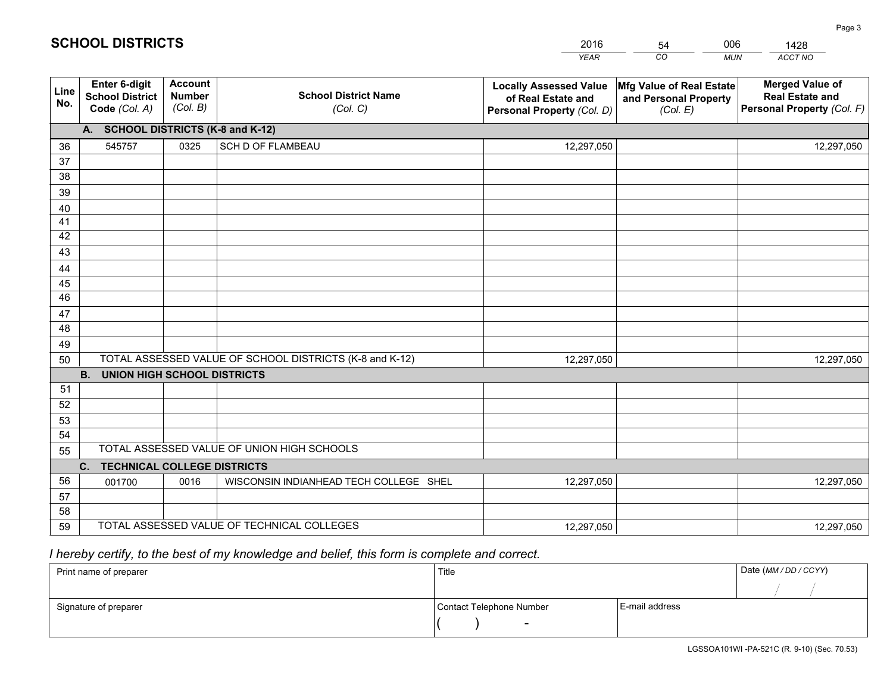|             |                                                          |                                             |                                                         | <b>YEAR</b>                                                                       | CO<br><b>MUN</b>                                              | ACCT NO                                                                        |
|-------------|----------------------------------------------------------|---------------------------------------------|---------------------------------------------------------|-----------------------------------------------------------------------------------|---------------------------------------------------------------|--------------------------------------------------------------------------------|
| Line<br>No. | Enter 6-digit<br><b>School District</b><br>Code (Col. A) | <b>Account</b><br><b>Number</b><br>(Col. B) | <b>School District Name</b><br>(Col. C)                 | <b>Locally Assessed Value</b><br>of Real Estate and<br>Personal Property (Col. D) | Mfg Value of Real Estate<br>and Personal Property<br>(Col. E) | <b>Merged Value of</b><br><b>Real Estate and</b><br>Personal Property (Col. F) |
|             | A. SCHOOL DISTRICTS (K-8 and K-12)                       |                                             |                                                         |                                                                                   |                                                               |                                                                                |
| 36          | 545757                                                   | 0325                                        | SCH D OF FLAMBEAU                                       | 12,297,050                                                                        |                                                               | 12,297,050                                                                     |
| 37          |                                                          |                                             |                                                         |                                                                                   |                                                               |                                                                                |
| 38          |                                                          |                                             |                                                         |                                                                                   |                                                               |                                                                                |
| 39          |                                                          |                                             |                                                         |                                                                                   |                                                               |                                                                                |
| 40          |                                                          |                                             |                                                         |                                                                                   |                                                               |                                                                                |
| 41          |                                                          |                                             |                                                         |                                                                                   |                                                               |                                                                                |
| 42<br>43    |                                                          |                                             |                                                         |                                                                                   |                                                               |                                                                                |
|             |                                                          |                                             |                                                         |                                                                                   |                                                               |                                                                                |
| 44<br>45    |                                                          |                                             |                                                         |                                                                                   |                                                               |                                                                                |
| 46          |                                                          |                                             |                                                         |                                                                                   |                                                               |                                                                                |
| 47          |                                                          |                                             |                                                         |                                                                                   |                                                               |                                                                                |
| 48          |                                                          |                                             |                                                         |                                                                                   |                                                               |                                                                                |
| 49          |                                                          |                                             |                                                         |                                                                                   |                                                               |                                                                                |
| 50          |                                                          |                                             | TOTAL ASSESSED VALUE OF SCHOOL DISTRICTS (K-8 and K-12) | 12,297,050                                                                        |                                                               | 12,297,050                                                                     |
|             | <b>B.</b><br><b>UNION HIGH SCHOOL DISTRICTS</b>          |                                             |                                                         |                                                                                   |                                                               |                                                                                |
| 51          |                                                          |                                             |                                                         |                                                                                   |                                                               |                                                                                |
| 52          |                                                          |                                             |                                                         |                                                                                   |                                                               |                                                                                |
| 53          |                                                          |                                             |                                                         |                                                                                   |                                                               |                                                                                |
| 54          |                                                          |                                             |                                                         |                                                                                   |                                                               |                                                                                |
| 55          |                                                          |                                             | TOTAL ASSESSED VALUE OF UNION HIGH SCHOOLS              |                                                                                   |                                                               |                                                                                |
|             | C.<br><b>TECHNICAL COLLEGE DISTRICTS</b>                 |                                             |                                                         |                                                                                   |                                                               |                                                                                |
| 56<br>57    | 001700                                                   | 0016                                        | WISCONSIN INDIANHEAD TECH COLLEGE SHEL                  | 12,297,050                                                                        |                                                               | 12,297,050                                                                     |
| 58          |                                                          |                                             |                                                         |                                                                                   |                                                               |                                                                                |
| 59          |                                                          |                                             | TOTAL ASSESSED VALUE OF TECHNICAL COLLEGES              |                                                                                   |                                                               |                                                                                |
|             |                                                          |                                             |                                                         | 12,297,050                                                                        |                                                               | 12,297,050                                                                     |

54

006

 *I hereby certify, to the best of my knowledge and belief, this form is complete and correct.*

**SCHOOL DISTRICTS**

| Print name of preparer | Title                    |                | Date (MM / DD / CCYY) |
|------------------------|--------------------------|----------------|-----------------------|
|                        |                          |                |                       |
| Signature of preparer  | Contact Telephone Number | E-mail address |                       |
|                        | $\sim$                   |                |                       |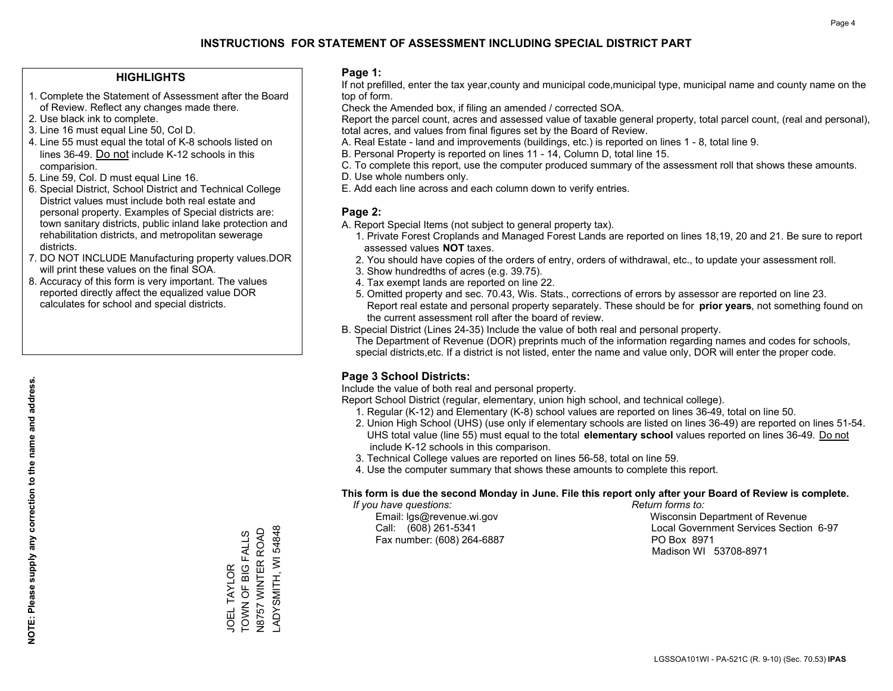#### **HIGHLIGHTS**

- 1. Complete the Statement of Assessment after the Board of Review. Reflect any changes made there.
- 2. Use black ink to complete.
- 3. Line 16 must equal Line 50, Col D.
- 4. Line 55 must equal the total of K-8 schools listed on lines 36-49. Do not include K-12 schools in this comparision.
- 5. Line 59, Col. D must equal Line 16.
- 6. Special District, School District and Technical College District values must include both real estate and personal property. Examples of Special districts are: town sanitary districts, public inland lake protection and rehabilitation districts, and metropolitan sewerage districts.
- 7. DO NOT INCLUDE Manufacturing property values.DOR will print these values on the final SOA.
- 8. Accuracy of this form is very important. The values reported directly affect the equalized value DOR calculates for school and special districts.

#### **Page 1:**

 If not prefilled, enter the tax year,county and municipal code,municipal type, municipal name and county name on the top of form.

Check the Amended box, if filing an amended / corrected SOA.

 Report the parcel count, acres and assessed value of taxable general property, total parcel count, (real and personal), total acres, and values from final figures set by the Board of Review.

- A. Real Estate land and improvements (buildings, etc.) is reported on lines 1 8, total line 9.
- B. Personal Property is reported on lines 11 14, Column D, total line 15.
- C. To complete this report, use the computer produced summary of the assessment roll that shows these amounts.
- D. Use whole numbers only.
- E. Add each line across and each column down to verify entries.

#### **Page 2:**

- A. Report Special Items (not subject to general property tax).
- 1. Private Forest Croplands and Managed Forest Lands are reported on lines 18,19, 20 and 21. Be sure to report assessed values **NOT** taxes.
- 2. You should have copies of the orders of entry, orders of withdrawal, etc., to update your assessment roll.
	- 3. Show hundredths of acres (e.g. 39.75).
- 4. Tax exempt lands are reported on line 22.
- 5. Omitted property and sec. 70.43, Wis. Stats., corrections of errors by assessor are reported on line 23. Report real estate and personal property separately. These should be for **prior years**, not something found on the current assessment roll after the board of review.
- B. Special District (Lines 24-35) Include the value of both real and personal property.

 The Department of Revenue (DOR) preprints much of the information regarding names and codes for schools, special districts,etc. If a district is not listed, enter the name and value only, DOR will enter the proper code.

### **Page 3 School Districts:**

Include the value of both real and personal property.

Report School District (regular, elementary, union high school, and technical college).

- 1. Regular (K-12) and Elementary (K-8) school values are reported on lines 36-49, total on line 50.
- 2. Union High School (UHS) (use only if elementary schools are listed on lines 36-49) are reported on lines 51-54. UHS total value (line 55) must equal to the total **elementary school** values reported on lines 36-49. Do notinclude K-12 schools in this comparison.
- 3. Technical College values are reported on lines 56-58, total on line 59.
- 4. Use the computer summary that shows these amounts to complete this report.

#### **This form is due the second Monday in June. File this report only after your Board of Review is complete.**

 *If you have questions: Return forms to:*

Fax number: (608) 264-6887 PO Box 8971

 Email: lgs@revenue.wi.gov Wisconsin Department of Revenue Call: (608) 261-5341 Local Government Services Section 6-97Madison WI 53708-8971

TOWN OF BIG FALLS TOWN OF BIG FALLS JOEL TAYLOR JOEL TAYLOR

N8757 WINTER ROAD LADYSMITH, WI 54848

ADYSMITH, WI 54848 N8757 WINTER ROAD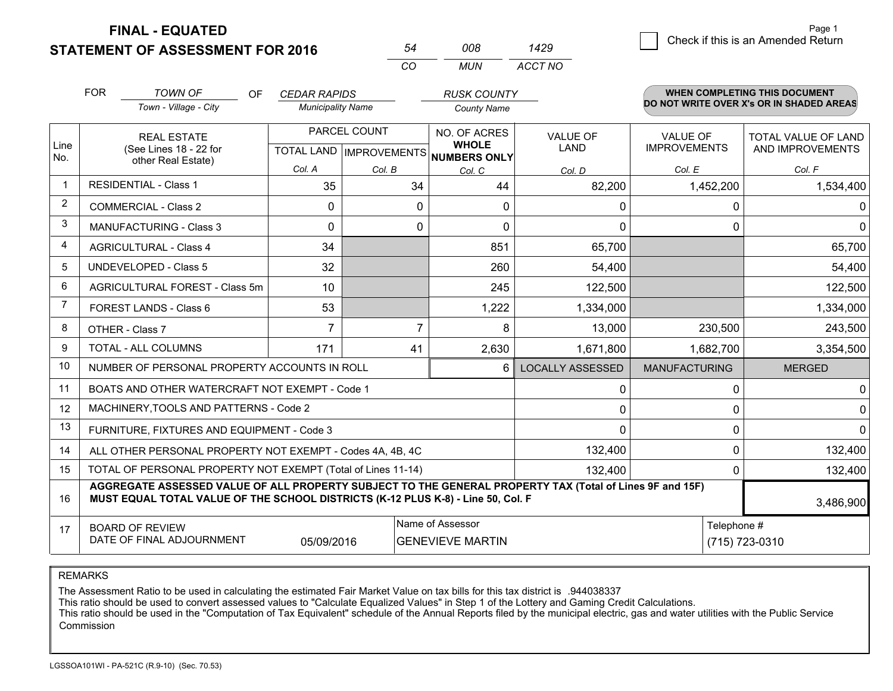**STATEMENT OF ASSESSMENT FOR 2016** 

**FINAL - EQUATED**

|                | <b>FOR</b>                                                                           | <b>TOWN OF</b><br>0F                                                                                                                                                                         | <b>CEDAR RAPIDS</b>            |              | <b>RUSK COUNTY</b>                  |                         |                      | <b>WHEN COMPLETING THIS DOCUMENT</b>     |
|----------------|--------------------------------------------------------------------------------------|----------------------------------------------------------------------------------------------------------------------------------------------------------------------------------------------|--------------------------------|--------------|-------------------------------------|-------------------------|----------------------|------------------------------------------|
|                |                                                                                      | Town - Village - City                                                                                                                                                                        | <b>Municipality Name</b>       |              | <b>County Name</b>                  |                         |                      | DO NOT WRITE OVER X's OR IN SHADED AREAS |
|                |                                                                                      | <b>REAL ESTATE</b>                                                                                                                                                                           |                                | PARCEL COUNT | NO. OF ACRES                        | VALUE OF                | <b>VALUE OF</b>      | <b>TOTAL VALUE OF LAND</b>               |
| Line<br>No.    |                                                                                      | (See Lines 18 - 22 for<br>other Real Estate)                                                                                                                                                 | <b>TOTAL LAND IMPROVEMENTS</b> |              | <b>WHOLE</b><br><b>NUMBERS ONLY</b> | <b>LAND</b>             | <b>IMPROVEMENTS</b>  | AND IMPROVEMENTS                         |
|                |                                                                                      |                                                                                                                                                                                              | Col. A                         | Col. B       | Col. C                              | Col. D                  | Col. E               | Col. F                                   |
| $\mathbf 1$    |                                                                                      | <b>RESIDENTIAL - Class 1</b>                                                                                                                                                                 | 35                             | 34           | 44                                  | 82,200                  | 1,452,200            | 1,534,400                                |
| $\overline{2}$ |                                                                                      | <b>COMMERCIAL - Class 2</b>                                                                                                                                                                  | 0                              |              | 0<br>0                              | 0                       | 0                    | 0                                        |
| 3              |                                                                                      | <b>MANUFACTURING - Class 3</b>                                                                                                                                                               | 0                              |              | 0<br>0                              | $\mathbf{0}$            | 0                    | $\mathbf 0$                              |
| $\overline{4}$ |                                                                                      | <b>AGRICULTURAL - Class 4</b>                                                                                                                                                                | 34                             |              | 851                                 | 65,700                  |                      | 65,700                                   |
| 5              | <b>UNDEVELOPED - Class 5</b>                                                         |                                                                                                                                                                                              | 32                             |              | 260                                 | 54,400                  |                      | 54,400                                   |
| 6              | AGRICULTURAL FOREST - Class 5m                                                       |                                                                                                                                                                                              | 10                             |              | 245                                 | 122,500                 |                      | 122,500                                  |
| $\overline{7}$ |                                                                                      | FOREST LANDS - Class 6                                                                                                                                                                       | 53                             |              | 1,222                               | 1,334,000               |                      | 1,334,000                                |
| 8              |                                                                                      | OTHER - Class 7                                                                                                                                                                              | $\overline{7}$                 |              | $\overline{7}$<br>8                 | 13,000                  | 230,500              | 243,500                                  |
| 9              |                                                                                      | TOTAL - ALL COLUMNS                                                                                                                                                                          | 171                            | 41           | 2,630                               | 1,671,800               | 1,682,700            | 3,354,500                                |
| 10             |                                                                                      | NUMBER OF PERSONAL PROPERTY ACCOUNTS IN ROLL                                                                                                                                                 |                                |              | 6                                   | <b>LOCALLY ASSESSED</b> | <b>MANUFACTURING</b> | <b>MERGED</b>                            |
| 11             |                                                                                      | BOATS AND OTHER WATERCRAFT NOT EXEMPT - Code 1                                                                                                                                               |                                |              |                                     | 0                       | 0                    | 0                                        |
| 12             |                                                                                      | MACHINERY, TOOLS AND PATTERNS - Code 2                                                                                                                                                       |                                |              |                                     | $\mathbf 0$             | $\Omega$             | $\mathbf 0$                              |
| 13             |                                                                                      | FURNITURE, FIXTURES AND EQUIPMENT - Code 3                                                                                                                                                   |                                |              |                                     | $\Omega$                | 0                    | $\Omega$                                 |
| 14             |                                                                                      | ALL OTHER PERSONAL PROPERTY NOT EXEMPT - Codes 4A, 4B, 4C                                                                                                                                    |                                |              |                                     | 132,400                 | $\Omega$             | 132,400                                  |
| 15             |                                                                                      | TOTAL OF PERSONAL PROPERTY NOT EXEMPT (Total of Lines 11-14)                                                                                                                                 |                                |              |                                     | 132,400                 | 0                    | 132,400                                  |
| 16             |                                                                                      | AGGREGATE ASSESSED VALUE OF ALL PROPERTY SUBJECT TO THE GENERAL PROPERTY TAX (Total of Lines 9F and 15F)<br>MUST EQUAL TOTAL VALUE OF THE SCHOOL DISTRICTS (K-12 PLUS K-8) - Line 50, Col. F |                                |              |                                     |                         |                      | 3,486,900                                |
| 17             |                                                                                      | <b>BOARD OF REVIEW</b>                                                                                                                                                                       |                                |              | Name of Assessor                    |                         | Telephone #          |                                          |
|                | DATE OF FINAL ADJOURNMENT<br><b>GENEVIEVE MARTIN</b><br>(715) 723-0310<br>05/09/2016 |                                                                                                                                                                                              |                                |              |                                     |                         |                      |                                          |

*CO*

*MUN*

*ACCT NO1429*

*<sup>54</sup> <sup>008</sup>*

REMARKS

The Assessment Ratio to be used in calculating the estimated Fair Market Value on tax bills for this tax district is .944038337<br>This ratio should be used to convert assessed values to "Calculate Equalized Values" in Step 1 Commission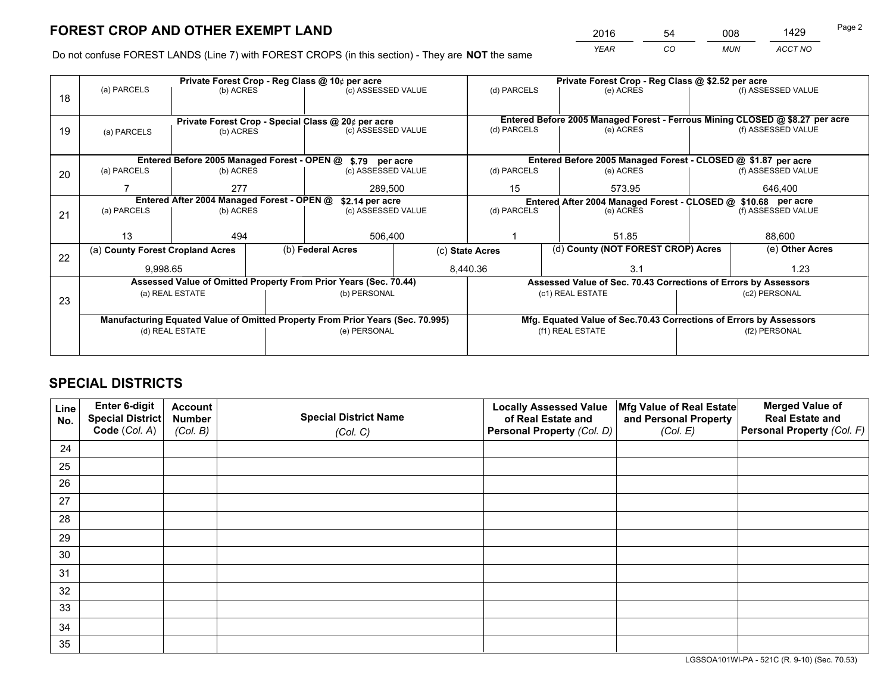*YEAR CO MUN ACCT NO* <sup>2016</sup> <sup>54</sup> <sup>008</sup> <sup>1429</sup>

Do not confuse FOREST LANDS (Line 7) with FOREST CROPS (in this section) - They are **NOT** the same

|    |                                                               |                 |              | Private Forest Crop - Reg Class @ 10¢ per acre                                 |                                                               |                                                                              |                                                               | Private Forest Crop - Reg Class @ \$2.52 per acre                  |  |                    |  |
|----|---------------------------------------------------------------|-----------------|--------------|--------------------------------------------------------------------------------|---------------------------------------------------------------|------------------------------------------------------------------------------|---------------------------------------------------------------|--------------------------------------------------------------------|--|--------------------|--|
| 18 | (a) PARCELS                                                   | (b) ACRES       |              | (c) ASSESSED VALUE                                                             |                                                               | (d) PARCELS                                                                  |                                                               | (e) ACRES                                                          |  | (f) ASSESSED VALUE |  |
|    |                                                               |                 |              |                                                                                |                                                               |                                                                              |                                                               |                                                                    |  |                    |  |
|    |                                                               |                 |              | Private Forest Crop - Special Class @ 20¢ per acre                             |                                                               | Entered Before 2005 Managed Forest - Ferrous Mining CLOSED @ \$8.27 per acre |                                                               |                                                                    |  |                    |  |
| 19 | (a) PARCELS                                                   | (b) ACRES       |              | (c) ASSESSED VALUE                                                             |                                                               | (d) PARCELS                                                                  |                                                               | (e) ACRES                                                          |  | (f) ASSESSED VALUE |  |
|    |                                                               |                 |              |                                                                                |                                                               |                                                                              |                                                               |                                                                    |  |                    |  |
|    |                                                               |                 |              | Entered Before 2005 Managed Forest - OPEN @ \$.79 per acre                     | Entered Before 2005 Managed Forest - CLOSED @ \$1.87 per acre |                                                                              |                                                               |                                                                    |  |                    |  |
| 20 | (a) PARCELS                                                   | (b) ACRES       |              | (c) ASSESSED VALUE                                                             |                                                               | (d) PARCELS                                                                  |                                                               | (e) ACRES                                                          |  | (f) ASSESSED VALUE |  |
|    |                                                               | 277             |              | 289,500                                                                        |                                                               | 15<br>573.95                                                                 |                                                               | 646,400                                                            |  |                    |  |
|    | Entered After 2004 Managed Forest - OPEN @<br>\$2.14 per acre |                 |              |                                                                                |                                                               |                                                                              | Entered After 2004 Managed Forest - CLOSED @ \$10.68 per acre |                                                                    |  |                    |  |
| 21 | (a) PARCELS                                                   | (b) ACRES       |              |                                                                                | (c) ASSESSED VALUE                                            |                                                                              | (d) PARCELS<br>(e) ACRES                                      |                                                                    |  | (f) ASSESSED VALUE |  |
|    |                                                               |                 |              |                                                                                |                                                               |                                                                              |                                                               |                                                                    |  |                    |  |
|    | 13                                                            | 494             |              | 506,400                                                                        |                                                               |                                                                              |                                                               | 51.85                                                              |  | 88,600             |  |
| 22 | (a) County Forest Cropland Acres                              |                 |              | (b) Federal Acres                                                              | (c) State Acres                                               |                                                                              |                                                               | (d) County (NOT FOREST CROP) Acres                                 |  | (e) Other Acres    |  |
|    | 9,998.65                                                      |                 |              |                                                                                | 8,440.36                                                      |                                                                              |                                                               | 3.1                                                                |  | 1.23               |  |
|    |                                                               |                 |              | Assessed Value of Omitted Property From Prior Years (Sec. 70.44)               |                                                               |                                                                              |                                                               | Assessed Value of Sec. 70.43 Corrections of Errors by Assessors    |  |                    |  |
| 23 |                                                               | (a) REAL ESTATE |              | (b) PERSONAL                                                                   |                                                               |                                                                              |                                                               | (c1) REAL ESTATE                                                   |  | (c2) PERSONAL      |  |
|    |                                                               |                 |              |                                                                                |                                                               |                                                                              |                                                               |                                                                    |  |                    |  |
|    |                                                               |                 |              | Manufacturing Equated Value of Omitted Property From Prior Years (Sec. 70.995) |                                                               |                                                                              |                                                               | Mfg. Equated Value of Sec.70.43 Corrections of Errors by Assessors |  |                    |  |
|    | (d) REAL ESTATE                                               |                 | (e) PERSONAL |                                                                                | (f1) REAL ESTATE                                              |                                                                              |                                                               | (f2) PERSONAL                                                      |  |                    |  |
|    |                                                               |                 |              |                                                                                |                                                               |                                                                              |                                                               |                                                                    |  |                    |  |

## **SPECIAL DISTRICTS**

| Line<br>No. | Enter 6-digit<br>Special District<br>Code (Col. A) | <b>Account</b><br><b>Number</b> | <b>Special District Name</b> | <b>Locally Assessed Value</b><br>of Real Estate and | Mfg Value of Real Estate<br>and Personal Property | <b>Merged Value of</b><br><b>Real Estate and</b><br>Personal Property (Col. F) |
|-------------|----------------------------------------------------|---------------------------------|------------------------------|-----------------------------------------------------|---------------------------------------------------|--------------------------------------------------------------------------------|
|             |                                                    | (Col. B)                        | (Col. C)                     | Personal Property (Col. D)                          | (Col. E)                                          |                                                                                |
| 24          |                                                    |                                 |                              |                                                     |                                                   |                                                                                |
| 25          |                                                    |                                 |                              |                                                     |                                                   |                                                                                |
| 26          |                                                    |                                 |                              |                                                     |                                                   |                                                                                |
| 27          |                                                    |                                 |                              |                                                     |                                                   |                                                                                |
| 28          |                                                    |                                 |                              |                                                     |                                                   |                                                                                |
| 29          |                                                    |                                 |                              |                                                     |                                                   |                                                                                |
| 30          |                                                    |                                 |                              |                                                     |                                                   |                                                                                |
| 31          |                                                    |                                 |                              |                                                     |                                                   |                                                                                |
| 32          |                                                    |                                 |                              |                                                     |                                                   |                                                                                |
| 33          |                                                    |                                 |                              |                                                     |                                                   |                                                                                |
| 34          |                                                    |                                 |                              |                                                     |                                                   |                                                                                |
| 35          |                                                    |                                 |                              |                                                     |                                                   |                                                                                |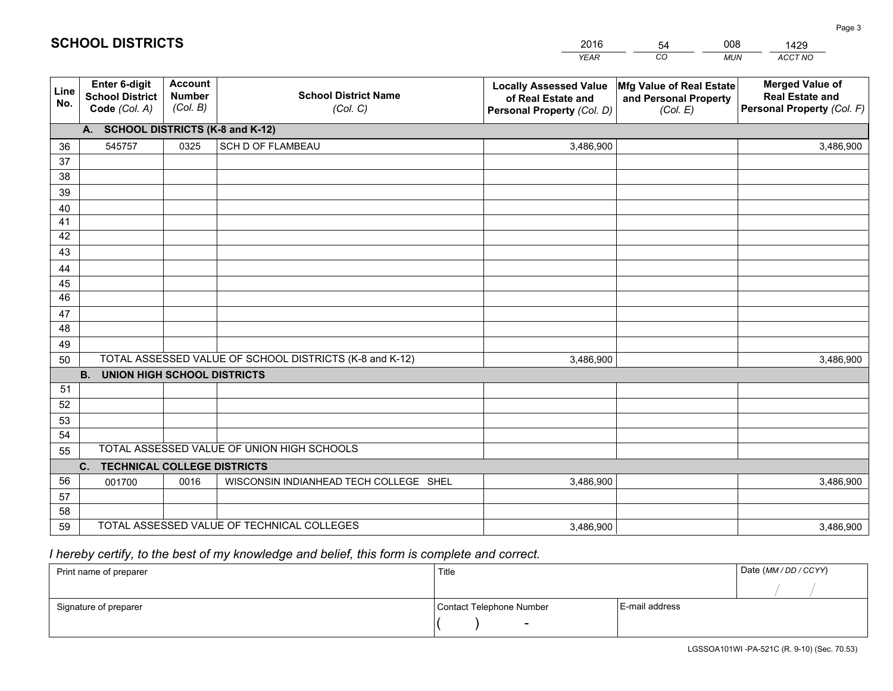|             |                                                          |                                             |                                                         | <b>YEAR</b>                                                                       | CO<br><b>MUN</b>                                              | ACCT NO                                                                        |
|-------------|----------------------------------------------------------|---------------------------------------------|---------------------------------------------------------|-----------------------------------------------------------------------------------|---------------------------------------------------------------|--------------------------------------------------------------------------------|
| Line<br>No. | Enter 6-digit<br><b>School District</b><br>Code (Col. A) | <b>Account</b><br><b>Number</b><br>(Col. B) | <b>School District Name</b><br>(Col. C)                 | <b>Locally Assessed Value</b><br>of Real Estate and<br>Personal Property (Col. D) | Mfg Value of Real Estate<br>and Personal Property<br>(Col. E) | <b>Merged Value of</b><br><b>Real Estate and</b><br>Personal Property (Col. F) |
|             | A. SCHOOL DISTRICTS (K-8 and K-12)                       |                                             |                                                         |                                                                                   |                                                               |                                                                                |
| 36          | 545757                                                   | 0325                                        | SCH D OF FLAMBEAU                                       | 3,486,900                                                                         |                                                               | 3,486,900                                                                      |
| 37          |                                                          |                                             |                                                         |                                                                                   |                                                               |                                                                                |
| 38          |                                                          |                                             |                                                         |                                                                                   |                                                               |                                                                                |
| 39          |                                                          |                                             |                                                         |                                                                                   |                                                               |                                                                                |
| 40          |                                                          |                                             |                                                         |                                                                                   |                                                               |                                                                                |
| 41          |                                                          |                                             |                                                         |                                                                                   |                                                               |                                                                                |
| 42<br>43    |                                                          |                                             |                                                         |                                                                                   |                                                               |                                                                                |
|             |                                                          |                                             |                                                         |                                                                                   |                                                               |                                                                                |
| 44<br>45    |                                                          |                                             |                                                         |                                                                                   |                                                               |                                                                                |
| 46          |                                                          |                                             |                                                         |                                                                                   |                                                               |                                                                                |
| 47          |                                                          |                                             |                                                         |                                                                                   |                                                               |                                                                                |
| 48          |                                                          |                                             |                                                         |                                                                                   |                                                               |                                                                                |
| 49          |                                                          |                                             |                                                         |                                                                                   |                                                               |                                                                                |
| 50          |                                                          |                                             | TOTAL ASSESSED VALUE OF SCHOOL DISTRICTS (K-8 and K-12) | 3,486,900                                                                         |                                                               | 3,486,900                                                                      |
|             | <b>B.</b><br><b>UNION HIGH SCHOOL DISTRICTS</b>          |                                             |                                                         |                                                                                   |                                                               |                                                                                |
| 51          |                                                          |                                             |                                                         |                                                                                   |                                                               |                                                                                |
| 52          |                                                          |                                             |                                                         |                                                                                   |                                                               |                                                                                |
| 53          |                                                          |                                             |                                                         |                                                                                   |                                                               |                                                                                |
| 54          |                                                          |                                             |                                                         |                                                                                   |                                                               |                                                                                |
| 55          |                                                          |                                             | TOTAL ASSESSED VALUE OF UNION HIGH SCHOOLS              |                                                                                   |                                                               |                                                                                |
|             | C.<br><b>TECHNICAL COLLEGE DISTRICTS</b>                 |                                             |                                                         |                                                                                   |                                                               |                                                                                |
| 56          | 001700                                                   | 0016                                        | WISCONSIN INDIANHEAD TECH COLLEGE SHEL                  | 3,486,900                                                                         |                                                               | 3,486,900                                                                      |
| 57          |                                                          |                                             |                                                         |                                                                                   |                                                               |                                                                                |
| 58          |                                                          |                                             |                                                         |                                                                                   |                                                               |                                                                                |
| 59          |                                                          |                                             | TOTAL ASSESSED VALUE OF TECHNICAL COLLEGES              | 3,486,900                                                                         |                                                               | 3,486,900                                                                      |

54

008

 *I hereby certify, to the best of my knowledge and belief, this form is complete and correct.*

**SCHOOL DISTRICTS**

| Print name of preparer | Title                    |                | Date (MM / DD / CCYY) |
|------------------------|--------------------------|----------------|-----------------------|
|                        |                          |                |                       |
| Signature of preparer  | Contact Telephone Number | E-mail address |                       |
|                        | $\sim$                   |                |                       |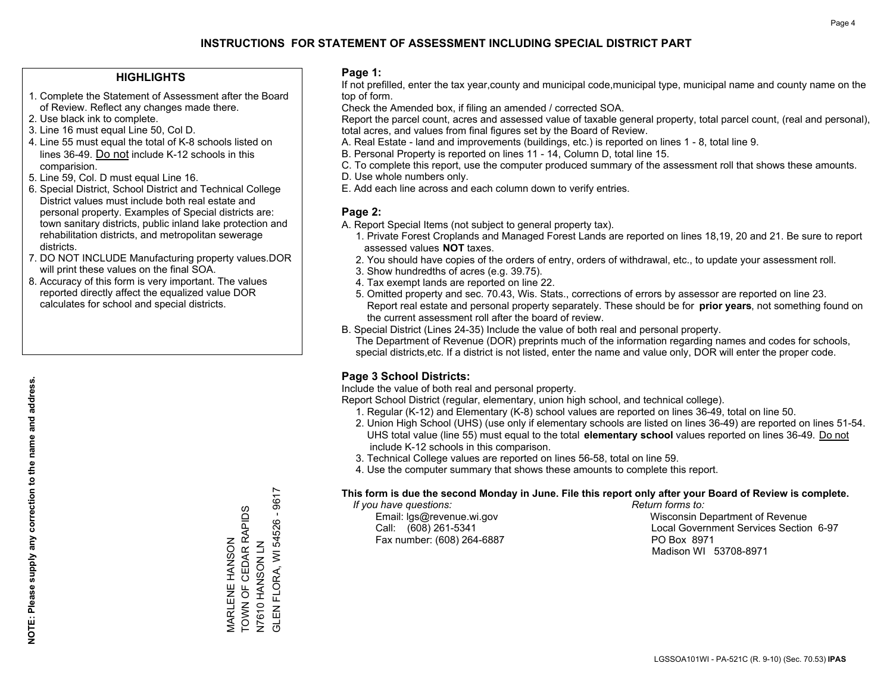#### **HIGHLIGHTS**

- 1. Complete the Statement of Assessment after the Board of Review. Reflect any changes made there.
- 2. Use black ink to complete.
- 3. Line 16 must equal Line 50, Col D.
- 4. Line 55 must equal the total of K-8 schools listed on lines 36-49. Do not include K-12 schools in this comparision.
- 5. Line 59, Col. D must equal Line 16.
- 6. Special District, School District and Technical College District values must include both real estate and personal property. Examples of Special districts are: town sanitary districts, public inland lake protection and rehabilitation districts, and metropolitan sewerage districts.
- 7. DO NOT INCLUDE Manufacturing property values.DOR will print these values on the final SOA.

MARLENE HANSON

TOWN OF CEDAR RAPIDS

MARLENE HANSON<br>TOWN OF CEDAR RAPIDS

N7 NOSAN OF PAN

N7610 HANSON LN<br>GLEN FLORA, WI 545

GLEN FLORA, WI 54526 - 9617

FLORA, WI 54526 - 9617

 8. Accuracy of this form is very important. The values reported directly affect the equalized value DOR calculates for school and special districts.

#### **Page 1:**

 If not prefilled, enter the tax year,county and municipal code,municipal type, municipal name and county name on the top of form.

Check the Amended box, if filing an amended / corrected SOA.

 Report the parcel count, acres and assessed value of taxable general property, total parcel count, (real and personal), total acres, and values from final figures set by the Board of Review.

- A. Real Estate land and improvements (buildings, etc.) is reported on lines 1 8, total line 9.
- B. Personal Property is reported on lines 11 14, Column D, total line 15.
- C. To complete this report, use the computer produced summary of the assessment roll that shows these amounts.
- D. Use whole numbers only.
- E. Add each line across and each column down to verify entries.

#### **Page 2:**

- A. Report Special Items (not subject to general property tax).
- 1. Private Forest Croplands and Managed Forest Lands are reported on lines 18,19, 20 and 21. Be sure to report assessed values **NOT** taxes.
- 2. You should have copies of the orders of entry, orders of withdrawal, etc., to update your assessment roll.
	- 3. Show hundredths of acres (e.g. 39.75).
- 4. Tax exempt lands are reported on line 22.
- 5. Omitted property and sec. 70.43, Wis. Stats., corrections of errors by assessor are reported on line 23. Report real estate and personal property separately. These should be for **prior years**, not something found on the current assessment roll after the board of review.
- B. Special District (Lines 24-35) Include the value of both real and personal property.

 The Department of Revenue (DOR) preprints much of the information regarding names and codes for schools, special districts,etc. If a district is not listed, enter the name and value only, DOR will enter the proper code.

### **Page 3 School Districts:**

Include the value of both real and personal property.

Report School District (regular, elementary, union high school, and technical college).

- 1. Regular (K-12) and Elementary (K-8) school values are reported on lines 36-49, total on line 50.
- 2. Union High School (UHS) (use only if elementary schools are listed on lines 36-49) are reported on lines 51-54. UHS total value (line 55) must equal to the total **elementary school** values reported on lines 36-49. Do notinclude K-12 schools in this comparison.
- 3. Technical College values are reported on lines 56-58, total on line 59.
- 4. Use the computer summary that shows these amounts to complete this report.

#### **This form is due the second Monday in June. File this report only after your Board of Review is complete.**

 *If you have questions: Return forms to:*

Fax number: (608) 264-6887 PO Box 8971

 Email: lgs@revenue.wi.gov Wisconsin Department of Revenue Call: (608) 261-5341 Local Government Services Section 6-97Madison WI 53708-8971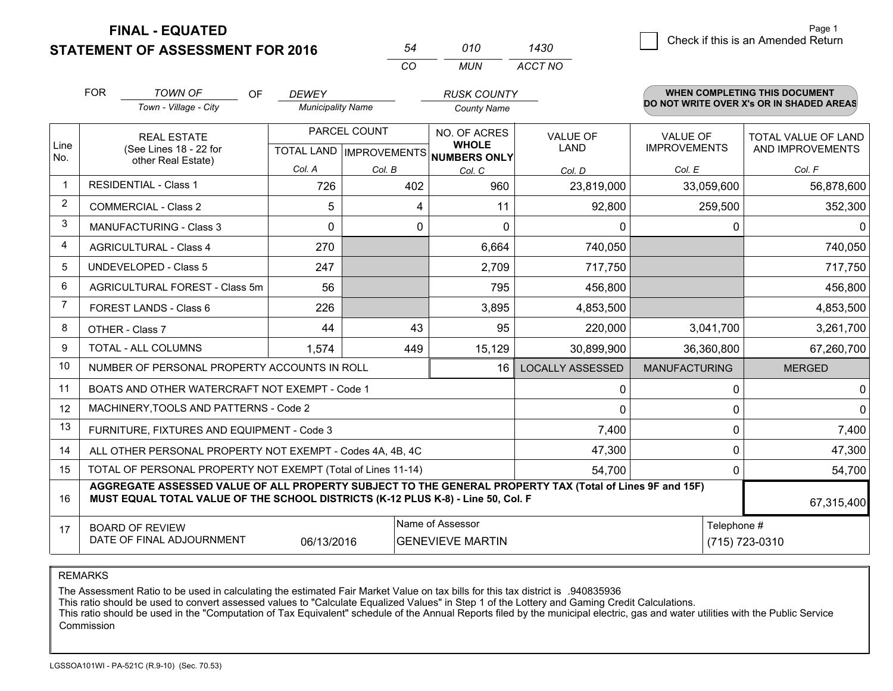**STATEMENT OF ASSESSMENT FOR 2016** 

| 54  | 010 | 1430    |
|-----|-----|---------|
| -CO | MUN | ACCT NO |

|      | <b>FOR</b>                                                                                                                                        | <b>TOWN OF</b><br><b>OF</b><br>Town - Village - City                                                                                                                                         | <b>DEWEY</b><br><b>Municipality Name</b> |              | <b>RUSK COUNTY</b><br><b>County Name</b>           |                         |                                        | WHEN COMPLETING THIS DOCUMENT<br>DO NOT WRITE OVER X's OR IN SHADED AREAS |
|------|---------------------------------------------------------------------------------------------------------------------------------------------------|----------------------------------------------------------------------------------------------------------------------------------------------------------------------------------------------|------------------------------------------|--------------|----------------------------------------------------|-------------------------|----------------------------------------|---------------------------------------------------------------------------|
| Line |                                                                                                                                                   | <b>REAL ESTATE</b><br>(See Lines 18 - 22 for                                                                                                                                                 |                                          | PARCEL COUNT | NO. OF ACRES<br><b>WHOLE</b>                       | <b>VALUE OF</b><br>LAND | <b>VALUE OF</b><br><b>IMPROVEMENTS</b> | TOTAL VALUE OF LAND<br>AND IMPROVEMENTS                                   |
| No.  |                                                                                                                                                   | other Real Estate)                                                                                                                                                                           | Col. A                                   | Col. B       | TOTAL LAND   IMPROVEMENTS   NUMBERS ONLY<br>Col. C | Col. D                  | Col. E                                 | Col. F                                                                    |
|      |                                                                                                                                                   | <b>RESIDENTIAL - Class 1</b>                                                                                                                                                                 | 726                                      | 402          | 960                                                | 23,819,000              | 33,059,600                             | 56,878,600                                                                |
| 2    |                                                                                                                                                   | <b>COMMERCIAL - Class 2</b>                                                                                                                                                                  | 5                                        | 4            | 11                                                 | 92,800                  | 259,500                                | 352,300                                                                   |
| 3    |                                                                                                                                                   | <b>MANUFACTURING - Class 3</b>                                                                                                                                                               | $\Omega$                                 | 0            | $\Omega$                                           | 0                       | 0                                      | 0                                                                         |
| 4    |                                                                                                                                                   | <b>AGRICULTURAL - Class 4</b>                                                                                                                                                                | 270                                      |              | 6,664                                              | 740,050                 |                                        | 740,050                                                                   |
| 5    |                                                                                                                                                   | UNDEVELOPED - Class 5                                                                                                                                                                        | 247                                      |              | 2,709                                              | 717,750                 |                                        | 717,750                                                                   |
| 6    |                                                                                                                                                   | AGRICULTURAL FOREST - Class 5m                                                                                                                                                               | 56                                       |              | 795                                                | 456,800                 |                                        | 456,800                                                                   |
| 7    |                                                                                                                                                   | FOREST LANDS - Class 6                                                                                                                                                                       | 226                                      |              | 3,895                                              | 4,853,500               |                                        | 4,853,500                                                                 |
| 8    |                                                                                                                                                   | OTHER - Class 7                                                                                                                                                                              | 44                                       | 43           | 95                                                 | 220,000                 | 3,041,700                              | 3,261,700                                                                 |
| 9    |                                                                                                                                                   | TOTAL - ALL COLUMNS                                                                                                                                                                          | 1,574                                    | 449          | 15,129                                             | 30,899,900              | 36,360,800                             | 67,260,700                                                                |
| 10   |                                                                                                                                                   | NUMBER OF PERSONAL PROPERTY ACCOUNTS IN ROLL                                                                                                                                                 |                                          |              | 16                                                 | <b>LOCALLY ASSESSED</b> | <b>MANUFACTURING</b>                   | <b>MERGED</b>                                                             |
| 11   |                                                                                                                                                   | BOATS AND OTHER WATERCRAFT NOT EXEMPT - Code 1                                                                                                                                               |                                          |              |                                                    | 0                       | 0                                      | 0                                                                         |
| 12   |                                                                                                                                                   | MACHINERY, TOOLS AND PATTERNS - Code 2                                                                                                                                                       |                                          |              |                                                    | $\Omega$                | 0                                      | $\Omega$                                                                  |
| 13   |                                                                                                                                                   | FURNITURE, FIXTURES AND EQUIPMENT - Code 3                                                                                                                                                   |                                          |              |                                                    | 7,400                   | 0                                      | 7,400                                                                     |
| 14   |                                                                                                                                                   | ALL OTHER PERSONAL PROPERTY NOT EXEMPT - Codes 4A, 4B, 4C                                                                                                                                    |                                          |              |                                                    | 47,300                  | 0                                      | 47,300                                                                    |
| 15   |                                                                                                                                                   | TOTAL OF PERSONAL PROPERTY NOT EXEMPT (Total of Lines 11-14)                                                                                                                                 |                                          |              |                                                    | 54,700                  | 0                                      | 54,700                                                                    |
| 16   |                                                                                                                                                   | AGGREGATE ASSESSED VALUE OF ALL PROPERTY SUBJECT TO THE GENERAL PROPERTY TAX (Total of Lines 9F and 15F)<br>MUST EQUAL TOTAL VALUE OF THE SCHOOL DISTRICTS (K-12 PLUS K-8) - Line 50, Col. F |                                          |              |                                                    |                         |                                        | 67,315,400                                                                |
| 17   | Name of Assessor<br>Telephone #<br><b>BOARD OF REVIEW</b><br>DATE OF FINAL ADJOURNMENT<br>06/13/2016<br><b>GENEVIEVE MARTIN</b><br>(715) 723-0310 |                                                                                                                                                                                              |                                          |              |                                                    |                         |                                        |                                                                           |

REMARKS

The Assessment Ratio to be used in calculating the estimated Fair Market Value on tax bills for this tax district is .940835936

This ratio should be used to convert assessed values to "Calculate Equalized Values" in Step 1 of the Lottery and Gaming Credit Calculations.<br>This ratio should be used in the "Computation of Tax Equivalent" schedule of the Commission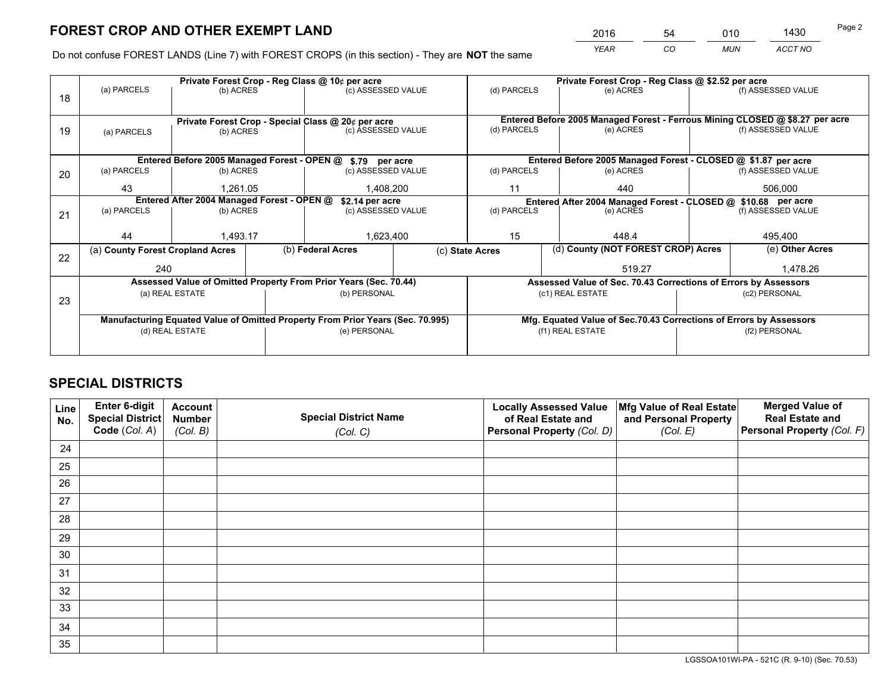*YEAR CO MUN ACCT NO* <sup>2016</sup> <sup>54</sup> <sup>010</sup> <sup>1430</sup>

Do not confuse FOREST LANDS (Line 7) with FOREST CROPS (in this section) - They are **NOT** the same

| Private Forest Crop - Reg Class @ \$2.52 per acre<br>(d) PARCELS<br>(e) ACRES |  |  |  |
|-------------------------------------------------------------------------------|--|--|--|
| (f) ASSESSED VALUE                                                            |  |  |  |
|                                                                               |  |  |  |
| Entered Before 2005 Managed Forest - Ferrous Mining CLOSED @ \$8.27 per acre  |  |  |  |
| (f) ASSESSED VALUE                                                            |  |  |  |
|                                                                               |  |  |  |
| Entered Before 2005 Managed Forest - CLOSED @ \$1.87 per acre                 |  |  |  |
| (f) ASSESSED VALUE                                                            |  |  |  |
|                                                                               |  |  |  |
| Entered After 2004 Managed Forest - CLOSED @ \$10.68 per acre<br>(d) PARCELS  |  |  |  |
| (f) ASSESSED VALUE                                                            |  |  |  |
|                                                                               |  |  |  |
|                                                                               |  |  |  |
| (e) Other Acres                                                               |  |  |  |
| 1,478.26                                                                      |  |  |  |
| Assessed Value of Sec. 70.43 Corrections of Errors by Assessors               |  |  |  |
|                                                                               |  |  |  |
|                                                                               |  |  |  |
| Mfg. Equated Value of Sec.70.43 Corrections of Errors by Assessors            |  |  |  |
|                                                                               |  |  |  |
|                                                                               |  |  |  |
|                                                                               |  |  |  |

## **SPECIAL DISTRICTS**

| Line<br>No. | Enter 6-digit<br>Special District<br>Code (Col. A) | <b>Account</b><br><b>Number</b> | <b>Special District Name</b> | <b>Locally Assessed Value</b><br>of Real Estate and | Mfg Value of Real Estate<br>and Personal Property | <b>Merged Value of</b><br><b>Real Estate and</b><br>Personal Property (Col. F) |
|-------------|----------------------------------------------------|---------------------------------|------------------------------|-----------------------------------------------------|---------------------------------------------------|--------------------------------------------------------------------------------|
|             |                                                    | (Col. B)                        | (Col. C)                     | Personal Property (Col. D)                          | (Col. E)                                          |                                                                                |
| 24          |                                                    |                                 |                              |                                                     |                                                   |                                                                                |
| 25          |                                                    |                                 |                              |                                                     |                                                   |                                                                                |
| 26          |                                                    |                                 |                              |                                                     |                                                   |                                                                                |
| 27          |                                                    |                                 |                              |                                                     |                                                   |                                                                                |
| 28          |                                                    |                                 |                              |                                                     |                                                   |                                                                                |
| 29          |                                                    |                                 |                              |                                                     |                                                   |                                                                                |
| 30          |                                                    |                                 |                              |                                                     |                                                   |                                                                                |
| 31          |                                                    |                                 |                              |                                                     |                                                   |                                                                                |
| 32          |                                                    |                                 |                              |                                                     |                                                   |                                                                                |
| 33          |                                                    |                                 |                              |                                                     |                                                   |                                                                                |
| 34          |                                                    |                                 |                              |                                                     |                                                   |                                                                                |
| 35          |                                                    |                                 |                              |                                                     |                                                   |                                                                                |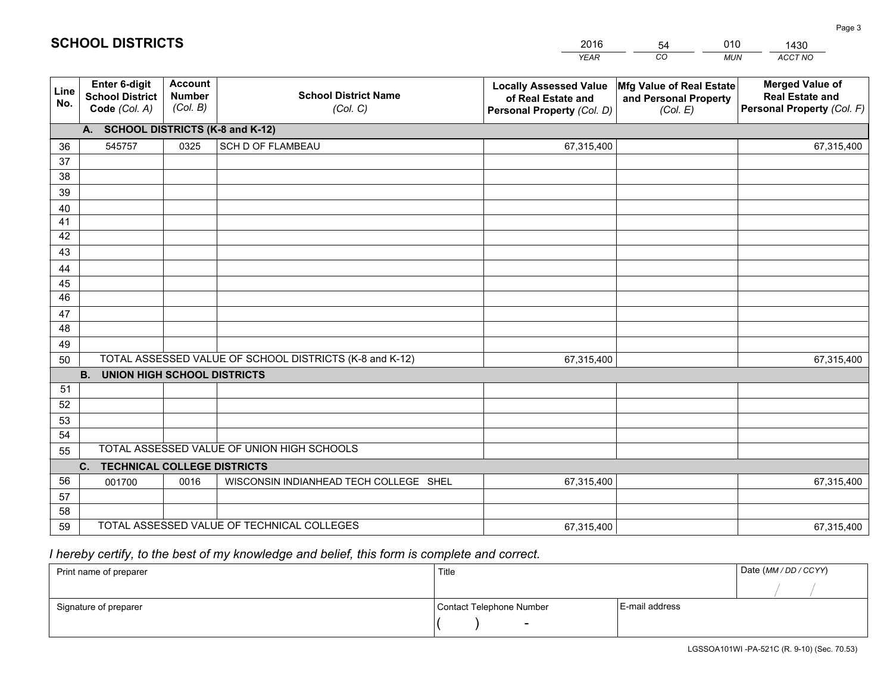|             |                                                          |                                             |                                                         | <b>YEAR</b>                                                                       | CO<br><b>MUN</b>                                              | ACCT NO                                                                        |
|-------------|----------------------------------------------------------|---------------------------------------------|---------------------------------------------------------|-----------------------------------------------------------------------------------|---------------------------------------------------------------|--------------------------------------------------------------------------------|
| Line<br>No. | Enter 6-digit<br><b>School District</b><br>Code (Col. A) | <b>Account</b><br><b>Number</b><br>(Col. B) | <b>School District Name</b><br>(Col. C)                 | <b>Locally Assessed Value</b><br>of Real Estate and<br>Personal Property (Col. D) | Mfg Value of Real Estate<br>and Personal Property<br>(Col. E) | <b>Merged Value of</b><br><b>Real Estate and</b><br>Personal Property (Col. F) |
|             | A. SCHOOL DISTRICTS (K-8 and K-12)                       |                                             |                                                         |                                                                                   |                                                               |                                                                                |
| 36          | 545757                                                   | 0325                                        | SCH D OF FLAMBEAU                                       | 67,315,400                                                                        |                                                               | 67,315,400                                                                     |
| 37          |                                                          |                                             |                                                         |                                                                                   |                                                               |                                                                                |
| 38          |                                                          |                                             |                                                         |                                                                                   |                                                               |                                                                                |
| 39          |                                                          |                                             |                                                         |                                                                                   |                                                               |                                                                                |
| 40          |                                                          |                                             |                                                         |                                                                                   |                                                               |                                                                                |
| 41          |                                                          |                                             |                                                         |                                                                                   |                                                               |                                                                                |
| 42          |                                                          |                                             |                                                         |                                                                                   |                                                               |                                                                                |
| 43          |                                                          |                                             |                                                         |                                                                                   |                                                               |                                                                                |
| 44<br>45    |                                                          |                                             |                                                         |                                                                                   |                                                               |                                                                                |
| 46          |                                                          |                                             |                                                         |                                                                                   |                                                               |                                                                                |
| 47          |                                                          |                                             |                                                         |                                                                                   |                                                               |                                                                                |
| 48          |                                                          |                                             |                                                         |                                                                                   |                                                               |                                                                                |
| 49          |                                                          |                                             |                                                         |                                                                                   |                                                               |                                                                                |
| 50          |                                                          |                                             | TOTAL ASSESSED VALUE OF SCHOOL DISTRICTS (K-8 and K-12) | 67,315,400                                                                        |                                                               | 67,315,400                                                                     |
|             | <b>B.</b><br><b>UNION HIGH SCHOOL DISTRICTS</b>          |                                             |                                                         |                                                                                   |                                                               |                                                                                |
| 51          |                                                          |                                             |                                                         |                                                                                   |                                                               |                                                                                |
| 52          |                                                          |                                             |                                                         |                                                                                   |                                                               |                                                                                |
| 53          |                                                          |                                             |                                                         |                                                                                   |                                                               |                                                                                |
| 54          |                                                          |                                             |                                                         |                                                                                   |                                                               |                                                                                |
| 55          |                                                          |                                             | TOTAL ASSESSED VALUE OF UNION HIGH SCHOOLS              |                                                                                   |                                                               |                                                                                |
|             | C.<br><b>TECHNICAL COLLEGE DISTRICTS</b>                 |                                             |                                                         |                                                                                   |                                                               |                                                                                |
| 56          | 001700                                                   | 0016                                        | WISCONSIN INDIANHEAD TECH COLLEGE SHEL                  | 67,315,400                                                                        |                                                               | 67,315,400                                                                     |
| 57          |                                                          |                                             |                                                         |                                                                                   |                                                               |                                                                                |
| 58          |                                                          |                                             |                                                         |                                                                                   |                                                               |                                                                                |
| 59          |                                                          |                                             | TOTAL ASSESSED VALUE OF TECHNICAL COLLEGES              | 67,315,400                                                                        |                                                               | 67,315,400                                                                     |

54

010

 *I hereby certify, to the best of my knowledge and belief, this form is complete and correct.*

**SCHOOL DISTRICTS**

| Print name of preparer | Title                    |                | Date (MM / DD / CCYY) |
|------------------------|--------------------------|----------------|-----------------------|
|                        |                          |                |                       |
| Signature of preparer  | Contact Telephone Number | E-mail address |                       |
|                        | $\sim$                   |                |                       |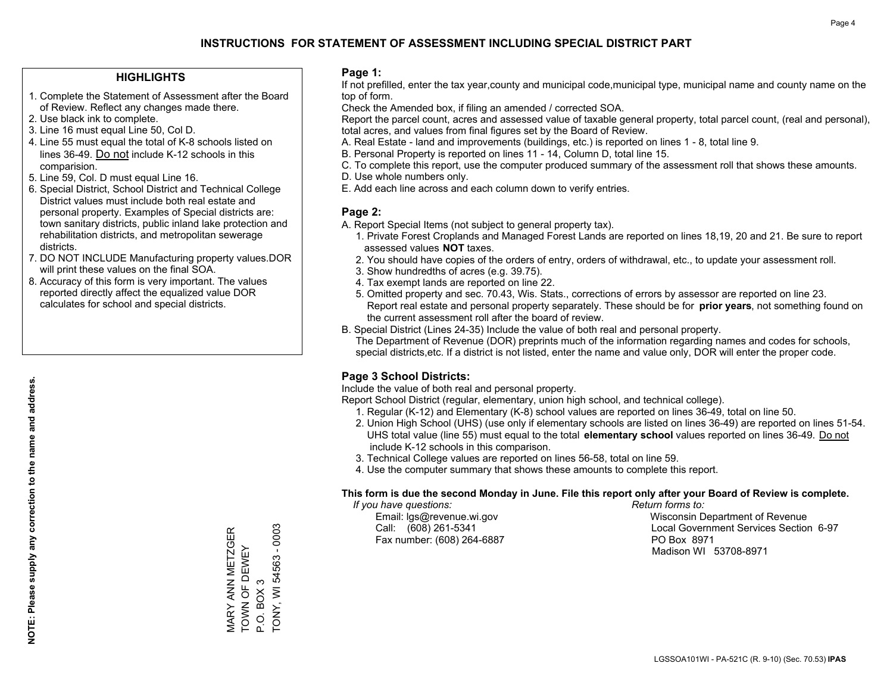#### **HIGHLIGHTS**

- 1. Complete the Statement of Assessment after the Board of Review. Reflect any changes made there.
- 2. Use black ink to complete.
- 3. Line 16 must equal Line 50, Col D.
- 4. Line 55 must equal the total of K-8 schools listed on lines 36-49. Do not include K-12 schools in this comparision.
- 5. Line 59, Col. D must equal Line 16.
- 6. Special District, School District and Technical College District values must include both real estate and personal property. Examples of Special districts are: town sanitary districts, public inland lake protection and rehabilitation districts, and metropolitan sewerage districts.
- 7. DO NOT INCLUDE Manufacturing property values.DOR will print these values on the final SOA.

MARY ANN METZGER TOWN OF DEWEY

**MARY ANN METZGER** TOWN OF DEWEY

P.O. BOX 3

P.O. BOX 3

TONY, WI 54563 - 0003

TONY, WI 54563 - 0003

 8. Accuracy of this form is very important. The values reported directly affect the equalized value DOR calculates for school and special districts.

#### **Page 1:**

 If not prefilled, enter the tax year,county and municipal code,municipal type, municipal name and county name on the top of form.

Check the Amended box, if filing an amended / corrected SOA.

 Report the parcel count, acres and assessed value of taxable general property, total parcel count, (real and personal), total acres, and values from final figures set by the Board of Review.

- A. Real Estate land and improvements (buildings, etc.) is reported on lines 1 8, total line 9.
- B. Personal Property is reported on lines 11 14, Column D, total line 15.
- C. To complete this report, use the computer produced summary of the assessment roll that shows these amounts.
- D. Use whole numbers only.
- E. Add each line across and each column down to verify entries.

#### **Page 2:**

- A. Report Special Items (not subject to general property tax).
- 1. Private Forest Croplands and Managed Forest Lands are reported on lines 18,19, 20 and 21. Be sure to report assessed values **NOT** taxes.
- 2. You should have copies of the orders of entry, orders of withdrawal, etc., to update your assessment roll.
	- 3. Show hundredths of acres (e.g. 39.75).
- 4. Tax exempt lands are reported on line 22.
- 5. Omitted property and sec. 70.43, Wis. Stats., corrections of errors by assessor are reported on line 23. Report real estate and personal property separately. These should be for **prior years**, not something found on the current assessment roll after the board of review.
- B. Special District (Lines 24-35) Include the value of both real and personal property.
- The Department of Revenue (DOR) preprints much of the information regarding names and codes for schools, special districts,etc. If a district is not listed, enter the name and value only, DOR will enter the proper code.

### **Page 3 School Districts:**

Include the value of both real and personal property.

Report School District (regular, elementary, union high school, and technical college).

- 1. Regular (K-12) and Elementary (K-8) school values are reported on lines 36-49, total on line 50.
- 2. Union High School (UHS) (use only if elementary schools are listed on lines 36-49) are reported on lines 51-54. UHS total value (line 55) must equal to the total **elementary school** values reported on lines 36-49. Do notinclude K-12 schools in this comparison.
- 3. Technical College values are reported on lines 56-58, total on line 59.
- 4. Use the computer summary that shows these amounts to complete this report.

#### **This form is due the second Monday in June. File this report only after your Board of Review is complete.**

 *If you have questions: Return forms to:*

Fax number: (608) 264-6887 PO Box 8971

 Email: lgs@revenue.wi.gov Wisconsin Department of Revenue Call: (608) 261-5341 Local Government Services Section 6-97Madison WI 53708-8971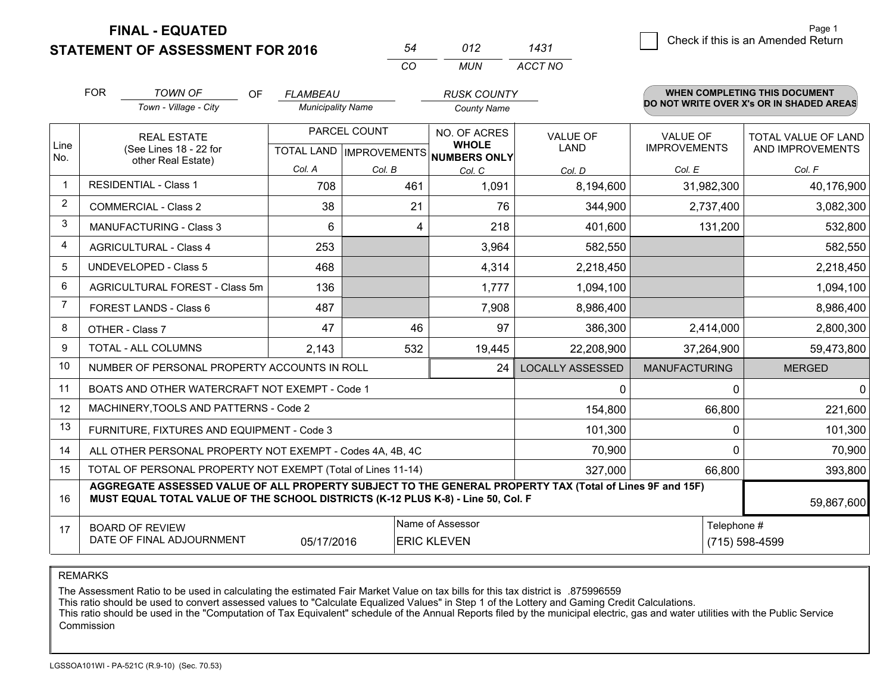**STATEMENT OF ASSESSMENT FOR 2016** 

|          | N12  | 1431    |
|----------|------|---------|
| $\alpha$ | MUN. | ACCT NO |

|                | <b>FOR</b>                                                                                                                                                                                   | <b>TOWN OF</b><br><b>OF</b><br>Town - Village - City      | <b>FLAMBEAU</b><br><b>Municipality Name</b> |        | <b>RUSK COUNTY</b><br><b>County Name</b>                                   |                         |                              | <b>WHEN COMPLETING THIS DOCUMENT</b><br>DO NOT WRITE OVER X's OR IN SHADED AREAS |                                        |                                         |
|----------------|----------------------------------------------------------------------------------------------------------------------------------------------------------------------------------------------|-----------------------------------------------------------|---------------------------------------------|--------|----------------------------------------------------------------------------|-------------------------|------------------------------|----------------------------------------------------------------------------------|----------------------------------------|-----------------------------------------|
| Line<br>No.    | <b>REAL ESTATE</b><br>(See Lines 18 - 22 for                                                                                                                                                 |                                                           |                                             |        | PARCEL COUNT<br>TOTAL LAND IMPROVEMENTS NUMBERS ONLY<br>other Real Estate) |                         | NO. OF ACRES<br><b>WHOLE</b> | <b>VALUE OF</b><br><b>LAND</b>                                                   | <b>VALUE OF</b><br><b>IMPROVEMENTS</b> | TOTAL VALUE OF LAND<br>AND IMPROVEMENTS |
|                |                                                                                                                                                                                              |                                                           | Col. A                                      | Col. B | Col. C                                                                     | Col. D                  | Col. E                       | Col. F                                                                           |                                        |                                         |
| $\mathbf 1$    |                                                                                                                                                                                              | <b>RESIDENTIAL - Class 1</b>                              | 708                                         | 461    | 1,091                                                                      | 8,194,600               | 31,982,300                   | 40,176,900                                                                       |                                        |                                         |
| $\overline{2}$ |                                                                                                                                                                                              | <b>COMMERCIAL - Class 2</b>                               | 38                                          | 21     | 76                                                                         | 344,900                 | 2,737,400                    | 3,082,300                                                                        |                                        |                                         |
| 3              |                                                                                                                                                                                              | MANUFACTURING - Class 3                                   | 6                                           | 4      | 218                                                                        | 401,600                 | 131,200                      | 532,800                                                                          |                                        |                                         |
| 4              |                                                                                                                                                                                              | <b>AGRICULTURAL - Class 4</b>                             | 253                                         |        | 3,964                                                                      | 582,550                 |                              | 582,550                                                                          |                                        |                                         |
| 5              |                                                                                                                                                                                              | <b>UNDEVELOPED - Class 5</b>                              | 468                                         |        | 4,314                                                                      | 2,218,450               |                              | 2,218,450                                                                        |                                        |                                         |
| 6              |                                                                                                                                                                                              | AGRICULTURAL FOREST - Class 5m                            | 136                                         |        | 1,777                                                                      | 1,094,100               |                              | 1,094,100                                                                        |                                        |                                         |
| 7              |                                                                                                                                                                                              | FOREST LANDS - Class 6                                    | 487                                         |        | 7,908                                                                      | 8,986,400               |                              | 8,986,400                                                                        |                                        |                                         |
| 8              |                                                                                                                                                                                              | OTHER - Class 7                                           | 47                                          | 46     | 97                                                                         | 386,300                 | 2,414,000                    | 2,800,300                                                                        |                                        |                                         |
| 9              |                                                                                                                                                                                              | TOTAL - ALL COLUMNS                                       | 2,143                                       | 532    | 19,445                                                                     | 22,208,900              | 37,264,900                   | 59,473,800                                                                       |                                        |                                         |
| 10             |                                                                                                                                                                                              | NUMBER OF PERSONAL PROPERTY ACCOUNTS IN ROLL              |                                             |        | 24                                                                         | <b>LOCALLY ASSESSED</b> | <b>MANUFACTURING</b>         | <b>MERGED</b>                                                                    |                                        |                                         |
| 11             |                                                                                                                                                                                              | BOATS AND OTHER WATERCRAFT NOT EXEMPT - Code 1            |                                             |        |                                                                            | 0                       | $\Omega$                     | $\mathbf{0}$                                                                     |                                        |                                         |
| 12             |                                                                                                                                                                                              | MACHINERY, TOOLS AND PATTERNS - Code 2                    |                                             |        |                                                                            | 154,800                 | 66,800                       | 221,600                                                                          |                                        |                                         |
| 13             |                                                                                                                                                                                              | FURNITURE, FIXTURES AND EQUIPMENT - Code 3                |                                             |        |                                                                            | 101,300                 | $\mathbf 0$                  | 101,300                                                                          |                                        |                                         |
| 14             |                                                                                                                                                                                              | ALL OTHER PERSONAL PROPERTY NOT EXEMPT - Codes 4A, 4B, 4C |                                             | 70,900 | $\Omega$                                                                   | 70,900                  |                              |                                                                                  |                                        |                                         |
| 15             | TOTAL OF PERSONAL PROPERTY NOT EXEMPT (Total of Lines 11-14)<br>327,000<br>66,800                                                                                                            |                                                           |                                             |        |                                                                            |                         |                              | 393,800                                                                          |                                        |                                         |
| 16             | AGGREGATE ASSESSED VALUE OF ALL PROPERTY SUBJECT TO THE GENERAL PROPERTY TAX (Total of Lines 9F and 15F)<br>MUST EQUAL TOTAL VALUE OF THE SCHOOL DISTRICTS (K-12 PLUS K-8) - Line 50, Col. F |                                                           |                                             |        |                                                                            |                         |                              | 59,867,600                                                                       |                                        |                                         |
| 17             | Name of Assessor<br>Telephone #<br><b>BOARD OF REVIEW</b><br>DATE OF FINAL ADJOURNMENT<br>05/17/2016<br><b>ERIC KLEVEN</b>                                                                   |                                                           |                                             |        |                                                                            |                         | (715) 598-4599               |                                                                                  |                                        |                                         |

REMARKS

The Assessment Ratio to be used in calculating the estimated Fair Market Value on tax bills for this tax district is .875996559<br>This ratio should be used to convert assessed values to "Calculate Equalized Values" in Step 1 Commission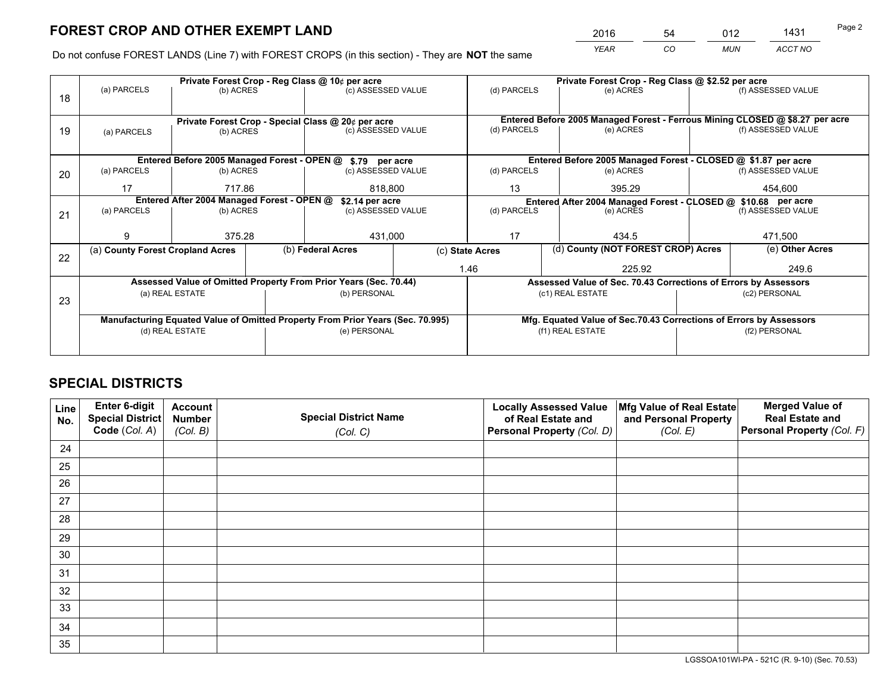*YEAR CO MUN ACCT NO* <sup>2016</sup> <sup>54</sup> <sup>012</sup> <sup>1431</sup>

Do not confuse FOREST LANDS (Line 7) with FOREST CROPS (in this section) - They are **NOT** the same

|    |                                                                                |                                                                                       |  | Private Forest Crop - Reg Class @ 10¢ per acre                   |                                                               | Private Forest Crop - Reg Class @ \$2.52 per acre |                                                                              |                    |                    |  |
|----|--------------------------------------------------------------------------------|---------------------------------------------------------------------------------------|--|------------------------------------------------------------------|---------------------------------------------------------------|---------------------------------------------------|------------------------------------------------------------------------------|--------------------|--------------------|--|
| 18 | (a) PARCELS                                                                    | (b) ACRES                                                                             |  | (c) ASSESSED VALUE                                               |                                                               | (d) PARCELS                                       | (e) ACRES                                                                    |                    | (f) ASSESSED VALUE |  |
|    |                                                                                |                                                                                       |  |                                                                  |                                                               |                                                   | Entered Before 2005 Managed Forest - Ferrous Mining CLOSED @ \$8.27 per acre |                    |                    |  |
| 19 | (a) PARCELS                                                                    | Private Forest Crop - Special Class @ 20¢ per acre<br>(c) ASSESSED VALUE<br>(b) ACRES |  |                                                                  | (d) PARCELS                                                   | (e) ACRES                                         |                                                                              | (f) ASSESSED VALUE |                    |  |
|    |                                                                                |                                                                                       |  |                                                                  |                                                               |                                                   |                                                                              |                    |                    |  |
|    |                                                                                |                                                                                       |  | Entered Before 2005 Managed Forest - OPEN @ \$.79 per acre       |                                                               |                                                   | Entered Before 2005 Managed Forest - CLOSED @ \$1.87 per acre                |                    |                    |  |
| 20 | (a) PARCELS                                                                    | (b) ACRES                                                                             |  | (c) ASSESSED VALUE                                               |                                                               | (d) PARCELS                                       | (e) ACRES                                                                    |                    | (f) ASSESSED VALUE |  |
|    | 17                                                                             | 717.86                                                                                |  | 818,800                                                          |                                                               | 395.29<br>13                                      |                                                                              |                    | 454,600            |  |
|    | Entered After 2004 Managed Forest - OPEN @<br>\$2.14 per acre                  |                                                                                       |  |                                                                  | Entered After 2004 Managed Forest - CLOSED @ \$10.68 per acre |                                                   |                                                                              |                    |                    |  |
| 21 | (a) PARCELS                                                                    | (b) ACRES                                                                             |  | (c) ASSESSED VALUE                                               |                                                               | (d) PARCELS<br>(e) ACRES                          |                                                                              |                    | (f) ASSESSED VALUE |  |
|    |                                                                                |                                                                                       |  |                                                                  |                                                               |                                                   |                                                                              |                    |                    |  |
|    | 9                                                                              | 375.28                                                                                |  | 431,000                                                          |                                                               | 17                                                | 434.5                                                                        |                    | 471.500            |  |
| 22 | (a) County Forest Cropland Acres                                               |                                                                                       |  | (b) Federal Acres                                                | (c) State Acres                                               |                                                   | (d) County (NOT FOREST CROP) Acres                                           |                    | (e) Other Acres    |  |
|    |                                                                                |                                                                                       |  |                                                                  |                                                               | 1.46                                              | 225.92                                                                       |                    | 249.6              |  |
|    |                                                                                |                                                                                       |  | Assessed Value of Omitted Property From Prior Years (Sec. 70.44) |                                                               |                                                   | Assessed Value of Sec. 70.43 Corrections of Errors by Assessors              |                    |                    |  |
|    |                                                                                | (a) REAL ESTATE                                                                       |  | (b) PERSONAL                                                     | (c1) REAL ESTATE                                              |                                                   |                                                                              | (c2) PERSONAL      |                    |  |
| 23 |                                                                                |                                                                                       |  |                                                                  |                                                               |                                                   |                                                                              |                    |                    |  |
|    | Manufacturing Equated Value of Omitted Property From Prior Years (Sec. 70.995) |                                                                                       |  |                                                                  |                                                               |                                                   | Mfg. Equated Value of Sec.70.43 Corrections of Errors by Assessors           |                    |                    |  |
|    | (d) REAL ESTATE                                                                |                                                                                       |  | (e) PERSONAL                                                     |                                                               | (f1) REAL ESTATE                                  |                                                                              | (f2) PERSONAL      |                    |  |
|    |                                                                                |                                                                                       |  |                                                                  |                                                               |                                                   |                                                                              |                    |                    |  |
|    |                                                                                |                                                                                       |  |                                                                  |                                                               |                                                   |                                                                              |                    |                    |  |

## **SPECIAL DISTRICTS**

| Line<br>No. | Enter 6-digit<br><b>Special District</b> | <b>Account</b><br><b>Number</b> | <b>Special District Name</b> | <b>Locally Assessed Value</b><br>of Real Estate and | Mfg Value of Real Estate<br>and Personal Property | <b>Merged Value of</b><br><b>Real Estate and</b> |
|-------------|------------------------------------------|---------------------------------|------------------------------|-----------------------------------------------------|---------------------------------------------------|--------------------------------------------------|
|             | Code (Col. A)                            | (Col. B)                        | (Col. C)                     | Personal Property (Col. D)                          | (Col. E)                                          | Personal Property (Col. F)                       |
| 24          |                                          |                                 |                              |                                                     |                                                   |                                                  |
| 25          |                                          |                                 |                              |                                                     |                                                   |                                                  |
| 26          |                                          |                                 |                              |                                                     |                                                   |                                                  |
| 27          |                                          |                                 |                              |                                                     |                                                   |                                                  |
| 28          |                                          |                                 |                              |                                                     |                                                   |                                                  |
| 29          |                                          |                                 |                              |                                                     |                                                   |                                                  |
| 30          |                                          |                                 |                              |                                                     |                                                   |                                                  |
| 31          |                                          |                                 |                              |                                                     |                                                   |                                                  |
| 32          |                                          |                                 |                              |                                                     |                                                   |                                                  |
| 33          |                                          |                                 |                              |                                                     |                                                   |                                                  |
| 34          |                                          |                                 |                              |                                                     |                                                   |                                                  |
| 35          |                                          |                                 |                              |                                                     |                                                   |                                                  |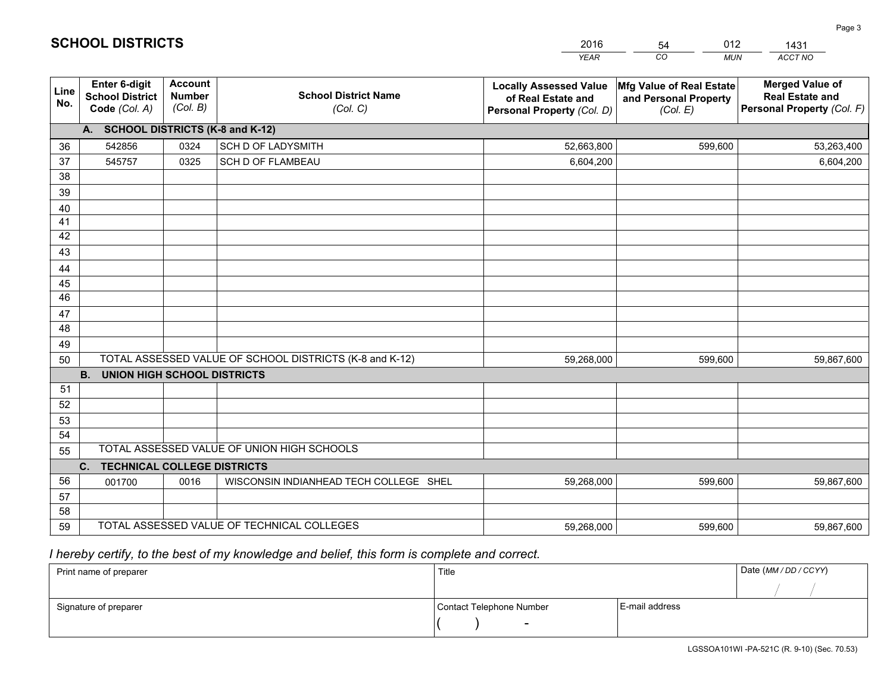|                       |                                                                 |                                             |                                                         | <b>YEAR</b>                                                                       | CO<br><b>MUN</b>                                              | ACCT NO                                                                        |
|-----------------------|-----------------------------------------------------------------|---------------------------------------------|---------------------------------------------------------|-----------------------------------------------------------------------------------|---------------------------------------------------------------|--------------------------------------------------------------------------------|
| Line<br>No.           | <b>Enter 6-digit</b><br><b>School District</b><br>Code (Col. A) | <b>Account</b><br><b>Number</b><br>(Col. B) | <b>School District Name</b><br>(Col. C)                 | <b>Locally Assessed Value</b><br>of Real Estate and<br>Personal Property (Col. D) | Mfg Value of Real Estate<br>and Personal Property<br>(Col. E) | <b>Merged Value of</b><br><b>Real Estate and</b><br>Personal Property (Col. F) |
|                       | A. SCHOOL DISTRICTS (K-8 and K-12)                              |                                             |                                                         |                                                                                   |                                                               |                                                                                |
| 36                    | 542856                                                          | 0324                                        | <b>SCH D OF LADYSMITH</b>                               | 52,663,800                                                                        | 599,600                                                       | 53,263,400                                                                     |
| 37                    | 545757                                                          | 0325                                        | SCH D OF FLAMBEAU                                       | 6,604,200                                                                         |                                                               | 6,604,200                                                                      |
| 38                    |                                                                 |                                             |                                                         |                                                                                   |                                                               |                                                                                |
| 39                    |                                                                 |                                             |                                                         |                                                                                   |                                                               |                                                                                |
| 40                    |                                                                 |                                             |                                                         |                                                                                   |                                                               |                                                                                |
| 41                    |                                                                 |                                             |                                                         |                                                                                   |                                                               |                                                                                |
| 42                    |                                                                 |                                             |                                                         |                                                                                   |                                                               |                                                                                |
| 43                    |                                                                 |                                             |                                                         |                                                                                   |                                                               |                                                                                |
| 44                    |                                                                 |                                             |                                                         |                                                                                   |                                                               |                                                                                |
| 45<br>$\overline{46}$ |                                                                 |                                             |                                                         |                                                                                   |                                                               |                                                                                |
| 47                    |                                                                 |                                             |                                                         |                                                                                   |                                                               |                                                                                |
| 48                    |                                                                 |                                             |                                                         |                                                                                   |                                                               |                                                                                |
| 49                    |                                                                 |                                             |                                                         |                                                                                   |                                                               |                                                                                |
| 50                    |                                                                 |                                             | TOTAL ASSESSED VALUE OF SCHOOL DISTRICTS (K-8 and K-12) | 59,268,000                                                                        | 599,600                                                       | 59,867,600                                                                     |
|                       | <b>B.</b><br><b>UNION HIGH SCHOOL DISTRICTS</b>                 |                                             |                                                         |                                                                                   |                                                               |                                                                                |
| 51                    |                                                                 |                                             |                                                         |                                                                                   |                                                               |                                                                                |
| 52                    |                                                                 |                                             |                                                         |                                                                                   |                                                               |                                                                                |
| 53                    |                                                                 |                                             |                                                         |                                                                                   |                                                               |                                                                                |
| 54                    |                                                                 |                                             |                                                         |                                                                                   |                                                               |                                                                                |
| 55                    |                                                                 |                                             | TOTAL ASSESSED VALUE OF UNION HIGH SCHOOLS              |                                                                                   |                                                               |                                                                                |
|                       | C.<br><b>TECHNICAL COLLEGE DISTRICTS</b>                        |                                             |                                                         |                                                                                   |                                                               |                                                                                |
| 56                    | 001700                                                          | 0016                                        | WISCONSIN INDIANHEAD TECH COLLEGE SHEL                  | 59,268,000                                                                        | 599,600                                                       | 59,867,600                                                                     |
| 57                    |                                                                 |                                             |                                                         |                                                                                   |                                                               |                                                                                |
| 58                    |                                                                 |                                             |                                                         |                                                                                   |                                                               |                                                                                |
| 59                    |                                                                 |                                             | TOTAL ASSESSED VALUE OF TECHNICAL COLLEGES              | 59,268,000                                                                        | 599,600                                                       | 59,867,600                                                                     |

54

012

 *I hereby certify, to the best of my knowledge and belief, this form is complete and correct.*

**SCHOOL DISTRICTS**

| Print name of preparer | Title                    |                | Date (MM/DD/CCYY) |
|------------------------|--------------------------|----------------|-------------------|
|                        |                          |                |                   |
| Signature of preparer  | Contact Telephone Number | E-mail address |                   |
|                        | $\overline{\phantom{0}}$ |                |                   |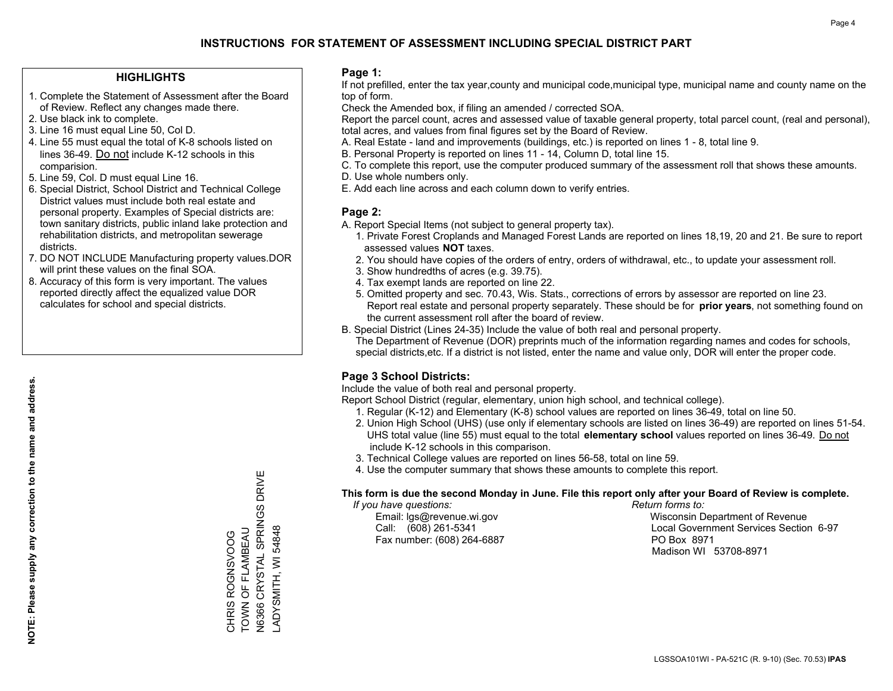#### **HIGHLIGHTS**

- 1. Complete the Statement of Assessment after the Board of Review. Reflect any changes made there.
- 2. Use black ink to complete.
- 3. Line 16 must equal Line 50, Col D.
- 4. Line 55 must equal the total of K-8 schools listed on lines 36-49. Do not include K-12 schools in this comparision.
- 5. Line 59, Col. D must equal Line 16.
- 6. Special District, School District and Technical College District values must include both real estate and personal property. Examples of Special districts are: town sanitary districts, public inland lake protection and rehabilitation districts, and metropolitan sewerage districts.
- 7. DO NOT INCLUDE Manufacturing property values.DOR will print these values on the final SOA.
- 8. Accuracy of this form is very important. The values reported directly affect the equalized value DOR calculates for school and special districts.

#### **Page 1:**

 If not prefilled, enter the tax year,county and municipal code,municipal type, municipal name and county name on the top of form.

Check the Amended box, if filing an amended / corrected SOA.

 Report the parcel count, acres and assessed value of taxable general property, total parcel count, (real and personal), total acres, and values from final figures set by the Board of Review.

- A. Real Estate land and improvements (buildings, etc.) is reported on lines 1 8, total line 9.
- B. Personal Property is reported on lines 11 14, Column D, total line 15.
- C. To complete this report, use the computer produced summary of the assessment roll that shows these amounts.
- D. Use whole numbers only.
- E. Add each line across and each column down to verify entries.

#### **Page 2:**

- A. Report Special Items (not subject to general property tax).
- 1. Private Forest Croplands and Managed Forest Lands are reported on lines 18,19, 20 and 21. Be sure to report assessed values **NOT** taxes.
- 2. You should have copies of the orders of entry, orders of withdrawal, etc., to update your assessment roll.
	- 3. Show hundredths of acres (e.g. 39.75).
- 4. Tax exempt lands are reported on line 22.
- 5. Omitted property and sec. 70.43, Wis. Stats., corrections of errors by assessor are reported on line 23. Report real estate and personal property separately. These should be for **prior years**, not something found on the current assessment roll after the board of review.
- B. Special District (Lines 24-35) Include the value of both real and personal property.
- The Department of Revenue (DOR) preprints much of the information regarding names and codes for schools, special districts,etc. If a district is not listed, enter the name and value only, DOR will enter the proper code.

### **Page 3 School Districts:**

Include the value of both real and personal property.

Report School District (regular, elementary, union high school, and technical college).

- 1. Regular (K-12) and Elementary (K-8) school values are reported on lines 36-49, total on line 50.
- 2. Union High School (UHS) (use only if elementary schools are listed on lines 36-49) are reported on lines 51-54. UHS total value (line 55) must equal to the total **elementary school** values reported on lines 36-49. Do notinclude K-12 schools in this comparison.
- 3. Technical College values are reported on lines 56-58, total on line 59.
- 4. Use the computer summary that shows these amounts to complete this report.

#### **This form is due the second Monday in June. File this report only after your Board of Review is complete.**

 *If you have questions: Return forms to:*

Fax number: (608) 264-6887 PO Box 8971

 Email: lgs@revenue.wi.gov Wisconsin Department of Revenue Call: (608) 261-5341 Local Government Services Section 6-97Madison WI 53708-8971

N6366 CRYSTAL SPRINGS DRIVE N6366 CRYSTAL SPRINGS DRIVE TOWN OF FLAMBEAU ADYSMITH, WI 54848 CHRIS ROGNSVOOG<br>TOWN OF FLAMBEAU LADYSMITH, WI 54848 CHRIS ROGNSVOOG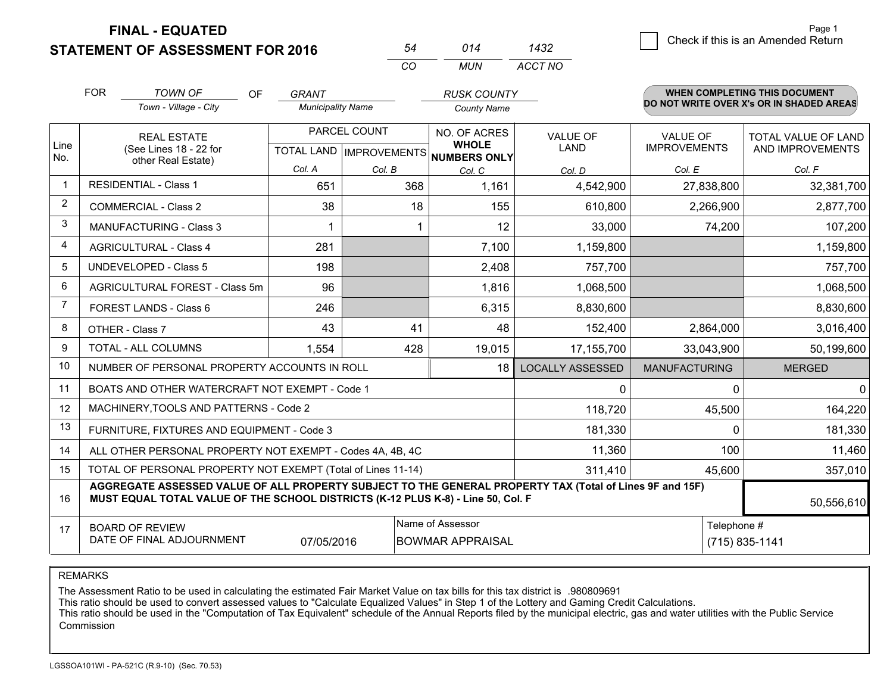**STATEMENT OF ASSESSMENT FOR 2016** 

| 54 | 014 | 1432    |
|----|-----|---------|
| CO | MUN | ACCT NO |

|                                                                                                                                                                                                    | Town - Village - City | <b>Municipality Name</b>                                                                                                                                                                                                                                                                              |                                                                                                             | <b>County Name</b>                                                                                                                                                          |                                                                                                                                 |                                                     |                                                  |
|----------------------------------------------------------------------------------------------------------------------------------------------------------------------------------------------------|-----------------------|-------------------------------------------------------------------------------------------------------------------------------------------------------------------------------------------------------------------------------------------------------------------------------------------------------|-------------------------------------------------------------------------------------------------------------|-----------------------------------------------------------------------------------------------------------------------------------------------------------------------------|---------------------------------------------------------------------------------------------------------------------------------|-----------------------------------------------------|--------------------------------------------------|
|                                                                                                                                                                                                    |                       |                                                                                                                                                                                                                                                                                                       |                                                                                                             |                                                                                                                                                                             |                                                                                                                                 |                                                     | DO NOT WRITE OVER X's OR IN SHADED AREAS         |
|                                                                                                                                                                                                    | <b>REAL ESTATE</b>    | PARCEL COUNT                                                                                                                                                                                                                                                                                          |                                                                                                             | NO. OF ACRES<br><b>WHOLE</b>                                                                                                                                                | <b>VALUE OF</b><br><b>LAND</b>                                                                                                  | <b>VALUE OF</b><br><b>IMPROVEMENTS</b>              | TOTAL VALUE OF LAND<br>AND IMPROVEMENTS          |
|                                                                                                                                                                                                    | other Real Estate)    |                                                                                                                                                                                                                                                                                                       |                                                                                                             |                                                                                                                                                                             |                                                                                                                                 |                                                     |                                                  |
|                                                                                                                                                                                                    |                       |                                                                                                                                                                                                                                                                                                       |                                                                                                             |                                                                                                                                                                             |                                                                                                                                 |                                                     | Col. F<br>32,381,700                             |
|                                                                                                                                                                                                    |                       |                                                                                                                                                                                                                                                                                                       |                                                                                                             |                                                                                                                                                                             |                                                                                                                                 |                                                     |                                                  |
|                                                                                                                                                                                                    |                       |                                                                                                                                                                                                                                                                                                       |                                                                                                             |                                                                                                                                                                             |                                                                                                                                 |                                                     | 2,877,700                                        |
|                                                                                                                                                                                                    |                       | 1                                                                                                                                                                                                                                                                                                     |                                                                                                             |                                                                                                                                                                             |                                                                                                                                 | 74,200                                              | 107,200                                          |
|                                                                                                                                                                                                    |                       | 281                                                                                                                                                                                                                                                                                                   |                                                                                                             | 7,100                                                                                                                                                                       | 1,159,800                                                                                                                       |                                                     | 1,159,800                                        |
|                                                                                                                                                                                                    |                       | 198                                                                                                                                                                                                                                                                                                   |                                                                                                             | 2,408                                                                                                                                                                       | 757,700                                                                                                                         |                                                     | 757,700                                          |
|                                                                                                                                                                                                    |                       | 96                                                                                                                                                                                                                                                                                                    |                                                                                                             | 1,816                                                                                                                                                                       | 1,068,500                                                                                                                       |                                                     | 1,068,500                                        |
|                                                                                                                                                                                                    |                       | 246                                                                                                                                                                                                                                                                                                   |                                                                                                             | 6,315                                                                                                                                                                       | 8,830,600                                                                                                                       |                                                     | 8,830,600                                        |
|                                                                                                                                                                                                    |                       | 43                                                                                                                                                                                                                                                                                                    |                                                                                                             | 48                                                                                                                                                                          | 152,400                                                                                                                         | 2,864,000                                           | 3,016,400                                        |
|                                                                                                                                                                                                    |                       | 1,554                                                                                                                                                                                                                                                                                                 |                                                                                                             | 19,015                                                                                                                                                                      | 17,155,700                                                                                                                      | 33,043,900                                          | 50,199,600                                       |
|                                                                                                                                                                                                    |                       |                                                                                                                                                                                                                                                                                                       |                                                                                                             | 18                                                                                                                                                                          | <b>LOCALLY ASSESSED</b>                                                                                                         | <b>MANUFACTURING</b>                                | <b>MERGED</b>                                    |
|                                                                                                                                                                                                    |                       |                                                                                                                                                                                                                                                                                                       |                                                                                                             |                                                                                                                                                                             | 0                                                                                                                               | <sup>0</sup>                                        | $\Omega$                                         |
|                                                                                                                                                                                                    |                       |                                                                                                                                                                                                                                                                                                       |                                                                                                             |                                                                                                                                                                             | 118,720                                                                                                                         | 45,500                                              | 164,220                                          |
|                                                                                                                                                                                                    |                       |                                                                                                                                                                                                                                                                                                       |                                                                                                             |                                                                                                                                                                             | 181,330                                                                                                                         | $\Omega$                                            | 181,330                                          |
|                                                                                                                                                                                                    |                       |                                                                                                                                                                                                                                                                                                       |                                                                                                             | 11,360                                                                                                                                                                      | 100                                                                                                                             | 11,460                                              |                                                  |
| 15<br>TOTAL OF PERSONAL PROPERTY NOT EXEMPT (Total of Lines 11-14)                                                                                                                                 |                       |                                                                                                                                                                                                                                                                                                       |                                                                                                             |                                                                                                                                                                             |                                                                                                                                 | 45,600                                              | 357,010                                          |
| AGGREGATE ASSESSED VALUE OF ALL PROPERTY SUBJECT TO THE GENERAL PROPERTY TAX (Total of Lines 9F and 15F)<br>MUST EQUAL TOTAL VALUE OF THE SCHOOL DISTRICTS (K-12 PLUS K-8) - Line 50, Col. F<br>16 |                       |                                                                                                                                                                                                                                                                                                       |                                                                                                             |                                                                                                                                                                             |                                                                                                                                 |                                                     | 50,556,610                                       |
| Name of Assessor<br><b>BOARD OF REVIEW</b><br>17<br>DATE OF FINAL ADJOURNMENT<br>07/05/2016                                                                                                        |                       |                                                                                                                                                                                                                                                                                                       |                                                                                                             |                                                                                                                                                                             |                                                                                                                                 |                                                     | (715) 835-1141                                   |
|                                                                                                                                                                                                    |                       | (See Lines 18 - 22 for<br><b>RESIDENTIAL - Class 1</b><br><b>COMMERCIAL - Class 2</b><br><b>MANUFACTURING - Class 3</b><br><b>AGRICULTURAL - Class 4</b><br><b>UNDEVELOPED - Class 5</b><br>AGRICULTURAL FOREST - Class 5m<br><b>FOREST LANDS - Class 6</b><br>OTHER - Class 7<br>TOTAL - ALL COLUMNS | Col. A<br>651<br>38<br>MACHINERY, TOOLS AND PATTERNS - Code 2<br>FURNITURE, FIXTURES AND EQUIPMENT - Code 3 | Col. B<br>41<br>NUMBER OF PERSONAL PROPERTY ACCOUNTS IN ROLL<br>BOATS AND OTHER WATERCRAFT NOT EXEMPT - Code 1<br>ALL OTHER PERSONAL PROPERTY NOT EXEMPT - Codes 4A, 4B, 4C | TOTAL LAND   IMPROVEMENTS<br><b>NUMBERS ONLY</b><br>Col. C<br>368<br>1,161<br>18<br>155<br>12<br>428<br><b>BOWMAR APPRAISAL</b> | Col. D<br>4,542,900<br>610,800<br>33,000<br>311,410 | Col. E<br>27,838,800<br>2,266,900<br>Telephone # |

REMARKS

The Assessment Ratio to be used in calculating the estimated Fair Market Value on tax bills for this tax district is .980809691<br>This ratio should be used to convert assessed values to "Calculate Equalized Values" in Step 1 Commission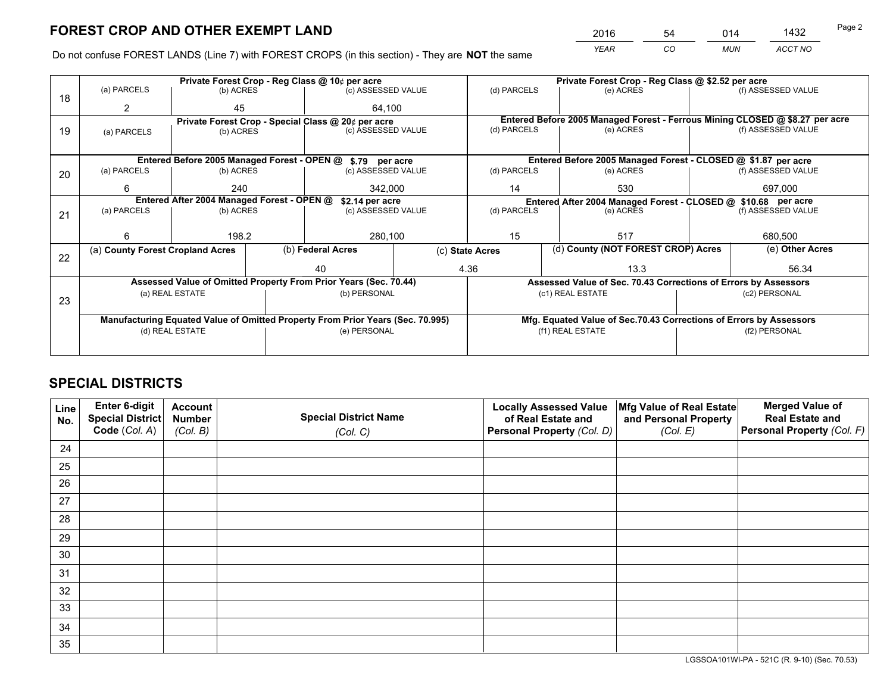*YEAR CO MUN ACCT NO* <sup>2016</sup> <sup>54</sup> <sup>014</sup> <sup>1432</sup>

Do not confuse FOREST LANDS (Line 7) with FOREST CROPS (in this section) - They are **NOT** the same

|    |                                                                                |                                  |  | Private Forest Crop - Reg Class @ 10¢ per acre                   |               | Private Forest Crop - Reg Class @ \$2.52 per acre |                                                                              |  |                    |  |
|----|--------------------------------------------------------------------------------|----------------------------------|--|------------------------------------------------------------------|---------------|---------------------------------------------------|------------------------------------------------------------------------------|--|--------------------|--|
| 18 | (a) PARCELS                                                                    | (b) ACRES                        |  | (c) ASSESSED VALUE                                               |               | (d) PARCELS                                       | (e) ACRES                                                                    |  | (f) ASSESSED VALUE |  |
|    | 2                                                                              | 45                               |  | 64.100                                                           |               |                                                   |                                                                              |  |                    |  |
|    |                                                                                |                                  |  | Private Forest Crop - Special Class @ 20¢ per acre               |               |                                                   | Entered Before 2005 Managed Forest - Ferrous Mining CLOSED @ \$8.27 per acre |  |                    |  |
| 19 | (a) PARCELS                                                                    | (b) ACRES                        |  | (c) ASSESSED VALUE                                               |               | (d) PARCELS                                       | (e) ACRES                                                                    |  | (f) ASSESSED VALUE |  |
|    |                                                                                |                                  |  |                                                                  |               |                                                   |                                                                              |  |                    |  |
|    |                                                                                |                                  |  | Entered Before 2005 Managed Forest - OPEN @ \$.79 per acre       |               |                                                   | Entered Before 2005 Managed Forest - CLOSED @ \$1.87 per acre                |  |                    |  |
| 20 | (a) PARCELS                                                                    | (b) ACRES                        |  | (c) ASSESSED VALUE                                               |               | (d) PARCELS                                       | (e) ACRES                                                                    |  | (f) ASSESSED VALUE |  |
|    | 6                                                                              | 240                              |  | 342,000                                                          |               | 14<br>530                                         |                                                                              |  | 697,000            |  |
|    | Entered After 2004 Managed Forest - OPEN @<br>\$2.14 per acre                  |                                  |  |                                                                  |               |                                                   | Entered After 2004 Managed Forest - CLOSED @ \$10.68 per acre                |  |                    |  |
| 21 | (a) PARCELS                                                                    | (b) ACRES                        |  | (c) ASSESSED VALUE                                               |               | (d) PARCELS                                       | (e) ACRES                                                                    |  |                    |  |
|    |                                                                                |                                  |  |                                                                  |               |                                                   |                                                                              |  |                    |  |
|    | 6                                                                              | 198.2                            |  |                                                                  | 280,100<br>15 |                                                   | 517                                                                          |  |                    |  |
|    |                                                                                | (a) County Forest Cropland Acres |  | (b) Federal Acres                                                |               | (c) State Acres                                   | (d) County (NOT FOREST CROP) Acres                                           |  | (e) Other Acres    |  |
| 22 |                                                                                |                                  |  | 40                                                               |               | 4.36                                              | 13.3                                                                         |  | 56.34              |  |
|    |                                                                                |                                  |  | Assessed Value of Omitted Property From Prior Years (Sec. 70.44) |               |                                                   | Assessed Value of Sec. 70.43 Corrections of Errors by Assessors              |  |                    |  |
|    |                                                                                | (a) REAL ESTATE                  |  | (b) PERSONAL                                                     |               |                                                   | (c1) REAL ESTATE                                                             |  | (c2) PERSONAL      |  |
| 23 |                                                                                |                                  |  |                                                                  |               |                                                   |                                                                              |  |                    |  |
|    | Manufacturing Equated Value of Omitted Property From Prior Years (Sec. 70.995) |                                  |  |                                                                  |               |                                                   | Mfg. Equated Value of Sec.70.43 Corrections of Errors by Assessors           |  |                    |  |
|    | (d) REAL ESTATE                                                                |                                  |  | (e) PERSONAL                                                     |               | (f1) REAL ESTATE                                  |                                                                              |  | (f2) PERSONAL      |  |
|    |                                                                                |                                  |  |                                                                  |               |                                                   |                                                                              |  |                    |  |
|    |                                                                                |                                  |  |                                                                  |               |                                                   |                                                                              |  |                    |  |

## **SPECIAL DISTRICTS**

| Line<br>No. | Enter 6-digit<br><b>Special District</b> | <b>Account</b><br><b>Number</b> | <b>Special District Name</b> | <b>Locally Assessed Value</b><br>of Real Estate and | Mfg Value of Real Estate<br>and Personal Property | <b>Merged Value of</b><br><b>Real Estate and</b> |
|-------------|------------------------------------------|---------------------------------|------------------------------|-----------------------------------------------------|---------------------------------------------------|--------------------------------------------------|
|             | Code (Col. A)                            | (Col. B)                        | (Col. C)                     | Personal Property (Col. D)                          | (Col. E)                                          | Personal Property (Col. F)                       |
| 24          |                                          |                                 |                              |                                                     |                                                   |                                                  |
| 25          |                                          |                                 |                              |                                                     |                                                   |                                                  |
| 26          |                                          |                                 |                              |                                                     |                                                   |                                                  |
| 27          |                                          |                                 |                              |                                                     |                                                   |                                                  |
| 28          |                                          |                                 |                              |                                                     |                                                   |                                                  |
| 29          |                                          |                                 |                              |                                                     |                                                   |                                                  |
| 30          |                                          |                                 |                              |                                                     |                                                   |                                                  |
| 31          |                                          |                                 |                              |                                                     |                                                   |                                                  |
| 32          |                                          |                                 |                              |                                                     |                                                   |                                                  |
| 33          |                                          |                                 |                              |                                                     |                                                   |                                                  |
| 34          |                                          |                                 |                              |                                                     |                                                   |                                                  |
| 35          |                                          |                                 |                              |                                                     |                                                   |                                                  |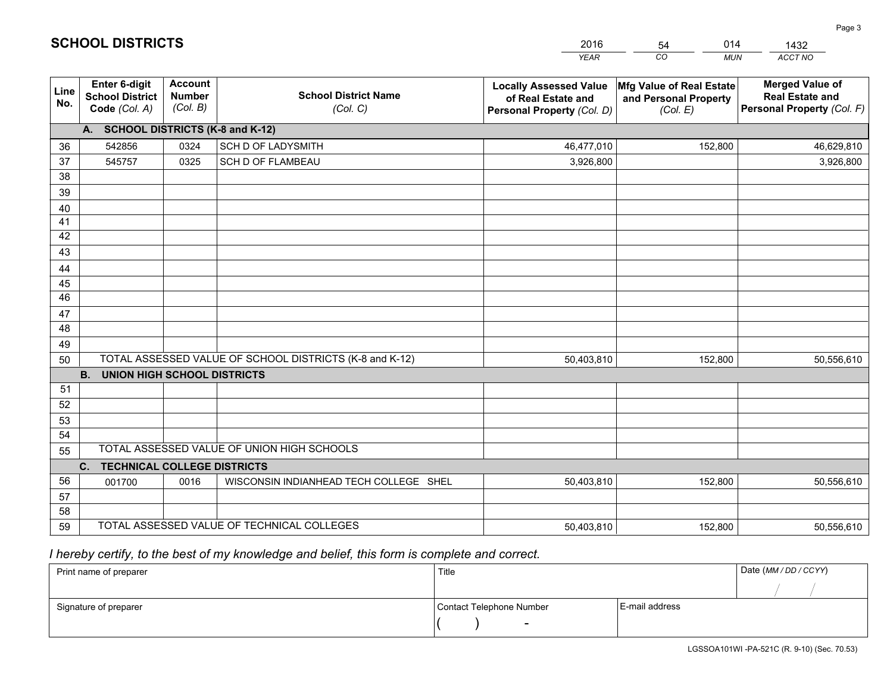|                 |                                                                 |                                             |                                                         | <b>YEAR</b>                                                                       | CO<br><b>MUN</b>                                              | ACCT NO                                                                        |
|-----------------|-----------------------------------------------------------------|---------------------------------------------|---------------------------------------------------------|-----------------------------------------------------------------------------------|---------------------------------------------------------------|--------------------------------------------------------------------------------|
| Line<br>No.     | <b>Enter 6-digit</b><br><b>School District</b><br>Code (Col. A) | <b>Account</b><br><b>Number</b><br>(Col. B) | <b>School District Name</b><br>(Col. C)                 | <b>Locally Assessed Value</b><br>of Real Estate and<br>Personal Property (Col. D) | Mfg Value of Real Estate<br>and Personal Property<br>(Col. E) | <b>Merged Value of</b><br><b>Real Estate and</b><br>Personal Property (Col. F) |
|                 | A. SCHOOL DISTRICTS (K-8 and K-12)                              |                                             |                                                         |                                                                                   |                                                               |                                                                                |
| 36              | 542856                                                          | 0324                                        | <b>SCH D OF LADYSMITH</b>                               | 46,477,010                                                                        | 152,800                                                       | 46,629,810                                                                     |
| 37              | 545757                                                          | 0325                                        | SCH D OF FLAMBEAU                                       | 3,926,800                                                                         |                                                               | 3,926,800                                                                      |
| 38              |                                                                 |                                             |                                                         |                                                                                   |                                                               |                                                                                |
| 39              |                                                                 |                                             |                                                         |                                                                                   |                                                               |                                                                                |
| 40              |                                                                 |                                             |                                                         |                                                                                   |                                                               |                                                                                |
| 41              |                                                                 |                                             |                                                         |                                                                                   |                                                               |                                                                                |
| 42<br>43        |                                                                 |                                             |                                                         |                                                                                   |                                                               |                                                                                |
|                 |                                                                 |                                             |                                                         |                                                                                   |                                                               |                                                                                |
| 44<br>45        |                                                                 |                                             |                                                         |                                                                                   |                                                               |                                                                                |
| $\overline{46}$ |                                                                 |                                             |                                                         |                                                                                   |                                                               |                                                                                |
| 47              |                                                                 |                                             |                                                         |                                                                                   |                                                               |                                                                                |
| 48              |                                                                 |                                             |                                                         |                                                                                   |                                                               |                                                                                |
| 49              |                                                                 |                                             |                                                         |                                                                                   |                                                               |                                                                                |
| 50              |                                                                 |                                             | TOTAL ASSESSED VALUE OF SCHOOL DISTRICTS (K-8 and K-12) | 50,403,810                                                                        | 152,800                                                       | 50,556,610                                                                     |
|                 | <b>B.</b><br><b>UNION HIGH SCHOOL DISTRICTS</b>                 |                                             |                                                         |                                                                                   |                                                               |                                                                                |
| 51              |                                                                 |                                             |                                                         |                                                                                   |                                                               |                                                                                |
| 52              |                                                                 |                                             |                                                         |                                                                                   |                                                               |                                                                                |
| 53              |                                                                 |                                             |                                                         |                                                                                   |                                                               |                                                                                |
| 54              |                                                                 |                                             |                                                         |                                                                                   |                                                               |                                                                                |
| 55              |                                                                 |                                             | TOTAL ASSESSED VALUE OF UNION HIGH SCHOOLS              |                                                                                   |                                                               |                                                                                |
|                 | C.<br><b>TECHNICAL COLLEGE DISTRICTS</b>                        |                                             |                                                         |                                                                                   |                                                               |                                                                                |
| 56              | 001700                                                          | 0016                                        | WISCONSIN INDIANHEAD TECH COLLEGE SHEL                  | 50,403,810                                                                        | 152,800                                                       | 50,556,610                                                                     |
| 57<br>58        |                                                                 |                                             |                                                         |                                                                                   |                                                               |                                                                                |
| 59              |                                                                 |                                             | TOTAL ASSESSED VALUE OF TECHNICAL COLLEGES              | 50,403,810                                                                        | 152,800                                                       | 50,556,610                                                                     |
|                 |                                                                 |                                             |                                                         |                                                                                   |                                                               |                                                                                |

54

014

 *I hereby certify, to the best of my knowledge and belief, this form is complete and correct.*

**SCHOOL DISTRICTS**

| Print name of preparer | Title                    |                | Date (MM / DD / CCYY) |
|------------------------|--------------------------|----------------|-----------------------|
|                        |                          |                |                       |
| Signature of preparer  | Contact Telephone Number | E-mail address |                       |
|                        | $\sim$                   |                |                       |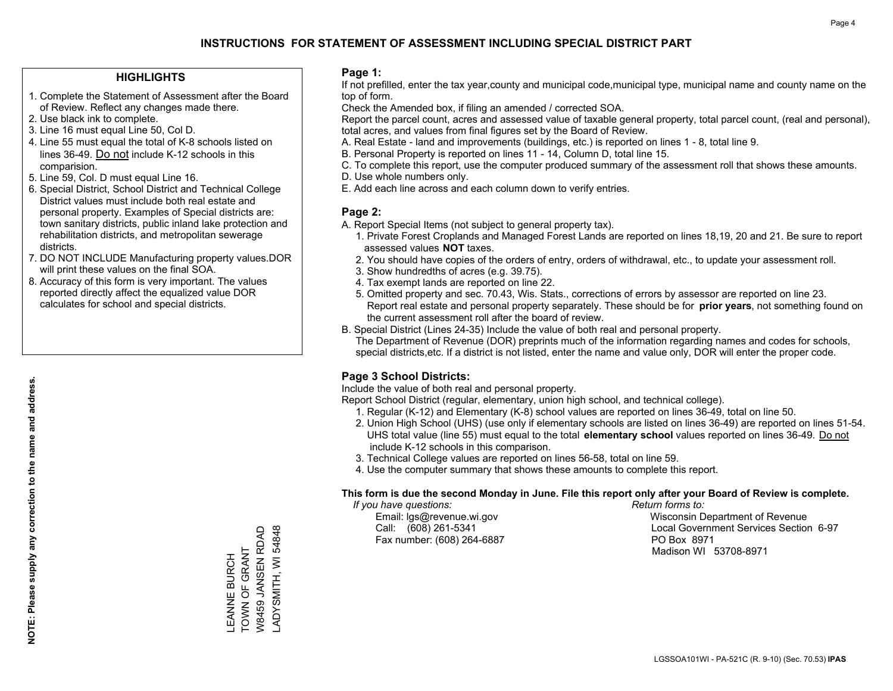#### **HIGHLIGHTS**

- 1. Complete the Statement of Assessment after the Board of Review. Reflect any changes made there.
- 2. Use black ink to complete.
- 3. Line 16 must equal Line 50, Col D.
- 4. Line 55 must equal the total of K-8 schools listed on lines 36-49. Do not include K-12 schools in this comparision.
- 5. Line 59, Col. D must equal Line 16.
- 6. Special District, School District and Technical College District values must include both real estate and personal property. Examples of Special districts are: town sanitary districts, public inland lake protection and rehabilitation districts, and metropolitan sewerage districts.
- 7. DO NOT INCLUDE Manufacturing property values.DOR will print these values on the final SOA.
- 8. Accuracy of this form is very important. The values reported directly affect the equalized value DOR calculates for school and special districts.

#### **Page 1:**

 If not prefilled, enter the tax year,county and municipal code,municipal type, municipal name and county name on the top of form.

Check the Amended box, if filing an amended / corrected SOA.

 Report the parcel count, acres and assessed value of taxable general property, total parcel count, (real and personal), total acres, and values from final figures set by the Board of Review.

- A. Real Estate land and improvements (buildings, etc.) is reported on lines 1 8, total line 9.
- B. Personal Property is reported on lines 11 14, Column D, total line 15.
- C. To complete this report, use the computer produced summary of the assessment roll that shows these amounts.
- D. Use whole numbers only.
- E. Add each line across and each column down to verify entries.

#### **Page 2:**

- A. Report Special Items (not subject to general property tax).
- 1. Private Forest Croplands and Managed Forest Lands are reported on lines 18,19, 20 and 21. Be sure to report assessed values **NOT** taxes.
- 2. You should have copies of the orders of entry, orders of withdrawal, etc., to update your assessment roll.
	- 3. Show hundredths of acres (e.g. 39.75).
- 4. Tax exempt lands are reported on line 22.
- 5. Omitted property and sec. 70.43, Wis. Stats., corrections of errors by assessor are reported on line 23. Report real estate and personal property separately. These should be for **prior years**, not something found on the current assessment roll after the board of review.
- B. Special District (Lines 24-35) Include the value of both real and personal property.
- The Department of Revenue (DOR) preprints much of the information regarding names and codes for schools, special districts,etc. If a district is not listed, enter the name and value only, DOR will enter the proper code.

### **Page 3 School Districts:**

Include the value of both real and personal property.

Report School District (regular, elementary, union high school, and technical college).

- 1. Regular (K-12) and Elementary (K-8) school values are reported on lines 36-49, total on line 50.
- 2. Union High School (UHS) (use only if elementary schools are listed on lines 36-49) are reported on lines 51-54. UHS total value (line 55) must equal to the total **elementary school** values reported on lines 36-49. Do notinclude K-12 schools in this comparison.
- 3. Technical College values are reported on lines 56-58, total on line 59.
- 4. Use the computer summary that shows these amounts to complete this report.

#### **This form is due the second Monday in June. File this report only after your Board of Review is complete.**

 *If you have questions: Return forms to:*

Fax number: (608) 264-6887 PO Box 8971

 Email: lgs@revenue.wi.gov Wisconsin Department of Revenue Call: (608) 261-5341 Local Government Services Section 6-97Madison WI 53708-8971

W8459 JANSEN RDAD ADYSMITH, WI 54848 W8459 JANSEN RDAD LEANNE BURCH<br>TOWN OF GRANT TOWN OF GRANT LEANNE BURCH

LADYSMITH, WI 54848

**NOTE: Please supply any correction to the name and address.**

NOTE: Please supply any correction to the name and address.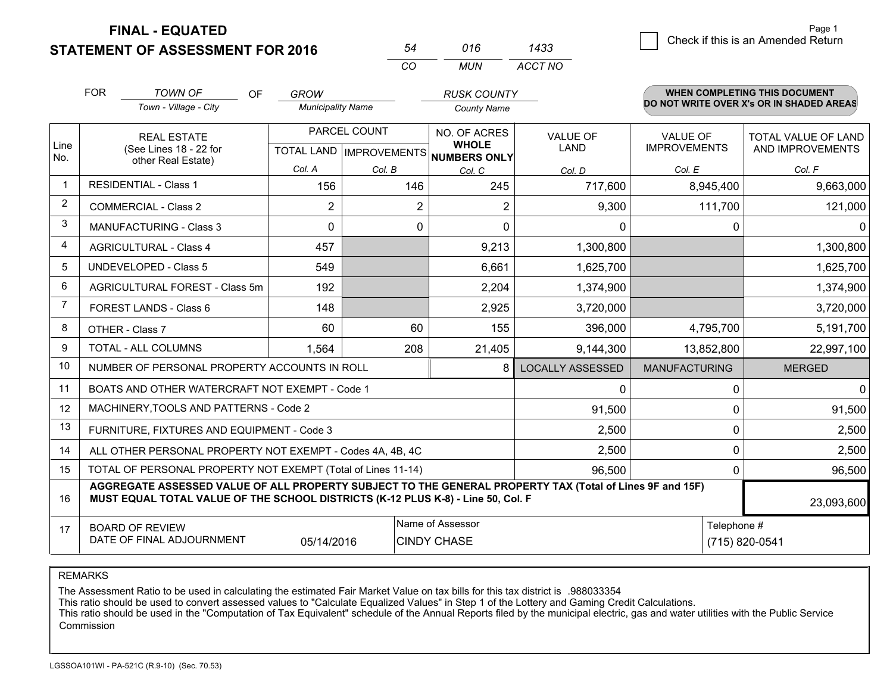**STATEMENT OF ASSESSMENT FOR 2016** 

| 54  | 016 | 1433    |  |
|-----|-----|---------|--|
| CO. | MUN | ACCT NO |  |

|                | <b>FOR</b>                                                                                                                                                                                   | TOWN OF<br><b>OF</b><br>Town - Village - City             | <b>GROW</b><br><b>Municipality Name</b> |              | <b>RUSK COUNTY</b><br><b>County Name</b>             |                         |                      | <b>WHEN COMPLETING THIS DOCUMENT</b><br>DO NOT WRITE OVER X's OR IN SHADED AREAS |  |
|----------------|----------------------------------------------------------------------------------------------------------------------------------------------------------------------------------------------|-----------------------------------------------------------|-----------------------------------------|--------------|------------------------------------------------------|-------------------------|----------------------|----------------------------------------------------------------------------------|--|
|                |                                                                                                                                                                                              |                                                           |                                         |              |                                                      |                         |                      |                                                                                  |  |
|                |                                                                                                                                                                                              | <b>REAL ESTATE</b>                                        |                                         | PARCEL COUNT | NO. OF ACRES                                         | <b>VALUE OF</b>         | <b>VALUE OF</b>      | <b>TOTAL VALUE OF LAND</b>                                                       |  |
| Line<br>No.    |                                                                                                                                                                                              | (See Lines 18 - 22 for<br>other Real Estate)              |                                         |              | <b>WHOLE</b><br>TOTAL LAND IMPROVEMENTS NUMBERS ONLY | LAND                    | <b>IMPROVEMENTS</b>  | AND IMPROVEMENTS                                                                 |  |
|                |                                                                                                                                                                                              |                                                           | Col. A                                  | Col. B       | Col. C                                               | Col. D                  | Col. E               | Col. F                                                                           |  |
|                |                                                                                                                                                                                              | <b>RESIDENTIAL - Class 1</b>                              | 156                                     | 146          | 245                                                  | 717,600                 | 8,945,400            | 9,663,000                                                                        |  |
| $\overline{2}$ |                                                                                                                                                                                              | <b>COMMERCIAL - Class 2</b>                               | 2                                       | 2            | 2                                                    | 9,300                   | 111,700              | 121,000                                                                          |  |
| 3              |                                                                                                                                                                                              | MANUFACTURING - Class 3                                   | $\Omega$                                | $\mathbf 0$  | $\Omega$                                             | 0                       | 0                    | $\mathbf{0}$                                                                     |  |
| 4              |                                                                                                                                                                                              | <b>AGRICULTURAL - Class 4</b>                             | 457                                     |              | 9,213                                                | 1,300,800               |                      | 1,300,800                                                                        |  |
| 5              |                                                                                                                                                                                              | <b>UNDEVELOPED - Class 5</b>                              | 549                                     |              | 6,661                                                | 1,625,700               |                      | 1,625,700                                                                        |  |
| 6              |                                                                                                                                                                                              | AGRICULTURAL FOREST - Class 5m                            | 192                                     |              | 2,204                                                | 1,374,900               |                      | 1,374,900                                                                        |  |
| $\overline{7}$ |                                                                                                                                                                                              | FOREST LANDS - Class 6                                    | 148                                     |              | 2,925                                                | 3,720,000               |                      | 3,720,000                                                                        |  |
| 8              |                                                                                                                                                                                              | OTHER - Class 7                                           | 60                                      | 60           | 155                                                  | 396,000                 | 4,795,700            | 5,191,700                                                                        |  |
| 9              |                                                                                                                                                                                              | TOTAL - ALL COLUMNS                                       | 1,564                                   | 208          | 21,405                                               | 9,144,300               | 13,852,800           | 22,997,100                                                                       |  |
| 10             |                                                                                                                                                                                              | NUMBER OF PERSONAL PROPERTY ACCOUNTS IN ROLL              |                                         |              | 8                                                    | <b>LOCALLY ASSESSED</b> | <b>MANUFACTURING</b> | <b>MERGED</b>                                                                    |  |
| 11             |                                                                                                                                                                                              | BOATS AND OTHER WATERCRAFT NOT EXEMPT - Code 1            |                                         |              |                                                      | 0                       | $\Omega$             | $\mathbf{0}$                                                                     |  |
| 12             |                                                                                                                                                                                              | MACHINERY, TOOLS AND PATTERNS - Code 2                    |                                         |              |                                                      | 91,500                  | $\Omega$             | 91,500                                                                           |  |
| 13             |                                                                                                                                                                                              | FURNITURE, FIXTURES AND EQUIPMENT - Code 3                |                                         |              |                                                      | 2,500                   | $\Omega$             | 2,500                                                                            |  |
| 14             |                                                                                                                                                                                              | ALL OTHER PERSONAL PROPERTY NOT EXEMPT - Codes 4A, 4B, 4C |                                         |              |                                                      | 2,500                   | 0                    | 2,500                                                                            |  |
| 15             | TOTAL OF PERSONAL PROPERTY NOT EXEMPT (Total of Lines 11-14)<br>96,500                                                                                                                       |                                                           |                                         |              |                                                      |                         |                      | $\mathbf{0}$<br>96,500                                                           |  |
| 16             | AGGREGATE ASSESSED VALUE OF ALL PROPERTY SUBJECT TO THE GENERAL PROPERTY TAX (Total of Lines 9F and 15F)<br>MUST EQUAL TOTAL VALUE OF THE SCHOOL DISTRICTS (K-12 PLUS K-8) - Line 50, Col. F |                                                           |                                         |              |                                                      |                         |                      | 23,093,600                                                                       |  |
| 17             |                                                                                                                                                                                              | <b>BOARD OF REVIEW</b>                                    |                                         |              | Name of Assessor                                     |                         |                      | Telephone #                                                                      |  |
|                |                                                                                                                                                                                              | DATE OF FINAL ADJOURNMENT                                 | 05/14/2016                              |              | <b>CINDY CHASE</b>                                   |                         |                      | (715) 820-0541                                                                   |  |

REMARKS

The Assessment Ratio to be used in calculating the estimated Fair Market Value on tax bills for this tax district is .988033354

This ratio should be used to convert assessed values to "Calculate Equalized Values" in Step 1 of the Lottery and Gaming Credit Calculations.

 This ratio should be used in the "Computation of Tax Equivalent" schedule of the Annual Reports filed by the municipal electric, gas and water utilities with the Public Service Commission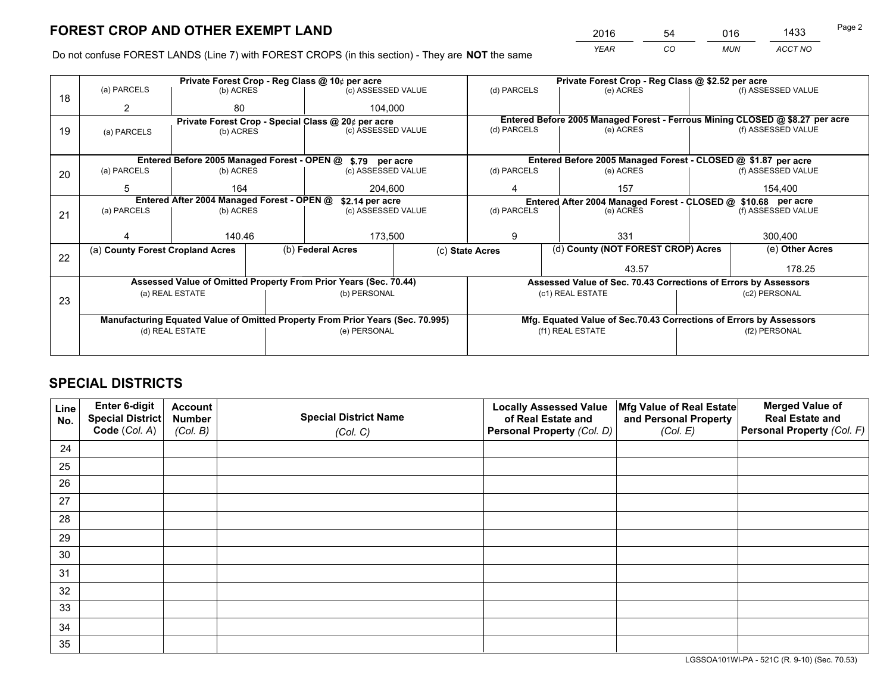*YEAR CO MUN ACCT NO* <sup>2016</sup> <sup>54</sup> <sup>016</sup> <sup>1433</sup>

Do not confuse FOREST LANDS (Line 7) with FOREST CROPS (in this section) - They are **NOT** the same

|    |                                                                                |                 |  | Private Forest Crop - Reg Class @ 10¢ per acre                   |              |                  | Private Forest Crop - Reg Class @ \$2.52 per acre                            |                                                                 |                    |  |
|----|--------------------------------------------------------------------------------|-----------------|--|------------------------------------------------------------------|--------------|------------------|------------------------------------------------------------------------------|-----------------------------------------------------------------|--------------------|--|
| 18 | (a) PARCELS                                                                    | (b) ACRES       |  | (c) ASSESSED VALUE                                               |              | (d) PARCELS      | (e) ACRES                                                                    |                                                                 | (f) ASSESSED VALUE |  |
|    | 2                                                                              | 80              |  | 104.000                                                          |              |                  |                                                                              |                                                                 |                    |  |
|    |                                                                                |                 |  | Private Forest Crop - Special Class @ 20¢ per acre               |              |                  | Entered Before 2005 Managed Forest - Ferrous Mining CLOSED @ \$8.27 per acre |                                                                 |                    |  |
| 19 | (a) PARCELS                                                                    | (b) ACRES       |  | (c) ASSESSED VALUE                                               |              | (d) PARCELS      | (e) ACRES                                                                    |                                                                 | (f) ASSESSED VALUE |  |
|    |                                                                                |                 |  |                                                                  |              |                  |                                                                              |                                                                 |                    |  |
|    |                                                                                |                 |  | Entered Before 2005 Managed Forest - OPEN @ \$.79 per acre       |              |                  | Entered Before 2005 Managed Forest - CLOSED @ \$1.87 per acre                |                                                                 |                    |  |
| 20 | (a) PARCELS                                                                    | (b) ACRES       |  | (c) ASSESSED VALUE                                               |              | (d) PARCELS      | (e) ACRES                                                                    |                                                                 | (f) ASSESSED VALUE |  |
|    | 5                                                                              | 164             |  | 204,600                                                          |              | 4                | 157                                                                          |                                                                 | 154,400            |  |
|    | Entered After 2004 Managed Forest - OPEN @<br>\$2.14 per acre                  |                 |  |                                                                  |              |                  | Entered After 2004 Managed Forest - CLOSED @ \$10.68 per acre                |                                                                 |                    |  |
| 21 | (a) PARCELS                                                                    | (b) ACRES       |  | (c) ASSESSED VALUE                                               | (d) PARCELS  |                  | (e) ACRES                                                                    |                                                                 | (f) ASSESSED VALUE |  |
|    |                                                                                |                 |  |                                                                  |              |                  |                                                                              |                                                                 |                    |  |
|    |                                                                                | 140.46          |  |                                                                  | 173,500<br>9 |                  | 331                                                                          |                                                                 |                    |  |
|    | (a) County Forest Cropland Acres                                               |                 |  | (b) Federal Acres                                                |              | (c) State Acres  | (d) County (NOT FOREST CROP) Acres                                           |                                                                 | (e) Other Acres    |  |
| 22 |                                                                                |                 |  |                                                                  |              |                  | 43.57                                                                        |                                                                 | 178.25             |  |
|    |                                                                                |                 |  |                                                                  |              |                  |                                                                              |                                                                 |                    |  |
|    |                                                                                |                 |  | Assessed Value of Omitted Property From Prior Years (Sec. 70.44) |              |                  |                                                                              | Assessed Value of Sec. 70.43 Corrections of Errors by Assessors |                    |  |
| 23 |                                                                                | (a) REAL ESTATE |  | (b) PERSONAL                                                     |              |                  | (c1) REAL ESTATE                                                             |                                                                 | (c2) PERSONAL      |  |
|    |                                                                                |                 |  |                                                                  |              |                  |                                                                              |                                                                 |                    |  |
|    | Manufacturing Equated Value of Omitted Property From Prior Years (Sec. 70.995) |                 |  |                                                                  |              |                  | Mfg. Equated Value of Sec.70.43 Corrections of Errors by Assessors           |                                                                 |                    |  |
|    | (d) REAL ESTATE                                                                |                 |  | (e) PERSONAL                                                     |              | (f1) REAL ESTATE |                                                                              | (f2) PERSONAL                                                   |                    |  |
|    |                                                                                |                 |  |                                                                  |              |                  |                                                                              |                                                                 |                    |  |
|    |                                                                                |                 |  |                                                                  |              |                  |                                                                              |                                                                 |                    |  |

## **SPECIAL DISTRICTS**

| Line<br>No. | Enter 6-digit<br>Special District<br>Code (Col. A) | <b>Account</b><br><b>Number</b> | <b>Special District Name</b> | <b>Locally Assessed Value</b><br>of Real Estate and | Mfg Value of Real Estate<br>and Personal Property | <b>Merged Value of</b><br><b>Real Estate and</b><br>Personal Property (Col. F) |
|-------------|----------------------------------------------------|---------------------------------|------------------------------|-----------------------------------------------------|---------------------------------------------------|--------------------------------------------------------------------------------|
|             |                                                    | (Col. B)                        | (Col. C)                     | Personal Property (Col. D)                          | (Col. E)                                          |                                                                                |
| 24          |                                                    |                                 |                              |                                                     |                                                   |                                                                                |
| 25          |                                                    |                                 |                              |                                                     |                                                   |                                                                                |
| 26          |                                                    |                                 |                              |                                                     |                                                   |                                                                                |
| 27          |                                                    |                                 |                              |                                                     |                                                   |                                                                                |
| 28          |                                                    |                                 |                              |                                                     |                                                   |                                                                                |
| 29          |                                                    |                                 |                              |                                                     |                                                   |                                                                                |
| 30          |                                                    |                                 |                              |                                                     |                                                   |                                                                                |
| 31          |                                                    |                                 |                              |                                                     |                                                   |                                                                                |
| 32          |                                                    |                                 |                              |                                                     |                                                   |                                                                                |
| 33          |                                                    |                                 |                              |                                                     |                                                   |                                                                                |
| 34          |                                                    |                                 |                              |                                                     |                                                   |                                                                                |
| 35          |                                                    |                                 |                              |                                                     |                                                   |                                                                                |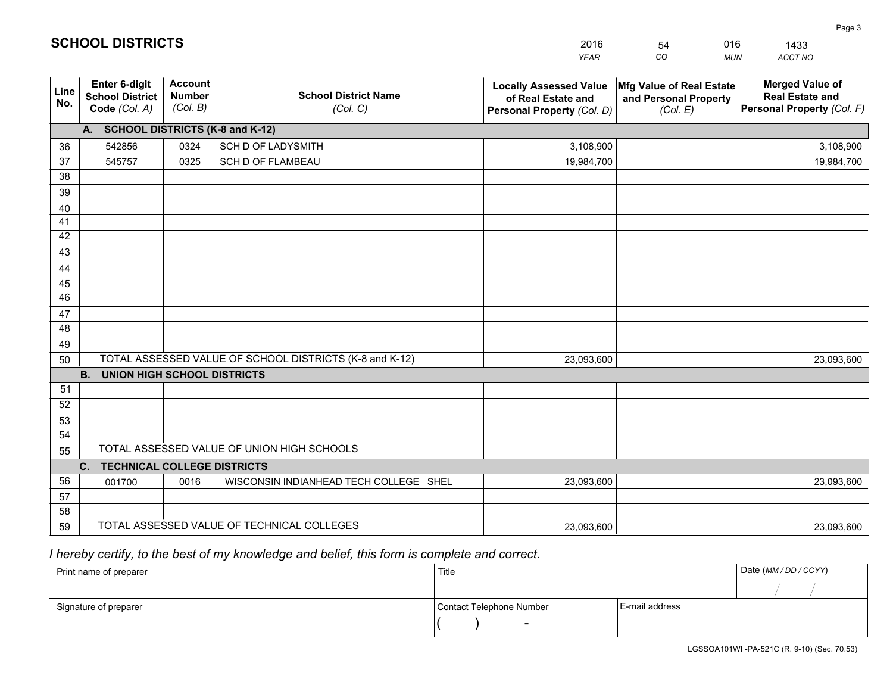|             |                                                          |                                             |                                                         | <b>YEAR</b>                                                                       | CO<br><b>MUN</b>                                              | ACCT NO                                                                        |
|-------------|----------------------------------------------------------|---------------------------------------------|---------------------------------------------------------|-----------------------------------------------------------------------------------|---------------------------------------------------------------|--------------------------------------------------------------------------------|
| Line<br>No. | Enter 6-digit<br><b>School District</b><br>Code (Col. A) | <b>Account</b><br><b>Number</b><br>(Col. B) | <b>School District Name</b><br>(Col. C)                 | <b>Locally Assessed Value</b><br>of Real Estate and<br>Personal Property (Col. D) | Mfg Value of Real Estate<br>and Personal Property<br>(Col. E) | <b>Merged Value of</b><br><b>Real Estate and</b><br>Personal Property (Col. F) |
|             | A. SCHOOL DISTRICTS (K-8 and K-12)                       |                                             |                                                         |                                                                                   |                                                               |                                                                                |
| 36          | 542856                                                   | 0324                                        | SCH D OF LADYSMITH                                      | 3,108,900                                                                         |                                                               | 3,108,900                                                                      |
| 37          | 545757                                                   | 0325                                        | SCH D OF FLAMBEAU                                       | 19,984,700                                                                        |                                                               | 19,984,700                                                                     |
| 38          |                                                          |                                             |                                                         |                                                                                   |                                                               |                                                                                |
| 39          |                                                          |                                             |                                                         |                                                                                   |                                                               |                                                                                |
| 40          |                                                          |                                             |                                                         |                                                                                   |                                                               |                                                                                |
| 41          |                                                          |                                             |                                                         |                                                                                   |                                                               |                                                                                |
| 42          |                                                          |                                             |                                                         |                                                                                   |                                                               |                                                                                |
| 43          |                                                          |                                             |                                                         |                                                                                   |                                                               |                                                                                |
| 44          |                                                          |                                             |                                                         |                                                                                   |                                                               |                                                                                |
| 45<br>46    |                                                          |                                             |                                                         |                                                                                   |                                                               |                                                                                |
|             |                                                          |                                             |                                                         |                                                                                   |                                                               |                                                                                |
| 47<br>48    |                                                          |                                             |                                                         |                                                                                   |                                                               |                                                                                |
| 49          |                                                          |                                             |                                                         |                                                                                   |                                                               |                                                                                |
| 50          |                                                          |                                             | TOTAL ASSESSED VALUE OF SCHOOL DISTRICTS (K-8 and K-12) | 23,093,600                                                                        |                                                               | 23,093,600                                                                     |
|             | B <sub>1</sub><br><b>UNION HIGH SCHOOL DISTRICTS</b>     |                                             |                                                         |                                                                                   |                                                               |                                                                                |
| 51          |                                                          |                                             |                                                         |                                                                                   |                                                               |                                                                                |
| 52          |                                                          |                                             |                                                         |                                                                                   |                                                               |                                                                                |
| 53          |                                                          |                                             |                                                         |                                                                                   |                                                               |                                                                                |
| 54          |                                                          |                                             |                                                         |                                                                                   |                                                               |                                                                                |
| 55          |                                                          |                                             | TOTAL ASSESSED VALUE OF UNION HIGH SCHOOLS              |                                                                                   |                                                               |                                                                                |
|             | C. TECHNICAL COLLEGE DISTRICTS                           |                                             |                                                         |                                                                                   |                                                               |                                                                                |
| 56          | 001700                                                   | 0016                                        | WISCONSIN INDIANHEAD TECH COLLEGE SHEL                  | 23,093,600                                                                        |                                                               | 23,093,600                                                                     |
| 57          |                                                          |                                             |                                                         |                                                                                   |                                                               |                                                                                |
| 58          |                                                          |                                             |                                                         |                                                                                   |                                                               |                                                                                |
| 59          |                                                          |                                             | TOTAL ASSESSED VALUE OF TECHNICAL COLLEGES              | 23,093,600                                                                        |                                                               | 23,093,600                                                                     |

54

016

 *I hereby certify, to the best of my knowledge and belief, this form is complete and correct.*

**SCHOOL DISTRICTS**

| Print name of preparer | Title                    |                | Date (MM / DD / CCYY) |
|------------------------|--------------------------|----------------|-----------------------|
|                        |                          |                |                       |
| Signature of preparer  | Contact Telephone Number | E-mail address |                       |
|                        | $\sim$                   |                |                       |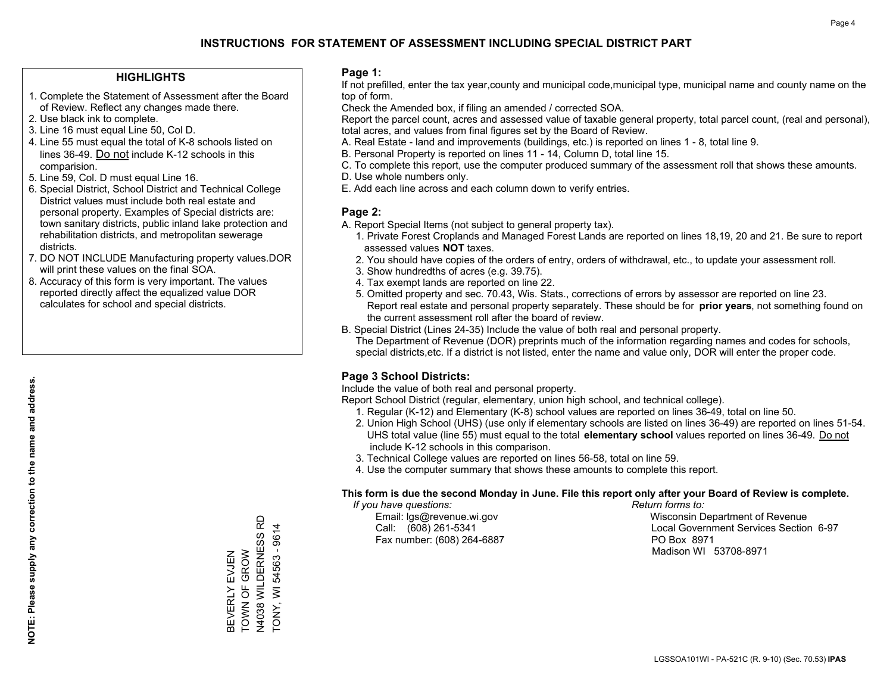#### **HIGHLIGHTS**

- 1. Complete the Statement of Assessment after the Board of Review. Reflect any changes made there.
- 2. Use black ink to complete.
- 3. Line 16 must equal Line 50, Col D.
- 4. Line 55 must equal the total of K-8 schools listed on lines 36-49. Do not include K-12 schools in this comparision.
- 5. Line 59, Col. D must equal Line 16.
- 6. Special District, School District and Technical College District values must include both real estate and personal property. Examples of Special districts are: town sanitary districts, public inland lake protection and rehabilitation districts, and metropolitan sewerage districts.
- 7. DO NOT INCLUDE Manufacturing property values.DOR will print these values on the final SOA.

BEVERLY EVJEN TOWN OF GROW N4038 WILDERNESS RD TONY, WI 54563 - 9614

BEVERLY EVJEN<br>TOWN OF GROW

N4038 WILDERNESS RD TONY, WI 54563 - 9614

 8. Accuracy of this form is very important. The values reported directly affect the equalized value DOR calculates for school and special districts.

#### **Page 1:**

 If not prefilled, enter the tax year,county and municipal code,municipal type, municipal name and county name on the top of form.

Check the Amended box, if filing an amended / corrected SOA.

 Report the parcel count, acres and assessed value of taxable general property, total parcel count, (real and personal), total acres, and values from final figures set by the Board of Review.

- A. Real Estate land and improvements (buildings, etc.) is reported on lines 1 8, total line 9.
- B. Personal Property is reported on lines 11 14, Column D, total line 15.
- C. To complete this report, use the computer produced summary of the assessment roll that shows these amounts.
- D. Use whole numbers only.
- E. Add each line across and each column down to verify entries.

#### **Page 2:**

- A. Report Special Items (not subject to general property tax).
- 1. Private Forest Croplands and Managed Forest Lands are reported on lines 18,19, 20 and 21. Be sure to report assessed values **NOT** taxes.
- 2. You should have copies of the orders of entry, orders of withdrawal, etc., to update your assessment roll.
	- 3. Show hundredths of acres (e.g. 39.75).
- 4. Tax exempt lands are reported on line 22.
- 5. Omitted property and sec. 70.43, Wis. Stats., corrections of errors by assessor are reported on line 23. Report real estate and personal property separately. These should be for **prior years**, not something found on the current assessment roll after the board of review.
- B. Special District (Lines 24-35) Include the value of both real and personal property.

 The Department of Revenue (DOR) preprints much of the information regarding names and codes for schools, special districts,etc. If a district is not listed, enter the name and value only, DOR will enter the proper code.

### **Page 3 School Districts:**

Include the value of both real and personal property.

Report School District (regular, elementary, union high school, and technical college).

- 1. Regular (K-12) and Elementary (K-8) school values are reported on lines 36-49, total on line 50.
- 2. Union High School (UHS) (use only if elementary schools are listed on lines 36-49) are reported on lines 51-54. UHS total value (line 55) must equal to the total **elementary school** values reported on lines 36-49. Do notinclude K-12 schools in this comparison.
- 3. Technical College values are reported on lines 56-58, total on line 59.
- 4. Use the computer summary that shows these amounts to complete this report.

#### **This form is due the second Monday in June. File this report only after your Board of Review is complete.**

 *If you have questions: Return forms to:*

Fax number: (608) 264-6887 PO Box 8971

 Email: lgs@revenue.wi.gov Wisconsin Department of Revenue Call: (608) 261-5341 Local Government Services Section 6-97Madison WI 53708-8971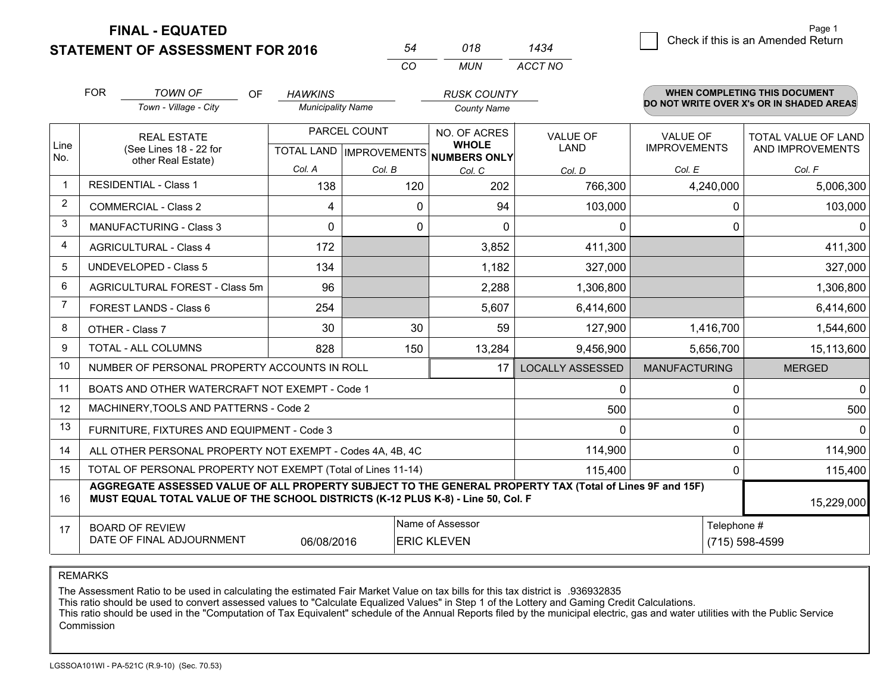**STATEMENT OF ASSESSMENT FOR 2016** 

| 54  | 018  | 1434    |
|-----|------|---------|
| -CO | MUN. | ACCT NO |

|             | <b>FOR</b><br><b>TOWN OF</b><br><b>OF</b><br>Town - Village - City                                                                                                                           | <b>HAWKINS</b><br><b>Municipality Name</b> |              | <b>RUSK COUNTY</b><br><b>County Name</b>                                                                     |                         |                                        | <b>WHEN COMPLETING THIS DOCUMENT</b><br>DO NOT WRITE OVER X's OR IN SHADED AREAS |
|-------------|----------------------------------------------------------------------------------------------------------------------------------------------------------------------------------------------|--------------------------------------------|--------------|--------------------------------------------------------------------------------------------------------------|-------------------------|----------------------------------------|----------------------------------------------------------------------------------|
| Line<br>No. | <b>REAL ESTATE</b><br>(See Lines 18 - 22 for<br>other Real Estate)                                                                                                                           |                                            | PARCEL COUNT | <b>NO. OF ACRES</b><br><b>VALUE OF</b><br><b>WHOLE</b><br><b>LAND</b><br>TOTAL LAND MPROVEMENTS NUMBERS ONLY |                         | <b>VALUE OF</b><br><b>IMPROVEMENTS</b> | TOTAL VALUE OF LAND<br>AND IMPROVEMENTS                                          |
|             |                                                                                                                                                                                              | Col. A                                     | Col. B       | Col. C                                                                                                       | Col. D                  | Col. E                                 | Col. F                                                                           |
| $\mathbf 1$ | <b>RESIDENTIAL - Class 1</b>                                                                                                                                                                 | 138                                        | 120          | 202                                                                                                          | 766,300                 | 4,240,000                              | 5,006,300                                                                        |
| 2           | <b>COMMERCIAL - Class 2</b>                                                                                                                                                                  | 4                                          | $\Omega$     | 94                                                                                                           | 103,000                 | 0                                      | 103,000                                                                          |
| 3           | <b>MANUFACTURING - Class 3</b>                                                                                                                                                               | 0                                          | 0            | 0                                                                                                            | 0                       | 0                                      | $\Omega$                                                                         |
| 4           | <b>AGRICULTURAL - Class 4</b>                                                                                                                                                                | 172                                        |              | 3,852                                                                                                        | 411,300                 |                                        | 411,300                                                                          |
| 5           | <b>UNDEVELOPED - Class 5</b>                                                                                                                                                                 | 134                                        |              | 1,182                                                                                                        | 327,000                 |                                        | 327,000                                                                          |
| 6           | AGRICULTURAL FOREST - Class 5m                                                                                                                                                               | 96                                         |              | 2,288                                                                                                        | 1,306,800               |                                        | 1,306,800                                                                        |
| 7           | FOREST LANDS - Class 6                                                                                                                                                                       | 254                                        |              | 5,607                                                                                                        | 6,414,600               |                                        | 6,414,600                                                                        |
| 8           | OTHER - Class 7                                                                                                                                                                              | 30                                         | 30           | 59                                                                                                           | 127,900                 | 1,416,700                              | 1,544,600                                                                        |
| 9           | TOTAL - ALL COLUMNS                                                                                                                                                                          | 828                                        | 150          | 13,284                                                                                                       | 9,456,900               | 5,656,700                              | 15,113,600                                                                       |
| 10          | NUMBER OF PERSONAL PROPERTY ACCOUNTS IN ROLL                                                                                                                                                 |                                            |              | 17                                                                                                           | <b>LOCALLY ASSESSED</b> | <b>MANUFACTURING</b>                   | <b>MERGED</b>                                                                    |
| 11          | BOATS AND OTHER WATERCRAFT NOT EXEMPT - Code 1                                                                                                                                               |                                            |              |                                                                                                              | 0                       | 0                                      | $\overline{0}$                                                                   |
| 12          | MACHINERY, TOOLS AND PATTERNS - Code 2                                                                                                                                                       |                                            |              |                                                                                                              | 500                     | 0                                      | 500                                                                              |
| 13          | FURNITURE, FIXTURES AND EQUIPMENT - Code 3                                                                                                                                                   |                                            |              |                                                                                                              | $\Omega$                | 0                                      | $\mathbf{0}$                                                                     |
| 14          | ALL OTHER PERSONAL PROPERTY NOT EXEMPT - Codes 4A, 4B, 4C                                                                                                                                    |                                            |              |                                                                                                              | 114,900                 | 0                                      | 114,900                                                                          |
| 15          | TOTAL OF PERSONAL PROPERTY NOT EXEMPT (Total of Lines 11-14)                                                                                                                                 | 0                                          | 115,400      |                                                                                                              |                         |                                        |                                                                                  |
| 16          | AGGREGATE ASSESSED VALUE OF ALL PROPERTY SUBJECT TO THE GENERAL PROPERTY TAX (Total of Lines 9F and 15F)<br>MUST EQUAL TOTAL VALUE OF THE SCHOOL DISTRICTS (K-12 PLUS K-8) - Line 50, Col. F |                                            |              |                                                                                                              |                         |                                        | 15,229,000                                                                       |
| 17          | Name of Assessor<br><b>BOARD OF REVIEW</b><br>DATE OF FINAL ADJOURNMENT<br>06/08/2016<br><b>ERIC KLEVEN</b>                                                                                  |                                            |              |                                                                                                              |                         | Telephone #                            | (715) 598-4599                                                                   |

REMARKS

The Assessment Ratio to be used in calculating the estimated Fair Market Value on tax bills for this tax district is .936932835

This ratio should be used to convert assessed values to "Calculate Equalized Values" in Step 1 of the Lottery and Gaming Credit Calculations.<br>This ratio should be used in the "Computation of Tax Equivalent" schedule of the Commission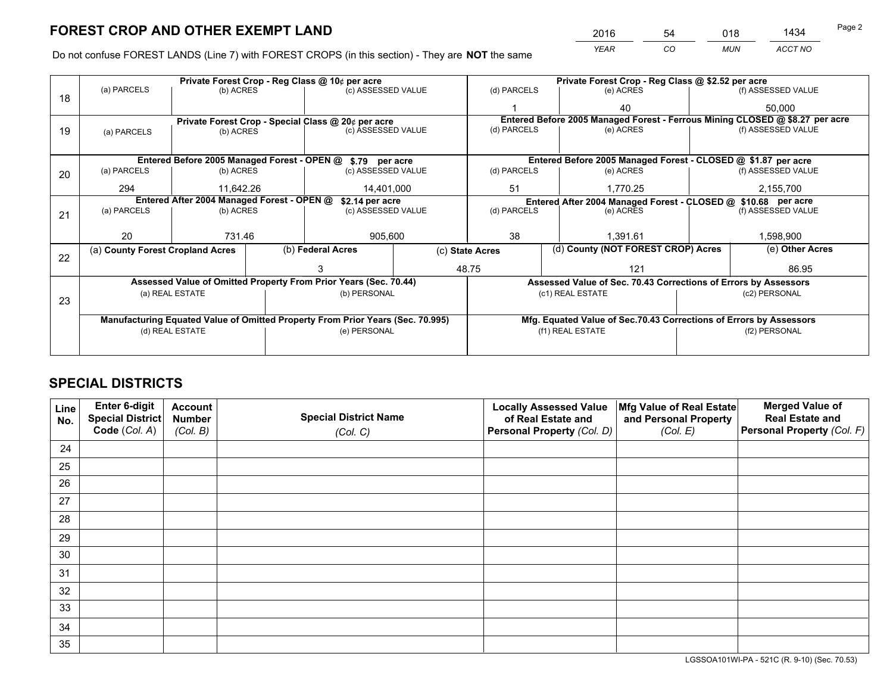*YEAR CO MUN ACCT NO* <sup>2016</sup> <sup>54</sup> <sup>018</sup> <sup>1434</sup>

Do not confuse FOREST LANDS (Line 7) with FOREST CROPS (in this section) - They are **NOT** the same

|    | Private Forest Crop - Reg Class @ 10¢ per acre                                 |                                 |                    |                    |                                                               | Private Forest Crop - Reg Class @ \$2.52 per acre                            |           |                    |                    |  |
|----|--------------------------------------------------------------------------------|---------------------------------|--------------------|--------------------|---------------------------------------------------------------|------------------------------------------------------------------------------|-----------|--------------------|--------------------|--|
| 18 | (a) PARCELS<br>(b) ACRES                                                       |                                 | (c) ASSESSED VALUE |                    | (d) PARCELS                                                   | (e) ACRES                                                                    |           | (f) ASSESSED VALUE |                    |  |
|    |                                                                                |                                 |                    |                    |                                                               |                                                                              | 40        |                    | 50,000             |  |
|    | Private Forest Crop - Special Class @ 20¢ per acre                             |                                 |                    |                    |                                                               | Entered Before 2005 Managed Forest - Ferrous Mining CLOSED @ \$8.27 per acre |           |                    |                    |  |
| 19 | (a) PARCELS                                                                    | (b) ACRES                       |                    | (c) ASSESSED VALUE |                                                               | (d) PARCELS                                                                  | (e) ACRES |                    | (f) ASSESSED VALUE |  |
|    |                                                                                |                                 |                    |                    |                                                               |                                                                              |           |                    |                    |  |
|    | Entered Before 2005 Managed Forest - OPEN @<br>\$.79 per acre                  |                                 |                    |                    |                                                               | Entered Before 2005 Managed Forest - CLOSED @ \$1.87 per acre                |           |                    |                    |  |
| 20 | (a) PARCELS                                                                    | (b) ACRES                       |                    | (c) ASSESSED VALUE |                                                               | (d) PARCELS                                                                  | (e) ACRES |                    | (f) ASSESSED VALUE |  |
|    | 294                                                                            | 11.642.26                       |                    | 14,401,000         |                                                               | 51<br>1.770.25                                                               |           |                    | 2,155,700          |  |
|    | Entered After 2004 Managed Forest - OPEN @<br>\$2.14 per acre                  |                                 |                    |                    | Entered After 2004 Managed Forest - CLOSED @ \$10.68 per acre |                                                                              |           |                    |                    |  |
| 21 | (a) PARCELS                                                                    | (b) ACRES<br>(c) ASSESSED VALUE |                    |                    | (d) PARCELS                                                   | (e) ACRES                                                                    |           |                    |                    |  |
|    |                                                                                |                                 |                    |                    |                                                               |                                                                              |           |                    |                    |  |
|    | 20<br>731.46                                                                   |                                 |                    | 905,600            |                                                               | 38<br>1.391.61                                                               |           |                    | 1,598,900          |  |
| 22 | (a) County Forest Cropland Acres                                               |                                 |                    | (b) Federal Acres  |                                                               | (d) County (NOT FOREST CROP) Acres<br>(c) State Acres                        |           | (e) Other Acres    |                    |  |
|    |                                                                                |                                 |                    |                    |                                                               | 48.75<br>121                                                                 |           |                    | 86.95              |  |
|    | Assessed Value of Omitted Property From Prior Years (Sec. 70.44)               |                                 |                    |                    |                                                               | Assessed Value of Sec. 70.43 Corrections of Errors by Assessors              |           |                    |                    |  |
|    | (a) REAL ESTATE                                                                |                                 |                    | (b) PERSONAL       |                                                               | (c1) REAL ESTATE                                                             |           |                    | (c2) PERSONAL      |  |
| 23 |                                                                                |                                 |                    |                    |                                                               |                                                                              |           |                    |                    |  |
|    | Manufacturing Equated Value of Omitted Property From Prior Years (Sec. 70.995) |                                 |                    |                    |                                                               | Mfg. Equated Value of Sec.70.43 Corrections of Errors by Assessors           |           |                    |                    |  |
|    | (d) REAL ESTATE                                                                |                                 |                    | (e) PERSONAL       |                                                               | (f1) REAL ESTATE                                                             |           |                    | (f2) PERSONAL      |  |
|    |                                                                                |                                 |                    |                    |                                                               |                                                                              |           |                    |                    |  |

## **SPECIAL DISTRICTS**

| Line<br>No. | Enter 6-digit<br>Special District<br>Code (Col. A) | <b>Account</b><br><b>Number</b> | <b>Special District Name</b> | <b>Locally Assessed Value</b><br>of Real Estate and | Mfg Value of Real Estate<br>and Personal Property | <b>Merged Value of</b><br><b>Real Estate and</b><br>Personal Property (Col. F) |
|-------------|----------------------------------------------------|---------------------------------|------------------------------|-----------------------------------------------------|---------------------------------------------------|--------------------------------------------------------------------------------|
|             |                                                    | (Col. B)                        | (Col. C)                     | Personal Property (Col. D)                          | (Col. E)                                          |                                                                                |
| 24          |                                                    |                                 |                              |                                                     |                                                   |                                                                                |
| 25          |                                                    |                                 |                              |                                                     |                                                   |                                                                                |
| 26          |                                                    |                                 |                              |                                                     |                                                   |                                                                                |
| 27          |                                                    |                                 |                              |                                                     |                                                   |                                                                                |
| 28          |                                                    |                                 |                              |                                                     |                                                   |                                                                                |
| 29          |                                                    |                                 |                              |                                                     |                                                   |                                                                                |
| 30          |                                                    |                                 |                              |                                                     |                                                   |                                                                                |
| 31          |                                                    |                                 |                              |                                                     |                                                   |                                                                                |
| 32          |                                                    |                                 |                              |                                                     |                                                   |                                                                                |
| 33          |                                                    |                                 |                              |                                                     |                                                   |                                                                                |
| 34          |                                                    |                                 |                              |                                                     |                                                   |                                                                                |
| 35          |                                                    |                                 |                              |                                                     |                                                   |                                                                                |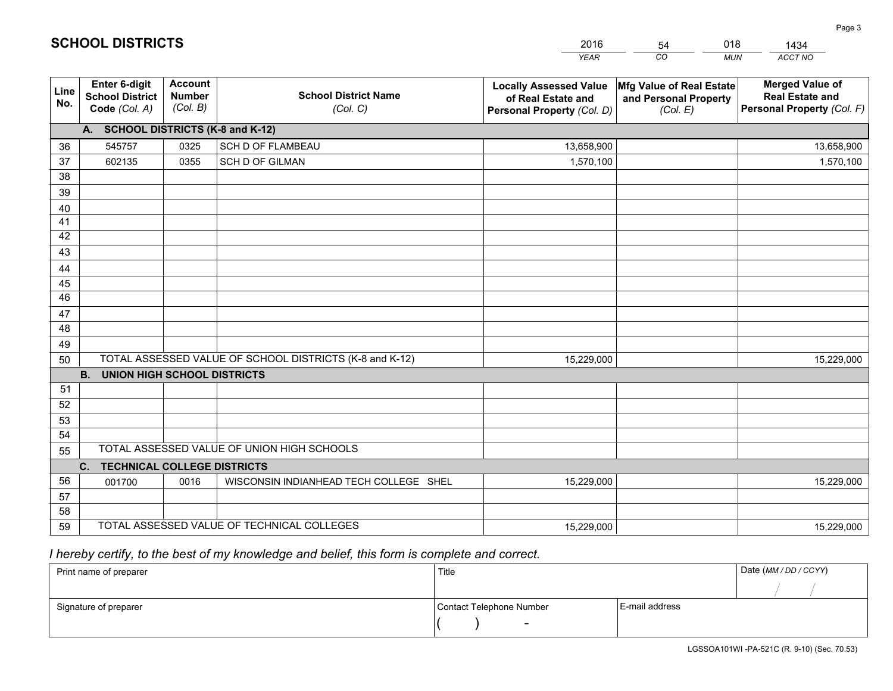| <b>Account</b><br><b>Merged Value of</b><br>Enter 6-digit<br>Mfg Value of Real Estate<br><b>Locally Assessed Value</b><br>Line<br><b>School District Name</b><br><b>Number</b><br><b>School District</b><br><b>Real Estate and</b><br>of Real Estate and<br>and Personal Property<br>No.<br>(Col. B)<br>Personal Property (Col. F)<br>Code (Col. A)<br>(Col. C)<br>Personal Property (Col. D)<br>(Col. E)<br>A. SCHOOL DISTRICTS (K-8 and K-12)<br><b>SCH D OF FLAMBEAU</b><br>545757<br>0325<br>13,658,900<br>36<br>13,658,900<br>37<br><b>SCH D OF GILMAN</b><br>1,570,100<br>602135<br>0355<br>1,570,100<br>38<br>39<br>40<br>41<br>42<br>43<br>44<br>45<br>46<br>47<br>48<br>49<br>TOTAL ASSESSED VALUE OF SCHOOL DISTRICTS (K-8 and K-12)<br>15,229,000<br>15,229,000<br>50<br><b>B.</b><br><b>UNION HIGH SCHOOL DISTRICTS</b><br>51<br>52<br>53<br>54<br>TOTAL ASSESSED VALUE OF UNION HIGH SCHOOLS<br>55<br><b>TECHNICAL COLLEGE DISTRICTS</b><br>C.<br>56<br>WISCONSIN INDIANHEAD TECH COLLEGE SHEL<br>0016<br>15,229,000<br>15,229,000<br>001700<br>57<br>58 |  |  |  | <b>YEAR</b> | CO<br><b>MUN</b> | ACCT NO |  |
|-----------------------------------------------------------------------------------------------------------------------------------------------------------------------------------------------------------------------------------------------------------------------------------------------------------------------------------------------------------------------------------------------------------------------------------------------------------------------------------------------------------------------------------------------------------------------------------------------------------------------------------------------------------------------------------------------------------------------------------------------------------------------------------------------------------------------------------------------------------------------------------------------------------------------------------------------------------------------------------------------------------------------------------------------------------------------|--|--|--|-------------|------------------|---------|--|
|                                                                                                                                                                                                                                                                                                                                                                                                                                                                                                                                                                                                                                                                                                                                                                                                                                                                                                                                                                                                                                                                       |  |  |  |             |                  |         |  |
|                                                                                                                                                                                                                                                                                                                                                                                                                                                                                                                                                                                                                                                                                                                                                                                                                                                                                                                                                                                                                                                                       |  |  |  |             |                  |         |  |
|                                                                                                                                                                                                                                                                                                                                                                                                                                                                                                                                                                                                                                                                                                                                                                                                                                                                                                                                                                                                                                                                       |  |  |  |             |                  |         |  |
|                                                                                                                                                                                                                                                                                                                                                                                                                                                                                                                                                                                                                                                                                                                                                                                                                                                                                                                                                                                                                                                                       |  |  |  |             |                  |         |  |
|                                                                                                                                                                                                                                                                                                                                                                                                                                                                                                                                                                                                                                                                                                                                                                                                                                                                                                                                                                                                                                                                       |  |  |  |             |                  |         |  |
|                                                                                                                                                                                                                                                                                                                                                                                                                                                                                                                                                                                                                                                                                                                                                                                                                                                                                                                                                                                                                                                                       |  |  |  |             |                  |         |  |
|                                                                                                                                                                                                                                                                                                                                                                                                                                                                                                                                                                                                                                                                                                                                                                                                                                                                                                                                                                                                                                                                       |  |  |  |             |                  |         |  |
|                                                                                                                                                                                                                                                                                                                                                                                                                                                                                                                                                                                                                                                                                                                                                                                                                                                                                                                                                                                                                                                                       |  |  |  |             |                  |         |  |
|                                                                                                                                                                                                                                                                                                                                                                                                                                                                                                                                                                                                                                                                                                                                                                                                                                                                                                                                                                                                                                                                       |  |  |  |             |                  |         |  |
|                                                                                                                                                                                                                                                                                                                                                                                                                                                                                                                                                                                                                                                                                                                                                                                                                                                                                                                                                                                                                                                                       |  |  |  |             |                  |         |  |
|                                                                                                                                                                                                                                                                                                                                                                                                                                                                                                                                                                                                                                                                                                                                                                                                                                                                                                                                                                                                                                                                       |  |  |  |             |                  |         |  |
|                                                                                                                                                                                                                                                                                                                                                                                                                                                                                                                                                                                                                                                                                                                                                                                                                                                                                                                                                                                                                                                                       |  |  |  |             |                  |         |  |
|                                                                                                                                                                                                                                                                                                                                                                                                                                                                                                                                                                                                                                                                                                                                                                                                                                                                                                                                                                                                                                                                       |  |  |  |             |                  |         |  |
|                                                                                                                                                                                                                                                                                                                                                                                                                                                                                                                                                                                                                                                                                                                                                                                                                                                                                                                                                                                                                                                                       |  |  |  |             |                  |         |  |
|                                                                                                                                                                                                                                                                                                                                                                                                                                                                                                                                                                                                                                                                                                                                                                                                                                                                                                                                                                                                                                                                       |  |  |  |             |                  |         |  |
|                                                                                                                                                                                                                                                                                                                                                                                                                                                                                                                                                                                                                                                                                                                                                                                                                                                                                                                                                                                                                                                                       |  |  |  |             |                  |         |  |
|                                                                                                                                                                                                                                                                                                                                                                                                                                                                                                                                                                                                                                                                                                                                                                                                                                                                                                                                                                                                                                                                       |  |  |  |             |                  |         |  |
|                                                                                                                                                                                                                                                                                                                                                                                                                                                                                                                                                                                                                                                                                                                                                                                                                                                                                                                                                                                                                                                                       |  |  |  |             |                  |         |  |
|                                                                                                                                                                                                                                                                                                                                                                                                                                                                                                                                                                                                                                                                                                                                                                                                                                                                                                                                                                                                                                                                       |  |  |  |             |                  |         |  |
|                                                                                                                                                                                                                                                                                                                                                                                                                                                                                                                                                                                                                                                                                                                                                                                                                                                                                                                                                                                                                                                                       |  |  |  |             |                  |         |  |
|                                                                                                                                                                                                                                                                                                                                                                                                                                                                                                                                                                                                                                                                                                                                                                                                                                                                                                                                                                                                                                                                       |  |  |  |             |                  |         |  |
|                                                                                                                                                                                                                                                                                                                                                                                                                                                                                                                                                                                                                                                                                                                                                                                                                                                                                                                                                                                                                                                                       |  |  |  |             |                  |         |  |
|                                                                                                                                                                                                                                                                                                                                                                                                                                                                                                                                                                                                                                                                                                                                                                                                                                                                                                                                                                                                                                                                       |  |  |  |             |                  |         |  |
|                                                                                                                                                                                                                                                                                                                                                                                                                                                                                                                                                                                                                                                                                                                                                                                                                                                                                                                                                                                                                                                                       |  |  |  |             |                  |         |  |
|                                                                                                                                                                                                                                                                                                                                                                                                                                                                                                                                                                                                                                                                                                                                                                                                                                                                                                                                                                                                                                                                       |  |  |  |             |                  |         |  |
| TOTAL ASSESSED VALUE OF TECHNICAL COLLEGES<br>59<br>15,229,000<br>15,229,000                                                                                                                                                                                                                                                                                                                                                                                                                                                                                                                                                                                                                                                                                                                                                                                                                                                                                                                                                                                          |  |  |  |             |                  |         |  |

54

018

 *I hereby certify, to the best of my knowledge and belief, this form is complete and correct.*

**SCHOOL DISTRICTS**

| Print name of preparer | Title                    |                | Date (MM/DD/CCYY) |
|------------------------|--------------------------|----------------|-------------------|
|                        |                          |                |                   |
| Signature of preparer  | Contact Telephone Number | E-mail address |                   |
|                        | $\overline{\phantom{0}}$ |                |                   |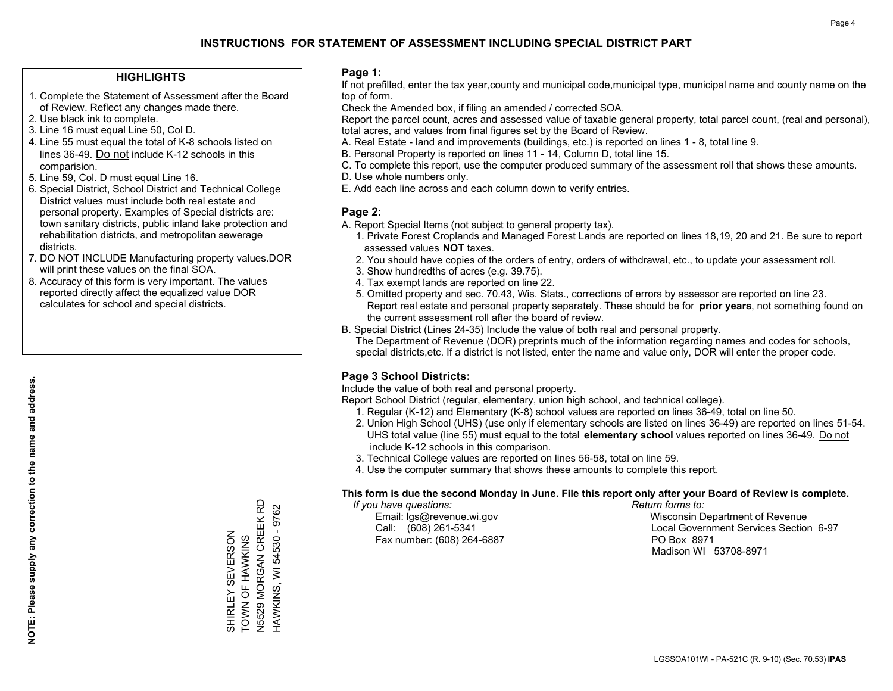#### **HIGHLIGHTS**

- 1. Complete the Statement of Assessment after the Board of Review. Reflect any changes made there.
- 2. Use black ink to complete.
- 3. Line 16 must equal Line 50, Col D.
- 4. Line 55 must equal the total of K-8 schools listed on lines 36-49. Do not include K-12 schools in this comparision.
- 5. Line 59, Col. D must equal Line 16.
- 6. Special District, School District and Technical College District values must include both real estate and personal property. Examples of Special districts are: town sanitary districts, public inland lake protection and rehabilitation districts, and metropolitan sewerage districts.
- 7. DO NOT INCLUDE Manufacturing property values.DOR will print these values on the final SOA.

SHIRLEY SEVERSON TOWN OF HAWKINS N5529 MORGAN CREEK RD HAWKINS, WI 54530 - 9762

SHIRLEY

SEVERSON

HAWKINS, WI 54530 - 9762

 8. Accuracy of this form is very important. The values reported directly affect the equalized value DOR calculates for school and special districts.

#### **Page 1:**

 If not prefilled, enter the tax year,county and municipal code,municipal type, municipal name and county name on the top of form.

Check the Amended box, if filing an amended / corrected SOA.

 Report the parcel count, acres and assessed value of taxable general property, total parcel count, (real and personal), total acres, and values from final figures set by the Board of Review.

- A. Real Estate land and improvements (buildings, etc.) is reported on lines 1 8, total line 9.
- B. Personal Property is reported on lines 11 14, Column D, total line 15.
- C. To complete this report, use the computer produced summary of the assessment roll that shows these amounts.
- D. Use whole numbers only.
- E. Add each line across and each column down to verify entries.

#### **Page 2:**

- A. Report Special Items (not subject to general property tax).
- 1. Private Forest Croplands and Managed Forest Lands are reported on lines 18,19, 20 and 21. Be sure to report assessed values **NOT** taxes.
- 2. You should have copies of the orders of entry, orders of withdrawal, etc., to update your assessment roll.
	- 3. Show hundredths of acres (e.g. 39.75).
- 4. Tax exempt lands are reported on line 22.
- 5. Omitted property and sec. 70.43, Wis. Stats., corrections of errors by assessor are reported on line 23. Report real estate and personal property separately. These should be for **prior years**, not something found on the current assessment roll after the board of review.
- B. Special District (Lines 24-35) Include the value of both real and personal property.
- The Department of Revenue (DOR) preprints much of the information regarding names and codes for schools, special districts,etc. If a district is not listed, enter the name and value only, DOR will enter the proper code.

### **Page 3 School Districts:**

Include the value of both real and personal property.

Report School District (regular, elementary, union high school, and technical college).

- 1. Regular (K-12) and Elementary (K-8) school values are reported on lines 36-49, total on line 50.
- 2. Union High School (UHS) (use only if elementary schools are listed on lines 36-49) are reported on lines 51-54. UHS total value (line 55) must equal to the total **elementary school** values reported on lines 36-49. Do notinclude K-12 schools in this comparison.
- 3. Technical College values are reported on lines 56-58, total on line 59.
- 4. Use the computer summary that shows these amounts to complete this report.

#### **This form is due the second Monday in June. File this report only after your Board of Review is complete.**

 *If you have questions: Return forms to:*

Fax number: (608) 264-6887 PO Box 8971

 Email: lgs@revenue.wi.gov Wisconsin Department of Revenue Call: (608) 261-5341 Local Government Services Section 6-97Madison WI 53708-8971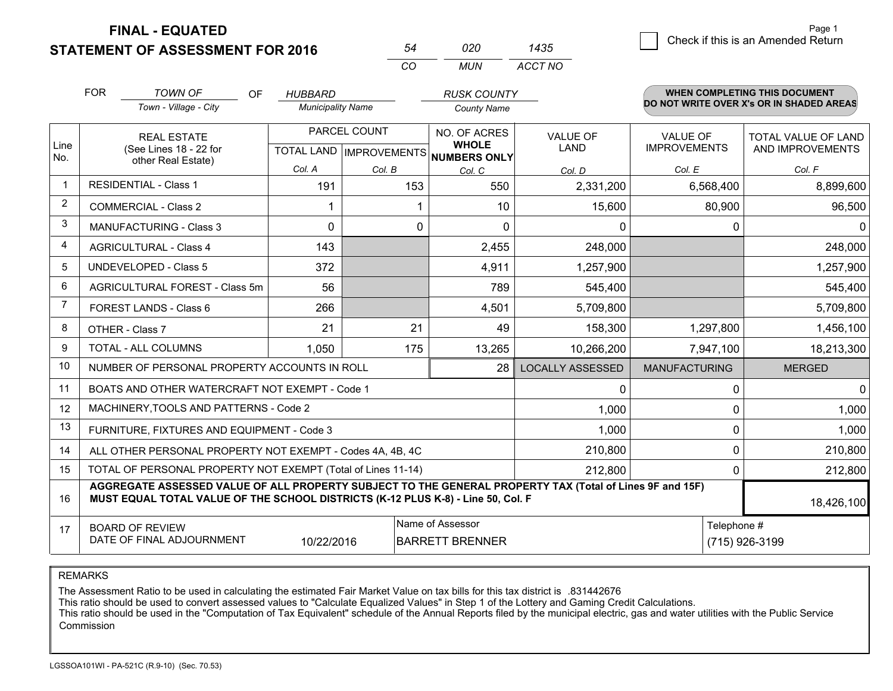**FINAL - EQUATED**

**STATEMENT OF ASSESSMENT FOR 2016** 

| 54  | กวก | 1435    |
|-----|-----|---------|
| CO. | MUN | ACCT NO |

|                | <b>FOR</b><br><b>TOWN OF</b><br>OF<br>Town - Village - City                                                                                                                                  |                                                | <b>HUBBARD</b>                                 |                           | <b>RUSK COUNTY</b>           |                         |                      | <b>WHEN COMPLETING THIS DOCUMENT</b><br>DO NOT WRITE OVER X's OR IN SHADED AREAS |
|----------------|----------------------------------------------------------------------------------------------------------------------------------------------------------------------------------------------|------------------------------------------------|------------------------------------------------|---------------------------|------------------------------|-------------------------|----------------------|----------------------------------------------------------------------------------|
|                |                                                                                                                                                                                              |                                                | <b>Municipality Name</b><br><b>County Name</b> |                           |                              |                         |                      |                                                                                  |
|                | <b>REAL ESTATE</b>                                                                                                                                                                           |                                                |                                                | PARCEL COUNT              | NO. OF ACRES                 | <b>VALUE OF</b>         | <b>VALUE OF</b>      | TOTAL VALUE OF LAND                                                              |
| Line<br>No.    |                                                                                                                                                                                              | (See Lines 18 - 22 for<br>other Real Estate)   |                                                | TOTAL LAND   IMPROVEMENTS | <b>WHOLE</b><br>NUMBERS ONLY | <b>LAND</b>             | <b>IMPROVEMENTS</b>  | AND IMPROVEMENTS                                                                 |
|                |                                                                                                                                                                                              |                                                | Col. A                                         | Col. B                    | Col. C                       | Col. D                  | Col. E               | Col. F                                                                           |
| $\mathbf 1$    |                                                                                                                                                                                              | <b>RESIDENTIAL - Class 1</b>                   | 191                                            | 153                       | 550                          | 2,331,200               | 6,568,400            | 8,899,600                                                                        |
| $\overline{2}$ |                                                                                                                                                                                              | <b>COMMERCIAL - Class 2</b>                    |                                                |                           | 10                           | 15,600                  | 80,900               | 96,500                                                                           |
| 3              |                                                                                                                                                                                              | <b>MANUFACTURING - Class 3</b>                 | $\Omega$                                       | 0                         | $\Omega$                     | 0                       | $\Omega$             | $\Omega$                                                                         |
| 4              |                                                                                                                                                                                              | <b>AGRICULTURAL - Class 4</b>                  | 143                                            |                           | 2,455                        | 248,000                 |                      | 248,000                                                                          |
| 5              |                                                                                                                                                                                              | <b>UNDEVELOPED - Class 5</b>                   | 372                                            |                           | 4,911                        | 1,257,900               |                      | 1,257,900                                                                        |
| 6              | AGRICULTURAL FOREST - Class 5m                                                                                                                                                               |                                                | 56                                             |                           | 789                          | 545,400                 |                      | 545,400                                                                          |
| $\overline{7}$ | FOREST LANDS - Class 6                                                                                                                                                                       |                                                | 266                                            |                           | 4,501                        | 5,709,800               |                      | 5,709,800                                                                        |
| 8              |                                                                                                                                                                                              | OTHER - Class 7                                | 21                                             | 21                        | 49                           | 158,300                 | 1,297,800            | 1,456,100                                                                        |
| 9              |                                                                                                                                                                                              | TOTAL - ALL COLUMNS                            | 1.050                                          | 175                       | 13,265                       | 10,266,200              | 7,947,100            | 18,213,300                                                                       |
| 10             |                                                                                                                                                                                              | NUMBER OF PERSONAL PROPERTY ACCOUNTS IN ROLL   |                                                |                           | 28                           | <b>LOCALLY ASSESSED</b> | <b>MANUFACTURING</b> | <b>MERGED</b>                                                                    |
| 11             |                                                                                                                                                                                              | BOATS AND OTHER WATERCRAFT NOT EXEMPT - Code 1 |                                                |                           |                              | 0                       | 0                    | 0                                                                                |
| 12             |                                                                                                                                                                                              | MACHINERY, TOOLS AND PATTERNS - Code 2         |                                                |                           |                              | 1,000                   | 0                    | 1,000                                                                            |
| 13             |                                                                                                                                                                                              | FURNITURE, FIXTURES AND EQUIPMENT - Code 3     |                                                |                           |                              | 1,000                   | 0                    | 1,000                                                                            |
| 14             | ALL OTHER PERSONAL PROPERTY NOT EXEMPT - Codes 4A, 4B, 4C                                                                                                                                    | 0                                              | 210,800                                        |                           |                              |                         |                      |                                                                                  |
| 15             | TOTAL OF PERSONAL PROPERTY NOT EXEMPT (Total of Lines 11-14)<br>212,800<br>0                                                                                                                 |                                                |                                                |                           |                              |                         |                      | 212,800                                                                          |
| 16             | AGGREGATE ASSESSED VALUE OF ALL PROPERTY SUBJECT TO THE GENERAL PROPERTY TAX (Total of Lines 9F and 15F)<br>MUST EQUAL TOTAL VALUE OF THE SCHOOL DISTRICTS (K-12 PLUS K-8) - Line 50, Col. F |                                                |                                                |                           |                              |                         |                      | 18,426,100                                                                       |
| 17             |                                                                                                                                                                                              | <b>BOARD OF REVIEW</b>                         |                                                |                           | Name of Assessor             |                         | Telephone #          |                                                                                  |
|                |                                                                                                                                                                                              | DATE OF FINAL ADJOURNMENT                      | 10/22/2016                                     |                           | <b>BARRETT BRENNER</b>       |                         |                      | (715) 926-3199                                                                   |

REMARKS

The Assessment Ratio to be used in calculating the estimated Fair Market Value on tax bills for this tax district is .831442676

This ratio should be used to convert assessed values to "Calculate Equalized Values" in Step 1 of the Lottery and Gaming Credit Calculations.<br>This ratio should be used in the "Computation of Tax Equivalent" schedule of the Commission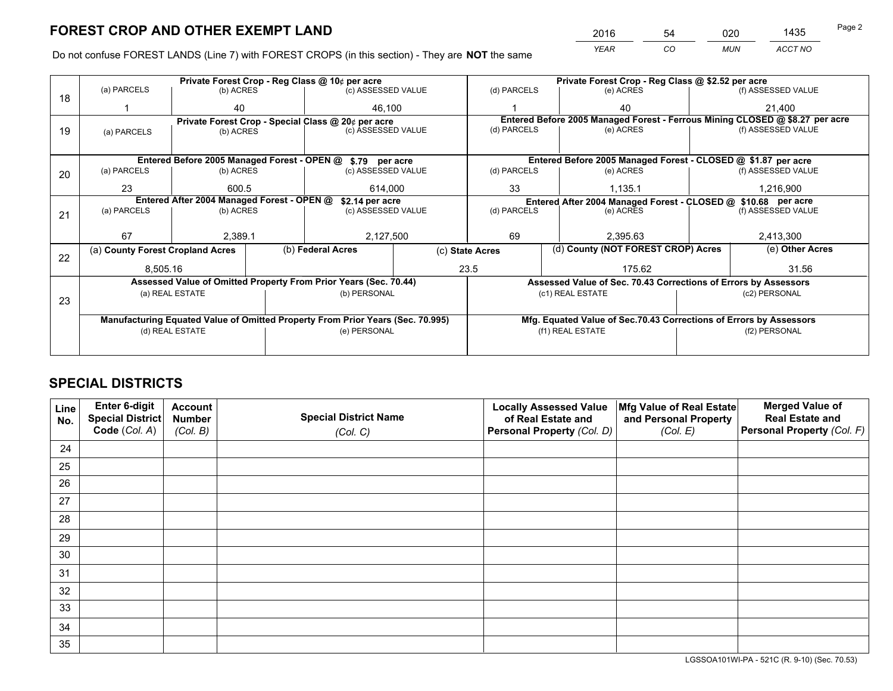*YEAR CO MUN ACCT NO* <sup>2016</sup> <sup>54</sup> <sup>020</sup> <sup>1435</sup>

Do not confuse FOREST LANDS (Line 7) with FOREST CROPS (in this section) - They are **NOT** the same

|    |             |                                                               |  | Private Forest Crop - Reg Class @ 10¢ per acre                                 |        |                                                                    | Private Forest Crop - Reg Class @ \$2.52 per acre                            |                                                                 |                    |                    |
|----|-------------|---------------------------------------------------------------|--|--------------------------------------------------------------------------------|--------|--------------------------------------------------------------------|------------------------------------------------------------------------------|-----------------------------------------------------------------|--------------------|--------------------|
| 18 | (a) PARCELS | (b) ACRES                                                     |  | (c) ASSESSED VALUE                                                             |        | (d) PARCELS                                                        |                                                                              | (e) ACRES                                                       |                    | (f) ASSESSED VALUE |
|    |             | 40                                                            |  |                                                                                | 46.100 |                                                                    |                                                                              | 40                                                              |                    | 21,400             |
|    |             |                                                               |  | Private Forest Crop - Special Class @ 20¢ per acre                             |        |                                                                    | Entered Before 2005 Managed Forest - Ferrous Mining CLOSED @ \$8.27 per acre |                                                                 |                    |                    |
| 19 | (a) PARCELS | (b) ACRES                                                     |  | (c) ASSESSED VALUE                                                             |        | (d) PARCELS                                                        |                                                                              | (e) ACRES                                                       |                    | (f) ASSESSED VALUE |
|    |             |                                                               |  |                                                                                |        |                                                                    |                                                                              |                                                                 |                    |                    |
|    |             |                                                               |  | Entered Before 2005 Managed Forest - OPEN @ \$.79 per acre                     |        |                                                                    |                                                                              | Entered Before 2005 Managed Forest - CLOSED @ \$1.87 per acre   |                    |                    |
| 20 | (a) PARCELS | (b) ACRES                                                     |  | (c) ASSESSED VALUE                                                             |        | (d) PARCELS                                                        |                                                                              | (e) ACRES                                                       |                    | (f) ASSESSED VALUE |
|    | 23          | 600.5                                                         |  | 614,000                                                                        |        | 33                                                                 |                                                                              | 1,135.1                                                         |                    | 1,216,900          |
|    |             | Entered After 2004 Managed Forest - OPEN @<br>\$2.14 per acre |  |                                                                                |        |                                                                    | Entered After 2004 Managed Forest - CLOSED @ \$10.68 per acre                |                                                                 |                    |                    |
| 21 | (a) PARCELS | (b) ACRES                                                     |  | (c) ASSESSED VALUE                                                             |        | (d) PARCELS<br>(e) ACRES                                           |                                                                              |                                                                 | (f) ASSESSED VALUE |                    |
|    |             |                                                               |  |                                                                                |        |                                                                    |                                                                              |                                                                 |                    |                    |
|    | 67          | 2.389.1                                                       |  | 2,127,500                                                                      |        | 69<br>2.395.63                                                     |                                                                              | 2,413,300                                                       |                    |                    |
| 22 |             | (b) Federal Acres<br>(a) County Forest Cropland Acres         |  | (c) State Acres                                                                |        |                                                                    | (d) County (NOT FOREST CROP) Acres                                           |                                                                 | (e) Other Acres    |                    |
|    | 8,505.16    |                                                               |  |                                                                                | 23.5   |                                                                    | 175.62                                                                       |                                                                 |                    | 31.56              |
|    |             |                                                               |  | Assessed Value of Omitted Property From Prior Years (Sec. 70.44)               |        |                                                                    |                                                                              | Assessed Value of Sec. 70.43 Corrections of Errors by Assessors |                    |                    |
|    |             | (a) REAL ESTATE                                               |  | (b) PERSONAL                                                                   |        |                                                                    |                                                                              | (c1) REAL ESTATE                                                |                    | (c2) PERSONAL      |
| 23 |             |                                                               |  |                                                                                |        |                                                                    |                                                                              |                                                                 |                    |                    |
|    |             |                                                               |  | Manufacturing Equated Value of Omitted Property From Prior Years (Sec. 70.995) |        | Mfg. Equated Value of Sec.70.43 Corrections of Errors by Assessors |                                                                              |                                                                 |                    |                    |
|    |             | (d) REAL ESTATE                                               |  | (e) PERSONAL                                                                   |        | (f1) REAL ESTATE                                                   |                                                                              |                                                                 | (f2) PERSONAL      |                    |
|    |             |                                                               |  |                                                                                |        |                                                                    |                                                                              |                                                                 |                    |                    |

## **SPECIAL DISTRICTS**

| Line<br>No. | Enter 6-digit<br>Special District<br>Code (Col. A) | <b>Account</b><br><b>Number</b><br>(Col. B) | <b>Special District Name</b><br>(Col. C) | <b>Locally Assessed Value</b><br>of Real Estate and<br>Personal Property (Col. D) | Mfg Value of Real Estate<br>and Personal Property<br>(Col. E) | <b>Merged Value of</b><br><b>Real Estate and</b><br>Personal Property (Col. F) |
|-------------|----------------------------------------------------|---------------------------------------------|------------------------------------------|-----------------------------------------------------------------------------------|---------------------------------------------------------------|--------------------------------------------------------------------------------|
|             |                                                    |                                             |                                          |                                                                                   |                                                               |                                                                                |
| 24          |                                                    |                                             |                                          |                                                                                   |                                                               |                                                                                |
| 25          |                                                    |                                             |                                          |                                                                                   |                                                               |                                                                                |
| 26          |                                                    |                                             |                                          |                                                                                   |                                                               |                                                                                |
| 27          |                                                    |                                             |                                          |                                                                                   |                                                               |                                                                                |
| 28          |                                                    |                                             |                                          |                                                                                   |                                                               |                                                                                |
| 29          |                                                    |                                             |                                          |                                                                                   |                                                               |                                                                                |
| 30          |                                                    |                                             |                                          |                                                                                   |                                                               |                                                                                |
| 31          |                                                    |                                             |                                          |                                                                                   |                                                               |                                                                                |
| 32          |                                                    |                                             |                                          |                                                                                   |                                                               |                                                                                |
| 33          |                                                    |                                             |                                          |                                                                                   |                                                               |                                                                                |
| 34          |                                                    |                                             |                                          |                                                                                   |                                                               |                                                                                |
| 35          |                                                    |                                             |                                          |                                                                                   |                                                               |                                                                                |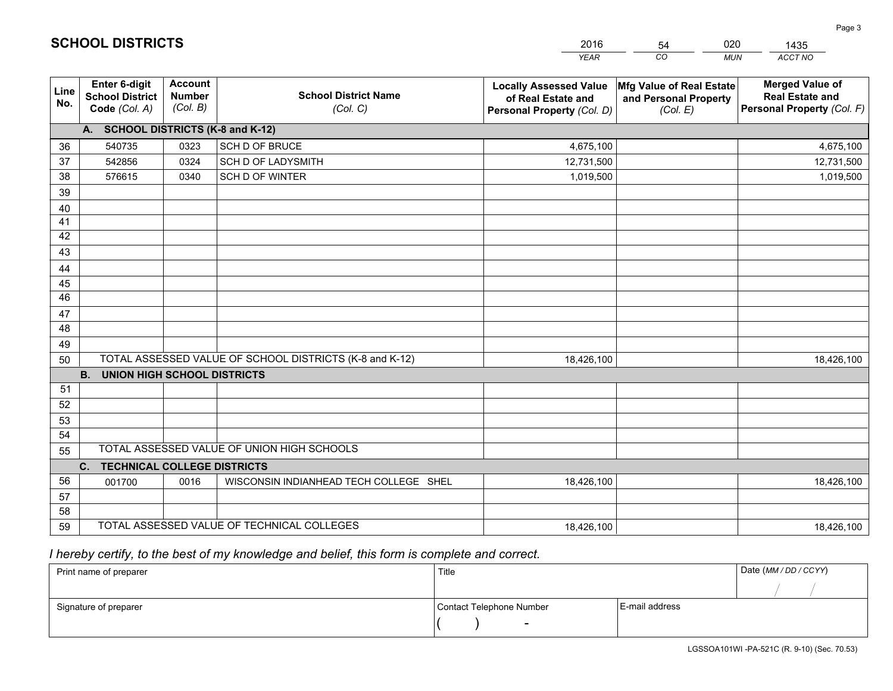|             |                                                                 |                                             |                                                         | <b>YEAR</b>                                                                       | CO<br><b>MUN</b>                                              | ACCT NO                                                                        |
|-------------|-----------------------------------------------------------------|---------------------------------------------|---------------------------------------------------------|-----------------------------------------------------------------------------------|---------------------------------------------------------------|--------------------------------------------------------------------------------|
| Line<br>No. | <b>Enter 6-digit</b><br><b>School District</b><br>Code (Col. A) | <b>Account</b><br><b>Number</b><br>(Col. B) | <b>School District Name</b><br>(Col. C)                 | <b>Locally Assessed Value</b><br>of Real Estate and<br>Personal Property (Col. D) | Mfg Value of Real Estate<br>and Personal Property<br>(Col. E) | <b>Merged Value of</b><br><b>Real Estate and</b><br>Personal Property (Col. F) |
|             | A. SCHOOL DISTRICTS (K-8 and K-12)                              |                                             |                                                         |                                                                                   |                                                               |                                                                                |
| 36          | 540735                                                          | 0323                                        | SCH D OF BRUCE                                          | 4,675,100                                                                         |                                                               | 4,675,100                                                                      |
| 37          | 542856                                                          | 0324                                        | SCH D OF LADYSMITH                                      | 12,731,500                                                                        |                                                               | 12,731,500                                                                     |
| 38          | 576615                                                          | 0340                                        | SCH D OF WINTER                                         | 1,019,500                                                                         |                                                               | 1,019,500                                                                      |
| 39          |                                                                 |                                             |                                                         |                                                                                   |                                                               |                                                                                |
| 40          |                                                                 |                                             |                                                         |                                                                                   |                                                               |                                                                                |
| 41          |                                                                 |                                             |                                                         |                                                                                   |                                                               |                                                                                |
| 42          |                                                                 |                                             |                                                         |                                                                                   |                                                               |                                                                                |
| 43          |                                                                 |                                             |                                                         |                                                                                   |                                                               |                                                                                |
| 44          |                                                                 |                                             |                                                         |                                                                                   |                                                               |                                                                                |
| 45          |                                                                 |                                             |                                                         |                                                                                   |                                                               |                                                                                |
| 46          |                                                                 |                                             |                                                         |                                                                                   |                                                               |                                                                                |
| 47          |                                                                 |                                             |                                                         |                                                                                   |                                                               |                                                                                |
| 48          |                                                                 |                                             |                                                         |                                                                                   |                                                               |                                                                                |
| 49          |                                                                 |                                             |                                                         |                                                                                   |                                                               |                                                                                |
| 50          |                                                                 |                                             | TOTAL ASSESSED VALUE OF SCHOOL DISTRICTS (K-8 and K-12) | 18,426,100                                                                        |                                                               | 18,426,100                                                                     |
|             | <b>B.</b><br><b>UNION HIGH SCHOOL DISTRICTS</b>                 |                                             |                                                         |                                                                                   |                                                               |                                                                                |
| 51          |                                                                 |                                             |                                                         |                                                                                   |                                                               |                                                                                |
| 52          |                                                                 |                                             |                                                         |                                                                                   |                                                               |                                                                                |
| 53          |                                                                 |                                             |                                                         |                                                                                   |                                                               |                                                                                |
| 54          |                                                                 |                                             | TOTAL ASSESSED VALUE OF UNION HIGH SCHOOLS              |                                                                                   |                                                               |                                                                                |
| 55          |                                                                 |                                             |                                                         |                                                                                   |                                                               |                                                                                |
|             | <b>TECHNICAL COLLEGE DISTRICTS</b><br>C.                        |                                             |                                                         |                                                                                   |                                                               |                                                                                |
| 56          | 001700                                                          | 0016                                        | WISCONSIN INDIANHEAD TECH COLLEGE SHEL                  | 18,426,100                                                                        |                                                               | 18,426,100                                                                     |
| 57<br>58    |                                                                 |                                             |                                                         |                                                                                   |                                                               |                                                                                |
| 59          |                                                                 |                                             | TOTAL ASSESSED VALUE OF TECHNICAL COLLEGES              | 18,426,100                                                                        |                                                               | 18,426,100                                                                     |
|             |                                                                 |                                             |                                                         |                                                                                   |                                                               |                                                                                |

54

020

 *I hereby certify, to the best of my knowledge and belief, this form is complete and correct.*

**SCHOOL DISTRICTS**

| Print name of preparer | Title                    |                | Date (MM/DD/CCYY) |
|------------------------|--------------------------|----------------|-------------------|
|                        |                          |                |                   |
| Signature of preparer  | Contact Telephone Number | E-mail address |                   |
|                        | $\overline{\phantom{0}}$ |                |                   |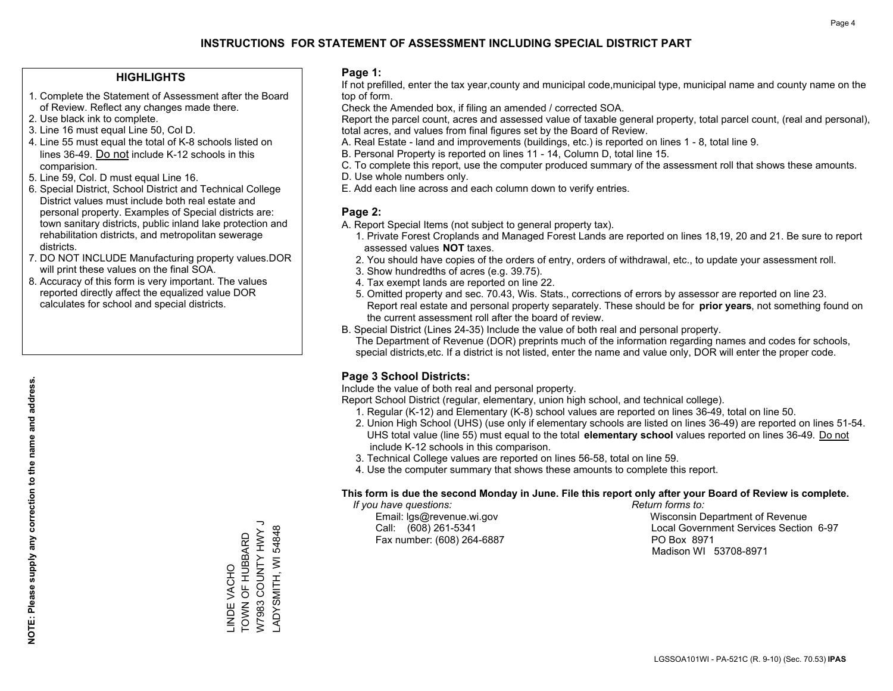#### **HIGHLIGHTS**

- 1. Complete the Statement of Assessment after the Board of Review. Reflect any changes made there.
- 2. Use black ink to complete.
- 3. Line 16 must equal Line 50, Col D.
- 4. Line 55 must equal the total of K-8 schools listed on lines 36-49. Do not include K-12 schools in this comparision.
- 5. Line 59, Col. D must equal Line 16.
- 6. Special District, School District and Technical College District values must include both real estate and personal property. Examples of Special districts are: town sanitary districts, public inland lake protection and rehabilitation districts, and metropolitan sewerage districts.
- 7. DO NOT INCLUDE Manufacturing property values.DOR will print these values on the final SOA.

LINDE VACHO TOWN OF HUBBARD W7983 COUNTY HWY J LADYSMITH, WI 54848

\_INDE VACHO<br>TOWN OF HUBBARD

V7983 COUNTY HWY J ADYSMITH, WI 54848

 8. Accuracy of this form is very important. The values reported directly affect the equalized value DOR calculates for school and special districts.

#### **Page 1:**

 If not prefilled, enter the tax year,county and municipal code,municipal type, municipal name and county name on the top of form.

Check the Amended box, if filing an amended / corrected SOA.

 Report the parcel count, acres and assessed value of taxable general property, total parcel count, (real and personal), total acres, and values from final figures set by the Board of Review.

- A. Real Estate land and improvements (buildings, etc.) is reported on lines 1 8, total line 9.
- B. Personal Property is reported on lines 11 14, Column D, total line 15.
- C. To complete this report, use the computer produced summary of the assessment roll that shows these amounts.
- D. Use whole numbers only.
- E. Add each line across and each column down to verify entries.

### **Page 2:**

- A. Report Special Items (not subject to general property tax).
- 1. Private Forest Croplands and Managed Forest Lands are reported on lines 18,19, 20 and 21. Be sure to report assessed values **NOT** taxes.
- 2. You should have copies of the orders of entry, orders of withdrawal, etc., to update your assessment roll.
	- 3. Show hundredths of acres (e.g. 39.75).
- 4. Tax exempt lands are reported on line 22.
- 5. Omitted property and sec. 70.43, Wis. Stats., corrections of errors by assessor are reported on line 23. Report real estate and personal property separately. These should be for **prior years**, not something found on the current assessment roll after the board of review.
- B. Special District (Lines 24-35) Include the value of both real and personal property.

 The Department of Revenue (DOR) preprints much of the information regarding names and codes for schools, special districts,etc. If a district is not listed, enter the name and value only, DOR will enter the proper code.

### **Page 3 School Districts:**

Include the value of both real and personal property.

Report School District (regular, elementary, union high school, and technical college).

- 1. Regular (K-12) and Elementary (K-8) school values are reported on lines 36-49, total on line 50.
- 2. Union High School (UHS) (use only if elementary schools are listed on lines 36-49) are reported on lines 51-54. UHS total value (line 55) must equal to the total **elementary school** values reported on lines 36-49. Do notinclude K-12 schools in this comparison.
- 3. Technical College values are reported on lines 56-58, total on line 59.
- 4. Use the computer summary that shows these amounts to complete this report.

#### **This form is due the second Monday in June. File this report only after your Board of Review is complete.**

 *If you have questions: Return forms to:*

Fax number: (608) 264-6887 PO Box 8971

 Email: lgs@revenue.wi.gov Wisconsin Department of Revenue Call: (608) 261-5341 Local Government Services Section 6-97Madison WI 53708-8971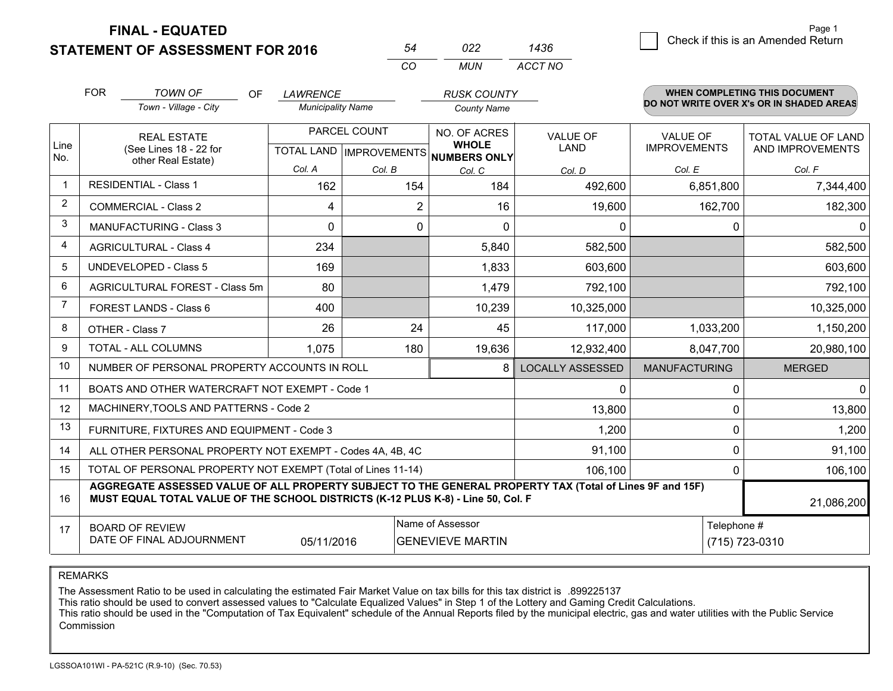**FINAL - EQUATED**

 $-$ 

 $\overline{6}$  Check if this is an Amended Return Page 1

| <b>STATEMENT OF ASSESSMENT FOR 2016</b> |
|-----------------------------------------|
|-----------------------------------------|

| 54 | 022 | 1436    |
|----|-----|---------|
| CO | MUN | ACCT NO |

|                | <b>FOR</b>                                                                                                                                                                                   | TOWN OF<br>OF.<br>LAWRENCE<br><b>RUSK COUNTY</b>          |                          |              |                                                                      |                         |                                        | WHEN COMPLETING THIS DOCUMENT            |
|----------------|----------------------------------------------------------------------------------------------------------------------------------------------------------------------------------------------|-----------------------------------------------------------|--------------------------|--------------|----------------------------------------------------------------------|-------------------------|----------------------------------------|------------------------------------------|
|                |                                                                                                                                                                                              | Town - Village - City                                     | <b>Municipality Name</b> |              | <b>County Name</b>                                                   |                         |                                        | DO NOT WRITE OVER X's OR IN SHADED AREAS |
| Line<br>No.    |                                                                                                                                                                                              | <b>REAL ESTATE</b><br>(See Lines 18 - 22 for              |                          | PARCEL COUNT | NO. OF ACRES<br><b>WHOLE</b><br>TOTAL LAND IMPROVEMENTS NUMBERS ONLY | <b>VALUE OF</b><br>LAND | <b>VALUE OF</b><br><b>IMPROVEMENTS</b> | TOTAL VALUE OF LAND<br>AND IMPROVEMENTS  |
|                |                                                                                                                                                                                              | other Real Estate)                                        | Col. A                   | Col. B       | Col. C                                                               | Col. D                  | Col. E                                 | Col. F                                   |
| 1              |                                                                                                                                                                                              | <b>RESIDENTIAL - Class 1</b>                              | 162                      | 154          | 184                                                                  | 492,600                 | 6,851,800                              | 7,344,400                                |
| $\overline{2}$ |                                                                                                                                                                                              | <b>COMMERCIAL - Class 2</b>                               | 4                        | 2            | 16                                                                   | 19,600                  | 162,700                                | 182,300                                  |
| 3              |                                                                                                                                                                                              | <b>MANUFACTURING - Class 3</b>                            | 0                        | $\mathbf{0}$ | 0                                                                    | 0                       | 0                                      | $\mathbf{0}$                             |
| 4              |                                                                                                                                                                                              | <b>AGRICULTURAL - Class 4</b>                             | 234                      |              | 5,840                                                                | 582,500                 |                                        | 582,500                                  |
| 5              |                                                                                                                                                                                              | <b>UNDEVELOPED - Class 5</b>                              | 169                      |              | 1,833                                                                | 603,600                 |                                        | 603,600                                  |
| 6              |                                                                                                                                                                                              | AGRICULTURAL FOREST - Class 5m                            | 80                       |              | 1,479                                                                | 792,100                 |                                        | 792,100                                  |
| $\overline{7}$ |                                                                                                                                                                                              | FOREST LANDS - Class 6                                    | 400                      |              | 10,239                                                               | 10,325,000              |                                        | 10,325,000                               |
| 8              |                                                                                                                                                                                              | OTHER - Class 7                                           | 26                       | 24           | 45                                                                   | 117,000                 | 1,033,200                              | 1,150,200                                |
| 9              |                                                                                                                                                                                              | TOTAL - ALL COLUMNS                                       | 1,075                    | 180          | 19,636                                                               | 12,932,400              | 8,047,700                              | 20,980,100                               |
| 10             |                                                                                                                                                                                              | NUMBER OF PERSONAL PROPERTY ACCOUNTS IN ROLL              |                          |              | 8                                                                    | <b>LOCALLY ASSESSED</b> | <b>MANUFACTURING</b>                   | <b>MERGED</b>                            |
| 11             |                                                                                                                                                                                              | BOATS AND OTHER WATERCRAFT NOT EXEMPT - Code 1            |                          |              |                                                                      | 0                       | $\mathbf{0}$                           | $\mathbf 0$                              |
| 12             |                                                                                                                                                                                              | MACHINERY, TOOLS AND PATTERNS - Code 2                    |                          |              |                                                                      | 13,800                  | $\mathbf 0$                            | 13,800                                   |
| 13             |                                                                                                                                                                                              | FURNITURE, FIXTURES AND EQUIPMENT - Code 3                |                          |              |                                                                      | 1,200                   | $\mathbf 0$                            | 1,200                                    |
| 14             |                                                                                                                                                                                              | ALL OTHER PERSONAL PROPERTY NOT EXEMPT - Codes 4A, 4B, 4C |                          |              |                                                                      | 91,100                  | 0                                      | 91,100                                   |
| 15             | TOTAL OF PERSONAL PROPERTY NOT EXEMPT (Total of Lines 11-14)                                                                                                                                 | $\mathbf{0}$                                              | 106,100                  |              |                                                                      |                         |                                        |                                          |
| 16             | AGGREGATE ASSESSED VALUE OF ALL PROPERTY SUBJECT TO THE GENERAL PROPERTY TAX (Total of Lines 9F and 15F)<br>MUST EQUAL TOTAL VALUE OF THE SCHOOL DISTRICTS (K-12 PLUS K-8) - Line 50, Col. F |                                                           |                          |              |                                                                      |                         |                                        | 21,086,200                               |
| 17             | Name of Assessor<br>Telephone #<br><b>BOARD OF REVIEW</b><br>DATE OF FINAL ADJOURNMENT<br>05/11/2016<br><b>GENEVIEVE MARTIN</b>                                                              |                                                           |                          |              |                                                                      |                         | (715) 723-0310                         |                                          |
|                |                                                                                                                                                                                              |                                                           |                          |              |                                                                      |                         |                                        |                                          |

#### REMARKS

The Assessment Ratio to be used in calculating the estimated Fair Market Value on tax bills for this tax district is .899225137

This ratio should be used to convert assessed values to "Calculate Equalized Values" in Step 1 of the Lottery and Gaming Credit Calculations.<br>This ratio should be used in the "Computation of Tax Equivalent" schedule of the Commission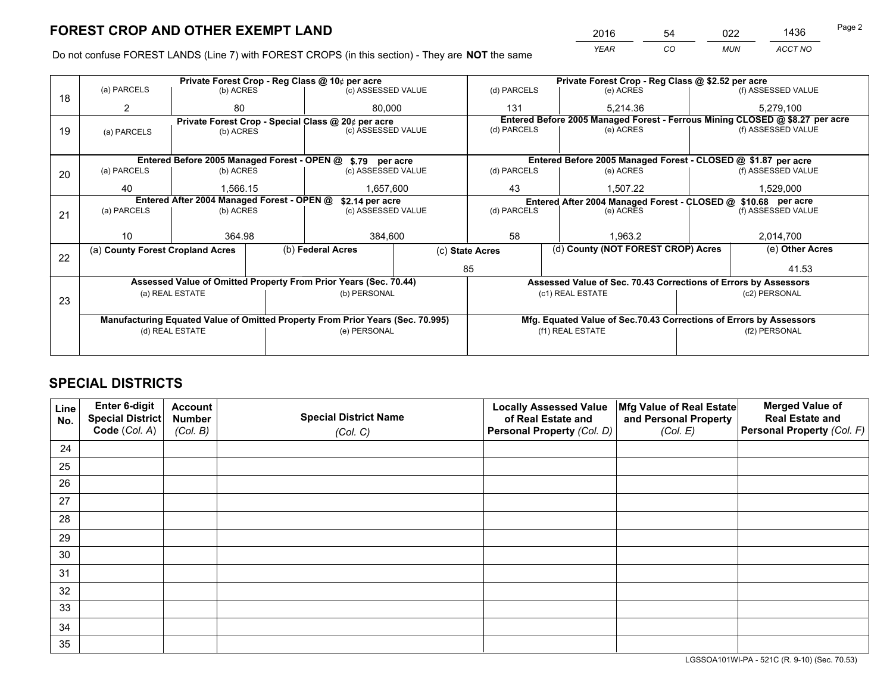*YEAR CO MUN ACCT NO* <sup>2016</sup> <sup>54</sup> <sup>022</sup> <sup>1436</sup>

Do not confuse FOREST LANDS (Line 7) with FOREST CROPS (in this section) - They are **NOT** the same

|    |                                            |                                                                                |  | Private Forest Crop - Reg Class @ 10¢ per acre                   | Private Forest Crop - Reg Class @ \$2.52 per acre             |                                                                    |                                                                              |                                                                 |                    |                    |
|----|--------------------------------------------|--------------------------------------------------------------------------------|--|------------------------------------------------------------------|---------------------------------------------------------------|--------------------------------------------------------------------|------------------------------------------------------------------------------|-----------------------------------------------------------------|--------------------|--------------------|
| 18 | (a) PARCELS                                | (b) ACRES                                                                      |  | (c) ASSESSED VALUE                                               |                                                               | (d) PARCELS                                                        |                                                                              | (e) ACRES                                                       |                    | (f) ASSESSED VALUE |
|    | 2                                          | 80                                                                             |  | 80.000                                                           |                                                               | 131                                                                |                                                                              | 5.214.36                                                        |                    | 5,279,100          |
|    |                                            |                                                                                |  | Private Forest Crop - Special Class @ 20¢ per acre               |                                                               |                                                                    | Entered Before 2005 Managed Forest - Ferrous Mining CLOSED @ \$8.27 per acre |                                                                 |                    |                    |
| 19 | (a) PARCELS                                | (c) ASSESSED VALUE<br>(b) ACRES                                                |  |                                                                  | (d) PARCELS                                                   |                                                                    | (e) ACRES                                                                    |                                                                 | (f) ASSESSED VALUE |                    |
|    |                                            |                                                                                |  |                                                                  |                                                               |                                                                    |                                                                              |                                                                 |                    |                    |
|    |                                            |                                                                                |  | Entered Before 2005 Managed Forest - OPEN @ \$.79 per acre       |                                                               |                                                                    |                                                                              | Entered Before 2005 Managed Forest - CLOSED @ \$1.87 per acre   |                    |                    |
| 20 | (a) PARCELS                                | (b) ACRES                                                                      |  | (c) ASSESSED VALUE                                               |                                                               | (d) PARCELS                                                        |                                                                              | (e) ACRES                                                       |                    | (f) ASSESSED VALUE |
|    | 40                                         | 1.566.15<br>1,657,600                                                          |  |                                                                  | 43<br>1.507.22                                                |                                                                    |                                                                              | 1,529,000                                                       |                    |                    |
|    | Entered After 2004 Managed Forest - OPEN @ |                                                                                |  | \$2.14 per acre                                                  | Entered After 2004 Managed Forest - CLOSED @ \$10.68 per acre |                                                                    |                                                                              |                                                                 |                    |                    |
| 21 | (a) PARCELS                                | (b) ACRES                                                                      |  | (c) ASSESSED VALUE                                               | (d) PARCELS<br>(e) ACRES                                      |                                                                    |                                                                              | (f) ASSESSED VALUE                                              |                    |                    |
|    |                                            |                                                                                |  |                                                                  |                                                               |                                                                    |                                                                              |                                                                 |                    |                    |
|    | 10                                         | 364.98                                                                         |  | 384,600                                                          |                                                               | 58                                                                 | 1.963.2                                                                      |                                                                 | 2,014,700          |                    |
| 22 | (a) County Forest Cropland Acres           |                                                                                |  | (b) Federal Acres                                                |                                                               | (d) County (NOT FOREST CROP) Acres<br>(c) State Acres              |                                                                              |                                                                 |                    | (e) Other Acres    |
|    |                                            |                                                                                |  |                                                                  |                                                               | 85                                                                 |                                                                              |                                                                 |                    | 41.53              |
|    |                                            |                                                                                |  | Assessed Value of Omitted Property From Prior Years (Sec. 70.44) |                                                               |                                                                    |                                                                              | Assessed Value of Sec. 70.43 Corrections of Errors by Assessors |                    |                    |
|    |                                            | (a) REAL ESTATE                                                                |  | (b) PERSONAL                                                     |                                                               |                                                                    | (c1) REAL ESTATE                                                             |                                                                 |                    | (c2) PERSONAL      |
| 23 |                                            |                                                                                |  |                                                                  |                                                               |                                                                    |                                                                              |                                                                 |                    |                    |
|    |                                            | Manufacturing Equated Value of Omitted Property From Prior Years (Sec. 70.995) |  |                                                                  |                                                               | Mfg. Equated Value of Sec.70.43 Corrections of Errors by Assessors |                                                                              |                                                                 |                    |                    |
|    |                                            | (d) REAL ESTATE                                                                |  | (e) PERSONAL                                                     |                                                               |                                                                    | (f1) REAL ESTATE                                                             |                                                                 | (f2) PERSONAL      |                    |
|    |                                            |                                                                                |  |                                                                  |                                                               |                                                                    |                                                                              |                                                                 |                    |                    |

## **SPECIAL DISTRICTS**

| Line<br>No. | Enter 6-digit<br>Special District<br>Code (Col. A) | <b>Account</b><br><b>Number</b> | <b>Special District Name</b> | <b>Locally Assessed Value</b><br>of Real Estate and | Mfg Value of Real Estate<br>and Personal Property | <b>Merged Value of</b><br><b>Real Estate and</b><br>Personal Property (Col. F) |
|-------------|----------------------------------------------------|---------------------------------|------------------------------|-----------------------------------------------------|---------------------------------------------------|--------------------------------------------------------------------------------|
|             |                                                    | (Col. B)                        | (Col. C)                     | Personal Property (Col. D)                          | (Col. E)                                          |                                                                                |
| 24          |                                                    |                                 |                              |                                                     |                                                   |                                                                                |
| 25          |                                                    |                                 |                              |                                                     |                                                   |                                                                                |
| 26          |                                                    |                                 |                              |                                                     |                                                   |                                                                                |
| 27          |                                                    |                                 |                              |                                                     |                                                   |                                                                                |
| 28          |                                                    |                                 |                              |                                                     |                                                   |                                                                                |
| 29          |                                                    |                                 |                              |                                                     |                                                   |                                                                                |
| 30          |                                                    |                                 |                              |                                                     |                                                   |                                                                                |
| 31          |                                                    |                                 |                              |                                                     |                                                   |                                                                                |
| 32          |                                                    |                                 |                              |                                                     |                                                   |                                                                                |
| 33          |                                                    |                                 |                              |                                                     |                                                   |                                                                                |
| 34          |                                                    |                                 |                              |                                                     |                                                   |                                                                                |
| 35          |                                                    |                                 |                              |                                                     |                                                   |                                                                                |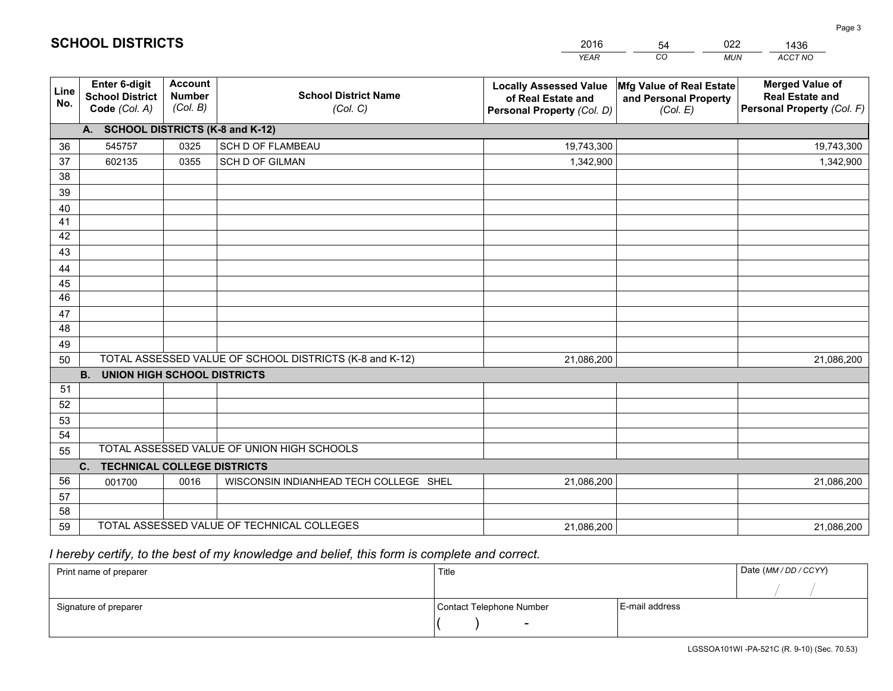|             |                                                                 |                                             |                                                         | <b>YEAR</b>                                                                       | CO<br><b>MUN</b>                                              | ACCT NO                                                                        |
|-------------|-----------------------------------------------------------------|---------------------------------------------|---------------------------------------------------------|-----------------------------------------------------------------------------------|---------------------------------------------------------------|--------------------------------------------------------------------------------|
| Line<br>No. | <b>Enter 6-digit</b><br><b>School District</b><br>Code (Col. A) | <b>Account</b><br><b>Number</b><br>(Col. B) | <b>School District Name</b><br>(Col. C)                 | <b>Locally Assessed Value</b><br>of Real Estate and<br>Personal Property (Col. D) | Mfg Value of Real Estate<br>and Personal Property<br>(Col. E) | <b>Merged Value of</b><br><b>Real Estate and</b><br>Personal Property (Col. F) |
|             | A. SCHOOL DISTRICTS (K-8 and K-12)                              |                                             |                                                         |                                                                                   |                                                               |                                                                                |
| 36          | 545757                                                          | 0325                                        | <b>SCH D OF FLAMBEAU</b>                                | 19,743,300                                                                        |                                                               | 19,743,300                                                                     |
| 37          | 602135                                                          | 0355                                        | <b>SCH D OF GILMAN</b>                                  | 1,342,900                                                                         |                                                               | 1,342,900                                                                      |
| 38          |                                                                 |                                             |                                                         |                                                                                   |                                                               |                                                                                |
| 39          |                                                                 |                                             |                                                         |                                                                                   |                                                               |                                                                                |
| 40          |                                                                 |                                             |                                                         |                                                                                   |                                                               |                                                                                |
| 41          |                                                                 |                                             |                                                         |                                                                                   |                                                               |                                                                                |
| 42          |                                                                 |                                             |                                                         |                                                                                   |                                                               |                                                                                |
| 43          |                                                                 |                                             |                                                         |                                                                                   |                                                               |                                                                                |
| 44          |                                                                 |                                             |                                                         |                                                                                   |                                                               |                                                                                |
| 45<br>46    |                                                                 |                                             |                                                         |                                                                                   |                                                               |                                                                                |
| 47          |                                                                 |                                             |                                                         |                                                                                   |                                                               |                                                                                |
| 48          |                                                                 |                                             |                                                         |                                                                                   |                                                               |                                                                                |
| 49          |                                                                 |                                             |                                                         |                                                                                   |                                                               |                                                                                |
| 50          |                                                                 |                                             | TOTAL ASSESSED VALUE OF SCHOOL DISTRICTS (K-8 and K-12) | 21,086,200                                                                        |                                                               | 21,086,200                                                                     |
|             | <b>B.</b><br><b>UNION HIGH SCHOOL DISTRICTS</b>                 |                                             |                                                         |                                                                                   |                                                               |                                                                                |
| 51          |                                                                 |                                             |                                                         |                                                                                   |                                                               |                                                                                |
| 52          |                                                                 |                                             |                                                         |                                                                                   |                                                               |                                                                                |
| 53          |                                                                 |                                             |                                                         |                                                                                   |                                                               |                                                                                |
| 54          |                                                                 |                                             |                                                         |                                                                                   |                                                               |                                                                                |
| 55          |                                                                 |                                             | TOTAL ASSESSED VALUE OF UNION HIGH SCHOOLS              |                                                                                   |                                                               |                                                                                |
|             | <b>TECHNICAL COLLEGE DISTRICTS</b><br>C.                        |                                             |                                                         |                                                                                   |                                                               |                                                                                |
| 56          | 001700                                                          | 0016                                        | WISCONSIN INDIANHEAD TECH COLLEGE SHEL                  | 21,086,200                                                                        |                                                               | 21,086,200                                                                     |
| 57          |                                                                 |                                             |                                                         |                                                                                   |                                                               |                                                                                |
| 58          |                                                                 |                                             |                                                         |                                                                                   |                                                               |                                                                                |
| 59          |                                                                 |                                             | TOTAL ASSESSED VALUE OF TECHNICAL COLLEGES              | 21,086,200                                                                        |                                                               | 21,086,200                                                                     |

54

022

 *I hereby certify, to the best of my knowledge and belief, this form is complete and correct.*

**SCHOOL DISTRICTS**

| Print name of preparer | Title                    |                | Date (MM / DD / CCYY) |
|------------------------|--------------------------|----------------|-----------------------|
|                        |                          |                |                       |
| Signature of preparer  | Contact Telephone Number | E-mail address |                       |
|                        | $\overline{\phantom{0}}$ |                |                       |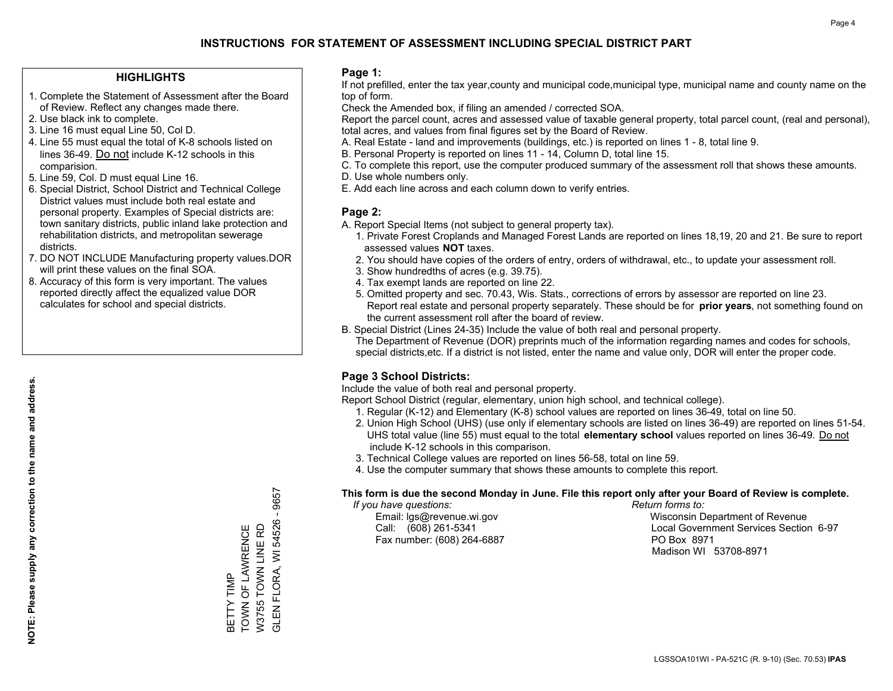#### **HIGHLIGHTS**

- 1. Complete the Statement of Assessment after the Board of Review. Reflect any changes made there.
- 2. Use black ink to complete.
- 3. Line 16 must equal Line 50, Col D.
- 4. Line 55 must equal the total of K-8 schools listed on lines 36-49. Do not include K-12 schools in this comparision.
- 5. Line 59, Col. D must equal Line 16.
- 6. Special District, School District and Technical College District values must include both real estate and personal property. Examples of Special districts are: town sanitary districts, public inland lake protection and rehabilitation districts, and metropolitan sewerage districts.
- 7. DO NOT INCLUDE Manufacturing property values.DOR will print these values on the final SOA.

BETTY TIMP

TOWN OF LAWRENCE W3755 TOWN LINE RD

BETTY TIMP<br>TOWN OF LAWRENCE W3755 TOWN LINE RD GLEN FLORA, WI 54526 - 9657

GLEN FLORA, WI 54526

9657

 8. Accuracy of this form is very important. The values reported directly affect the equalized value DOR calculates for school and special districts.

#### **Page 1:**

 If not prefilled, enter the tax year,county and municipal code,municipal type, municipal name and county name on the top of form.

Check the Amended box, if filing an amended / corrected SOA.

 Report the parcel count, acres and assessed value of taxable general property, total parcel count, (real and personal), total acres, and values from final figures set by the Board of Review.

- A. Real Estate land and improvements (buildings, etc.) is reported on lines 1 8, total line 9.
- B. Personal Property is reported on lines 11 14, Column D, total line 15.
- C. To complete this report, use the computer produced summary of the assessment roll that shows these amounts.
- D. Use whole numbers only.
- E. Add each line across and each column down to verify entries.

### **Page 2:**

- A. Report Special Items (not subject to general property tax).
- 1. Private Forest Croplands and Managed Forest Lands are reported on lines 18,19, 20 and 21. Be sure to report assessed values **NOT** taxes.
- 2. You should have copies of the orders of entry, orders of withdrawal, etc., to update your assessment roll.
	- 3. Show hundredths of acres (e.g. 39.75).
- 4. Tax exempt lands are reported on line 22.
- 5. Omitted property and sec. 70.43, Wis. Stats., corrections of errors by assessor are reported on line 23. Report real estate and personal property separately. These should be for **prior years**, not something found on the current assessment roll after the board of review.
- B. Special District (Lines 24-35) Include the value of both real and personal property.

 The Department of Revenue (DOR) preprints much of the information regarding names and codes for schools, special districts,etc. If a district is not listed, enter the name and value only, DOR will enter the proper code.

### **Page 3 School Districts:**

Include the value of both real and personal property.

Report School District (regular, elementary, union high school, and technical college).

- 1. Regular (K-12) and Elementary (K-8) school values are reported on lines 36-49, total on line 50.
- 2. Union High School (UHS) (use only if elementary schools are listed on lines 36-49) are reported on lines 51-54. UHS total value (line 55) must equal to the total **elementary school** values reported on lines 36-49. Do notinclude K-12 schools in this comparison.
- 3. Technical College values are reported on lines 56-58, total on line 59.
- 4. Use the computer summary that shows these amounts to complete this report.

#### **This form is due the second Monday in June. File this report only after your Board of Review is complete.**

 *If you have questions: Return forms to:*

Fax number: (608) 264-6887 PO Box 8971

 Email: lgs@revenue.wi.gov Wisconsin Department of Revenue Call: (608) 261-5341 Local Government Services Section 6-97Madison WI 53708-8971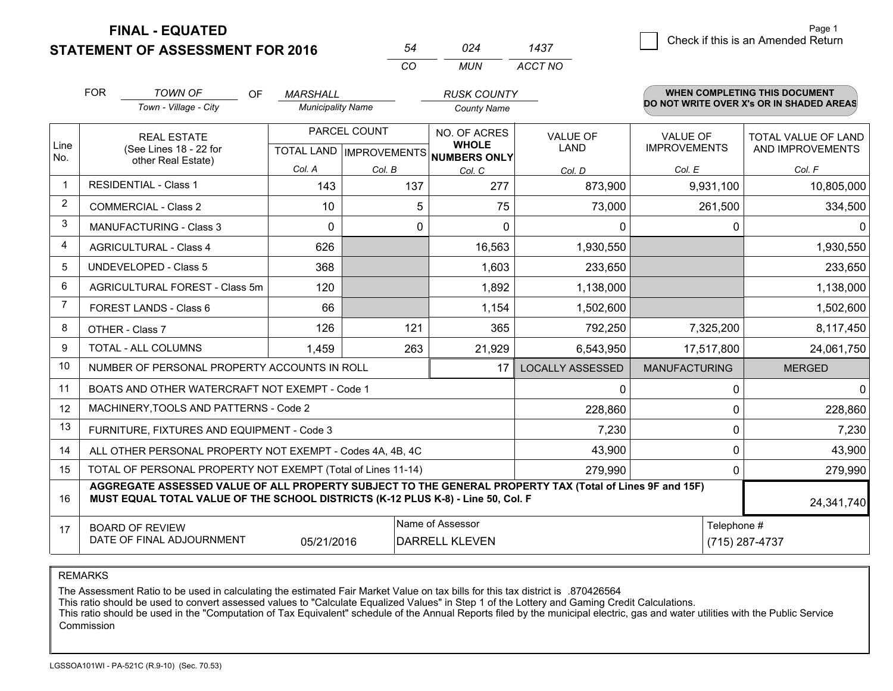**FINAL - EQUATED**

**STATEMENT OF ASSESSMENT FOR 2016** 

|                | <b>FOR</b>                                                                         | <b>TOWN OF</b><br>OF                                                                                                                                                                         | <b>MARSHALL</b>          |          | <b>RUSK COUNTY</b>                                   |                         |                      | WHEN COMPLETING THIS DOCUMENT            |
|----------------|------------------------------------------------------------------------------------|----------------------------------------------------------------------------------------------------------------------------------------------------------------------------------------------|--------------------------|----------|------------------------------------------------------|-------------------------|----------------------|------------------------------------------|
|                |                                                                                    | Town - Village - City                                                                                                                                                                        | <b>Municipality Name</b> |          | <b>County Name</b>                                   |                         |                      | DO NOT WRITE OVER X's OR IN SHADED AREAS |
|                |                                                                                    | PARCEL COUNT<br><b>REAL ESTATE</b>                                                                                                                                                           |                          |          | NO. OF ACRES                                         | <b>VALUE OF</b>         | <b>VALUE OF</b>      | TOTAL VALUE OF LAND                      |
| Line<br>No.    |                                                                                    | (See Lines 18 - 22 for<br>other Real Estate)                                                                                                                                                 |                          |          | <b>WHOLE</b><br>TOTAL LAND IMPROVEMENTS NUMBERS ONLY | LAND                    | <b>IMPROVEMENTS</b>  | AND IMPROVEMENTS                         |
|                |                                                                                    |                                                                                                                                                                                              | Col. A                   | Col. B   | Col. C                                               | Col. D                  | Col. E               | Col. F                                   |
| $\overline{1}$ |                                                                                    | <b>RESIDENTIAL - Class 1</b>                                                                                                                                                                 | 143                      | 137      | 277                                                  | 873,900                 | 9,931,100            | 10,805,000                               |
| $\overline{2}$ |                                                                                    | <b>COMMERCIAL - Class 2</b>                                                                                                                                                                  | 10                       | 5        | 75                                                   | 73,000                  | 261,500              | 334,500                                  |
| 3              |                                                                                    | <b>MANUFACTURING - Class 3</b>                                                                                                                                                               | $\Omega$                 | $\Omega$ | $\Omega$                                             | $\Omega$                | 0                    | 0                                        |
| 4              |                                                                                    | <b>AGRICULTURAL - Class 4</b>                                                                                                                                                                | 626                      |          | 16,563                                               | 1,930,550               |                      | 1,930,550                                |
| 5              | <b>UNDEVELOPED - Class 5</b>                                                       |                                                                                                                                                                                              | 368                      |          | 1,603                                                | 233,650                 |                      | 233,650                                  |
| 6              | AGRICULTURAL FOREST - Class 5m                                                     |                                                                                                                                                                                              | 120                      |          | 1,892                                                | 1,138,000               |                      | 1,138,000                                |
| $\overline{7}$ | FOREST LANDS - Class 6                                                             |                                                                                                                                                                                              | 66                       |          | 1,154                                                | 1,502,600               |                      | 1,502,600                                |
| 8              |                                                                                    | OTHER - Class 7                                                                                                                                                                              | 126                      | 121      | 365                                                  | 792,250                 | 7,325,200            | 8,117,450                                |
| 9              |                                                                                    | TOTAL - ALL COLUMNS                                                                                                                                                                          | 1,459                    | 263      | 21,929                                               | 6,543,950               | 17,517,800           | 24,061,750                               |
| 10             |                                                                                    | NUMBER OF PERSONAL PROPERTY ACCOUNTS IN ROLL                                                                                                                                                 |                          |          | 17                                                   | <b>LOCALLY ASSESSED</b> | <b>MANUFACTURING</b> | <b>MERGED</b>                            |
| 11             |                                                                                    | BOATS AND OTHER WATERCRAFT NOT EXEMPT - Code 1                                                                                                                                               |                          |          |                                                      | $\Omega$                | $\Omega$             | $\Omega$                                 |
| 12             |                                                                                    | MACHINERY, TOOLS AND PATTERNS - Code 2                                                                                                                                                       |                          |          |                                                      | 228,860                 | 0                    | 228,860                                  |
| 13             |                                                                                    | FURNITURE, FIXTURES AND EQUIPMENT - Code 3                                                                                                                                                   |                          |          |                                                      | 7,230                   | 0                    | 7,230                                    |
| 14             |                                                                                    | ALL OTHER PERSONAL PROPERTY NOT EXEMPT - Codes 4A, 4B, 4C                                                                                                                                    |                          |          |                                                      | 43,900                  | 0                    | 43,900                                   |
| 15             | TOTAL OF PERSONAL PROPERTY NOT EXEMPT (Total of Lines 11-14)                       |                                                                                                                                                                                              |                          |          |                                                      | 279,990                 | $\mathbf{0}$         | 279,990                                  |
| 16             |                                                                                    | AGGREGATE ASSESSED VALUE OF ALL PROPERTY SUBJECT TO THE GENERAL PROPERTY TAX (Total of Lines 9F and 15F)<br>MUST EQUAL TOTAL VALUE OF THE SCHOOL DISTRICTS (K-12 PLUS K-8) - Line 50, Col. F |                          |          |                                                      |                         |                      | 24,341,740                               |
| 17             |                                                                                    | <b>BOARD OF REVIEW</b>                                                                                                                                                                       |                          |          | Name of Assessor                                     |                         | Telephone #          |                                          |
|                | DATE OF FINAL ADJOURNMENT<br>05/21/2016<br><b>DARRELL KLEVEN</b><br>(715) 287-4737 |                                                                                                                                                                                              |                          |          |                                                      |                         |                      |                                          |

*MUN*

*ACCT NO1437*

*<sup>54</sup> <sup>024</sup>*

*CO*

REMARKS

The Assessment Ratio to be used in calculating the estimated Fair Market Value on tax bills for this tax district is .870426564<br>This ratio should be used to convert assessed values to "Calculate Equalized Values" in Step 1 Commission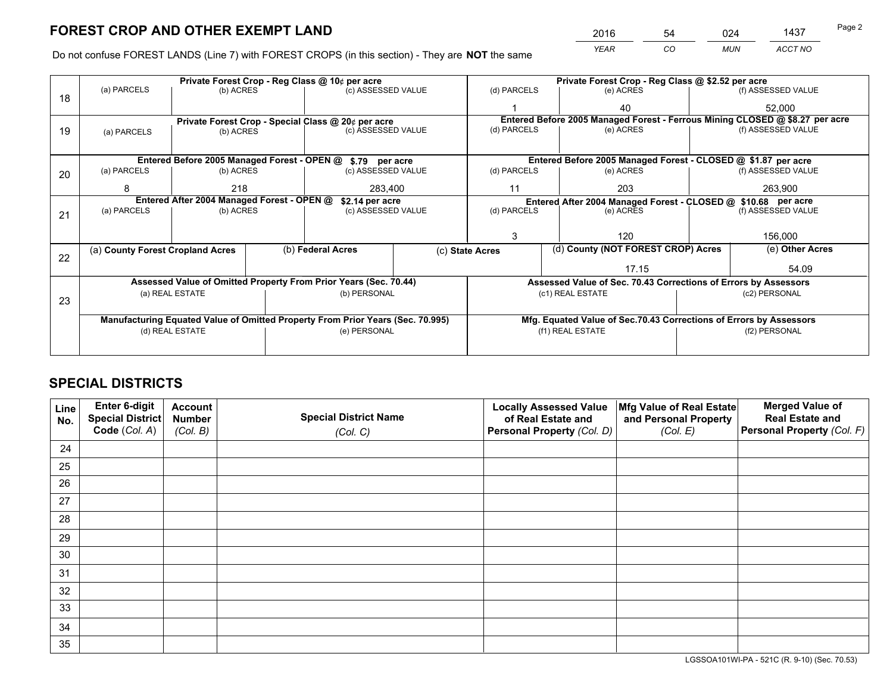*YEAR CO MUN ACCT NO* 2016 54 024 1437 Page 2

Do not confuse FOREST LANDS (Line 7) with FOREST CROPS (in this section) - They are **NOT** the same

|    |                                                                                |                 |  | Private Forest Crop - Reg Class @ 10¢ per acre                   |  | Private Forest Crop - Reg Class @ \$2.52 per acre               |                                                               |                                                                    |  |                                                                              |  |
|----|--------------------------------------------------------------------------------|-----------------|--|------------------------------------------------------------------|--|-----------------------------------------------------------------|---------------------------------------------------------------|--------------------------------------------------------------------|--|------------------------------------------------------------------------------|--|
| 18 | (a) PARCELS                                                                    | (b) ACRES       |  | (c) ASSESSED VALUE                                               |  | (d) PARCELS                                                     |                                                               | (e) ACRES                                                          |  | (f) ASSESSED VALUE                                                           |  |
|    |                                                                                |                 |  |                                                                  |  |                                                                 |                                                               | 40                                                                 |  | 52,000                                                                       |  |
|    |                                                                                |                 |  | Private Forest Crop - Special Class @ 20¢ per acre               |  |                                                                 |                                                               |                                                                    |  | Entered Before 2005 Managed Forest - Ferrous Mining CLOSED @ \$8.27 per acre |  |
| 19 | (a) PARCELS                                                                    | (b) ACRES       |  | (c) ASSESSED VALUE                                               |  | (d) PARCELS                                                     |                                                               | (e) ACRES                                                          |  | (f) ASSESSED VALUE                                                           |  |
|    |                                                                                |                 |  |                                                                  |  |                                                                 |                                                               |                                                                    |  |                                                                              |  |
|    |                                                                                |                 |  | Entered Before 2005 Managed Forest - OPEN @ \$.79 per acre       |  | Entered Before 2005 Managed Forest - CLOSED @ \$1.87 per acre   |                                                               |                                                                    |  |                                                                              |  |
| 20 | (a) PARCELS                                                                    | (b) ACRES       |  | (c) ASSESSED VALUE                                               |  | (d) PARCELS                                                     |                                                               | (e) ACRES                                                          |  | (f) ASSESSED VALUE                                                           |  |
|    | 8                                                                              | 218<br>283.400  |  | 11                                                               |  | 203                                                             |                                                               | 263,900                                                            |  |                                                                              |  |
|    | Entered After 2004 Managed Forest - OPEN @<br>\$2.14 per acre                  |                 |  |                                                                  |  |                                                                 | Entered After 2004 Managed Forest - CLOSED @ \$10.68 per acre |                                                                    |  |                                                                              |  |
| 21 | (a) PARCELS                                                                    | (b) ACRES       |  | (c) ASSESSED VALUE                                               |  | (d) PARCELS                                                     |                                                               | (e) ACRES                                                          |  | (f) ASSESSED VALUE                                                           |  |
|    |                                                                                |                 |  |                                                                  |  |                                                                 |                                                               |                                                                    |  |                                                                              |  |
|    |                                                                                |                 |  |                                                                  |  | 3                                                               |                                                               | 120                                                                |  | 156,000                                                                      |  |
|    | (a) County Forest Cropland Acres                                               |                 |  | (b) Federal Acres                                                |  | (c) State Acres                                                 |                                                               | (d) County (NOT FOREST CROP) Acres                                 |  | (e) Other Acres                                                              |  |
| 22 |                                                                                |                 |  |                                                                  |  |                                                                 |                                                               | 17.15                                                              |  | 54.09                                                                        |  |
|    |                                                                                |                 |  | Assessed Value of Omitted Property From Prior Years (Sec. 70.44) |  | Assessed Value of Sec. 70.43 Corrections of Errors by Assessors |                                                               |                                                                    |  |                                                                              |  |
|    |                                                                                | (a) REAL ESTATE |  | (b) PERSONAL                                                     |  |                                                                 | (c1) REAL ESTATE                                              |                                                                    |  | (c2) PERSONAL                                                                |  |
| 23 |                                                                                |                 |  |                                                                  |  |                                                                 |                                                               |                                                                    |  |                                                                              |  |
|    | Manufacturing Equated Value of Omitted Property From Prior Years (Sec. 70.995) |                 |  |                                                                  |  |                                                                 |                                                               | Mfg. Equated Value of Sec.70.43 Corrections of Errors by Assessors |  |                                                                              |  |
|    |                                                                                | (d) REAL ESTATE |  | (e) PERSONAL                                                     |  |                                                                 | (f1) REAL ESTATE                                              |                                                                    |  | (f2) PERSONAL                                                                |  |
|    |                                                                                |                 |  |                                                                  |  |                                                                 |                                                               |                                                                    |  |                                                                              |  |

## **SPECIAL DISTRICTS**

| Line<br>No. | Enter 6-digit<br>Special District<br>Code (Col. A) | <b>Account</b><br><b>Number</b><br>(Col. B) | <b>Special District Name</b><br>(Col. C) | <b>Locally Assessed Value</b><br>of Real Estate and<br>Personal Property (Col. D) | Mfg Value of Real Estate<br>and Personal Property<br>(Col. E) | <b>Merged Value of</b><br><b>Real Estate and</b><br>Personal Property (Col. F) |
|-------------|----------------------------------------------------|---------------------------------------------|------------------------------------------|-----------------------------------------------------------------------------------|---------------------------------------------------------------|--------------------------------------------------------------------------------|
| 24          |                                                    |                                             |                                          |                                                                                   |                                                               |                                                                                |
| 25          |                                                    |                                             |                                          |                                                                                   |                                                               |                                                                                |
| 26          |                                                    |                                             |                                          |                                                                                   |                                                               |                                                                                |
| 27          |                                                    |                                             |                                          |                                                                                   |                                                               |                                                                                |
| 28          |                                                    |                                             |                                          |                                                                                   |                                                               |                                                                                |
| 29          |                                                    |                                             |                                          |                                                                                   |                                                               |                                                                                |
| 30          |                                                    |                                             |                                          |                                                                                   |                                                               |                                                                                |
| 31          |                                                    |                                             |                                          |                                                                                   |                                                               |                                                                                |
| 32          |                                                    |                                             |                                          |                                                                                   |                                                               |                                                                                |
| 33          |                                                    |                                             |                                          |                                                                                   |                                                               |                                                                                |
| 34          |                                                    |                                             |                                          |                                                                                   |                                                               |                                                                                |
| 35          |                                                    |                                             |                                          |                                                                                   |                                                               |                                                                                |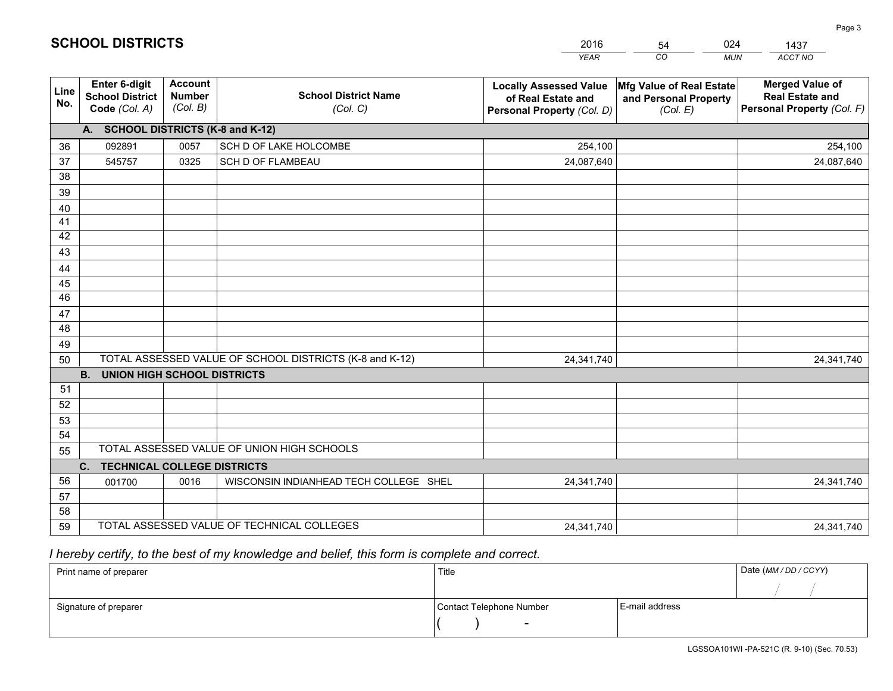|             |                                                                 |                                             |                                                         | <b>YEAR</b>                                                                       | CO<br><b>MUN</b>                                              | ACCT NO                                                                        |
|-------------|-----------------------------------------------------------------|---------------------------------------------|---------------------------------------------------------|-----------------------------------------------------------------------------------|---------------------------------------------------------------|--------------------------------------------------------------------------------|
| Line<br>No. | <b>Enter 6-digit</b><br><b>School District</b><br>Code (Col. A) | <b>Account</b><br><b>Number</b><br>(Col. B) | <b>School District Name</b><br>(Col. C)                 | <b>Locally Assessed Value</b><br>of Real Estate and<br>Personal Property (Col. D) | Mfg Value of Real Estate<br>and Personal Property<br>(Col. E) | <b>Merged Value of</b><br><b>Real Estate and</b><br>Personal Property (Col. F) |
|             | A. SCHOOL DISTRICTS (K-8 and K-12)                              |                                             |                                                         |                                                                                   |                                                               |                                                                                |
| 36          | 092891                                                          | 0057                                        | SCH D OF LAKE HOLCOMBE                                  | 254,100                                                                           |                                                               | 254,100                                                                        |
| 37          | 545757                                                          | 0325                                        | SCH D OF FLAMBEAU                                       | 24,087,640                                                                        |                                                               | 24,087,640                                                                     |
| 38          |                                                                 |                                             |                                                         |                                                                                   |                                                               |                                                                                |
| 39          |                                                                 |                                             |                                                         |                                                                                   |                                                               |                                                                                |
| 40          |                                                                 |                                             |                                                         |                                                                                   |                                                               |                                                                                |
| 41          |                                                                 |                                             |                                                         |                                                                                   |                                                               |                                                                                |
| 42          |                                                                 |                                             |                                                         |                                                                                   |                                                               |                                                                                |
| 43          |                                                                 |                                             |                                                         |                                                                                   |                                                               |                                                                                |
| 44          |                                                                 |                                             |                                                         |                                                                                   |                                                               |                                                                                |
| 45<br>46    |                                                                 |                                             |                                                         |                                                                                   |                                                               |                                                                                |
|             |                                                                 |                                             |                                                         |                                                                                   |                                                               |                                                                                |
| 47<br>48    |                                                                 |                                             |                                                         |                                                                                   |                                                               |                                                                                |
| 49          |                                                                 |                                             |                                                         |                                                                                   |                                                               |                                                                                |
| 50          |                                                                 |                                             | TOTAL ASSESSED VALUE OF SCHOOL DISTRICTS (K-8 and K-12) | 24,341,740                                                                        |                                                               | 24,341,740                                                                     |
|             | <b>B.</b><br><b>UNION HIGH SCHOOL DISTRICTS</b>                 |                                             |                                                         |                                                                                   |                                                               |                                                                                |
| 51          |                                                                 |                                             |                                                         |                                                                                   |                                                               |                                                                                |
| 52          |                                                                 |                                             |                                                         |                                                                                   |                                                               |                                                                                |
| 53          |                                                                 |                                             |                                                         |                                                                                   |                                                               |                                                                                |
| 54          |                                                                 |                                             |                                                         |                                                                                   |                                                               |                                                                                |
| 55          |                                                                 |                                             | TOTAL ASSESSED VALUE OF UNION HIGH SCHOOLS              |                                                                                   |                                                               |                                                                                |
|             | <b>TECHNICAL COLLEGE DISTRICTS</b><br>C.                        |                                             |                                                         |                                                                                   |                                                               |                                                                                |
| 56          | 001700                                                          | 0016                                        | WISCONSIN INDIANHEAD TECH COLLEGE SHEL                  | 24,341,740                                                                        |                                                               | 24,341,740                                                                     |
| 57          |                                                                 |                                             |                                                         |                                                                                   |                                                               |                                                                                |
| 58          |                                                                 |                                             |                                                         |                                                                                   |                                                               |                                                                                |
| 59          |                                                                 |                                             | TOTAL ASSESSED VALUE OF TECHNICAL COLLEGES              | 24,341,740                                                                        |                                                               | 24,341,740                                                                     |

54

024

## *I hereby certify, to the best of my knowledge and belief, this form is complete and correct.*

**SCHOOL DISTRICTS**

| Print name of preparer | Title                    |                | Date (MM / DD / CCYY) |
|------------------------|--------------------------|----------------|-----------------------|
|                        |                          |                |                       |
| Signature of preparer  | Contact Telephone Number | E-mail address |                       |
|                        | $\overline{\phantom{0}}$ |                |                       |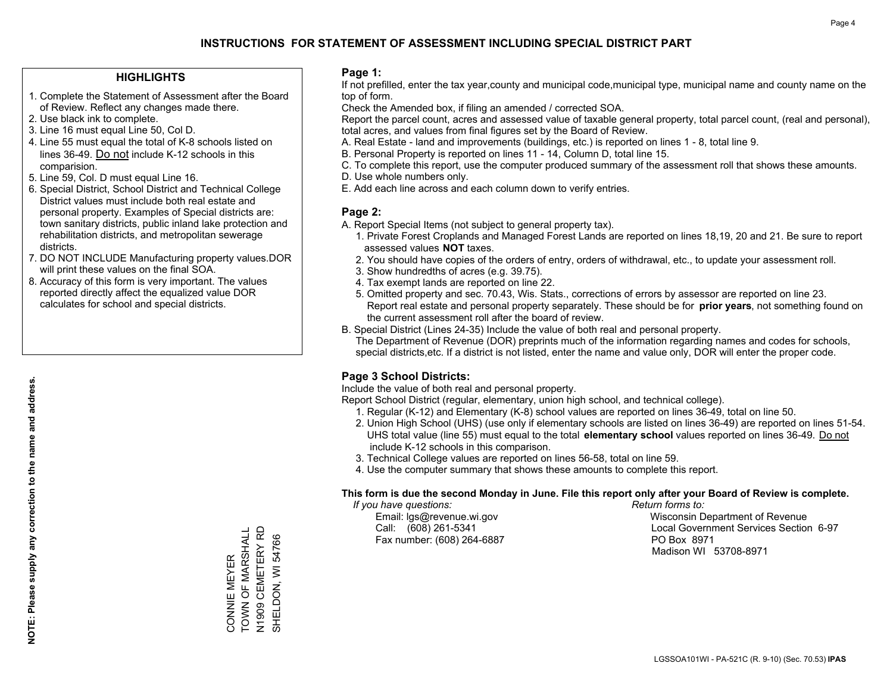#### **HIGHLIGHTS**

- 1. Complete the Statement of Assessment after the Board of Review. Reflect any changes made there.
- 2. Use black ink to complete.
- 3. Line 16 must equal Line 50, Col D.
- 4. Line 55 must equal the total of K-8 schools listed on lines 36-49. Do not include K-12 schools in this comparision.
- 5. Line 59, Col. D must equal Line 16.
- 6. Special District, School District and Technical College District values must include both real estate and personal property. Examples of Special districts are: town sanitary districts, public inland lake protection and rehabilitation districts, and metropolitan sewerage districts.
- 7. DO NOT INCLUDE Manufacturing property values.DOR will print these values on the final SOA.
- 8. Accuracy of this form is very important. The values reported directly affect the equalized value DOR calculates for school and special districts.

#### **Page 1:**

 If not prefilled, enter the tax year,county and municipal code,municipal type, municipal name and county name on the top of form.

Check the Amended box, if filing an amended / corrected SOA.

 Report the parcel count, acres and assessed value of taxable general property, total parcel count, (real and personal), total acres, and values from final figures set by the Board of Review.

- A. Real Estate land and improvements (buildings, etc.) is reported on lines 1 8, total line 9.
- B. Personal Property is reported on lines 11 14, Column D, total line 15.
- C. To complete this report, use the computer produced summary of the assessment roll that shows these amounts.
- D. Use whole numbers only.
- E. Add each line across and each column down to verify entries.

#### **Page 2:**

- A. Report Special Items (not subject to general property tax).
- 1. Private Forest Croplands and Managed Forest Lands are reported on lines 18,19, 20 and 21. Be sure to report assessed values **NOT** taxes.
- 2. You should have copies of the orders of entry, orders of withdrawal, etc., to update your assessment roll.
	- 3. Show hundredths of acres (e.g. 39.75).
- 4. Tax exempt lands are reported on line 22.
- 5. Omitted property and sec. 70.43, Wis. Stats., corrections of errors by assessor are reported on line 23. Report real estate and personal property separately. These should be for **prior years**, not something found on the current assessment roll after the board of review.
- B. Special District (Lines 24-35) Include the value of both real and personal property.

 The Department of Revenue (DOR) preprints much of the information regarding names and codes for schools, special districts,etc. If a district is not listed, enter the name and value only, DOR will enter the proper code.

### **Page 3 School Districts:**

Include the value of both real and personal property.

Report School District (regular, elementary, union high school, and technical college).

- 1. Regular (K-12) and Elementary (K-8) school values are reported on lines 36-49, total on line 50.
- 2. Union High School (UHS) (use only if elementary schools are listed on lines 36-49) are reported on lines 51-54. UHS total value (line 55) must equal to the total **elementary school** values reported on lines 36-49. Do notinclude K-12 schools in this comparison.
- 3. Technical College values are reported on lines 56-58, total on line 59.
- 4. Use the computer summary that shows these amounts to complete this report.

#### **This form is due the second Monday in June. File this report only after your Board of Review is complete.**

 *If you have questions: Return forms to:*

Fax number: (608) 264-6887 PO Box 8971

 Email: lgs@revenue.wi.gov Wisconsin Department of Revenue Call: (608) 261-5341 Local Government Services Section 6-97Madison WI 53708-8971

TOWN OF MARSHALL CONNIE MEYER<br>TOWN OF MARSHALL N1909 CEMETERY RD<br>SHELDON, WI 54766 N1909 CEMETERY RD SHELDON, WI 54766 CONNIE MEYER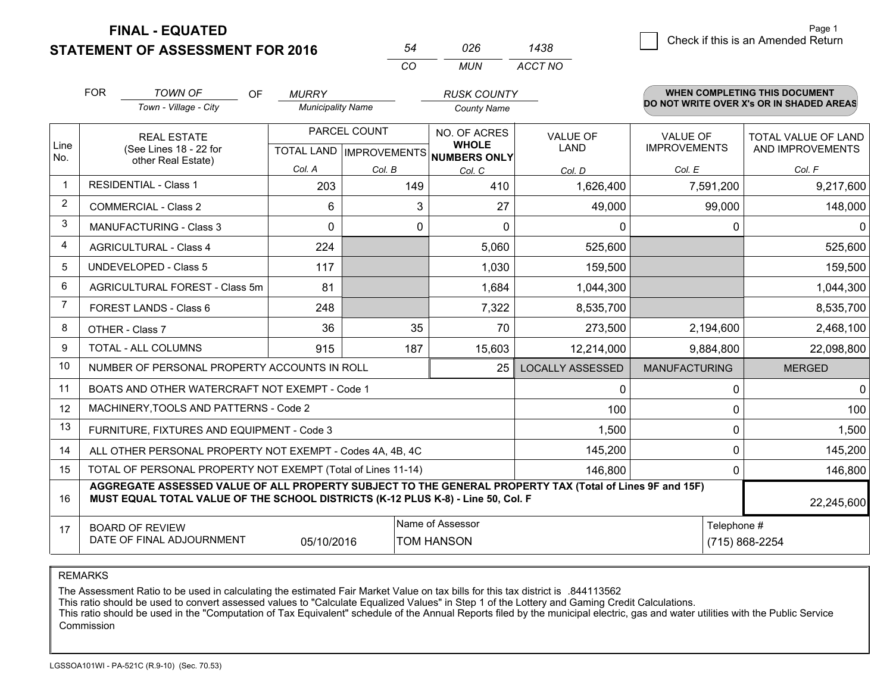**FINAL - EQUATED**

**STATEMENT OF ASSESSMENT FOR 2016** 

|    | 026 | 1438    |
|----|-----|---------|
| CO | MUN | ACCT NO |

|                | <b>FOR</b>                                                                                                                                                                                   | <b>TOWN OF</b><br><b>OF</b>                                        | <b>MURRY</b>             |                                           | <b>RUSK COUNTY</b>                                  |                                |                                 | WHEN COMPLETING THIS DOCUMENT            |
|----------------|----------------------------------------------------------------------------------------------------------------------------------------------------------------------------------------------|--------------------------------------------------------------------|--------------------------|-------------------------------------------|-----------------------------------------------------|--------------------------------|---------------------------------|------------------------------------------|
|                |                                                                                                                                                                                              | Town - Village - City                                              | <b>Municipality Name</b> |                                           | <b>County Name</b>                                  |                                |                                 | DO NOT WRITE OVER X's OR IN SHADED AREAS |
| Line<br>No.    |                                                                                                                                                                                              | <b>REAL ESTATE</b><br>(See Lines 18 - 22 for<br>other Real Estate) |                          | PARCEL COUNT<br>TOTAL LAND   IMPROVEMENTS | NO. OF ACRES<br><b>WHOLE</b><br><b>NUMBERS ONLY</b> | <b>VALUE OF</b><br><b>LAND</b> | VALUE OF<br><b>IMPROVEMENTS</b> | TOTAL VALUE OF LAND<br>AND IMPROVEMENTS  |
|                |                                                                                                                                                                                              |                                                                    | Col. A                   | Col. B                                    | Col. C                                              | Col. D                         | Col. E                          | Col. F                                   |
|                |                                                                                                                                                                                              | <b>RESIDENTIAL - Class 1</b>                                       | 203                      | 149                                       | 410                                                 | 1,626,400                      | 7,591,200                       | 9,217,600                                |
| $\overline{2}$ |                                                                                                                                                                                              | <b>COMMERCIAL - Class 2</b>                                        | 6                        | 3                                         | 27                                                  | 49,000                         | 99,000                          | 148,000                                  |
| 3              |                                                                                                                                                                                              | <b>MANUFACTURING - Class 3</b>                                     | 0                        | $\mathbf 0$                               | $\mathbf 0$                                         | 0                              | 0                               | $\mathbf 0$                              |
| 4              |                                                                                                                                                                                              | <b>AGRICULTURAL - Class 4</b>                                      | 224                      |                                           | 5,060                                               | 525,600                        |                                 | 525,600                                  |
| 5              |                                                                                                                                                                                              | <b>UNDEVELOPED - Class 5</b>                                       | 117                      |                                           | 1,030                                               | 159,500                        |                                 | 159,500                                  |
| 6              |                                                                                                                                                                                              | AGRICULTURAL FOREST - Class 5m                                     | 81                       |                                           | 1,684                                               | 1,044,300                      |                                 | 1,044,300                                |
| $\overline{7}$ |                                                                                                                                                                                              | FOREST LANDS - Class 6                                             | 248                      |                                           | 7,322                                               | 8,535,700                      |                                 | 8,535,700                                |
| 8              |                                                                                                                                                                                              | OTHER - Class 7                                                    | 36                       | 35                                        | 70                                                  | 273,500                        | 2,194,600                       | 2,468,100                                |
| 9              |                                                                                                                                                                                              | TOTAL - ALL COLUMNS                                                | 915                      | 187                                       | 15,603                                              | 12,214,000                     | 9,884,800                       | 22,098,800                               |
| 10             |                                                                                                                                                                                              | NUMBER OF PERSONAL PROPERTY ACCOUNTS IN ROLL                       |                          |                                           | 25                                                  | <b>LOCALLY ASSESSED</b>        | <b>MANUFACTURING</b>            | <b>MERGED</b>                            |
| 11             |                                                                                                                                                                                              | BOATS AND OTHER WATERCRAFT NOT EXEMPT - Code 1                     |                          |                                           |                                                     | 0                              | 0                               | $\mathbf 0$                              |
| 12             |                                                                                                                                                                                              | MACHINERY, TOOLS AND PATTERNS - Code 2                             |                          |                                           |                                                     | 100                            | 0                               | 100                                      |
| 13             |                                                                                                                                                                                              | FURNITURE, FIXTURES AND EQUIPMENT - Code 3                         |                          |                                           |                                                     | 1,500                          | $\Omega$                        | 1,500                                    |
| 14             |                                                                                                                                                                                              | ALL OTHER PERSONAL PROPERTY NOT EXEMPT - Codes 4A, 4B, 4C          |                          |                                           |                                                     | 145,200                        | 0                               | 145,200                                  |
| 15             |                                                                                                                                                                                              | TOTAL OF PERSONAL PROPERTY NOT EXEMPT (Total of Lines 11-14)       |                          |                                           |                                                     | 146,800                        | $\Omega$                        | 146,800                                  |
| 16             | AGGREGATE ASSESSED VALUE OF ALL PROPERTY SUBJECT TO THE GENERAL PROPERTY TAX (Total of Lines 9F and 15F)<br>MUST EQUAL TOTAL VALUE OF THE SCHOOL DISTRICTS (K-12 PLUS K-8) - Line 50, Col. F |                                                                    |                          |                                           |                                                     |                                | 22,245,600                      |                                          |
| 17             | Name of Assessor<br>Telephone #<br><b>BOARD OF REVIEW</b><br>DATE OF FINAL ADJOURNMENT<br>05/10/2016<br><b>TOM HANSON</b><br>(715) 868-2254                                                  |                                                                    |                          |                                           |                                                     |                                |                                 |                                          |

REMARKS

The Assessment Ratio to be used in calculating the estimated Fair Market Value on tax bills for this tax district is .844113562<br>This ratio should be used to convert assessed values to "Calculate Equalized Values" in Step 1 Commission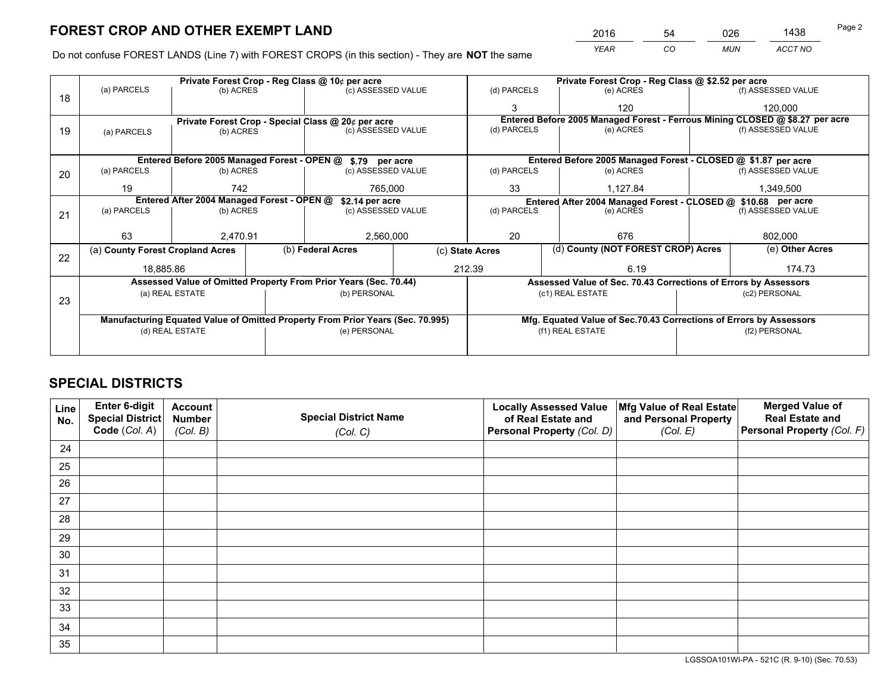*YEAR CO MUN ACCT NO* <sup>2016</sup> <sup>54</sup> <sup>026</sup> <sup>1438</sup>

Do not confuse FOREST LANDS (Line 7) with FOREST CROPS (in this section) - They are **NOT** the same

|    |                                                                                |                                             |  | Private Forest Crop - Reg Class @ 10¢ per acre                   |          | Private Forest Crop - Reg Class @ \$2.52 per acre             |                                                                              |  |                    |  |
|----|--------------------------------------------------------------------------------|---------------------------------------------|--|------------------------------------------------------------------|----------|---------------------------------------------------------------|------------------------------------------------------------------------------|--|--------------------|--|
| 18 | (a) PARCELS                                                                    | (b) ACRES                                   |  | (c) ASSESSED VALUE                                               |          | (d) PARCELS                                                   | (e) ACRES                                                                    |  | (f) ASSESSED VALUE |  |
|    |                                                                                |                                             |  |                                                                  |          | 3                                                             | 120                                                                          |  | 120,000            |  |
|    |                                                                                |                                             |  | Private Forest Crop - Special Class @ 20¢ per acre               |          |                                                               | Entered Before 2005 Managed Forest - Ferrous Mining CLOSED @ \$8.27 per acre |  |                    |  |
| 19 | (a) PARCELS                                                                    | (b) ACRES                                   |  | (c) ASSESSED VALUE                                               |          | (d) PARCELS                                                   | (e) ACRES                                                                    |  | (f) ASSESSED VALUE |  |
|    |                                                                                |                                             |  |                                                                  |          |                                                               |                                                                              |  |                    |  |
|    |                                                                                | Entered Before 2005 Managed Forest - OPEN @ |  | \$.79 per acre                                                   |          |                                                               | Entered Before 2005 Managed Forest - CLOSED @ \$1.87 per acre                |  |                    |  |
| 20 | (a) PARCELS                                                                    | (b) ACRES                                   |  | (c) ASSESSED VALUE                                               |          | (d) PARCELS                                                   | (e) ACRES                                                                    |  | (f) ASSESSED VALUE |  |
|    | 19                                                                             | 742<br>765,000                              |  | 33                                                               | 1,127.84 |                                                               | 1,349,500                                                                    |  |                    |  |
|    | Entered After 2004 Managed Forest - OPEN @<br>\$2.14 per acre                  |                                             |  |                                                                  |          | Entered After 2004 Managed Forest - CLOSED @ \$10.68 per acre |                                                                              |  |                    |  |
| 21 | (a) PARCELS                                                                    | (b) ACRES                                   |  | (c) ASSESSED VALUE                                               |          | (d) PARCELS                                                   | (e) ACRES                                                                    |  | (f) ASSESSED VALUE |  |
|    |                                                                                |                                             |  |                                                                  |          |                                                               |                                                                              |  |                    |  |
|    | 63                                                                             | 2,470.91                                    |  | 2,560,000                                                        |          | 20<br>676                                                     |                                                                              |  | 802,000            |  |
| 22 | (a) County Forest Cropland Acres                                               |                                             |  | (b) Federal Acres                                                |          | (c) State Acres                                               | (d) County (NOT FOREST CROP) Acres                                           |  | (e) Other Acres    |  |
|    | 18,885.86                                                                      |                                             |  |                                                                  | 212.39   |                                                               | 6.19                                                                         |  | 174.73             |  |
|    |                                                                                |                                             |  | Assessed Value of Omitted Property From Prior Years (Sec. 70.44) |          |                                                               | Assessed Value of Sec. 70.43 Corrections of Errors by Assessors              |  |                    |  |
|    |                                                                                | (a) REAL ESTATE                             |  | (b) PERSONAL                                                     |          |                                                               | (c1) REAL ESTATE                                                             |  | (c2) PERSONAL      |  |
| 23 |                                                                                |                                             |  |                                                                  |          |                                                               |                                                                              |  |                    |  |
|    | Manufacturing Equated Value of Omitted Property From Prior Years (Sec. 70.995) |                                             |  |                                                                  |          |                                                               | Mfg. Equated Value of Sec.70.43 Corrections of Errors by Assessors           |  |                    |  |
|    |                                                                                |                                             |  | (e) PERSONAL                                                     |          | (f1) REAL ESTATE                                              |                                                                              |  | (f2) PERSONAL      |  |
|    |                                                                                |                                             |  |                                                                  |          |                                                               |                                                                              |  |                    |  |
|    | (d) REAL ESTATE                                                                |                                             |  |                                                                  |          |                                                               |                                                                              |  |                    |  |

## **SPECIAL DISTRICTS**

| Line<br>No. | Enter 6-digit<br>Special District<br>Code (Col. A) | <b>Account</b><br><b>Number</b><br>(Col. B) | <b>Special District Name</b><br>(Col. C) | <b>Locally Assessed Value</b><br>of Real Estate and<br>Personal Property (Col. D) | Mfg Value of Real Estate<br>and Personal Property<br>(Col. E) | <b>Merged Value of</b><br><b>Real Estate and</b><br>Personal Property (Col. F) |
|-------------|----------------------------------------------------|---------------------------------------------|------------------------------------------|-----------------------------------------------------------------------------------|---------------------------------------------------------------|--------------------------------------------------------------------------------|
| 24          |                                                    |                                             |                                          |                                                                                   |                                                               |                                                                                |
| 25          |                                                    |                                             |                                          |                                                                                   |                                                               |                                                                                |
| 26          |                                                    |                                             |                                          |                                                                                   |                                                               |                                                                                |
| 27          |                                                    |                                             |                                          |                                                                                   |                                                               |                                                                                |
| 28          |                                                    |                                             |                                          |                                                                                   |                                                               |                                                                                |
| 29          |                                                    |                                             |                                          |                                                                                   |                                                               |                                                                                |
| 30          |                                                    |                                             |                                          |                                                                                   |                                                               |                                                                                |
| 31          |                                                    |                                             |                                          |                                                                                   |                                                               |                                                                                |
| 32          |                                                    |                                             |                                          |                                                                                   |                                                               |                                                                                |
| 33          |                                                    |                                             |                                          |                                                                                   |                                                               |                                                                                |
| 34          |                                                    |                                             |                                          |                                                                                   |                                                               |                                                                                |
| 35          |                                                    |                                             |                                          |                                                                                   |                                                               |                                                                                |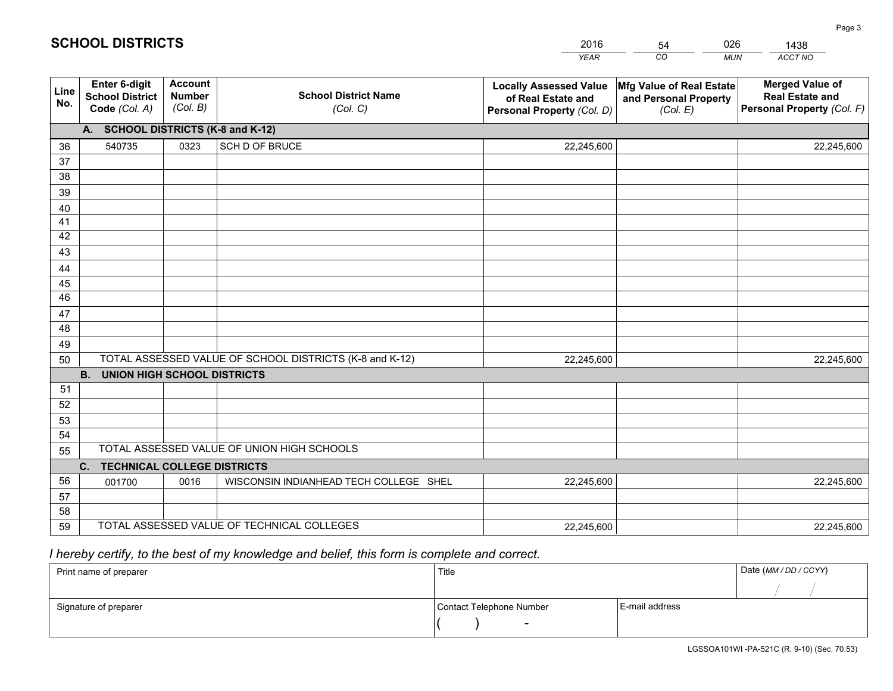|             |                                                                 |                                             |                                                         | <b>YEAR</b>                                                                       | CO<br><b>MUN</b>                                              | ACCT NO                                                                        |
|-------------|-----------------------------------------------------------------|---------------------------------------------|---------------------------------------------------------|-----------------------------------------------------------------------------------|---------------------------------------------------------------|--------------------------------------------------------------------------------|
| Line<br>No. | <b>Enter 6-digit</b><br><b>School District</b><br>Code (Col. A) | <b>Account</b><br><b>Number</b><br>(Col. B) | <b>School District Name</b><br>(Col. C)                 | <b>Locally Assessed Value</b><br>of Real Estate and<br>Personal Property (Col. D) | Mfg Value of Real Estate<br>and Personal Property<br>(Col. E) | <b>Merged Value of</b><br><b>Real Estate and</b><br>Personal Property (Col. F) |
|             | A. SCHOOL DISTRICTS (K-8 and K-12)                              |                                             |                                                         |                                                                                   |                                                               |                                                                                |
| 36          | 540735                                                          | 0323                                        | SCH D OF BRUCE                                          | 22,245,600                                                                        |                                                               | 22,245,600                                                                     |
| 37          |                                                                 |                                             |                                                         |                                                                                   |                                                               |                                                                                |
| 38          |                                                                 |                                             |                                                         |                                                                                   |                                                               |                                                                                |
| 39          |                                                                 |                                             |                                                         |                                                                                   |                                                               |                                                                                |
| 40          |                                                                 |                                             |                                                         |                                                                                   |                                                               |                                                                                |
| 41          |                                                                 |                                             |                                                         |                                                                                   |                                                               |                                                                                |
| 42<br>43    |                                                                 |                                             |                                                         |                                                                                   |                                                               |                                                                                |
|             |                                                                 |                                             |                                                         |                                                                                   |                                                               |                                                                                |
| 44<br>45    |                                                                 |                                             |                                                         |                                                                                   |                                                               |                                                                                |
| 46          |                                                                 |                                             |                                                         |                                                                                   |                                                               |                                                                                |
| 47          |                                                                 |                                             |                                                         |                                                                                   |                                                               |                                                                                |
| 48          |                                                                 |                                             |                                                         |                                                                                   |                                                               |                                                                                |
| 49          |                                                                 |                                             |                                                         |                                                                                   |                                                               |                                                                                |
| 50          |                                                                 |                                             | TOTAL ASSESSED VALUE OF SCHOOL DISTRICTS (K-8 and K-12) | 22,245,600                                                                        |                                                               | 22,245,600                                                                     |
|             | <b>B.</b><br><b>UNION HIGH SCHOOL DISTRICTS</b>                 |                                             |                                                         |                                                                                   |                                                               |                                                                                |
| 51          |                                                                 |                                             |                                                         |                                                                                   |                                                               |                                                                                |
| 52          |                                                                 |                                             |                                                         |                                                                                   |                                                               |                                                                                |
| 53          |                                                                 |                                             |                                                         |                                                                                   |                                                               |                                                                                |
| 54          |                                                                 |                                             |                                                         |                                                                                   |                                                               |                                                                                |
| 55          |                                                                 |                                             | TOTAL ASSESSED VALUE OF UNION HIGH SCHOOLS              |                                                                                   |                                                               |                                                                                |
|             | C.<br><b>TECHNICAL COLLEGE DISTRICTS</b>                        |                                             |                                                         |                                                                                   |                                                               |                                                                                |
| 56          | 001700                                                          | 0016                                        | WISCONSIN INDIANHEAD TECH COLLEGE SHEL                  | 22,245,600                                                                        |                                                               | 22,245,600                                                                     |
| 57          |                                                                 |                                             |                                                         |                                                                                   |                                                               |                                                                                |
| 58          |                                                                 |                                             | TOTAL ASSESSED VALUE OF TECHNICAL COLLEGES              |                                                                                   |                                                               |                                                                                |
| 59          |                                                                 |                                             |                                                         | 22,245,600                                                                        |                                                               | 22,245,600                                                                     |

54

026

## *I hereby certify, to the best of my knowledge and belief, this form is complete and correct.*

**SCHOOL DISTRICTS**

| Print name of preparer | Title                    |                | Date (MM / DD / CCYY) |
|------------------------|--------------------------|----------------|-----------------------|
|                        |                          |                |                       |
| Signature of preparer  | Contact Telephone Number | E-mail address |                       |
|                        | $\sim$                   |                |                       |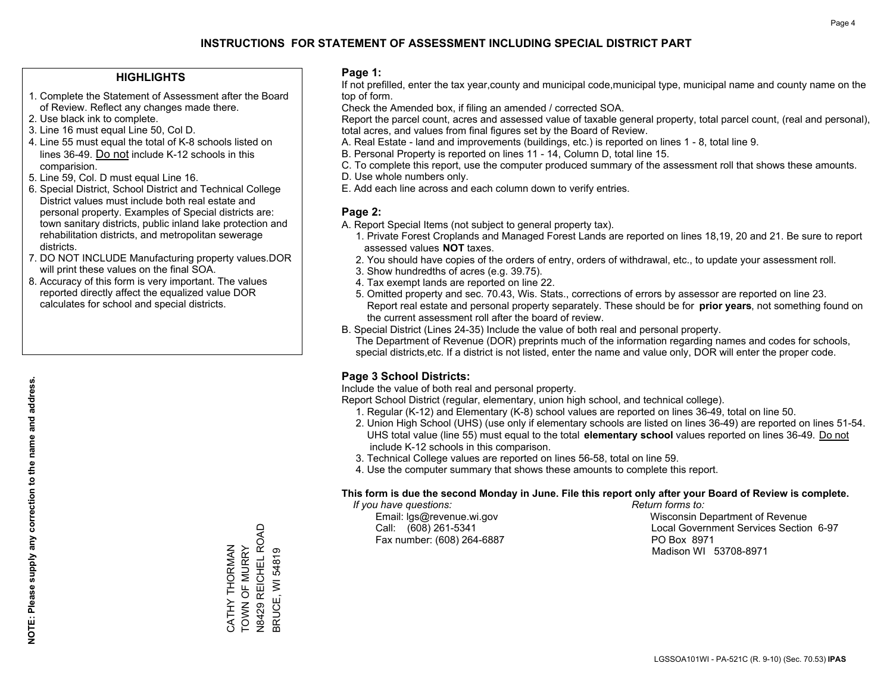#### **HIGHLIGHTS**

- 1. Complete the Statement of Assessment after the Board of Review. Reflect any changes made there.
- 2. Use black ink to complete.
- 3. Line 16 must equal Line 50, Col D.
- 4. Line 55 must equal the total of K-8 schools listed on lines 36-49. Do not include K-12 schools in this comparision.
- 5. Line 59, Col. D must equal Line 16.
- 6. Special District, School District and Technical College District values must include both real estate and personal property. Examples of Special districts are: town sanitary districts, public inland lake protection and rehabilitation districts, and metropolitan sewerage districts.
- 7. DO NOT INCLUDE Manufacturing property values.DOR will print these values on the final SOA.

CATHY THORMAN TOWN OF MURRY N8429 REICHEL ROAD BRUCE, WI 54819

, Correll Hill ROAD<br>N8429 REICHEL ROAD CATHY THORMAN<br>TOWN OF MURRY

3RUCE, WI 54819

 8. Accuracy of this form is very important. The values reported directly affect the equalized value DOR calculates for school and special districts.

#### **Page 1:**

 If not prefilled, enter the tax year,county and municipal code,municipal type, municipal name and county name on the top of form.

Check the Amended box, if filing an amended / corrected SOA.

 Report the parcel count, acres and assessed value of taxable general property, total parcel count, (real and personal), total acres, and values from final figures set by the Board of Review.

- A. Real Estate land and improvements (buildings, etc.) is reported on lines 1 8, total line 9.
- B. Personal Property is reported on lines 11 14, Column D, total line 15.
- C. To complete this report, use the computer produced summary of the assessment roll that shows these amounts.
- D. Use whole numbers only.
- E. Add each line across and each column down to verify entries.

#### **Page 2:**

- A. Report Special Items (not subject to general property tax).
- 1. Private Forest Croplands and Managed Forest Lands are reported on lines 18,19, 20 and 21. Be sure to report assessed values **NOT** taxes.
- 2. You should have copies of the orders of entry, orders of withdrawal, etc., to update your assessment roll.
	- 3. Show hundredths of acres (e.g. 39.75).
- 4. Tax exempt lands are reported on line 22.
- 5. Omitted property and sec. 70.43, Wis. Stats., corrections of errors by assessor are reported on line 23. Report real estate and personal property separately. These should be for **prior years**, not something found on the current assessment roll after the board of review.
- B. Special District (Lines 24-35) Include the value of both real and personal property.
- The Department of Revenue (DOR) preprints much of the information regarding names and codes for schools, special districts,etc. If a district is not listed, enter the name and value only, DOR will enter the proper code.

### **Page 3 School Districts:**

Include the value of both real and personal property.

Report School District (regular, elementary, union high school, and technical college).

- 1. Regular (K-12) and Elementary (K-8) school values are reported on lines 36-49, total on line 50.
- 2. Union High School (UHS) (use only if elementary schools are listed on lines 36-49) are reported on lines 51-54. UHS total value (line 55) must equal to the total **elementary school** values reported on lines 36-49. Do notinclude K-12 schools in this comparison.
- 3. Technical College values are reported on lines 56-58, total on line 59.
- 4. Use the computer summary that shows these amounts to complete this report.

#### **This form is due the second Monday in June. File this report only after your Board of Review is complete.**

 *If you have questions: Return forms to:*

Fax number: (608) 264-6887 PO Box 8971

 Email: lgs@revenue.wi.gov Wisconsin Department of Revenue Call: (608) 261-5341 Local Government Services Section 6-97Madison WI 53708-8971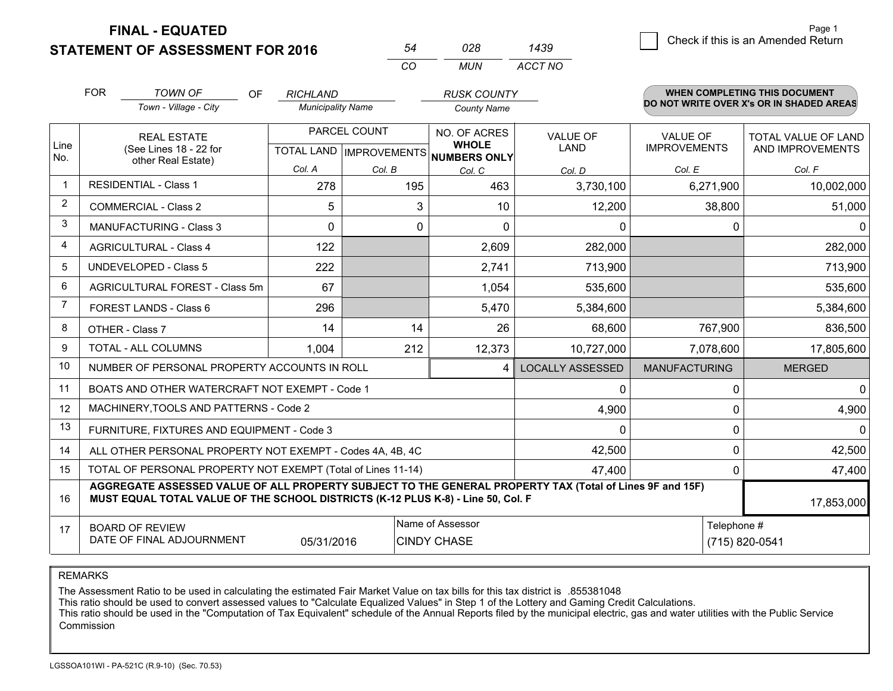**FINAL - EQUATED**

**STATEMENT OF ASSESSMENT FOR 2016** 

|   |                                    | Page 1 |
|---|------------------------------------|--------|
| 9 | Check if this is an Amended Return |        |

|                | <b>FOR</b>                                                                      | <b>TOWN OF</b><br>OF                                                                                                                                                                         | <b>RICHLAND</b>          |              | <b>RUSK COUNTY</b>                                   |                         |                      | <b>WHEN COMPLETING THIS DOCUMENT</b>     |
|----------------|---------------------------------------------------------------------------------|----------------------------------------------------------------------------------------------------------------------------------------------------------------------------------------------|--------------------------|--------------|------------------------------------------------------|-------------------------|----------------------|------------------------------------------|
|                |                                                                                 | Town - Village - City                                                                                                                                                                        | <b>Municipality Name</b> |              | <b>County Name</b>                                   |                         |                      | DO NOT WRITE OVER X's OR IN SHADED AREAS |
|                |                                                                                 | <b>REAL ESTATE</b>                                                                                                                                                                           |                          | PARCEL COUNT | NO. OF ACRES                                         | <b>VALUE OF</b>         | <b>VALUE OF</b>      | TOTAL VALUE OF LAND                      |
| Line<br>No.    |                                                                                 | (See Lines 18 - 22 for<br>other Real Estate)                                                                                                                                                 |                          |              | <b>WHOLE</b><br>TOTAL LAND IMPROVEMENTS NUMBERS ONLY | <b>LAND</b>             | <b>IMPROVEMENTS</b>  | AND IMPROVEMENTS                         |
|                |                                                                                 |                                                                                                                                                                                              | Col. A                   | Col. B       | Col. C                                               | Col. D                  | Col. E               | Col. F                                   |
| $\mathbf 1$    |                                                                                 | <b>RESIDENTIAL - Class 1</b>                                                                                                                                                                 | 278                      | 195          | 463                                                  | 3,730,100               | 6,271,900            | 10,002,000                               |
| 2              |                                                                                 | <b>COMMERCIAL - Class 2</b>                                                                                                                                                                  | 5                        | 3            | 10                                                   | 12,200                  | 38,800               | 51,000                                   |
| 3              |                                                                                 | <b>MANUFACTURING - Class 3</b>                                                                                                                                                               | $\Omega$                 | 0            | $\Omega$                                             | $\Omega$                | $\Omega$             | $\Omega$                                 |
| 4              |                                                                                 | <b>AGRICULTURAL - Class 4</b>                                                                                                                                                                | 122                      |              | 2,609                                                | 282,000                 |                      | 282,000                                  |
| 5              | <b>UNDEVELOPED - Class 5</b>                                                    |                                                                                                                                                                                              | 222                      |              | 2,741                                                | 713,900                 |                      | 713,900                                  |
| 6              | AGRICULTURAL FOREST - Class 5m                                                  |                                                                                                                                                                                              | 67                       |              | 1,054                                                | 535,600                 |                      | 535,600                                  |
| $\overline{7}$ | <b>FOREST LANDS - Class 6</b>                                                   |                                                                                                                                                                                              | 296                      |              | 5,470                                                | 5,384,600               |                      | 5,384,600                                |
| 8              |                                                                                 | OTHER - Class 7                                                                                                                                                                              | 14                       | 14           | 26                                                   | 68,600                  | 767,900              | 836,500                                  |
| 9              |                                                                                 | <b>TOTAL - ALL COLUMNS</b>                                                                                                                                                                   | 1,004                    | 212          | 12,373                                               | 10,727,000              | 7,078,600            | 17,805,600                               |
| 10             |                                                                                 | NUMBER OF PERSONAL PROPERTY ACCOUNTS IN ROLL                                                                                                                                                 |                          |              | 4                                                    | <b>LOCALLY ASSESSED</b> | <b>MANUFACTURING</b> | <b>MERGED</b>                            |
| 11             |                                                                                 | BOATS AND OTHER WATERCRAFT NOT EXEMPT - Code 1                                                                                                                                               |                          |              |                                                      | $\Omega$                | $\Omega$             | $\mathbf{0}$                             |
| 12             |                                                                                 | MACHINERY, TOOLS AND PATTERNS - Code 2                                                                                                                                                       |                          |              |                                                      | 4,900                   | $\Omega$             | 4,900                                    |
| 13             |                                                                                 | FURNITURE, FIXTURES AND EQUIPMENT - Code 3                                                                                                                                                   |                          |              |                                                      | $\Omega$                | $\Omega$             | $\Omega$                                 |
| 14             |                                                                                 | ALL OTHER PERSONAL PROPERTY NOT EXEMPT - Codes 4A, 4B, 4C                                                                                                                                    |                          |              |                                                      | 42,500                  | $\Omega$             | 42,500                                   |
| 15             |                                                                                 | TOTAL OF PERSONAL PROPERTY NOT EXEMPT (Total of Lines 11-14)                                                                                                                                 |                          |              |                                                      | 47,400                  | $\Omega$             | 47,400                                   |
| 16             |                                                                                 | AGGREGATE ASSESSED VALUE OF ALL PROPERTY SUBJECT TO THE GENERAL PROPERTY TAX (Total of Lines 9F and 15F)<br>MUST EQUAL TOTAL VALUE OF THE SCHOOL DISTRICTS (K-12 PLUS K-8) - Line 50, Col. F |                          |              |                                                      |                         |                      | 17,853,000                               |
| 17             | Name of Assessor<br><b>BOARD OF REVIEW</b>                                      |                                                                                                                                                                                              |                          |              |                                                      |                         |                      | Telephone #                              |
|                | DATE OF FINAL ADJOURNMENT<br><b>CINDY CHASE</b><br>(715) 820-0541<br>05/31/2016 |                                                                                                                                                                                              |                          |              |                                                      |                         |                      |                                          |

*CO*

*MUN*

*ACCT NO1439*

*<sup>54</sup> <sup>028</sup>*

REMARKS

The Assessment Ratio to be used in calculating the estimated Fair Market Value on tax bills for this tax district is .855381048<br>This ratio should be used to convert assessed values to "Calculate Equalized Values" in Step 1 Commission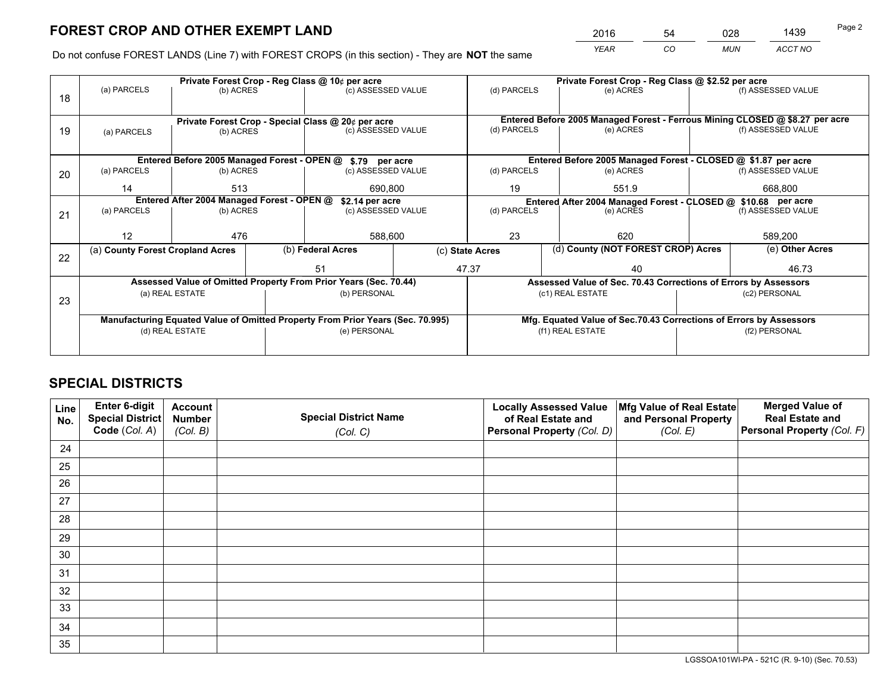*YEAR CO MUN ACCT NO* <sup>2016</sup> <sup>54</sup> <sup>028</sup> <sup>1439</sup>

Do not confuse FOREST LANDS (Line 7) with FOREST CROPS (in this section) - They are **NOT** the same

|    |                                                               |                                                    |                                                                              | Private Forest Crop - Reg Class @ 10¢ per acre                                 |                                   |             |  | Private Forest Crop - Reg Class @ \$2.52 per acre                  |               |                    |  |
|----|---------------------------------------------------------------|----------------------------------------------------|------------------------------------------------------------------------------|--------------------------------------------------------------------------------|-----------------------------------|-------------|--|--------------------------------------------------------------------|---------------|--------------------|--|
| 18 | (a) PARCELS                                                   | (b) ACRES                                          |                                                                              | (c) ASSESSED VALUE                                                             |                                   | (d) PARCELS |  | (e) ACRES                                                          |               | (f) ASSESSED VALUE |  |
|    |                                                               |                                                    |                                                                              |                                                                                |                                   |             |  |                                                                    |               |                    |  |
|    |                                                               | Private Forest Crop - Special Class @ 20¢ per acre | Entered Before 2005 Managed Forest - Ferrous Mining CLOSED @ \$8.27 per acre |                                                                                |                                   |             |  |                                                                    |               |                    |  |
| 19 | (a) PARCELS                                                   | (b) ACRES                                          |                                                                              | (c) ASSESSED VALUE                                                             |                                   | (d) PARCELS |  | (e) ACRES                                                          |               | (f) ASSESSED VALUE |  |
|    |                                                               |                                                    |                                                                              |                                                                                |                                   |             |  |                                                                    |               |                    |  |
|    |                                                               |                                                    |                                                                              | Entered Before 2005 Managed Forest - OPEN @ \$.79 per acre                     |                                   |             |  | Entered Before 2005 Managed Forest - CLOSED @ \$1.87 per acre      |               |                    |  |
| 20 | (a) PARCELS                                                   | (b) ACRES                                          |                                                                              | (c) ASSESSED VALUE                                                             |                                   | (d) PARCELS |  | (e) ACRES                                                          |               | (f) ASSESSED VALUE |  |
|    | 14                                                            | 513                                                |                                                                              | 690.800                                                                        |                                   | 19          |  | 551.9                                                              |               | 668.800            |  |
|    | Entered After 2004 Managed Forest - OPEN @<br>\$2.14 per acre |                                                    |                                                                              |                                                                                |                                   |             |  | Entered After 2004 Managed Forest - CLOSED @ \$10.68 per acre      |               |                    |  |
| 21 | (a) PARCELS                                                   | (b) ACRES                                          |                                                                              |                                                                                | (d) PARCELS<br>(c) ASSESSED VALUE |             |  | (e) ACRES                                                          |               | (f) ASSESSED VALUE |  |
|    |                                                               |                                                    |                                                                              |                                                                                |                                   |             |  |                                                                    |               |                    |  |
|    | 12                                                            | 476                                                |                                                                              | 588,600                                                                        |                                   | 23          |  | 620                                                                |               | 589,200            |  |
| 22 | (a) County Forest Cropland Acres                              |                                                    |                                                                              | (b) Federal Acres                                                              | (c) State Acres                   |             |  | (d) County (NOT FOREST CROP) Acres                                 |               | (e) Other Acres    |  |
|    |                                                               |                                                    |                                                                              | 51                                                                             |                                   | 47.37<br>40 |  |                                                                    |               | 46.73              |  |
|    |                                                               |                                                    |                                                                              | Assessed Value of Omitted Property From Prior Years (Sec. 70.44)               |                                   |             |  | Assessed Value of Sec. 70.43 Corrections of Errors by Assessors    |               |                    |  |
| 23 |                                                               | (a) REAL ESTATE                                    |                                                                              | (b) PERSONAL                                                                   |                                   |             |  | (c1) REAL ESTATE                                                   |               | (c2) PERSONAL      |  |
|    |                                                               |                                                    |                                                                              |                                                                                |                                   |             |  |                                                                    |               |                    |  |
|    |                                                               |                                                    |                                                                              | Manufacturing Equated Value of Omitted Property From Prior Years (Sec. 70.995) |                                   |             |  | Mfg. Equated Value of Sec.70.43 Corrections of Errors by Assessors |               |                    |  |
|    |                                                               | (d) REAL ESTATE                                    |                                                                              | (e) PERSONAL                                                                   |                                   |             |  | (f1) REAL ESTATE                                                   | (f2) PERSONAL |                    |  |
|    |                                                               |                                                    |                                                                              |                                                                                |                                   |             |  |                                                                    |               |                    |  |

## **SPECIAL DISTRICTS**

| Line<br>No. | Enter 6-digit<br><b>Special District</b> | <b>Account</b><br><b>Number</b> | <b>Special District Name</b> | <b>Locally Assessed Value</b><br>of Real Estate and | Mfg Value of Real Estate<br>and Personal Property | <b>Merged Value of</b><br><b>Real Estate and</b> |
|-------------|------------------------------------------|---------------------------------|------------------------------|-----------------------------------------------------|---------------------------------------------------|--------------------------------------------------|
|             | Code (Col. A)                            | (Col. B)                        | (Col. C)                     | Personal Property (Col. D)                          | (Col. E)                                          | Personal Property (Col. F)                       |
| 24          |                                          |                                 |                              |                                                     |                                                   |                                                  |
| 25          |                                          |                                 |                              |                                                     |                                                   |                                                  |
| 26          |                                          |                                 |                              |                                                     |                                                   |                                                  |
| 27          |                                          |                                 |                              |                                                     |                                                   |                                                  |
| 28          |                                          |                                 |                              |                                                     |                                                   |                                                  |
| 29          |                                          |                                 |                              |                                                     |                                                   |                                                  |
| 30          |                                          |                                 |                              |                                                     |                                                   |                                                  |
| 31          |                                          |                                 |                              |                                                     |                                                   |                                                  |
| 32          |                                          |                                 |                              |                                                     |                                                   |                                                  |
| 33          |                                          |                                 |                              |                                                     |                                                   |                                                  |
| 34          |                                          |                                 |                              |                                                     |                                                   |                                                  |
| 35          |                                          |                                 |                              |                                                     |                                                   |                                                  |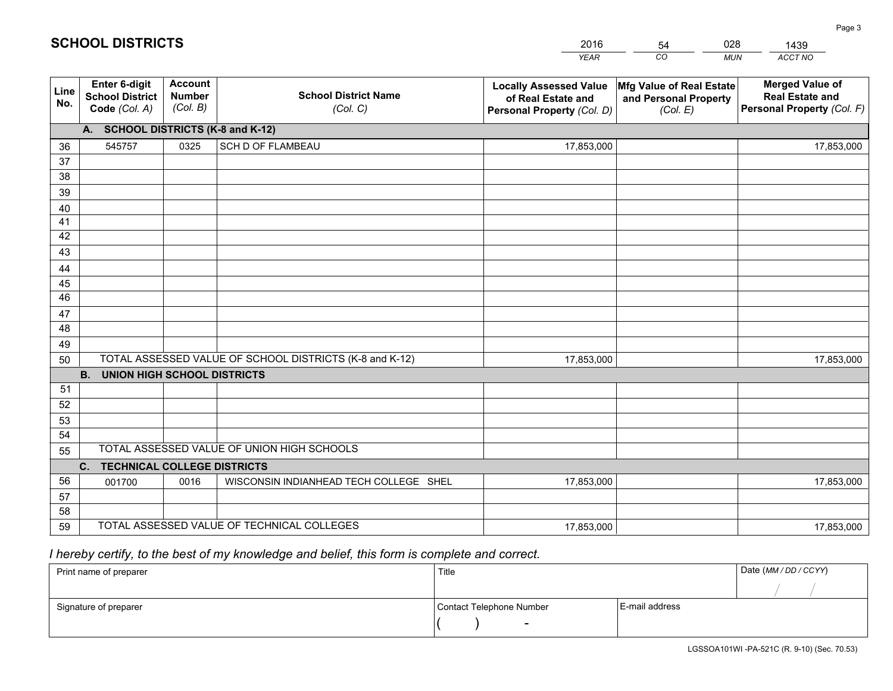|             |                                                                 |                                             |                                                         | <b>YEAR</b>                                                                       | CO<br><b>MUN</b>                                              | ACCT NO                                                                        |  |  |  |  |  |  |
|-------------|-----------------------------------------------------------------|---------------------------------------------|---------------------------------------------------------|-----------------------------------------------------------------------------------|---------------------------------------------------------------|--------------------------------------------------------------------------------|--|--|--|--|--|--|
| Line<br>No. | <b>Enter 6-digit</b><br><b>School District</b><br>Code (Col. A) | <b>Account</b><br><b>Number</b><br>(Col. B) | <b>School District Name</b><br>(Col. C)                 | <b>Locally Assessed Value</b><br>of Real Estate and<br>Personal Property (Col. D) | Mfg Value of Real Estate<br>and Personal Property<br>(Col. E) | <b>Merged Value of</b><br><b>Real Estate and</b><br>Personal Property (Col. F) |  |  |  |  |  |  |
|             | A. SCHOOL DISTRICTS (K-8 and K-12)                              |                                             |                                                         |                                                                                   |                                                               |                                                                                |  |  |  |  |  |  |
| 36          | 545757                                                          | 0325                                        | <b>SCH D OF FLAMBEAU</b>                                | 17,853,000                                                                        |                                                               | 17,853,000                                                                     |  |  |  |  |  |  |
| 37          |                                                                 |                                             |                                                         |                                                                                   |                                                               |                                                                                |  |  |  |  |  |  |
| 38          |                                                                 |                                             |                                                         |                                                                                   |                                                               |                                                                                |  |  |  |  |  |  |
| 39          |                                                                 |                                             |                                                         |                                                                                   |                                                               |                                                                                |  |  |  |  |  |  |
| 40          |                                                                 |                                             |                                                         |                                                                                   |                                                               |                                                                                |  |  |  |  |  |  |
| 41          |                                                                 |                                             |                                                         |                                                                                   |                                                               |                                                                                |  |  |  |  |  |  |
| 42          |                                                                 |                                             |                                                         |                                                                                   |                                                               |                                                                                |  |  |  |  |  |  |
| 43          |                                                                 |                                             |                                                         |                                                                                   |                                                               |                                                                                |  |  |  |  |  |  |
| 44<br>45    |                                                                 |                                             |                                                         |                                                                                   |                                                               |                                                                                |  |  |  |  |  |  |
| 46          |                                                                 |                                             |                                                         |                                                                                   |                                                               |                                                                                |  |  |  |  |  |  |
| 47          |                                                                 |                                             |                                                         |                                                                                   |                                                               |                                                                                |  |  |  |  |  |  |
| 48          |                                                                 |                                             |                                                         |                                                                                   |                                                               |                                                                                |  |  |  |  |  |  |
| 49          |                                                                 |                                             |                                                         |                                                                                   |                                                               |                                                                                |  |  |  |  |  |  |
| 50          |                                                                 |                                             | TOTAL ASSESSED VALUE OF SCHOOL DISTRICTS (K-8 and K-12) | 17,853,000                                                                        |                                                               | 17,853,000                                                                     |  |  |  |  |  |  |
|             | <b>B.</b><br><b>UNION HIGH SCHOOL DISTRICTS</b>                 |                                             |                                                         |                                                                                   |                                                               |                                                                                |  |  |  |  |  |  |
| 51          |                                                                 |                                             |                                                         |                                                                                   |                                                               |                                                                                |  |  |  |  |  |  |
| 52          |                                                                 |                                             |                                                         |                                                                                   |                                                               |                                                                                |  |  |  |  |  |  |
| 53          |                                                                 |                                             |                                                         |                                                                                   |                                                               |                                                                                |  |  |  |  |  |  |
| 54          |                                                                 |                                             |                                                         |                                                                                   |                                                               |                                                                                |  |  |  |  |  |  |
| 55          |                                                                 |                                             | TOTAL ASSESSED VALUE OF UNION HIGH SCHOOLS              |                                                                                   |                                                               |                                                                                |  |  |  |  |  |  |
|             | C.<br><b>TECHNICAL COLLEGE DISTRICTS</b>                        |                                             |                                                         |                                                                                   |                                                               |                                                                                |  |  |  |  |  |  |
| 56          | 001700                                                          | 0016                                        | WISCONSIN INDIANHEAD TECH COLLEGE SHEL                  | 17,853,000                                                                        |                                                               | 17,853,000                                                                     |  |  |  |  |  |  |
| 57          |                                                                 |                                             |                                                         |                                                                                   |                                                               |                                                                                |  |  |  |  |  |  |
| 58          |                                                                 |                                             |                                                         |                                                                                   |                                                               |                                                                                |  |  |  |  |  |  |
| 59          |                                                                 |                                             | TOTAL ASSESSED VALUE OF TECHNICAL COLLEGES              | 17,853,000                                                                        |                                                               | 17,853,000                                                                     |  |  |  |  |  |  |

54

028

## *I hereby certify, to the best of my knowledge and belief, this form is complete and correct.*

**SCHOOL DISTRICTS**

| Print name of preparer | Title                    | Date (MM / DD / CCYY) |  |
|------------------------|--------------------------|-----------------------|--|
|                        |                          |                       |  |
| Signature of preparer  | Contact Telephone Number | E-mail address        |  |
|                        | $\sim$                   |                       |  |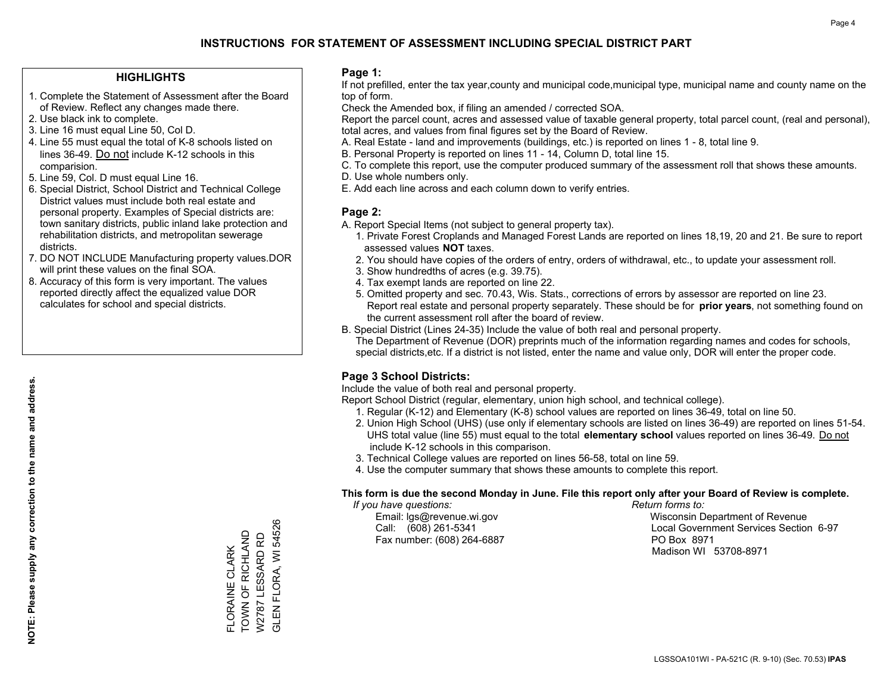#### **HIGHLIGHTS**

- 1. Complete the Statement of Assessment after the Board of Review. Reflect any changes made there.
- 2. Use black ink to complete.
- 3. Line 16 must equal Line 50, Col D.
- 4. Line 55 must equal the total of K-8 schools listed on lines 36-49. Do not include K-12 schools in this comparision.
- 5. Line 59, Col. D must equal Line 16.
- 6. Special District, School District and Technical College District values must include both real estate and personal property. Examples of Special districts are: town sanitary districts, public inland lake protection and rehabilitation districts, and metropolitan sewerage districts.
- 7. DO NOT INCLUDE Manufacturing property values.DOR will print these values on the final SOA.

FLORAINE CLARK TOWN OF RICHLAND W2787 LESSARD RD GLEN FLORA, WI 54526

FLORAINE CLARK

TOWN OF RICHLAND W2787 LESSARD RD GLEN FLORA, WI 54526

 8. Accuracy of this form is very important. The values reported directly affect the equalized value DOR calculates for school and special districts.

#### **Page 1:**

 If not prefilled, enter the tax year,county and municipal code,municipal type, municipal name and county name on the top of form.

Check the Amended box, if filing an amended / corrected SOA.

 Report the parcel count, acres and assessed value of taxable general property, total parcel count, (real and personal), total acres, and values from final figures set by the Board of Review.

- A. Real Estate land and improvements (buildings, etc.) is reported on lines 1 8, total line 9.
- B. Personal Property is reported on lines 11 14, Column D, total line 15.
- C. To complete this report, use the computer produced summary of the assessment roll that shows these amounts.
- D. Use whole numbers only.
- E. Add each line across and each column down to verify entries.

#### **Page 2:**

- A. Report Special Items (not subject to general property tax).
- 1. Private Forest Croplands and Managed Forest Lands are reported on lines 18,19, 20 and 21. Be sure to report assessed values **NOT** taxes.
- 2. You should have copies of the orders of entry, orders of withdrawal, etc., to update your assessment roll.
	- 3. Show hundredths of acres (e.g. 39.75).
- 4. Tax exempt lands are reported on line 22.
- 5. Omitted property and sec. 70.43, Wis. Stats., corrections of errors by assessor are reported on line 23. Report real estate and personal property separately. These should be for **prior years**, not something found on the current assessment roll after the board of review.
- B. Special District (Lines 24-35) Include the value of both real and personal property.
- The Department of Revenue (DOR) preprints much of the information regarding names and codes for schools, special districts,etc. If a district is not listed, enter the name and value only, DOR will enter the proper code.

### **Page 3 School Districts:**

Include the value of both real and personal property.

Report School District (regular, elementary, union high school, and technical college).

- 1. Regular (K-12) and Elementary (K-8) school values are reported on lines 36-49, total on line 50.
- 2. Union High School (UHS) (use only if elementary schools are listed on lines 36-49) are reported on lines 51-54. UHS total value (line 55) must equal to the total **elementary school** values reported on lines 36-49. Do notinclude K-12 schools in this comparison.
- 3. Technical College values are reported on lines 56-58, total on line 59.
- 4. Use the computer summary that shows these amounts to complete this report.

#### **This form is due the second Monday in June. File this report only after your Board of Review is complete.**

 *If you have questions: Return forms to:*

Fax number: (608) 264-6887 PO Box 8971

 Email: lgs@revenue.wi.gov Wisconsin Department of Revenue Call: (608) 261-5341 Local Government Services Section 6-97Madison WI 53708-8971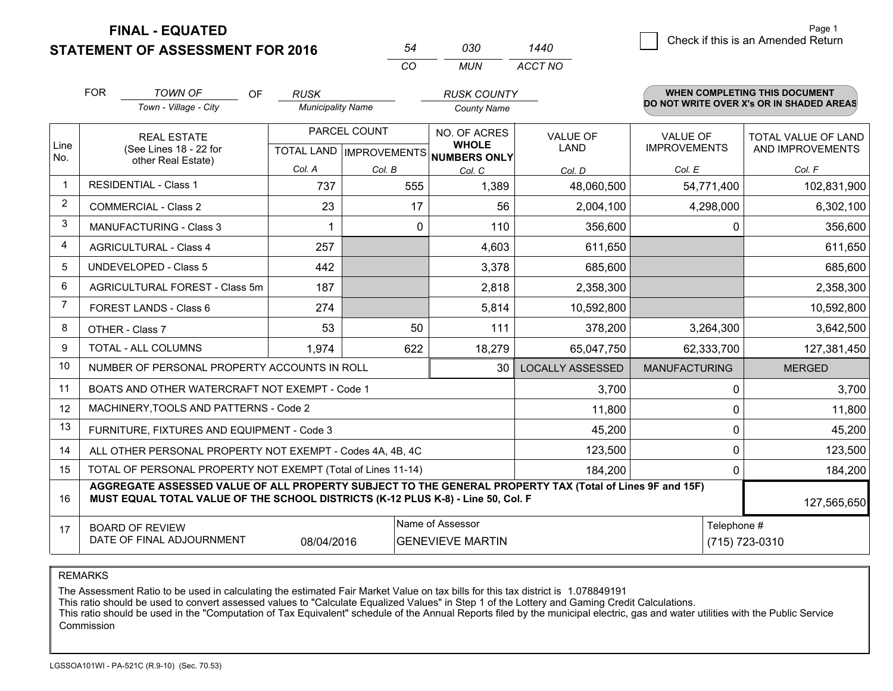**FINAL - EQUATED**

**STATEMENT OF ASSESSMENT FOR 2016** 

|      | <b>FOR</b> | <b>TOWN OF</b><br><b>OF</b>                                                                                                                                                                  | <b>RUSK</b>              |        | <b>RUSK COUNTY</b>                   |                         |                                        | WHEN COMPLETING THIS DOCUMENT            |
|------|------------|----------------------------------------------------------------------------------------------------------------------------------------------------------------------------------------------|--------------------------|--------|--------------------------------------|-------------------------|----------------------------------------|------------------------------------------|
|      |            | Town - Village - City                                                                                                                                                                        | <b>Municipality Name</b> |        | <b>County Name</b>                   |                         |                                        | DO NOT WRITE OVER X's OR IN SHADED AREAS |
| Line |            | <b>REAL ESTATE</b><br>(See Lines 18 - 22 for                                                                                                                                                 | PARCEL COUNT             |        | NO. OF ACRES<br><b>WHOLE</b>         | VALUE OF<br><b>LAND</b> | <b>VALUE OF</b><br><b>IMPROVEMENTS</b> | TOTAL VALUE OF LAND<br>AND IMPROVEMENTS  |
| No.  |            | other Real Estate)                                                                                                                                                                           |                          |        | TOTAL LAND IMPROVEMENTS NUMBERS ONLY |                         |                                        |                                          |
|      |            | <b>RESIDENTIAL - Class 1</b>                                                                                                                                                                 | Col. A                   | Col. B | Col. C                               | Col. D                  | Col. E                                 | Col. F                                   |
|      |            |                                                                                                                                                                                              | 737                      | 555    | 1,389                                | 48,060,500              | 54,771,400                             | 102,831,900                              |
| 2    |            | <b>COMMERCIAL - Class 2</b>                                                                                                                                                                  | 23                       | 17     | 56                                   | 2,004,100               | 4,298,000                              | 6,302,100                                |
| 3    |            | <b>MANUFACTURING - Class 3</b>                                                                                                                                                               |                          | 0      | 110                                  | 356,600                 | $\Omega$                               | 356,600                                  |
| 4    |            | <b>AGRICULTURAL - Class 4</b>                                                                                                                                                                | 257                      |        | 4,603                                | 611,650                 |                                        | 611,650                                  |
| 5    |            | <b>UNDEVELOPED - Class 5</b>                                                                                                                                                                 | 442                      |        | 3,378                                | 685,600                 |                                        | 685,600                                  |
| 6    |            | AGRICULTURAL FOREST - Class 5m                                                                                                                                                               | 187                      |        | 2,818                                | 2,358,300               |                                        | 2,358,300                                |
| 7    |            | FOREST LANDS - Class 6                                                                                                                                                                       | 274                      |        | 5,814                                | 10,592,800              |                                        | 10,592,800                               |
| 8    |            | OTHER - Class 7                                                                                                                                                                              | 53                       | 50     | 111                                  | 378,200                 | 3,264,300                              | 3,642,500                                |
| 9    |            | TOTAL - ALL COLUMNS                                                                                                                                                                          | 1,974                    | 622    | 18,279                               | 65,047,750              | 62,333,700                             | 127,381,450                              |
| 10   |            | NUMBER OF PERSONAL PROPERTY ACCOUNTS IN ROLL                                                                                                                                                 |                          |        | 30                                   | <b>LOCALLY ASSESSED</b> | <b>MANUFACTURING</b>                   | <b>MERGED</b>                            |
| 11   |            | BOATS AND OTHER WATERCRAFT NOT EXEMPT - Code 1                                                                                                                                               |                          |        |                                      | 3,700                   | $\Omega$                               | 3,700                                    |
| 12   |            | MACHINERY, TOOLS AND PATTERNS - Code 2                                                                                                                                                       |                          |        |                                      | 11,800                  | 0                                      | 11,800                                   |
| 13   |            | FURNITURE, FIXTURES AND EQUIPMENT - Code 3                                                                                                                                                   |                          |        |                                      | 45,200                  | 0                                      | 45,200                                   |
| 14   |            | ALL OTHER PERSONAL PROPERTY NOT EXEMPT - Codes 4A, 4B, 4C                                                                                                                                    |                          |        |                                      | 123,500                 | $\mathbf 0$                            | 123,500                                  |
| 15   |            | TOTAL OF PERSONAL PROPERTY NOT EXEMPT (Total of Lines 11-14)                                                                                                                                 |                          |        |                                      | 184,200                 | 0                                      | 184,200                                  |
| 16   |            | AGGREGATE ASSESSED VALUE OF ALL PROPERTY SUBJECT TO THE GENERAL PROPERTY TAX (Total of Lines 9F and 15F)<br>MUST EQUAL TOTAL VALUE OF THE SCHOOL DISTRICTS (K-12 PLUS K-8) - Line 50, Col. F |                          |        |                                      |                         |                                        | 127,565,650                              |
| 17   |            | <b>BOARD OF REVIEW</b>                                                                                                                                                                       |                          |        | Name of Assessor                     |                         | Telephone #                            |                                          |
|      |            | DATE OF FINAL ADJOURNMENT                                                                                                                                                                    | 08/04/2016               |        | <b>GENEVIEVE MARTIN</b>              |                         |                                        | (715) 723-0310                           |

*CO*

*MUN*

*ACCT NO1440*

*<sup>54</sup> <sup>030</sup>*

REMARKS

The Assessment Ratio to be used in calculating the estimated Fair Market Value on tax bills for this tax district is 1.078849191<br>This ratio should be used to convert assessed values to "Calculate Equalized Values" in Step Commission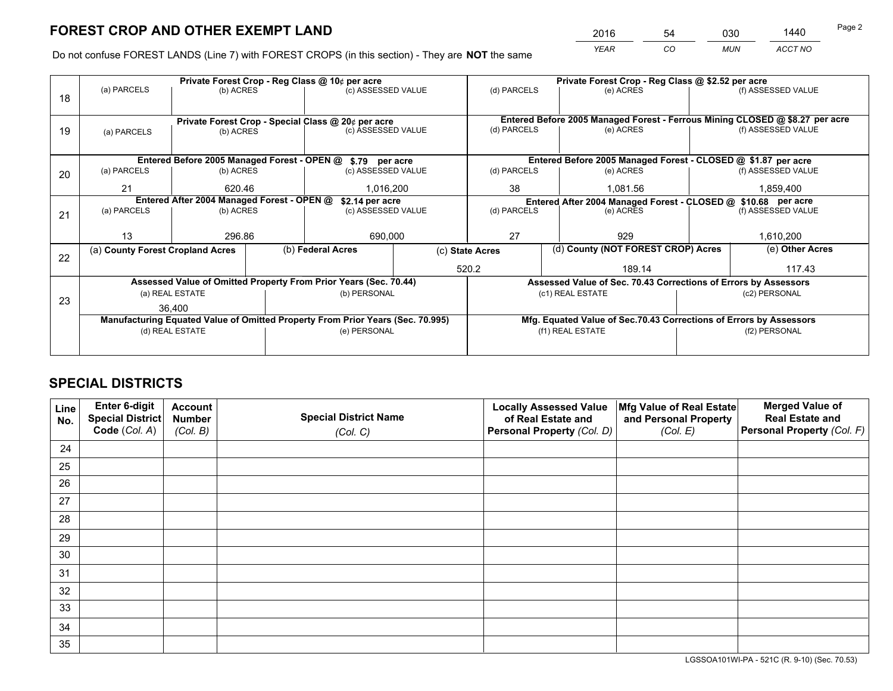*YEAR CO MUN ACCT NO* <sup>2016</sup> <sup>54</sup> <sup>030</sup> <sup>1440</sup>

Do not confuse FOREST LANDS (Line 7) with FOREST CROPS (in this section) - They are **NOT** the same

|    |                                                               | Private Forest Crop - Reg Class @ 10¢ per acre |  |                                                                                |                 |                                                                              | Private Forest Crop - Reg Class @ \$2.52 per acre                  |               |                                                               |
|----|---------------------------------------------------------------|------------------------------------------------|--|--------------------------------------------------------------------------------|-----------------|------------------------------------------------------------------------------|--------------------------------------------------------------------|---------------|---------------------------------------------------------------|
| 18 | (a) PARCELS                                                   | (b) ACRES                                      |  | (c) ASSESSED VALUE                                                             |                 | (d) PARCELS                                                                  | (e) ACRES                                                          |               | (f) ASSESSED VALUE                                            |
|    |                                                               |                                                |  | Private Forest Crop - Special Class @ 20¢ per acre                             |                 | Entered Before 2005 Managed Forest - Ferrous Mining CLOSED @ \$8.27 per acre |                                                                    |               |                                                               |
| 19 | (b) ACRES<br>(a) PARCELS                                      |                                                |  | (c) ASSESSED VALUE                                                             |                 | (d) PARCELS                                                                  | (e) ACRES                                                          |               | (f) ASSESSED VALUE                                            |
|    |                                                               |                                                |  | Entered Before 2005 Managed Forest - OPEN @ \$.79 per acre                     |                 |                                                                              |                                                                    |               | Entered Before 2005 Managed Forest - CLOSED @ \$1.87 per acre |
| 20 | (a) PARCELS                                                   | (b) ACRES                                      |  | (c) ASSESSED VALUE                                                             |                 | (d) PARCELS                                                                  | (e) ACRES                                                          |               | (f) ASSESSED VALUE                                            |
|    | 21                                                            | 620.46                                         |  | 1,016,200                                                                      |                 | 38                                                                           | 1.081.56                                                           |               | 1,859,400                                                     |
|    | Entered After 2004 Managed Forest - OPEN @<br>\$2.14 per acre |                                                |  |                                                                                |                 |                                                                              | Entered After 2004 Managed Forest - CLOSED @ \$10.68 per acre      |               |                                                               |
| 21 | (a) PARCELS                                                   | (b) ACRES                                      |  | (c) ASSESSED VALUE                                                             | (d) PARCELS     |                                                                              | (e) ACRES                                                          |               | (f) ASSESSED VALUE                                            |
|    |                                                               |                                                |  |                                                                                |                 |                                                                              |                                                                    |               |                                                               |
|    | 13                                                            | 296.86                                         |  | 690,000                                                                        |                 | 27                                                                           | 929                                                                |               | 1,610,200                                                     |
| 22 | (a) County Forest Cropland Acres                              |                                                |  | (b) Federal Acres                                                              | (c) State Acres |                                                                              | (d) County (NOT FOREST CROP) Acres                                 |               | (e) Other Acres                                               |
|    |                                                               |                                                |  |                                                                                |                 | 520.2                                                                        | 189.14                                                             |               | 117.43                                                        |
|    |                                                               |                                                |  | Assessed Value of Omitted Property From Prior Years (Sec. 70.44)               |                 |                                                                              | Assessed Value of Sec. 70.43 Corrections of Errors by Assessors    |               |                                                               |
| 23 |                                                               | (a) REAL ESTATE                                |  | (b) PERSONAL                                                                   |                 |                                                                              | (c1) REAL ESTATE                                                   |               | (c2) PERSONAL                                                 |
|    |                                                               | 36,400                                         |  |                                                                                |                 |                                                                              |                                                                    |               |                                                               |
|    |                                                               |                                                |  | Manufacturing Equated Value of Omitted Property From Prior Years (Sec. 70.995) |                 |                                                                              | Mfg. Equated Value of Sec.70.43 Corrections of Errors by Assessors |               |                                                               |
|    |                                                               | (d) REAL ESTATE                                |  | (e) PERSONAL                                                                   |                 |                                                                              | (f1) REAL ESTATE                                                   | (f2) PERSONAL |                                                               |
|    |                                                               |                                                |  |                                                                                |                 |                                                                              |                                                                    |               |                                                               |

## **SPECIAL DISTRICTS**

| Line<br>No. | Enter 6-digit<br>Special District<br>Code (Col. A) | <b>Account</b><br><b>Number</b><br>(Col. B) | <b>Special District Name</b><br>(Col. C) | <b>Locally Assessed Value</b><br>of Real Estate and<br>Personal Property (Col. D) | Mfg Value of Real Estate<br>and Personal Property<br>(Col. E) | <b>Merged Value of</b><br><b>Real Estate and</b><br>Personal Property (Col. F) |
|-------------|----------------------------------------------------|---------------------------------------------|------------------------------------------|-----------------------------------------------------------------------------------|---------------------------------------------------------------|--------------------------------------------------------------------------------|
| 24          |                                                    |                                             |                                          |                                                                                   |                                                               |                                                                                |
| 25          |                                                    |                                             |                                          |                                                                                   |                                                               |                                                                                |
| 26          |                                                    |                                             |                                          |                                                                                   |                                                               |                                                                                |
| 27          |                                                    |                                             |                                          |                                                                                   |                                                               |                                                                                |
| 28          |                                                    |                                             |                                          |                                                                                   |                                                               |                                                                                |
| 29          |                                                    |                                             |                                          |                                                                                   |                                                               |                                                                                |
| 30          |                                                    |                                             |                                          |                                                                                   |                                                               |                                                                                |
| 31          |                                                    |                                             |                                          |                                                                                   |                                                               |                                                                                |
| 32          |                                                    |                                             |                                          |                                                                                   |                                                               |                                                                                |
| 33          |                                                    |                                             |                                          |                                                                                   |                                                               |                                                                                |
| 34          |                                                    |                                             |                                          |                                                                                   |                                                               |                                                                                |
| 35          |                                                    |                                             |                                          |                                                                                   |                                                               |                                                                                |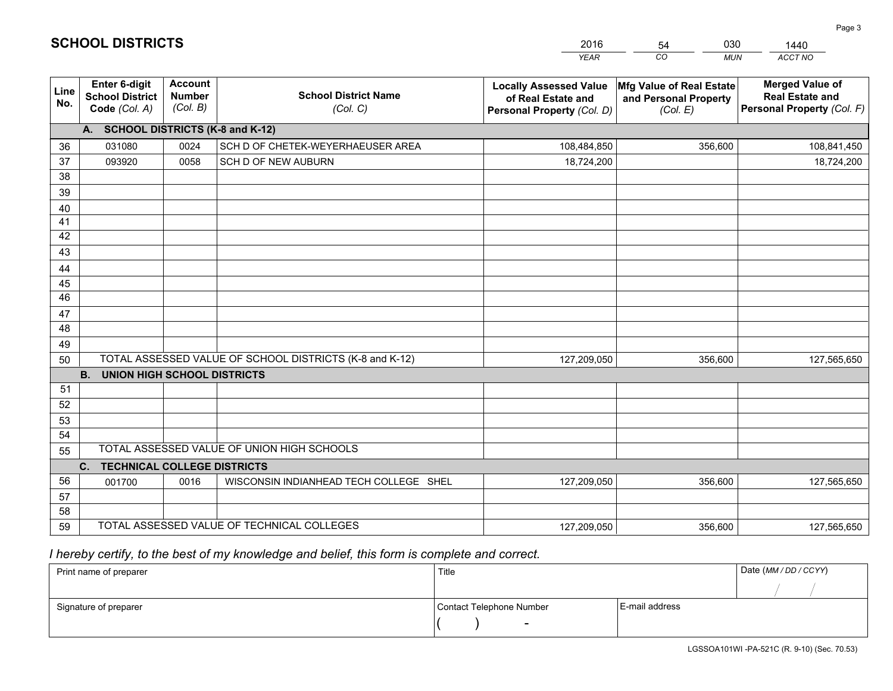|             |                                                          |                                             |                                                         | <b>YEAR</b>                                                                       | CO<br><b>MUN</b>                                              | ACCT NO                                                                        |
|-------------|----------------------------------------------------------|---------------------------------------------|---------------------------------------------------------|-----------------------------------------------------------------------------------|---------------------------------------------------------------|--------------------------------------------------------------------------------|
| Line<br>No. | Enter 6-digit<br><b>School District</b><br>Code (Col. A) | <b>Account</b><br><b>Number</b><br>(Col. B) | <b>School District Name</b><br>(Col. C)                 | <b>Locally Assessed Value</b><br>of Real Estate and<br>Personal Property (Col. D) | Mfg Value of Real Estate<br>and Personal Property<br>(Col. E) | <b>Merged Value of</b><br><b>Real Estate and</b><br>Personal Property (Col. F) |
|             | A. SCHOOL DISTRICTS (K-8 and K-12)                       |                                             |                                                         |                                                                                   |                                                               |                                                                                |
| 36          | 031080                                                   | 0024                                        | SCH D OF CHETEK-WEYERHAEUSER AREA                       | 108,484,850                                                                       | 356,600                                                       | 108,841,450                                                                    |
| 37          | 093920                                                   | 0058                                        | SCH D OF NEW AUBURN                                     | 18,724,200                                                                        |                                                               | 18,724,200                                                                     |
| 38          |                                                          |                                             |                                                         |                                                                                   |                                                               |                                                                                |
| 39          |                                                          |                                             |                                                         |                                                                                   |                                                               |                                                                                |
| 40          |                                                          |                                             |                                                         |                                                                                   |                                                               |                                                                                |
| 41          |                                                          |                                             |                                                         |                                                                                   |                                                               |                                                                                |
| 42          |                                                          |                                             |                                                         |                                                                                   |                                                               |                                                                                |
| 43          |                                                          |                                             |                                                         |                                                                                   |                                                               |                                                                                |
| 44          |                                                          |                                             |                                                         |                                                                                   |                                                               |                                                                                |
| 45          |                                                          |                                             |                                                         |                                                                                   |                                                               |                                                                                |
| 46          |                                                          |                                             |                                                         |                                                                                   |                                                               |                                                                                |
| 47<br>48    |                                                          |                                             |                                                         |                                                                                   |                                                               |                                                                                |
|             |                                                          |                                             |                                                         |                                                                                   |                                                               |                                                                                |
| 49          |                                                          |                                             | TOTAL ASSESSED VALUE OF SCHOOL DISTRICTS (K-8 and K-12) |                                                                                   |                                                               |                                                                                |
| 50          | <b>B.</b><br><b>UNION HIGH SCHOOL DISTRICTS</b>          |                                             |                                                         | 127,209,050                                                                       | 356,600                                                       | 127,565,650                                                                    |
| 51          |                                                          |                                             |                                                         |                                                                                   |                                                               |                                                                                |
| 52          |                                                          |                                             |                                                         |                                                                                   |                                                               |                                                                                |
| 53          |                                                          |                                             |                                                         |                                                                                   |                                                               |                                                                                |
| 54          |                                                          |                                             |                                                         |                                                                                   |                                                               |                                                                                |
| 55          |                                                          |                                             | TOTAL ASSESSED VALUE OF UNION HIGH SCHOOLS              |                                                                                   |                                                               |                                                                                |
|             | C.<br><b>TECHNICAL COLLEGE DISTRICTS</b>                 |                                             |                                                         |                                                                                   |                                                               |                                                                                |
| 56          | 001700                                                   | 0016                                        | WISCONSIN INDIANHEAD TECH COLLEGE SHEL                  | 127,209,050                                                                       | 356,600                                                       | 127,565,650                                                                    |
| 57          |                                                          |                                             |                                                         |                                                                                   |                                                               |                                                                                |
| 58          |                                                          |                                             |                                                         |                                                                                   |                                                               |                                                                                |
| 59          |                                                          |                                             | TOTAL ASSESSED VALUE OF TECHNICAL COLLEGES              | 127,209,050                                                                       | 356,600                                                       | 127,565,650                                                                    |

54

030

 *I hereby certify, to the best of my knowledge and belief, this form is complete and correct.*

**SCHOOL DISTRICTS**

| Print name of preparer | Title                    | Date (MM / DD / CCYY) |  |
|------------------------|--------------------------|-----------------------|--|
|                        |                          |                       |  |
| Signature of preparer  | Contact Telephone Number | E-mail address        |  |
|                        | $\overline{\phantom{0}}$ |                       |  |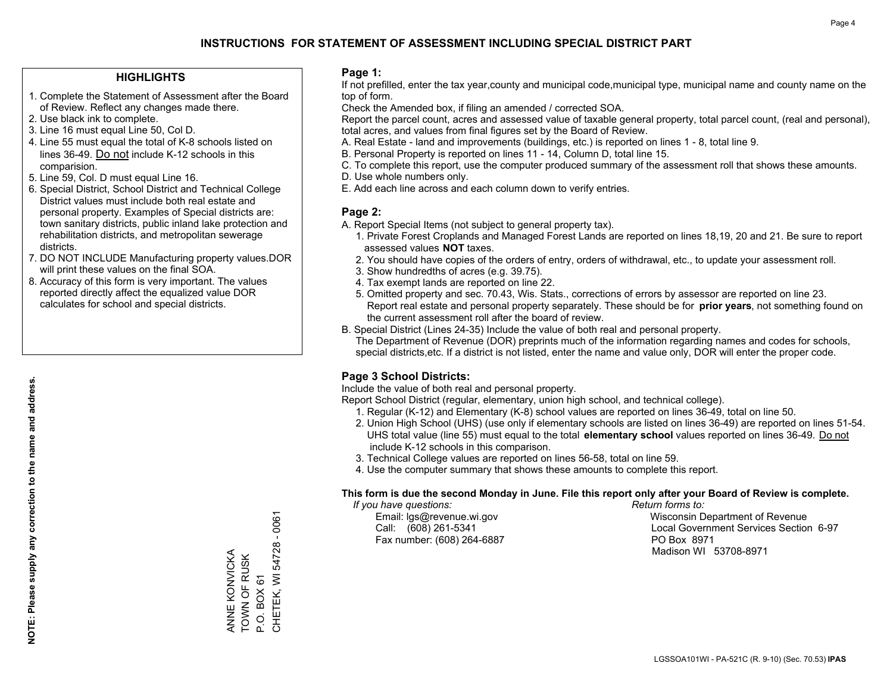#### **HIGHLIGHTS**

- 1. Complete the Statement of Assessment after the Board of Review. Reflect any changes made there.
- 2. Use black ink to complete.
- 3. Line 16 must equal Line 50, Col D.
- 4. Line 55 must equal the total of K-8 schools listed on lines 36-49. Do not include K-12 schools in this comparision.
- 5. Line 59, Col. D must equal Line 16.
- 6. Special District, School District and Technical College District values must include both real estate and personal property. Examples of Special districts are: town sanitary districts, public inland lake protection and rehabilitation districts, and metropolitan sewerage districts.
- 7. DO NOT INCLUDE Manufacturing property values.DOR will print these values on the final SOA.

ANNE KONVICKA TOWN OF RUSK P.O. BOX 61

ANNE KONVICKA TOWN OF RUSK P.O. BOX 61 CHETEK, WI 54728 - 0061

CHETEK, WI 54728

 $-0061$ 

 8. Accuracy of this form is very important. The values reported directly affect the equalized value DOR calculates for school and special districts.

#### **Page 1:**

 If not prefilled, enter the tax year,county and municipal code,municipal type, municipal name and county name on the top of form.

Check the Amended box, if filing an amended / corrected SOA.

 Report the parcel count, acres and assessed value of taxable general property, total parcel count, (real and personal), total acres, and values from final figures set by the Board of Review.

- A. Real Estate land and improvements (buildings, etc.) is reported on lines 1 8, total line 9.
- B. Personal Property is reported on lines 11 14, Column D, total line 15.
- C. To complete this report, use the computer produced summary of the assessment roll that shows these amounts.
- D. Use whole numbers only.
- E. Add each line across and each column down to verify entries.

#### **Page 2:**

- A. Report Special Items (not subject to general property tax).
- 1. Private Forest Croplands and Managed Forest Lands are reported on lines 18,19, 20 and 21. Be sure to report assessed values **NOT** taxes.
- 2. You should have copies of the orders of entry, orders of withdrawal, etc., to update your assessment roll.
	- 3. Show hundredths of acres (e.g. 39.75).
- 4. Tax exempt lands are reported on line 22.
- 5. Omitted property and sec. 70.43, Wis. Stats., corrections of errors by assessor are reported on line 23. Report real estate and personal property separately. These should be for **prior years**, not something found on the current assessment roll after the board of review.
- B. Special District (Lines 24-35) Include the value of both real and personal property.
- The Department of Revenue (DOR) preprints much of the information regarding names and codes for schools, special districts,etc. If a district is not listed, enter the name and value only, DOR will enter the proper code.

### **Page 3 School Districts:**

Include the value of both real and personal property.

Report School District (regular, elementary, union high school, and technical college).

- 1. Regular (K-12) and Elementary (K-8) school values are reported on lines 36-49, total on line 50.
- 2. Union High School (UHS) (use only if elementary schools are listed on lines 36-49) are reported on lines 51-54. UHS total value (line 55) must equal to the total **elementary school** values reported on lines 36-49. Do notinclude K-12 schools in this comparison.
- 3. Technical College values are reported on lines 56-58, total on line 59.
- 4. Use the computer summary that shows these amounts to complete this report.

#### **This form is due the second Monday in June. File this report only after your Board of Review is complete.**

 *If you have questions: Return forms to:*

Fax number: (608) 264-6887 PO Box 8971

 Email: lgs@revenue.wi.gov Wisconsin Department of Revenue Call: (608) 261-5341 Local Government Services Section 6-97Madison WI 53708-8971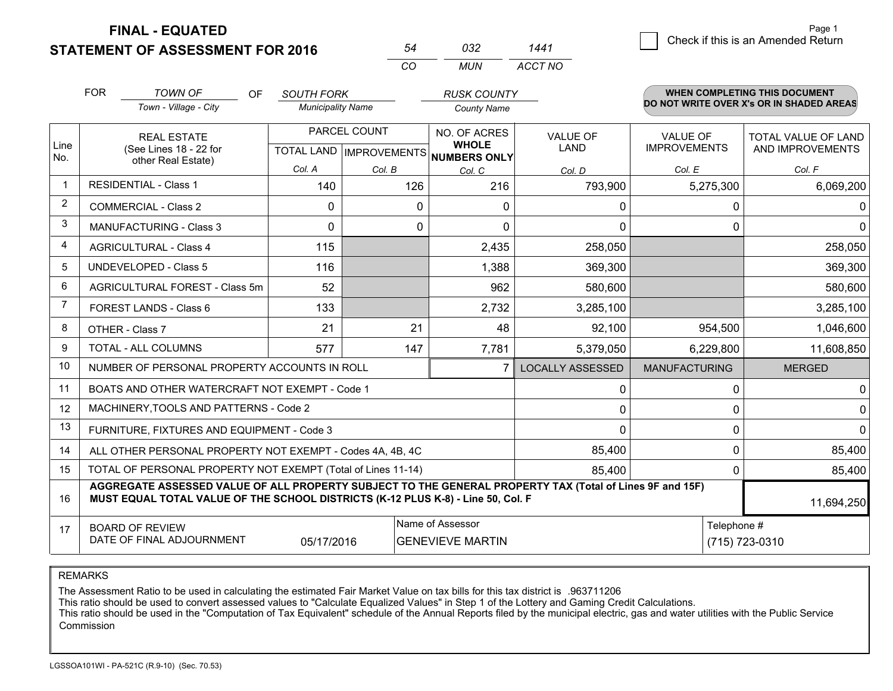**STATEMENT OF ASSESSMENT FOR 2016** 

**FINAL - EQUATED**

1 Check if this is an Amended Return Page 1

|                | <b>FOR</b>                                                                           | <b>TOWN OF</b><br><b>OF</b>                                                                                                                                                                  | <b>SOUTH FORK</b>        |                           | <b>RUSK COUNTY</b>           |                                          |                      | <b>WHEN COMPLETING THIS DOCUMENT</b> |  |
|----------------|--------------------------------------------------------------------------------------|----------------------------------------------------------------------------------------------------------------------------------------------------------------------------------------------|--------------------------|---------------------------|------------------------------|------------------------------------------|----------------------|--------------------------------------|--|
|                |                                                                                      | Town - Village - City                                                                                                                                                                        | <b>Municipality Name</b> |                           | <b>County Name</b>           | DO NOT WRITE OVER X's OR IN SHADED AREAS |                      |                                      |  |
|                |                                                                                      | <b>REAL ESTATE</b>                                                                                                                                                                           |                          | PARCEL COUNT              | NO. OF ACRES                 | <b>VALUE OF</b>                          | <b>VALUE OF</b>      | TOTAL VALUE OF LAND                  |  |
| Line<br>No.    |                                                                                      | (See Lines 18 - 22 for<br>other Real Estate)                                                                                                                                                 |                          | TOTAL LAND   IMPROVEMENTS | <b>WHOLE</b><br>NUMBERS ONLY | <b>LAND</b>                              | <b>IMPROVEMENTS</b>  | AND IMPROVEMENTS                     |  |
|                |                                                                                      |                                                                                                                                                                                              | Col. A                   | Col. B                    | Col. C                       | Col. D                                   | Col. E               | Col. F                               |  |
| $\overline{1}$ |                                                                                      | <b>RESIDENTIAL - Class 1</b>                                                                                                                                                                 | 140                      | 126                       | 216                          | 793,900                                  | 5,275,300            | 6,069,200                            |  |
| $\overline{2}$ |                                                                                      | <b>COMMERCIAL - Class 2</b>                                                                                                                                                                  | 0                        | 0                         | $\Omega$                     | 0                                        | 0                    | 0                                    |  |
| 3              |                                                                                      | <b>MANUFACTURING - Class 3</b>                                                                                                                                                               | 0                        | 0                         | $\Omega$                     | $\mathbf 0$                              | 0                    | $\mathbf 0$                          |  |
| $\overline{4}$ |                                                                                      | <b>AGRICULTURAL - Class 4</b>                                                                                                                                                                | 115                      |                           | 2,435                        | 258,050                                  |                      | 258,050                              |  |
| 5              | <b>UNDEVELOPED - Class 5</b>                                                         |                                                                                                                                                                                              | 116                      |                           | 1,388                        | 369,300                                  |                      | 369,300                              |  |
| 6              | AGRICULTURAL FOREST - Class 5m                                                       |                                                                                                                                                                                              | 52                       |                           | 962                          | 580,600                                  |                      | 580,600                              |  |
| $\overline{7}$ | FOREST LANDS - Class 6                                                               |                                                                                                                                                                                              | 133                      |                           | 2,732                        | 3,285,100                                |                      | 3,285,100                            |  |
| 8              | OTHER - Class 7                                                                      |                                                                                                                                                                                              | 21                       | 21                        | 48                           | 92,100                                   | 954,500              | 1,046,600                            |  |
| 9              |                                                                                      | <b>TOTAL - ALL COLUMNS</b>                                                                                                                                                                   | 577                      | 147                       | 7,781                        | 5,379,050                                | 6,229,800            | 11,608,850                           |  |
| 10             |                                                                                      | NUMBER OF PERSONAL PROPERTY ACCOUNTS IN ROLL                                                                                                                                                 |                          |                           |                              | <b>LOCALLY ASSESSED</b>                  | <b>MANUFACTURING</b> | <b>MERGED</b>                        |  |
| 11             |                                                                                      | BOATS AND OTHER WATERCRAFT NOT EXEMPT - Code 1                                                                                                                                               |                          |                           |                              | 0                                        | 0                    | 0                                    |  |
| 12             |                                                                                      | MACHINERY, TOOLS AND PATTERNS - Code 2                                                                                                                                                       |                          |                           |                              | $\mathbf 0$                              | 0                    | 0                                    |  |
| 13             |                                                                                      | FURNITURE, FIXTURES AND EQUIPMENT - Code 3                                                                                                                                                   |                          |                           |                              | $\Omega$                                 | $\Omega$             | $\Omega$                             |  |
| 14             |                                                                                      | ALL OTHER PERSONAL PROPERTY NOT EXEMPT - Codes 4A, 4B, 4C                                                                                                                                    |                          |                           |                              | 85,400                                   | 0                    | 85,400                               |  |
| 15             |                                                                                      | TOTAL OF PERSONAL PROPERTY NOT EXEMPT (Total of Lines 11-14)                                                                                                                                 |                          |                           |                              | 85,400                                   | 0                    | 85,400                               |  |
| 16             |                                                                                      | AGGREGATE ASSESSED VALUE OF ALL PROPERTY SUBJECT TO THE GENERAL PROPERTY TAX (Total of Lines 9F and 15F)<br>MUST EQUAL TOTAL VALUE OF THE SCHOOL DISTRICTS (K-12 PLUS K-8) - Line 50, Col. F |                          |                           |                              |                                          |                      | 11,694,250                           |  |
| 17             |                                                                                      | <b>BOARD OF REVIEW</b>                                                                                                                                                                       |                          |                           | Name of Assessor             |                                          | Telephone #          |                                      |  |
|                | DATE OF FINAL ADJOURNMENT<br><b>GENEVIEVE MARTIN</b><br>(715) 723-0310<br>05/17/2016 |                                                                                                                                                                                              |                          |                           |                              |                                          |                      |                                      |  |

*CO*

*MUN*

*ACCT NO1441*

*<sup>54</sup> <sup>032</sup>*

REMARKS

The Assessment Ratio to be used in calculating the estimated Fair Market Value on tax bills for this tax district is .963711206<br>This ratio should be used to convert assessed values to "Calculate Equalized Values" in Step 1 Commission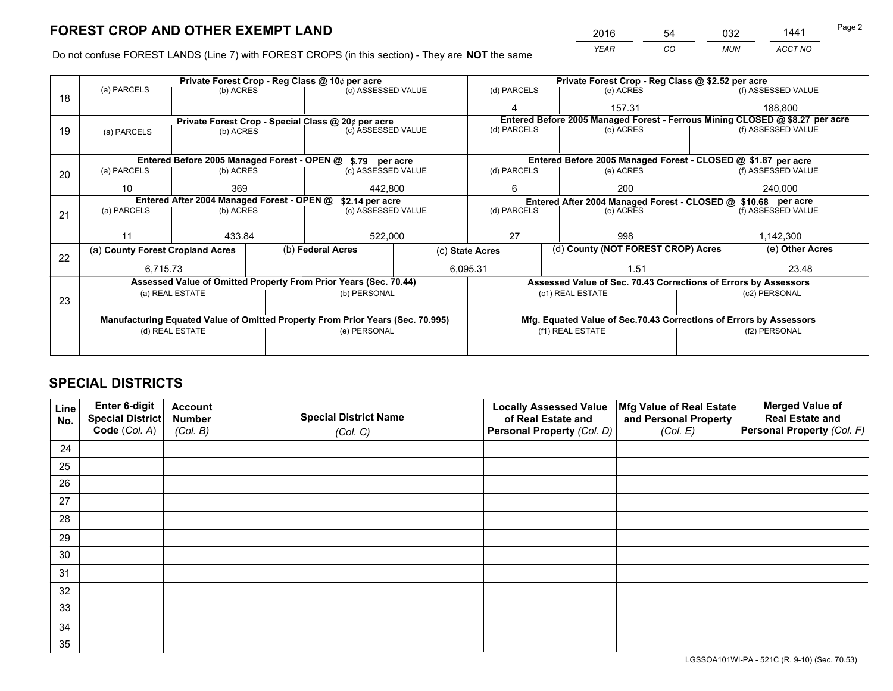*YEAR CO MUN ACCT NO* 2016 <u>54 032 1441</u>

Do not confuse FOREST LANDS (Line 7) with FOREST CROPS (in this section) - They are **NOT** the same

|    | Private Forest Crop - Reg Class @ 10¢ per acre                                 |                                            |  |                                                                  |  | Private Forest Crop - Reg Class @ \$2.52 per acre                  |                                                                 |  |                                                                              |  |
|----|--------------------------------------------------------------------------------|--------------------------------------------|--|------------------------------------------------------------------|--|--------------------------------------------------------------------|-----------------------------------------------------------------|--|------------------------------------------------------------------------------|--|
| 18 | (a) PARCELS                                                                    | (b) ACRES                                  |  | (c) ASSESSED VALUE                                               |  | (d) PARCELS                                                        | (e) ACRES                                                       |  | (f) ASSESSED VALUE                                                           |  |
|    |                                                                                |                                            |  |                                                                  |  | 4                                                                  | 157.31                                                          |  | 188,800                                                                      |  |
|    |                                                                                |                                            |  | Private Forest Crop - Special Class @ 20¢ per acre               |  |                                                                    |                                                                 |  | Entered Before 2005 Managed Forest - Ferrous Mining CLOSED @ \$8.27 per acre |  |
| 19 | (a) PARCELS                                                                    | (b) ACRES                                  |  | (c) ASSESSED VALUE                                               |  | (d) PARCELS                                                        | (e) ACRES                                                       |  | (f) ASSESSED VALUE                                                           |  |
|    |                                                                                |                                            |  |                                                                  |  |                                                                    |                                                                 |  |                                                                              |  |
|    |                                                                                |                                            |  | Entered Before 2005 Managed Forest - OPEN @ \$.79 per acre       |  |                                                                    | Entered Before 2005 Managed Forest - CLOSED @ \$1.87 per acre   |  |                                                                              |  |
| 20 | (a) PARCELS                                                                    | (b) ACRES                                  |  | (c) ASSESSED VALUE                                               |  | (d) PARCELS                                                        | (e) ACRES                                                       |  | (f) ASSESSED VALUE                                                           |  |
|    | 10                                                                             | 369                                        |  | 442,800                                                          |  | 6                                                                  | 200                                                             |  | 240,000                                                                      |  |
|    |                                                                                | Entered After 2004 Managed Forest - OPEN @ |  | \$2.14 per acre                                                  |  | Entered After 2004 Managed Forest - CLOSED @ \$10.68 per acre      |                                                                 |  |                                                                              |  |
| 21 | (a) PARCELS                                                                    | (b) ACRES                                  |  | (c) ASSESSED VALUE                                               |  | (d) PARCELS<br>(e) ACRES                                           |                                                                 |  | (f) ASSESSED VALUE                                                           |  |
|    |                                                                                |                                            |  |                                                                  |  |                                                                    |                                                                 |  |                                                                              |  |
|    | 11                                                                             | 433.84                                     |  | 522,000                                                          |  | 27                                                                 | 998                                                             |  | 1,142,300                                                                    |  |
| 22 |                                                                                | (a) County Forest Cropland Acres           |  | (b) Federal Acres                                                |  | (c) State Acres                                                    | (d) County (NOT FOREST CROP) Acres                              |  | (e) Other Acres                                                              |  |
|    | 6,715.73                                                                       |                                            |  | 6,095.31                                                         |  | 1.51                                                               |                                                                 |  | 23.48                                                                        |  |
|    |                                                                                |                                            |  | Assessed Value of Omitted Property From Prior Years (Sec. 70.44) |  |                                                                    | Assessed Value of Sec. 70.43 Corrections of Errors by Assessors |  |                                                                              |  |
| 23 |                                                                                | (a) REAL ESTATE                            |  | (b) PERSONAL                                                     |  | (c1) REAL ESTATE                                                   |                                                                 |  | (c2) PERSONAL                                                                |  |
|    |                                                                                |                                            |  |                                                                  |  |                                                                    |                                                                 |  |                                                                              |  |
|    | Manufacturing Equated Value of Omitted Property From Prior Years (Sec. 70.995) |                                            |  |                                                                  |  | Mfg. Equated Value of Sec.70.43 Corrections of Errors by Assessors |                                                                 |  |                                                                              |  |
|    | (d) REAL ESTATE                                                                |                                            |  | (e) PERSONAL                                                     |  |                                                                    | (f1) REAL ESTATE                                                |  | (f2) PERSONAL                                                                |  |
|    |                                                                                |                                            |  |                                                                  |  |                                                                    |                                                                 |  |                                                                              |  |

## **SPECIAL DISTRICTS**

| Line<br>No. | Enter 6-digit<br><b>Special District</b> | <b>Account</b><br><b>Number</b> | <b>Special District Name</b> | <b>Locally Assessed Value</b><br>of Real Estate and | Mfg Value of Real Estate<br>and Personal Property | <b>Merged Value of</b><br><b>Real Estate and</b> |
|-------------|------------------------------------------|---------------------------------|------------------------------|-----------------------------------------------------|---------------------------------------------------|--------------------------------------------------|
|             | Code (Col. A)                            | (Col. B)                        | (Col. C)                     | Personal Property (Col. D)                          | (Col. E)                                          | Personal Property (Col. F)                       |
| 24          |                                          |                                 |                              |                                                     |                                                   |                                                  |
| 25          |                                          |                                 |                              |                                                     |                                                   |                                                  |
| 26          |                                          |                                 |                              |                                                     |                                                   |                                                  |
| 27          |                                          |                                 |                              |                                                     |                                                   |                                                  |
| 28          |                                          |                                 |                              |                                                     |                                                   |                                                  |
| 29          |                                          |                                 |                              |                                                     |                                                   |                                                  |
| 30          |                                          |                                 |                              |                                                     |                                                   |                                                  |
| 31          |                                          |                                 |                              |                                                     |                                                   |                                                  |
| 32          |                                          |                                 |                              |                                                     |                                                   |                                                  |
| 33          |                                          |                                 |                              |                                                     |                                                   |                                                  |
| 34          |                                          |                                 |                              |                                                     |                                                   |                                                  |
| 35          |                                          |                                 |                              |                                                     |                                                   |                                                  |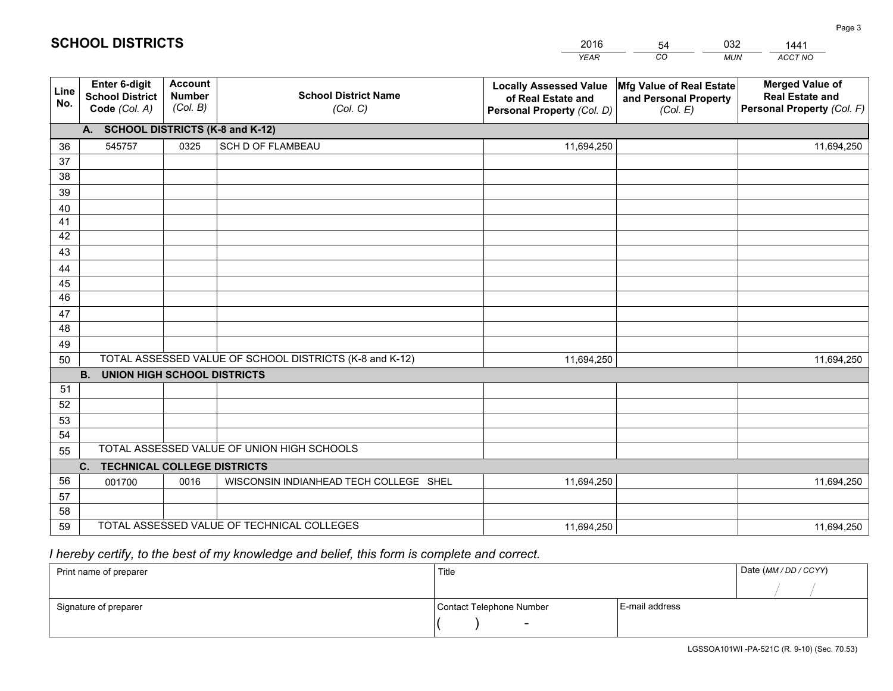|             |                                                                 |                                             |                                                         | <b>YEAR</b>                                                                       | CO<br><b>MUN</b>                                              | ACCT NO                                                                        |
|-------------|-----------------------------------------------------------------|---------------------------------------------|---------------------------------------------------------|-----------------------------------------------------------------------------------|---------------------------------------------------------------|--------------------------------------------------------------------------------|
| Line<br>No. | <b>Enter 6-digit</b><br><b>School District</b><br>Code (Col. A) | <b>Account</b><br><b>Number</b><br>(Col. B) | <b>School District Name</b><br>(Col. C)                 | <b>Locally Assessed Value</b><br>of Real Estate and<br>Personal Property (Col. D) | Mfg Value of Real Estate<br>and Personal Property<br>(Col. E) | <b>Merged Value of</b><br><b>Real Estate and</b><br>Personal Property (Col. F) |
|             | A. SCHOOL DISTRICTS (K-8 and K-12)                              |                                             |                                                         |                                                                                   |                                                               |                                                                                |
| 36          | 545757                                                          | 0325                                        | <b>SCH D OF FLAMBEAU</b>                                | 11,694,250                                                                        |                                                               | 11,694,250                                                                     |
| 37          |                                                                 |                                             |                                                         |                                                                                   |                                                               |                                                                                |
| 38          |                                                                 |                                             |                                                         |                                                                                   |                                                               |                                                                                |
| 39          |                                                                 |                                             |                                                         |                                                                                   |                                                               |                                                                                |
| 40          |                                                                 |                                             |                                                         |                                                                                   |                                                               |                                                                                |
| 41          |                                                                 |                                             |                                                         |                                                                                   |                                                               |                                                                                |
| 42          |                                                                 |                                             |                                                         |                                                                                   |                                                               |                                                                                |
| 43          |                                                                 |                                             |                                                         |                                                                                   |                                                               |                                                                                |
| 44<br>45    |                                                                 |                                             |                                                         |                                                                                   |                                                               |                                                                                |
| 46          |                                                                 |                                             |                                                         |                                                                                   |                                                               |                                                                                |
| 47          |                                                                 |                                             |                                                         |                                                                                   |                                                               |                                                                                |
| 48          |                                                                 |                                             |                                                         |                                                                                   |                                                               |                                                                                |
| 49          |                                                                 |                                             |                                                         |                                                                                   |                                                               |                                                                                |
| 50          |                                                                 |                                             | TOTAL ASSESSED VALUE OF SCHOOL DISTRICTS (K-8 and K-12) | 11,694,250                                                                        |                                                               | 11,694,250                                                                     |
|             | <b>B.</b><br><b>UNION HIGH SCHOOL DISTRICTS</b>                 |                                             |                                                         |                                                                                   |                                                               |                                                                                |
| 51          |                                                                 |                                             |                                                         |                                                                                   |                                                               |                                                                                |
| 52          |                                                                 |                                             |                                                         |                                                                                   |                                                               |                                                                                |
| 53          |                                                                 |                                             |                                                         |                                                                                   |                                                               |                                                                                |
| 54          |                                                                 |                                             |                                                         |                                                                                   |                                                               |                                                                                |
| 55          |                                                                 |                                             | TOTAL ASSESSED VALUE OF UNION HIGH SCHOOLS              |                                                                                   |                                                               |                                                                                |
|             | C.<br><b>TECHNICAL COLLEGE DISTRICTS</b>                        |                                             |                                                         |                                                                                   |                                                               |                                                                                |
| 56          | 001700                                                          | 0016                                        | WISCONSIN INDIANHEAD TECH COLLEGE SHEL                  | 11,694,250                                                                        |                                                               | 11,694,250                                                                     |
| 57          |                                                                 |                                             |                                                         |                                                                                   |                                                               |                                                                                |
| 58          |                                                                 |                                             |                                                         |                                                                                   |                                                               |                                                                                |
| 59          |                                                                 |                                             | TOTAL ASSESSED VALUE OF TECHNICAL COLLEGES              | 11,694,250                                                                        |                                                               | 11,694,250                                                                     |

54

032

 *I hereby certify, to the best of my knowledge and belief, this form is complete and correct.*

**SCHOOL DISTRICTS**

| Print name of preparer | Title                    |                | Date (MM / DD / CCYY) |
|------------------------|--------------------------|----------------|-----------------------|
|                        |                          |                |                       |
| Signature of preparer  | Contact Telephone Number | E-mail address |                       |
|                        | $\sim$                   |                |                       |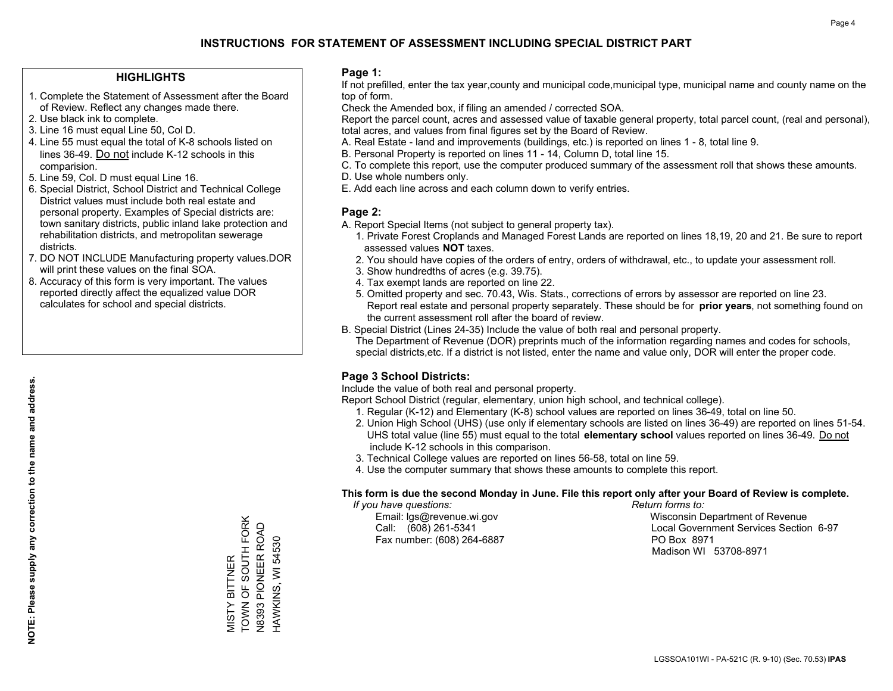#### **HIGHLIGHTS**

- 1. Complete the Statement of Assessment after the Board of Review. Reflect any changes made there.
- 2. Use black ink to complete.
- 3. Line 16 must equal Line 50, Col D.
- 4. Line 55 must equal the total of K-8 schools listed on lines 36-49. Do not include K-12 schools in this comparision.
- 5. Line 59, Col. D must equal Line 16.
- 6. Special District, School District and Technical College District values must include both real estate and personal property. Examples of Special districts are: town sanitary districts, public inland lake protection and rehabilitation districts, and metropolitan sewerage districts.
- 7. DO NOT INCLUDE Manufacturing property values.DOR will print these values on the final SOA.
- 8. Accuracy of this form is very important. The values reported directly affect the equalized value DOR calculates for school and special districts.

#### **Page 1:**

 If not prefilled, enter the tax year,county and municipal code,municipal type, municipal name and county name on the top of form.

Check the Amended box, if filing an amended / corrected SOA.

 Report the parcel count, acres and assessed value of taxable general property, total parcel count, (real and personal), total acres, and values from final figures set by the Board of Review.

- A. Real Estate land and improvements (buildings, etc.) is reported on lines 1 8, total line 9.
- B. Personal Property is reported on lines 11 14, Column D, total line 15.
- C. To complete this report, use the computer produced summary of the assessment roll that shows these amounts.
- D. Use whole numbers only.
- E. Add each line across and each column down to verify entries.

#### **Page 2:**

- A. Report Special Items (not subject to general property tax).
- 1. Private Forest Croplands and Managed Forest Lands are reported on lines 18,19, 20 and 21. Be sure to report assessed values **NOT** taxes.
- 2. You should have copies of the orders of entry, orders of withdrawal, etc., to update your assessment roll.
	- 3. Show hundredths of acres (e.g. 39.75).
- 4. Tax exempt lands are reported on line 22.
- 5. Omitted property and sec. 70.43, Wis. Stats., corrections of errors by assessor are reported on line 23. Report real estate and personal property separately. These should be for **prior years**, not something found on the current assessment roll after the board of review.
- B. Special District (Lines 24-35) Include the value of both real and personal property.
- The Department of Revenue (DOR) preprints much of the information regarding names and codes for schools, special districts,etc. If a district is not listed, enter the name and value only, DOR will enter the proper code.

### **Page 3 School Districts:**

Include the value of both real and personal property.

Report School District (regular, elementary, union high school, and technical college).

- 1. Regular (K-12) and Elementary (K-8) school values are reported on lines 36-49, total on line 50.
- 2. Union High School (UHS) (use only if elementary schools are listed on lines 36-49) are reported on lines 51-54. UHS total value (line 55) must equal to the total **elementary school** values reported on lines 36-49. Do notinclude K-12 schools in this comparison.
- 3. Technical College values are reported on lines 56-58, total on line 59.
- 4. Use the computer summary that shows these amounts to complete this report.

#### **This form is due the second Monday in June. File this report only after your Board of Review is complete.**

 *If you have questions: Return forms to:*

Fax number: (608) 264-6887 PO Box 8971

 Email: lgs@revenue.wi.gov Wisconsin Department of Revenue Call: (608) 261-5341 Local Government Services Section 6-97Madison WI 53708-8971

TOWN OF SOUTH FORK VIISTY BITTNER<br>TOWN OF SOUTH FORK **V8393 PIONEER ROAD** N8393 PIONEER ROAD HAWKINS, WI 54530 HAWKINS, WI 54530 MISTY BITTNER

**NOTE: Please supply any correction to the name and address.**

NOTE: Please supply any correction to the name and address.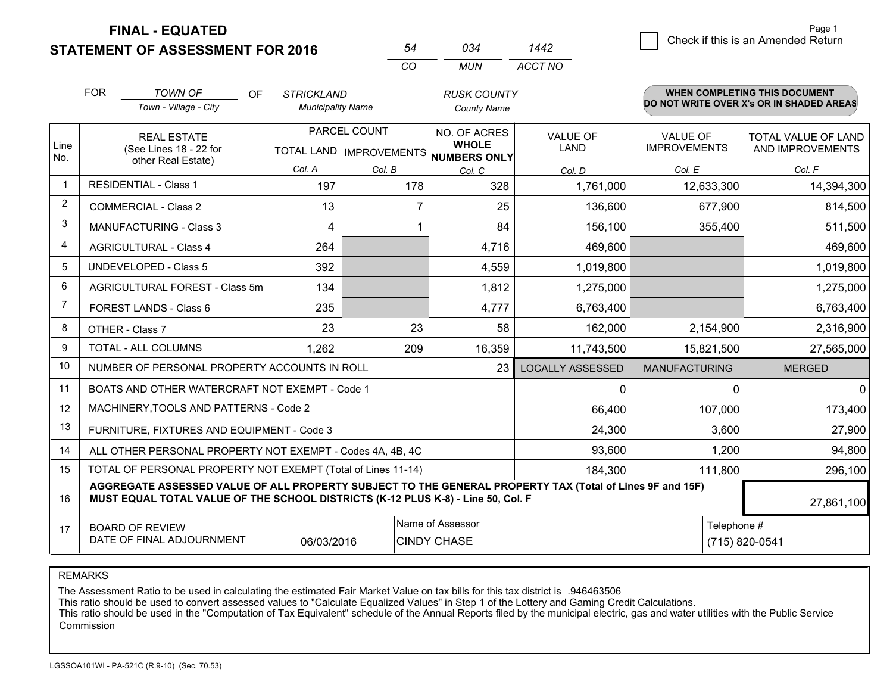**STATEMENT OF ASSESSMENT FOR 2016** 

**FINAL - EQUATED**

| Page 1                             |
|------------------------------------|
| Check if this is an Amended Return |
|                                    |

|                |                                                                                                                                                                                              |                          | CO             | <b>MUN</b>                                               | <b>ACCT NO</b>          |                      |                                          |  |
|----------------|----------------------------------------------------------------------------------------------------------------------------------------------------------------------------------------------|--------------------------|----------------|----------------------------------------------------------|-------------------------|----------------------|------------------------------------------|--|
|                | <b>FOR</b><br><b>TOWN OF</b><br><b>OF</b>                                                                                                                                                    | <b>STRICKLAND</b>        |                | <b>RUSK COUNTY</b>                                       |                         |                      | <b>WHEN COMPLETING THIS DOCUMENT</b>     |  |
|                | Town - Village - City                                                                                                                                                                        | <b>Municipality Name</b> |                | <b>County Name</b>                                       |                         |                      | DO NOT WRITE OVER X's OR IN SHADED AREAS |  |
|                | <b>REAL ESTATE</b>                                                                                                                                                                           |                          | PARCEL COUNT   | NO. OF ACRES                                             | <b>VALUE OF</b>         | <b>VALUE OF</b>      | TOTAL VALUE OF LAND                      |  |
| Line<br>No.    | (See Lines 18 - 22 for<br>other Real Estate)                                                                                                                                                 |                          |                | <b>WHOLE</b><br>TOTAL LAND   IMPROVEMENTS   NUMBERS ONLY | <b>LAND</b>             | <b>IMPROVEMENTS</b>  | AND IMPROVEMENTS                         |  |
|                |                                                                                                                                                                                              | Col. A                   | Col. B         | Col. C                                                   | Col. D                  | Col. E               | Col. F                                   |  |
| $\mathbf{1}$   | <b>RESIDENTIAL - Class 1</b>                                                                                                                                                                 | 197                      | 178            | 328                                                      | 1,761,000               | 12,633,300           | 14,394,300                               |  |
| $\overline{2}$ | <b>COMMERCIAL - Class 2</b>                                                                                                                                                                  | 13                       | $\overline{7}$ | 25                                                       | 136,600                 | 677,900              | 814,500                                  |  |
| 3              | <b>MANUFACTURING - Class 3</b>                                                                                                                                                               | 4                        | 1              | 84                                                       | 156,100                 | 355,400              | 511,500                                  |  |
| 4              | <b>AGRICULTURAL - Class 4</b>                                                                                                                                                                | 264                      |                | 4,716                                                    | 469,600                 |                      | 469,600                                  |  |
| 5              | <b>UNDEVELOPED - Class 5</b>                                                                                                                                                                 | 392                      |                | 4,559                                                    | 1,019,800               |                      | 1,019,800                                |  |
| 6              | AGRICULTURAL FOREST - Class 5m                                                                                                                                                               | 134                      |                | 1,812                                                    | 1,275,000               |                      | 1,275,000                                |  |
| $\overline{7}$ | FOREST LANDS - Class 6                                                                                                                                                                       | 235                      |                | 4,777                                                    | 6,763,400               |                      | 6,763,400                                |  |
| 8              | OTHER - Class 7                                                                                                                                                                              | 23                       | 23             | 58                                                       | 162,000                 | 2,154,900            | 2,316,900                                |  |
| 9              | TOTAL - ALL COLUMNS                                                                                                                                                                          | 1,262                    | 209            | 16,359                                                   | 11,743,500              | 15,821,500           | 27,565,000                               |  |
| 10             | NUMBER OF PERSONAL PROPERTY ACCOUNTS IN ROLL                                                                                                                                                 |                          |                | 23                                                       | <b>LOCALLY ASSESSED</b> | <b>MANUFACTURING</b> | <b>MERGED</b>                            |  |
| 11             | BOATS AND OTHER WATERCRAFT NOT EXEMPT - Code 1                                                                                                                                               |                          |                |                                                          | 0                       | 0                    | $\mathbf 0$                              |  |
| 12             | MACHINERY, TOOLS AND PATTERNS - Code 2                                                                                                                                                       |                          |                |                                                          | 66,400                  | 107,000              | 173,400                                  |  |
| 13             | FURNITURE, FIXTURES AND EQUIPMENT - Code 3                                                                                                                                                   |                          |                |                                                          | 24,300                  | 3,600                | 27,900                                   |  |
| 14             | ALL OTHER PERSONAL PROPERTY NOT EXEMPT - Codes 4A, 4B, 4C                                                                                                                                    |                          |                |                                                          | 93,600                  | 1,200                | 94,800                                   |  |
| 15             | TOTAL OF PERSONAL PROPERTY NOT EXEMPT (Total of Lines 11-14)                                                                                                                                 |                          |                | 184,300                                                  | 111,800                 | 296,100              |                                          |  |
| 16             | AGGREGATE ASSESSED VALUE OF ALL PROPERTY SUBJECT TO THE GENERAL PROPERTY TAX (Total of Lines 9F and 15F)<br>MUST EQUAL TOTAL VALUE OF THE SCHOOL DISTRICTS (K-12 PLUS K-8) - Line 50, Col. F |                          |                |                                                          |                         |                      | 27,861,100                               |  |
| 17             | <b>BOARD OF REVIEW</b>                                                                                                                                                                       |                          |                | Name of Assessor                                         |                         | Telephone #          |                                          |  |
|                | DATE OF FINAL ADJOURNMENT                                                                                                                                                                    | 06/03/2016               |                | <b>CINDY CHASE</b>                                       |                         | (715) 820-0541       |                                          |  |

*<sup>54</sup> <sup>034</sup>*

*ACCT NO1442*

REMARKS

The Assessment Ratio to be used in calculating the estimated Fair Market Value on tax bills for this tax district is .946463506<br>This ratio should be used to convert assessed values to "Calculate Equalized Values" in Step 1 Commission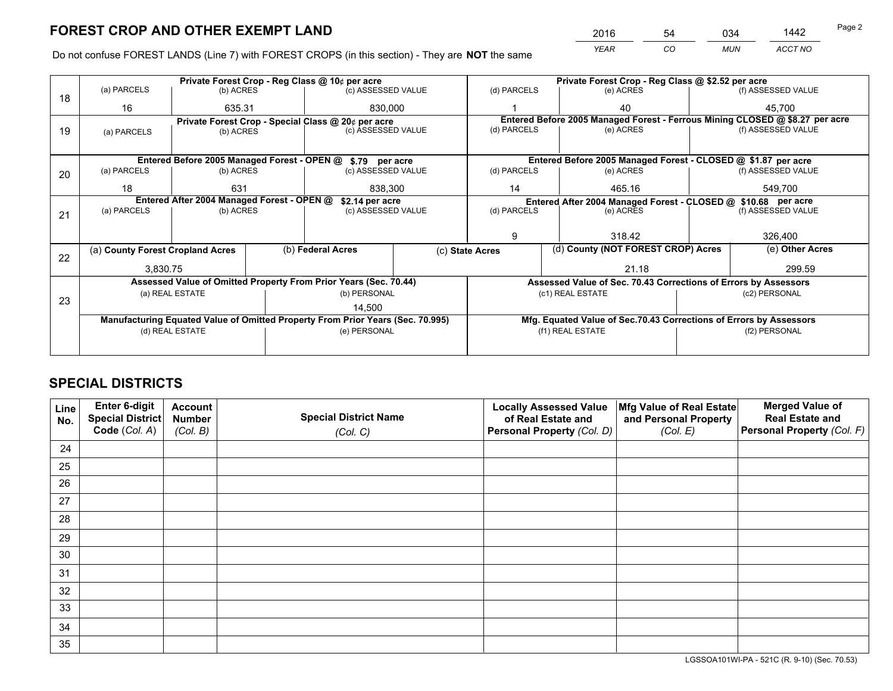*YEAR CO MUN ACCT NO* <sup>2016</sup> <sup>54</sup> <sup>034</sup> <sup>1442</sup>

Do not confuse FOREST LANDS (Line 7) with FOREST CROPS (in this section) - They are **NOT** the same

| Private Forest Crop - Reg Class @ 10¢ per acre |                                  |                                           |                                                            |                                                                 | Private Forest Crop - Reg Class @ \$2.52 per acre                                                                                                                                                                                                                                                                                                                                                                                       |                                                          |                                                                                    |                                                                                                                                                                                                                                                                                                                            |
|------------------------------------------------|----------------------------------|-------------------------------------------|------------------------------------------------------------|-----------------------------------------------------------------|-----------------------------------------------------------------------------------------------------------------------------------------------------------------------------------------------------------------------------------------------------------------------------------------------------------------------------------------------------------------------------------------------------------------------------------------|----------------------------------------------------------|------------------------------------------------------------------------------------|----------------------------------------------------------------------------------------------------------------------------------------------------------------------------------------------------------------------------------------------------------------------------------------------------------------------------|
|                                                |                                  |                                           |                                                            |                                                                 | (d) PARCELS                                                                                                                                                                                                                                                                                                                                                                                                                             | (e) ACRES                                                |                                                                                    | (f) ASSESSED VALUE                                                                                                                                                                                                                                                                                                         |
| 16                                             |                                  |                                           |                                                            |                                                                 |                                                                                                                                                                                                                                                                                                                                                                                                                                         | 40                                                       |                                                                                    | 45.700                                                                                                                                                                                                                                                                                                                     |
|                                                |                                  |                                           |                                                            |                                                                 |                                                                                                                                                                                                                                                                                                                                                                                                                                         |                                                          |                                                                                    |                                                                                                                                                                                                                                                                                                                            |
| (a) PARCELS                                    |                                  |                                           |                                                            |                                                                 |                                                                                                                                                                                                                                                                                                                                                                                                                                         |                                                          |                                                                                    | (f) ASSESSED VALUE                                                                                                                                                                                                                                                                                                         |
|                                                |                                  |                                           |                                                            |                                                                 |                                                                                                                                                                                                                                                                                                                                                                                                                                         |                                                          |                                                                                    |                                                                                                                                                                                                                                                                                                                            |
|                                                |                                  |                                           |                                                            |                                                                 |                                                                                                                                                                                                                                                                                                                                                                                                                                         |                                                          |                                                                                    |                                                                                                                                                                                                                                                                                                                            |
| (a) PARCELS                                    |                                  |                                           |                                                            |                                                                 | (d) PARCELS                                                                                                                                                                                                                                                                                                                                                                                                                             | (e) ACRES                                                |                                                                                    | (f) ASSESSED VALUE                                                                                                                                                                                                                                                                                                         |
|                                                |                                  |                                           |                                                            |                                                                 |                                                                                                                                                                                                                                                                                                                                                                                                                                         |                                                          |                                                                                    | 549,700                                                                                                                                                                                                                                                                                                                    |
|                                                |                                  |                                           |                                                            |                                                                 |                                                                                                                                                                                                                                                                                                                                                                                                                                         |                                                          |                                                                                    |                                                                                                                                                                                                                                                                                                                            |
|                                                |                                  |                                           |                                                            |                                                                 |                                                                                                                                                                                                                                                                                                                                                                                                                                         |                                                          | (f) ASSESSED VALUE                                                                 |                                                                                                                                                                                                                                                                                                                            |
|                                                |                                  |                                           |                                                            |                                                                 |                                                                                                                                                                                                                                                                                                                                                                                                                                         |                                                          |                                                                                    |                                                                                                                                                                                                                                                                                                                            |
|                                                |                                  |                                           |                                                            |                                                                 |                                                                                                                                                                                                                                                                                                                                                                                                                                         |                                                          |                                                                                    |                                                                                                                                                                                                                                                                                                                            |
|                                                |                                  |                                           |                                                            |                                                                 |                                                                                                                                                                                                                                                                                                                                                                                                                                         |                                                          |                                                                                    | 326,400                                                                                                                                                                                                                                                                                                                    |
| (a) County Forest Cropland Acres               |                                  |                                           |                                                            |                                                                 |                                                                                                                                                                                                                                                                                                                                                                                                                                         |                                                          |                                                                                    | (e) Other Acres                                                                                                                                                                                                                                                                                                            |
| 3.830.75                                       |                                  |                                           |                                                            |                                                                 |                                                                                                                                                                                                                                                                                                                                                                                                                                         | 21.18                                                    |                                                                                    | 299.59                                                                                                                                                                                                                                                                                                                     |
|                                                |                                  |                                           |                                                            |                                                                 | Assessed Value of Sec. 70.43 Corrections of Errors by Assessors                                                                                                                                                                                                                                                                                                                                                                         |                                                          |                                                                                    |                                                                                                                                                                                                                                                                                                                            |
|                                                |                                  |                                           |                                                            |                                                                 |                                                                                                                                                                                                                                                                                                                                                                                                                                         |                                                          |                                                                                    | (c2) PERSONAL                                                                                                                                                                                                                                                                                                              |
|                                                |                                  |                                           | 14,500                                                     |                                                                 |                                                                                                                                                                                                                                                                                                                                                                                                                                         |                                                          |                                                                                    |                                                                                                                                                                                                                                                                                                                            |
|                                                |                                  |                                           |                                                            |                                                                 |                                                                                                                                                                                                                                                                                                                                                                                                                                         |                                                          |                                                                                    |                                                                                                                                                                                                                                                                                                                            |
|                                                |                                  |                                           |                                                            |                                                                 |                                                                                                                                                                                                                                                                                                                                                                                                                                         |                                                          |                                                                                    | (f2) PERSONAL                                                                                                                                                                                                                                                                                                              |
|                                                |                                  |                                           |                                                            |                                                                 |                                                                                                                                                                                                                                                                                                                                                                                                                                         |                                                          |                                                                                    |                                                                                                                                                                                                                                                                                                                            |
|                                                | (a) PARCELS<br>18<br>(a) PARCELS | 631<br>(a) REAL ESTATE<br>(d) REAL ESTATE | (b) ACRES<br>635.31<br>(b) ACRES<br>(b) ACRES<br>(b) ACRES | Entered After 2004 Managed Forest - OPEN @<br>(b) Federal Acres | (c) ASSESSED VALUE<br>830,000<br>Private Forest Crop - Special Class @ 20¢ per acre<br>(c) ASSESSED VALUE<br>Entered Before 2005 Managed Forest - OPEN @ \$.79 per acre<br>(c) ASSESSED VALUE<br>838,300<br>\$2.14 per acre<br>(c) ASSESSED VALUE<br>Assessed Value of Omitted Property From Prior Years (Sec. 70.44)<br>(b) PERSONAL<br>Manufacturing Equated Value of Omitted Property From Prior Years (Sec. 70.995)<br>(e) PERSONAL | (d) PARCELS<br>14<br>(d) PARCELS<br>9<br>(c) State Acres | (e) ACRES<br>465.16<br>(e) ACRES<br>318.42<br>(c1) REAL ESTATE<br>(f1) REAL ESTATE | Entered Before 2005 Managed Forest - Ferrous Mining CLOSED @ \$8.27 per acre<br>Entered Before 2005 Managed Forest - CLOSED @ \$1.87 per acre<br>Entered After 2004 Managed Forest - CLOSED @ \$10.68 per acre<br>(d) County (NOT FOREST CROP) Acres<br>Mfg. Equated Value of Sec.70.43 Corrections of Errors by Assessors |

## **SPECIAL DISTRICTS**

| Line<br>No. | Enter 6-digit<br>Special District<br>Code (Col. A) | <b>Account</b><br><b>Number</b> | <b>Special District Name</b> | <b>Locally Assessed Value</b><br>of Real Estate and | Mfg Value of Real Estate<br>and Personal Property | <b>Merged Value of</b><br><b>Real Estate and</b><br>Personal Property (Col. F) |
|-------------|----------------------------------------------------|---------------------------------|------------------------------|-----------------------------------------------------|---------------------------------------------------|--------------------------------------------------------------------------------|
|             |                                                    | (Col. B)                        | (Col. C)                     | Personal Property (Col. D)                          | (Col. E)                                          |                                                                                |
| 24          |                                                    |                                 |                              |                                                     |                                                   |                                                                                |
| 25          |                                                    |                                 |                              |                                                     |                                                   |                                                                                |
| 26          |                                                    |                                 |                              |                                                     |                                                   |                                                                                |
| 27          |                                                    |                                 |                              |                                                     |                                                   |                                                                                |
| 28          |                                                    |                                 |                              |                                                     |                                                   |                                                                                |
| 29          |                                                    |                                 |                              |                                                     |                                                   |                                                                                |
| 30          |                                                    |                                 |                              |                                                     |                                                   |                                                                                |
| 31          |                                                    |                                 |                              |                                                     |                                                   |                                                                                |
| 32          |                                                    |                                 |                              |                                                     |                                                   |                                                                                |
| 33          |                                                    |                                 |                              |                                                     |                                                   |                                                                                |
| 34          |                                                    |                                 |                              |                                                     |                                                   |                                                                                |
| 35          |                                                    |                                 |                              |                                                     |                                                   |                                                                                |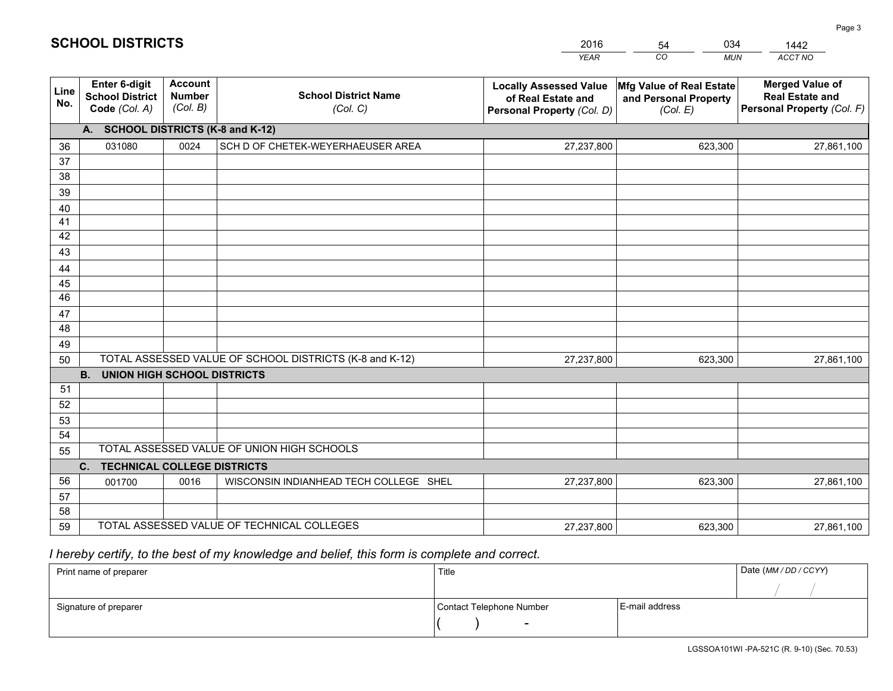|             |                                                          |                                             |                                                         | <b>YEAR</b>                                                                       | CO<br><b>MUN</b>                                              | ACCT NO                                                                        |
|-------------|----------------------------------------------------------|---------------------------------------------|---------------------------------------------------------|-----------------------------------------------------------------------------------|---------------------------------------------------------------|--------------------------------------------------------------------------------|
| Line<br>No. | Enter 6-digit<br><b>School District</b><br>Code (Col. A) | <b>Account</b><br><b>Number</b><br>(Col. B) | <b>School District Name</b><br>(Col. C)                 | <b>Locally Assessed Value</b><br>of Real Estate and<br>Personal Property (Col. D) | Mfg Value of Real Estate<br>and Personal Property<br>(Col. E) | <b>Merged Value of</b><br><b>Real Estate and</b><br>Personal Property (Col. F) |
|             | A. SCHOOL DISTRICTS (K-8 and K-12)                       |                                             |                                                         |                                                                                   |                                                               |                                                                                |
| 36          | 031080                                                   | 0024                                        | SCH D OF CHETEK-WEYERHAEUSER AREA                       | 27,237,800                                                                        | 623,300                                                       | 27,861,100                                                                     |
| 37          |                                                          |                                             |                                                         |                                                                                   |                                                               |                                                                                |
| 38          |                                                          |                                             |                                                         |                                                                                   |                                                               |                                                                                |
| 39          |                                                          |                                             |                                                         |                                                                                   |                                                               |                                                                                |
| 40          |                                                          |                                             |                                                         |                                                                                   |                                                               |                                                                                |
| 41          |                                                          |                                             |                                                         |                                                                                   |                                                               |                                                                                |
| 42<br>43    |                                                          |                                             |                                                         |                                                                                   |                                                               |                                                                                |
|             |                                                          |                                             |                                                         |                                                                                   |                                                               |                                                                                |
| 44<br>45    |                                                          |                                             |                                                         |                                                                                   |                                                               |                                                                                |
| 46          |                                                          |                                             |                                                         |                                                                                   |                                                               |                                                                                |
| 47          |                                                          |                                             |                                                         |                                                                                   |                                                               |                                                                                |
| 48          |                                                          |                                             |                                                         |                                                                                   |                                                               |                                                                                |
| 49          |                                                          |                                             |                                                         |                                                                                   |                                                               |                                                                                |
| 50          |                                                          |                                             | TOTAL ASSESSED VALUE OF SCHOOL DISTRICTS (K-8 and K-12) | 27,237,800                                                                        | 623,300                                                       | 27,861,100                                                                     |
|             | <b>B.</b><br><b>UNION HIGH SCHOOL DISTRICTS</b>          |                                             |                                                         |                                                                                   |                                                               |                                                                                |
| 51          |                                                          |                                             |                                                         |                                                                                   |                                                               |                                                                                |
| 52          |                                                          |                                             |                                                         |                                                                                   |                                                               |                                                                                |
| 53          |                                                          |                                             |                                                         |                                                                                   |                                                               |                                                                                |
| 54          |                                                          |                                             |                                                         |                                                                                   |                                                               |                                                                                |
| 55          |                                                          |                                             | TOTAL ASSESSED VALUE OF UNION HIGH SCHOOLS              |                                                                                   |                                                               |                                                                                |
|             | C.<br><b>TECHNICAL COLLEGE DISTRICTS</b>                 |                                             |                                                         |                                                                                   |                                                               |                                                                                |
| 56          | 001700                                                   | 0016                                        | WISCONSIN INDIANHEAD TECH COLLEGE SHEL                  | 27,237,800                                                                        | 623,300                                                       | 27,861,100                                                                     |
| 57<br>58    |                                                          |                                             |                                                         |                                                                                   |                                                               |                                                                                |
| 59          |                                                          |                                             | TOTAL ASSESSED VALUE OF TECHNICAL COLLEGES              | 27,237,800                                                                        | 623,300                                                       | 27,861,100                                                                     |
|             |                                                          |                                             |                                                         |                                                                                   |                                                               |                                                                                |

54

034

 *I hereby certify, to the best of my knowledge and belief, this form is complete and correct.*

**SCHOOL DISTRICTS**

| Print name of preparer | Title                    |                | Date (MM / DD / CCYY) |
|------------------------|--------------------------|----------------|-----------------------|
|                        |                          |                |                       |
| Signature of preparer  | Contact Telephone Number | E-mail address |                       |
|                        | $\sim$                   |                |                       |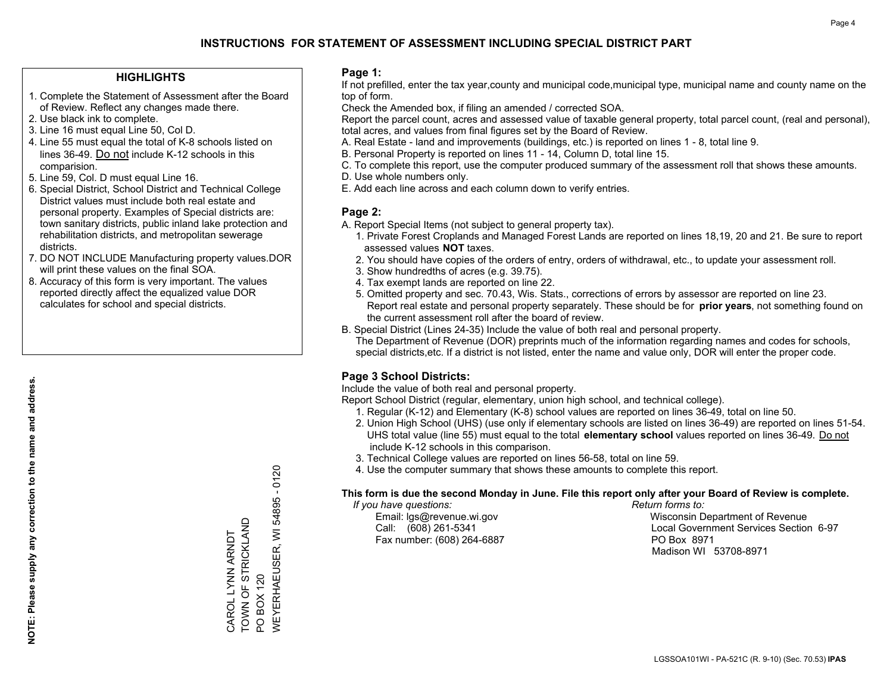#### **HIGHLIGHTS**

- 1. Complete the Statement of Assessment after the Board of Review. Reflect any changes made there.
- 2. Use black ink to complete.
- 3. Line 16 must equal Line 50, Col D.
- 4. Line 55 must equal the total of K-8 schools listed on lines 36-49. Do not include K-12 schools in this comparision.
- 5. Line 59, Col. D must equal Line 16.
- 6. Special District, School District and Technical College District values must include both real estate and personal property. Examples of Special districts are: town sanitary districts, public inland lake protection and rehabilitation districts, and metropolitan sewerage districts.
- 7. DO NOT INCLUDE Manufacturing property values.DOR will print these values on the final SOA.

CAROL LYNN ARNDT TOWN OF STRICKLAND

CAROL LYNN ARNDT<br>TOWN OF STRICKLAND

PO BOX 120

PO BOX 120

WEYERHAEUSER, WI 54895 - 0120

**NEYERHAEUSER, WI** 

54895 - 0120

 8. Accuracy of this form is very important. The values reported directly affect the equalized value DOR calculates for school and special districts.

#### **Page 1:**

 If not prefilled, enter the tax year,county and municipal code,municipal type, municipal name and county name on the top of form.

Check the Amended box, if filing an amended / corrected SOA.

 Report the parcel count, acres and assessed value of taxable general property, total parcel count, (real and personal), total acres, and values from final figures set by the Board of Review.

- A. Real Estate land and improvements (buildings, etc.) is reported on lines 1 8, total line 9.
- B. Personal Property is reported on lines 11 14, Column D, total line 15.
- C. To complete this report, use the computer produced summary of the assessment roll that shows these amounts.
- D. Use whole numbers only.
- E. Add each line across and each column down to verify entries.

#### **Page 2:**

- A. Report Special Items (not subject to general property tax).
- 1. Private Forest Croplands and Managed Forest Lands are reported on lines 18,19, 20 and 21. Be sure to report assessed values **NOT** taxes.
- 2. You should have copies of the orders of entry, orders of withdrawal, etc., to update your assessment roll.
	- 3. Show hundredths of acres (e.g. 39.75).
- 4. Tax exempt lands are reported on line 22.
- 5. Omitted property and sec. 70.43, Wis. Stats., corrections of errors by assessor are reported on line 23. Report real estate and personal property separately. These should be for **prior years**, not something found on the current assessment roll after the board of review.
- B. Special District (Lines 24-35) Include the value of both real and personal property.
- The Department of Revenue (DOR) preprints much of the information regarding names and codes for schools, special districts,etc. If a district is not listed, enter the name and value only, DOR will enter the proper code.

### **Page 3 School Districts:**

Include the value of both real and personal property.

Report School District (regular, elementary, union high school, and technical college).

- 1. Regular (K-12) and Elementary (K-8) school values are reported on lines 36-49, total on line 50.
- 2. Union High School (UHS) (use only if elementary schools are listed on lines 36-49) are reported on lines 51-54. UHS total value (line 55) must equal to the total **elementary school** values reported on lines 36-49. Do notinclude K-12 schools in this comparison.
- 3. Technical College values are reported on lines 56-58, total on line 59.
- 4. Use the computer summary that shows these amounts to complete this report.

#### **This form is due the second Monday in June. File this report only after your Board of Review is complete.**

 *If you have questions: Return forms to:*

Fax number: (608) 264-6887 PO Box 8971

 Email: lgs@revenue.wi.gov Wisconsin Department of Revenue Call: (608) 261-5341 Local Government Services Section 6-97Madison WI 53708-8971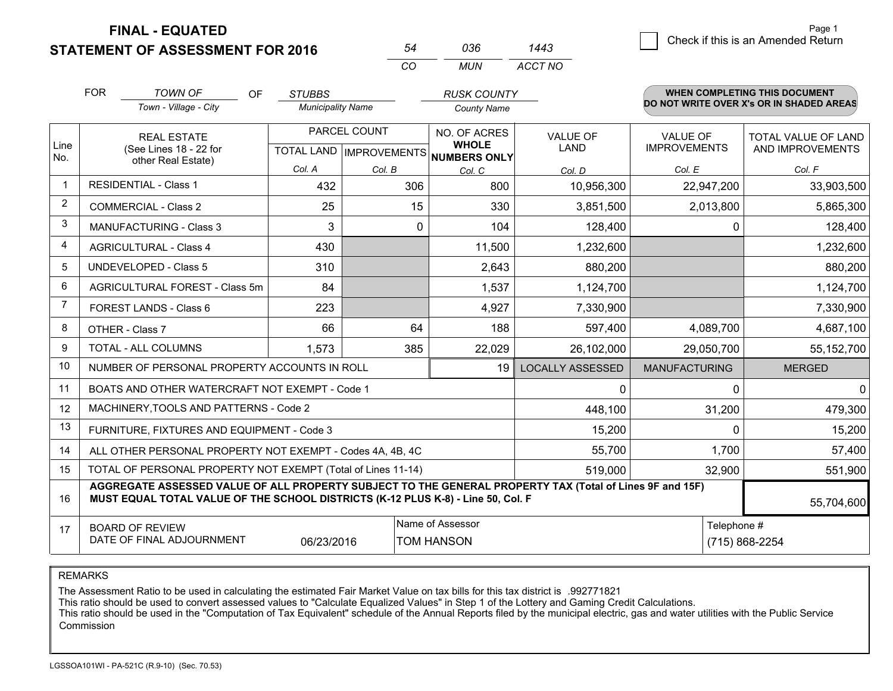**FINAL - EQUATED**

**STATEMENT OF ASSESSMENT FOR 2016** 

|                                    | Page 1 |
|------------------------------------|--------|
| Check if this is an Amended Return |        |
|                                    |        |

| 54 | 036. | 1443    |
|----|------|---------|
| CO | MUN  | ACCT NO |

|                | <b>FOR</b>                                                                                                 | <b>TOWN OF</b><br>OF                                                                                                                                                                                       | <b>STUBBS</b>            |               | <b>RUSK COUNTY</b>                   |                                |                                        | <b>WHEN COMPLETING THIS DOCUMENT</b>     |
|----------------|------------------------------------------------------------------------------------------------------------|------------------------------------------------------------------------------------------------------------------------------------------------------------------------------------------------------------|--------------------------|---------------|--------------------------------------|--------------------------------|----------------------------------------|------------------------------------------|
|                |                                                                                                            | Town - Village - City                                                                                                                                                                                      | <b>Municipality Name</b> |               | <b>County Name</b>                   |                                |                                        | DO NOT WRITE OVER X's OR IN SHADED AREAS |
| Line           | <b>REAL ESTATE</b><br>(See Lines 18 - 22 for<br>other Real Estate)                                         |                                                                                                                                                                                                            |                          | PARCEL COUNT  | NO. OF ACRES<br><b>WHOLE</b>         | <b>VALUE OF</b><br><b>LAND</b> | <b>VALUE OF</b><br><b>IMPROVEMENTS</b> | TOTAL VALUE OF LAND<br>AND IMPROVEMENTS  |
| No.            |                                                                                                            |                                                                                                                                                                                                            | Col. A                   |               | TOTAL LAND IMPROVEMENTS NUMBERS ONLY |                                |                                        |                                          |
| $\mathbf{1}$   |                                                                                                            | <b>RESIDENTIAL - Class 1</b>                                                                                                                                                                               | 432                      | Col. B<br>306 | Col. C<br>800                        | Col. D                         | Col. E                                 | Col. F                                   |
| $\overline{2}$ |                                                                                                            |                                                                                                                                                                                                            |                          |               |                                      | 10,956,300                     | 22,947,200                             | 33,903,500                               |
|                |                                                                                                            | <b>COMMERCIAL - Class 2</b>                                                                                                                                                                                | 25                       | 15            | 330                                  | 3,851,500                      | 2,013,800                              | 5,865,300                                |
| 3              |                                                                                                            | <b>MANUFACTURING - Class 3</b>                                                                                                                                                                             | 3                        | $\mathbf{0}$  | 104                                  | 128,400                        | 0                                      | 128,400                                  |
| 4              |                                                                                                            | <b>AGRICULTURAL - Class 4</b>                                                                                                                                                                              | 430                      |               | 11,500                               | 1,232,600                      |                                        | 1,232,600                                |
| 5              |                                                                                                            | <b>UNDEVELOPED - Class 5</b>                                                                                                                                                                               | 310                      |               | 2,643                                | 880,200                        |                                        | 880,200                                  |
| 6              |                                                                                                            | AGRICULTURAL FOREST - Class 5m                                                                                                                                                                             | 84                       |               | 1,537                                | 1,124,700                      |                                        | 1,124,700                                |
| $\overline{7}$ |                                                                                                            | FOREST LANDS - Class 6                                                                                                                                                                                     | 223                      |               | 4,927                                | 7,330,900                      |                                        | 7,330,900                                |
| 8              |                                                                                                            | OTHER - Class 7                                                                                                                                                                                            | 66                       | 64            | 188                                  | 597,400                        | 4,089,700                              | 4,687,100                                |
| 9              |                                                                                                            | TOTAL - ALL COLUMNS                                                                                                                                                                                        | 1,573                    | 385           | 22,029                               | 26,102,000                     | 29,050,700                             | 55,152,700                               |
| 10             |                                                                                                            | NUMBER OF PERSONAL PROPERTY ACCOUNTS IN ROLL                                                                                                                                                               |                          |               | 19                                   | <b>LOCALLY ASSESSED</b>        | <b>MANUFACTURING</b>                   | <b>MERGED</b>                            |
| 11             |                                                                                                            | BOATS AND OTHER WATERCRAFT NOT EXEMPT - Code 1                                                                                                                                                             |                          |               |                                      | 0                              | 0                                      | $\mathbf{0}$                             |
| 12             |                                                                                                            | MACHINERY, TOOLS AND PATTERNS - Code 2                                                                                                                                                                     |                          |               | 448,100                              | 31,200                         | 479,300                                |                                          |
| 13             | FURNITURE, FIXTURES AND EQUIPMENT - Code 3                                                                 |                                                                                                                                                                                                            |                          |               |                                      |                                | $\Omega$                               | 15,200                                   |
| 14             | 55,700<br>1,700<br>ALL OTHER PERSONAL PROPERTY NOT EXEMPT - Codes 4A, 4B, 4C                               |                                                                                                                                                                                                            |                          |               |                                      |                                |                                        | 57,400                                   |
| 15             | TOTAL OF PERSONAL PROPERTY NOT EXEMPT (Total of Lines 11-14)<br>519,000                                    |                                                                                                                                                                                                            |                          |               |                                      |                                | 32,900                                 | 551,900                                  |
| 16             |                                                                                                            | AGGREGATE ASSESSED VALUE OF ALL PROPERTY SUBJECT TO THE GENERAL PROPERTY TAX (Total of Lines 9F and 15F)<br>MUST EQUAL TOTAL VALUE OF THE SCHOOL DISTRICTS (K-12 PLUS K-8) - Line 50, Col. F<br>55,704,600 |                          |               |                                      |                                |                                        |                                          |
| 17             | Name of Assessor<br><b>BOARD OF REVIEW</b><br>DATE OF FINAL ADJOURNMENT<br>06/23/2016<br><b>TOM HANSON</b> |                                                                                                                                                                                                            |                          |               |                                      | Telephone #                    | (715) 868-2254                         |                                          |

REMARKS

The Assessment Ratio to be used in calculating the estimated Fair Market Value on tax bills for this tax district is .992771821<br>This ratio should be used to convert assessed values to "Calculate Equalized Values" in Step 1 Commission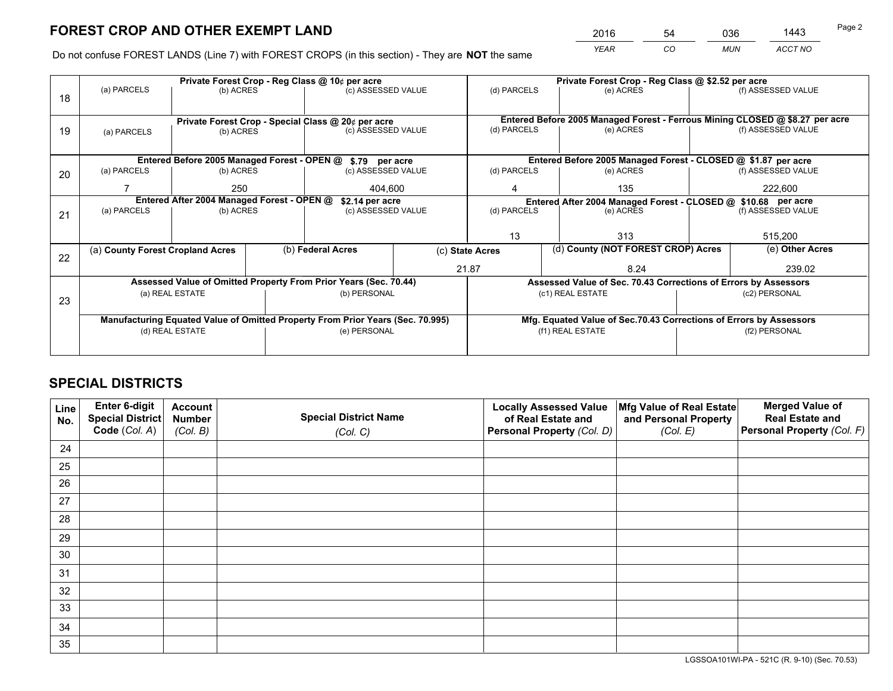*YEAR CO MUN ACCT NO* <sup>2016</sup> <sup>54</sup> <sup>036</sup> <sup>1443</sup>

Do not confuse FOREST LANDS (Line 7) with FOREST CROPS (in this section) - They are **NOT** the same

|    | Private Forest Crop - Reg Class @ 10¢ per acre                                 |                                 |  |                                                            |                                   | Private Forest Crop - Reg Class @ \$2.52 per acre                            |                                                               |               |                    |  |
|----|--------------------------------------------------------------------------------|---------------------------------|--|------------------------------------------------------------|-----------------------------------|------------------------------------------------------------------------------|---------------------------------------------------------------|---------------|--------------------|--|
| 18 | (a) PARCELS<br>(b) ACRES                                                       |                                 |  | (c) ASSESSED VALUE                                         |                                   | (d) PARCELS                                                                  | (e) ACRES                                                     |               | (f) ASSESSED VALUE |  |
|    |                                                                                |                                 |  |                                                            |                                   |                                                                              |                                                               |               |                    |  |
|    | Private Forest Crop - Special Class @ 20¢ per acre                             |                                 |  |                                                            |                                   | Entered Before 2005 Managed Forest - Ferrous Mining CLOSED @ \$8.27 per acre |                                                               |               |                    |  |
| 19 | (a) PARCELS                                                                    | (c) ASSESSED VALUE<br>(b) ACRES |  |                                                            |                                   | (d) PARCELS                                                                  | (e) ACRES                                                     |               | (f) ASSESSED VALUE |  |
|    |                                                                                |                                 |  |                                                            |                                   |                                                                              |                                                               |               |                    |  |
|    |                                                                                |                                 |  | Entered Before 2005 Managed Forest - OPEN @ \$.79 per acre |                                   |                                                                              | Entered Before 2005 Managed Forest - CLOSED @ \$1.87 per acre |               |                    |  |
| 20 | (a) PARCELS<br>(b) ACRES                                                       |                                 |  | (c) ASSESSED VALUE                                         |                                   | (d) PARCELS                                                                  | (e) ACRES                                                     |               |                    |  |
|    |                                                                                | 250                             |  | 404.600                                                    |                                   | 135<br>4                                                                     |                                                               | 222,600       |                    |  |
|    | Entered After 2004 Managed Forest - OPEN @<br>\$2.14 per acre                  |                                 |  |                                                            |                                   | Entered After 2004 Managed Forest - CLOSED @ \$10.68 per acre                |                                                               |               |                    |  |
| 21 | (a) PARCELS                                                                    | (b) ACRES                       |  |                                                            | (d) PARCELS<br>(c) ASSESSED VALUE |                                                                              | (e) ACRES                                                     |               | (f) ASSESSED VALUE |  |
|    |                                                                                |                                 |  |                                                            |                                   |                                                                              |                                                               |               |                    |  |
|    |                                                                                |                                 |  |                                                            |                                   | 13                                                                           | 313                                                           |               | 515,200            |  |
| 22 | (a) County Forest Cropland Acres                                               |                                 |  | (b) Federal Acres                                          |                                   | (c) State Acres                                                              | (d) County (NOT FOREST CROP) Acres                            |               | (e) Other Acres    |  |
|    |                                                                                |                                 |  |                                                            |                                   | 21.87                                                                        |                                                               |               | 239.02             |  |
|    | Assessed Value of Omitted Property From Prior Years (Sec. 70.44)               |                                 |  |                                                            |                                   | Assessed Value of Sec. 70.43 Corrections of Errors by Assessors              |                                                               |               |                    |  |
| 23 | (a) REAL ESTATE                                                                |                                 |  |                                                            | (b) PERSONAL                      |                                                                              | (c1) REAL ESTATE                                              |               | (c2) PERSONAL      |  |
|    |                                                                                |                                 |  |                                                            |                                   |                                                                              |                                                               |               |                    |  |
|    | Manufacturing Equated Value of Omitted Property From Prior Years (Sec. 70.995) |                                 |  |                                                            |                                   | Mfg. Equated Value of Sec.70.43 Corrections of Errors by Assessors           |                                                               |               |                    |  |
|    | (d) REAL ESTATE                                                                |                                 |  | (e) PERSONAL                                               |                                   | (f1) REAL ESTATE                                                             |                                                               | (f2) PERSONAL |                    |  |
|    |                                                                                |                                 |  |                                                            |                                   |                                                                              |                                                               |               |                    |  |

## **SPECIAL DISTRICTS**

| Line<br>No. | Enter 6-digit<br><b>Special District</b> | <b>Account</b><br><b>Number</b> | <b>Special District Name</b> | <b>Locally Assessed Value</b><br>of Real Estate and | Mfg Value of Real Estate<br>and Personal Property | <b>Merged Value of</b><br><b>Real Estate and</b> |
|-------------|------------------------------------------|---------------------------------|------------------------------|-----------------------------------------------------|---------------------------------------------------|--------------------------------------------------|
|             | Code (Col. A)                            | (Col. B)                        | (Col. C)                     | Personal Property (Col. D)                          | (Col. E)                                          | Personal Property (Col. F)                       |
| 24          |                                          |                                 |                              |                                                     |                                                   |                                                  |
| 25          |                                          |                                 |                              |                                                     |                                                   |                                                  |
| 26          |                                          |                                 |                              |                                                     |                                                   |                                                  |
| 27          |                                          |                                 |                              |                                                     |                                                   |                                                  |
| 28          |                                          |                                 |                              |                                                     |                                                   |                                                  |
| 29          |                                          |                                 |                              |                                                     |                                                   |                                                  |
| 30          |                                          |                                 |                              |                                                     |                                                   |                                                  |
| 31          |                                          |                                 |                              |                                                     |                                                   |                                                  |
| 32          |                                          |                                 |                              |                                                     |                                                   |                                                  |
| 33          |                                          |                                 |                              |                                                     |                                                   |                                                  |
| 34          |                                          |                                 |                              |                                                     |                                                   |                                                  |
| 35          |                                          |                                 |                              |                                                     |                                                   |                                                  |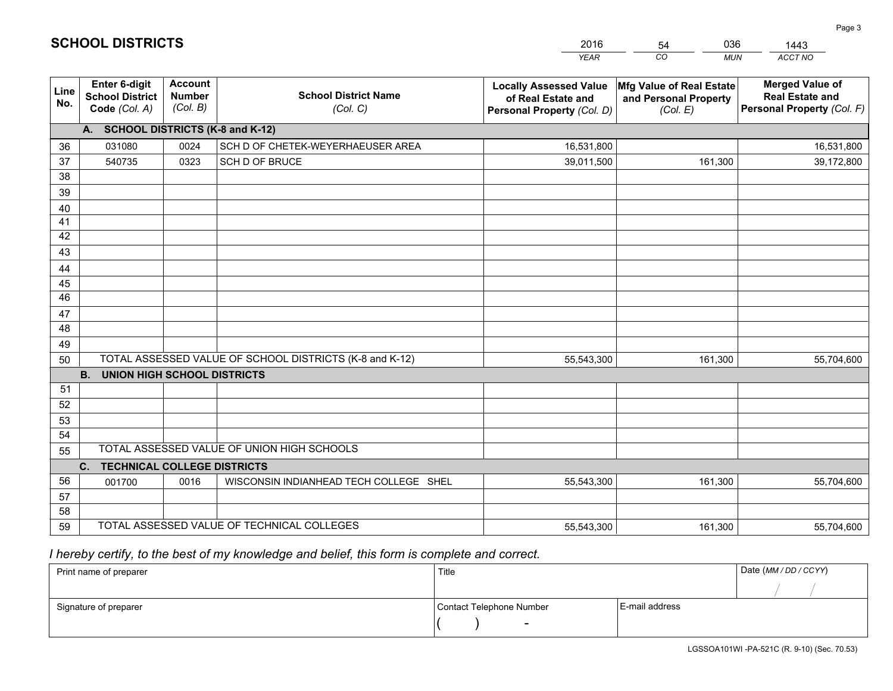|                       |                                                                 |                                             |                                                         | <b>YEAR</b>                                                                       | CO<br><b>MUN</b>                                              | ACCT NO                                                                        |
|-----------------------|-----------------------------------------------------------------|---------------------------------------------|---------------------------------------------------------|-----------------------------------------------------------------------------------|---------------------------------------------------------------|--------------------------------------------------------------------------------|
| Line<br>No.           | <b>Enter 6-digit</b><br><b>School District</b><br>Code (Col. A) | <b>Account</b><br><b>Number</b><br>(Col. B) | <b>School District Name</b><br>(Col. C)                 | <b>Locally Assessed Value</b><br>of Real Estate and<br>Personal Property (Col. D) | Mfg Value of Real Estate<br>and Personal Property<br>(Col. E) | <b>Merged Value of</b><br><b>Real Estate and</b><br>Personal Property (Col. F) |
|                       | A. SCHOOL DISTRICTS (K-8 and K-12)                              |                                             |                                                         |                                                                                   |                                                               |                                                                                |
| 36                    | 031080                                                          | 0024                                        | SCH D OF CHETEK-WEYERHAEUSER AREA                       | 16,531,800                                                                        |                                                               | 16,531,800                                                                     |
| 37                    | 540735                                                          | 0323                                        | SCH D OF BRUCE                                          | 39,011,500                                                                        | 161,300                                                       | 39,172,800                                                                     |
| 38                    |                                                                 |                                             |                                                         |                                                                                   |                                                               |                                                                                |
| 39                    |                                                                 |                                             |                                                         |                                                                                   |                                                               |                                                                                |
| 40                    |                                                                 |                                             |                                                         |                                                                                   |                                                               |                                                                                |
| 41                    |                                                                 |                                             |                                                         |                                                                                   |                                                               |                                                                                |
| 42                    |                                                                 |                                             |                                                         |                                                                                   |                                                               |                                                                                |
| 43                    |                                                                 |                                             |                                                         |                                                                                   |                                                               |                                                                                |
| 44                    |                                                                 |                                             |                                                         |                                                                                   |                                                               |                                                                                |
| 45<br>$\overline{46}$ |                                                                 |                                             |                                                         |                                                                                   |                                                               |                                                                                |
| 47                    |                                                                 |                                             |                                                         |                                                                                   |                                                               |                                                                                |
| 48                    |                                                                 |                                             |                                                         |                                                                                   |                                                               |                                                                                |
| 49                    |                                                                 |                                             |                                                         |                                                                                   |                                                               |                                                                                |
| 50                    |                                                                 |                                             | TOTAL ASSESSED VALUE OF SCHOOL DISTRICTS (K-8 and K-12) | 55,543,300                                                                        | 161,300                                                       | 55,704,600                                                                     |
|                       | <b>B.</b><br><b>UNION HIGH SCHOOL DISTRICTS</b>                 |                                             |                                                         |                                                                                   |                                                               |                                                                                |
| 51                    |                                                                 |                                             |                                                         |                                                                                   |                                                               |                                                                                |
| 52                    |                                                                 |                                             |                                                         |                                                                                   |                                                               |                                                                                |
| 53                    |                                                                 |                                             |                                                         |                                                                                   |                                                               |                                                                                |
| 54                    |                                                                 |                                             |                                                         |                                                                                   |                                                               |                                                                                |
| 55                    |                                                                 |                                             | TOTAL ASSESSED VALUE OF UNION HIGH SCHOOLS              |                                                                                   |                                                               |                                                                                |
|                       | C.<br><b>TECHNICAL COLLEGE DISTRICTS</b>                        |                                             |                                                         |                                                                                   |                                                               |                                                                                |
| 56                    | 001700                                                          | 0016                                        | WISCONSIN INDIANHEAD TECH COLLEGE SHEL                  | 55,543,300                                                                        | 161,300                                                       | 55,704,600                                                                     |
| 57                    |                                                                 |                                             |                                                         |                                                                                   |                                                               |                                                                                |
| 58                    |                                                                 |                                             |                                                         |                                                                                   |                                                               |                                                                                |
| 59                    |                                                                 |                                             | TOTAL ASSESSED VALUE OF TECHNICAL COLLEGES              | 55,543,300                                                                        | 161,300                                                       | 55,704,600                                                                     |

 *I hereby certify, to the best of my knowledge and belief, this form is complete and correct.*

| Print name of preparer | Title                    |                | Date (MM/DD/CCYY) |
|------------------------|--------------------------|----------------|-------------------|
|                        |                          |                |                   |
| Signature of preparer  | Contact Telephone Number | E-mail address |                   |
|                        | $\overline{\phantom{0}}$ |                |                   |

| <b>SCHOOL DISTRICTS</b> |  |
|-------------------------|--|
|-------------------------|--|

54

2016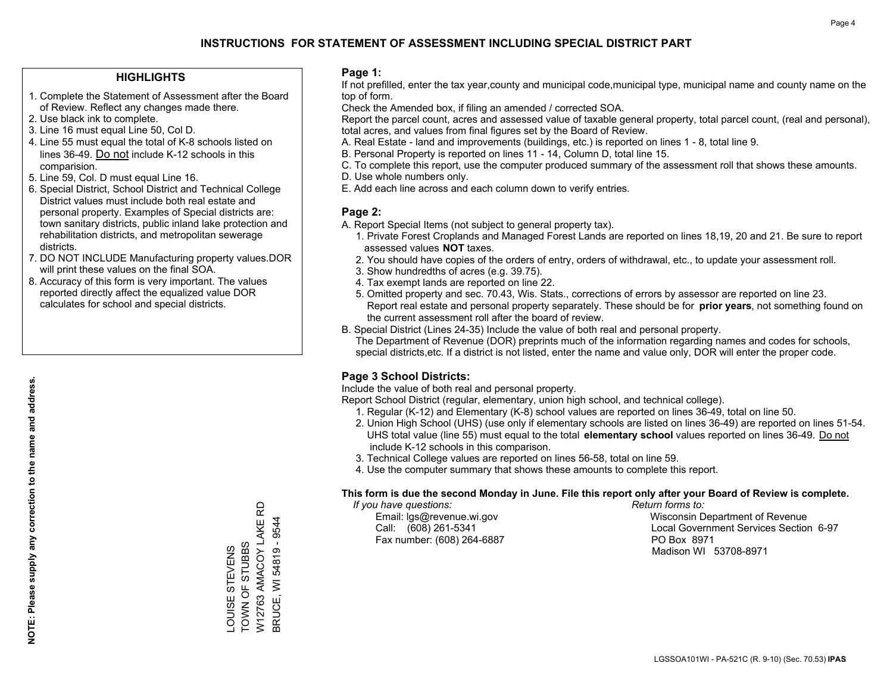#### **HIGHLIGHTS**

- 1. Complete the Statement of Assessment after the Board of Review. Reflect any changes made there.
- 2. Use black ink to complete.
- 3. Line 16 must equal Line 50, Col D.
- 4. Line 55 must equal the total of K-8 schools listed on lines 36-49. Do not include K-12 schools in this comparision.
- 5. Line 59, Col. D must equal Line 16.
- 6. Special District, School District and Technical College District values must include both real estate and personal property. Examples of Special districts are: town sanitary districts, public inland lake protection and rehabilitation districts, and metropolitan sewerage districts.
- 7. DO NOT INCLUDE Manufacturing property values.DOR will print these values on the final SOA.

LOUISE STEVENS TOWN OF STUBBS

LOUISE STEVENS<br>TOWN OF STUBBS

W12763 AMACOY LAKE RD BRUCE, WI 54819 - 9544

W12763 AMACOY LAKE BRUCE, WI 54819 - 9544

6

 8. Accuracy of this form is very important. The values reported directly affect the equalized value DOR calculates for school and special districts.

#### **Page 1:**

 If not prefilled, enter the tax year,county and municipal code,municipal type, municipal name and county name on the top of form.

Check the Amended box, if filing an amended / corrected SOA.

 Report the parcel count, acres and assessed value of taxable general property, total parcel count, (real and personal), total acres, and values from final figures set by the Board of Review.

- A. Real Estate land and improvements (buildings, etc.) is reported on lines 1 8, total line 9.
- B. Personal Property is reported on lines 11 14, Column D, total line 15.
- C. To complete this report, use the computer produced summary of the assessment roll that shows these amounts.
- D. Use whole numbers only.
- E. Add each line across and each column down to verify entries.

#### **Page 2:**

- A. Report Special Items (not subject to general property tax).
- 1. Private Forest Croplands and Managed Forest Lands are reported on lines 18,19, 20 and 21. Be sure to report assessed values **NOT** taxes.
- 2. You should have copies of the orders of entry, orders of withdrawal, etc., to update your assessment roll.
	- 3. Show hundredths of acres (e.g. 39.75).
- 4. Tax exempt lands are reported on line 22.
- 5. Omitted property and sec. 70.43, Wis. Stats., corrections of errors by assessor are reported on line 23. Report real estate and personal property separately. These should be for **prior years**, not something found on the current assessment roll after the board of review.
- B. Special District (Lines 24-35) Include the value of both real and personal property.
- The Department of Revenue (DOR) preprints much of the information regarding names and codes for schools, special districts,etc. If a district is not listed, enter the name and value only, DOR will enter the proper code.

### **Page 3 School Districts:**

Include the value of both real and personal property.

Report School District (regular, elementary, union high school, and technical college).

- 1. Regular (K-12) and Elementary (K-8) school values are reported on lines 36-49, total on line 50.
- 2. Union High School (UHS) (use only if elementary schools are listed on lines 36-49) are reported on lines 51-54. UHS total value (line 55) must equal to the total **elementary school** values reported on lines 36-49. Do notinclude K-12 schools in this comparison.
- 3. Technical College values are reported on lines 56-58, total on line 59.
- 4. Use the computer summary that shows these amounts to complete this report.

#### **This form is due the second Monday in June. File this report only after your Board of Review is complete.**

 *If you have questions: Return forms to:*

Fax number: (608) 264-6887 PO Box 8971

 Email: lgs@revenue.wi.gov Wisconsin Department of Revenue Call: (608) 261-5341 Local Government Services Section 6-97Madison WI 53708-8971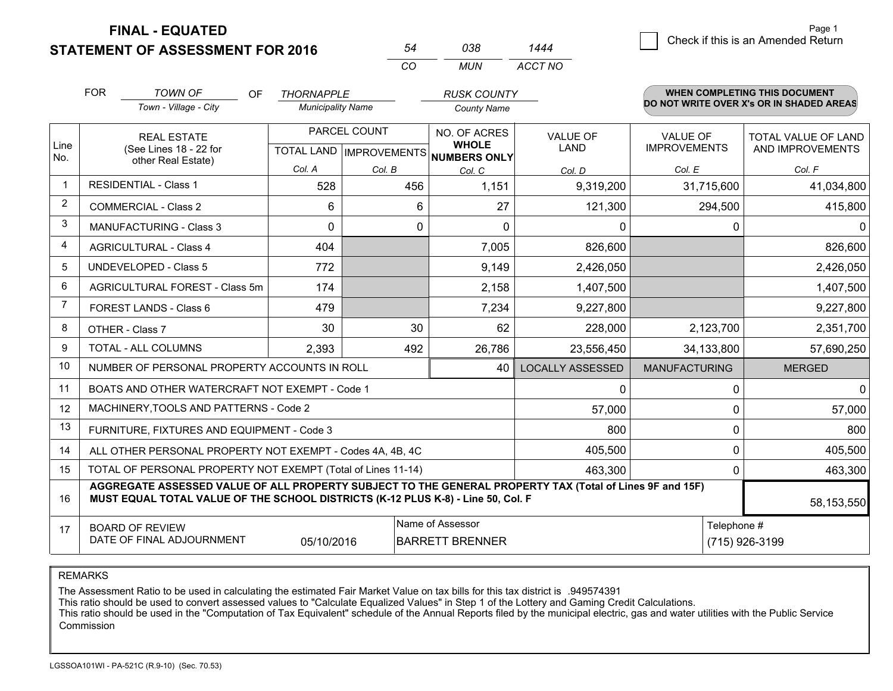**STATEMENT OF ASSESSMENT FOR 2016** 

**FINAL - EQUATED**

|                | <b>FOR</b>                     | TOWN OF<br>OF.                                                                                                                                                                               | <b>THORNAPPLE</b>                    |              | <b>RUSK COUNTY</b>     |                         |                      |             | <b>WHEN COMPLETING THIS DOCUMENT</b>     |
|----------------|--------------------------------|----------------------------------------------------------------------------------------------------------------------------------------------------------------------------------------------|--------------------------------------|--------------|------------------------|-------------------------|----------------------|-------------|------------------------------------------|
|                |                                | Town - Village - City                                                                                                                                                                        | <b>Municipality Name</b>             |              | <b>County Name</b>     |                         |                      |             | DO NOT WRITE OVER X's OR IN SHADED AREAS |
|                |                                | <b>REAL ESTATE</b>                                                                                                                                                                           |                                      | PARCEL COUNT | NO. OF ACRES           | VALUE OF                | <b>VALUE OF</b>      |             | <b>TOTAL VALUE OF LAND</b>               |
| Line<br>No.    | (See Lines 18 - 22 for         |                                                                                                                                                                                              | TOTAL LAND IMPROVEMENTS NUMBERS ONLY |              | <b>WHOLE</b>           | <b>LAND</b>             | <b>IMPROVEMENTS</b>  |             | AND IMPROVEMENTS                         |
|                |                                | other Real Estate)                                                                                                                                                                           | Col. A                               | Col. B       | Col. C                 | Col. D                  | Col. E               |             | Col. F                                   |
|                |                                | <b>RESIDENTIAL - Class 1</b>                                                                                                                                                                 | 528                                  | 456          | 1,151                  | 9,319,200               | 31,715,600           |             | 41,034,800                               |
| 2              | <b>COMMERCIAL - Class 2</b>    |                                                                                                                                                                                              | 6                                    | 6            | 27                     | 121,300                 | 294,500              |             | 415,800                                  |
| 3              |                                | <b>MANUFACTURING - Class 3</b>                                                                                                                                                               | 0                                    | $\mathbf{0}$ | $\Omega$               | 0                       |                      | 0           | $\mathbf{0}$                             |
| 4              | <b>AGRICULTURAL - Class 4</b>  |                                                                                                                                                                                              | 404                                  |              | 7,005                  | 826,600                 |                      |             | 826,600                                  |
| 5              | UNDEVELOPED - Class 5          |                                                                                                                                                                                              | 772                                  |              | 9,149                  | 2,426,050               |                      |             | 2,426,050                                |
| 6              | AGRICULTURAL FOREST - Class 5m |                                                                                                                                                                                              | 174                                  |              | 2,158                  | 1,407,500               |                      |             | 1,407,500                                |
| $\overline{7}$ | <b>FOREST LANDS - Class 6</b>  |                                                                                                                                                                                              | 479                                  |              | 7,234                  | 9,227,800               |                      |             | 9,227,800                                |
| 8              |                                | OTHER - Class 7                                                                                                                                                                              | 30                                   | 30           | 62                     | 228,000                 | 2,123,700            |             | 2,351,700                                |
| 9              |                                | TOTAL - ALL COLUMNS                                                                                                                                                                          | 2,393                                | 492          | 26,786                 | 23,556,450              | 34,133,800           |             | 57,690,250                               |
| 10             |                                | NUMBER OF PERSONAL PROPERTY ACCOUNTS IN ROLL                                                                                                                                                 |                                      |              | 40                     | <b>LOCALLY ASSESSED</b> | <b>MANUFACTURING</b> |             | <b>MERGED</b>                            |
| 11             |                                | BOATS AND OTHER WATERCRAFT NOT EXEMPT - Code 1                                                                                                                                               |                                      |              |                        | 0                       |                      | $\Omega$    | $\mathbf{0}$                             |
| 12             |                                | MACHINERY, TOOLS AND PATTERNS - Code 2                                                                                                                                                       |                                      |              |                        | 57,000                  |                      | 0           | 57,000                                   |
| 13             |                                | FURNITURE, FIXTURES AND EQUIPMENT - Code 3                                                                                                                                                   |                                      |              |                        | 800                     |                      | 0           | 800                                      |
| 14             |                                | ALL OTHER PERSONAL PROPERTY NOT EXEMPT - Codes 4A, 4B, 4C                                                                                                                                    |                                      |              |                        | 405,500                 |                      | $\Omega$    | 405,500                                  |
| 15             |                                | TOTAL OF PERSONAL PROPERTY NOT EXEMPT (Total of Lines 11-14)                                                                                                                                 |                                      |              |                        | 463,300                 |                      | 0           | 463,300                                  |
| 16             |                                | AGGREGATE ASSESSED VALUE OF ALL PROPERTY SUBJECT TO THE GENERAL PROPERTY TAX (Total of Lines 9F and 15F)<br>MUST EQUAL TOTAL VALUE OF THE SCHOOL DISTRICTS (K-12 PLUS K-8) - Line 50, Col. F |                                      |              |                        |                         |                      |             | 58,153,550                               |
| 17             |                                | <b>BOARD OF REVIEW</b>                                                                                                                                                                       |                                      |              | Name of Assessor       |                         |                      | Telephone # |                                          |
|                |                                | DATE OF FINAL ADJOURNMENT                                                                                                                                                                    | 05/10/2016                           |              | <b>BARRETT BRENNER</b> | (715) 926-3199          |                      |             |                                          |

*CO*

*MUN*

*ACCT NO1444*

*<sup>54</sup> <sup>038</sup>*

REMARKS

The Assessment Ratio to be used in calculating the estimated Fair Market Value on tax bills for this tax district is .949574391<br>This ratio should be used to convert assessed values to "Calculate Equalized Values" in Step 1 Commission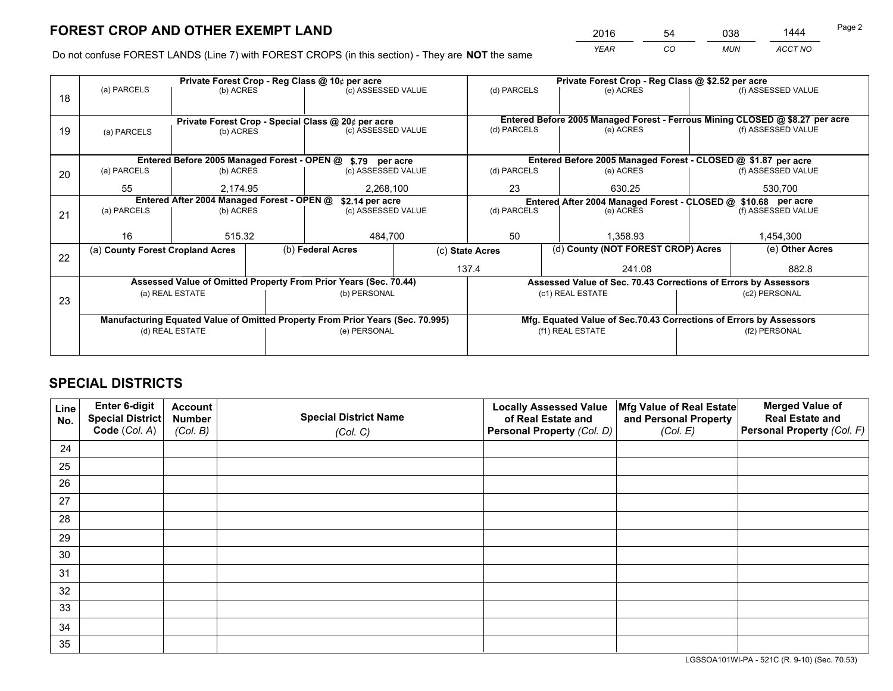*YEAR CO MUN ACCT NO* <sup>2016</sup> <sup>54</sup> <sup>038</sup> <sup>1444</sup>

Do not confuse FOREST LANDS (Line 7) with FOREST CROPS (in this section) - They are **NOT** the same

|    |                                                                                |                                            |                       | Private Forest Crop - Reg Class @ 10¢ per acre                   |  |                 | Private Forest Crop - Reg Class @ \$2.52 per acre                            |                                                                 |  |  |
|----|--------------------------------------------------------------------------------|--------------------------------------------|-----------------------|------------------------------------------------------------------|--|-----------------|------------------------------------------------------------------------------|-----------------------------------------------------------------|--|--|
| 18 | (a) PARCELS                                                                    | (b) ACRES                                  |                       | (c) ASSESSED VALUE                                               |  | (d) PARCELS     | (e) ACRES                                                                    | (f) ASSESSED VALUE                                              |  |  |
|    | Private Forest Crop - Special Class @ 20¢ per acre                             |                                            |                       |                                                                  |  |                 | Entered Before 2005 Managed Forest - Ferrous Mining CLOSED @ \$8.27 per acre |                                                                 |  |  |
| 19 | (b) ACRES<br>(a) PARCELS                                                       |                                            |                       | (c) ASSESSED VALUE                                               |  | (d) PARCELS     | (e) ACRES                                                                    | (f) ASSESSED VALUE                                              |  |  |
|    |                                                                                |                                            |                       | Entered Before 2005 Managed Forest - OPEN @ \$.79 per acre       |  |                 | Entered Before 2005 Managed Forest - CLOSED @ \$1.87 per acre                |                                                                 |  |  |
| 20 | (a) PARCELS                                                                    | (b) ACRES                                  |                       | (c) ASSESSED VALUE                                               |  | (d) PARCELS     | (e) ACRES                                                                    | (f) ASSESSED VALUE                                              |  |  |
|    | 55                                                                             |                                            | 2.174.95<br>2,268,100 |                                                                  |  | 23              | 630.25                                                                       | 530,700                                                         |  |  |
|    |                                                                                | Entered After 2004 Managed Forest - OPEN @ |                       | \$2.14 per acre                                                  |  |                 | Entered After 2004 Managed Forest - CLOSED @ \$10.68 per acre                |                                                                 |  |  |
| 21 | (a) PARCELS                                                                    | (b) ACRES                                  |                       | (c) ASSESSED VALUE                                               |  | (d) PARCELS     | (e) ACRES                                                                    | (f) ASSESSED VALUE                                              |  |  |
|    |                                                                                |                                            |                       |                                                                  |  |                 |                                                                              |                                                                 |  |  |
|    | 16                                                                             | 515.32                                     |                       | 484,700                                                          |  | 50              | 1,358.93                                                                     | 1,454,300                                                       |  |  |
| 22 | (a) County Forest Cropland Acres                                               |                                            |                       | (b) Federal Acres                                                |  | (c) State Acres | (d) County (NOT FOREST CROP) Acres                                           | (e) Other Acres                                                 |  |  |
|    |                                                                                |                                            |                       |                                                                  |  | 137.4           | 241.08                                                                       | 882.8                                                           |  |  |
|    |                                                                                |                                            |                       | Assessed Value of Omitted Property From Prior Years (Sec. 70.44) |  |                 |                                                                              | Assessed Value of Sec. 70.43 Corrections of Errors by Assessors |  |  |
| 23 |                                                                                | (a) REAL ESTATE                            |                       | (b) PERSONAL                                                     |  |                 | (c1) REAL ESTATE                                                             | (c2) PERSONAL                                                   |  |  |
|    | Manufacturing Equated Value of Omitted Property From Prior Years (Sec. 70.995) |                                            |                       |                                                                  |  |                 | Mfg. Equated Value of Sec.70.43 Corrections of Errors by Assessors           |                                                                 |  |  |
|    |                                                                                | (d) REAL ESTATE                            |                       | (e) PERSONAL                                                     |  |                 | (f1) REAL ESTATE                                                             | (f2) PERSONAL                                                   |  |  |
|    |                                                                                |                                            |                       |                                                                  |  |                 |                                                                              |                                                                 |  |  |
|    |                                                                                |                                            |                       |                                                                  |  |                 |                                                                              |                                                                 |  |  |

## **SPECIAL DISTRICTS**

| Line<br>No. | Enter 6-digit<br><b>Special District</b> | <b>Account</b><br><b>Number</b> | <b>Special District Name</b> | <b>Locally Assessed Value</b><br>of Real Estate and | Mfg Value of Real Estate<br>and Personal Property | <b>Merged Value of</b><br><b>Real Estate and</b> |
|-------------|------------------------------------------|---------------------------------|------------------------------|-----------------------------------------------------|---------------------------------------------------|--------------------------------------------------|
|             | Code (Col. A)                            | (Col. B)                        | (Col. C)                     | Personal Property (Col. D)                          | (Col. E)                                          | Personal Property (Col. F)                       |
| 24          |                                          |                                 |                              |                                                     |                                                   |                                                  |
| 25          |                                          |                                 |                              |                                                     |                                                   |                                                  |
| 26          |                                          |                                 |                              |                                                     |                                                   |                                                  |
| 27          |                                          |                                 |                              |                                                     |                                                   |                                                  |
| 28          |                                          |                                 |                              |                                                     |                                                   |                                                  |
| 29          |                                          |                                 |                              |                                                     |                                                   |                                                  |
| 30          |                                          |                                 |                              |                                                     |                                                   |                                                  |
| 31          |                                          |                                 |                              |                                                     |                                                   |                                                  |
| 32          |                                          |                                 |                              |                                                     |                                                   |                                                  |
| 33          |                                          |                                 |                              |                                                     |                                                   |                                                  |
| 34          |                                          |                                 |                              |                                                     |                                                   |                                                  |
| 35          |                                          |                                 |                              |                                                     |                                                   |                                                  |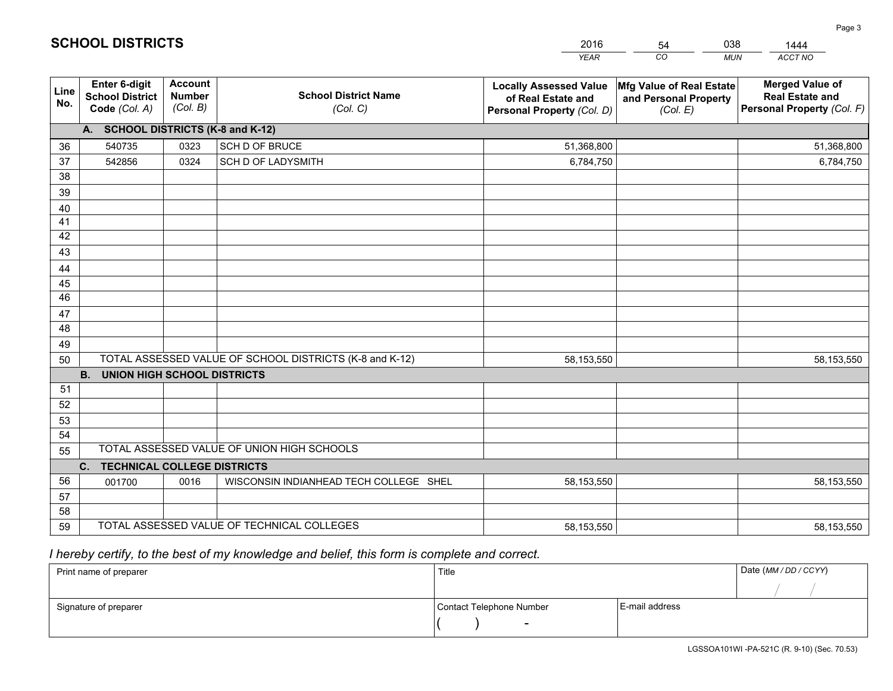|             |                                                          |                                             |                                                         | <b>YEAR</b>                                                                       | CO<br><b>MUN</b>                                              | ACCT NO                                                                        |
|-------------|----------------------------------------------------------|---------------------------------------------|---------------------------------------------------------|-----------------------------------------------------------------------------------|---------------------------------------------------------------|--------------------------------------------------------------------------------|
| Line<br>No. | Enter 6-digit<br><b>School District</b><br>Code (Col. A) | <b>Account</b><br><b>Number</b><br>(Col. B) | <b>School District Name</b><br>(Col. C)                 | <b>Locally Assessed Value</b><br>of Real Estate and<br>Personal Property (Col. D) | Mfg Value of Real Estate<br>and Personal Property<br>(Col. E) | <b>Merged Value of</b><br><b>Real Estate and</b><br>Personal Property (Col. F) |
|             | A. SCHOOL DISTRICTS (K-8 and K-12)                       |                                             |                                                         |                                                                                   |                                                               |                                                                                |
| 36          | 540735                                                   | 0323                                        | SCH D OF BRUCE                                          | 51,368,800                                                                        |                                                               | 51,368,800                                                                     |
| 37          | 542856                                                   | 0324                                        | SCH D OF LADYSMITH                                      | 6,784,750                                                                         |                                                               | 6,784,750                                                                      |
| 38          |                                                          |                                             |                                                         |                                                                                   |                                                               |                                                                                |
| 39          |                                                          |                                             |                                                         |                                                                                   |                                                               |                                                                                |
| 40          |                                                          |                                             |                                                         |                                                                                   |                                                               |                                                                                |
| 41          |                                                          |                                             |                                                         |                                                                                   |                                                               |                                                                                |
| 42          |                                                          |                                             |                                                         |                                                                                   |                                                               |                                                                                |
| 43          |                                                          |                                             |                                                         |                                                                                   |                                                               |                                                                                |
| 44          |                                                          |                                             |                                                         |                                                                                   |                                                               |                                                                                |
| 45          |                                                          |                                             |                                                         |                                                                                   |                                                               |                                                                                |
| 46          |                                                          |                                             |                                                         |                                                                                   |                                                               |                                                                                |
| 47          |                                                          |                                             |                                                         |                                                                                   |                                                               |                                                                                |
| 48          |                                                          |                                             |                                                         |                                                                                   |                                                               |                                                                                |
| 49          |                                                          |                                             | TOTAL ASSESSED VALUE OF SCHOOL DISTRICTS (K-8 and K-12) |                                                                                   |                                                               |                                                                                |
| 50          | <b>B.</b><br><b>UNION HIGH SCHOOL DISTRICTS</b>          |                                             |                                                         | 58,153,550                                                                        |                                                               | 58,153,550                                                                     |
| 51          |                                                          |                                             |                                                         |                                                                                   |                                                               |                                                                                |
| 52          |                                                          |                                             |                                                         |                                                                                   |                                                               |                                                                                |
| 53          |                                                          |                                             |                                                         |                                                                                   |                                                               |                                                                                |
| 54          |                                                          |                                             |                                                         |                                                                                   |                                                               |                                                                                |
| 55          |                                                          |                                             | TOTAL ASSESSED VALUE OF UNION HIGH SCHOOLS              |                                                                                   |                                                               |                                                                                |
|             | C. TECHNICAL COLLEGE DISTRICTS                           |                                             |                                                         |                                                                                   |                                                               |                                                                                |
| 56          | 001700                                                   | 0016                                        | WISCONSIN INDIANHEAD TECH COLLEGE SHEL                  | 58,153,550                                                                        |                                                               | 58,153,550                                                                     |
| 57          |                                                          |                                             |                                                         |                                                                                   |                                                               |                                                                                |
| 58          |                                                          |                                             |                                                         |                                                                                   |                                                               |                                                                                |
| 59          |                                                          |                                             | TOTAL ASSESSED VALUE OF TECHNICAL COLLEGES              | 58,153,550                                                                        |                                                               | 58,153,550                                                                     |

54

038

 *I hereby certify, to the best of my knowledge and belief, this form is complete and correct.*

**SCHOOL DISTRICTS**

| Print name of preparer | Title                    |                | Date (MM / DD / CCYY) |
|------------------------|--------------------------|----------------|-----------------------|
|                        |                          |                |                       |
| Signature of preparer  | Contact Telephone Number | E-mail address |                       |
|                        | $\sim$                   |                |                       |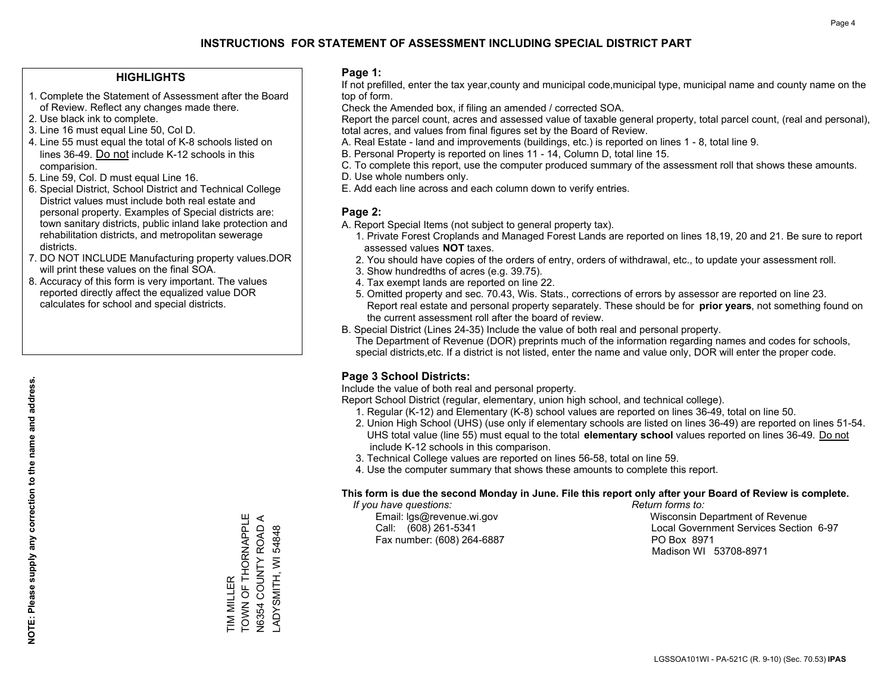#### **HIGHLIGHTS**

- 1. Complete the Statement of Assessment after the Board of Review. Reflect any changes made there.
- 2. Use black ink to complete.
- 3. Line 16 must equal Line 50, Col D.
- 4. Line 55 must equal the total of K-8 schools listed on lines 36-49. Do not include K-12 schools in this comparision.
- 5. Line 59, Col. D must equal Line 16.
- 6. Special District, School District and Technical College District values must include both real estate and personal property. Examples of Special districts are: town sanitary districts, public inland lake protection and rehabilitation districts, and metropolitan sewerage districts.
- 7. DO NOT INCLUDE Manufacturing property values.DOR will print these values on the final SOA.
- 8. Accuracy of this form is very important. The values reported directly affect the equalized value DOR calculates for school and special districts.

#### **Page 1:**

 If not prefilled, enter the tax year,county and municipal code,municipal type, municipal name and county name on the top of form.

Check the Amended box, if filing an amended / corrected SOA.

 Report the parcel count, acres and assessed value of taxable general property, total parcel count, (real and personal), total acres, and values from final figures set by the Board of Review.

- A. Real Estate land and improvements (buildings, etc.) is reported on lines 1 8, total line 9.
- B. Personal Property is reported on lines 11 14, Column D, total line 15.
- C. To complete this report, use the computer produced summary of the assessment roll that shows these amounts.
- D. Use whole numbers only.
- E. Add each line across and each column down to verify entries.

#### **Page 2:**

- A. Report Special Items (not subject to general property tax).
- 1. Private Forest Croplands and Managed Forest Lands are reported on lines 18,19, 20 and 21. Be sure to report assessed values **NOT** taxes.
- 2. You should have copies of the orders of entry, orders of withdrawal, etc., to update your assessment roll.
	- 3. Show hundredths of acres (e.g. 39.75).
- 4. Tax exempt lands are reported on line 22.
- 5. Omitted property and sec. 70.43, Wis. Stats., corrections of errors by assessor are reported on line 23. Report real estate and personal property separately. These should be for **prior years**, not something found on the current assessment roll after the board of review.
- B. Special District (Lines 24-35) Include the value of both real and personal property.

 The Department of Revenue (DOR) preprints much of the information regarding names and codes for schools, special districts,etc. If a district is not listed, enter the name and value only, DOR will enter the proper code.

### **Page 3 School Districts:**

Include the value of both real and personal property.

Report School District (regular, elementary, union high school, and technical college).

- 1. Regular (K-12) and Elementary (K-8) school values are reported on lines 36-49, total on line 50.
- 2. Union High School (UHS) (use only if elementary schools are listed on lines 36-49) are reported on lines 51-54. UHS total value (line 55) must equal to the total **elementary school** values reported on lines 36-49. Do notinclude K-12 schools in this comparison.
- 3. Technical College values are reported on lines 56-58, total on line 59.
- 4. Use the computer summary that shows these amounts to complete this report.

#### **This form is due the second Monday in June. File this report only after your Board of Review is complete.**

 *If you have questions: Return forms to:*

Fax number: (608) 264-6887 PO Box 8971

 Email: lgs@revenue.wi.gov Wisconsin Department of Revenue Call: (608) 261-5341 Local Government Services Section 6-97Madison WI 53708-8971

TOWN OF THORNAPPLE TIM MILLER<br>TOWN OF THORNAPPLE N6354 COUNTY ROAD A N6354 COUNTY ROAD<br>LADYSMITH, WI 54848 LADYSMITH, WI 54848 TIM MILLER

 $\prec$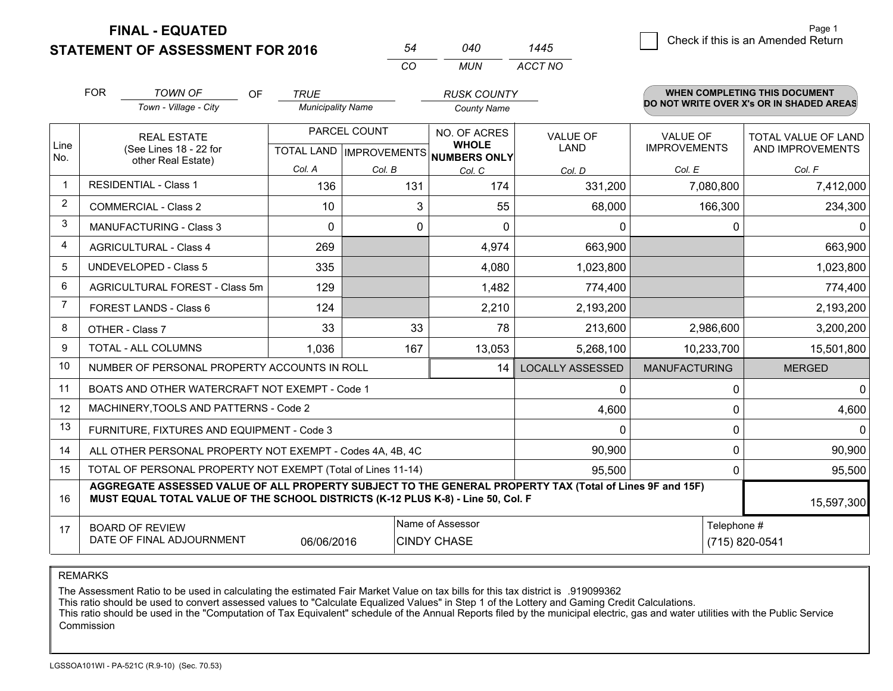**FINAL - EQUATED**

**STATEMENT OF ASSESSMENT FOR 2016** 

|   |                                    | Page 1 |
|---|------------------------------------|--------|
| 5 | Check if this is an Amended Return |        |
|   |                                    |        |

|    | 040 | 1445    |
|----|-----|---------|
| CO | MUN | ACCT NO |

|                | <b>FOR</b>                                                                                                                                   | <b>TOWN OF</b><br><b>OF</b>                                                                                                                                                                  | <b>TRUE</b>                                              |              | <b>RUSK COUNTY</b>           |                         |                                 | WHEN COMPLETING THIS DOCUMENT            |
|----------------|----------------------------------------------------------------------------------------------------------------------------------------------|----------------------------------------------------------------------------------------------------------------------------------------------------------------------------------------------|----------------------------------------------------------|--------------|------------------------------|-------------------------|---------------------------------|------------------------------------------|
|                |                                                                                                                                              | Town - Village - City                                                                                                                                                                        | <b>Municipality Name</b>                                 |              | <b>County Name</b>           |                         |                                 | DO NOT WRITE OVER X's OR IN SHADED AREAS |
| Line<br>No.    |                                                                                                                                              | <b>REAL ESTATE</b><br>(See Lines 18 - 22 for                                                                                                                                                 | PARCEL COUNT<br>TOTAL LAND   IMPROVEMENTS   NUMBERS ONLY |              | NO. OF ACRES<br><b>WHOLE</b> | VALUE OF<br><b>LAND</b> | VALUE OF<br><b>IMPROVEMENTS</b> | TOTAL VALUE OF LAND<br>AND IMPROVEMENTS  |
|                |                                                                                                                                              | other Real Estate)                                                                                                                                                                           | Col. A                                                   | Col. B       | Col. C                       | Col. D                  | Col. E                          | Col. F                                   |
| $\mathbf{1}$   |                                                                                                                                              | <b>RESIDENTIAL - Class 1</b>                                                                                                                                                                 | 136                                                      | 131          | 174                          | 331,200                 | 7,080,800                       | 7,412,000                                |
| $\overline{2}$ |                                                                                                                                              | <b>COMMERCIAL - Class 2</b>                                                                                                                                                                  | 10                                                       | 3            | 55                           | 68,000                  | 166,300                         | 234,300                                  |
| 3              |                                                                                                                                              | <b>MANUFACTURING - Class 3</b>                                                                                                                                                               | 0                                                        | $\mathbf{0}$ | $\Omega$                     | $\mathbf 0$             | 0                               | $\Omega$                                 |
| 4              |                                                                                                                                              | <b>AGRICULTURAL - Class 4</b>                                                                                                                                                                | 269                                                      |              | 4,974                        | 663,900                 |                                 | 663,900                                  |
| 5              |                                                                                                                                              | <b>UNDEVELOPED - Class 5</b>                                                                                                                                                                 | 335                                                      |              | 4,080                        | 1,023,800               |                                 | 1,023,800                                |
| 6              |                                                                                                                                              | AGRICULTURAL FOREST - Class 5m                                                                                                                                                               | 129                                                      |              | 1,482                        | 774,400                 |                                 | 774,400                                  |
| $\overline{7}$ |                                                                                                                                              | FOREST LANDS - Class 6                                                                                                                                                                       | 124                                                      |              | 2,210                        | 2,193,200               |                                 | 2,193,200                                |
| 8              |                                                                                                                                              | OTHER - Class 7                                                                                                                                                                              | 33                                                       | 33           | 78                           | 213,600                 | 2,986,600                       | 3,200,200                                |
| 9              |                                                                                                                                              | TOTAL - ALL COLUMNS                                                                                                                                                                          | 1,036                                                    | 167          | 13,053                       | 5,268,100               | 10,233,700                      | 15,501,800                               |
| 10             |                                                                                                                                              | NUMBER OF PERSONAL PROPERTY ACCOUNTS IN ROLL                                                                                                                                                 |                                                          |              | 14                           | <b>LOCALLY ASSESSED</b> | <b>MANUFACTURING</b>            | <b>MERGED</b>                            |
| 11             |                                                                                                                                              | BOATS AND OTHER WATERCRAFT NOT EXEMPT - Code 1                                                                                                                                               |                                                          |              |                              | 0                       | 0                               | $\mathbf 0$                              |
| 12             |                                                                                                                                              | MACHINERY, TOOLS AND PATTERNS - Code 2                                                                                                                                                       |                                                          |              |                              | 4,600                   | 0                               | 4,600                                    |
| 13             |                                                                                                                                              | FURNITURE, FIXTURES AND EQUIPMENT - Code 3                                                                                                                                                   |                                                          |              |                              | $\mathbf{0}$            | 0                               | 0                                        |
| 14             |                                                                                                                                              | ALL OTHER PERSONAL PROPERTY NOT EXEMPT - Codes 4A, 4B, 4C                                                                                                                                    |                                                          |              |                              | 90,900                  | 0                               | 90,900                                   |
| 15             |                                                                                                                                              | TOTAL OF PERSONAL PROPERTY NOT EXEMPT (Total of Lines 11-14)                                                                                                                                 |                                                          |              |                              | 95,500                  | 0                               | 95,500                                   |
| 16             |                                                                                                                                              | AGGREGATE ASSESSED VALUE OF ALL PROPERTY SUBJECT TO THE GENERAL PROPERTY TAX (Total of Lines 9F and 15F)<br>MUST EQUAL TOTAL VALUE OF THE SCHOOL DISTRICTS (K-12 PLUS K-8) - Line 50, Col. F |                                                          |              |                              |                         |                                 | 15,597,300                               |
| 17             | Name of Assessor<br>Telephone #<br><b>BOARD OF REVIEW</b><br>DATE OF FINAL ADJOURNMENT<br>(715) 820-0541<br>06/06/2016<br><b>CINDY CHASE</b> |                                                                                                                                                                                              |                                                          |              |                              |                         |                                 |                                          |
|                |                                                                                                                                              |                                                                                                                                                                                              |                                                          |              |                              |                         |                                 |                                          |

REMARKS

The Assessment Ratio to be used in calculating the estimated Fair Market Value on tax bills for this tax district is .919099362<br>This ratio should be used to convert assessed values to "Calculate Equalized Values" in Step 1 Commission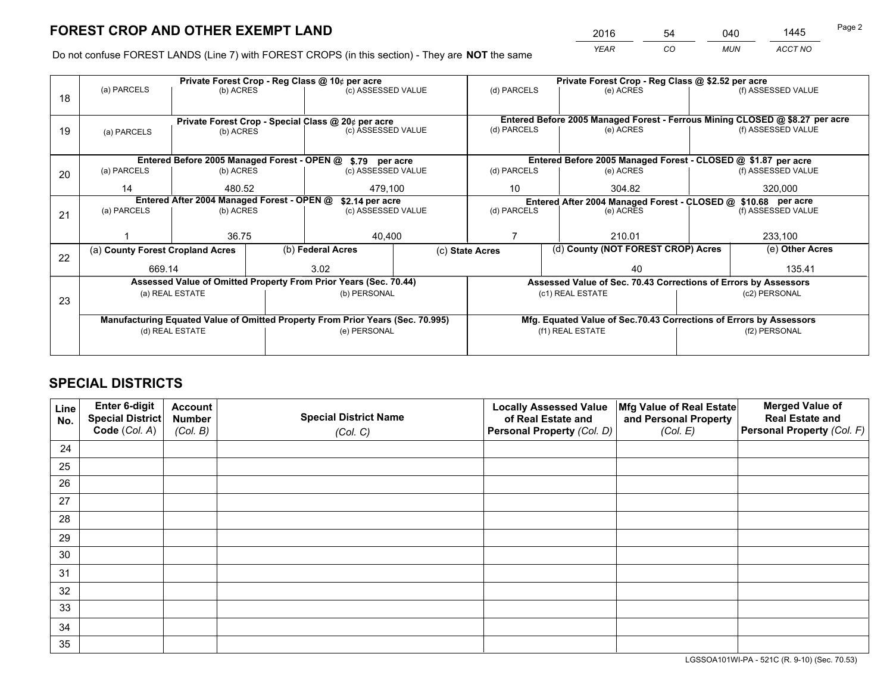*YEAR CO MUN ACCT NO* <sup>2016</sup> <sup>54</sup> <sup>040</sup> <sup>1445</sup>

Do not confuse FOREST LANDS (Line 7) with FOREST CROPS (in this section) - They are **NOT** the same

|    |                                                               | Private Forest Crop - Reg Class @ 10¢ per acre                                 |              |                    |  |                                                                 |                  | Private Forest Crop - Reg Class @ \$2.52 per acre                  |               |                                                                              |  |
|----|---------------------------------------------------------------|--------------------------------------------------------------------------------|--------------|--------------------|--|-----------------------------------------------------------------|------------------|--------------------------------------------------------------------|---------------|------------------------------------------------------------------------------|--|
| 18 | (a) PARCELS                                                   | (b) ACRES                                                                      |              | (c) ASSESSED VALUE |  | (d) PARCELS                                                     |                  | (e) ACRES                                                          |               | (f) ASSESSED VALUE                                                           |  |
|    |                                                               |                                                                                |              |                    |  |                                                                 |                  |                                                                    |               |                                                                              |  |
|    | Private Forest Crop - Special Class @ 20¢ per acre            |                                                                                |              |                    |  |                                                                 |                  |                                                                    |               | Entered Before 2005 Managed Forest - Ferrous Mining CLOSED @ \$8.27 per acre |  |
| 19 | (b) ACRES<br>(a) PARCELS                                      |                                                                                |              | (c) ASSESSED VALUE |  | (d) PARCELS                                                     |                  | (e) ACRES                                                          |               | (f) ASSESSED VALUE                                                           |  |
|    |                                                               |                                                                                |              |                    |  |                                                                 |                  |                                                                    |               |                                                                              |  |
|    |                                                               | Entered Before 2005 Managed Forest - OPEN @ \$.79 per acre                     |              |                    |  |                                                                 |                  | Entered Before 2005 Managed Forest - CLOSED @ \$1.87 per acre      |               |                                                                              |  |
| 20 | (a) PARCELS<br>(b) ACRES                                      |                                                                                |              | (c) ASSESSED VALUE |  | (d) PARCELS                                                     |                  | (e) ACRES                                                          |               | (f) ASSESSED VALUE                                                           |  |
|    | 14                                                            | 480.52                                                                         |              | 479,100            |  | 10                                                              |                  | 320,000<br>304.82                                                  |               |                                                                              |  |
|    | Entered After 2004 Managed Forest - OPEN @<br>\$2.14 per acre |                                                                                |              |                    |  |                                                                 |                  | Entered After 2004 Managed Forest - CLOSED @ \$10.68 per acre      |               |                                                                              |  |
| 21 | (a) PARCELS                                                   | (b) ACRES                                                                      |              | (c) ASSESSED VALUE |  | (d) PARCELS                                                     |                  | (e) ACRES                                                          |               | (f) ASSESSED VALUE                                                           |  |
|    |                                                               |                                                                                |              |                    |  |                                                                 |                  |                                                                    |               |                                                                              |  |
|    |                                                               | 36.75                                                                          |              | 40,400             |  |                                                                 |                  | 210.01                                                             |               | 233,100                                                                      |  |
| 22 | (a) County Forest Cropland Acres                              |                                                                                |              | (b) Federal Acres  |  | (c) State Acres                                                 |                  | (d) County (NOT FOREST CROP) Acres                                 |               | (e) Other Acres                                                              |  |
|    | 669.14                                                        |                                                                                |              | 3.02               |  |                                                                 |                  | 40                                                                 |               | 135.41                                                                       |  |
|    |                                                               | Assessed Value of Omitted Property From Prior Years (Sec. 70.44)               |              |                    |  | Assessed Value of Sec. 70.43 Corrections of Errors by Assessors |                  |                                                                    |               |                                                                              |  |
| 23 |                                                               | (a) REAL ESTATE                                                                |              | (b) PERSONAL       |  |                                                                 |                  | (c1) REAL ESTATE                                                   |               | (c2) PERSONAL                                                                |  |
|    |                                                               |                                                                                |              |                    |  |                                                                 |                  |                                                                    |               |                                                                              |  |
|    |                                                               | Manufacturing Equated Value of Omitted Property From Prior Years (Sec. 70.995) |              |                    |  |                                                                 |                  | Mfg. Equated Value of Sec.70.43 Corrections of Errors by Assessors |               |                                                                              |  |
|    | (d) REAL ESTATE                                               |                                                                                | (e) PERSONAL |                    |  |                                                                 | (f1) REAL ESTATE |                                                                    | (f2) PERSONAL |                                                                              |  |
|    |                                                               |                                                                                |              |                    |  |                                                                 |                  |                                                                    |               |                                                                              |  |

## **SPECIAL DISTRICTS**

| Line<br>No. | Enter 6-digit<br><b>Special District</b> | <b>Account</b><br><b>Number</b> | <b>Special District Name</b> | <b>Locally Assessed Value</b><br>of Real Estate and | Mfg Value of Real Estate<br>and Personal Property | <b>Merged Value of</b><br><b>Real Estate and</b> |
|-------------|------------------------------------------|---------------------------------|------------------------------|-----------------------------------------------------|---------------------------------------------------|--------------------------------------------------|
|             | Code (Col. A)                            | (Col. B)                        | (Col. C)                     | Personal Property (Col. D)                          | (Col. E)                                          | Personal Property (Col. F)                       |
| 24          |                                          |                                 |                              |                                                     |                                                   |                                                  |
| 25          |                                          |                                 |                              |                                                     |                                                   |                                                  |
| 26          |                                          |                                 |                              |                                                     |                                                   |                                                  |
| 27          |                                          |                                 |                              |                                                     |                                                   |                                                  |
| 28          |                                          |                                 |                              |                                                     |                                                   |                                                  |
| 29          |                                          |                                 |                              |                                                     |                                                   |                                                  |
| 30          |                                          |                                 |                              |                                                     |                                                   |                                                  |
| 31          |                                          |                                 |                              |                                                     |                                                   |                                                  |
| 32          |                                          |                                 |                              |                                                     |                                                   |                                                  |
| 33          |                                          |                                 |                              |                                                     |                                                   |                                                  |
| 34          |                                          |                                 |                              |                                                     |                                                   |                                                  |
| 35          |                                          |                                 |                              |                                                     |                                                   |                                                  |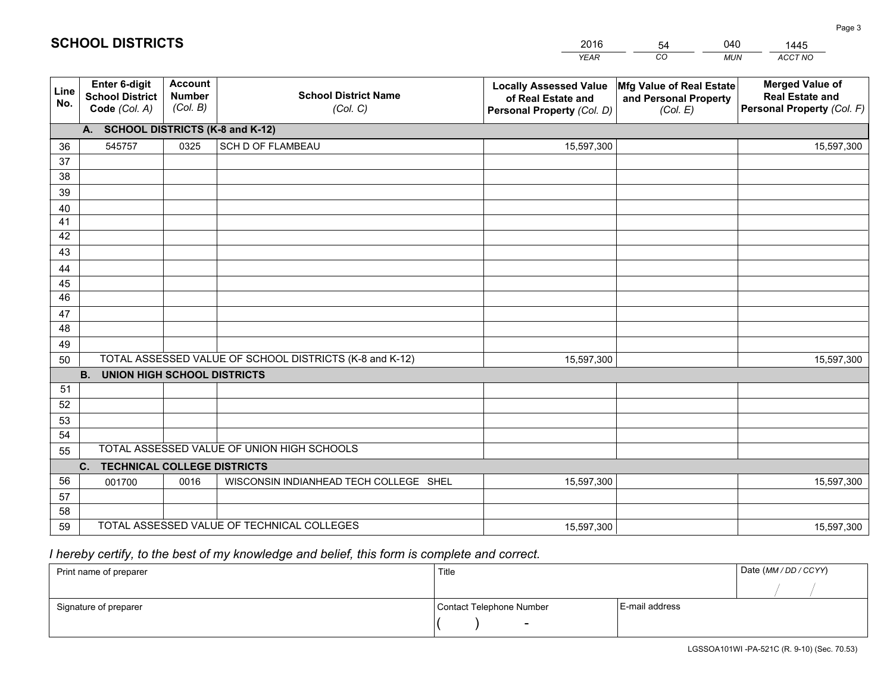|             |                                                                 |                                             |                                                         | <b>YEAR</b>                                                                       | CO<br><b>MUN</b>                                              | ACCT NO                                                                        |
|-------------|-----------------------------------------------------------------|---------------------------------------------|---------------------------------------------------------|-----------------------------------------------------------------------------------|---------------------------------------------------------------|--------------------------------------------------------------------------------|
| Line<br>No. | <b>Enter 6-digit</b><br><b>School District</b><br>Code (Col. A) | <b>Account</b><br><b>Number</b><br>(Col. B) | <b>School District Name</b><br>(Col. C)                 | <b>Locally Assessed Value</b><br>of Real Estate and<br>Personal Property (Col. D) | Mfg Value of Real Estate<br>and Personal Property<br>(Col. E) | <b>Merged Value of</b><br><b>Real Estate and</b><br>Personal Property (Col. F) |
|             | A. SCHOOL DISTRICTS (K-8 and K-12)                              |                                             |                                                         |                                                                                   |                                                               |                                                                                |
| 36          | 545757                                                          | 0325                                        | <b>SCH D OF FLAMBEAU</b>                                | 15,597,300                                                                        |                                                               | 15,597,300                                                                     |
| 37          |                                                                 |                                             |                                                         |                                                                                   |                                                               |                                                                                |
| 38          |                                                                 |                                             |                                                         |                                                                                   |                                                               |                                                                                |
| 39          |                                                                 |                                             |                                                         |                                                                                   |                                                               |                                                                                |
| 40          |                                                                 |                                             |                                                         |                                                                                   |                                                               |                                                                                |
| 41          |                                                                 |                                             |                                                         |                                                                                   |                                                               |                                                                                |
| 42          |                                                                 |                                             |                                                         |                                                                                   |                                                               |                                                                                |
| 43          |                                                                 |                                             |                                                         |                                                                                   |                                                               |                                                                                |
| 44<br>45    |                                                                 |                                             |                                                         |                                                                                   |                                                               |                                                                                |
| 46          |                                                                 |                                             |                                                         |                                                                                   |                                                               |                                                                                |
| 47          |                                                                 |                                             |                                                         |                                                                                   |                                                               |                                                                                |
| 48          |                                                                 |                                             |                                                         |                                                                                   |                                                               |                                                                                |
| 49          |                                                                 |                                             |                                                         |                                                                                   |                                                               |                                                                                |
| 50          |                                                                 |                                             | TOTAL ASSESSED VALUE OF SCHOOL DISTRICTS (K-8 and K-12) | 15,597,300                                                                        |                                                               | 15,597,300                                                                     |
|             | <b>B.</b><br><b>UNION HIGH SCHOOL DISTRICTS</b>                 |                                             |                                                         |                                                                                   |                                                               |                                                                                |
| 51          |                                                                 |                                             |                                                         |                                                                                   |                                                               |                                                                                |
| 52          |                                                                 |                                             |                                                         |                                                                                   |                                                               |                                                                                |
| 53          |                                                                 |                                             |                                                         |                                                                                   |                                                               |                                                                                |
| 54          |                                                                 |                                             |                                                         |                                                                                   |                                                               |                                                                                |
| 55          |                                                                 |                                             | TOTAL ASSESSED VALUE OF UNION HIGH SCHOOLS              |                                                                                   |                                                               |                                                                                |
|             | C.<br><b>TECHNICAL COLLEGE DISTRICTS</b>                        |                                             |                                                         |                                                                                   |                                                               |                                                                                |
| 56          | 001700                                                          | 0016                                        | WISCONSIN INDIANHEAD TECH COLLEGE SHEL                  | 15,597,300                                                                        |                                                               | 15,597,300                                                                     |
| 57          |                                                                 |                                             |                                                         |                                                                                   |                                                               |                                                                                |
| 58          |                                                                 |                                             |                                                         |                                                                                   |                                                               |                                                                                |
| 59          |                                                                 |                                             | TOTAL ASSESSED VALUE OF TECHNICAL COLLEGES              | 15,597,300                                                                        |                                                               | 15,597,300                                                                     |

54

040

 *I hereby certify, to the best of my knowledge and belief, this form is complete and correct.*

**SCHOOL DISTRICTS**

| Print name of preparer | Title                    |                | Date (MM / DD / CCYY) |
|------------------------|--------------------------|----------------|-----------------------|
|                        |                          |                |                       |
| Signature of preparer  | Contact Telephone Number | E-mail address |                       |
|                        | $\sim$                   |                |                       |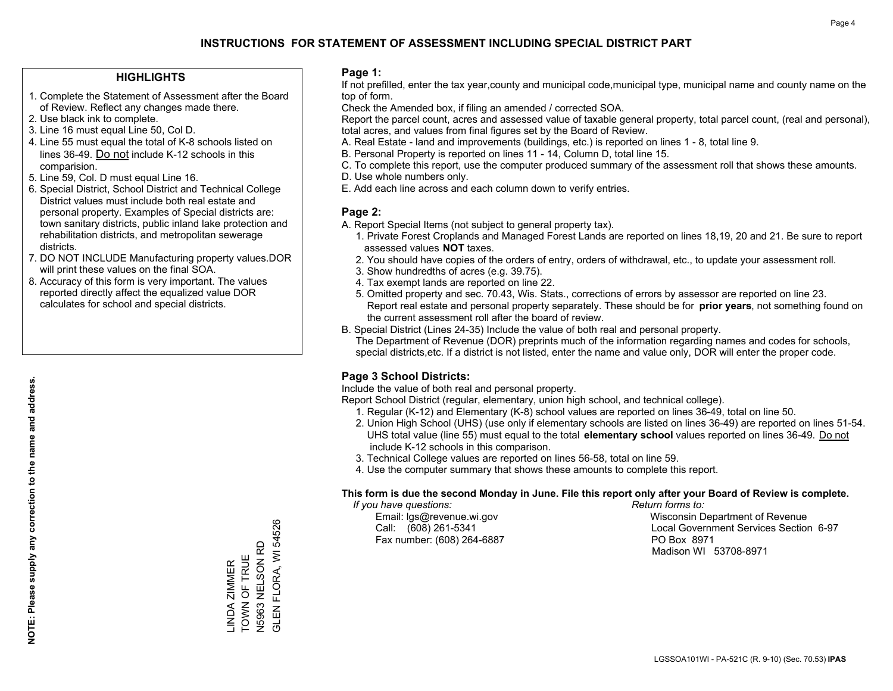#### **HIGHLIGHTS**

- 1. Complete the Statement of Assessment after the Board of Review. Reflect any changes made there.
- 2. Use black ink to complete.
- 3. Line 16 must equal Line 50, Col D.
- 4. Line 55 must equal the total of K-8 schools listed on lines 36-49. Do not include K-12 schools in this comparision.
- 5. Line 59, Col. D must equal Line 16.
- 6. Special District, School District and Technical College District values must include both real estate and personal property. Examples of Special districts are: town sanitary districts, public inland lake protection and rehabilitation districts, and metropolitan sewerage districts.
- 7. DO NOT INCLUDE Manufacturing property values.DOR will print these values on the final SOA.

LINDA ZIMMER TOWN OF TRUE N5963 NELSON RD GLEN FLORA, WI 54526

LINDA ZIMMER<br>TOWN OF TRUE

FLORA, WI 54526

**GLENF** 

N5963 NELSON RD

 8. Accuracy of this form is very important. The values reported directly affect the equalized value DOR calculates for school and special districts.

#### **Page 1:**

 If not prefilled, enter the tax year,county and municipal code,municipal type, municipal name and county name on the top of form.

Check the Amended box, if filing an amended / corrected SOA.

 Report the parcel count, acres and assessed value of taxable general property, total parcel count, (real and personal), total acres, and values from final figures set by the Board of Review.

- A. Real Estate land and improvements (buildings, etc.) is reported on lines 1 8, total line 9.
- B. Personal Property is reported on lines 11 14, Column D, total line 15.
- C. To complete this report, use the computer produced summary of the assessment roll that shows these amounts.
- D. Use whole numbers only.
- E. Add each line across and each column down to verify entries.

#### **Page 2:**

- A. Report Special Items (not subject to general property tax).
- 1. Private Forest Croplands and Managed Forest Lands are reported on lines 18,19, 20 and 21. Be sure to report assessed values **NOT** taxes.
- 2. You should have copies of the orders of entry, orders of withdrawal, etc., to update your assessment roll.
	- 3. Show hundredths of acres (e.g. 39.75).
- 4. Tax exempt lands are reported on line 22.
- 5. Omitted property and sec. 70.43, Wis. Stats., corrections of errors by assessor are reported on line 23. Report real estate and personal property separately. These should be for **prior years**, not something found on the current assessment roll after the board of review.
- B. Special District (Lines 24-35) Include the value of both real and personal property.
- The Department of Revenue (DOR) preprints much of the information regarding names and codes for schools, special districts,etc. If a district is not listed, enter the name and value only, DOR will enter the proper code.

### **Page 3 School Districts:**

Include the value of both real and personal property.

Report School District (regular, elementary, union high school, and technical college).

- 1. Regular (K-12) and Elementary (K-8) school values are reported on lines 36-49, total on line 50.
- 2. Union High School (UHS) (use only if elementary schools are listed on lines 36-49) are reported on lines 51-54. UHS total value (line 55) must equal to the total **elementary school** values reported on lines 36-49. Do notinclude K-12 schools in this comparison.
- 3. Technical College values are reported on lines 56-58, total on line 59.
- 4. Use the computer summary that shows these amounts to complete this report.

#### **This form is due the second Monday in June. File this report only after your Board of Review is complete.**

 *If you have questions: Return forms to:*

Fax number: (608) 264-6887 PO Box 8971

 Email: lgs@revenue.wi.gov Wisconsin Department of Revenue Call: (608) 261-5341 Local Government Services Section 6-97Madison WI 53708-8971

**NOTE: Please supply any correction to the name and address.**

NOTE: Please supply any correction to the name and address.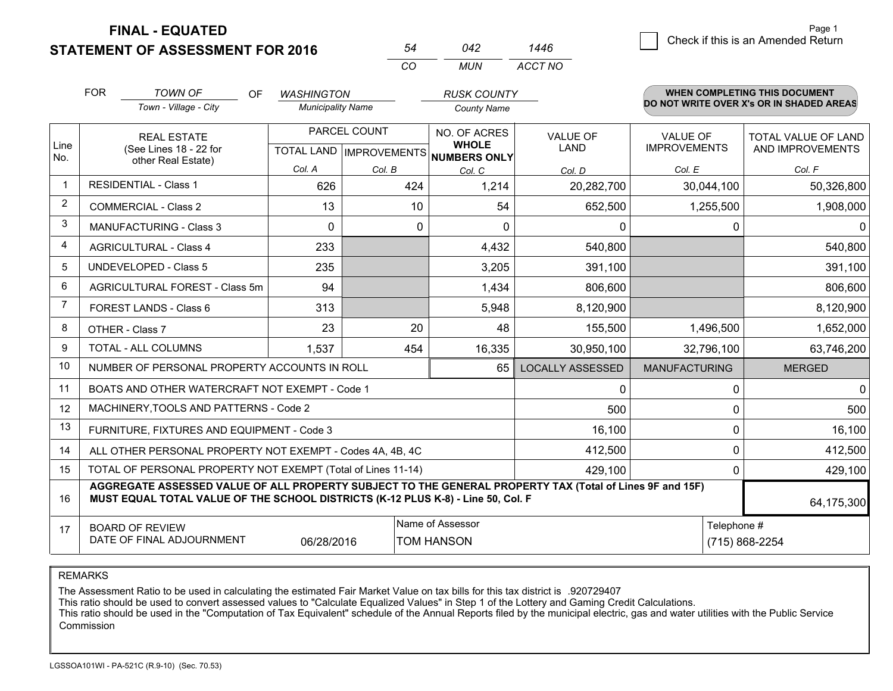**STATEMENT OF ASSESSMENT FOR 2016** 

**FINAL - EQUATED**

|                | <b>FOR</b>                                                                                                                                                                                   | <b>TOWN OF</b><br>OF.<br>Town - Village - City                     | <b>WASHINGTON</b><br><b>Municipality Name</b>  |        | <b>RUSK COUNTY</b><br><b>County Name</b>     |                                | <b>WHEN COMPLETING THIS DOCUMENT</b><br>DO NOT WRITE OVER X's OR IN SHADED AREAS |                                                |  |
|----------------|----------------------------------------------------------------------------------------------------------------------------------------------------------------------------------------------|--------------------------------------------------------------------|------------------------------------------------|--------|----------------------------------------------|--------------------------------|----------------------------------------------------------------------------------|------------------------------------------------|--|
| Line<br>No.    |                                                                                                                                                                                              | <b>REAL ESTATE</b><br>(See Lines 18 - 22 for<br>other Real Estate) | PARCEL COUNT<br><b>TOTAL LAND IMPROVEMENTS</b> |        | NO. OF ACRES<br><b>WHOLE</b><br>NUMBERS ONLY | <b>VALUE OF</b><br><b>LAND</b> | <b>VALUE OF</b><br><b>IMPROVEMENTS</b>                                           | <b>TOTAL VALUE OF LAND</b><br>AND IMPROVEMENTS |  |
|                |                                                                                                                                                                                              |                                                                    | Col. A                                         | Col. B | Col. C                                       | Col. D                         | Col. E                                                                           | Col. F                                         |  |
|                |                                                                                                                                                                                              | <b>RESIDENTIAL - Class 1</b>                                       | 626                                            | 424    | 1,214                                        | 20,282,700                     | 30,044,100                                                                       | 50,326,800                                     |  |
| 2              | <b>COMMERCIAL - Class 2</b>                                                                                                                                                                  |                                                                    | 13                                             | 10     | 54                                           | 652,500                        | 1,255,500                                                                        | 1,908,000                                      |  |
| 3              |                                                                                                                                                                                              | <b>MANUFACTURING - Class 3</b>                                     | 0                                              |        | $\mathbf{0}$<br>0                            | $\mathbf{0}$                   | 0                                                                                | $\mathbf{0}$                                   |  |
| 4              |                                                                                                                                                                                              | <b>AGRICULTURAL - Class 4</b>                                      | 233                                            |        | 4,432                                        | 540,800                        |                                                                                  | 540,800                                        |  |
| 5              |                                                                                                                                                                                              | <b>UNDEVELOPED - Class 5</b>                                       | 235                                            |        | 3,205                                        | 391,100                        |                                                                                  | 391,100                                        |  |
| 6              | AGRICULTURAL FOREST - Class 5m                                                                                                                                                               |                                                                    | 94                                             |        | 1,434                                        | 806,600                        |                                                                                  | 806,600                                        |  |
| $\overline{7}$ |                                                                                                                                                                                              | FOREST LANDS - Class 6                                             | 313                                            |        | 5,948                                        | 8,120,900                      |                                                                                  | 8,120,900                                      |  |
| 8              |                                                                                                                                                                                              | OTHER - Class 7                                                    | 23                                             | 20     | 48                                           | 155,500                        | 1,496,500                                                                        | 1,652,000                                      |  |
| 9              |                                                                                                                                                                                              | TOTAL - ALL COLUMNS                                                | 1,537                                          | 454    | 16,335                                       | 30,950,100                     | 32,796,100                                                                       | 63,746,200                                     |  |
| 10             |                                                                                                                                                                                              | NUMBER OF PERSONAL PROPERTY ACCOUNTS IN ROLL                       |                                                |        | 65                                           | <b>LOCALLY ASSESSED</b>        | <b>MANUFACTURING</b>                                                             | <b>MERGED</b>                                  |  |
| 11             |                                                                                                                                                                                              | BOATS AND OTHER WATERCRAFT NOT EXEMPT - Code 1                     |                                                |        |                                              | $\Omega$                       | $\Omega$                                                                         | $\Omega$                                       |  |
| 12             |                                                                                                                                                                                              | MACHINERY, TOOLS AND PATTERNS - Code 2                             |                                                |        |                                              | 500                            | 0                                                                                | 500                                            |  |
| 13             |                                                                                                                                                                                              | FURNITURE, FIXTURES AND EQUIPMENT - Code 3                         |                                                |        |                                              | 16,100                         | 0                                                                                | 16,100                                         |  |
| 14             |                                                                                                                                                                                              | ALL OTHER PERSONAL PROPERTY NOT EXEMPT - Codes 4A, 4B, 4C          |                                                |        |                                              | 412,500                        | $\Omega$                                                                         | 412,500                                        |  |
| 15             |                                                                                                                                                                                              | TOTAL OF PERSONAL PROPERTY NOT EXEMPT (Total of Lines 11-14)       |                                                |        |                                              | 429,100                        | $\mathbf{0}$                                                                     | 429,100                                        |  |
| 16             | AGGREGATE ASSESSED VALUE OF ALL PROPERTY SUBJECT TO THE GENERAL PROPERTY TAX (Total of Lines 9F and 15F)<br>MUST EQUAL TOTAL VALUE OF THE SCHOOL DISTRICTS (K-12 PLUS K-8) - Line 50, Col. F |                                                                    |                                                |        |                                              |                                |                                                                                  | 64,175,300                                     |  |
| 17             |                                                                                                                                                                                              | <b>BOARD OF REVIEW</b><br>DATE OF FINAL ADJOURNMENT                | 06/28/2016                                     |        | Telephone #                                  | (715) 868-2254                 |                                                                                  |                                                |  |

*CO*

*MUN*

*ACCT NO1446*

*<sup>54</sup> <sup>042</sup>*

REMARKS

The Assessment Ratio to be used in calculating the estimated Fair Market Value on tax bills for this tax district is .920729407<br>This ratio should be used to convert assessed values to "Calculate Equalized Values" in Step 1 Commission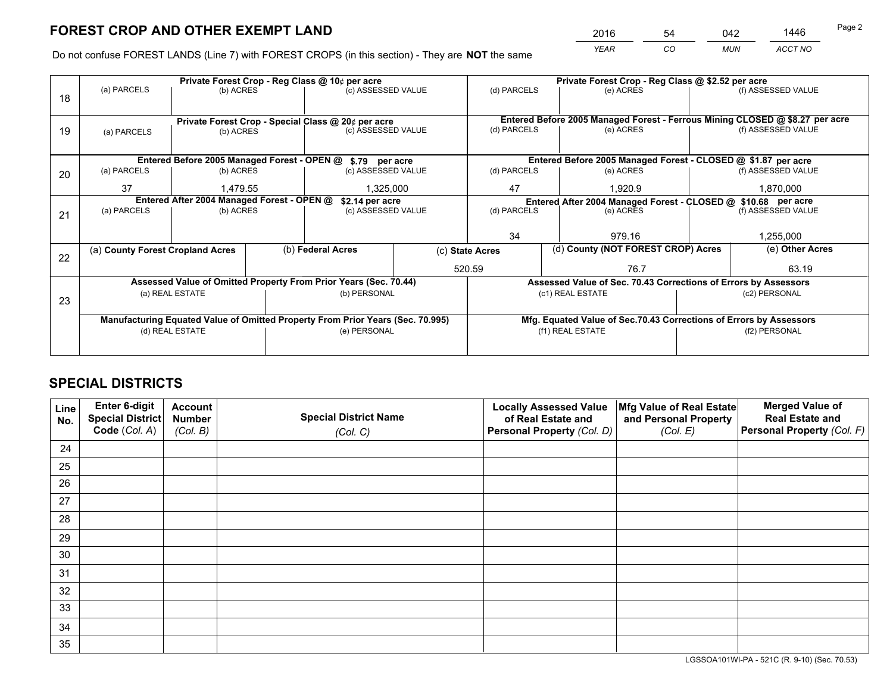*YEAR CO MUN ACCT NO* <sup>2016</sup> <sup>54</sup> <sup>042</sup> <sup>1446</sup>

Do not confuse FOREST LANDS (Line 7) with FOREST CROPS (in this section) - They are **NOT** the same

|    |                                            |                                             |  | Private Forest Crop - Reg Class @ 10¢ per acre                                 |  |                                                                              | Private Forest Crop - Reg Class @ \$2.52 per acre             |                                                                    |                    |  |
|----|--------------------------------------------|---------------------------------------------|--|--------------------------------------------------------------------------------|--|------------------------------------------------------------------------------|---------------------------------------------------------------|--------------------------------------------------------------------|--------------------|--|
| 18 | (a) PARCELS                                | (b) ACRES                                   |  | (c) ASSESSED VALUE                                                             |  | (d) PARCELS                                                                  | (e) ACRES                                                     |                                                                    | (f) ASSESSED VALUE |  |
|    |                                            |                                             |  |                                                                                |  |                                                                              |                                                               |                                                                    |                    |  |
|    |                                            |                                             |  | Private Forest Crop - Special Class @ 20¢ per acre                             |  | Entered Before 2005 Managed Forest - Ferrous Mining CLOSED @ \$8.27 per acre |                                                               |                                                                    |                    |  |
| 19 | (a) PARCELS                                | (b) ACRES                                   |  | (c) ASSESSED VALUE                                                             |  | (d) PARCELS                                                                  | (e) ACRES                                                     |                                                                    | (f) ASSESSED VALUE |  |
|    |                                            |                                             |  |                                                                                |  |                                                                              |                                                               |                                                                    |                    |  |
|    |                                            | Entered Before 2005 Managed Forest - OPEN @ |  | \$.79 per acre                                                                 |  |                                                                              | Entered Before 2005 Managed Forest - CLOSED @ \$1.87 per acre |                                                                    |                    |  |
| 20 | (a) PARCELS<br>(b) ACRES                   |                                             |  | (c) ASSESSED VALUE                                                             |  | (d) PARCELS                                                                  | (e) ACRES                                                     |                                                                    | (f) ASSESSED VALUE |  |
|    | 37<br>1.479.55                             |                                             |  | 1,325,000                                                                      |  | 47                                                                           | 1.920.9                                                       |                                                                    | 1,870,000          |  |
|    | Entered After 2004 Managed Forest - OPEN @ |                                             |  | \$2.14 per acre                                                                |  | Entered After 2004 Managed Forest - CLOSED @ \$10.68 per acre                |                                                               |                                                                    |                    |  |
| 21 | (a) PARCELS                                | (b) ACRES                                   |  | (c) ASSESSED VALUE                                                             |  | (d) PARCELS                                                                  | (e) ACRES                                                     |                                                                    | (f) ASSESSED VALUE |  |
|    |                                            |                                             |  |                                                                                |  |                                                                              |                                                               |                                                                    |                    |  |
|    |                                            |                                             |  |                                                                                |  | 34                                                                           | 979.16                                                        |                                                                    | 1,255,000          |  |
| 22 | (a) County Forest Cropland Acres           |                                             |  | (b) Federal Acres                                                              |  | (c) State Acres                                                              | (d) County (NOT FOREST CROP) Acres                            |                                                                    | (e) Other Acres    |  |
|    |                                            |                                             |  |                                                                                |  | 520.59                                                                       | 76.7                                                          |                                                                    |                    |  |
|    |                                            |                                             |  | Assessed Value of Omitted Property From Prior Years (Sec. 70.44)               |  | Assessed Value of Sec. 70.43 Corrections of Errors by Assessors              |                                                               |                                                                    |                    |  |
| 23 |                                            | (a) REAL ESTATE                             |  | (b) PERSONAL                                                                   |  |                                                                              | (c1) REAL ESTATE                                              | (c2) PERSONAL                                                      |                    |  |
|    |                                            |                                             |  |                                                                                |  |                                                                              |                                                               |                                                                    |                    |  |
|    |                                            |                                             |  | Manufacturing Equated Value of Omitted Property From Prior Years (Sec. 70.995) |  |                                                                              |                                                               | Mfg. Equated Value of Sec.70.43 Corrections of Errors by Assessors |                    |  |
|    | (d) REAL ESTATE                            |                                             |  | (e) PERSONAL                                                                   |  | (f1) REAL ESTATE                                                             |                                                               | (f2) PERSONAL                                                      |                    |  |
|    |                                            |                                             |  |                                                                                |  |                                                                              |                                                               |                                                                    |                    |  |

## **SPECIAL DISTRICTS**

| Line<br>No. | Enter 6-digit<br>Special District<br>Code (Col. A) | <b>Account</b><br><b>Number</b> | <b>Special District Name</b> | <b>Locally Assessed Value</b><br>of Real Estate and | Mfg Value of Real Estate<br>and Personal Property | <b>Merged Value of</b><br><b>Real Estate and</b><br>Personal Property (Col. F) |
|-------------|----------------------------------------------------|---------------------------------|------------------------------|-----------------------------------------------------|---------------------------------------------------|--------------------------------------------------------------------------------|
|             |                                                    | (Col. B)                        | (Col. C)                     | Personal Property (Col. D)                          | (Col. E)                                          |                                                                                |
| 24          |                                                    |                                 |                              |                                                     |                                                   |                                                                                |
| 25          |                                                    |                                 |                              |                                                     |                                                   |                                                                                |
| 26          |                                                    |                                 |                              |                                                     |                                                   |                                                                                |
| 27          |                                                    |                                 |                              |                                                     |                                                   |                                                                                |
| 28          |                                                    |                                 |                              |                                                     |                                                   |                                                                                |
| 29          |                                                    |                                 |                              |                                                     |                                                   |                                                                                |
| 30          |                                                    |                                 |                              |                                                     |                                                   |                                                                                |
| 31          |                                                    |                                 |                              |                                                     |                                                   |                                                                                |
| 32          |                                                    |                                 |                              |                                                     |                                                   |                                                                                |
| 33          |                                                    |                                 |                              |                                                     |                                                   |                                                                                |
| 34          |                                                    |                                 |                              |                                                     |                                                   |                                                                                |
| 35          |                                                    |                                 |                              |                                                     |                                                   |                                                                                |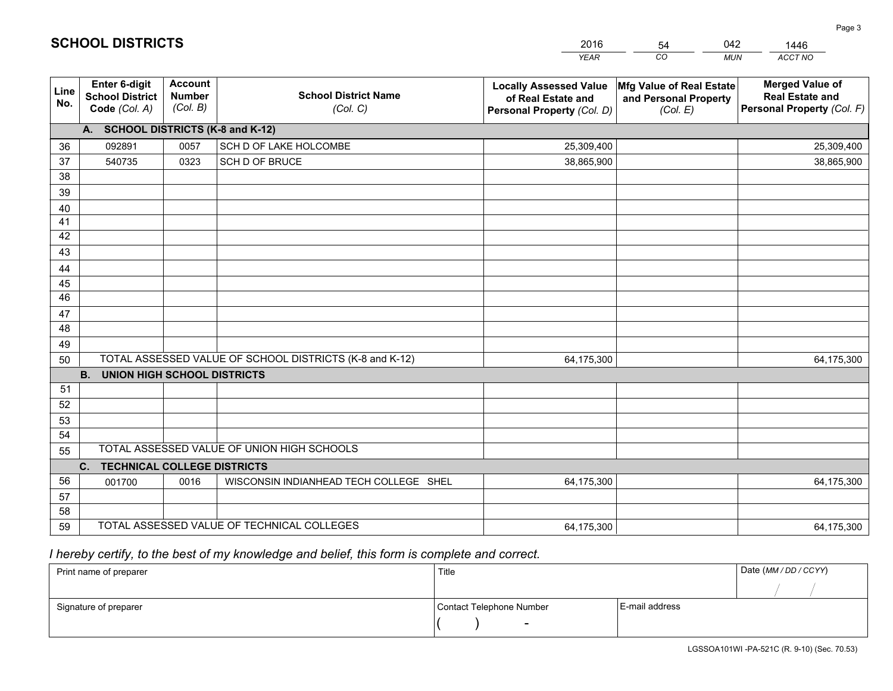|             |                                                                 |                                             |                                                         | <b>YEAR</b>                                                                       | CO<br><b>MUN</b>                                              | ACCT NO                                                                        |
|-------------|-----------------------------------------------------------------|---------------------------------------------|---------------------------------------------------------|-----------------------------------------------------------------------------------|---------------------------------------------------------------|--------------------------------------------------------------------------------|
| Line<br>No. | <b>Enter 6-digit</b><br><b>School District</b><br>Code (Col. A) | <b>Account</b><br><b>Number</b><br>(Col. B) | <b>School District Name</b><br>(Col. C)                 | <b>Locally Assessed Value</b><br>of Real Estate and<br>Personal Property (Col. D) | Mfg Value of Real Estate<br>and Personal Property<br>(Col. E) | <b>Merged Value of</b><br><b>Real Estate and</b><br>Personal Property (Col. F) |
|             | A. SCHOOL DISTRICTS (K-8 and K-12)                              |                                             |                                                         |                                                                                   |                                                               |                                                                                |
| 36          | 092891                                                          | 0057                                        | SCH D OF LAKE HOLCOMBE                                  | 25,309,400                                                                        |                                                               | 25,309,400                                                                     |
| 37          | 540735                                                          | 0323                                        | SCH D OF BRUCE                                          | 38,865,900                                                                        |                                                               | 38,865,900                                                                     |
| 38          |                                                                 |                                             |                                                         |                                                                                   |                                                               |                                                                                |
| 39          |                                                                 |                                             |                                                         |                                                                                   |                                                               |                                                                                |
| 40          |                                                                 |                                             |                                                         |                                                                                   |                                                               |                                                                                |
| 41          |                                                                 |                                             |                                                         |                                                                                   |                                                               |                                                                                |
| 42          |                                                                 |                                             |                                                         |                                                                                   |                                                               |                                                                                |
| 43          |                                                                 |                                             |                                                         |                                                                                   |                                                               |                                                                                |
| 44          |                                                                 |                                             |                                                         |                                                                                   |                                                               |                                                                                |
| 45<br>46    |                                                                 |                                             |                                                         |                                                                                   |                                                               |                                                                                |
| 47          |                                                                 |                                             |                                                         |                                                                                   |                                                               |                                                                                |
| 48          |                                                                 |                                             |                                                         |                                                                                   |                                                               |                                                                                |
| 49          |                                                                 |                                             |                                                         |                                                                                   |                                                               |                                                                                |
| 50          |                                                                 |                                             | TOTAL ASSESSED VALUE OF SCHOOL DISTRICTS (K-8 and K-12) | 64,175,300                                                                        |                                                               | 64,175,300                                                                     |
|             | <b>B.</b><br><b>UNION HIGH SCHOOL DISTRICTS</b>                 |                                             |                                                         |                                                                                   |                                                               |                                                                                |
| 51          |                                                                 |                                             |                                                         |                                                                                   |                                                               |                                                                                |
| 52          |                                                                 |                                             |                                                         |                                                                                   |                                                               |                                                                                |
| 53          |                                                                 |                                             |                                                         |                                                                                   |                                                               |                                                                                |
| 54          |                                                                 |                                             |                                                         |                                                                                   |                                                               |                                                                                |
| 55          |                                                                 |                                             | TOTAL ASSESSED VALUE OF UNION HIGH SCHOOLS              |                                                                                   |                                                               |                                                                                |
|             | <b>TECHNICAL COLLEGE DISTRICTS</b><br>C.                        |                                             |                                                         |                                                                                   |                                                               |                                                                                |
| 56          | 001700                                                          | 0016                                        | WISCONSIN INDIANHEAD TECH COLLEGE SHEL                  | 64,175,300                                                                        |                                                               | 64,175,300                                                                     |
| 57          |                                                                 |                                             |                                                         |                                                                                   |                                                               |                                                                                |
| 58          |                                                                 |                                             |                                                         |                                                                                   |                                                               |                                                                                |
| 59          |                                                                 |                                             | TOTAL ASSESSED VALUE OF TECHNICAL COLLEGES              | 64,175,300                                                                        |                                                               | 64,175,300                                                                     |

54

042

 *I hereby certify, to the best of my knowledge and belief, this form is complete and correct.*

**SCHOOL DISTRICTS**

| Print name of preparer | Title                    |                | Date (MM / DD / CCYY) |
|------------------------|--------------------------|----------------|-----------------------|
|                        |                          |                |                       |
| Signature of preparer  | Contact Telephone Number | E-mail address |                       |
|                        | $\overline{\phantom{0}}$ |                |                       |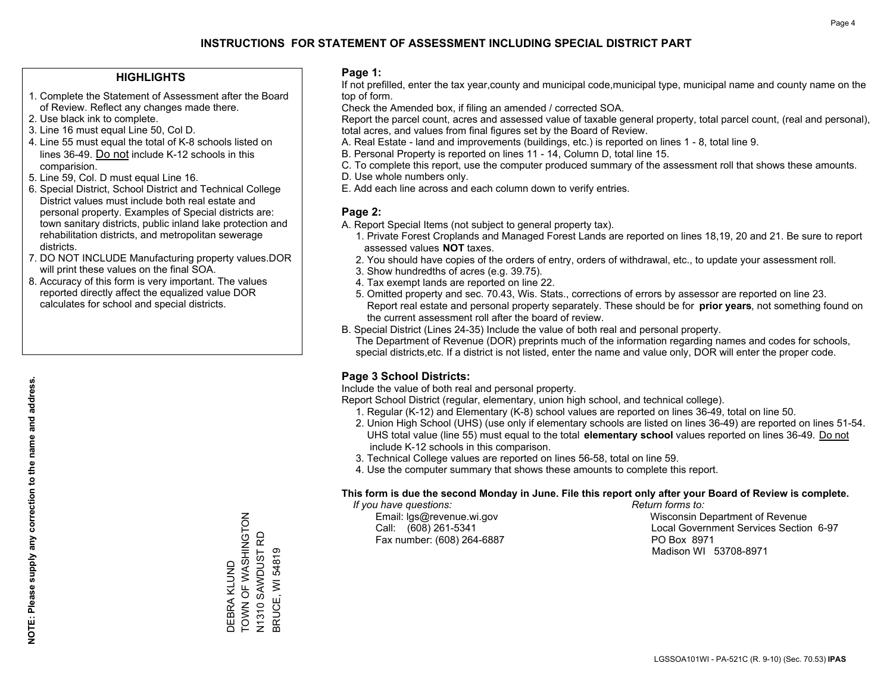#### **HIGHLIGHTS**

- 1. Complete the Statement of Assessment after the Board of Review. Reflect any changes made there.
- 2. Use black ink to complete.

**NOTE: Please supply any correction to the name and address.**

NOTE: Please supply any correction to the name and address.

- 3. Line 16 must equal Line 50, Col D.
- 4. Line 55 must equal the total of K-8 schools listed on lines 36-49. Do not include K-12 schools in this comparision.
- 5. Line 59, Col. D must equal Line 16.
- 6. Special District, School District and Technical College District values must include both real estate and personal property. Examples of Special districts are: town sanitary districts, public inland lake protection and rehabilitation districts, and metropolitan sewerage districts.
- 7. DO NOT INCLUDE Manufacturing property values.DOR will print these values on the final SOA.
- 8. Accuracy of this form is very important. The values reported directly affect the equalized value DOR calculates for school and special districts.

#### **Page 1:**

 If not prefilled, enter the tax year,county and municipal code,municipal type, municipal name and county name on the top of form.

Check the Amended box, if filing an amended / corrected SOA.

 Report the parcel count, acres and assessed value of taxable general property, total parcel count, (real and personal), total acres, and values from final figures set by the Board of Review.

- A. Real Estate land and improvements (buildings, etc.) is reported on lines 1 8, total line 9.
- B. Personal Property is reported on lines 11 14, Column D, total line 15.
- C. To complete this report, use the computer produced summary of the assessment roll that shows these amounts.
- D. Use whole numbers only.
- E. Add each line across and each column down to verify entries.

#### **Page 2:**

- A. Report Special Items (not subject to general property tax).
- 1. Private Forest Croplands and Managed Forest Lands are reported on lines 18,19, 20 and 21. Be sure to report assessed values **NOT** taxes.
- 2. You should have copies of the orders of entry, orders of withdrawal, etc., to update your assessment roll.
	- 3. Show hundredths of acres (e.g. 39.75).
- 4. Tax exempt lands are reported on line 22.
- 5. Omitted property and sec. 70.43, Wis. Stats., corrections of errors by assessor are reported on line 23. Report real estate and personal property separately. These should be for **prior years**, not something found on the current assessment roll after the board of review.
- B. Special District (Lines 24-35) Include the value of both real and personal property.

 The Department of Revenue (DOR) preprints much of the information regarding names and codes for schools, special districts,etc. If a district is not listed, enter the name and value only, DOR will enter the proper code.

### **Page 3 School Districts:**

Include the value of both real and personal property.

Report School District (regular, elementary, union high school, and technical college).

- 1. Regular (K-12) and Elementary (K-8) school values are reported on lines 36-49, total on line 50.
- 2. Union High School (UHS) (use only if elementary schools are listed on lines 36-49) are reported on lines 51-54. UHS total value (line 55) must equal to the total **elementary school** values reported on lines 36-49. Do notinclude K-12 schools in this comparison.
- 3. Technical College values are reported on lines 56-58, total on line 59.
- 4. Use the computer summary that shows these amounts to complete this report.

#### **This form is due the second Monday in June. File this report only after your Board of Review is complete.**

 *If you have questions: Return forms to:*

Fax number: (608) 264-6887 PO Box 8971

 Email: lgs@revenue.wi.gov Wisconsin Department of Revenue Call: (608) 261-5341 Local Government Services Section 6-97Madison WI 53708-8971

TOWN OF WASHINGTON TOWN OF WASHINGTON N1310 SAWDUST RD<br>BRUCE, WI 54819 N1310 SAWDUST RD DEBRA KLUND DEBRA KLUND

BRUCE, WI 54819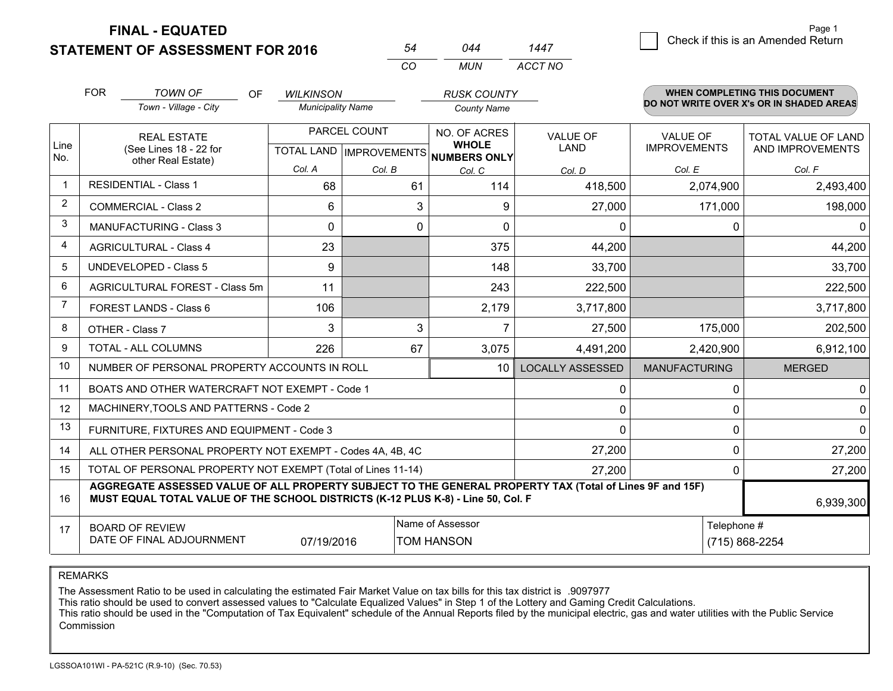**STATEMENT OF ASSESSMENT FOR 2016** 

**FINAL - EQUATED**

|                | <b>FOR</b> | <b>TOWN OF</b><br>OF<br>Town - Village - City                                                                                                                                                | <b>WILKINSON</b><br><b>Municipality Name</b> |              | <b>RUSK COUNTY</b><br><b>County Name</b>                                 |                                | <b>WHEN COMPLETING THIS DOCUMENT</b><br>DO NOT WRITE OVER X's OR IN SHADED AREAS |                                         |  |
|----------------|------------|----------------------------------------------------------------------------------------------------------------------------------------------------------------------------------------------|----------------------------------------------|--------------|--------------------------------------------------------------------------|--------------------------------|----------------------------------------------------------------------------------|-----------------------------------------|--|
| Line<br>No.    |            | <b>REAL ESTATE</b><br>(See Lines 18 - 22 for                                                                                                                                                 |                                              | PARCEL COUNT | NO. OF ACRES<br><b>WHOLE</b><br>TOTAL LAND   IMPROVEMENTS   NUMBERS ONLY | <b>VALUE OF</b><br><b>LAND</b> | <b>VALUE OF</b><br><b>IMPROVEMENTS</b>                                           | TOTAL VALUE OF LAND<br>AND IMPROVEMENTS |  |
|                |            | other Real Estate)                                                                                                                                                                           | Col. A                                       | Col. B       | Col. C                                                                   | Col. D                         | Col. E                                                                           | Col. F                                  |  |
|                |            | <b>RESIDENTIAL - Class 1</b>                                                                                                                                                                 | 68                                           | 61           | 114                                                                      | 418,500                        | 2,074,900                                                                        | 2,493,400                               |  |
| 2              |            | <b>COMMERCIAL - Class 2</b>                                                                                                                                                                  | 6                                            | 3            | 9                                                                        | 27,000                         | 171,000                                                                          | 198,000                                 |  |
| 3              |            | <b>MANUFACTURING - Class 3</b>                                                                                                                                                               | 0                                            | 0            | $\mathbf{0}$                                                             | 0                              | 0                                                                                | 0 <sup>1</sup>                          |  |
| 4              |            | <b>AGRICULTURAL - Class 4</b>                                                                                                                                                                | 23                                           |              | 375                                                                      | 44,200                         |                                                                                  | 44,200                                  |  |
| 5              |            | <b>UNDEVELOPED - Class 5</b>                                                                                                                                                                 | 9                                            |              | 148                                                                      | 33,700                         |                                                                                  | 33,700                                  |  |
| 6              |            | AGRICULTURAL FOREST - Class 5m                                                                                                                                                               | 11                                           |              | 243                                                                      | 222,500                        |                                                                                  | 222,500                                 |  |
| $\overline{7}$ |            | <b>FOREST LANDS - Class 6</b>                                                                                                                                                                | 106                                          |              | 2,179                                                                    | 3,717,800                      |                                                                                  | 3,717,800                               |  |
| 8              |            | OTHER - Class 7                                                                                                                                                                              | 3                                            | 3            | $\overline{7}$                                                           | 27,500                         | 175,000                                                                          | 202,500                                 |  |
| 9              |            | TOTAL - ALL COLUMNS                                                                                                                                                                          | 226                                          | 67           | 3,075                                                                    | 4,491,200                      | 2,420,900                                                                        | 6,912,100                               |  |
| 10             |            | NUMBER OF PERSONAL PROPERTY ACCOUNTS IN ROLL                                                                                                                                                 |                                              |              | 10 <sup>1</sup>                                                          | <b>LOCALLY ASSESSED</b>        | <b>MANUFACTURING</b>                                                             | <b>MERGED</b>                           |  |
| 11             |            | BOATS AND OTHER WATERCRAFT NOT EXEMPT - Code 1                                                                                                                                               |                                              |              |                                                                          | 0                              | 0                                                                                | $\Omega$                                |  |
| 12             |            | MACHINERY, TOOLS AND PATTERNS - Code 2                                                                                                                                                       |                                              |              |                                                                          | 0                              | 0                                                                                | 0                                       |  |
| 13             |            | FURNITURE, FIXTURES AND EQUIPMENT - Code 3                                                                                                                                                   |                                              |              |                                                                          | $\Omega$                       | $\Omega$                                                                         | $\Omega$                                |  |
| 14             |            | ALL OTHER PERSONAL PROPERTY NOT EXEMPT - Codes 4A, 4B, 4C                                                                                                                                    |                                              |              |                                                                          | 27,200                         | 0                                                                                | 27,200                                  |  |
| 15             |            | TOTAL OF PERSONAL PROPERTY NOT EXEMPT (Total of Lines 11-14)                                                                                                                                 |                                              |              |                                                                          | 27,200                         | $\Omega$                                                                         | 27,200                                  |  |
| 16             |            | AGGREGATE ASSESSED VALUE OF ALL PROPERTY SUBJECT TO THE GENERAL PROPERTY TAX (Total of Lines 9F and 15F)<br>MUST EQUAL TOTAL VALUE OF THE SCHOOL DISTRICTS (K-12 PLUS K-8) - Line 50, Col. F |                                              | 6,939,300    |                                                                          |                                |                                                                                  |                                         |  |
| 17             |            | <b>BOARD OF REVIEW</b><br>DATE OF FINAL ADJOURNMENT                                                                                                                                          | 07/19/2016                                   |              | Name of Assessor<br>TOM HANSON                                           |                                | Telephone #                                                                      | (715) 868-2254                          |  |

*MUN*

*ACCT NO1447*

*<sup>54</sup> <sup>044</sup>*

*CO*

REMARKS

The Assessment Ratio to be used in calculating the estimated Fair Market Value on tax bills for this tax district is .9097977<br>This ratio should be used to convert assessed values to "Calculate Equalized Values" in Step 1 o Commission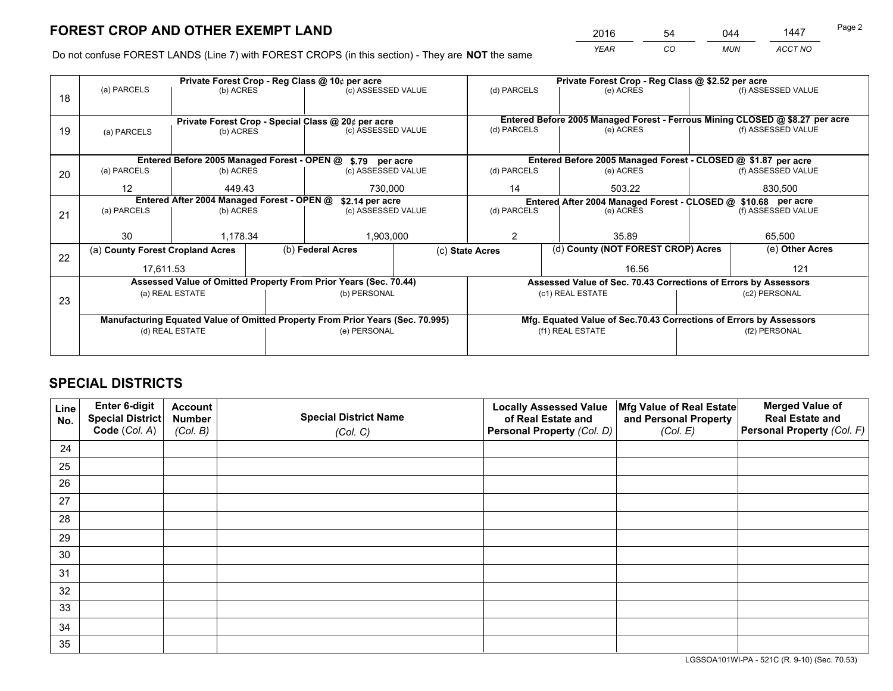*YEAR CO MUN ACCT NO* <sup>2016</sup> <sup>54</sup> <sup>044</sup> <sup>1447</sup>

Do not confuse FOREST LANDS (Line 7) with FOREST CROPS (in this section) - They are **NOT** the same

|    |                                            |                                             |                    | Private Forest Crop - Reg Class @ 10¢ per acre                                 |                  |                                                                 | Private Forest Crop - Reg Class @ \$2.52 per acre                            |                                                                    |                    |  |
|----|--------------------------------------------|---------------------------------------------|--------------------|--------------------------------------------------------------------------------|------------------|-----------------------------------------------------------------|------------------------------------------------------------------------------|--------------------------------------------------------------------|--------------------|--|
| 18 | (a) PARCELS                                | (b) ACRES                                   |                    | (c) ASSESSED VALUE                                                             |                  | (d) PARCELS                                                     | (e) ACRES                                                                    |                                                                    | (f) ASSESSED VALUE |  |
|    |                                            |                                             |                    |                                                                                |                  |                                                                 |                                                                              |                                                                    |                    |  |
|    |                                            |                                             |                    | Private Forest Crop - Special Class @ 20¢ per acre                             |                  |                                                                 | Entered Before 2005 Managed Forest - Ferrous Mining CLOSED @ \$8.27 per acre |                                                                    |                    |  |
| 19 | (a) PARCELS                                | (b) ACRES                                   |                    | (c) ASSESSED VALUE                                                             |                  | (d) PARCELS                                                     | (e) ACRES                                                                    |                                                                    | (f) ASSESSED VALUE |  |
|    |                                            |                                             |                    |                                                                                |                  |                                                                 |                                                                              |                                                                    |                    |  |
|    |                                            | Entered Before 2005 Managed Forest - OPEN @ |                    | \$.79 per acre                                                                 |                  |                                                                 | Entered Before 2005 Managed Forest - CLOSED @ \$1.87 per acre                |                                                                    |                    |  |
| 20 | (a) PARCELS                                | (b) ACRES                                   | (c) ASSESSED VALUE |                                                                                | (d) PARCELS      | (e) ACRES                                                       |                                                                              | (f) ASSESSED VALUE                                                 |                    |  |
|    | 12<br>449.43                               |                                             |                    | 730,000                                                                        |                  |                                                                 | 503.22                                                                       |                                                                    | 830,500            |  |
|    | Entered After 2004 Managed Forest - OPEN @ |                                             |                    | \$2.14 per acre                                                                |                  | Entered After 2004 Managed Forest - CLOSED @ \$10.68 per acre   |                                                                              |                                                                    |                    |  |
| 21 |                                            | (a) PARCELS<br>(b) ACRES                    |                    | (c) ASSESSED VALUE                                                             |                  | (d) PARCELS                                                     | (e) ACRES                                                                    |                                                                    | (f) ASSESSED VALUE |  |
|    |                                            |                                             |                    |                                                                                |                  |                                                                 |                                                                              |                                                                    |                    |  |
|    | 30                                         | 1,178.34                                    |                    | 1,903,000                                                                      |                  | 2                                                               | 35.89                                                                        |                                                                    | 65,500             |  |
| 22 | (a) County Forest Cropland Acres           |                                             |                    | (b) Federal Acres                                                              |                  | (c) State Acres                                                 | (d) County (NOT FOREST CROP) Acres                                           |                                                                    | (e) Other Acres    |  |
|    | 17,611.53                                  |                                             |                    |                                                                                |                  |                                                                 | 16.56                                                                        |                                                                    |                    |  |
|    |                                            |                                             |                    | Assessed Value of Omitted Property From Prior Years (Sec. 70.44)               |                  | Assessed Value of Sec. 70.43 Corrections of Errors by Assessors |                                                                              |                                                                    |                    |  |
| 23 |                                            | (a) REAL ESTATE                             |                    | (b) PERSONAL                                                                   |                  |                                                                 | (c1) REAL ESTATE                                                             | (c2) PERSONAL                                                      |                    |  |
|    |                                            |                                             |                    |                                                                                |                  |                                                                 |                                                                              |                                                                    |                    |  |
|    |                                            |                                             |                    | Manufacturing Equated Value of Omitted Property From Prior Years (Sec. 70.995) |                  |                                                                 |                                                                              | Mfg. Equated Value of Sec.70.43 Corrections of Errors by Assessors |                    |  |
|    | (d) REAL ESTATE                            |                                             | (e) PERSONAL       |                                                                                | (f1) REAL ESTATE |                                                                 | (f2) PERSONAL                                                                |                                                                    |                    |  |
|    |                                            |                                             |                    |                                                                                |                  |                                                                 |                                                                              |                                                                    |                    |  |

## **SPECIAL DISTRICTS**

| Line<br>No. | Enter 6-digit<br>Special District<br>Code (Col. A) | <b>Account</b><br><b>Number</b> | <b>Special District Name</b> | <b>Locally Assessed Value</b><br>of Real Estate and | Mfg Value of Real Estate<br>and Personal Property | <b>Merged Value of</b><br><b>Real Estate and</b><br>Personal Property (Col. F) |
|-------------|----------------------------------------------------|---------------------------------|------------------------------|-----------------------------------------------------|---------------------------------------------------|--------------------------------------------------------------------------------|
|             |                                                    | (Col. B)                        | (Col. C)                     | Personal Property (Col. D)                          | (Col. E)                                          |                                                                                |
| 24          |                                                    |                                 |                              |                                                     |                                                   |                                                                                |
| 25          |                                                    |                                 |                              |                                                     |                                                   |                                                                                |
| 26          |                                                    |                                 |                              |                                                     |                                                   |                                                                                |
| 27          |                                                    |                                 |                              |                                                     |                                                   |                                                                                |
| 28          |                                                    |                                 |                              |                                                     |                                                   |                                                                                |
| 29          |                                                    |                                 |                              |                                                     |                                                   |                                                                                |
| 30          |                                                    |                                 |                              |                                                     |                                                   |                                                                                |
| 31          |                                                    |                                 |                              |                                                     |                                                   |                                                                                |
| 32          |                                                    |                                 |                              |                                                     |                                                   |                                                                                |
| 33          |                                                    |                                 |                              |                                                     |                                                   |                                                                                |
| 34          |                                                    |                                 |                              |                                                     |                                                   |                                                                                |
| 35          |                                                    |                                 |                              |                                                     |                                                   |                                                                                |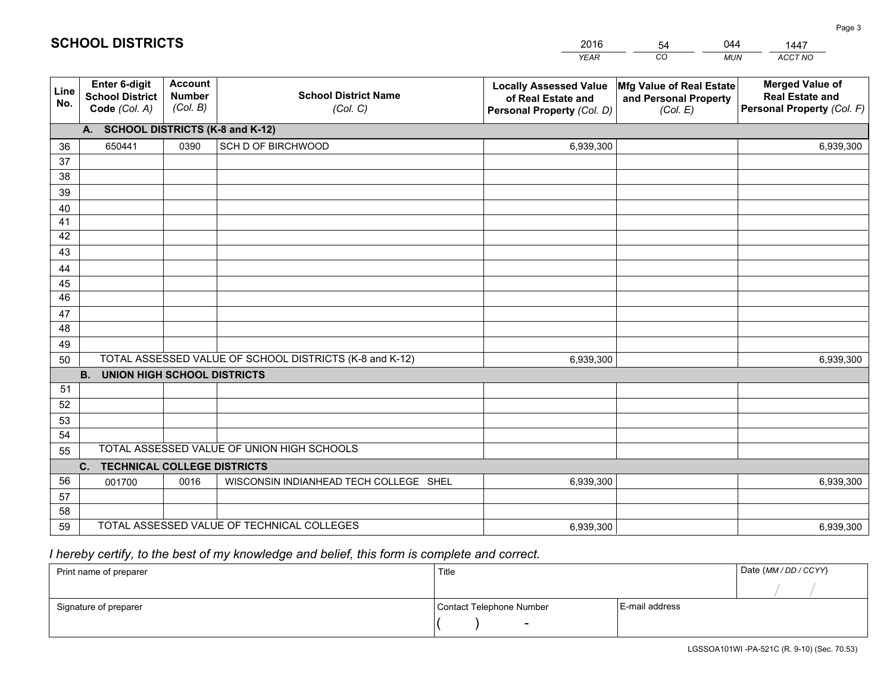|             |                                                                 |                                             |                                                         | <b>YEAR</b>                                                                       | CO<br><b>MUN</b>                                              | ACCT NO                                                                        |
|-------------|-----------------------------------------------------------------|---------------------------------------------|---------------------------------------------------------|-----------------------------------------------------------------------------------|---------------------------------------------------------------|--------------------------------------------------------------------------------|
| Line<br>No. | <b>Enter 6-digit</b><br><b>School District</b><br>Code (Col. A) | <b>Account</b><br><b>Number</b><br>(Col. B) | <b>School District Name</b><br>(Col. C)                 | <b>Locally Assessed Value</b><br>of Real Estate and<br>Personal Property (Col. D) | Mfg Value of Real Estate<br>and Personal Property<br>(Col. E) | <b>Merged Value of</b><br><b>Real Estate and</b><br>Personal Property (Col. F) |
|             | A. SCHOOL DISTRICTS (K-8 and K-12)                              |                                             |                                                         |                                                                                   |                                                               |                                                                                |
| 36          | 650441                                                          | 0390                                        | SCH D OF BIRCHWOOD                                      | 6,939,300                                                                         |                                                               | 6,939,300                                                                      |
| 37          |                                                                 |                                             |                                                         |                                                                                   |                                                               |                                                                                |
| 38          |                                                                 |                                             |                                                         |                                                                                   |                                                               |                                                                                |
| 39          |                                                                 |                                             |                                                         |                                                                                   |                                                               |                                                                                |
| 40          |                                                                 |                                             |                                                         |                                                                                   |                                                               |                                                                                |
| 41<br>42    |                                                                 |                                             |                                                         |                                                                                   |                                                               |                                                                                |
| 43          |                                                                 |                                             |                                                         |                                                                                   |                                                               |                                                                                |
| 44          |                                                                 |                                             |                                                         |                                                                                   |                                                               |                                                                                |
| 45          |                                                                 |                                             |                                                         |                                                                                   |                                                               |                                                                                |
| 46          |                                                                 |                                             |                                                         |                                                                                   |                                                               |                                                                                |
| 47          |                                                                 |                                             |                                                         |                                                                                   |                                                               |                                                                                |
| 48          |                                                                 |                                             |                                                         |                                                                                   |                                                               |                                                                                |
| 49          |                                                                 |                                             |                                                         |                                                                                   |                                                               |                                                                                |
| 50          |                                                                 |                                             | TOTAL ASSESSED VALUE OF SCHOOL DISTRICTS (K-8 and K-12) | 6,939,300                                                                         |                                                               | 6,939,300                                                                      |
|             | <b>B.</b><br><b>UNION HIGH SCHOOL DISTRICTS</b>                 |                                             |                                                         |                                                                                   |                                                               |                                                                                |
| 51          |                                                                 |                                             |                                                         |                                                                                   |                                                               |                                                                                |
| 52          |                                                                 |                                             |                                                         |                                                                                   |                                                               |                                                                                |
| 53<br>54    |                                                                 |                                             |                                                         |                                                                                   |                                                               |                                                                                |
|             |                                                                 |                                             | TOTAL ASSESSED VALUE OF UNION HIGH SCHOOLS              |                                                                                   |                                                               |                                                                                |
| 55          | C.<br><b>TECHNICAL COLLEGE DISTRICTS</b>                        |                                             |                                                         |                                                                                   |                                                               |                                                                                |
| 56          | 001700                                                          | 0016                                        | WISCONSIN INDIANHEAD TECH COLLEGE SHEL                  | 6,939,300                                                                         |                                                               | 6,939,300                                                                      |
| 57          |                                                                 |                                             |                                                         |                                                                                   |                                                               |                                                                                |
| 58          |                                                                 |                                             |                                                         |                                                                                   |                                                               |                                                                                |
| 59          |                                                                 |                                             | TOTAL ASSESSED VALUE OF TECHNICAL COLLEGES              | 6,939,300                                                                         |                                                               | 6,939,300                                                                      |

54

044

 *I hereby certify, to the best of my knowledge and belief, this form is complete and correct.*

**SCHOOL DISTRICTS**

| Print name of preparer | Title                    |                | Date (MM / DD / CCYY) |
|------------------------|--------------------------|----------------|-----------------------|
|                        |                          |                |                       |
| Signature of preparer  | Contact Telephone Number | E-mail address |                       |
|                        | $\overline{\phantom{0}}$ |                |                       |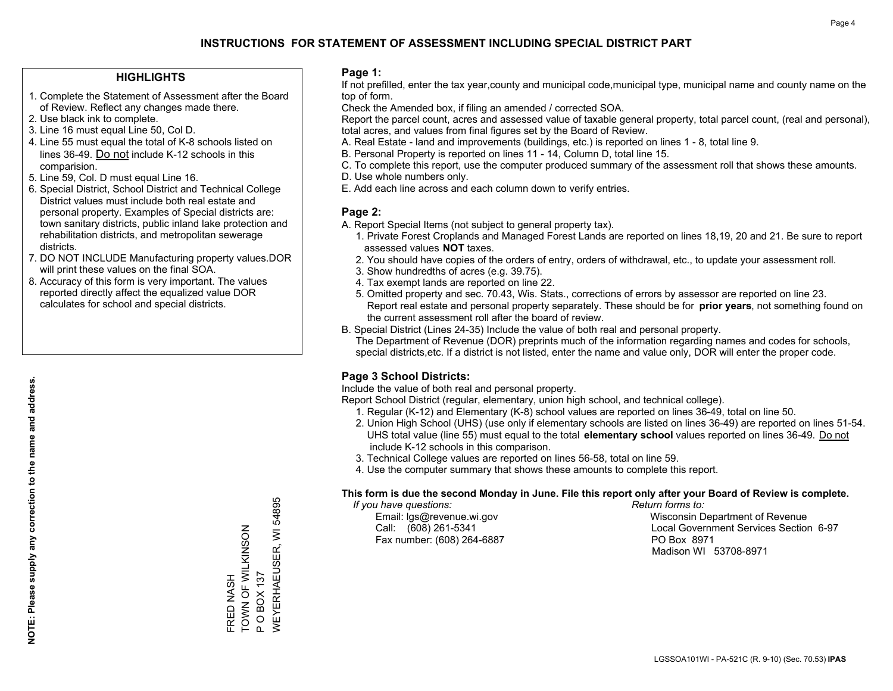#### **HIGHLIGHTS**

- 1. Complete the Statement of Assessment after the Board of Review. Reflect any changes made there.
- 2. Use black ink to complete.
- 3. Line 16 must equal Line 50, Col D.
- 4. Line 55 must equal the total of K-8 schools listed on lines 36-49. Do not include K-12 schools in this comparision.
- 5. Line 59, Col. D must equal Line 16.
- 6. Special District, School District and Technical College District values must include both real estate and personal property. Examples of Special districts are: town sanitary districts, public inland lake protection and rehabilitation districts, and metropolitan sewerage districts.
- 7. DO NOT INCLUDE Manufacturing property values.DOR will print these values on the final SOA.

FRED NASH

**FRED NASH** 

TOWN OF WILKINSON

TOWN OF WILKINSON

P O BOX 137

 $\mathbf{a}$ 

**OBOX137** 

WEYERHAEUSER, WI 54895

**NEYERHAEUSER, WI** 

54895

 8. Accuracy of this form is very important. The values reported directly affect the equalized value DOR calculates for school and special districts.

#### **Page 1:**

 If not prefilled, enter the tax year,county and municipal code,municipal type, municipal name and county name on the top of form.

Check the Amended box, if filing an amended / corrected SOA.

 Report the parcel count, acres and assessed value of taxable general property, total parcel count, (real and personal), total acres, and values from final figures set by the Board of Review.

- A. Real Estate land and improvements (buildings, etc.) is reported on lines 1 8, total line 9.
- B. Personal Property is reported on lines 11 14, Column D, total line 15.
- C. To complete this report, use the computer produced summary of the assessment roll that shows these amounts.
- D. Use whole numbers only.
- E. Add each line across and each column down to verify entries.

#### **Page 2:**

- A. Report Special Items (not subject to general property tax).
- 1. Private Forest Croplands and Managed Forest Lands are reported on lines 18,19, 20 and 21. Be sure to report assessed values **NOT** taxes.
- 2. You should have copies of the orders of entry, orders of withdrawal, etc., to update your assessment roll.
	- 3. Show hundredths of acres (e.g. 39.75).
- 4. Tax exempt lands are reported on line 22.
- 5. Omitted property and sec. 70.43, Wis. Stats., corrections of errors by assessor are reported on line 23. Report real estate and personal property separately. These should be for **prior years**, not something found on the current assessment roll after the board of review.
- B. Special District (Lines 24-35) Include the value of both real and personal property.

 The Department of Revenue (DOR) preprints much of the information regarding names and codes for schools, special districts,etc. If a district is not listed, enter the name and value only, DOR will enter the proper code.

### **Page 3 School Districts:**

Include the value of both real and personal property.

Report School District (regular, elementary, union high school, and technical college).

- 1. Regular (K-12) and Elementary (K-8) school values are reported on lines 36-49, total on line 50.
- 2. Union High School (UHS) (use only if elementary schools are listed on lines 36-49) are reported on lines 51-54. UHS total value (line 55) must equal to the total **elementary school** values reported on lines 36-49. Do notinclude K-12 schools in this comparison.
- 3. Technical College values are reported on lines 56-58, total on line 59.
- 4. Use the computer summary that shows these amounts to complete this report.

#### **This form is due the second Monday in June. File this report only after your Board of Review is complete.**

 *If you have questions: Return forms to:*

Fax number: (608) 264-6887 PO Box 8971

 Email: lgs@revenue.wi.gov Wisconsin Department of Revenue Call: (608) 261-5341 Local Government Services Section 6-97Madison WI 53708-8971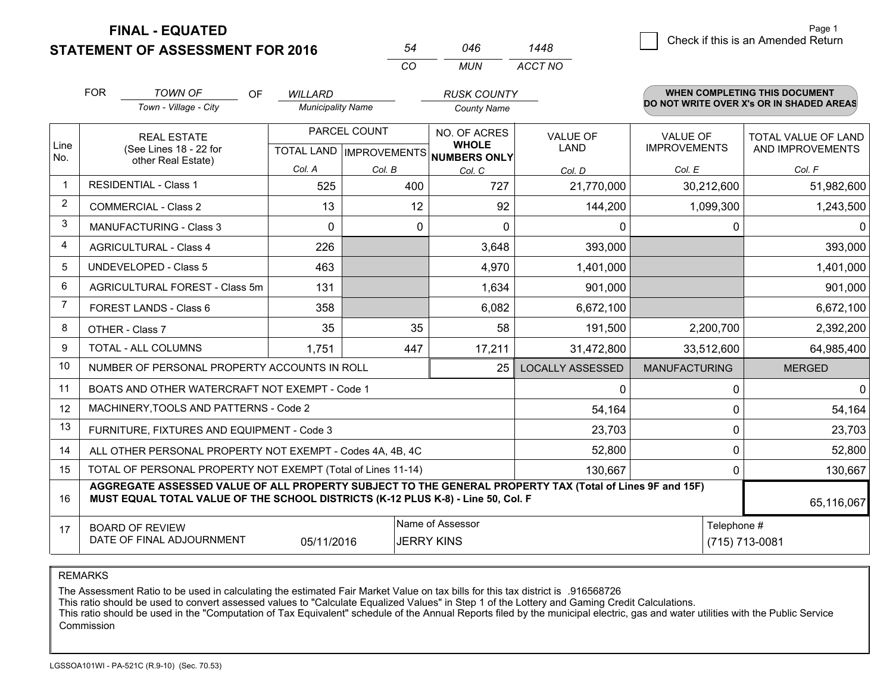**FINAL - EQUATED**

**STATEMENT OF ASSESSMENT FOR 2016** 

|                |                                                              | <b>STATEMENT OF ASSESSMENT FOR 2016</b>                                                                                                                                                      |                      |                          | 54  | 046                                                  | 1448                    |                                          |              | 0.1001. 11 UND 10 UNI / WHONGO TWUCH |
|----------------|--------------------------------------------------------------|----------------------------------------------------------------------------------------------------------------------------------------------------------------------------------------------|----------------------|--------------------------|-----|------------------------------------------------------|-------------------------|------------------------------------------|--------------|--------------------------------------|
|                |                                                              |                                                                                                                                                                                              |                      |                          | CO  | <b>MUN</b>                                           | ACCT NO                 |                                          |              |                                      |
|                | <b>FOR</b>                                                   | <b>TOWN OF</b>                                                                                                                                                                               | <b>OF</b><br>WILLARD |                          |     | <b>RUSK COUNTY</b>                                   |                         |                                          |              | <b>WHEN COMPLETING THIS DOCUMENT</b> |
|                |                                                              | Town - Village - City                                                                                                                                                                        |                      | <b>Municipality Name</b> |     | <b>County Name</b>                                   |                         | DO NOT WRITE OVER X's OR IN SHADED AREAS |              |                                      |
|                |                                                              | <b>REAL ESTATE</b>                                                                                                                                                                           |                      | PARCEL COUNT             |     | NO. OF ACRES                                         | VALUE OF                | <b>VALUE OF</b>                          |              | TOTAL VALUE OF LAND                  |
| Line<br>No.    |                                                              | (See Lines 18 - 22 for<br>other Real Estate)                                                                                                                                                 |                      |                          |     | <b>WHOLE</b><br>TOTAL LAND IMPROVEMENTS NUMBERS ONLY | <b>LAND</b>             | <b>IMPROVEMENTS</b>                      |              | AND IMPROVEMENTS                     |
|                |                                                              |                                                                                                                                                                                              | Col. A               | Col. B                   |     | Col. C                                               | Col. D                  | Col. E                                   |              | Col. F                               |
| $\mathbf 1$    |                                                              | <b>RESIDENTIAL - Class 1</b>                                                                                                                                                                 | 525                  |                          | 400 | 727                                                  | 21,770,000              |                                          | 30,212,600   | 51,982,600                           |
| 2              |                                                              | <b>COMMERCIAL - Class 2</b>                                                                                                                                                                  | 13                   |                          | 12  | 92                                                   | 144,200                 |                                          | 1,099,300    | 1,243,500                            |
| 3              |                                                              | <b>MANUFACTURING - Class 3</b>                                                                                                                                                               | 0                    |                          | 0   | $\Omega$                                             | 0                       |                                          | 0            | $\Omega$                             |
| 4              |                                                              | <b>AGRICULTURAL - Class 4</b>                                                                                                                                                                | 226                  |                          |     | 3,648                                                | 393,000                 |                                          |              | 393,000                              |
| 5              |                                                              | <b>UNDEVELOPED - Class 5</b>                                                                                                                                                                 | 463                  |                          |     | 4,970                                                | 1,401,000               |                                          |              | 1,401,000                            |
| 6              |                                                              | AGRICULTURAL FOREST - Class 5m                                                                                                                                                               | 131                  |                          |     | 1,634                                                | 901,000                 |                                          |              | 901,000                              |
| $\overline{7}$ |                                                              | FOREST LANDS - Class 6                                                                                                                                                                       | 358                  |                          |     | 6,082                                                | 6,672,100               |                                          |              | 6,672,100                            |
| 8              |                                                              | OTHER - Class 7                                                                                                                                                                              | 35                   |                          | 35  | 58                                                   | 191,500                 |                                          | 2,200,700    | 2,392,200                            |
| 9              |                                                              | TOTAL - ALL COLUMNS                                                                                                                                                                          | 1,751                |                          | 447 | 17,211                                               | 31,472,800              |                                          | 33,512,600   | 64,985,400                           |
| 10             |                                                              | NUMBER OF PERSONAL PROPERTY ACCOUNTS IN ROLL                                                                                                                                                 |                      |                          |     | 25                                                   | <b>LOCALLY ASSESSED</b> | <b>MANUFACTURING</b>                     |              | <b>MERGED</b>                        |
| 11             |                                                              | BOATS AND OTHER WATERCRAFT NOT EXEMPT - Code 1                                                                                                                                               |                      |                          |     |                                                      | 0                       |                                          | $\mathbf 0$  | $\overline{0}$                       |
| 12             |                                                              | MACHINERY, TOOLS AND PATTERNS - Code 2                                                                                                                                                       |                      |                          |     |                                                      | 54,164                  |                                          | $\mathbf 0$  | 54,164                               |
| 13             |                                                              | FURNITURE, FIXTURES AND EQUIPMENT - Code 3                                                                                                                                                   |                      |                          |     |                                                      | 23,703                  |                                          | 0            | 23,703                               |
| 14             |                                                              | ALL OTHER PERSONAL PROPERTY NOT EXEMPT - Codes 4A, 4B, 4C                                                                                                                                    |                      |                          |     |                                                      | 52,800                  |                                          | $\mathbf 0$  | 52,800                               |
| 15             | TOTAL OF PERSONAL PROPERTY NOT EXEMPT (Total of Lines 11-14) |                                                                                                                                                                                              |                      |                          |     |                                                      | 130,667                 |                                          | $\mathbf{0}$ | 130,667                              |
| 16             |                                                              | AGGREGATE ASSESSED VALUE OF ALL PROPERTY SUBJECT TO THE GENERAL PROPERTY TAX (Total of Lines 9F and 15F)<br>MUST EQUAL TOTAL VALUE OF THE SCHOOL DISTRICTS (K-12 PLUS K-8) - Line 50, Col. F |                      |                          |     |                                                      |                         |                                          |              | 65,116,067                           |
| 17             |                                                              | <b>BOARD OF REVIEW</b>                                                                                                                                                                       |                      |                          |     | Name of Assessor                                     |                         |                                          | Telephone #  |                                      |
|                |                                                              | DATE OF FINAL ADJOURNMENT                                                                                                                                                                    | 05/11/2016           |                          |     | <b>JERRY KINS</b>                                    |                         |                                          |              | (715) 713-0081                       |

REMARKS

The Assessment Ratio to be used in calculating the estimated Fair Market Value on tax bills for this tax district is .916568726

This ratio should be used to convert assessed values to "Calculate Equalized Values" in Step 1 of the Lottery and Gaming Credit Calculations.<br>This ratio should be used in the "Computation of Tax Equivalent" schedule of the Commission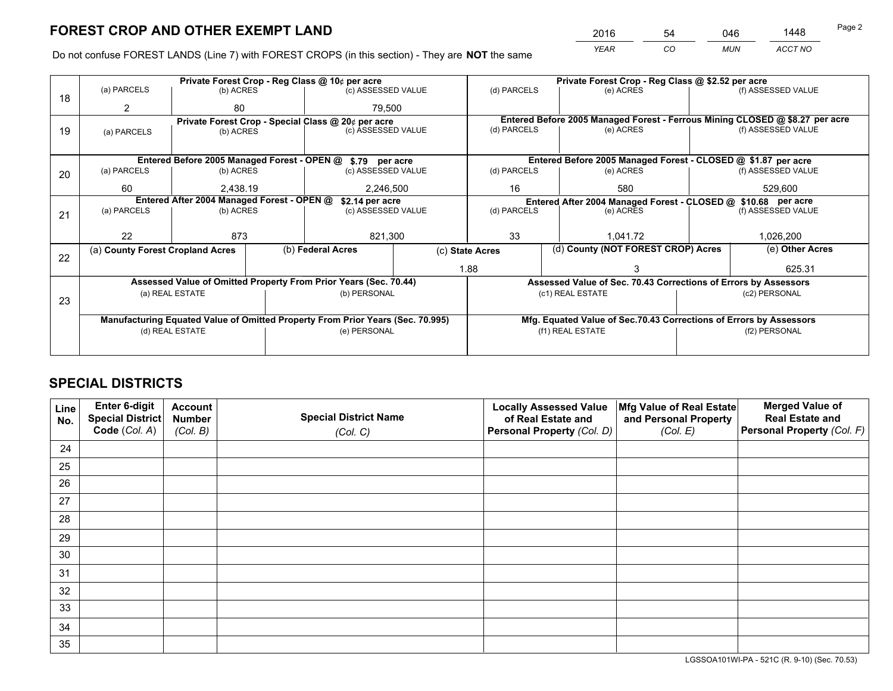*YEAR CO MUN ACCT NO* <sup>2016</sup> <sup>54</sup> <sup>046</sup> <sup>1448</sup>

Do not confuse FOREST LANDS (Line 7) with FOREST CROPS (in this section) - They are **NOT** the same

|    |                                            |                                             |  | Private Forest Crop - Reg Class @ 10¢ per acre                                                 |  |                                                                    | Private Forest Crop - Reg Class @ \$2.52 per acre                            |                                                                                  |                    |  |
|----|--------------------------------------------|---------------------------------------------|--|------------------------------------------------------------------------------------------------|--|--------------------------------------------------------------------|------------------------------------------------------------------------------|----------------------------------------------------------------------------------|--------------------|--|
| 18 | (a) PARCELS                                | (b) ACRES                                   |  | (c) ASSESSED VALUE                                                                             |  | (d) PARCELS                                                        | (e) ACRES                                                                    |                                                                                  | (f) ASSESSED VALUE |  |
|    | 2                                          | 80                                          |  | 79.500                                                                                         |  |                                                                    |                                                                              |                                                                                  |                    |  |
|    |                                            |                                             |  | Private Forest Crop - Special Class @ 20¢ per acre                                             |  |                                                                    | Entered Before 2005 Managed Forest - Ferrous Mining CLOSED @ \$8.27 per acre |                                                                                  |                    |  |
| 19 | (a) PARCELS                                | (b) ACRES                                   |  | (c) ASSESSED VALUE                                                                             |  | (d) PARCELS                                                        | (e) ACRES                                                                    |                                                                                  | (f) ASSESSED VALUE |  |
|    |                                            |                                             |  |                                                                                                |  |                                                                    |                                                                              |                                                                                  |                    |  |
|    |                                            | Entered Before 2005 Managed Forest - OPEN @ |  | \$.79 per acre                                                                                 |  |                                                                    | Entered Before 2005 Managed Forest - CLOSED @ \$1.87 per acre                |                                                                                  |                    |  |
| 20 | (a) PARCELS                                | (b) ACRES                                   |  | (c) ASSESSED VALUE                                                                             |  | (d) PARCELS                                                        | (e) ACRES                                                                    |                                                                                  | (f) ASSESSED VALUE |  |
|    | 60<br>2,438.19                             |                                             |  | 2,246,500                                                                                      |  | 16                                                                 | 580                                                                          |                                                                                  | 529,600            |  |
|    | Entered After 2004 Managed Forest - OPEN @ |                                             |  | \$2.14 per acre                                                                                |  | Entered After 2004 Managed Forest - CLOSED @ \$10.68 per acre      |                                                                              |                                                                                  |                    |  |
| 21 | (a) PARCELS                                | (b) ACRES                                   |  | (c) ASSESSED VALUE                                                                             |  | (d) PARCELS                                                        | (e) ACRES                                                                    |                                                                                  | (f) ASSESSED VALUE |  |
|    |                                            |                                             |  |                                                                                                |  |                                                                    |                                                                              |                                                                                  |                    |  |
|    | 22                                         | 873                                         |  | 821,300                                                                                        |  | 33                                                                 | 1,041.72                                                                     |                                                                                  | 1,026,200          |  |
|    | (a) County Forest Cropland Acres           |                                             |  | (b) Federal Acres                                                                              |  | (c) State Acres                                                    | (d) County (NOT FOREST CROP) Acres                                           |                                                                                  | (e) Other Acres    |  |
| 22 |                                            |                                             |  |                                                                                                |  | 1.88                                                               |                                                                              |                                                                                  | 625.31             |  |
|    |                                            |                                             |  | Assessed Value of Omitted Property From Prior Years (Sec. 70.44)                               |  |                                                                    |                                                                              |                                                                                  |                    |  |
|    |                                            |                                             |  | (b) PERSONAL                                                                                   |  |                                                                    | (c1) REAL ESTATE                                                             | Assessed Value of Sec. 70.43 Corrections of Errors by Assessors<br>(c2) PERSONAL |                    |  |
| 23 | (a) REAL ESTATE                            |                                             |  |                                                                                                |  |                                                                    |                                                                              |                                                                                  |                    |  |
|    |                                            |                                             |  |                                                                                                |  |                                                                    |                                                                              |                                                                                  |                    |  |
|    |                                            | (d) REAL ESTATE                             |  | Manufacturing Equated Value of Omitted Property From Prior Years (Sec. 70.995)<br>(e) PERSONAL |  | Mfg. Equated Value of Sec.70.43 Corrections of Errors by Assessors |                                                                              |                                                                                  |                    |  |
|    |                                            |                                             |  |                                                                                                |  |                                                                    | (f1) REAL ESTATE                                                             |                                                                                  | (f2) PERSONAL      |  |
|    |                                            |                                             |  |                                                                                                |  |                                                                    |                                                                              |                                                                                  |                    |  |

## **SPECIAL DISTRICTS**

| Line<br>No. | Enter 6-digit<br>Special District<br>Code (Col. A) | <b>Account</b><br><b>Number</b><br>(Col. B) | <b>Special District Name</b><br>(Col. C) | <b>Locally Assessed Value</b><br>of Real Estate and<br>Personal Property (Col. D) | Mfg Value of Real Estate<br>and Personal Property<br>(Col. E) | <b>Merged Value of</b><br><b>Real Estate and</b><br>Personal Property (Col. F) |
|-------------|----------------------------------------------------|---------------------------------------------|------------------------------------------|-----------------------------------------------------------------------------------|---------------------------------------------------------------|--------------------------------------------------------------------------------|
| 24          |                                                    |                                             |                                          |                                                                                   |                                                               |                                                                                |
| 25          |                                                    |                                             |                                          |                                                                                   |                                                               |                                                                                |
| 26          |                                                    |                                             |                                          |                                                                                   |                                                               |                                                                                |
| 27          |                                                    |                                             |                                          |                                                                                   |                                                               |                                                                                |
| 28          |                                                    |                                             |                                          |                                                                                   |                                                               |                                                                                |
| 29          |                                                    |                                             |                                          |                                                                                   |                                                               |                                                                                |
| 30          |                                                    |                                             |                                          |                                                                                   |                                                               |                                                                                |
| 31          |                                                    |                                             |                                          |                                                                                   |                                                               |                                                                                |
| 32          |                                                    |                                             |                                          |                                                                                   |                                                               |                                                                                |
| 33          |                                                    |                                             |                                          |                                                                                   |                                                               |                                                                                |
| 34          |                                                    |                                             |                                          |                                                                                   |                                                               |                                                                                |
| 35          |                                                    |                                             |                                          |                                                                                   |                                                               |                                                                                |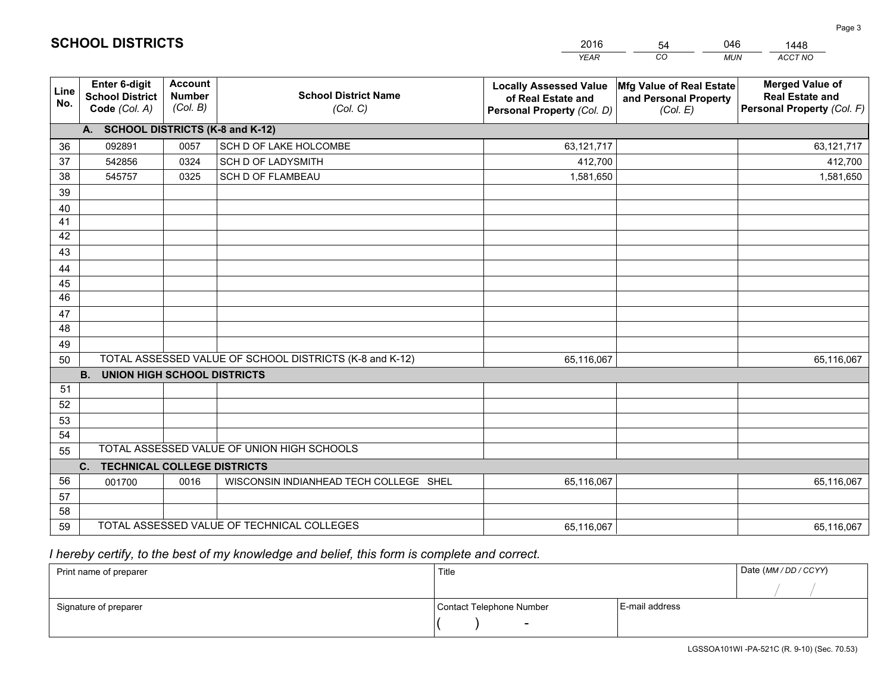|             |                                                          |                                             |                                                         | <b>YEAR</b>                                                                       | CO<br><b>MUN</b>                                              | ACCT NO                                                                        |
|-------------|----------------------------------------------------------|---------------------------------------------|---------------------------------------------------------|-----------------------------------------------------------------------------------|---------------------------------------------------------------|--------------------------------------------------------------------------------|
| Line<br>No. | Enter 6-digit<br><b>School District</b><br>Code (Col. A) | <b>Account</b><br><b>Number</b><br>(Col. B) | <b>School District Name</b><br>(Col. C)                 | <b>Locally Assessed Value</b><br>of Real Estate and<br>Personal Property (Col. D) | Mfg Value of Real Estate<br>and Personal Property<br>(Col. E) | <b>Merged Value of</b><br><b>Real Estate and</b><br>Personal Property (Col. F) |
|             | A. SCHOOL DISTRICTS (K-8 and K-12)                       |                                             |                                                         |                                                                                   |                                                               |                                                                                |
| 36          | 092891                                                   | 0057                                        | SCH D OF LAKE HOLCOMBE                                  | 63,121,717                                                                        |                                                               | 63,121,717                                                                     |
| 37          | 542856                                                   | 0324                                        | <b>SCH D OF LADYSMITH</b>                               | 412,700                                                                           |                                                               | 412,700                                                                        |
| 38          | 545757                                                   | 0325                                        | <b>SCH D OF FLAMBEAU</b>                                | 1,581,650                                                                         |                                                               | 1,581,650                                                                      |
| 39          |                                                          |                                             |                                                         |                                                                                   |                                                               |                                                                                |
| 40          |                                                          |                                             |                                                         |                                                                                   |                                                               |                                                                                |
| 41          |                                                          |                                             |                                                         |                                                                                   |                                                               |                                                                                |
| 42          |                                                          |                                             |                                                         |                                                                                   |                                                               |                                                                                |
| 43          |                                                          |                                             |                                                         |                                                                                   |                                                               |                                                                                |
| 44          |                                                          |                                             |                                                         |                                                                                   |                                                               |                                                                                |
| 45<br>46    |                                                          |                                             |                                                         |                                                                                   |                                                               |                                                                                |
|             |                                                          |                                             |                                                         |                                                                                   |                                                               |                                                                                |
| 47<br>48    |                                                          |                                             |                                                         |                                                                                   |                                                               |                                                                                |
| 49          |                                                          |                                             |                                                         |                                                                                   |                                                               |                                                                                |
| 50          |                                                          |                                             | TOTAL ASSESSED VALUE OF SCHOOL DISTRICTS (K-8 and K-12) | 65,116,067                                                                        |                                                               | 65,116,067                                                                     |
|             | <b>B.</b><br><b>UNION HIGH SCHOOL DISTRICTS</b>          |                                             |                                                         |                                                                                   |                                                               |                                                                                |
| 51          |                                                          |                                             |                                                         |                                                                                   |                                                               |                                                                                |
| 52          |                                                          |                                             |                                                         |                                                                                   |                                                               |                                                                                |
| 53          |                                                          |                                             |                                                         |                                                                                   |                                                               |                                                                                |
| 54          |                                                          |                                             |                                                         |                                                                                   |                                                               |                                                                                |
| 55          |                                                          |                                             | TOTAL ASSESSED VALUE OF UNION HIGH SCHOOLS              |                                                                                   |                                                               |                                                                                |
|             | C. TECHNICAL COLLEGE DISTRICTS                           |                                             |                                                         |                                                                                   |                                                               |                                                                                |
| 56          | 001700                                                   | 0016                                        | WISCONSIN INDIANHEAD TECH COLLEGE SHEL                  | 65,116,067                                                                        |                                                               | 65,116,067                                                                     |
| 57          |                                                          |                                             |                                                         |                                                                                   |                                                               |                                                                                |
| 58          |                                                          |                                             |                                                         |                                                                                   |                                                               |                                                                                |
| 59          |                                                          |                                             | TOTAL ASSESSED VALUE OF TECHNICAL COLLEGES              | 65,116,067                                                                        |                                                               | 65,116,067                                                                     |

54

046

 *I hereby certify, to the best of my knowledge and belief, this form is complete and correct.*

**SCHOOL DISTRICTS**

| Print name of preparer | Title                    |                | Date (MM / DD / CCYY) |
|------------------------|--------------------------|----------------|-----------------------|
|                        |                          |                |                       |
| Signature of preparer  | Contact Telephone Number | E-mail address |                       |
|                        | $\sim$                   |                |                       |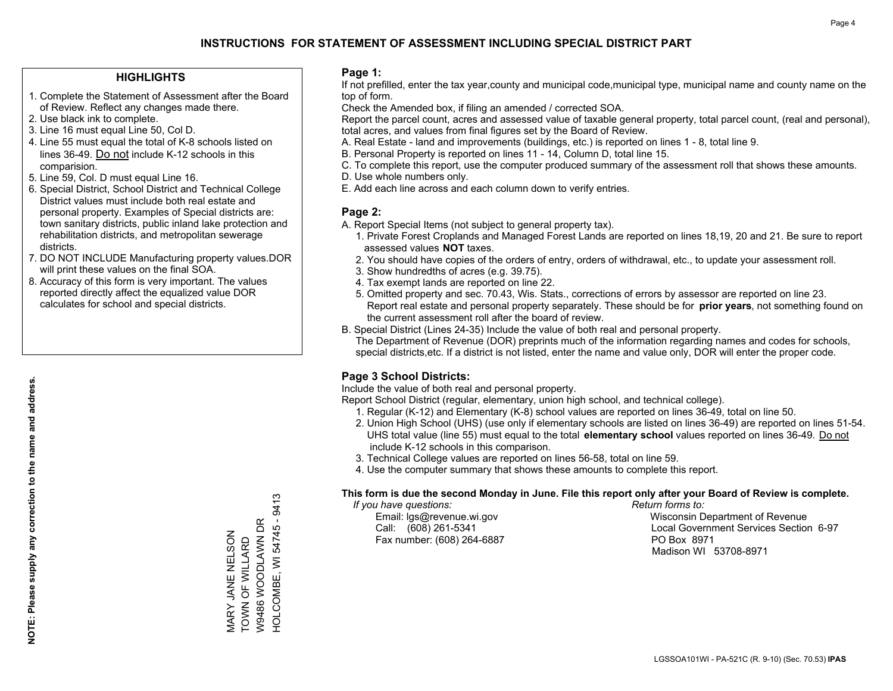#### **HIGHLIGHTS**

- 1. Complete the Statement of Assessment after the Board of Review. Reflect any changes made there.
- 2. Use black ink to complete.
- 3. Line 16 must equal Line 50, Col D.
- 4. Line 55 must equal the total of K-8 schools listed on lines 36-49. Do not include K-12 schools in this comparision.
- 5. Line 59, Col. D must equal Line 16.
- 6. Special District, School District and Technical College District values must include both real estate and personal property. Examples of Special districts are: town sanitary districts, public inland lake protection and rehabilitation districts, and metropolitan sewerage districts.
- 7. DO NOT INCLUDE Manufacturing property values.DOR will print these values on the final SOA.
- 8. Accuracy of this form is very important. The values reported directly affect the equalized value DOR calculates for school and special districts.

#### **Page 1:**

 If not prefilled, enter the tax year,county and municipal code,municipal type, municipal name and county name on the top of form.

Check the Amended box, if filing an amended / corrected SOA.

 Report the parcel count, acres and assessed value of taxable general property, total parcel count, (real and personal), total acres, and values from final figures set by the Board of Review.

- A. Real Estate land and improvements (buildings, etc.) is reported on lines 1 8, total line 9.
- B. Personal Property is reported on lines 11 14, Column D, total line 15.
- C. To complete this report, use the computer produced summary of the assessment roll that shows these amounts.
- D. Use whole numbers only.
- E. Add each line across and each column down to verify entries.

#### **Page 2:**

- A. Report Special Items (not subject to general property tax).
- 1. Private Forest Croplands and Managed Forest Lands are reported on lines 18,19, 20 and 21. Be sure to report assessed values **NOT** taxes.
- 2. You should have copies of the orders of entry, orders of withdrawal, etc., to update your assessment roll.
	- 3. Show hundredths of acres (e.g. 39.75).
- 4. Tax exempt lands are reported on line 22.
- 5. Omitted property and sec. 70.43, Wis. Stats., corrections of errors by assessor are reported on line 23. Report real estate and personal property separately. These should be for **prior years**, not something found on the current assessment roll after the board of review.
- B. Special District (Lines 24-35) Include the value of both real and personal property.
- The Department of Revenue (DOR) preprints much of the information regarding names and codes for schools, special districts,etc. If a district is not listed, enter the name and value only, DOR will enter the proper code.

### **Page 3 School Districts:**

Include the value of both real and personal property.

Report School District (regular, elementary, union high school, and technical college).

- 1. Regular (K-12) and Elementary (K-8) school values are reported on lines 36-49, total on line 50.
- 2. Union High School (UHS) (use only if elementary schools are listed on lines 36-49) are reported on lines 51-54. UHS total value (line 55) must equal to the total **elementary school** values reported on lines 36-49. Do notinclude K-12 schools in this comparison.
- 3. Technical College values are reported on lines 56-58, total on line 59.
- 4. Use the computer summary that shows these amounts to complete this report.

#### **This form is due the second Monday in June. File this report only after your Board of Review is complete.**

 *If you have questions: Return forms to:*

Fax number: (608) 264-6887 PO Box 8971

 Email: lgs@revenue.wi.gov Wisconsin Department of Revenue Call: (608) 261-5341 Local Government Services Section 6-97Madison WI 53708-8971

9413 HOLCOMBE, WI 54745 - 9413 HOLCOMBE, WI 54745-W9486 WOODLAWN DR W9486 WOODLAWN DR VIARY JANE NELSON<br>TOWN OF WILLARD MARY JANE NELSON TOWN OF WILLARD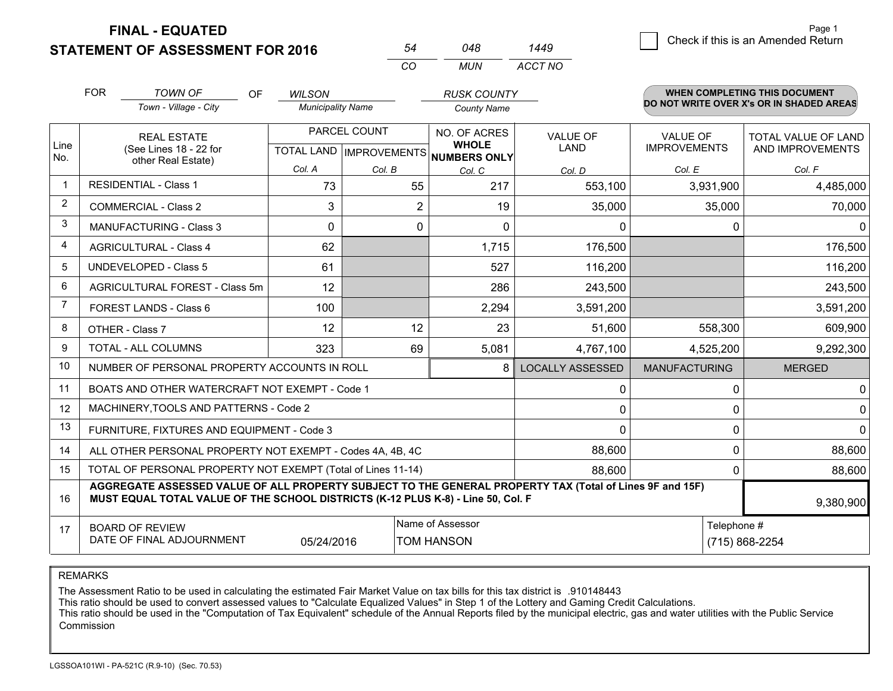**FINAL - EQUATED**

|                |                                                                    | <b>STATEMENT OF ASSESSMENT FOR 2016</b>                                                                                                                                                      |                          | 54                             | 048                                 | 1449                         |           |                      |                                          |                               |  |
|----------------|--------------------------------------------------------------------|----------------------------------------------------------------------------------------------------------------------------------------------------------------------------------------------|--------------------------|--------------------------------|-------------------------------------|------------------------------|-----------|----------------------|------------------------------------------|-------------------------------|--|
|                |                                                                    |                                                                                                                                                                                              |                          | CO                             | <b>MUN</b>                          | ACCT NO                      |           |                      |                                          |                               |  |
|                | <b>FOR</b>                                                         | <b>TOWN OF</b><br>OF                                                                                                                                                                         | <b>WILSON</b>            |                                | <b>RUSK COUNTY</b>                  |                              |           |                      |                                          | WHEN COMPLETING THIS DOCUMENT |  |
|                |                                                                    | Town - Village - City                                                                                                                                                                        | <b>Municipality Name</b> |                                | <b>County Name</b>                  |                              |           |                      | DO NOT WRITE OVER X's OR IN SHADED AREAS |                               |  |
|                | <b>REAL ESTATE</b><br>(See Lines 18 - 22 for<br>other Real Estate) |                                                                                                                                                                                              |                          | PARCEL COUNT                   | NO. OF ACRES                        | VALUE OF                     |           | <b>VALUE OF</b>      |                                          | TOTAL VALUE OF LAND           |  |
| Line<br>No.    |                                                                    |                                                                                                                                                                                              |                          | <b>TOTAL LAND IMPROVEMENTS</b> | <b>WHOLE</b><br><b>NUMBERS ONLY</b> | <b>LAND</b>                  |           | <b>IMPROVEMENTS</b>  |                                          | AND IMPROVEMENTS              |  |
|                |                                                                    |                                                                                                                                                                                              | Col. A                   | Col. B                         | Col. C                              |                              | Col. D    | Col. E               |                                          | Col. F                        |  |
| $\mathbf{1}$   |                                                                    | <b>RESIDENTIAL - Class 1</b>                                                                                                                                                                 | 73                       |                                | 55<br>217                           |                              | 553,100   |                      | 3,931,900                                | 4,485,000                     |  |
| $\overline{2}$ |                                                                    | <b>COMMERCIAL - Class 2</b>                                                                                                                                                                  | 3                        |                                | $\overline{2}$                      | 19                           | 35,000    |                      | 35,000                                   | 70,000                        |  |
| 3              |                                                                    | <b>MANUFACTURING - Class 3</b>                                                                                                                                                               | $\Omega$                 |                                | $\Omega$                            | $\Omega$                     | $\Omega$  |                      | $\Omega$                                 | $\Omega$                      |  |
| 4              |                                                                    | <b>AGRICULTURAL - Class 4</b>                                                                                                                                                                | 62                       |                                | 1,715                               |                              | 176,500   |                      |                                          | 176,500                       |  |
| 5              |                                                                    | <b>UNDEVELOPED - Class 5</b>                                                                                                                                                                 | 61                       |                                | 527                                 |                              | 116,200   |                      |                                          | 116,200                       |  |
| 6              |                                                                    | AGRICULTURAL FOREST - Class 5m                                                                                                                                                               | 12                       |                                |                                     | 286                          | 243,500   |                      |                                          | 243,500                       |  |
| $\overline{7}$ |                                                                    | <b>FOREST LANDS - Class 6</b>                                                                                                                                                                | 100                      |                                | 2,294                               |                              | 3,591,200 |                      |                                          | 3,591,200                     |  |
| 8              | OTHER - Class 7                                                    |                                                                                                                                                                                              | 12                       |                                | 12                                  | 23                           | 51,600    |                      | 558,300                                  | 609,900                       |  |
| 9              |                                                                    | TOTAL - ALL COLUMNS                                                                                                                                                                          | 323                      |                                | 5,081<br>69                         |                              | 4,767,100 |                      | 4,525,200                                | 9,292,300                     |  |
| 10             |                                                                    | NUMBER OF PERSONAL PROPERTY ACCOUNTS IN ROLL                                                                                                                                                 |                          |                                |                                     | <b>LOCALLY ASSESSED</b><br>8 |           | <b>MANUFACTURING</b> |                                          | <b>MERGED</b>                 |  |
| 11             |                                                                    | BOATS AND OTHER WATERCRAFT NOT EXEMPT - Code 1                                                                                                                                               |                          |                                |                                     |                              | 0         |                      | 0                                        | $\mathbf 0$                   |  |
| 12             |                                                                    | MACHINERY, TOOLS AND PATTERNS - Code 2                                                                                                                                                       |                          |                                |                                     |                              | 0         |                      | 0                                        | $\mathbf 0$                   |  |
| 13             |                                                                    | FURNITURE, FIXTURES AND EQUIPMENT - Code 3                                                                                                                                                   |                          |                                |                                     |                              | 0         |                      | $\Omega$                                 | $\mathbf{0}$                  |  |
| 14             |                                                                    | ALL OTHER PERSONAL PROPERTY NOT EXEMPT - Codes 4A, 4B, 4C                                                                                                                                    |                          |                                |                                     |                              | 88,600    |                      | $\Omega$                                 | 88,600                        |  |
| 15             |                                                                    | TOTAL OF PERSONAL PROPERTY NOT EXEMPT (Total of Lines 11-14)                                                                                                                                 |                          |                                |                                     |                              | 88,600    |                      | 0                                        | 88,600                        |  |
| 16             |                                                                    | AGGREGATE ASSESSED VALUE OF ALL PROPERTY SUBJECT TO THE GENERAL PROPERTY TAX (Total of Lines 9F and 15F)<br>MUST EQUAL TOTAL VALUE OF THE SCHOOL DISTRICTS (K-12 PLUS K-8) - Line 50, Col. F |                          |                                |                                     |                              |           |                      |                                          | 9,380,900                     |  |
| 17             |                                                                    | <b>BOARD OF REVIEW</b>                                                                                                                                                                       |                          |                                | Name of Assessor                    |                              |           |                      | Telephone #                              |                               |  |
|                | DATE OF FINAL ADJOURNMENT<br>05/24/2016                            |                                                                                                                                                                                              |                          |                                | <b>TOM HANSON</b>                   |                              |           |                      | (715) 868-2254                           |                               |  |

REMARKS

The Assessment Ratio to be used in calculating the estimated Fair Market Value on tax bills for this tax district is .910148443<br>This ratio should be used to convert assessed values to "Calculate Equalized Values" in Step 1 Commission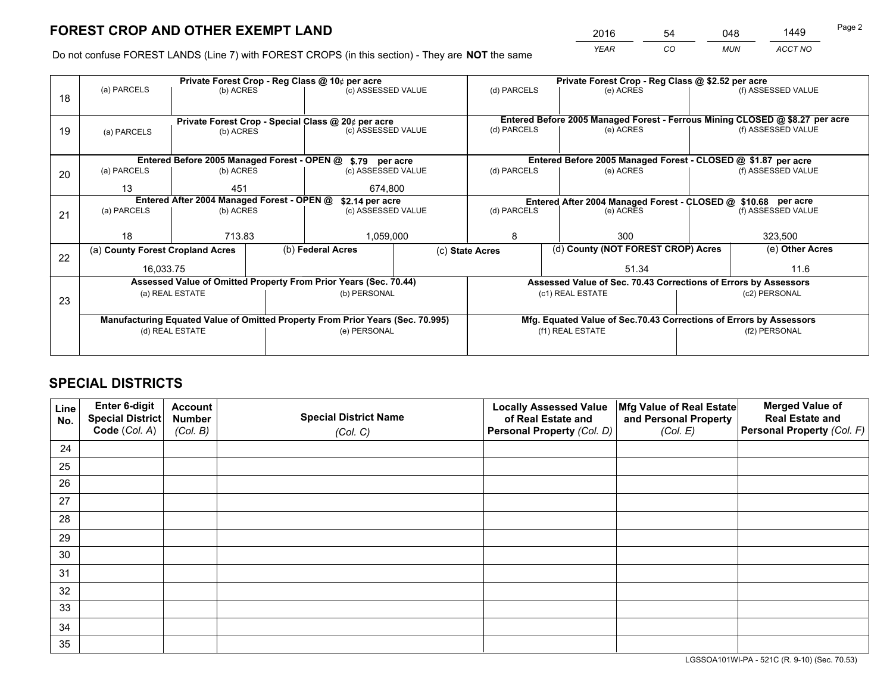*YEAR CO MUN ACCT NO* <sup>2016</sup> <sup>54</sup> <sup>048</sup> <sup>1449</sup>

Do not confuse FOREST LANDS (Line 7) with FOREST CROPS (in this section) - They are **NOT** the same

|    |                                                               |                                 |  | Private Forest Crop - Reg Class @ 10¢ per acre                                 |             | Private Forest Crop - Reg Class @ \$2.52 per acre                            |                                                                    |                                    |                    |  |
|----|---------------------------------------------------------------|---------------------------------|--|--------------------------------------------------------------------------------|-------------|------------------------------------------------------------------------------|--------------------------------------------------------------------|------------------------------------|--------------------|--|
| 18 | (a) PARCELS                                                   | (b) ACRES                       |  | (c) ASSESSED VALUE                                                             |             | (d) PARCELS                                                                  | (e) ACRES                                                          |                                    | (f) ASSESSED VALUE |  |
|    |                                                               |                                 |  |                                                                                |             |                                                                              |                                                                    |                                    |                    |  |
|    | Private Forest Crop - Special Class @ 20¢ per acre            |                                 |  |                                                                                |             | Entered Before 2005 Managed Forest - Ferrous Mining CLOSED @ \$8.27 per acre |                                                                    |                                    |                    |  |
| 19 | (a) PARCELS                                                   | (c) ASSESSED VALUE<br>(b) ACRES |  |                                                                                | (d) PARCELS | (e) ACRES                                                                    |                                                                    | (f) ASSESSED VALUE                 |                    |  |
|    |                                                               |                                 |  |                                                                                |             |                                                                              |                                                                    |                                    |                    |  |
|    |                                                               |                                 |  | Entered Before 2005 Managed Forest - OPEN @ \$.79 per acre                     |             |                                                                              | Entered Before 2005 Managed Forest - CLOSED @ \$1.87 per acre      |                                    |                    |  |
| 20 | (a) PARCELS                                                   | (b) ACRES                       |  | (c) ASSESSED VALUE                                                             |             | (d) PARCELS                                                                  | (e) ACRES                                                          |                                    | (f) ASSESSED VALUE |  |
|    | 13                                                            | 451                             |  | 674,800                                                                        |             |                                                                              |                                                                    |                                    |                    |  |
|    | Entered After 2004 Managed Forest - OPEN @<br>\$2.14 per acre |                                 |  |                                                                                |             |                                                                              | Entered After 2004 Managed Forest - CLOSED @ \$10.68 per acre      |                                    |                    |  |
| 21 | (a) PARCELS                                                   | (b) ACRES                       |  | (c) ASSESSED VALUE                                                             | (d) PARCELS |                                                                              | (e) ACRES                                                          |                                    |                    |  |
|    |                                                               |                                 |  |                                                                                |             |                                                                              |                                                                    |                                    |                    |  |
|    | 18                                                            | 713.83                          |  | 1,059,000                                                                      |             | 8                                                                            | 300                                                                |                                    |                    |  |
| 22 | (a) County Forest Cropland Acres                              |                                 |  | (b) Federal Acres                                                              |             | (c) State Acres                                                              |                                                                    | (d) County (NOT FOREST CROP) Acres |                    |  |
|    | 16,033.75                                                     |                                 |  |                                                                                |             | 51.34                                                                        |                                                                    |                                    | 11.6               |  |
|    |                                                               |                                 |  | Assessed Value of Omitted Property From Prior Years (Sec. 70.44)               |             | Assessed Value of Sec. 70.43 Corrections of Errors by Assessors              |                                                                    |                                    |                    |  |
| 23 |                                                               | (a) REAL ESTATE                 |  | (b) PERSONAL                                                                   |             |                                                                              | (c1) REAL ESTATE                                                   |                                    | (c2) PERSONAL      |  |
|    |                                                               |                                 |  |                                                                                |             |                                                                              |                                                                    |                                    |                    |  |
|    |                                                               |                                 |  | Manufacturing Equated Value of Omitted Property From Prior Years (Sec. 70.995) |             |                                                                              | Mfg. Equated Value of Sec.70.43 Corrections of Errors by Assessors |                                    |                    |  |
|    |                                                               | (d) REAL ESTATE                 |  | (e) PERSONAL                                                                   |             |                                                                              | (f1) REAL ESTATE                                                   | (f2) PERSONAL                      |                    |  |
|    |                                                               |                                 |  |                                                                                |             |                                                                              |                                                                    |                                    |                    |  |

## **SPECIAL DISTRICTS**

| Line<br>No. | Enter 6-digit<br>Special District<br>Code (Col. A) | <b>Account</b><br><b>Number</b> | <b>Special District Name</b> | <b>Locally Assessed Value</b><br>of Real Estate and | Mfg Value of Real Estate<br>and Personal Property | <b>Merged Value of</b><br><b>Real Estate and</b><br>Personal Property (Col. F) |
|-------------|----------------------------------------------------|---------------------------------|------------------------------|-----------------------------------------------------|---------------------------------------------------|--------------------------------------------------------------------------------|
|             |                                                    | (Col. B)                        | (Col. C)                     | Personal Property (Col. D)                          | (Col. E)                                          |                                                                                |
| 24          |                                                    |                                 |                              |                                                     |                                                   |                                                                                |
| 25          |                                                    |                                 |                              |                                                     |                                                   |                                                                                |
| 26          |                                                    |                                 |                              |                                                     |                                                   |                                                                                |
| 27          |                                                    |                                 |                              |                                                     |                                                   |                                                                                |
| 28          |                                                    |                                 |                              |                                                     |                                                   |                                                                                |
| 29          |                                                    |                                 |                              |                                                     |                                                   |                                                                                |
| 30          |                                                    |                                 |                              |                                                     |                                                   |                                                                                |
| 31          |                                                    |                                 |                              |                                                     |                                                   |                                                                                |
| 32          |                                                    |                                 |                              |                                                     |                                                   |                                                                                |
| 33          |                                                    |                                 |                              |                                                     |                                                   |                                                                                |
| 34          |                                                    |                                 |                              |                                                     |                                                   |                                                                                |
| 35          |                                                    |                                 |                              |                                                     |                                                   |                                                                                |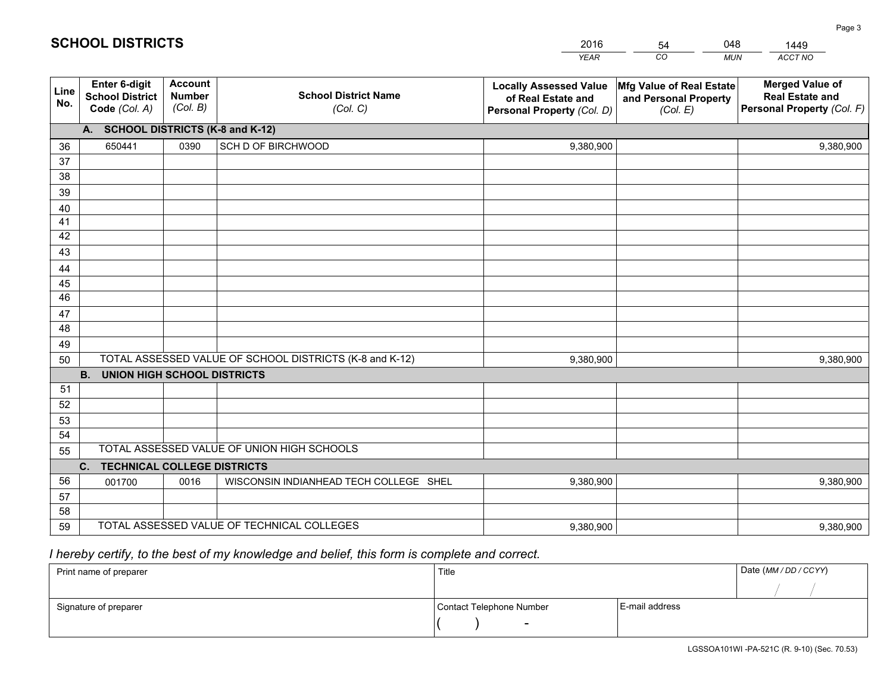|             |                                                                 |                                             |                                                         | <b>YEAR</b>                                                                       | CO<br><b>MUN</b>                                              | ACCT NO                                                                        |
|-------------|-----------------------------------------------------------------|---------------------------------------------|---------------------------------------------------------|-----------------------------------------------------------------------------------|---------------------------------------------------------------|--------------------------------------------------------------------------------|
| Line<br>No. | <b>Enter 6-digit</b><br><b>School District</b><br>Code (Col. A) | <b>Account</b><br><b>Number</b><br>(Col. B) | <b>School District Name</b><br>(Col. C)                 | <b>Locally Assessed Value</b><br>of Real Estate and<br>Personal Property (Col. D) | Mfg Value of Real Estate<br>and Personal Property<br>(Col. E) | <b>Merged Value of</b><br><b>Real Estate and</b><br>Personal Property (Col. F) |
|             | A. SCHOOL DISTRICTS (K-8 and K-12)                              |                                             |                                                         |                                                                                   |                                                               |                                                                                |
| 36          | 650441                                                          | 0390                                        | SCH D OF BIRCHWOOD                                      | 9,380,900                                                                         |                                                               | 9,380,900                                                                      |
| 37          |                                                                 |                                             |                                                         |                                                                                   |                                                               |                                                                                |
| 38          |                                                                 |                                             |                                                         |                                                                                   |                                                               |                                                                                |
| 39          |                                                                 |                                             |                                                         |                                                                                   |                                                               |                                                                                |
| 40          |                                                                 |                                             |                                                         |                                                                                   |                                                               |                                                                                |
| 41          |                                                                 |                                             |                                                         |                                                                                   |                                                               |                                                                                |
| 42<br>43    |                                                                 |                                             |                                                         |                                                                                   |                                                               |                                                                                |
|             |                                                                 |                                             |                                                         |                                                                                   |                                                               |                                                                                |
| 44<br>45    |                                                                 |                                             |                                                         |                                                                                   |                                                               |                                                                                |
| 46          |                                                                 |                                             |                                                         |                                                                                   |                                                               |                                                                                |
| 47          |                                                                 |                                             |                                                         |                                                                                   |                                                               |                                                                                |
| 48          |                                                                 |                                             |                                                         |                                                                                   |                                                               |                                                                                |
| 49          |                                                                 |                                             |                                                         |                                                                                   |                                                               |                                                                                |
| 50          |                                                                 |                                             | TOTAL ASSESSED VALUE OF SCHOOL DISTRICTS (K-8 and K-12) | 9,380,900                                                                         |                                                               | 9,380,900                                                                      |
|             | <b>B.</b><br><b>UNION HIGH SCHOOL DISTRICTS</b>                 |                                             |                                                         |                                                                                   |                                                               |                                                                                |
| 51          |                                                                 |                                             |                                                         |                                                                                   |                                                               |                                                                                |
| 52          |                                                                 |                                             |                                                         |                                                                                   |                                                               |                                                                                |
| 53          |                                                                 |                                             |                                                         |                                                                                   |                                                               |                                                                                |
| 54          |                                                                 |                                             |                                                         |                                                                                   |                                                               |                                                                                |
| 55          |                                                                 |                                             | TOTAL ASSESSED VALUE OF UNION HIGH SCHOOLS              |                                                                                   |                                                               |                                                                                |
|             | C.<br><b>TECHNICAL COLLEGE DISTRICTS</b>                        |                                             |                                                         |                                                                                   |                                                               |                                                                                |
| 56          | 001700                                                          | 0016                                        | WISCONSIN INDIANHEAD TECH COLLEGE SHEL                  | 9,380,900                                                                         |                                                               | 9,380,900                                                                      |
| 57<br>58    |                                                                 |                                             |                                                         |                                                                                   |                                                               |                                                                                |
| 59          |                                                                 |                                             | TOTAL ASSESSED VALUE OF TECHNICAL COLLEGES              | 9,380,900                                                                         |                                                               | 9,380,900                                                                      |
|             |                                                                 |                                             |                                                         |                                                                                   |                                                               |                                                                                |

54

048

 *I hereby certify, to the best of my knowledge and belief, this form is complete and correct.*

**SCHOOL DISTRICTS**

| Print name of preparer | Title                    | Date (MM / DD / CCYY) |  |
|------------------------|--------------------------|-----------------------|--|
|                        |                          |                       |  |
| Signature of preparer  | Contact Telephone Number | E-mail address        |  |
|                        | $\sim$                   |                       |  |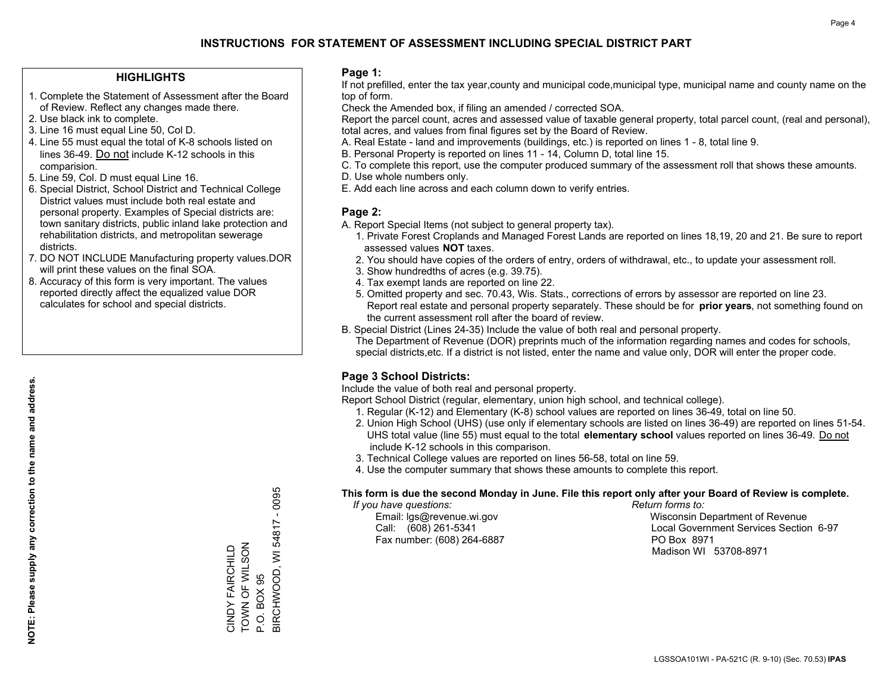#### **HIGHLIGHTS**

- 1. Complete the Statement of Assessment after the Board of Review. Reflect any changes made there.
- 2. Use black ink to complete.
- 3. Line 16 must equal Line 50, Col D.
- 4. Line 55 must equal the total of K-8 schools listed on lines 36-49. Do not include K-12 schools in this comparision.
- 5. Line 59, Col. D must equal Line 16.
- 6. Special District, School District and Technical College District values must include both real estate and personal property. Examples of Special districts are: town sanitary districts, public inland lake protection and rehabilitation districts, and metropolitan sewerage districts.
- 7. DO NOT INCLUDE Manufacturing property values.DOR will print these values on the final SOA.
- 8. Accuracy of this form is very important. The values reported directly affect the equalized value DOR calculates for school and special districts.

#### **Page 1:**

 If not prefilled, enter the tax year,county and municipal code,municipal type, municipal name and county name on the top of form.

Check the Amended box, if filing an amended / corrected SOA.

 Report the parcel count, acres and assessed value of taxable general property, total parcel count, (real and personal), total acres, and values from final figures set by the Board of Review.

- A. Real Estate land and improvements (buildings, etc.) is reported on lines 1 8, total line 9.
- B. Personal Property is reported on lines 11 14, Column D, total line 15.
- C. To complete this report, use the computer produced summary of the assessment roll that shows these amounts.
- D. Use whole numbers only.
- E. Add each line across and each column down to verify entries.

#### **Page 2:**

- A. Report Special Items (not subject to general property tax).
- 1. Private Forest Croplands and Managed Forest Lands are reported on lines 18,19, 20 and 21. Be sure to report assessed values **NOT** taxes.
- 2. You should have copies of the orders of entry, orders of withdrawal, etc., to update your assessment roll.
	- 3. Show hundredths of acres (e.g. 39.75).
- 4. Tax exempt lands are reported on line 22.
- 5. Omitted property and sec. 70.43, Wis. Stats., corrections of errors by assessor are reported on line 23. Report real estate and personal property separately. These should be for **prior years**, not something found on the current assessment roll after the board of review.
- B. Special District (Lines 24-35) Include the value of both real and personal property.

 The Department of Revenue (DOR) preprints much of the information regarding names and codes for schools, special districts,etc. If a district is not listed, enter the name and value only, DOR will enter the proper code.

### **Page 3 School Districts:**

Include the value of both real and personal property.

Report School District (regular, elementary, union high school, and technical college).

- 1. Regular (K-12) and Elementary (K-8) school values are reported on lines 36-49, total on line 50.
- 2. Union High School (UHS) (use only if elementary schools are listed on lines 36-49) are reported on lines 51-54. UHS total value (line 55) must equal to the total **elementary school** values reported on lines 36-49. Do notinclude K-12 schools in this comparison.
- 3. Technical College values are reported on lines 56-58, total on line 59.
- 4. Use the computer summary that shows these amounts to complete this report.

#### **This form is due the second Monday in June. File this report only after your Board of Review is complete.**

 *If you have questions: Return forms to:*

Fax number: (608) 264-6887 PO Box 8971

 Email: lgs@revenue.wi.gov Wisconsin Department of Revenue Call: (608) 261-5341 Local Government Services Section 6-97Madison WI 53708-8971

3IRCHWOOD, WI 54817 - 0095 BIRCHWOOD, WI 54817 - 0095 TOWN OF WILSON CINDY FAIRCHILD<br>TOWN OF WILSON CINDY FAIRCHILD P.O. BOX 95 P.O. BOX 95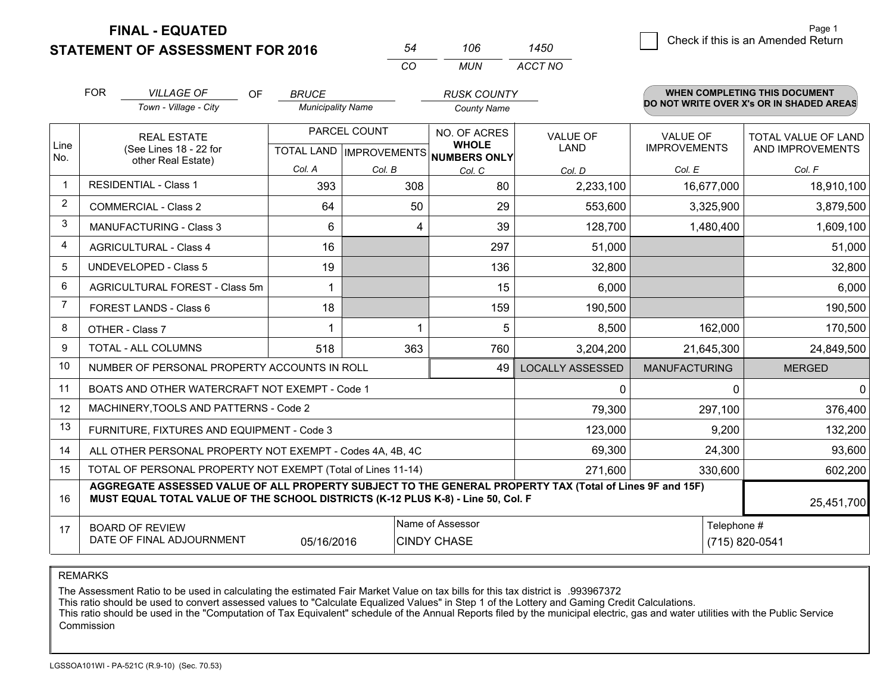**STATEMENT OF ASSESSMENT FOR 2016 FINAL - EQUATED**

*VILLAGE OF* 

 $\cap$ 

FOR

WHEN COMPLETING THIS DOCUMENT

| 54 | 106 | 1450    |
|----|-----|---------|
| CO | MUN | ACCT NO |

*RUSK COUNTY*

|                | <b>FOR</b><br><i>VILLAGE OF</i><br>OF                                                                                                                                                        | <i>BRUCE</i>             |              | <b>RUSK COUNTY</b>                                                  |                         |                                        | <b>WHEN COMPLETING THIS DOCUMENT</b>           |
|----------------|----------------------------------------------------------------------------------------------------------------------------------------------------------------------------------------------|--------------------------|--------------|---------------------------------------------------------------------|-------------------------|----------------------------------------|------------------------------------------------|
|                | Town - Village - City                                                                                                                                                                        | <b>Municipality Name</b> |              | <b>County Name</b>                                                  |                         |                                        | DO NOT WRITE OVER X's OR IN SHADED AREAS       |
| Line           | <b>REAL ESTATE</b><br>(See Lines 18 - 22 for                                                                                                                                                 |                          | PARCEL COUNT | NO. OF ACRES<br><b>WHOLE</b><br>TOTAL LAND MPROVEMENTS NUMBERS ONLY | <b>VALUE OF</b><br>LAND | <b>VALUE OF</b><br><b>IMPROVEMENTS</b> | <b>TOTAL VALUE OF LAND</b><br>AND IMPROVEMENTS |
| No.            | other Real Estate)                                                                                                                                                                           | Col. A                   | Col. B       | Col. C                                                              | Col. D                  | Col. E                                 | Col. F                                         |
| $\mathbf 1$    | <b>RESIDENTIAL - Class 1</b>                                                                                                                                                                 | 393                      | 308          | 80                                                                  | 2,233,100               | 16,677,000                             | 18,910,100                                     |
| $\overline{2}$ | <b>COMMERCIAL - Class 2</b>                                                                                                                                                                  | 64                       | 50           | 29                                                                  | 553,600                 | 3,325,900                              | 3,879,500                                      |
| 3              | MANUFACTURING - Class 3                                                                                                                                                                      | 6                        | 4            | 39                                                                  | 128,700                 | 1,480,400                              | 1,609,100                                      |
| 4              | <b>AGRICULTURAL - Class 4</b>                                                                                                                                                                | 16                       |              | 297                                                                 | 51,000                  |                                        | 51,000                                         |
| 5              | <b>UNDEVELOPED - Class 5</b>                                                                                                                                                                 | 19                       |              | 136                                                                 | 32,800                  |                                        | 32,800                                         |
| 6              | AGRICULTURAL FOREST - Class 5m                                                                                                                                                               |                          |              | 15                                                                  | 6,000                   |                                        | 6,000                                          |
| $\overline{7}$ | FOREST LANDS - Class 6                                                                                                                                                                       | 18                       |              | 159                                                                 | 190,500                 |                                        | 190,500                                        |
| 8              | OTHER - Class 7                                                                                                                                                                              | 1                        |              | 5                                                                   | 8,500                   | 162,000                                | 170,500                                        |
| 9              | TOTAL - ALL COLUMNS                                                                                                                                                                          | 518                      | 363          | 760                                                                 | 3,204,200               | 21,645,300                             | 24,849,500                                     |
| 10             | NUMBER OF PERSONAL PROPERTY ACCOUNTS IN ROLL                                                                                                                                                 |                          |              | 49                                                                  | <b>LOCALLY ASSESSED</b> | <b>MANUFACTURING</b>                   | <b>MERGED</b>                                  |
| 11             | BOATS AND OTHER WATERCRAFT NOT EXEMPT - Code 1                                                                                                                                               |                          |              |                                                                     | 0                       | $\Omega$                               | 0                                              |
| 12             | MACHINERY, TOOLS AND PATTERNS - Code 2                                                                                                                                                       |                          |              |                                                                     | 79,300                  | 297,100                                | 376,400                                        |
| 13             | FURNITURE, FIXTURES AND EQUIPMENT - Code 3                                                                                                                                                   |                          |              |                                                                     | 123,000                 | 9,200                                  | 132,200                                        |
| 14             | ALL OTHER PERSONAL PROPERTY NOT EXEMPT - Codes 4A, 4B, 4C                                                                                                                                    |                          |              |                                                                     | 69,300                  | 24,300                                 | 93,600                                         |
| 15             | TOTAL OF PERSONAL PROPERTY NOT EXEMPT (Total of Lines 11-14)                                                                                                                                 |                          |              |                                                                     | 271,600                 | 330,600                                | 602,200                                        |
| 16             | AGGREGATE ASSESSED VALUE OF ALL PROPERTY SUBJECT TO THE GENERAL PROPERTY TAX (Total of Lines 9F and 15F)<br>MUST EQUAL TOTAL VALUE OF THE SCHOOL DISTRICTS (K-12 PLUS K-8) - Line 50, Col. F |                          |              |                                                                     |                         |                                        | 25,451,700                                     |
| 17             | Name of Assessor<br><b>BOARD OF REVIEW</b><br>DATE OF FINAL ADJOURNMENT<br>05/16/2016<br><b>CINDY CHASE</b>                                                                                  |                          |              |                                                                     | Telephone #             | (715) 820-0541                         |                                                |

REMARKS

The Assessment Ratio to be used in calculating the estimated Fair Market Value on tax bills for this tax district is .993967372

This ratio should be used to convert assessed values to "Calculate Equalized Values" in Step 1 of the Lottery and Gaming Credit Calculations.<br>This ratio should be used in the "Computation of Tax Equivalent" schedule of the Commission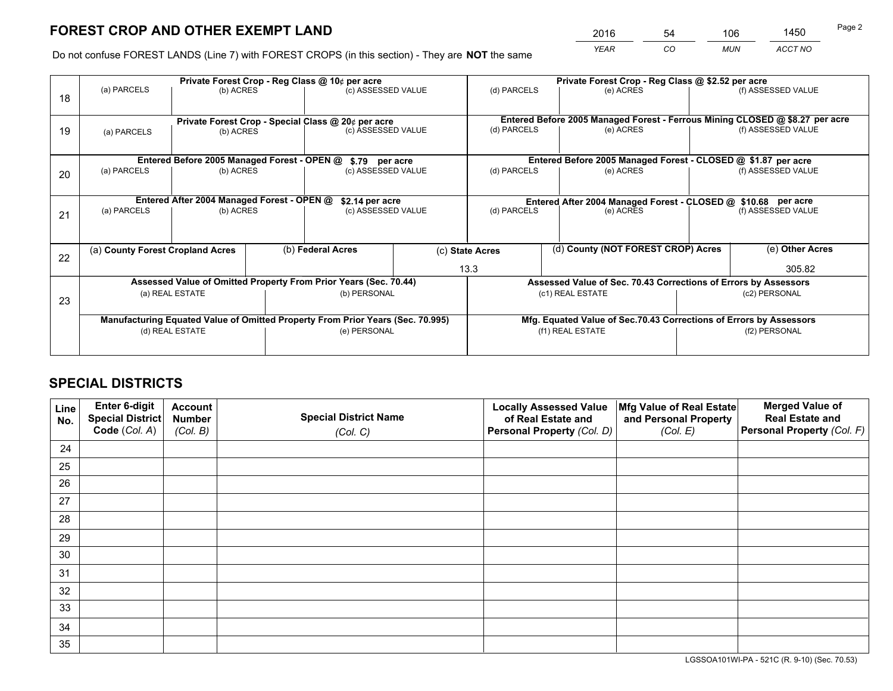*YEAR CO MUN ACCT NO* <sup>2016</sup> <sup>54</sup> <sup>106</sup> <sup>1450</sup>

Do not confuse FOREST LANDS (Line 7) with FOREST CROPS (in this section) - They are **NOT** the same

|    |                                                    |                                             |  | Private Forest Crop - Reg Class @ 10¢ per acre                                 |  |             | Private Forest Crop - Reg Class @ \$2.52 per acre                            |                    |                    |  |
|----|----------------------------------------------------|---------------------------------------------|--|--------------------------------------------------------------------------------|--|-------------|------------------------------------------------------------------------------|--------------------|--------------------|--|
| 18 | (a) PARCELS                                        | (b) ACRES                                   |  | (c) ASSESSED VALUE                                                             |  | (d) PARCELS | (e) ACRES                                                                    |                    | (f) ASSESSED VALUE |  |
|    | Private Forest Crop - Special Class @ 20¢ per acre |                                             |  |                                                                                |  |             | Entered Before 2005 Managed Forest - Ferrous Mining CLOSED @ \$8.27 per acre |                    |                    |  |
| 19 | (b) ACRES<br>(a) PARCELS                           |                                             |  | (c) ASSESSED VALUE                                                             |  | (d) PARCELS | (e) ACRES                                                                    |                    | (f) ASSESSED VALUE |  |
|    |                                                    | Entered Before 2005 Managed Forest - OPEN @ |  | \$.79 per acre                                                                 |  |             | Entered Before 2005 Managed Forest - CLOSED @ \$1.87 per acre                |                    |                    |  |
| 20 | (a) PARCELS<br>(b) ACRES                           |                                             |  | (c) ASSESSED VALUE                                                             |  | (d) PARCELS | (e) ACRES                                                                    |                    | (f) ASSESSED VALUE |  |
|    |                                                    | Entered After 2004 Managed Forest - OPEN @  |  | \$2.14 per acre                                                                |  |             | Entered After 2004 Managed Forest - CLOSED @ \$10.68 per acre                |                    |                    |  |
| 21 | (a) PARCELS<br>(b) ACRES                           |                                             |  | (c) ASSESSED VALUE                                                             |  | (d) PARCELS | (e) ACRES                                                                    | (f) ASSESSED VALUE |                    |  |
| 22 | (a) County Forest Cropland Acres                   |                                             |  | (b) Federal Acres<br>(c) State Acres                                           |  |             | (d) County (NOT FOREST CROP) Acres                                           |                    | (e) Other Acres    |  |
|    |                                                    |                                             |  |                                                                                |  | 13.3        |                                                                              |                    | 305.82             |  |
|    |                                                    |                                             |  | Assessed Value of Omitted Property From Prior Years (Sec. 70.44)               |  |             | Assessed Value of Sec. 70.43 Corrections of Errors by Assessors              |                    |                    |  |
| 23 |                                                    | (a) REAL ESTATE                             |  | (b) PERSONAL                                                                   |  |             | (c1) REAL ESTATE                                                             | (c2) PERSONAL      |                    |  |
|    |                                                    |                                             |  | Manufacturing Equated Value of Omitted Property From Prior Years (Sec. 70.995) |  |             | Mfg. Equated Value of Sec.70.43 Corrections of Errors by Assessors           |                    |                    |  |
|    | (d) REAL ESTATE                                    |                                             |  | (e) PERSONAL                                                                   |  |             | (f1) REAL ESTATE                                                             |                    | (f2) PERSONAL      |  |
|    |                                                    |                                             |  |                                                                                |  |             |                                                                              |                    |                    |  |

## **SPECIAL DISTRICTS**

| Line<br>No. | Enter 6-digit<br>Special District<br>Code (Col. A) | <b>Account</b><br><b>Number</b><br>(Col. B) | <b>Special District Name</b><br>(Col. C) | <b>Locally Assessed Value</b><br>of Real Estate and<br>Personal Property (Col. D) | Mfg Value of Real Estate<br>and Personal Property<br>(Col. E) | <b>Merged Value of</b><br><b>Real Estate and</b><br>Personal Property (Col. F) |
|-------------|----------------------------------------------------|---------------------------------------------|------------------------------------------|-----------------------------------------------------------------------------------|---------------------------------------------------------------|--------------------------------------------------------------------------------|
| 24          |                                                    |                                             |                                          |                                                                                   |                                                               |                                                                                |
| 25          |                                                    |                                             |                                          |                                                                                   |                                                               |                                                                                |
| 26          |                                                    |                                             |                                          |                                                                                   |                                                               |                                                                                |
| 27          |                                                    |                                             |                                          |                                                                                   |                                                               |                                                                                |
| 28          |                                                    |                                             |                                          |                                                                                   |                                                               |                                                                                |
| 29          |                                                    |                                             |                                          |                                                                                   |                                                               |                                                                                |
| 30          |                                                    |                                             |                                          |                                                                                   |                                                               |                                                                                |
| 31          |                                                    |                                             |                                          |                                                                                   |                                                               |                                                                                |
| 32          |                                                    |                                             |                                          |                                                                                   |                                                               |                                                                                |
| 33          |                                                    |                                             |                                          |                                                                                   |                                                               |                                                                                |
| 34          |                                                    |                                             |                                          |                                                                                   |                                                               |                                                                                |
| 35          |                                                    |                                             |                                          |                                                                                   |                                                               |                                                                                |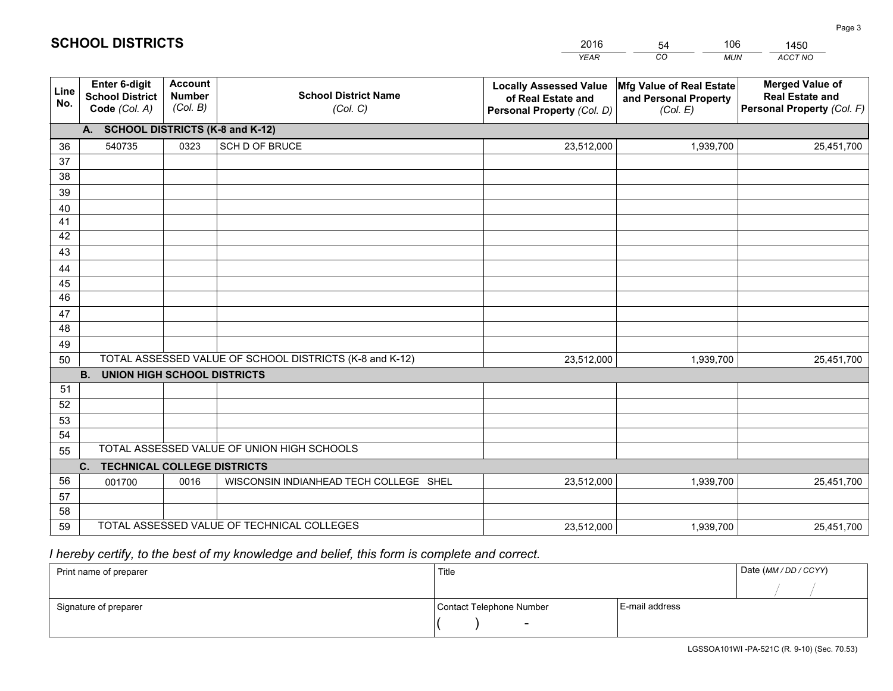|             |                                                                 |                                             |                                                         | <b>YEAR</b>                                                                       | CO<br><b>MUN</b>                                              | ACCT NO                                                                        |
|-------------|-----------------------------------------------------------------|---------------------------------------------|---------------------------------------------------------|-----------------------------------------------------------------------------------|---------------------------------------------------------------|--------------------------------------------------------------------------------|
| Line<br>No. | <b>Enter 6-digit</b><br><b>School District</b><br>Code (Col. A) | <b>Account</b><br><b>Number</b><br>(Col. B) | <b>School District Name</b><br>(Col. C)                 | <b>Locally Assessed Value</b><br>of Real Estate and<br>Personal Property (Col. D) | Mfg Value of Real Estate<br>and Personal Property<br>(Col. E) | <b>Merged Value of</b><br><b>Real Estate and</b><br>Personal Property (Col. F) |
|             | A. SCHOOL DISTRICTS (K-8 and K-12)                              |                                             |                                                         |                                                                                   |                                                               |                                                                                |
| 36          | 540735                                                          | 0323                                        | SCH D OF BRUCE                                          | 23,512,000                                                                        | 1,939,700                                                     | 25,451,700                                                                     |
| 37          |                                                                 |                                             |                                                         |                                                                                   |                                                               |                                                                                |
| 38          |                                                                 |                                             |                                                         |                                                                                   |                                                               |                                                                                |
| 39          |                                                                 |                                             |                                                         |                                                                                   |                                                               |                                                                                |
| 40          |                                                                 |                                             |                                                         |                                                                                   |                                                               |                                                                                |
| 41<br>42    |                                                                 |                                             |                                                         |                                                                                   |                                                               |                                                                                |
| 43          |                                                                 |                                             |                                                         |                                                                                   |                                                               |                                                                                |
|             |                                                                 |                                             |                                                         |                                                                                   |                                                               |                                                                                |
| 44<br>45    |                                                                 |                                             |                                                         |                                                                                   |                                                               |                                                                                |
| 46          |                                                                 |                                             |                                                         |                                                                                   |                                                               |                                                                                |
| 47          |                                                                 |                                             |                                                         |                                                                                   |                                                               |                                                                                |
| 48          |                                                                 |                                             |                                                         |                                                                                   |                                                               |                                                                                |
| 49          |                                                                 |                                             |                                                         |                                                                                   |                                                               |                                                                                |
| 50          |                                                                 |                                             | TOTAL ASSESSED VALUE OF SCHOOL DISTRICTS (K-8 and K-12) | 23,512,000                                                                        | 1,939,700                                                     | 25,451,700                                                                     |
|             | <b>B.</b><br>UNION HIGH SCHOOL DISTRICTS                        |                                             |                                                         |                                                                                   |                                                               |                                                                                |
| 51          |                                                                 |                                             |                                                         |                                                                                   |                                                               |                                                                                |
| 52          |                                                                 |                                             |                                                         |                                                                                   |                                                               |                                                                                |
| 53          |                                                                 |                                             |                                                         |                                                                                   |                                                               |                                                                                |
| 54          |                                                                 |                                             |                                                         |                                                                                   |                                                               |                                                                                |
| 55          |                                                                 |                                             | TOTAL ASSESSED VALUE OF UNION HIGH SCHOOLS              |                                                                                   |                                                               |                                                                                |
|             | C.<br><b>TECHNICAL COLLEGE DISTRICTS</b>                        |                                             |                                                         |                                                                                   |                                                               |                                                                                |
| 56          | 001700                                                          | 0016                                        | WISCONSIN INDIANHEAD TECH COLLEGE SHEL                  | 23,512,000                                                                        | 1,939,700                                                     | 25,451,700                                                                     |
| 57<br>58    |                                                                 |                                             |                                                         |                                                                                   |                                                               |                                                                                |
| 59          |                                                                 |                                             | TOTAL ASSESSED VALUE OF TECHNICAL COLLEGES              | 23,512,000                                                                        | 1,939,700                                                     | 25,451,700                                                                     |
|             |                                                                 |                                             |                                                         |                                                                                   |                                                               |                                                                                |

54

106

 *I hereby certify, to the best of my knowledge and belief, this form is complete and correct.*

**SCHOOL DISTRICTS**

| Print name of preparer | Title                    | Date (MM / DD / CCYY) |  |
|------------------------|--------------------------|-----------------------|--|
|                        |                          |                       |  |
| Signature of preparer  | Contact Telephone Number | E-mail address        |  |
|                        | $\sim$                   |                       |  |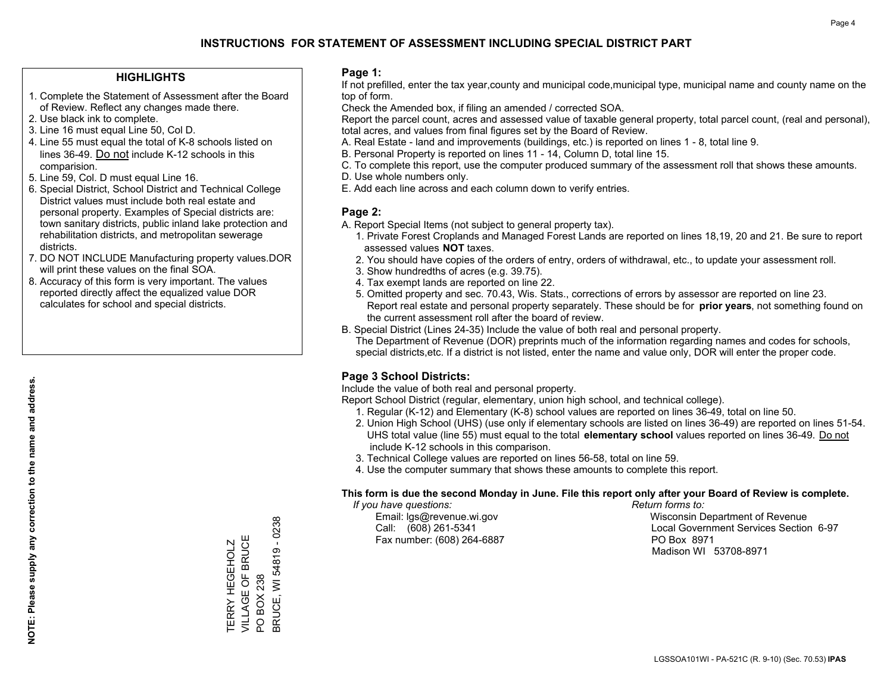#### **HIGHLIGHTS**

- 1. Complete the Statement of Assessment after the Board of Review. Reflect any changes made there.
- 2. Use black ink to complete.
- 3. Line 16 must equal Line 50, Col D.
- 4. Line 55 must equal the total of K-8 schools listed on lines 36-49. Do not include K-12 schools in this comparision.
- 5. Line 59, Col. D must equal Line 16.
- 6. Special District, School District and Technical College District values must include both real estate and personal property. Examples of Special districts are: town sanitary districts, public inland lake protection and rehabilitation districts, and metropolitan sewerage districts.
- 7. DO NOT INCLUDE Manufacturing property values.DOR will print these values on the final SOA.

TERRY HEGEHOLZ VILLAGE OF BRUCE

TERRY HEGEHOLZ<br>VILLAGE OF BRUCE

PO BOX 238

**PO BOX 238** 

BRUCE, WI 54819 - 0238

3RUCE, WI 54819 - 0238

 8. Accuracy of this form is very important. The values reported directly affect the equalized value DOR calculates for school and special districts.

#### **Page 1:**

 If not prefilled, enter the tax year,county and municipal code,municipal type, municipal name and county name on the top of form.

Check the Amended box, if filing an amended / corrected SOA.

 Report the parcel count, acres and assessed value of taxable general property, total parcel count, (real and personal), total acres, and values from final figures set by the Board of Review.

- A. Real Estate land and improvements (buildings, etc.) is reported on lines 1 8, total line 9.
- B. Personal Property is reported on lines 11 14, Column D, total line 15.
- C. To complete this report, use the computer produced summary of the assessment roll that shows these amounts.
- D. Use whole numbers only.
- E. Add each line across and each column down to verify entries.

#### **Page 2:**

- A. Report Special Items (not subject to general property tax).
- 1. Private Forest Croplands and Managed Forest Lands are reported on lines 18,19, 20 and 21. Be sure to report assessed values **NOT** taxes.
- 2. You should have copies of the orders of entry, orders of withdrawal, etc., to update your assessment roll.
	- 3. Show hundredths of acres (e.g. 39.75).
- 4. Tax exempt lands are reported on line 22.
- 5. Omitted property and sec. 70.43, Wis. Stats., corrections of errors by assessor are reported on line 23. Report real estate and personal property separately. These should be for **prior years**, not something found on the current assessment roll after the board of review.
- B. Special District (Lines 24-35) Include the value of both real and personal property.
- The Department of Revenue (DOR) preprints much of the information regarding names and codes for schools, special districts,etc. If a district is not listed, enter the name and value only, DOR will enter the proper code.

### **Page 3 School Districts:**

Include the value of both real and personal property.

Report School District (regular, elementary, union high school, and technical college).

- 1. Regular (K-12) and Elementary (K-8) school values are reported on lines 36-49, total on line 50.
- 2. Union High School (UHS) (use only if elementary schools are listed on lines 36-49) are reported on lines 51-54. UHS total value (line 55) must equal to the total **elementary school** values reported on lines 36-49. Do notinclude K-12 schools in this comparison.
- 3. Technical College values are reported on lines 56-58, total on line 59.
- 4. Use the computer summary that shows these amounts to complete this report.

#### **This form is due the second Monday in June. File this report only after your Board of Review is complete.**

 *If you have questions: Return forms to:*

Fax number: (608) 264-6887 PO Box 8971

 Email: lgs@revenue.wi.gov Wisconsin Department of Revenue Call: (608) 261-5341 Local Government Services Section 6-97Madison WI 53708-8971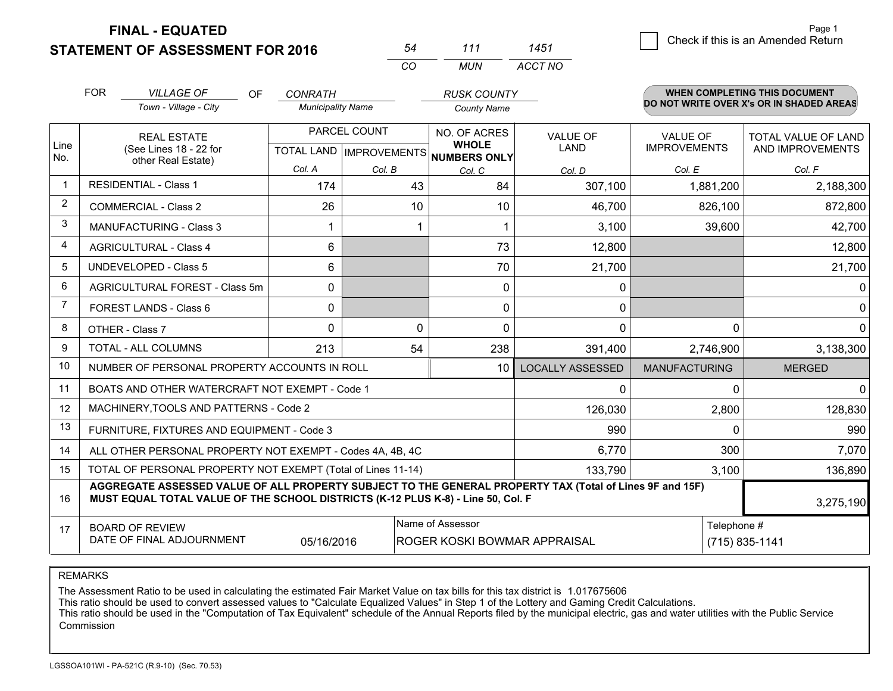**FINAL - EQUATED**

**STATEMENT OF ASSESSMENT FOR 2016** 

| 54 | 111 | 1451    |
|----|-----|---------|
| rη | MUN | ACCT NO |

|             | <b>FOR</b><br><b>VILLAGE OF</b><br>OF<br>Town - Village - City                                                                                                                               | <b>CONRATH</b><br><b>Municipality Name</b> |          | <b>RUSK COUNTY</b><br><b>County Name</b>     |                         |                                        | <b>WHEN COMPLETING THIS DOCUMENT</b><br>DO NOT WRITE OVER X's OR IN SHADED AREAS |
|-------------|----------------------------------------------------------------------------------------------------------------------------------------------------------------------------------------------|--------------------------------------------|----------|----------------------------------------------|-------------------------|----------------------------------------|----------------------------------------------------------------------------------|
| Line<br>No. | <b>REAL ESTATE</b><br>(See Lines 18 - 22 for<br>other Real Estate)                                                                                                                           | PARCEL COUNT<br>TOTAL LAND   IMPROVEMENTS  |          | NO. OF ACRES<br><b>WHOLE</b><br>NUMBERS ONLY | <b>VALUE OF</b><br>LAND | <b>VALUE OF</b><br><b>IMPROVEMENTS</b> | <b>TOTAL VALUE OF LAND</b><br>AND IMPROVEMENTS                                   |
|             |                                                                                                                                                                                              | Col. A                                     | Col. B   | Col. C                                       | Col. D                  | Col. E                                 | Col. F                                                                           |
|             | <b>RESIDENTIAL - Class 1</b>                                                                                                                                                                 | 174                                        | 43       | 84                                           | 307,100                 | 1,881,200                              | 2,188,300                                                                        |
| 2           | <b>COMMERCIAL - Class 2</b>                                                                                                                                                                  | 26                                         | 10       | 10                                           | 46,700                  | 826,100                                | 872,800                                                                          |
| 3           | MANUFACTURING - Class 3                                                                                                                                                                      |                                            |          |                                              | 3,100                   | 39,600                                 | 42,700                                                                           |
| 4           | <b>AGRICULTURAL - Class 4</b>                                                                                                                                                                | 6                                          |          | 73                                           | 12,800                  |                                        | 12,800                                                                           |
| 5           | <b>UNDEVELOPED - Class 5</b>                                                                                                                                                                 | 6                                          |          | 70                                           | 21,700                  |                                        | 21,700                                                                           |
| 6           | AGRICULTURAL FOREST - Class 5m                                                                                                                                                               | 0                                          |          | $\mathbf{0}$                                 | 0                       |                                        | 0                                                                                |
| 7           | FOREST LANDS - Class 6                                                                                                                                                                       | 0                                          |          | $\mathbf{0}$                                 | 0                       |                                        | 0                                                                                |
| 8           | OTHER - Class 7                                                                                                                                                                              | $\Omega$                                   | $\Omega$ | $\Omega$                                     | 0                       | $\Omega$                               | 0                                                                                |
| 9           | TOTAL - ALL COLUMNS                                                                                                                                                                          | 213                                        | 54       | 238                                          | 391,400                 | 2,746,900                              | 3,138,300                                                                        |
| 10          | NUMBER OF PERSONAL PROPERTY ACCOUNTS IN ROLL                                                                                                                                                 |                                            |          | 10                                           | <b>LOCALLY ASSESSED</b> | <b>MANUFACTURING</b>                   | <b>MERGED</b>                                                                    |
| 11          | BOATS AND OTHER WATERCRAFT NOT EXEMPT - Code 1                                                                                                                                               |                                            |          |                                              | 0                       | 0                                      | $\Omega$                                                                         |
| 12          | MACHINERY, TOOLS AND PATTERNS - Code 2                                                                                                                                                       |                                            |          |                                              | 126,030                 | 2,800                                  | 128,830                                                                          |
| 13          | FURNITURE, FIXTURES AND EQUIPMENT - Code 3                                                                                                                                                   |                                            |          |                                              | 990                     | $\Omega$                               | 990                                                                              |
| 14          | ALL OTHER PERSONAL PROPERTY NOT EXEMPT - Codes 4A, 4B, 4C                                                                                                                                    |                                            |          |                                              | 6,770                   | 300                                    | 7,070                                                                            |
| 15          | TOTAL OF PERSONAL PROPERTY NOT EXEMPT (Total of Lines 11-14)                                                                                                                                 |                                            |          |                                              | 133,790                 | 3,100                                  | 136,890                                                                          |
| 16          | AGGREGATE ASSESSED VALUE OF ALL PROPERTY SUBJECT TO THE GENERAL PROPERTY TAX (Total of Lines 9F and 15F)<br>MUST EQUAL TOTAL VALUE OF THE SCHOOL DISTRICTS (K-12 PLUS K-8) - Line 50, Col. F |                                            |          |                                              |                         |                                        | 3,275,190                                                                        |
| 17          | Name of Assessor<br><b>BOARD OF REVIEW</b><br>DATE OF FINAL ADJOURNMENT<br>05/16/2016<br>ROGER KOSKI BOWMAR APPRAISAL                                                                        |                                            |          |                                              |                         |                                        | Telephone #<br>(715) 835-1141                                                    |

REMARKS

The Assessment Ratio to be used in calculating the estimated Fair Market Value on tax bills for this tax district is 1.017675606<br>This ratio should be used to convert assessed values to "Calculate Equalized Values" in Step Commission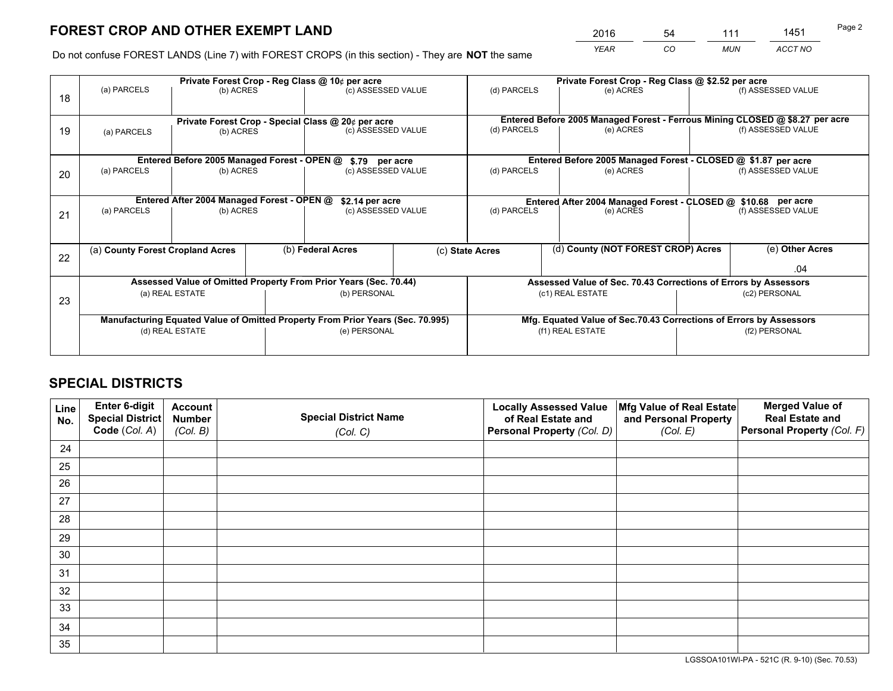*YEAR CO MUN ACCT NO* <sup>2016</sup> <sup>54</sup> <sup>111</sup> <sup>1451</sup>

Do not confuse FOREST LANDS (Line 7) with FOREST CROPS (in this section) - They are **NOT** the same

|    |             |                                             |  | Private Forest Crop - Reg Class @ 10¢ per acre                                 |  | Private Forest Crop - Reg Class @ \$2.52 per acre |                                                                    |  |                                                                              |  |
|----|-------------|---------------------------------------------|--|--------------------------------------------------------------------------------|--|---------------------------------------------------|--------------------------------------------------------------------|--|------------------------------------------------------------------------------|--|
| 18 | (a) PARCELS | (b) ACRES                                   |  | (c) ASSESSED VALUE                                                             |  | (d) PARCELS                                       | (e) ACRES                                                          |  | (f) ASSESSED VALUE                                                           |  |
|    |             |                                             |  | Private Forest Crop - Special Class @ 20¢ per acre                             |  |                                                   |                                                                    |  | Entered Before 2005 Managed Forest - Ferrous Mining CLOSED @ \$8.27 per acre |  |
| 19 | (a) PARCELS | (b) ACRES                                   |  | (c) ASSESSED VALUE                                                             |  | (d) PARCELS                                       | (e) ACRES                                                          |  | (f) ASSESSED VALUE                                                           |  |
|    |             | Entered Before 2005 Managed Forest - OPEN @ |  |                                                                                |  |                                                   | Entered Before 2005 Managed Forest - CLOSED @ \$1.87 per acre      |  |                                                                              |  |
| 20 | (a) PARCELS | (b) ACRES                                   |  | \$.79 per acre<br>(c) ASSESSED VALUE                                           |  | (d) PARCELS                                       | (e) ACRES                                                          |  | (f) ASSESSED VALUE                                                           |  |
|    |             | Entered After 2004 Managed Forest - OPEN @  |  | \$2.14 per acre                                                                |  |                                                   | Entered After 2004 Managed Forest - CLOSED @ \$10.68 per acre      |  |                                                                              |  |
| 21 | (a) PARCELS | (b) ACRES                                   |  | (c) ASSESSED VALUE                                                             |  | (d) PARCELS                                       | (e) ACRES                                                          |  | (f) ASSESSED VALUE                                                           |  |
|    |             |                                             |  |                                                                                |  |                                                   |                                                                    |  |                                                                              |  |
|    |             | (a) County Forest Cropland Acres            |  | (b) Federal Acres                                                              |  | (c) State Acres                                   | (d) County (NOT FOREST CROP) Acres                                 |  | (e) Other Acres                                                              |  |
| 22 |             |                                             |  |                                                                                |  |                                                   |                                                                    |  | .04                                                                          |  |
|    |             |                                             |  | Assessed Value of Omitted Property From Prior Years (Sec. 70.44)               |  |                                                   | Assessed Value of Sec. 70.43 Corrections of Errors by Assessors    |  |                                                                              |  |
| 23 |             | (a) REAL ESTATE                             |  | (b) PERSONAL                                                                   |  | (c1) REAL ESTATE                                  |                                                                    |  | (c2) PERSONAL                                                                |  |
|    |             |                                             |  | Manufacturing Equated Value of Omitted Property From Prior Years (Sec. 70.995) |  |                                                   | Mfg. Equated Value of Sec.70.43 Corrections of Errors by Assessors |  |                                                                              |  |
|    |             | (d) REAL ESTATE                             |  | (e) PERSONAL                                                                   |  | (f1) REAL ESTATE                                  |                                                                    |  | (f2) PERSONAL                                                                |  |
|    |             |                                             |  |                                                                                |  |                                                   |                                                                    |  |                                                                              |  |

## **SPECIAL DISTRICTS**

| Line<br>No. | Enter 6-digit<br>Special District<br>Code (Col. A) | <b>Account</b><br><b>Number</b> | <b>Special District Name</b> | <b>Locally Assessed Value</b><br>of Real Estate and | Mfg Value of Real Estate<br>and Personal Property | <b>Merged Value of</b><br><b>Real Estate and</b><br>Personal Property (Col. F) |
|-------------|----------------------------------------------------|---------------------------------|------------------------------|-----------------------------------------------------|---------------------------------------------------|--------------------------------------------------------------------------------|
|             |                                                    | (Col. B)                        | (Col. C)                     | Personal Property (Col. D)                          | (Col. E)                                          |                                                                                |
| 24          |                                                    |                                 |                              |                                                     |                                                   |                                                                                |
| 25          |                                                    |                                 |                              |                                                     |                                                   |                                                                                |
| 26          |                                                    |                                 |                              |                                                     |                                                   |                                                                                |
| 27          |                                                    |                                 |                              |                                                     |                                                   |                                                                                |
| 28          |                                                    |                                 |                              |                                                     |                                                   |                                                                                |
| 29          |                                                    |                                 |                              |                                                     |                                                   |                                                                                |
| 30          |                                                    |                                 |                              |                                                     |                                                   |                                                                                |
| 31          |                                                    |                                 |                              |                                                     |                                                   |                                                                                |
| 32          |                                                    |                                 |                              |                                                     |                                                   |                                                                                |
| 33          |                                                    |                                 |                              |                                                     |                                                   |                                                                                |
| 34          |                                                    |                                 |                              |                                                     |                                                   |                                                                                |
| 35          |                                                    |                                 |                              |                                                     |                                                   |                                                                                |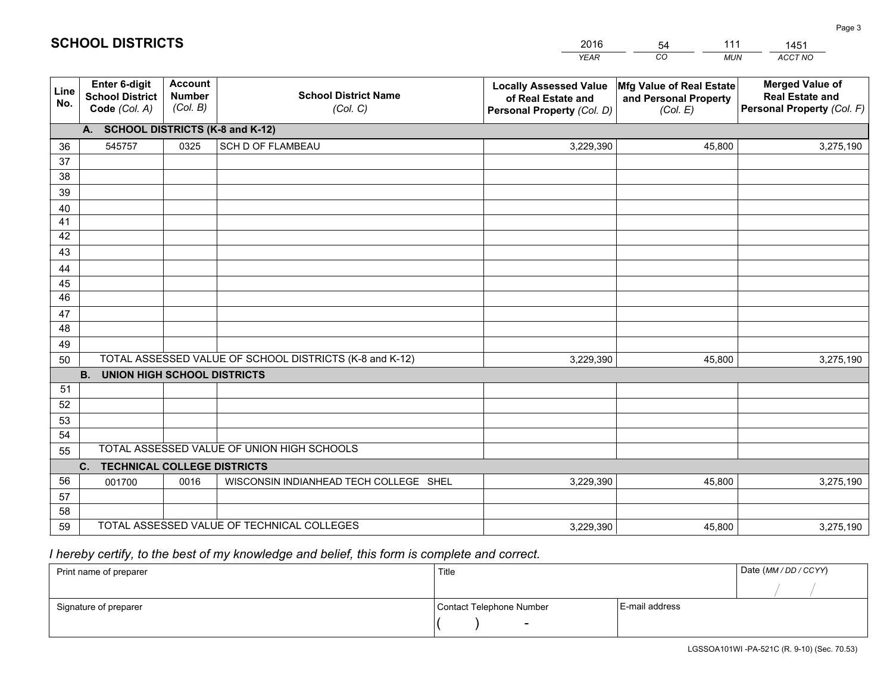|             |                                                          |                                             |                                                         | YEAR                                                                              | CO.<br><b>MUN</b>                                             | ACCT NO                                                                        |  |  |  |  |
|-------------|----------------------------------------------------------|---------------------------------------------|---------------------------------------------------------|-----------------------------------------------------------------------------------|---------------------------------------------------------------|--------------------------------------------------------------------------------|--|--|--|--|
| Line<br>No. | Enter 6-digit<br><b>School District</b><br>Code (Col. A) | <b>Account</b><br><b>Number</b><br>(Col. B) | <b>School District Name</b><br>(Col. C)                 | <b>Locally Assessed Value</b><br>of Real Estate and<br>Personal Property (Col. D) | Mfg Value of Real Estate<br>and Personal Property<br>(Col. E) | <b>Merged Value of</b><br><b>Real Estate and</b><br>Personal Property (Col. F) |  |  |  |  |
|             | A. SCHOOL DISTRICTS (K-8 and K-12)                       |                                             |                                                         |                                                                                   |                                                               |                                                                                |  |  |  |  |
| 36          | 545757                                                   | 0325                                        | <b>SCH D OF FLAMBEAU</b>                                | 3,229,390                                                                         | 45,800                                                        | 3,275,190                                                                      |  |  |  |  |
| 37          |                                                          |                                             |                                                         |                                                                                   |                                                               |                                                                                |  |  |  |  |
| 38          |                                                          |                                             |                                                         |                                                                                   |                                                               |                                                                                |  |  |  |  |
| 39          |                                                          |                                             |                                                         |                                                                                   |                                                               |                                                                                |  |  |  |  |
| 40<br>41    |                                                          |                                             |                                                         |                                                                                   |                                                               |                                                                                |  |  |  |  |
| 42          |                                                          |                                             |                                                         |                                                                                   |                                                               |                                                                                |  |  |  |  |
| 43          |                                                          |                                             |                                                         |                                                                                   |                                                               |                                                                                |  |  |  |  |
| 44          |                                                          |                                             |                                                         |                                                                                   |                                                               |                                                                                |  |  |  |  |
| 45          |                                                          |                                             |                                                         |                                                                                   |                                                               |                                                                                |  |  |  |  |
| 46          |                                                          |                                             |                                                         |                                                                                   |                                                               |                                                                                |  |  |  |  |
| 47          |                                                          |                                             |                                                         |                                                                                   |                                                               |                                                                                |  |  |  |  |
| 48          |                                                          |                                             |                                                         |                                                                                   |                                                               |                                                                                |  |  |  |  |
| 49          |                                                          |                                             |                                                         |                                                                                   |                                                               |                                                                                |  |  |  |  |
| 50          |                                                          |                                             | TOTAL ASSESSED VALUE OF SCHOOL DISTRICTS (K-8 and K-12) | 3,229,390                                                                         | 45,800                                                        | 3,275,190                                                                      |  |  |  |  |
|             | <b>B. UNION HIGH SCHOOL DISTRICTS</b>                    |                                             |                                                         |                                                                                   |                                                               |                                                                                |  |  |  |  |
| 51<br>52    |                                                          |                                             |                                                         |                                                                                   |                                                               |                                                                                |  |  |  |  |
| 53          |                                                          |                                             |                                                         |                                                                                   |                                                               |                                                                                |  |  |  |  |
| 54          |                                                          |                                             |                                                         |                                                                                   |                                                               |                                                                                |  |  |  |  |
| 55          |                                                          |                                             | TOTAL ASSESSED VALUE OF UNION HIGH SCHOOLS              |                                                                                   |                                                               |                                                                                |  |  |  |  |
|             | $C_{1}$<br><b>TECHNICAL COLLEGE DISTRICTS</b>            |                                             |                                                         |                                                                                   |                                                               |                                                                                |  |  |  |  |
| 56          | 001700                                                   | 0016                                        | WISCONSIN INDIANHEAD TECH COLLEGE SHEL                  | 3,229,390                                                                         | 45,800                                                        | 3,275,190                                                                      |  |  |  |  |
| 57          |                                                          |                                             |                                                         |                                                                                   |                                                               |                                                                                |  |  |  |  |
| 58          |                                                          |                                             |                                                         |                                                                                   |                                                               |                                                                                |  |  |  |  |
| 59          |                                                          |                                             | TOTAL ASSESSED VALUE OF TECHNICAL COLLEGES              | 3,229,390                                                                         | 45,800                                                        | 3,275,190                                                                      |  |  |  |  |

54

111

 *I hereby certify, to the best of my knowledge and belief, this form is complete and correct.*

**SCHOOL DISTRICTS**

| Print name of preparer | Title                    |                | Date (MM / DD / CCYY) |
|------------------------|--------------------------|----------------|-----------------------|
|                        |                          |                |                       |
| Signature of preparer  | Contact Telephone Number | E-mail address |                       |
|                        | $\sim$                   |                |                       |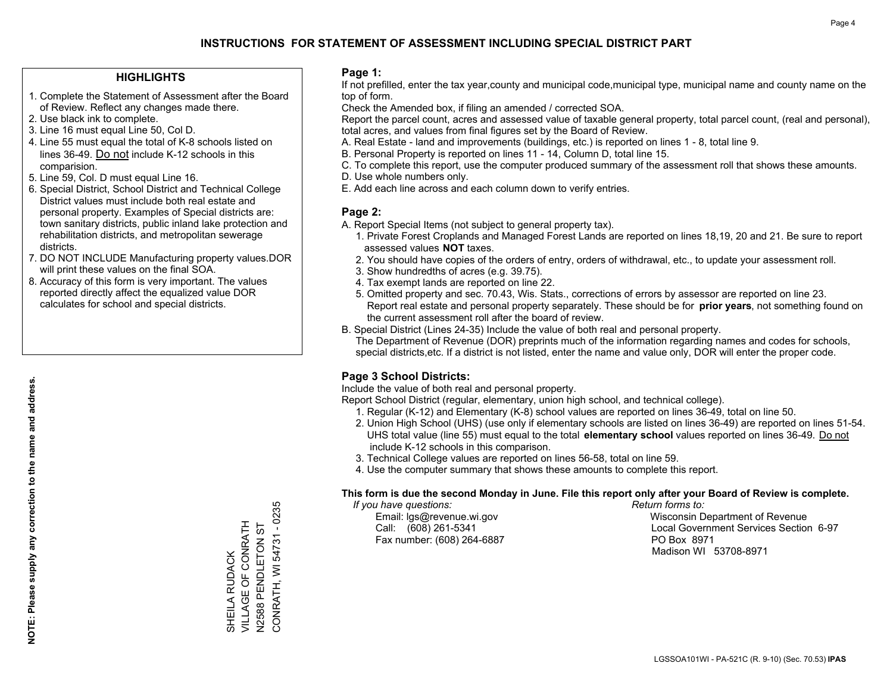#### **HIGHLIGHTS**

- 1. Complete the Statement of Assessment after the Board of Review. Reflect any changes made there.
- 2. Use black ink to complete.
- 3. Line 16 must equal Line 50, Col D.
- 4. Line 55 must equal the total of K-8 schools listed on lines 36-49. Do not include K-12 schools in this comparision.
- 5. Line 59, Col. D must equal Line 16.
- 6. Special District, School District and Technical College District values must include both real estate and personal property. Examples of Special districts are: town sanitary districts, public inland lake protection and rehabilitation districts, and metropolitan sewerage districts.
- 7. DO NOT INCLUDE Manufacturing property values.DOR will print these values on the final SOA.

SHEILA RUDACK VILLAGE OF CONRATH N2588 PENDLETON ST CONRATH, WI 54731 - 0235

SHEILA RUDACK<br>VILLAGE OF CONRATH N2588 PENDLETON ST

CONRATH, WI 54731 - 0235

 8. Accuracy of this form is very important. The values reported directly affect the equalized value DOR calculates for school and special districts.

#### **Page 1:**

 If not prefilled, enter the tax year,county and municipal code,municipal type, municipal name and county name on the top of form.

Check the Amended box, if filing an amended / corrected SOA.

 Report the parcel count, acres and assessed value of taxable general property, total parcel count, (real and personal), total acres, and values from final figures set by the Board of Review.

- A. Real Estate land and improvements (buildings, etc.) is reported on lines 1 8, total line 9.
- B. Personal Property is reported on lines 11 14, Column D, total line 15.
- C. To complete this report, use the computer produced summary of the assessment roll that shows these amounts.
- D. Use whole numbers only.
- E. Add each line across and each column down to verify entries.

#### **Page 2:**

- A. Report Special Items (not subject to general property tax).
- 1. Private Forest Croplands and Managed Forest Lands are reported on lines 18,19, 20 and 21. Be sure to report assessed values **NOT** taxes.
- 2. You should have copies of the orders of entry, orders of withdrawal, etc., to update your assessment roll.
	- 3. Show hundredths of acres (e.g. 39.75).
- 4. Tax exempt lands are reported on line 22.
- 5. Omitted property and sec. 70.43, Wis. Stats., corrections of errors by assessor are reported on line 23. Report real estate and personal property separately. These should be for **prior years**, not something found on the current assessment roll after the board of review.
- B. Special District (Lines 24-35) Include the value of both real and personal property.
- The Department of Revenue (DOR) preprints much of the information regarding names and codes for schools, special districts,etc. If a district is not listed, enter the name and value only, DOR will enter the proper code.

### **Page 3 School Districts:**

Include the value of both real and personal property.

Report School District (regular, elementary, union high school, and technical college).

- 1. Regular (K-12) and Elementary (K-8) school values are reported on lines 36-49, total on line 50.
- 2. Union High School (UHS) (use only if elementary schools are listed on lines 36-49) are reported on lines 51-54. UHS total value (line 55) must equal to the total **elementary school** values reported on lines 36-49. Do notinclude K-12 schools in this comparison.
- 3. Technical College values are reported on lines 56-58, total on line 59.
- 4. Use the computer summary that shows these amounts to complete this report.

#### **This form is due the second Monday in June. File this report only after your Board of Review is complete.**

 *If you have questions: Return forms to:*

Fax number: (608) 264-6887 PO Box 8971

 Email: lgs@revenue.wi.gov Wisconsin Department of Revenue Call: (608) 261-5341 Local Government Services Section 6-97Madison WI 53708-8971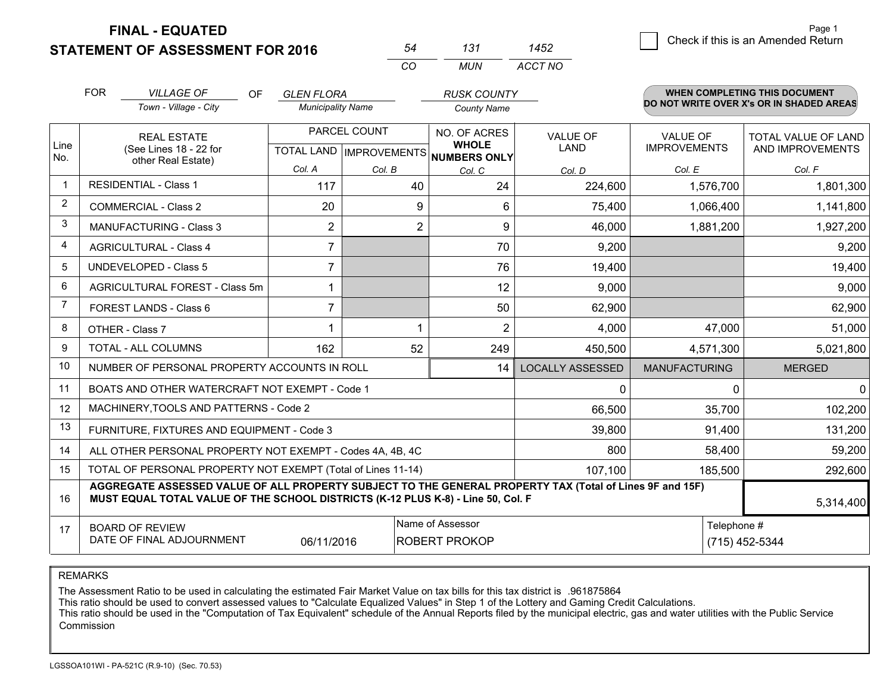**STATEMENT OF ASSESSMENT FOR 2016** 

**FINAL - EQUATED**

|                | <b>FOR</b>                                                                                                                                                                                                | <b>VILLAGE OF</b><br>OF.                                     | <b>GLEN FLORA</b>        |                | <b>RUSK COUNTY</b>                                                  |                         |                      | <b>WHEN COMPLETING THIS DOCUMENT</b><br>DO NOT WRITE OVER X's OR IN SHADED AREAS |
|----------------|-----------------------------------------------------------------------------------------------------------------------------------------------------------------------------------------------------------|--------------------------------------------------------------|--------------------------|----------------|---------------------------------------------------------------------|-------------------------|----------------------|----------------------------------------------------------------------------------|
|                |                                                                                                                                                                                                           | Town - Village - City                                        | <b>Municipality Name</b> |                | <b>County Name</b>                                                  |                         |                      |                                                                                  |
|                |                                                                                                                                                                                                           | <b>REAL ESTATE</b>                                           |                          | PARCEL COUNT   | NO. OF ACRES                                                        | <b>VALUE OF</b>         | <b>VALUE OF</b>      | <b>TOTAL VALUE OF LAND</b>                                                       |
| Line<br>No.    |                                                                                                                                                                                                           | (See Lines 18 - 22 for<br>other Real Estate)                 |                          |                | <b>WHOLE</b><br><b>LAND</b><br>TOTAL LAND IMPROVEMENTS NUMBERS ONLY |                         | <b>IMPROVEMENTS</b>  | AND IMPROVEMENTS                                                                 |
|                |                                                                                                                                                                                                           |                                                              | Col. A                   | Col. B         | Col. C                                                              | Col. D                  | Col. E               | Col. F                                                                           |
|                | <b>RESIDENTIAL - Class 1</b>                                                                                                                                                                              |                                                              | 117                      | 40             | 24                                                                  | 224,600                 | 1,576,700            | 1,801,300                                                                        |
| 2              |                                                                                                                                                                                                           | <b>COMMERCIAL - Class 2</b>                                  | 20                       | 9              | 6                                                                   | 75,400                  | 1,066,400            | 1,141,800                                                                        |
| 3              | <b>MANUFACTURING - Class 3</b>                                                                                                                                                                            |                                                              | $\overline{2}$           | $\overline{2}$ | 9                                                                   | 46,000                  | 1,881,200            | 1,927,200                                                                        |
| 4              | <b>AGRICULTURAL - Class 4</b>                                                                                                                                                                             |                                                              | $\overline{7}$           |                | 70                                                                  | 9,200                   |                      | 9,200                                                                            |
| 5              |                                                                                                                                                                                                           | <b>UNDEVELOPED - Class 5</b>                                 | $\overline{7}$           |                | 76                                                                  | 19,400                  |                      | 19,400                                                                           |
| 6              |                                                                                                                                                                                                           | AGRICULTURAL FOREST - Class 5m                               | 1                        |                | 12                                                                  | 9,000                   |                      | 9,000                                                                            |
| $\overline{7}$ |                                                                                                                                                                                                           | FOREST LANDS - Class 6                                       | $\overline{7}$           |                | 50                                                                  | 62,900                  |                      | 62,900                                                                           |
| 8              |                                                                                                                                                                                                           | OTHER - Class 7                                              |                          | 1              | 2                                                                   | 4,000                   | 47,000               | 51,000                                                                           |
| 9              |                                                                                                                                                                                                           | <b>TOTAL - ALL COLUMNS</b>                                   | 162                      | 52             | 249                                                                 | 450,500                 | 4,571,300            | 5,021,800                                                                        |
| 10             |                                                                                                                                                                                                           | NUMBER OF PERSONAL PROPERTY ACCOUNTS IN ROLL                 |                          |                | 14                                                                  | <b>LOCALLY ASSESSED</b> | <b>MANUFACTURING</b> | <b>MERGED</b>                                                                    |
| 11             |                                                                                                                                                                                                           | BOATS AND OTHER WATERCRAFT NOT EXEMPT - Code 1               |                          |                |                                                                     | $\mathbf 0$             | $\Omega$             | $\Omega$                                                                         |
| 12             |                                                                                                                                                                                                           | MACHINERY, TOOLS AND PATTERNS - Code 2                       |                          |                |                                                                     | 66,500                  | 35,700               | 102,200                                                                          |
| 13             |                                                                                                                                                                                                           | FURNITURE, FIXTURES AND EQUIPMENT - Code 3                   |                          |                |                                                                     | 39,800                  | 91,400               | 131,200                                                                          |
| 14             |                                                                                                                                                                                                           | ALL OTHER PERSONAL PROPERTY NOT EXEMPT - Codes 4A, 4B, 4C    |                          |                |                                                                     | 800                     | 58,400               | 59,200                                                                           |
| 15             |                                                                                                                                                                                                           | TOTAL OF PERSONAL PROPERTY NOT EXEMPT (Total of Lines 11-14) |                          |                |                                                                     | 107,100                 | 185,500              | 292,600                                                                          |
| 16             | AGGREGATE ASSESSED VALUE OF ALL PROPERTY SUBJECT TO THE GENERAL PROPERTY TAX (Total of Lines 9F and 15F)<br>MUST EQUAL TOTAL VALUE OF THE SCHOOL DISTRICTS (K-12 PLUS K-8) - Line 50, Col. F<br>5,314,400 |                                                              |                          |                |                                                                     |                         |                      |                                                                                  |
| 17             |                                                                                                                                                                                                           | <b>BOARD OF REVIEW</b>                                       |                          |                | Name of Assessor                                                    |                         | Telephone #          |                                                                                  |
|                | DATE OF FINAL ADJOURNMENT<br>06/11/2016<br><b>ROBERT PROKOP</b>                                                                                                                                           |                                                              |                          |                |                                                                     |                         |                      | (715) 452-5344                                                                   |

*CO*

*MUN*

*ACCT NO1452*

*<sup>54</sup> <sup>131</sup>*

REMARKS

The Assessment Ratio to be used in calculating the estimated Fair Market Value on tax bills for this tax district is .961875864<br>This ratio should be used to convert assessed values to "Calculate Equalized Values" in Step 1 Commission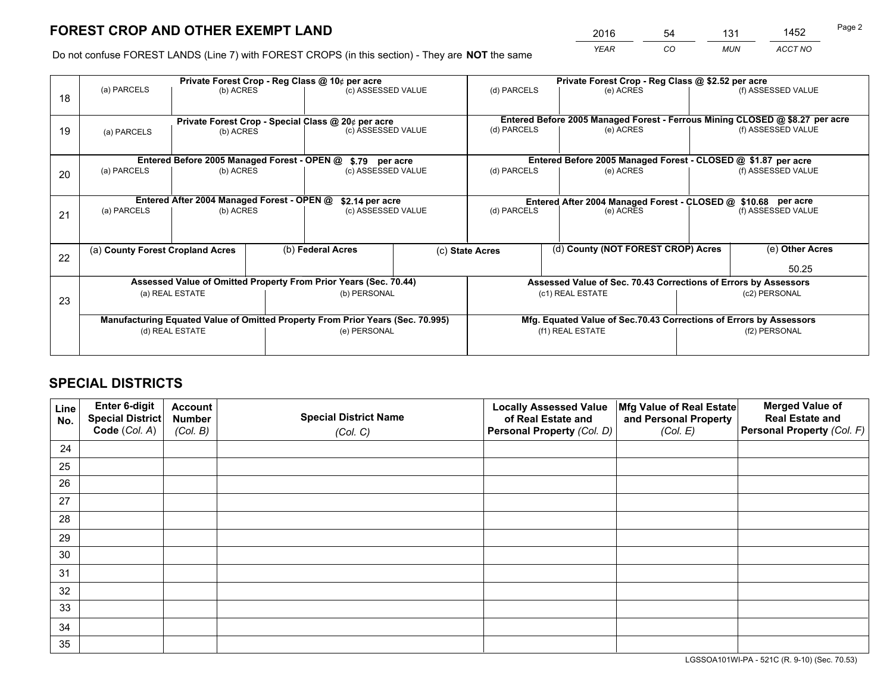*YEAR CO MUN ACCT NO* <sup>2016</sup> <sup>54</sup> <sup>131</sup> <sup>1452</sup>

Do not confuse FOREST LANDS (Line 7) with FOREST CROPS (in this section) - They are **NOT** the same

|    |                                                    |                                             |  | Private Forest Crop - Reg Class @ 10¢ per acre                                 |  |                                                                    | Private Forest Crop - Reg Class @ \$2.52 per acre                            |               |                                                                 |  |
|----|----------------------------------------------------|---------------------------------------------|--|--------------------------------------------------------------------------------|--|--------------------------------------------------------------------|------------------------------------------------------------------------------|---------------|-----------------------------------------------------------------|--|
| 18 | (a) PARCELS                                        | (b) ACRES                                   |  | (c) ASSESSED VALUE                                                             |  | (d) PARCELS                                                        | (e) ACRES                                                                    |               | (f) ASSESSED VALUE                                              |  |
|    |                                                    |                                             |  |                                                                                |  |                                                                    |                                                                              |               |                                                                 |  |
|    | Private Forest Crop - Special Class @ 20¢ per acre |                                             |  |                                                                                |  |                                                                    | Entered Before 2005 Managed Forest - Ferrous Mining CLOSED @ \$8.27 per acre |               |                                                                 |  |
| 19 | (a) PARCELS                                        | (b) ACRES                                   |  | (c) ASSESSED VALUE                                                             |  | (d) PARCELS                                                        | (e) ACRES                                                                    |               | (f) ASSESSED VALUE                                              |  |
|    |                                                    |                                             |  |                                                                                |  |                                                                    |                                                                              |               |                                                                 |  |
|    |                                                    | Entered Before 2005 Managed Forest - OPEN @ |  | \$.79 per acre                                                                 |  |                                                                    | Entered Before 2005 Managed Forest - CLOSED @ \$1.87 per acre                |               |                                                                 |  |
| 20 | (a) PARCELS                                        | (b) ACRES                                   |  | (c) ASSESSED VALUE                                                             |  | (d) PARCELS                                                        | (e) ACRES                                                                    |               | (f) ASSESSED VALUE                                              |  |
|    |                                                    |                                             |  |                                                                                |  |                                                                    |                                                                              |               |                                                                 |  |
|    |                                                    | Entered After 2004 Managed Forest - OPEN @  |  | \$2.14 per acre                                                                |  | Entered After 2004 Managed Forest - CLOSED @ \$10.68 per acre      |                                                                              |               |                                                                 |  |
| 21 | (a) PARCELS                                        | (b) ACRES                                   |  | (c) ASSESSED VALUE                                                             |  | (d) PARCELS<br>(e) ACRES                                           |                                                                              |               | (f) ASSESSED VALUE                                              |  |
|    |                                                    |                                             |  |                                                                                |  |                                                                    |                                                                              |               |                                                                 |  |
|    |                                                    |                                             |  |                                                                                |  |                                                                    | (d) County (NOT FOREST CROP) Acres                                           |               | (e) Other Acres                                                 |  |
| 22 | (a) County Forest Cropland Acres                   |                                             |  | (b) Federal Acres                                                              |  | (c) State Acres                                                    |                                                                              |               |                                                                 |  |
|    |                                                    |                                             |  |                                                                                |  |                                                                    |                                                                              |               | 50.25                                                           |  |
|    |                                                    |                                             |  | Assessed Value of Omitted Property From Prior Years (Sec. 70.44)               |  |                                                                    |                                                                              |               | Assessed Value of Sec. 70.43 Corrections of Errors by Assessors |  |
| 23 |                                                    | (a) REAL ESTATE                             |  | (b) PERSONAL                                                                   |  |                                                                    | (c1) REAL ESTATE                                                             |               | (c2) PERSONAL                                                   |  |
|    |                                                    |                                             |  |                                                                                |  |                                                                    |                                                                              |               |                                                                 |  |
|    |                                                    |                                             |  | Manufacturing Equated Value of Omitted Property From Prior Years (Sec. 70.995) |  | Mfg. Equated Value of Sec.70.43 Corrections of Errors by Assessors |                                                                              |               |                                                                 |  |
|    | (d) REAL ESTATE                                    |                                             |  | (e) PERSONAL                                                                   |  | (f1) REAL ESTATE                                                   |                                                                              | (f2) PERSONAL |                                                                 |  |
|    |                                                    |                                             |  |                                                                                |  |                                                                    |                                                                              |               |                                                                 |  |

## **SPECIAL DISTRICTS**

| Line<br>No. | Enter 6-digit<br>Special District<br>Code (Col. A) | <b>Account</b><br><b>Number</b> | <b>Special District Name</b> | <b>Locally Assessed Value</b><br>of Real Estate and | Mfg Value of Real Estate<br>and Personal Property | <b>Merged Value of</b><br><b>Real Estate and</b><br>Personal Property (Col. F) |
|-------------|----------------------------------------------------|---------------------------------|------------------------------|-----------------------------------------------------|---------------------------------------------------|--------------------------------------------------------------------------------|
|             |                                                    | (Col. B)                        | (Col. C)                     | Personal Property (Col. D)                          | (Col. E)                                          |                                                                                |
| 24          |                                                    |                                 |                              |                                                     |                                                   |                                                                                |
| 25          |                                                    |                                 |                              |                                                     |                                                   |                                                                                |
| 26          |                                                    |                                 |                              |                                                     |                                                   |                                                                                |
| 27          |                                                    |                                 |                              |                                                     |                                                   |                                                                                |
| 28          |                                                    |                                 |                              |                                                     |                                                   |                                                                                |
| 29          |                                                    |                                 |                              |                                                     |                                                   |                                                                                |
| 30          |                                                    |                                 |                              |                                                     |                                                   |                                                                                |
| 31          |                                                    |                                 |                              |                                                     |                                                   |                                                                                |
| 32          |                                                    |                                 |                              |                                                     |                                                   |                                                                                |
| 33          |                                                    |                                 |                              |                                                     |                                                   |                                                                                |
| 34          |                                                    |                                 |                              |                                                     |                                                   |                                                                                |
| 35          |                                                    |                                 |                              |                                                     |                                                   |                                                                                |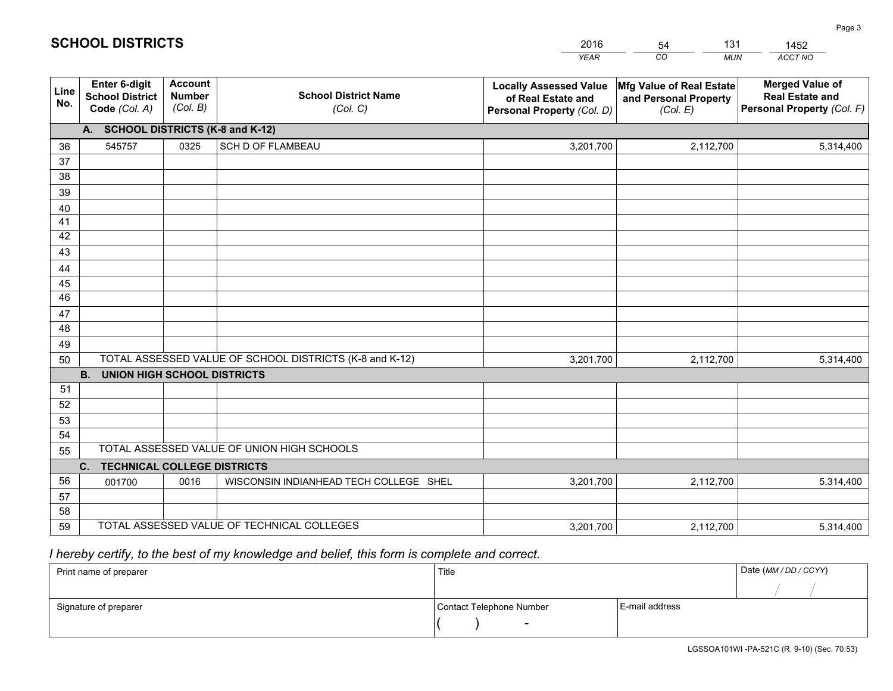|             |                                                                 |                                             |                                                         | YEAR                                                                              | CO<br><b>MUN</b>                                              | ACCT NO                                                                        |  |  |  |  |
|-------------|-----------------------------------------------------------------|---------------------------------------------|---------------------------------------------------------|-----------------------------------------------------------------------------------|---------------------------------------------------------------|--------------------------------------------------------------------------------|--|--|--|--|
| Line<br>No. | <b>Enter 6-digit</b><br><b>School District</b><br>Code (Col. A) | <b>Account</b><br><b>Number</b><br>(Col. B) | <b>School District Name</b><br>(Col. C)                 | <b>Locally Assessed Value</b><br>of Real Estate and<br>Personal Property (Col. D) | Mfg Value of Real Estate<br>and Personal Property<br>(Col. E) | <b>Merged Value of</b><br><b>Real Estate and</b><br>Personal Property (Col. F) |  |  |  |  |
|             | A. SCHOOL DISTRICTS (K-8 and K-12)                              |                                             |                                                         |                                                                                   |                                                               |                                                                                |  |  |  |  |
| 36          | 545757                                                          | 0325                                        | <b>SCH D OF FLAMBEAU</b>                                | 3,201,700                                                                         | 2,112,700                                                     | 5,314,400                                                                      |  |  |  |  |
| 37          |                                                                 |                                             |                                                         |                                                                                   |                                                               |                                                                                |  |  |  |  |
| 38          |                                                                 |                                             |                                                         |                                                                                   |                                                               |                                                                                |  |  |  |  |
| 39          |                                                                 |                                             |                                                         |                                                                                   |                                                               |                                                                                |  |  |  |  |
| 40          |                                                                 |                                             |                                                         |                                                                                   |                                                               |                                                                                |  |  |  |  |
| 41<br>42    |                                                                 |                                             |                                                         |                                                                                   |                                                               |                                                                                |  |  |  |  |
| 43          |                                                                 |                                             |                                                         |                                                                                   |                                                               |                                                                                |  |  |  |  |
| 44          |                                                                 |                                             |                                                         |                                                                                   |                                                               |                                                                                |  |  |  |  |
| 45          |                                                                 |                                             |                                                         |                                                                                   |                                                               |                                                                                |  |  |  |  |
| 46          |                                                                 |                                             |                                                         |                                                                                   |                                                               |                                                                                |  |  |  |  |
| 47          |                                                                 |                                             |                                                         |                                                                                   |                                                               |                                                                                |  |  |  |  |
| 48          |                                                                 |                                             |                                                         |                                                                                   |                                                               |                                                                                |  |  |  |  |
| 49          |                                                                 |                                             |                                                         |                                                                                   |                                                               |                                                                                |  |  |  |  |
| 50          |                                                                 |                                             | TOTAL ASSESSED VALUE OF SCHOOL DISTRICTS (K-8 and K-12) | 3,201,700                                                                         | 2,112,700                                                     | 5,314,400                                                                      |  |  |  |  |
|             | <b>B.</b><br><b>UNION HIGH SCHOOL DISTRICTS</b>                 |                                             |                                                         |                                                                                   |                                                               |                                                                                |  |  |  |  |
| 51<br>52    |                                                                 |                                             |                                                         |                                                                                   |                                                               |                                                                                |  |  |  |  |
| 53          |                                                                 |                                             |                                                         |                                                                                   |                                                               |                                                                                |  |  |  |  |
| 54          |                                                                 |                                             |                                                         |                                                                                   |                                                               |                                                                                |  |  |  |  |
| 55          |                                                                 |                                             | TOTAL ASSESSED VALUE OF UNION HIGH SCHOOLS              |                                                                                   |                                                               |                                                                                |  |  |  |  |
|             | C.<br><b>TECHNICAL COLLEGE DISTRICTS</b>                        |                                             |                                                         |                                                                                   |                                                               |                                                                                |  |  |  |  |
| 56          | 001700                                                          | 0016                                        | WISCONSIN INDIANHEAD TECH COLLEGE SHEL                  | 3,201,700                                                                         | 2,112,700                                                     | 5,314,400                                                                      |  |  |  |  |
| 57          |                                                                 |                                             |                                                         |                                                                                   |                                                               |                                                                                |  |  |  |  |
| 58          |                                                                 |                                             |                                                         |                                                                                   |                                                               |                                                                                |  |  |  |  |
| 59          |                                                                 |                                             | TOTAL ASSESSED VALUE OF TECHNICAL COLLEGES              | 3,201,700                                                                         | 2,112,700                                                     | 5,314,400                                                                      |  |  |  |  |

54

131

 *I hereby certify, to the best of my knowledge and belief, this form is complete and correct.*

**SCHOOL DISTRICTS**

| Print name of preparer | Title                    |                | Date (MM / DD / CCYY) |
|------------------------|--------------------------|----------------|-----------------------|
|                        |                          |                |                       |
| Signature of preparer  | Contact Telephone Number | E-mail address |                       |
|                        | $\sim$                   |                |                       |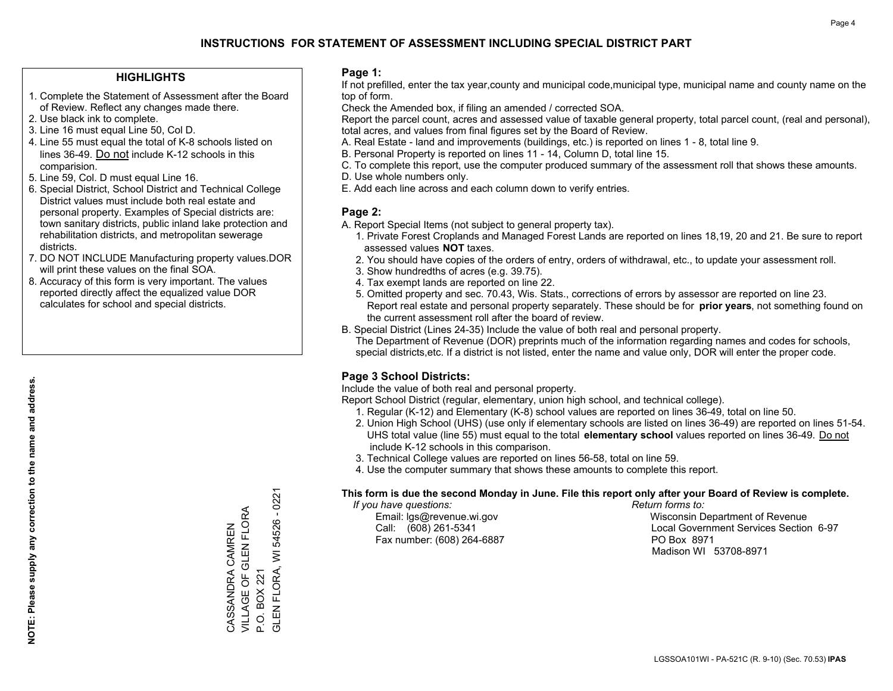#### **HIGHLIGHTS**

- 1. Complete the Statement of Assessment after the Board of Review. Reflect any changes made there.
- 2. Use black ink to complete.
- 3. Line 16 must equal Line 50, Col D.
- 4. Line 55 must equal the total of K-8 schools listed on lines 36-49. Do not include K-12 schools in this comparision.
- 5. Line 59, Col. D must equal Line 16.
- 6. Special District, School District and Technical College District values must include both real estate and personal property. Examples of Special districts are: town sanitary districts, public inland lake protection and rehabilitation districts, and metropolitan sewerage districts.
- 7. DO NOT INCLUDE Manufacturing property values.DOR will print these values on the final SOA.

CASSANDRA CAMREN VILLAGE OF GLEN FLORA

VILLAGE OF GLEN FLORA CASSANDRA CAMREN

P.O. BOX 221

P.O. BOX 221

GLEN FLORA, WI 54526 - 0221

GLEN FLORA, WI 54526 - 0221

 8. Accuracy of this form is very important. The values reported directly affect the equalized value DOR calculates for school and special districts.

#### **Page 1:**

 If not prefilled, enter the tax year,county and municipal code,municipal type, municipal name and county name on the top of form.

Check the Amended box, if filing an amended / corrected SOA.

 Report the parcel count, acres and assessed value of taxable general property, total parcel count, (real and personal), total acres, and values from final figures set by the Board of Review.

- A. Real Estate land and improvements (buildings, etc.) is reported on lines 1 8, total line 9.
- B. Personal Property is reported on lines 11 14, Column D, total line 15.
- C. To complete this report, use the computer produced summary of the assessment roll that shows these amounts.
- D. Use whole numbers only.
- E. Add each line across and each column down to verify entries.

#### **Page 2:**

- A. Report Special Items (not subject to general property tax).
- 1. Private Forest Croplands and Managed Forest Lands are reported on lines 18,19, 20 and 21. Be sure to report assessed values **NOT** taxes.
- 2. You should have copies of the orders of entry, orders of withdrawal, etc., to update your assessment roll.
	- 3. Show hundredths of acres (e.g. 39.75).
- 4. Tax exempt lands are reported on line 22.
- 5. Omitted property and sec. 70.43, Wis. Stats., corrections of errors by assessor are reported on line 23. Report real estate and personal property separately. These should be for **prior years**, not something found on the current assessment roll after the board of review.
- B. Special District (Lines 24-35) Include the value of both real and personal property.
- The Department of Revenue (DOR) preprints much of the information regarding names and codes for schools, special districts,etc. If a district is not listed, enter the name and value only, DOR will enter the proper code.

### **Page 3 School Districts:**

Include the value of both real and personal property.

Report School District (regular, elementary, union high school, and technical college).

- 1. Regular (K-12) and Elementary (K-8) school values are reported on lines 36-49, total on line 50.
- 2. Union High School (UHS) (use only if elementary schools are listed on lines 36-49) are reported on lines 51-54. UHS total value (line 55) must equal to the total **elementary school** values reported on lines 36-49. Do notinclude K-12 schools in this comparison.
- 3. Technical College values are reported on lines 56-58, total on line 59.
- 4. Use the computer summary that shows these amounts to complete this report.

#### **This form is due the second Monday in June. File this report only after your Board of Review is complete.**

 *If you have questions: Return forms to:*

Fax number: (608) 264-6887 PO Box 8971

 Email: lgs@revenue.wi.gov Wisconsin Department of Revenue Call: (608) 261-5341 Local Government Services Section 6-97Madison WI 53708-8971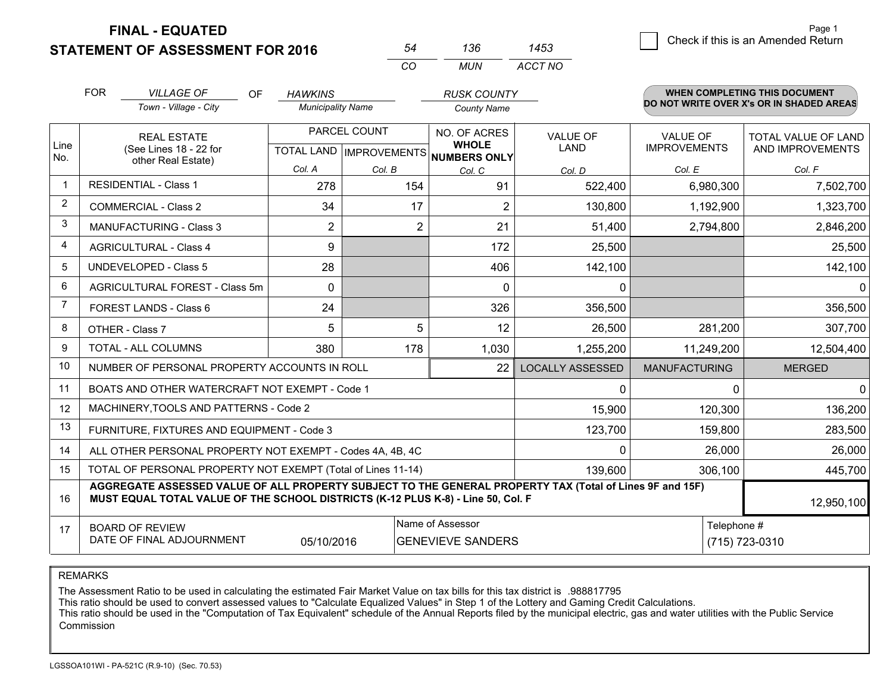**FINAL - EQUATED**

**STATEMENT OF ASSESSMENT FOR 2016** 

| 54  | 136 | 1453    |
|-----|-----|---------|
| CO. | MUN | ACCT NO |

|             | <b>FOR</b>                                                                                                                                                                                   | <b>VILLAGE OF</b><br><b>OF</b>                               | <b>HAWKINS</b>           |                                                | <b>RUSK COUNTY</b>                           |                         |                                        | <b>WHEN COMPLETING THIS DOCUMENT</b>     |
|-------------|----------------------------------------------------------------------------------------------------------------------------------------------------------------------------------------------|--------------------------------------------------------------|--------------------------|------------------------------------------------|----------------------------------------------|-------------------------|----------------------------------------|------------------------------------------|
|             |                                                                                                                                                                                              | Town - Village - City                                        | <b>Municipality Name</b> |                                                | <b>County Name</b>                           |                         |                                        | DO NOT WRITE OVER X's OR IN SHADED AREAS |
| Line<br>No. |                                                                                                                                                                                              | <b>REAL ESTATE</b><br>(See Lines 18 - 22 for                 |                          | PARCEL COUNT<br><b>TOTAL LAND IMPROVEMENTS</b> | NO. OF ACRES<br><b>WHOLE</b><br>NUMBERS ONLY | VALUE OF<br><b>LAND</b> | <b>VALUE OF</b><br><b>IMPROVEMENTS</b> | TOTAL VALUE OF LAND<br>AND IMPROVEMENTS  |
|             |                                                                                                                                                                                              | other Real Estate)                                           | Col. A                   | Col. B                                         | Col. C                                       | Col. D                  | Col. E                                 | Col. F                                   |
| $\mathbf 1$ |                                                                                                                                                                                              | <b>RESIDENTIAL - Class 1</b>                                 | 278                      | 154                                            | 91                                           | 522,400                 | 6,980,300                              | 7,502,700                                |
| 2           |                                                                                                                                                                                              | <b>COMMERCIAL - Class 2</b>                                  | 34                       | 17                                             | $\overline{2}$                               | 130,800                 | 1,192,900                              | 1,323,700                                |
| 3           |                                                                                                                                                                                              | <b>MANUFACTURING - Class 3</b>                               | $\overline{2}$           | $\overline{2}$                                 | 21                                           | 51,400                  | 2,794,800                              | 2,846,200                                |
| 4           |                                                                                                                                                                                              | <b>AGRICULTURAL - Class 4</b>                                | 9                        |                                                | 172                                          | 25,500                  |                                        | 25,500                                   |
| 5           |                                                                                                                                                                                              | UNDEVELOPED - Class 5                                        | 28                       |                                                | 406                                          | 142,100                 |                                        | 142,100                                  |
| 6           |                                                                                                                                                                                              | AGRICULTURAL FOREST - Class 5m                               | $\mathbf 0$              |                                                | $\mathbf 0$                                  | 0                       |                                        | $\mathbf 0$                              |
| 7           |                                                                                                                                                                                              | FOREST LANDS - Class 6                                       | 24                       |                                                | 326                                          | 356,500                 |                                        | 356,500                                  |
| 8           |                                                                                                                                                                                              | OTHER - Class 7                                              | 5                        | 5                                              | 12                                           | 26,500                  | 281,200                                | 307,700                                  |
| 9           |                                                                                                                                                                                              | TOTAL - ALL COLUMNS                                          | 380                      | 178                                            | 1,030                                        | 1,255,200               | 11,249,200                             | 12,504,400                               |
| 10          |                                                                                                                                                                                              | NUMBER OF PERSONAL PROPERTY ACCOUNTS IN ROLL                 |                          |                                                | 22                                           | <b>LOCALLY ASSESSED</b> | <b>MANUFACTURING</b>                   | <b>MERGED</b>                            |
| 11          |                                                                                                                                                                                              | BOATS AND OTHER WATERCRAFT NOT EXEMPT - Code 1               |                          |                                                |                                              | 0                       | 0                                      | $\Omega$                                 |
| 12          |                                                                                                                                                                                              | MACHINERY, TOOLS AND PATTERNS - Code 2                       |                          |                                                |                                              | 15,900                  | 120,300                                | 136,200                                  |
| 13          |                                                                                                                                                                                              | FURNITURE, FIXTURES AND EQUIPMENT - Code 3                   |                          |                                                |                                              | 123,700                 | 159,800                                | 283,500                                  |
| 14          |                                                                                                                                                                                              | ALL OTHER PERSONAL PROPERTY NOT EXEMPT - Codes 4A, 4B, 4C    |                          |                                                |                                              | $\mathbf{0}$            | 26,000                                 | 26,000                                   |
| 15          |                                                                                                                                                                                              | TOTAL OF PERSONAL PROPERTY NOT EXEMPT (Total of Lines 11-14) |                          | 139,600                                        | 306,100                                      | 445,700                 |                                        |                                          |
| 16          | AGGREGATE ASSESSED VALUE OF ALL PROPERTY SUBJECT TO THE GENERAL PROPERTY TAX (Total of Lines 9F and 15F)<br>MUST EQUAL TOTAL VALUE OF THE SCHOOL DISTRICTS (K-12 PLUS K-8) - Line 50, Col. F |                                                              |                          |                                                |                                              |                         |                                        | 12,950,100                               |
| 17          | Name of Assessor<br>Telephone #<br><b>BOARD OF REVIEW</b><br>DATE OF FINAL ADJOURNMENT<br>05/10/2016<br><b>GENEVIEVE SANDERS</b><br>(715) 723-0310                                           |                                                              |                          |                                                |                                              |                         |                                        |                                          |

REMARKS

The Assessment Ratio to be used in calculating the estimated Fair Market Value on tax bills for this tax district is .988817795<br>This ratio should be used to convert assessed values to "Calculate Equalized Values" in Step 1 Commission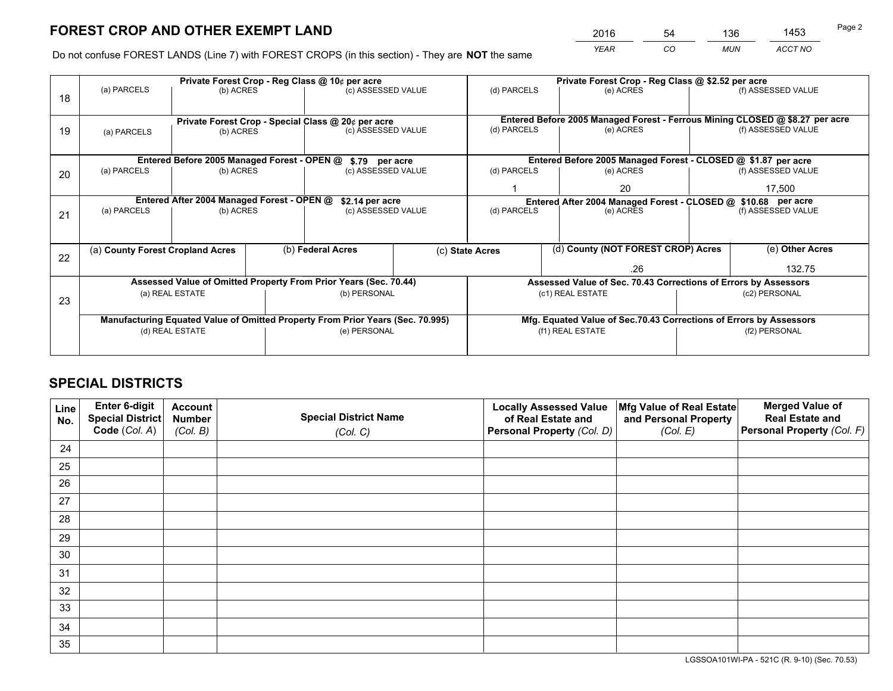*YEAR CO MUN ACCT NO* <sup>2016</sup> <sup>54</sup> <sup>136</sup> <sup>1453</sup>

Do not confuse FOREST LANDS (Line 7) with FOREST CROPS (in this section) - They are **NOT** the same

|    |                                                                                | Private Forest Crop - Reg Class @ 10¢ per acre        |  |                                                                  |                                                                              | Private Forest Crop - Reg Class @ \$2.52 per acre             |                                                                    |     |                    |                    |  |
|----|--------------------------------------------------------------------------------|-------------------------------------------------------|--|------------------------------------------------------------------|------------------------------------------------------------------------------|---------------------------------------------------------------|--------------------------------------------------------------------|-----|--------------------|--------------------|--|
| 18 | (a) PARCELS                                                                    | (b) ACRES                                             |  | (c) ASSESSED VALUE                                               |                                                                              | (d) PARCELS                                                   | (e) ACRES                                                          |     |                    | (f) ASSESSED VALUE |  |
|    |                                                                                |                                                       |  |                                                                  |                                                                              |                                                               |                                                                    |     |                    |                    |  |
|    | Private Forest Crop - Special Class @ 20¢ per acre                             |                                                       |  |                                                                  | Entered Before 2005 Managed Forest - Ferrous Mining CLOSED @ \$8.27 per acre |                                                               |                                                                    |     |                    |                    |  |
| 19 | (a) PARCELS                                                                    | (b) ACRES                                             |  | (c) ASSESSED VALUE                                               |                                                                              | (d) PARCELS                                                   | (e) ACRES                                                          |     |                    | (f) ASSESSED VALUE |  |
|    |                                                                                |                                                       |  |                                                                  |                                                                              |                                                               |                                                                    |     |                    |                    |  |
|    |                                                                                | Entered Before 2005 Managed Forest - OPEN @           |  | \$.79 per acre                                                   |                                                                              |                                                               | Entered Before 2005 Managed Forest - CLOSED @ \$1.87 per acre      |     |                    |                    |  |
| 20 | (a) PARCELS                                                                    | (b) ACRES                                             |  | (c) ASSESSED VALUE                                               |                                                                              | (d) PARCELS                                                   | (e) ACRES                                                          |     |                    | (f) ASSESSED VALUE |  |
|    |                                                                                |                                                       |  |                                                                  |                                                                              |                                                               | 20                                                                 |     | 17,500             |                    |  |
|    | Entered After 2004 Managed Forest - OPEN @<br>\$2.14 per acre                  |                                                       |  |                                                                  |                                                                              | Entered After 2004 Managed Forest - CLOSED @ \$10.68 per acre |                                                                    |     |                    |                    |  |
| 21 | (a) PARCELS                                                                    | (b) ACRES                                             |  | (c) ASSESSED VALUE                                               |                                                                              | (d) PARCELS<br>(e) ACRES                                      |                                                                    |     | (f) ASSESSED VALUE |                    |  |
|    |                                                                                |                                                       |  |                                                                  |                                                                              |                                                               |                                                                    |     |                    |                    |  |
|    |                                                                                | (b) Federal Acres<br>(a) County Forest Cropland Acres |  |                                                                  | (c) State Acres                                                              | (d) County (NOT FOREST CROP) Acres                            |                                                                    |     | (e) Other Acres    |                    |  |
| 22 |                                                                                |                                                       |  |                                                                  |                                                                              |                                                               |                                                                    | .26 |                    | 132.75             |  |
|    |                                                                                |                                                       |  | Assessed Value of Omitted Property From Prior Years (Sec. 70.44) |                                                                              |                                                               | Assessed Value of Sec. 70.43 Corrections of Errors by Assessors    |     |                    |                    |  |
| 23 |                                                                                | (a) REAL ESTATE                                       |  | (b) PERSONAL                                                     |                                                                              |                                                               | (c1) REAL ESTATE                                                   |     |                    | (c2) PERSONAL      |  |
|    |                                                                                |                                                       |  |                                                                  |                                                                              |                                                               |                                                                    |     |                    |                    |  |
|    | Manufacturing Equated Value of Omitted Property From Prior Years (Sec. 70.995) |                                                       |  |                                                                  |                                                                              |                                                               | Mfg. Equated Value of Sec.70.43 Corrections of Errors by Assessors |     |                    |                    |  |
|    | (d) REAL ESTATE                                                                |                                                       |  | (e) PERSONAL                                                     |                                                                              |                                                               | (f1) REAL ESTATE                                                   |     | (f2) PERSONAL      |                    |  |
|    |                                                                                |                                                       |  |                                                                  |                                                                              |                                                               |                                                                    |     |                    |                    |  |

## **SPECIAL DISTRICTS**

| Line<br>No. | Enter 6-digit<br><b>Special District</b> | <b>Account</b><br><b>Number</b> | <b>Special District Name</b> | <b>Locally Assessed Value</b><br>of Real Estate and | Mfg Value of Real Estate<br>and Personal Property | <b>Merged Value of</b><br><b>Real Estate and</b> |
|-------------|------------------------------------------|---------------------------------|------------------------------|-----------------------------------------------------|---------------------------------------------------|--------------------------------------------------|
|             | Code (Col. A)                            | (Col. B)                        | (Col. C)                     | Personal Property (Col. D)                          | (Col. E)                                          | Personal Property (Col. F)                       |
| 24          |                                          |                                 |                              |                                                     |                                                   |                                                  |
| 25          |                                          |                                 |                              |                                                     |                                                   |                                                  |
| 26          |                                          |                                 |                              |                                                     |                                                   |                                                  |
| 27          |                                          |                                 |                              |                                                     |                                                   |                                                  |
| 28          |                                          |                                 |                              |                                                     |                                                   |                                                  |
| 29          |                                          |                                 |                              |                                                     |                                                   |                                                  |
| 30          |                                          |                                 |                              |                                                     |                                                   |                                                  |
| 31          |                                          |                                 |                              |                                                     |                                                   |                                                  |
| 32          |                                          |                                 |                              |                                                     |                                                   |                                                  |
| 33          |                                          |                                 |                              |                                                     |                                                   |                                                  |
| 34          |                                          |                                 |                              |                                                     |                                                   |                                                  |
| 35          |                                          |                                 |                              |                                                     |                                                   |                                                  |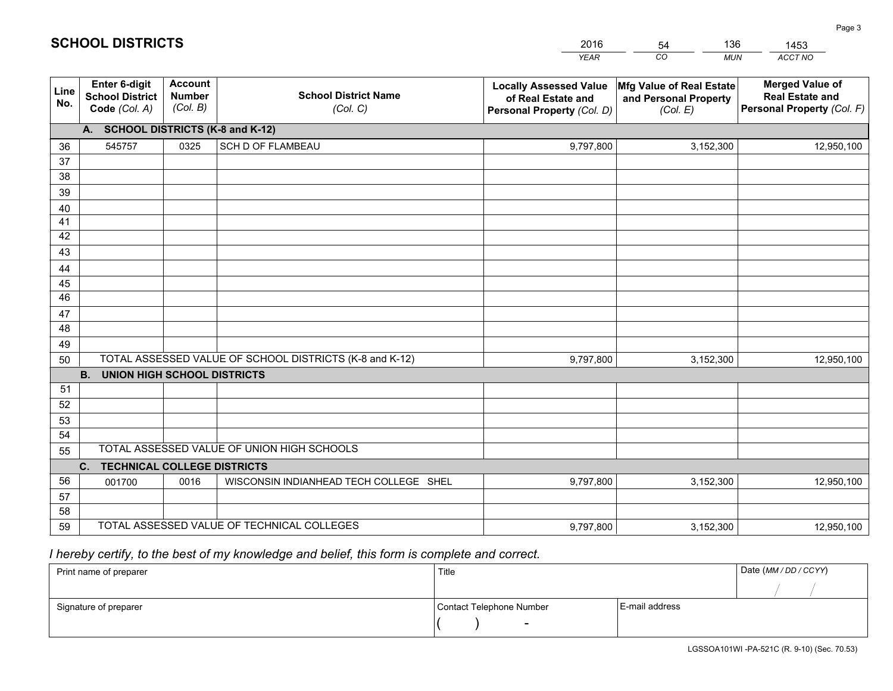|             |                                                                 |                                             |                                                         | <b>YEAR</b>                                                                       | CO<br><b>MUN</b>                                              | ACCT NO                                                                        |
|-------------|-----------------------------------------------------------------|---------------------------------------------|---------------------------------------------------------|-----------------------------------------------------------------------------------|---------------------------------------------------------------|--------------------------------------------------------------------------------|
| Line<br>No. | <b>Enter 6-digit</b><br><b>School District</b><br>Code (Col. A) | <b>Account</b><br><b>Number</b><br>(Col. B) | <b>School District Name</b><br>(Col. C)                 | <b>Locally Assessed Value</b><br>of Real Estate and<br>Personal Property (Col. D) | Mfg Value of Real Estate<br>and Personal Property<br>(Col. E) | <b>Merged Value of</b><br><b>Real Estate and</b><br>Personal Property (Col. F) |
|             | A. SCHOOL DISTRICTS (K-8 and K-12)                              |                                             |                                                         |                                                                                   |                                                               |                                                                                |
| 36          | 545757                                                          | 0325                                        | <b>SCH D OF FLAMBEAU</b>                                | 9,797,800                                                                         | 3,152,300                                                     | 12,950,100                                                                     |
| 37          |                                                                 |                                             |                                                         |                                                                                   |                                                               |                                                                                |
| 38          |                                                                 |                                             |                                                         |                                                                                   |                                                               |                                                                                |
| 39          |                                                                 |                                             |                                                         |                                                                                   |                                                               |                                                                                |
| 40          |                                                                 |                                             |                                                         |                                                                                   |                                                               |                                                                                |
| 41<br>42    |                                                                 |                                             |                                                         |                                                                                   |                                                               |                                                                                |
| 43          |                                                                 |                                             |                                                         |                                                                                   |                                                               |                                                                                |
| 44          |                                                                 |                                             |                                                         |                                                                                   |                                                               |                                                                                |
| 45          |                                                                 |                                             |                                                         |                                                                                   |                                                               |                                                                                |
| 46          |                                                                 |                                             |                                                         |                                                                                   |                                                               |                                                                                |
| 47          |                                                                 |                                             |                                                         |                                                                                   |                                                               |                                                                                |
| 48          |                                                                 |                                             |                                                         |                                                                                   |                                                               |                                                                                |
| 49          |                                                                 |                                             |                                                         |                                                                                   |                                                               |                                                                                |
| 50          |                                                                 |                                             | TOTAL ASSESSED VALUE OF SCHOOL DISTRICTS (K-8 and K-12) | 9,797,800                                                                         | 3,152,300                                                     | 12,950,100                                                                     |
|             | <b>B.</b><br>UNION HIGH SCHOOL DISTRICTS                        |                                             |                                                         |                                                                                   |                                                               |                                                                                |
| 51          |                                                                 |                                             |                                                         |                                                                                   |                                                               |                                                                                |
| 52          |                                                                 |                                             |                                                         |                                                                                   |                                                               |                                                                                |
| 53<br>54    |                                                                 |                                             |                                                         |                                                                                   |                                                               |                                                                                |
| 55          |                                                                 |                                             | TOTAL ASSESSED VALUE OF UNION HIGH SCHOOLS              |                                                                                   |                                                               |                                                                                |
|             | C.<br><b>TECHNICAL COLLEGE DISTRICTS</b>                        |                                             |                                                         |                                                                                   |                                                               |                                                                                |
| 56          | 001700                                                          | 0016                                        | WISCONSIN INDIANHEAD TECH COLLEGE SHEL                  | 9,797,800                                                                         | 3,152,300                                                     | 12,950,100                                                                     |
| 57          |                                                                 |                                             |                                                         |                                                                                   |                                                               |                                                                                |
| 58          |                                                                 |                                             |                                                         |                                                                                   |                                                               |                                                                                |
| 59          |                                                                 |                                             | TOTAL ASSESSED VALUE OF TECHNICAL COLLEGES              | 9,797,800                                                                         | 3,152,300                                                     | 12,950,100                                                                     |

 *I hereby certify, to the best of my knowledge and belief, this form is complete and correct.*

| Print name of preparer | Title                    |                | Date (MM / DD / CCYY) |
|------------------------|--------------------------|----------------|-----------------------|
|                        |                          |                |                       |
| Signature of preparer  | Contact Telephone Number | E-mail address |                       |
|                        | $\sim$                   |                |                       |

LGSSOA101WI -PA-521C (R. 9-10) (Sec. 70.53)

Page 3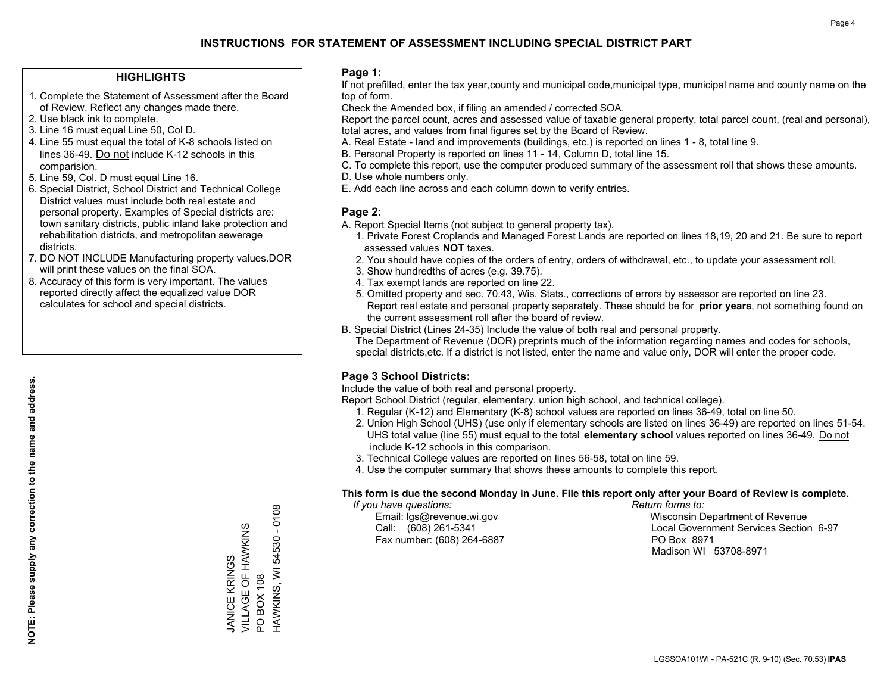## **HIGHLIGHTS**

- 1. Complete the Statement of Assessment after the Board of Review. Reflect any changes made there.
- 2. Use black ink to complete.
- 3. Line 16 must equal Line 50, Col D.
- 4. Line 55 must equal the total of K-8 schools listed on lines 36-49. Do not include K-12 schools in this comparision.
- 5. Line 59, Col. D must equal Line 16.
- 6. Special District, School District and Technical College District values must include both real estate and personal property. Examples of Special districts are: town sanitary districts, public inland lake protection and rehabilitation districts, and metropolitan sewerage districts.
- 7. DO NOT INCLUDE Manufacturing property values.DOR will print these values on the final SOA.

JANICE KRINGS

VILLAGE OF HAWKINS

JANICE KRINGS<br>VILLAGE OF HAWKINS

PO BOX 108

PO BOX 108

HAWKINS, WI 54530 - 0108

HAWKINS, WI 54530 - 0108

 8. Accuracy of this form is very important. The values reported directly affect the equalized value DOR calculates for school and special districts.

### **Page 1:**

 If not prefilled, enter the tax year,county and municipal code,municipal type, municipal name and county name on the top of form.

Check the Amended box, if filing an amended / corrected SOA.

 Report the parcel count, acres and assessed value of taxable general property, total parcel count, (real and personal), total acres, and values from final figures set by the Board of Review.

- A. Real Estate land and improvements (buildings, etc.) is reported on lines 1 8, total line 9.
- B. Personal Property is reported on lines 11 14, Column D, total line 15.
- C. To complete this report, use the computer produced summary of the assessment roll that shows these amounts.
- D. Use whole numbers only.
- E. Add each line across and each column down to verify entries.

### **Page 2:**

- A. Report Special Items (not subject to general property tax).
- 1. Private Forest Croplands and Managed Forest Lands are reported on lines 18,19, 20 and 21. Be sure to report assessed values **NOT** taxes.
- 2. You should have copies of the orders of entry, orders of withdrawal, etc., to update your assessment roll.
	- 3. Show hundredths of acres (e.g. 39.75).
- 4. Tax exempt lands are reported on line 22.
- 5. Omitted property and sec. 70.43, Wis. Stats., corrections of errors by assessor are reported on line 23. Report real estate and personal property separately. These should be for **prior years**, not something found on the current assessment roll after the board of review.
- B. Special District (Lines 24-35) Include the value of both real and personal property.
- The Department of Revenue (DOR) preprints much of the information regarding names and codes for schools, special districts,etc. If a district is not listed, enter the name and value only, DOR will enter the proper code.

## **Page 3 School Districts:**

Include the value of both real and personal property.

Report School District (regular, elementary, union high school, and technical college).

- 1. Regular (K-12) and Elementary (K-8) school values are reported on lines 36-49, total on line 50.
- 2. Union High School (UHS) (use only if elementary schools are listed on lines 36-49) are reported on lines 51-54. UHS total value (line 55) must equal to the total **elementary school** values reported on lines 36-49. Do notinclude K-12 schools in this comparison.
- 3. Technical College values are reported on lines 56-58, total on line 59.
- 4. Use the computer summary that shows these amounts to complete this report.

#### **This form is due the second Monday in June. File this report only after your Board of Review is complete.**

 *If you have questions: Return forms to:*

Fax number: (608) 264-6887 PO Box 8971

 Email: lgs@revenue.wi.gov Wisconsin Department of Revenue Call: (608) 261-5341 Local Government Services Section 6-97Madison WI 53708-8971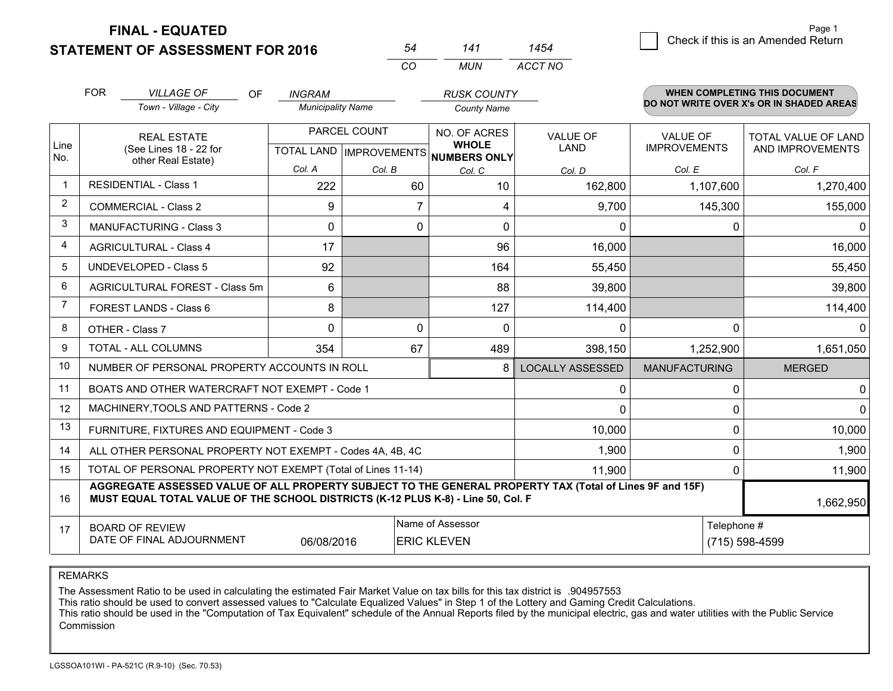**STATEMENT OF ASSESSMENT FOR 2016** 

**FINAL - EQUATED**

|                | <b>FOR</b>                                                                                                                                                                                   | <b>VILLAGE OF</b><br><b>OF</b>                            | <b>INGRAM</b>            |                | <b>RUSK COUNTY</b>                                   |                         |                      | <b>WHEN COMPLETING THIS DOCUMENT</b><br>DO NOT WRITE OVER X's OR IN SHADED AREAS |
|----------------|----------------------------------------------------------------------------------------------------------------------------------------------------------------------------------------------|-----------------------------------------------------------|--------------------------|----------------|------------------------------------------------------|-------------------------|----------------------|----------------------------------------------------------------------------------|
|                |                                                                                                                                                                                              | Town - Village - City                                     | <b>Municipality Name</b> |                | <b>County Name</b>                                   |                         |                      |                                                                                  |
|                |                                                                                                                                                                                              | <b>REAL ESTATE</b>                                        |                          | PARCEL COUNT   | NO. OF ACRES                                         | <b>VALUE OF</b>         | <b>VALUE OF</b>      | <b>TOTAL VALUE OF LAND</b>                                                       |
| Line<br>No.    |                                                                                                                                                                                              | (See Lines 18 - 22 for<br>other Real Estate)              |                          |                | <b>WHOLE</b><br>TOTAL LAND IMPROVEMENTS NUMBERS ONLY | LAND                    | <b>IMPROVEMENTS</b>  | AND IMPROVEMENTS                                                                 |
|                |                                                                                                                                                                                              |                                                           | Col. A                   | Col. B         | Col. C                                               | Col. D                  | Col. E               | Col. F                                                                           |
| $\mathbf{1}$   | <b>RESIDENTIAL - Class 1</b>                                                                                                                                                                 |                                                           | 222                      | 60             | 10                                                   | 162,800                 | 1,107,600            | 1,270,400                                                                        |
| 2              |                                                                                                                                                                                              | <b>COMMERCIAL - Class 2</b>                               | 9                        | $\overline{7}$ | 4                                                    | 9,700                   | 145,300              | 155,000                                                                          |
| 3              |                                                                                                                                                                                              | <b>MANUFACTURING - Class 3</b>                            | 0                        | 0              | 0                                                    | $\mathbf{0}$            | 0                    | 0                                                                                |
| $\overline{4}$ |                                                                                                                                                                                              | <b>AGRICULTURAL - Class 4</b>                             | 17                       |                | 96                                                   | 16,000                  |                      | 16,000                                                                           |
| 5              |                                                                                                                                                                                              | <b>UNDEVELOPED - Class 5</b>                              | 92                       |                | 164                                                  | 55,450                  |                      | 55,450                                                                           |
| 6              | AGRICULTURAL FOREST - Class 5m                                                                                                                                                               |                                                           | 6                        |                | 88                                                   | 39,800                  |                      | 39,800                                                                           |
| $\overline{7}$ | FOREST LANDS - Class 6                                                                                                                                                                       |                                                           | 8                        |                | 127                                                  | 114,400                 |                      | 114,400                                                                          |
| 8              |                                                                                                                                                                                              | OTHER - Class 7                                           | $\Omega$                 | $\Omega$       | $\Omega$                                             | $\Omega$                | 0                    | $\Omega$                                                                         |
| 9              |                                                                                                                                                                                              | TOTAL - ALL COLUMNS                                       | 354                      | 67             | 489                                                  | 398,150                 | 1,252,900            | 1,651,050                                                                        |
| 10             |                                                                                                                                                                                              | NUMBER OF PERSONAL PROPERTY ACCOUNTS IN ROLL              |                          |                | 8                                                    | <b>LOCALLY ASSESSED</b> | <b>MANUFACTURING</b> | <b>MERGED</b>                                                                    |
| 11             |                                                                                                                                                                                              | BOATS AND OTHER WATERCRAFT NOT EXEMPT - Code 1            |                          |                |                                                      | 0                       | 0                    | 0                                                                                |
| 12             |                                                                                                                                                                                              | MACHINERY, TOOLS AND PATTERNS - Code 2                    |                          |                |                                                      | $\Omega$                | $\Omega$             | $\Omega$                                                                         |
| 13             |                                                                                                                                                                                              | FURNITURE, FIXTURES AND EQUIPMENT - Code 3                |                          |                |                                                      | 10,000                  | 0                    | 10,000                                                                           |
| 14             |                                                                                                                                                                                              | ALL OTHER PERSONAL PROPERTY NOT EXEMPT - Codes 4A, 4B, 4C |                          | 1,900          | 0                                                    | 1,900                   |                      |                                                                                  |
| 15             | TOTAL OF PERSONAL PROPERTY NOT EXEMPT (Total of Lines 11-14)                                                                                                                                 |                                                           |                          |                |                                                      | 11,900                  | 0                    | 11,900                                                                           |
| 16             | AGGREGATE ASSESSED VALUE OF ALL PROPERTY SUBJECT TO THE GENERAL PROPERTY TAX (Total of Lines 9F and 15F)<br>MUST EQUAL TOTAL VALUE OF THE SCHOOL DISTRICTS (K-12 PLUS K-8) - Line 50, Col. F |                                                           |                          |                |                                                      |                         | 1,662,950            |                                                                                  |
| 17             |                                                                                                                                                                                              | <b>BOARD OF REVIEW</b>                                    |                          |                | Name of Assessor                                     |                         | Telephone #          |                                                                                  |
|                | DATE OF FINAL ADJOURNMENT<br>06/08/2016<br><b>ERIC KLEVEN</b>                                                                                                                                |                                                           |                          |                |                                                      |                         | (715) 598-4599       |                                                                                  |

*CO*

*MUN*

*ACCT NO1454*

*<sup>54</sup> <sup>141</sup>*

REMARKS

The Assessment Ratio to be used in calculating the estimated Fair Market Value on tax bills for this tax district is .904957553<br>This ratio should be used to convert assessed values to "Calculate Equalized Values" in Step 1 Commission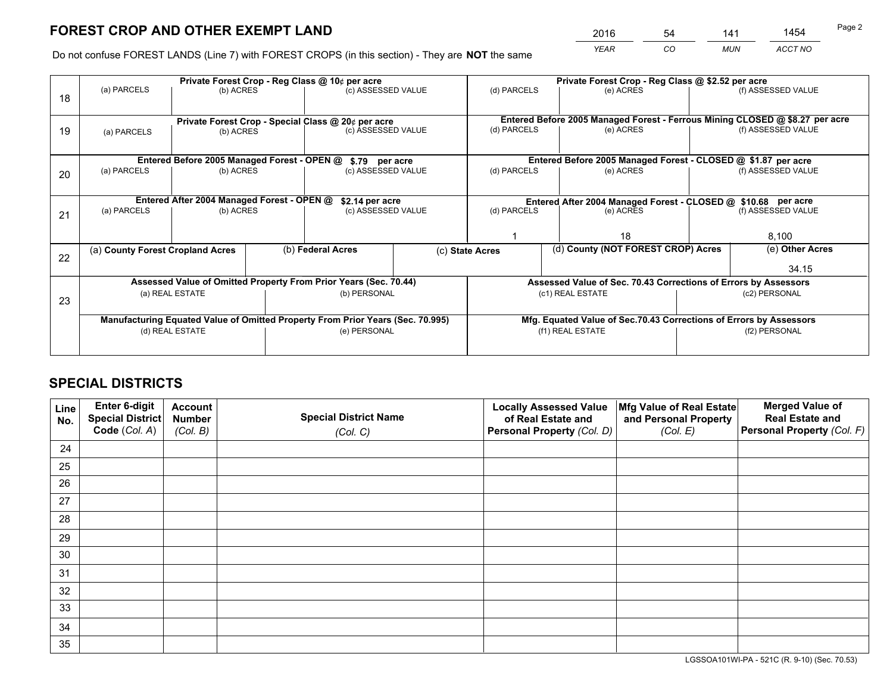*YEAR CO MUN ACCT NO* <sup>2016</sup> <sup>54</sup> <sup>141</sup> <sup>1454</sup>

Do not confuse FOREST LANDS (Line 7) with FOREST CROPS (in this section) - They are **NOT** the same

|                                                                                |             |                                                                        |                                     |                                                                                                                                             | Private Forest Crop - Reg Class @ \$2.52 per acre                                                                                                                                                                                                             |                                                                              |                    |                                                                                                                                                                                                                                              |  |
|--------------------------------------------------------------------------------|-------------|------------------------------------------------------------------------|-------------------------------------|---------------------------------------------------------------------------------------------------------------------------------------------|---------------------------------------------------------------------------------------------------------------------------------------------------------------------------------------------------------------------------------------------------------------|------------------------------------------------------------------------------|--------------------|----------------------------------------------------------------------------------------------------------------------------------------------------------------------------------------------------------------------------------------------|--|
|                                                                                |             |                                                                        |                                     |                                                                                                                                             |                                                                                                                                                                                                                                                               | (e) ACRES                                                                    |                    | (f) ASSESSED VALUE                                                                                                                                                                                                                           |  |
|                                                                                |             |                                                                        |                                     |                                                                                                                                             |                                                                                                                                                                                                                                                               | Entered Before 2005 Managed Forest - Ferrous Mining CLOSED @ \$8.27 per acre |                    |                                                                                                                                                                                                                                              |  |
| (a) PARCELS                                                                    |             |                                                                        |                                     |                                                                                                                                             | (d) PARCELS                                                                                                                                                                                                                                                   | (e) ACRES                                                                    |                    | (f) ASSESSED VALUE                                                                                                                                                                                                                           |  |
|                                                                                |             |                                                                        |                                     |                                                                                                                                             |                                                                                                                                                                                                                                                               |                                                                              |                    |                                                                                                                                                                                                                                              |  |
| (a) PARCELS                                                                    | (b) ACRES   |                                                                        |                                     |                                                                                                                                             | (d) PARCELS                                                                                                                                                                                                                                                   | (e) ACRES                                                                    |                    | (f) ASSESSED VALUE                                                                                                                                                                                                                           |  |
|                                                                                |             |                                                                        |                                     |                                                                                                                                             | Entered After 2004 Managed Forest - CLOSED @ \$10.68 per acre                                                                                                                                                                                                 |                                                                              |                    |                                                                                                                                                                                                                                              |  |
| (a) PARCELS                                                                    |             |                                                                        | (c) ASSESSED VALUE                  |                                                                                                                                             | (d) PARCELS<br>(e) ACRES                                                                                                                                                                                                                                      |                                                                              | (f) ASSESSED VALUE |                                                                                                                                                                                                                                              |  |
|                                                                                |             |                                                                        |                                     |                                                                                                                                             |                                                                                                                                                                                                                                                               |                                                                              |                    |                                                                                                                                                                                                                                              |  |
|                                                                                |             |                                                                        |                                     |                                                                                                                                             |                                                                                                                                                                                                                                                               | 18                                                                           |                    | 8,100                                                                                                                                                                                                                                        |  |
|                                                                                |             | (b) Federal Acres                                                      |                                     |                                                                                                                                             |                                                                                                                                                                                                                                                               |                                                                              | (e) Other Acres    |                                                                                                                                                                                                                                              |  |
|                                                                                |             |                                                                        |                                     |                                                                                                                                             |                                                                                                                                                                                                                                                               |                                                                              |                    | 34.15                                                                                                                                                                                                                                        |  |
|                                                                                |             |                                                                        |                                     |                                                                                                                                             |                                                                                                                                                                                                                                                               |                                                                              |                    |                                                                                                                                                                                                                                              |  |
|                                                                                |             |                                                                        |                                     |                                                                                                                                             | (c1) REAL ESTATE                                                                                                                                                                                                                                              |                                                                              | (c2) PERSONAL      |                                                                                                                                                                                                                                              |  |
|                                                                                |             |                                                                        |                                     |                                                                                                                                             |                                                                                                                                                                                                                                                               |                                                                              |                    |                                                                                                                                                                                                                                              |  |
| Manufacturing Equated Value of Omitted Property From Prior Years (Sec. 70.995) |             |                                                                        |                                     |                                                                                                                                             |                                                                                                                                                                                                                                                               |                                                                              |                    |                                                                                                                                                                                                                                              |  |
|                                                                                |             |                                                                        |                                     |                                                                                                                                             |                                                                                                                                                                                                                                                               |                                                                              | (f2) PERSONAL      |                                                                                                                                                                                                                                              |  |
|                                                                                |             |                                                                        |                                     |                                                                                                                                             |                                                                                                                                                                                                                                                               |                                                                              |                    |                                                                                                                                                                                                                                              |  |
|                                                                                | (a) PARCELS | (a) County Forest Cropland Acres<br>(a) REAL ESTATE<br>(d) REAL ESTATE | (b) ACRES<br>(b) ACRES<br>(b) ACRES | Private Forest Crop - Reg Class @ 10¢ per acre<br>Entered Before 2005 Managed Forest - OPEN @<br>Entered After 2004 Managed Forest - OPEN @ | (c) ASSESSED VALUE<br>Private Forest Crop - Special Class @ 20¢ per acre<br>(c) ASSESSED VALUE<br>\$.79 per acre<br>(c) ASSESSED VALUE<br>\$2.14 per acre<br>Assessed Value of Omitted Property From Prior Years (Sec. 70.44)<br>(b) PERSONAL<br>(e) PERSONAL | (d) PARCELS<br>(c) State Acres                                               | (f1) REAL ESTATE   | Entered Before 2005 Managed Forest - CLOSED @ \$1.87 per acre<br>(d) County (NOT FOREST CROP) Acres<br>Assessed Value of Sec. 70.43 Corrections of Errors by Assessors<br>Mfg. Equated Value of Sec.70.43 Corrections of Errors by Assessors |  |

## **SPECIAL DISTRICTS**

| Line<br>No. | Enter 6-digit<br>Special District<br>Code (Col. A) | <b>Account</b><br><b>Number</b><br>(Col. B) | <b>Special District Name</b><br>(Col. C) | <b>Locally Assessed Value</b><br>of Real Estate and<br>Personal Property (Col. D) | Mfg Value of Real Estate<br>and Personal Property<br>(Col. E) | <b>Merged Value of</b><br><b>Real Estate and</b><br>Personal Property (Col. F) |
|-------------|----------------------------------------------------|---------------------------------------------|------------------------------------------|-----------------------------------------------------------------------------------|---------------------------------------------------------------|--------------------------------------------------------------------------------|
| 24          |                                                    |                                             |                                          |                                                                                   |                                                               |                                                                                |
| 25          |                                                    |                                             |                                          |                                                                                   |                                                               |                                                                                |
| 26          |                                                    |                                             |                                          |                                                                                   |                                                               |                                                                                |
| 27          |                                                    |                                             |                                          |                                                                                   |                                                               |                                                                                |
| 28          |                                                    |                                             |                                          |                                                                                   |                                                               |                                                                                |
| 29          |                                                    |                                             |                                          |                                                                                   |                                                               |                                                                                |
| 30          |                                                    |                                             |                                          |                                                                                   |                                                               |                                                                                |
| 31          |                                                    |                                             |                                          |                                                                                   |                                                               |                                                                                |
| 32          |                                                    |                                             |                                          |                                                                                   |                                                               |                                                                                |
| 33          |                                                    |                                             |                                          |                                                                                   |                                                               |                                                                                |
| 34          |                                                    |                                             |                                          |                                                                                   |                                                               |                                                                                |
| 35          |                                                    |                                             |                                          |                                                                                   |                                                               |                                                                                |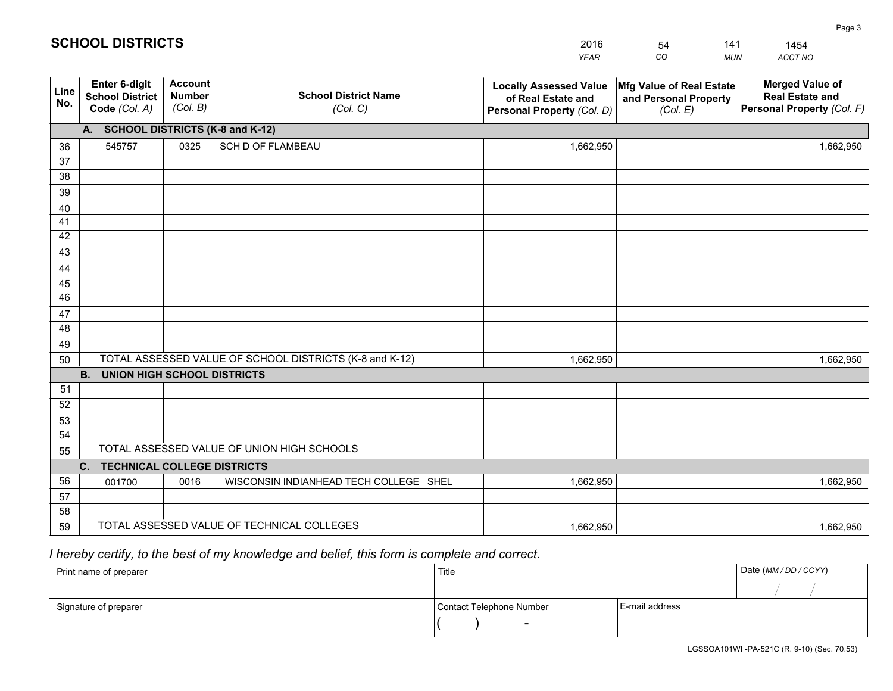|             |                                                          |                                             |                                                         | <b>YEAR</b>                                                                       | CO<br><b>MUN</b>                                              | ACCT NO                                                                        |
|-------------|----------------------------------------------------------|---------------------------------------------|---------------------------------------------------------|-----------------------------------------------------------------------------------|---------------------------------------------------------------|--------------------------------------------------------------------------------|
| Line<br>No. | Enter 6-digit<br><b>School District</b><br>Code (Col. A) | <b>Account</b><br><b>Number</b><br>(Col. B) | <b>School District Name</b><br>(Col. C)                 | <b>Locally Assessed Value</b><br>of Real Estate and<br>Personal Property (Col. D) | Mfg Value of Real Estate<br>and Personal Property<br>(Col. E) | <b>Merged Value of</b><br><b>Real Estate and</b><br>Personal Property (Col. F) |
|             | A. SCHOOL DISTRICTS (K-8 and K-12)                       |                                             |                                                         |                                                                                   |                                                               |                                                                                |
| 36          | 545757                                                   | 0325                                        | SCH D OF FLAMBEAU                                       | 1,662,950                                                                         |                                                               | 1,662,950                                                                      |
| 37          |                                                          |                                             |                                                         |                                                                                   |                                                               |                                                                                |
| 38          |                                                          |                                             |                                                         |                                                                                   |                                                               |                                                                                |
| 39          |                                                          |                                             |                                                         |                                                                                   |                                                               |                                                                                |
| 40          |                                                          |                                             |                                                         |                                                                                   |                                                               |                                                                                |
| 41          |                                                          |                                             |                                                         |                                                                                   |                                                               |                                                                                |
| 42          |                                                          |                                             |                                                         |                                                                                   |                                                               |                                                                                |
| 43          |                                                          |                                             |                                                         |                                                                                   |                                                               |                                                                                |
| 44          |                                                          |                                             |                                                         |                                                                                   |                                                               |                                                                                |
| 45<br>46    |                                                          |                                             |                                                         |                                                                                   |                                                               |                                                                                |
|             |                                                          |                                             |                                                         |                                                                                   |                                                               |                                                                                |
| 47<br>48    |                                                          |                                             |                                                         |                                                                                   |                                                               |                                                                                |
| 49          |                                                          |                                             |                                                         |                                                                                   |                                                               |                                                                                |
| 50          |                                                          |                                             | TOTAL ASSESSED VALUE OF SCHOOL DISTRICTS (K-8 and K-12) | 1,662,950                                                                         |                                                               | 1,662,950                                                                      |
|             | <b>B.</b><br><b>UNION HIGH SCHOOL DISTRICTS</b>          |                                             |                                                         |                                                                                   |                                                               |                                                                                |
| 51          |                                                          |                                             |                                                         |                                                                                   |                                                               |                                                                                |
| 52          |                                                          |                                             |                                                         |                                                                                   |                                                               |                                                                                |
| 53          |                                                          |                                             |                                                         |                                                                                   |                                                               |                                                                                |
| 54          |                                                          |                                             |                                                         |                                                                                   |                                                               |                                                                                |
| 55          |                                                          |                                             | TOTAL ASSESSED VALUE OF UNION HIGH SCHOOLS              |                                                                                   |                                                               |                                                                                |
|             | C.<br><b>TECHNICAL COLLEGE DISTRICTS</b>                 |                                             |                                                         |                                                                                   |                                                               |                                                                                |
| 56          | 001700                                                   | 0016                                        | WISCONSIN INDIANHEAD TECH COLLEGE SHEL                  | 1,662,950                                                                         |                                                               | 1,662,950                                                                      |
| 57          |                                                          |                                             |                                                         |                                                                                   |                                                               |                                                                                |
| 58          |                                                          |                                             |                                                         |                                                                                   |                                                               |                                                                                |
| 59          |                                                          |                                             | TOTAL ASSESSED VALUE OF TECHNICAL COLLEGES              | 1,662,950                                                                         |                                                               | 1,662,950                                                                      |

54

141

 *I hereby certify, to the best of my knowledge and belief, this form is complete and correct.*

**SCHOOL DISTRICTS**

| Print name of preparer | Title                    |                | Date (MM / DD / CCYY) |
|------------------------|--------------------------|----------------|-----------------------|
|                        |                          |                |                       |
| Signature of preparer  | Contact Telephone Number | E-mail address |                       |
|                        | $\sim$                   |                |                       |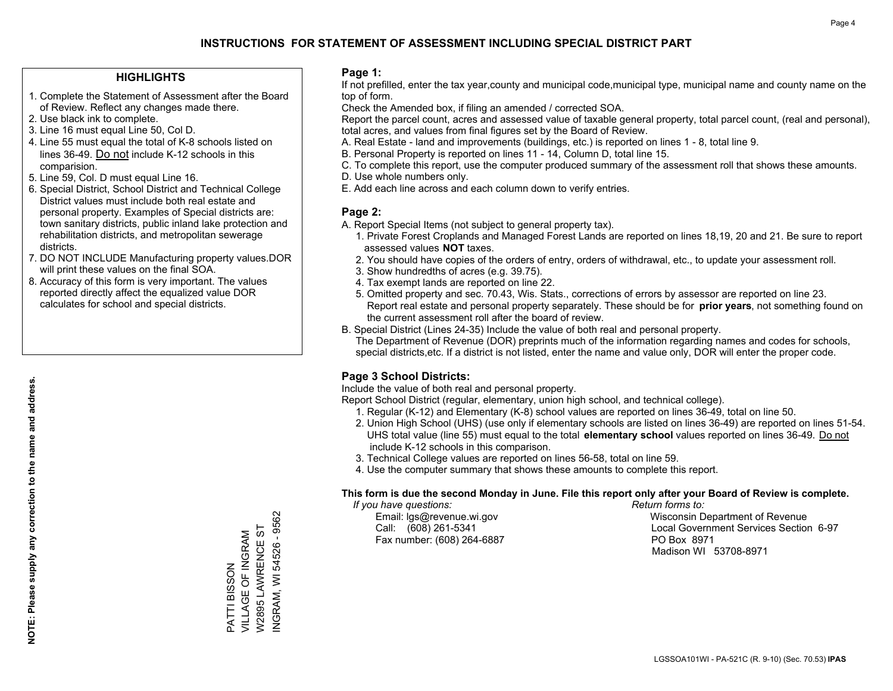## **HIGHLIGHTS**

- 1. Complete the Statement of Assessment after the Board of Review. Reflect any changes made there.
- 2. Use black ink to complete.
- 3. Line 16 must equal Line 50, Col D.
- 4. Line 55 must equal the total of K-8 schools listed on lines 36-49. Do not include K-12 schools in this comparision.
- 5. Line 59, Col. D must equal Line 16.
- 6. Special District, School District and Technical College District values must include both real estate and personal property. Examples of Special districts are: town sanitary districts, public inland lake protection and rehabilitation districts, and metropolitan sewerage districts.
- 7. DO NOT INCLUDE Manufacturing property values.DOR will print these values on the final SOA.

PATTI BISSON

VILLAGE OF INGRAM W2895 LAWRENCE ST INGRAM, WI 54526 - 9562

NGRAM, WI 54526 - 9562 W2895 LAWRENCE ST VILLAGE OF INGRAM PATTI BISSON

 8. Accuracy of this form is very important. The values reported directly affect the equalized value DOR calculates for school and special districts.

### **Page 1:**

 If not prefilled, enter the tax year,county and municipal code,municipal type, municipal name and county name on the top of form.

Check the Amended box, if filing an amended / corrected SOA.

 Report the parcel count, acres and assessed value of taxable general property, total parcel count, (real and personal), total acres, and values from final figures set by the Board of Review.

- A. Real Estate land and improvements (buildings, etc.) is reported on lines 1 8, total line 9.
- B. Personal Property is reported on lines 11 14, Column D, total line 15.
- C. To complete this report, use the computer produced summary of the assessment roll that shows these amounts.
- D. Use whole numbers only.
- E. Add each line across and each column down to verify entries.

## **Page 2:**

- A. Report Special Items (not subject to general property tax).
- 1. Private Forest Croplands and Managed Forest Lands are reported on lines 18,19, 20 and 21. Be sure to report assessed values **NOT** taxes.
- 2. You should have copies of the orders of entry, orders of withdrawal, etc., to update your assessment roll.
	- 3. Show hundredths of acres (e.g. 39.75).
- 4. Tax exempt lands are reported on line 22.
- 5. Omitted property and sec. 70.43, Wis. Stats., corrections of errors by assessor are reported on line 23. Report real estate and personal property separately. These should be for **prior years**, not something found on the current assessment roll after the board of review.
- B. Special District (Lines 24-35) Include the value of both real and personal property.

 The Department of Revenue (DOR) preprints much of the information regarding names and codes for schools, special districts,etc. If a district is not listed, enter the name and value only, DOR will enter the proper code.

## **Page 3 School Districts:**

Include the value of both real and personal property.

Report School District (regular, elementary, union high school, and technical college).

- 1. Regular (K-12) and Elementary (K-8) school values are reported on lines 36-49, total on line 50.
- 2. Union High School (UHS) (use only if elementary schools are listed on lines 36-49) are reported on lines 51-54. UHS total value (line 55) must equal to the total **elementary school** values reported on lines 36-49. Do notinclude K-12 schools in this comparison.
- 3. Technical College values are reported on lines 56-58, total on line 59.
- 4. Use the computer summary that shows these amounts to complete this report.

#### **This form is due the second Monday in June. File this report only after your Board of Review is complete.**

 *If you have questions: Return forms to:*

Fax number: (608) 264-6887 PO Box 8971

 Email: lgs@revenue.wi.gov Wisconsin Department of Revenue Call: (608) 261-5341 Local Government Services Section 6-97Madison WI 53708-8971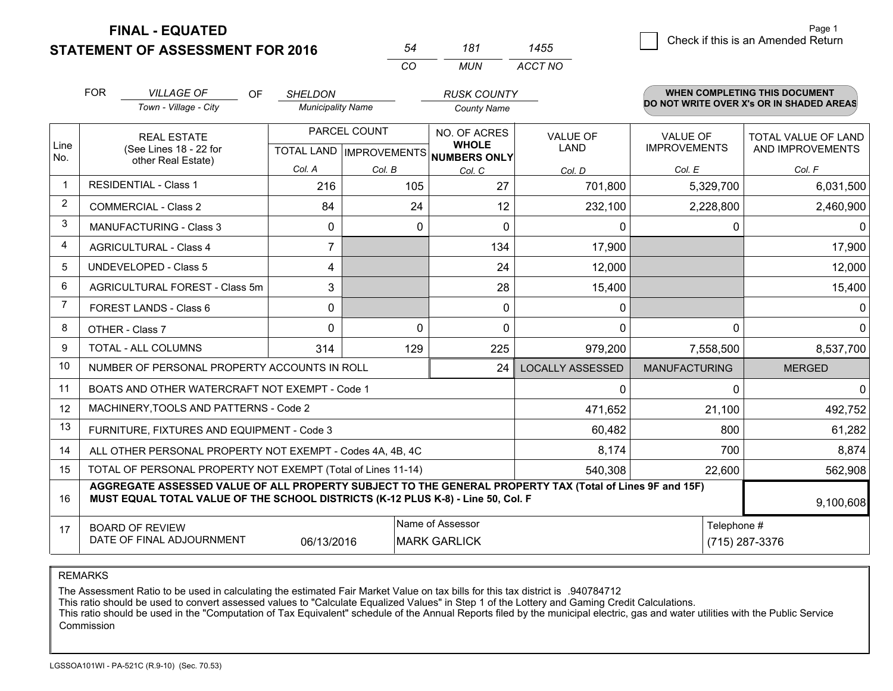**STATEMENT OF ASSESSMENT FOR 2016 FINAL - EQUATED**

|                | <b>FOR</b><br><b>VILLAGE OF</b><br>OF.<br>Town - Village - City                                                                                                                              | <b>SHELDON</b><br><b>Municipality Name</b> |                                                | <b>RUSK COUNTY</b><br><b>County Name</b>            |                                |                                        | <b>WHEN COMPLETING THIS DOCUMENT</b><br>DO NOT WRITE OVER X's OR IN SHADED AREAS |
|----------------|----------------------------------------------------------------------------------------------------------------------------------------------------------------------------------------------|--------------------------------------------|------------------------------------------------|-----------------------------------------------------|--------------------------------|----------------------------------------|----------------------------------------------------------------------------------|
| Line           | <b>REAL ESTATE</b><br>(See Lines 18 - 22 for                                                                                                                                                 |                                            | PARCEL COUNT<br><b>TOTAL LAND IMPROVEMENTS</b> | NO. OF ACRES<br><b>WHOLE</b><br><b>NUMBERS ONLY</b> | <b>VALUE OF</b><br><b>LAND</b> | <b>VALUE OF</b><br><b>IMPROVEMENTS</b> | TOTAL VALUE OF LAND<br>AND IMPROVEMENTS                                          |
| No.            | other Real Estate)                                                                                                                                                                           | Col. A                                     | Col. B                                         | Col. C                                              | Col. D                         | Col. E                                 | Col. F                                                                           |
| -1             | <b>RESIDENTIAL - Class 1</b>                                                                                                                                                                 | 216                                        | 105                                            | 27                                                  | 701,800                        | 5,329,700                              | 6,031,500                                                                        |
| 2              | <b>COMMERCIAL - Class 2</b>                                                                                                                                                                  | 84                                         | 24                                             | 12                                                  | 232,100                        | 2,228,800                              | 2,460,900                                                                        |
| 3              | <b>MANUFACTURING - Class 3</b>                                                                                                                                                               | $\mathbf{0}$                               | $\Omega$                                       | $\Omega$                                            | 0                              | $\mathbf{0}$                           | 0                                                                                |
| 4              | <b>AGRICULTURAL - Class 4</b>                                                                                                                                                                | $\overline{7}$                             |                                                | 134                                                 | 17,900                         |                                        | 17,900                                                                           |
| 5              | <b>UNDEVELOPED - Class 5</b>                                                                                                                                                                 | $\overline{4}$                             |                                                | 24                                                  | 12,000                         |                                        | 12,000                                                                           |
| 6              | AGRICULTURAL FOREST - Class 5m                                                                                                                                                               | 3                                          |                                                | 28                                                  | 15,400                         |                                        | 15,400                                                                           |
| $\overline{7}$ | FOREST LANDS - Class 6                                                                                                                                                                       | 0                                          |                                                | 0                                                   | 0                              |                                        | 0                                                                                |
| 8              | OTHER - Class 7                                                                                                                                                                              | $\Omega$                                   | $\Omega$                                       | $\Omega$                                            | $\Omega$                       | $\mathbf{0}$                           | $\mathbf 0$                                                                      |
| 9              | TOTAL - ALL COLUMNS                                                                                                                                                                          | 314                                        | 129                                            | 225                                                 | 979,200                        | 7,558,500                              | 8,537,700                                                                        |
| 10             | NUMBER OF PERSONAL PROPERTY ACCOUNTS IN ROLL                                                                                                                                                 |                                            |                                                | 24                                                  | <b>LOCALLY ASSESSED</b>        | <b>MANUFACTURING</b>                   | <b>MERGED</b>                                                                    |
| 11             | BOATS AND OTHER WATERCRAFT NOT EXEMPT - Code 1                                                                                                                                               |                                            |                                                |                                                     | 0                              | 0                                      | $\mathbf 0$                                                                      |
| 12             | MACHINERY, TOOLS AND PATTERNS - Code 2                                                                                                                                                       |                                            |                                                |                                                     | 471,652                        | 21,100                                 | 492,752                                                                          |
| 13             | FURNITURE, FIXTURES AND EQUIPMENT - Code 3                                                                                                                                                   |                                            |                                                |                                                     | 60,482                         | 800                                    | 61,282                                                                           |
| 14             | ALL OTHER PERSONAL PROPERTY NOT EXEMPT - Codes 4A, 4B, 4C                                                                                                                                    |                                            |                                                |                                                     | 8,174                          | 700                                    | 8,874                                                                            |
| 15             | TOTAL OF PERSONAL PROPERTY NOT EXEMPT (Total of Lines 11-14)                                                                                                                                 |                                            |                                                |                                                     | 540,308                        | 22,600                                 | 562,908                                                                          |
| 16             | AGGREGATE ASSESSED VALUE OF ALL PROPERTY SUBJECT TO THE GENERAL PROPERTY TAX (Total of Lines 9F and 15F)<br>MUST EQUAL TOTAL VALUE OF THE SCHOOL DISTRICTS (K-12 PLUS K-8) - Line 50, Col. F |                                            |                                                |                                                     |                                |                                        | 9,100,608                                                                        |
| 17             | <b>BOARD OF REVIEW</b><br>DATE OF FINAL ADJOURNMENT                                                                                                                                          | 06/13/2016                                 |                                                | Name of Assessor<br><b>MARK GARLICK</b>             |                                | Telephone #<br>(715) 287-3376          |                                                                                  |

*CO*

*MUN*

*ACCT NO1455*

*<sup>54</sup> <sup>181</sup>*

REMARKS

The Assessment Ratio to be used in calculating the estimated Fair Market Value on tax bills for this tax district is .940784712<br>This ratio should be used to convert assessed values to "Calculate Equalized Values" in Step 1 Commission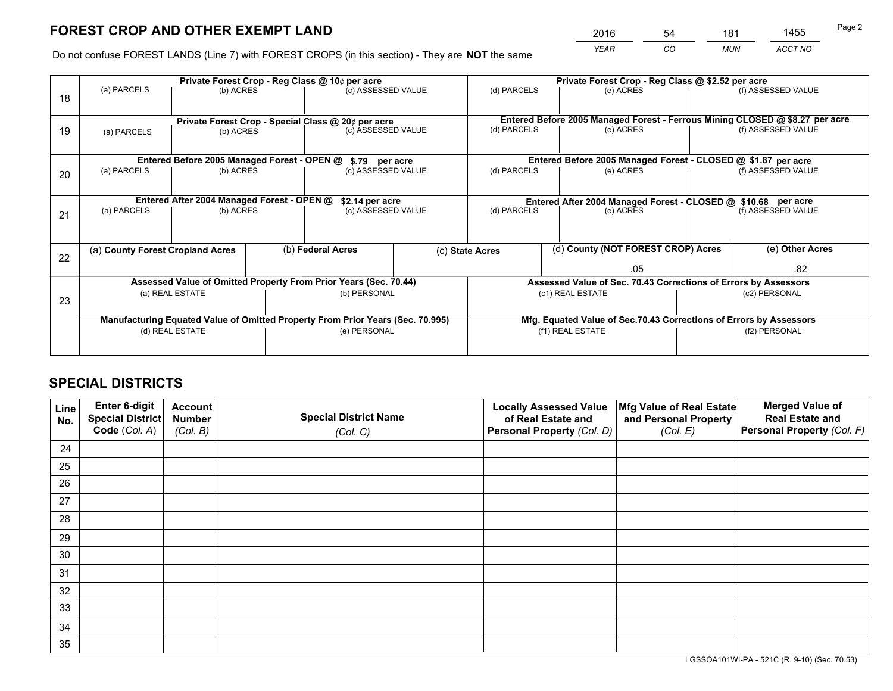*YEAR CO MUN ACCT NO* <sup>2016</sup> <sup>54</sup> <sup>181</sup> <sup>1455</sup>

Do not confuse FOREST LANDS (Line 7) with FOREST CROPS (in this section) - They are **NOT** the same

|    |                                                               |                 |                                                               | Private Forest Crop - Reg Class @ 10¢ per acre                                 |                                                                              |                 |                  | Private Forest Crop - Reg Class @ \$2.52 per acre                  |                                                                 |                                                               |
|----|---------------------------------------------------------------|-----------------|---------------------------------------------------------------|--------------------------------------------------------------------------------|------------------------------------------------------------------------------|-----------------|------------------|--------------------------------------------------------------------|-----------------------------------------------------------------|---------------------------------------------------------------|
| 18 | (a) PARCELS                                                   | (b) ACRES       |                                                               | (c) ASSESSED VALUE                                                             |                                                                              | (d) PARCELS     |                  | (e) ACRES                                                          |                                                                 | (f) ASSESSED VALUE                                            |
|    |                                                               |                 |                                                               |                                                                                |                                                                              |                 |                  |                                                                    |                                                                 |                                                               |
|    | Private Forest Crop - Special Class @ 20¢ per acre            |                 |                                                               |                                                                                | Entered Before 2005 Managed Forest - Ferrous Mining CLOSED @ \$8.27 per acre |                 |                  |                                                                    |                                                                 |                                                               |
| 19 | (a) PARCELS                                                   | (b) ACRES       |                                                               | (c) ASSESSED VALUE                                                             |                                                                              | (d) PARCELS     |                  | (e) ACRES                                                          |                                                                 | (f) ASSESSED VALUE                                            |
|    |                                                               |                 |                                                               |                                                                                |                                                                              |                 |                  |                                                                    |                                                                 |                                                               |
|    | Entered Before 2005 Managed Forest - OPEN @<br>\$.79 per acre |                 |                                                               |                                                                                |                                                                              |                 |                  |                                                                    |                                                                 | Entered Before 2005 Managed Forest - CLOSED @ \$1.87 per acre |
| 20 | (a) PARCELS                                                   | (b) ACRES       |                                                               | (c) ASSESSED VALUE                                                             |                                                                              | (d) PARCELS     |                  | (e) ACRES                                                          |                                                                 | (f) ASSESSED VALUE                                            |
|    |                                                               |                 |                                                               |                                                                                |                                                                              |                 |                  |                                                                    |                                                                 |                                                               |
|    | Entered After 2004 Managed Forest - OPEN @                    | \$2.14 per acre | Entered After 2004 Managed Forest - CLOSED @ \$10.68 per acre |                                                                                |                                                                              |                 |                  |                                                                    |                                                                 |                                                               |
| 21 | (a) PARCELS                                                   | (b) ACRES       |                                                               | (c) ASSESSED VALUE                                                             |                                                                              | (d) PARCELS     |                  | (e) ACRES                                                          |                                                                 | (f) ASSESSED VALUE                                            |
|    |                                                               |                 |                                                               |                                                                                |                                                                              |                 |                  |                                                                    |                                                                 |                                                               |
|    | (a) County Forest Cropland Acres                              |                 |                                                               | (b) Federal Acres                                                              |                                                                              | (c) State Acres |                  | (d) County (NOT FOREST CROP) Acres                                 |                                                                 | (e) Other Acres                                               |
| 22 |                                                               |                 |                                                               |                                                                                |                                                                              |                 |                  |                                                                    |                                                                 |                                                               |
|    |                                                               |                 |                                                               |                                                                                |                                                                              |                 |                  | .05                                                                |                                                                 | .82                                                           |
|    |                                                               |                 |                                                               | Assessed Value of Omitted Property From Prior Years (Sec. 70.44)               |                                                                              |                 |                  |                                                                    | Assessed Value of Sec. 70.43 Corrections of Errors by Assessors |                                                               |
| 23 |                                                               | (a) REAL ESTATE |                                                               | (b) PERSONAL                                                                   |                                                                              |                 | (c1) REAL ESTATE |                                                                    |                                                                 | (c2) PERSONAL                                                 |
|    |                                                               |                 |                                                               |                                                                                |                                                                              |                 |                  |                                                                    |                                                                 |                                                               |
|    |                                                               |                 |                                                               | Manufacturing Equated Value of Omitted Property From Prior Years (Sec. 70.995) |                                                                              |                 |                  | Mfg. Equated Value of Sec.70.43 Corrections of Errors by Assessors |                                                                 |                                                               |
|    | (d) REAL ESTATE                                               |                 |                                                               | (e) PERSONAL                                                                   |                                                                              |                 | (f1) REAL ESTATE |                                                                    | (f2) PERSONAL                                                   |                                                               |
|    |                                                               |                 |                                                               |                                                                                |                                                                              |                 |                  |                                                                    |                                                                 |                                                               |

## **SPECIAL DISTRICTS**

| Line<br>No. | Enter 6-digit<br>Special District<br>Code (Col. A) | <b>Account</b><br><b>Number</b> | <b>Special District Name</b> | <b>Locally Assessed Value</b><br>of Real Estate and | Mfg Value of Real Estate<br>and Personal Property | <b>Merged Value of</b><br><b>Real Estate and</b><br>Personal Property (Col. F) |
|-------------|----------------------------------------------------|---------------------------------|------------------------------|-----------------------------------------------------|---------------------------------------------------|--------------------------------------------------------------------------------|
|             |                                                    | (Col. B)                        | (Col. C)                     | Personal Property (Col. D)                          | (Col. E)                                          |                                                                                |
| 24          |                                                    |                                 |                              |                                                     |                                                   |                                                                                |
| 25          |                                                    |                                 |                              |                                                     |                                                   |                                                                                |
| 26          |                                                    |                                 |                              |                                                     |                                                   |                                                                                |
| 27          |                                                    |                                 |                              |                                                     |                                                   |                                                                                |
| 28          |                                                    |                                 |                              |                                                     |                                                   |                                                                                |
| 29          |                                                    |                                 |                              |                                                     |                                                   |                                                                                |
| 30          |                                                    |                                 |                              |                                                     |                                                   |                                                                                |
| 31          |                                                    |                                 |                              |                                                     |                                                   |                                                                                |
| 32          |                                                    |                                 |                              |                                                     |                                                   |                                                                                |
| 33          |                                                    |                                 |                              |                                                     |                                                   |                                                                                |
| 34          |                                                    |                                 |                              |                                                     |                                                   |                                                                                |
| 35          |                                                    |                                 |                              |                                                     |                                                   |                                                                                |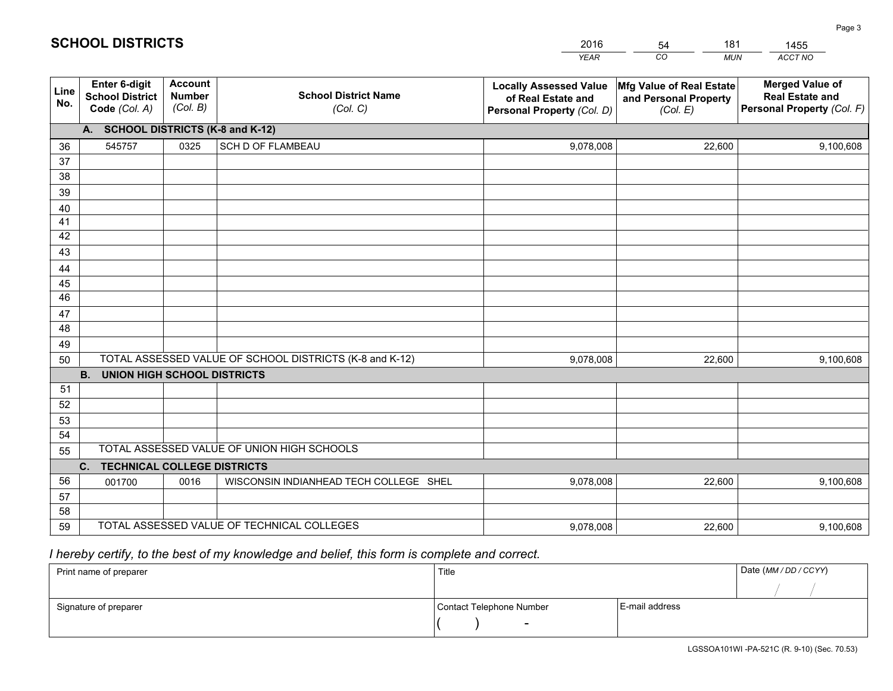|             |                                                                 |                                             |                                                         | <b>YEAR</b>                                                                       | CO<br><b>MUN</b>                                              | ACCT NO                                                                        |
|-------------|-----------------------------------------------------------------|---------------------------------------------|---------------------------------------------------------|-----------------------------------------------------------------------------------|---------------------------------------------------------------|--------------------------------------------------------------------------------|
| Line<br>No. | <b>Enter 6-digit</b><br><b>School District</b><br>Code (Col. A) | <b>Account</b><br><b>Number</b><br>(Col. B) | <b>School District Name</b><br>(Col. C)                 | <b>Locally Assessed Value</b><br>of Real Estate and<br>Personal Property (Col. D) | Mfg Value of Real Estate<br>and Personal Property<br>(Col. E) | <b>Merged Value of</b><br><b>Real Estate and</b><br>Personal Property (Col. F) |
|             | A. SCHOOL DISTRICTS (K-8 and K-12)                              |                                             |                                                         |                                                                                   |                                                               |                                                                                |
| 36          | 545757                                                          | 0325                                        | <b>SCH D OF FLAMBEAU</b>                                | 9,078,008                                                                         | 22,600                                                        | 9,100,608                                                                      |
| 37          |                                                                 |                                             |                                                         |                                                                                   |                                                               |                                                                                |
| 38          |                                                                 |                                             |                                                         |                                                                                   |                                                               |                                                                                |
| 39          |                                                                 |                                             |                                                         |                                                                                   |                                                               |                                                                                |
| 40          |                                                                 |                                             |                                                         |                                                                                   |                                                               |                                                                                |
| 41<br>42    |                                                                 |                                             |                                                         |                                                                                   |                                                               |                                                                                |
| 43          |                                                                 |                                             |                                                         |                                                                                   |                                                               |                                                                                |
| 44          |                                                                 |                                             |                                                         |                                                                                   |                                                               |                                                                                |
| 45          |                                                                 |                                             |                                                         |                                                                                   |                                                               |                                                                                |
| 46          |                                                                 |                                             |                                                         |                                                                                   |                                                               |                                                                                |
| 47          |                                                                 |                                             |                                                         |                                                                                   |                                                               |                                                                                |
| 48          |                                                                 |                                             |                                                         |                                                                                   |                                                               |                                                                                |
| 49          |                                                                 |                                             |                                                         |                                                                                   |                                                               |                                                                                |
| 50          |                                                                 |                                             | TOTAL ASSESSED VALUE OF SCHOOL DISTRICTS (K-8 and K-12) | 9,078,008                                                                         | 22,600                                                        | 9,100,608                                                                      |
|             | <b>B.</b><br><b>UNION HIGH SCHOOL DISTRICTS</b>                 |                                             |                                                         |                                                                                   |                                                               |                                                                                |
| 51          |                                                                 |                                             |                                                         |                                                                                   |                                                               |                                                                                |
| 52          |                                                                 |                                             |                                                         |                                                                                   |                                                               |                                                                                |
| 53<br>54    |                                                                 |                                             |                                                         |                                                                                   |                                                               |                                                                                |
| 55          |                                                                 |                                             | TOTAL ASSESSED VALUE OF UNION HIGH SCHOOLS              |                                                                                   |                                                               |                                                                                |
|             | C.<br><b>TECHNICAL COLLEGE DISTRICTS</b>                        |                                             |                                                         |                                                                                   |                                                               |                                                                                |
| 56          | 001700                                                          | 0016                                        | WISCONSIN INDIANHEAD TECH COLLEGE SHEL                  | 9,078,008                                                                         | 22,600                                                        | 9,100,608                                                                      |
| 57          |                                                                 |                                             |                                                         |                                                                                   |                                                               |                                                                                |
| 58          |                                                                 |                                             |                                                         |                                                                                   |                                                               |                                                                                |
| 59          |                                                                 |                                             | TOTAL ASSESSED VALUE OF TECHNICAL COLLEGES              | 9,078,008                                                                         | 22,600                                                        | 9,100,608                                                                      |

54

181

 *I hereby certify, to the best of my knowledge and belief, this form is complete and correct.*

**SCHOOL DISTRICTS**

| Print name of preparer | Title                    |                | Date (MM/DD/CCYY) |
|------------------------|--------------------------|----------------|-------------------|
|                        |                          |                |                   |
| Signature of preparer  | Contact Telephone Number | E-mail address |                   |
|                        | $\overline{\phantom{a}}$ |                |                   |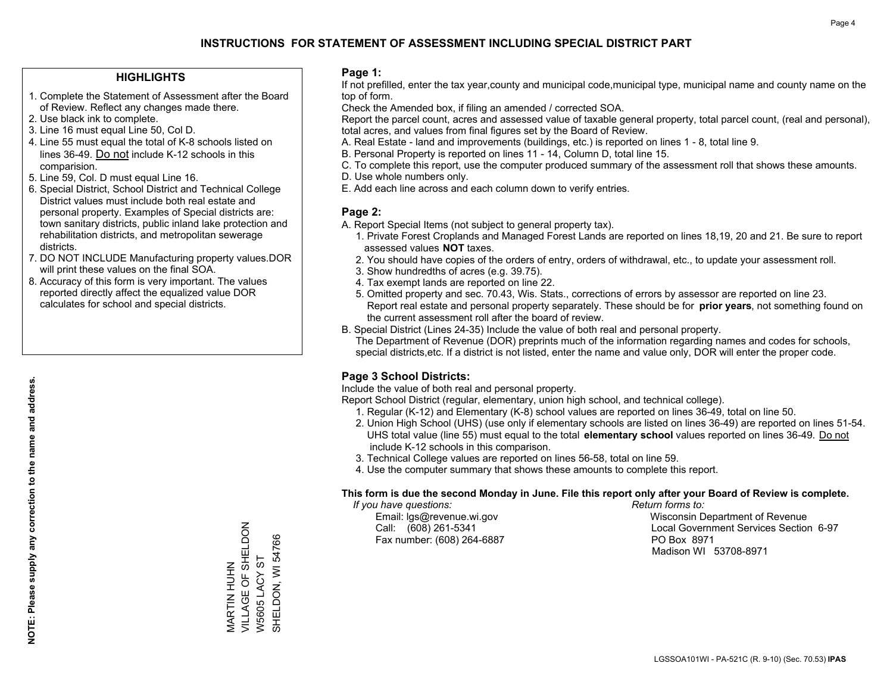## **HIGHLIGHTS**

- 1. Complete the Statement of Assessment after the Board of Review. Reflect any changes made there.
- 2. Use black ink to complete.
- 3. Line 16 must equal Line 50, Col D.
- 4. Line 55 must equal the total of K-8 schools listed on lines 36-49. Do not include K-12 schools in this comparision.
- 5. Line 59, Col. D must equal Line 16.
- 6. Special District, School District and Technical College District values must include both real estate and personal property. Examples of Special districts are: town sanitary districts, public inland lake protection and rehabilitation districts, and metropolitan sewerage districts.
- 7. DO NOT INCLUDE Manufacturing property values.DOR will print these values on the final SOA.
- 8. Accuracy of this form is very important. The values reported directly affect the equalized value DOR calculates for school and special districts.

#### **Page 1:**

 If not prefilled, enter the tax year,county and municipal code,municipal type, municipal name and county name on the top of form.

Check the Amended box, if filing an amended / corrected SOA.

 Report the parcel count, acres and assessed value of taxable general property, total parcel count, (real and personal), total acres, and values from final figures set by the Board of Review.

- A. Real Estate land and improvements (buildings, etc.) is reported on lines 1 8, total line 9.
- B. Personal Property is reported on lines 11 14, Column D, total line 15.
- C. To complete this report, use the computer produced summary of the assessment roll that shows these amounts.
- D. Use whole numbers only.
- E. Add each line across and each column down to verify entries.

### **Page 2:**

- A. Report Special Items (not subject to general property tax).
- 1. Private Forest Croplands and Managed Forest Lands are reported on lines 18,19, 20 and 21. Be sure to report assessed values **NOT** taxes.
- 2. You should have copies of the orders of entry, orders of withdrawal, etc., to update your assessment roll.
	- 3. Show hundredths of acres (e.g. 39.75).
- 4. Tax exempt lands are reported on line 22.
- 5. Omitted property and sec. 70.43, Wis. Stats., corrections of errors by assessor are reported on line 23. Report real estate and personal property separately. These should be for **prior years**, not something found on the current assessment roll after the board of review.
- B. Special District (Lines 24-35) Include the value of both real and personal property.
- The Department of Revenue (DOR) preprints much of the information regarding names and codes for schools, special districts,etc. If a district is not listed, enter the name and value only, DOR will enter the proper code.

## **Page 3 School Districts:**

Include the value of both real and personal property.

Report School District (regular, elementary, union high school, and technical college).

- 1. Regular (K-12) and Elementary (K-8) school values are reported on lines 36-49, total on line 50.
- 2. Union High School (UHS) (use only if elementary schools are listed on lines 36-49) are reported on lines 51-54. UHS total value (line 55) must equal to the total **elementary school** values reported on lines 36-49. Do notinclude K-12 schools in this comparison.
- 3. Technical College values are reported on lines 56-58, total on line 59.
- 4. Use the computer summary that shows these amounts to complete this report.

#### **This form is due the second Monday in June. File this report only after your Board of Review is complete.**

 *If you have questions: Return forms to:*

Fax number: (608) 264-6887 PO Box 8971

 Email: lgs@revenue.wi.gov Wisconsin Department of Revenue Call: (608) 261-5341 Local Government Services Section 6-97Madison WI 53708-8971

VILLAGE OF SHELDON MARTIN HUHN<br>VILLAGE OF SHELDON SHELDON, WI 54766 SHELDON, WI 54766 W5605 LACY ST W5605 LACY ST MARTIN HUHN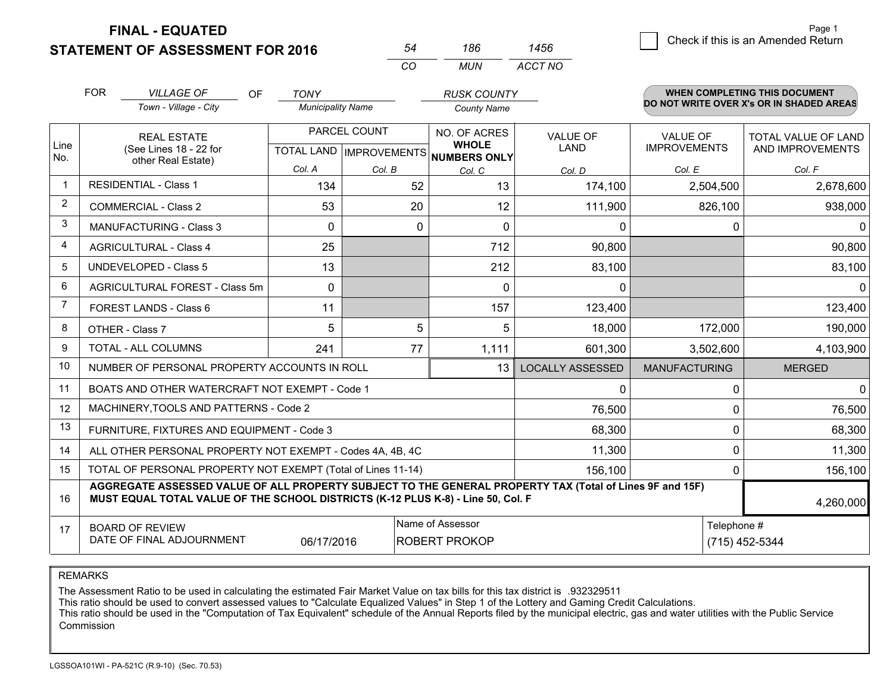**STATEMENT OF ASSESSMENT FOR 2016 FINAL - EQUATED**

|   |                                    | Page 1 |
|---|------------------------------------|--------|
| 6 | Check if this is an Amended Return |        |
|   |                                    |        |

|                | <b>FOR</b>                   | <b>VILLAGE OF</b><br><b>OF</b>                                                                                                                                                               | <b>TONY</b>              |              | <b>RUSK COUNTY</b>                                   |                         |                      | <b>WHEN COMPLETING THIS DOCUMENT</b>     |
|----------------|------------------------------|----------------------------------------------------------------------------------------------------------------------------------------------------------------------------------------------|--------------------------|--------------|------------------------------------------------------|-------------------------|----------------------|------------------------------------------|
|                |                              | Town - Village - City                                                                                                                                                                        | <b>Municipality Name</b> |              | <b>County Name</b>                                   |                         |                      | DO NOT WRITE OVER X's OR IN SHADED AREAS |
|                |                              | <b>REAL ESTATE</b>                                                                                                                                                                           |                          | PARCEL COUNT | NO. OF ACRES                                         | <b>VALUE OF</b>         | <b>VALUE OF</b>      | TOTAL VALUE OF LAND                      |
| Line<br>No.    |                              | (See Lines 18 - 22 for                                                                                                                                                                       |                          |              | <b>WHOLE</b><br>TOTAL LAND IMPROVEMENTS NUMBERS ONLY | LAND                    | <b>IMPROVEMENTS</b>  | AND IMPROVEMENTS                         |
|                |                              | other Real Estate)                                                                                                                                                                           | Col. A                   | Col. B       | Col. C                                               | Col. D                  | Col. E               | Col. F                                   |
|                | <b>RESIDENTIAL - Class 1</b> |                                                                                                                                                                                              | 134                      | 52           | 13                                                   | 174,100                 | 2,504,500            | 2,678,600                                |
| $\overline{2}$ |                              | <b>COMMERCIAL - Class 2</b>                                                                                                                                                                  | 53                       | 20           | 12                                                   | 111,900                 | 826,100              | 938,000                                  |
| 3              |                              | <b>MANUFACTURING - Class 3</b>                                                                                                                                                               | 0                        | 0            | $\Omega$                                             | 0                       | 0                    | 0                                        |
| 4              |                              | <b>AGRICULTURAL - Class 4</b>                                                                                                                                                                | 25                       |              | 712                                                  | 90,800                  |                      | 90,800                                   |
| 5              |                              | <b>UNDEVELOPED - Class 5</b>                                                                                                                                                                 | 13                       |              | 212                                                  | 83,100                  |                      | 83,100                                   |
| 6              |                              | AGRICULTURAL FOREST - Class 5m                                                                                                                                                               | 0                        |              | 0                                                    | 0                       |                      | 0                                        |
| $\overline{7}$ |                              | FOREST LANDS - Class 6                                                                                                                                                                       | 11                       |              | 157                                                  | 123,400                 |                      | 123,400                                  |
| 8              |                              | OTHER - Class 7                                                                                                                                                                              | 5                        | 5            | 5                                                    | 18,000                  | 172,000              | 190,000                                  |
| 9              |                              | TOTAL - ALL COLUMNS                                                                                                                                                                          | 241                      | 77           | 1,111                                                | 601,300                 | 3,502,600            | 4,103,900                                |
| 10             |                              | NUMBER OF PERSONAL PROPERTY ACCOUNTS IN ROLL                                                                                                                                                 |                          |              | 13                                                   | <b>LOCALLY ASSESSED</b> | <b>MANUFACTURING</b> | <b>MERGED</b>                            |
| 11             |                              | BOATS AND OTHER WATERCRAFT NOT EXEMPT - Code 1                                                                                                                                               |                          |              |                                                      | $\Omega$                | 0                    | $\mathbf 0$                              |
| 12             |                              | MACHINERY, TOOLS AND PATTERNS - Code 2                                                                                                                                                       |                          |              |                                                      | 76,500                  | 0                    | 76,500                                   |
| 13             |                              | FURNITURE, FIXTURES AND EQUIPMENT - Code 3                                                                                                                                                   |                          |              |                                                      | 68,300                  | 0                    | 68,300                                   |
| 14             |                              | ALL OTHER PERSONAL PROPERTY NOT EXEMPT - Codes 4A, 4B, 4C                                                                                                                                    |                          |              |                                                      | 11,300                  | 0                    | 11,300                                   |
| 15             |                              | TOTAL OF PERSONAL PROPERTY NOT EXEMPT (Total of Lines 11-14)                                                                                                                                 |                          |              |                                                      | 156,100                 | 0                    | 156,100                                  |
| 16             |                              | AGGREGATE ASSESSED VALUE OF ALL PROPERTY SUBJECT TO THE GENERAL PROPERTY TAX (Total of Lines 9F and 15F)<br>MUST EQUAL TOTAL VALUE OF THE SCHOOL DISTRICTS (K-12 PLUS K-8) - Line 50, Col. F |                          |              |                                                      |                         |                      | 4,260,000                                |
| 17             |                              | <b>BOARD OF REVIEW</b>                                                                                                                                                                       |                          |              | Name of Assessor                                     |                         | Telephone #          |                                          |
|                |                              | DATE OF FINAL ADJOURNMENT                                                                                                                                                                    | 06/17/2016               |              | <b>ROBERT PROKOP</b>                                 |                         |                      | (715) 452-5344                           |

*CO*

*MUN*

*ACCT NO1456*

*<sup>54</sup> <sup>186</sup>*

REMARKS

The Assessment Ratio to be used in calculating the estimated Fair Market Value on tax bills for this tax district is .932329511<br>This ratio should be used to convert assessed values to "Calculate Equalized Values" in Step 1 Commission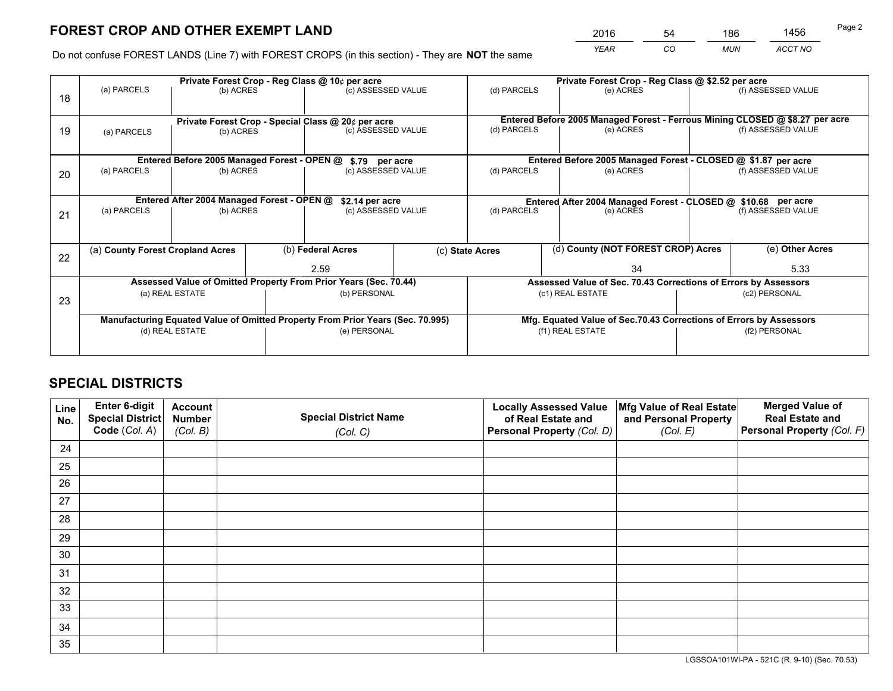*YEAR CO MUN ACCT NO* <sup>2016</sup> <sup>54</sup> <sup>186</sup> <sup>1456</sup>

Do not confuse FOREST LANDS (Line 7) with FOREST CROPS (in this section) - They are **NOT** the same

|    |                                                    |                 |  | Private Forest Crop - Reg Class @ 10¢ per acre                                 |                                   |                                                                              |                  | Private Forest Crop - Reg Class @ \$2.52 per acre                  |               |                    |
|----|----------------------------------------------------|-----------------|--|--------------------------------------------------------------------------------|-----------------------------------|------------------------------------------------------------------------------|------------------|--------------------------------------------------------------------|---------------|--------------------|
| 18 | (a) PARCELS                                        | (b) ACRES       |  | (c) ASSESSED VALUE                                                             |                                   | (d) PARCELS                                                                  |                  | (e) ACRES                                                          |               | (f) ASSESSED VALUE |
|    |                                                    |                 |  |                                                                                |                                   |                                                                              |                  |                                                                    |               |                    |
|    | Private Forest Crop - Special Class @ 20¢ per acre |                 |  |                                                                                |                                   | Entered Before 2005 Managed Forest - Ferrous Mining CLOSED @ \$8.27 per acre |                  |                                                                    |               |                    |
| 19 | (a) PARCELS                                        | (b) ACRES       |  | (c) ASSESSED VALUE                                                             |                                   | (d) PARCELS                                                                  |                  | (e) ACRES                                                          |               | (f) ASSESSED VALUE |
|    |                                                    |                 |  |                                                                                |                                   |                                                                              |                  |                                                                    |               |                    |
|    |                                                    |                 |  | Entered Before 2005 Managed Forest - OPEN @ \$.79 per acre                     |                                   |                                                                              |                  | Entered Before 2005 Managed Forest - CLOSED @ \$1.87 per acre      |               |                    |
| 20 | (a) PARCELS                                        | (b) ACRES       |  | (c) ASSESSED VALUE                                                             |                                   | (d) PARCELS                                                                  |                  | (e) ACRES                                                          |               | (f) ASSESSED VALUE |
|    |                                                    |                 |  |                                                                                |                                   |                                                                              |                  |                                                                    |               |                    |
|    | Entered After 2004 Managed Forest - OPEN @         | \$2.14 per acre |  | Entered After 2004 Managed Forest - CLOSED @ \$10.68 per acre                  |                                   |                                                                              |                  |                                                                    |               |                    |
| 21 | (a) PARCELS                                        | (b) ACRES       |  |                                                                                | (d) PARCELS<br>(c) ASSESSED VALUE |                                                                              |                  | (e) ACRES                                                          |               | (f) ASSESSED VALUE |
|    |                                                    |                 |  |                                                                                |                                   |                                                                              |                  |                                                                    |               |                    |
|    |                                                    |                 |  |                                                                                |                                   |                                                                              |                  |                                                                    |               |                    |
| 22 | (a) County Forest Cropland Acres                   |                 |  | (b) Federal Acres                                                              |                                   | (d) County (NOT FOREST CROP) Acres<br>(c) State Acres                        |                  |                                                                    |               | (e) Other Acres    |
|    |                                                    |                 |  | 2.59                                                                           |                                   |                                                                              |                  | 34                                                                 |               | 5.33               |
|    |                                                    |                 |  | Assessed Value of Omitted Property From Prior Years (Sec. 70.44)               |                                   |                                                                              |                  | Assessed Value of Sec. 70.43 Corrections of Errors by Assessors    |               |                    |
|    |                                                    | (a) REAL ESTATE |  | (b) PERSONAL                                                                   |                                   |                                                                              | (c1) REAL ESTATE |                                                                    |               | (c2) PERSONAL      |
| 23 |                                                    |                 |  |                                                                                |                                   |                                                                              |                  |                                                                    |               |                    |
|    |                                                    |                 |  | Manufacturing Equated Value of Omitted Property From Prior Years (Sec. 70.995) |                                   |                                                                              |                  | Mfg. Equated Value of Sec.70.43 Corrections of Errors by Assessors |               |                    |
|    |                                                    | (d) REAL ESTATE |  | (e) PERSONAL                                                                   |                                   | (f1) REAL ESTATE                                                             |                  |                                                                    | (f2) PERSONAL |                    |
|    |                                                    |                 |  |                                                                                |                                   |                                                                              |                  |                                                                    |               |                    |
|    |                                                    |                 |  |                                                                                |                                   |                                                                              |                  |                                                                    |               |                    |

## **SPECIAL DISTRICTS**

| Line<br>No. | Enter 6-digit<br>Special District<br>Code (Col. A) | <b>Account</b><br><b>Number</b><br>(Col. B) | <b>Special District Name</b><br>(Col. C) | <b>Locally Assessed Value</b><br>of Real Estate and<br>Personal Property (Col. D) | Mfg Value of Real Estate<br>and Personal Property<br>(Col. E) | <b>Merged Value of</b><br><b>Real Estate and</b><br>Personal Property (Col. F) |
|-------------|----------------------------------------------------|---------------------------------------------|------------------------------------------|-----------------------------------------------------------------------------------|---------------------------------------------------------------|--------------------------------------------------------------------------------|
| 24          |                                                    |                                             |                                          |                                                                                   |                                                               |                                                                                |
| 25          |                                                    |                                             |                                          |                                                                                   |                                                               |                                                                                |
| 26          |                                                    |                                             |                                          |                                                                                   |                                                               |                                                                                |
| 27          |                                                    |                                             |                                          |                                                                                   |                                                               |                                                                                |
| 28          |                                                    |                                             |                                          |                                                                                   |                                                               |                                                                                |
| 29          |                                                    |                                             |                                          |                                                                                   |                                                               |                                                                                |
| 30          |                                                    |                                             |                                          |                                                                                   |                                                               |                                                                                |
| 31          |                                                    |                                             |                                          |                                                                                   |                                                               |                                                                                |
| 32          |                                                    |                                             |                                          |                                                                                   |                                                               |                                                                                |
| 33          |                                                    |                                             |                                          |                                                                                   |                                                               |                                                                                |
| 34          |                                                    |                                             |                                          |                                                                                   |                                                               |                                                                                |
| 35          |                                                    |                                             |                                          |                                                                                   |                                                               |                                                                                |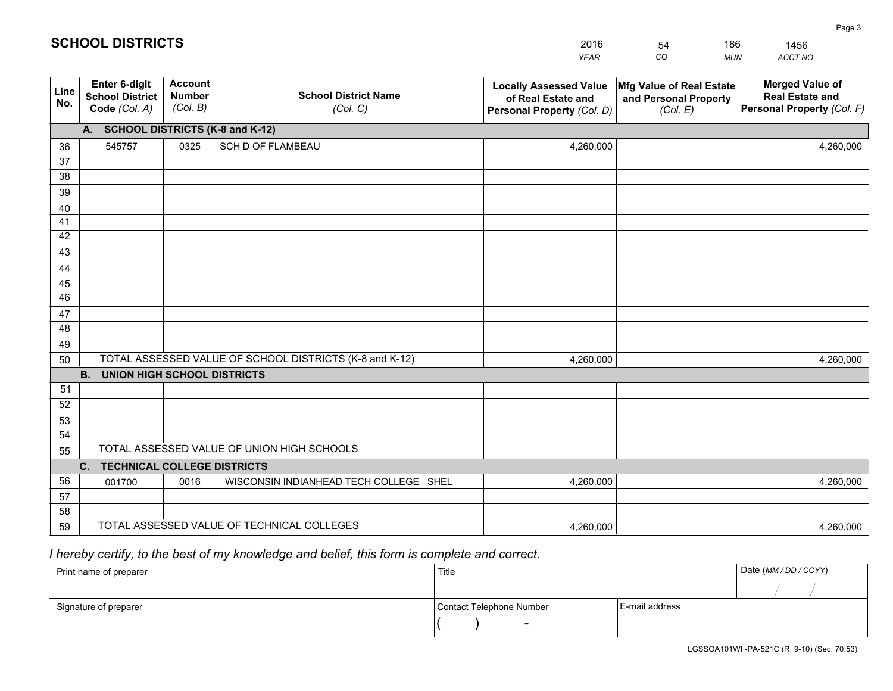|             |                                                          |                                             |                                                         | <b>YEAR</b>                                                                       | CO<br><b>MUN</b>                                              | ACCT NO                                                                        |
|-------------|----------------------------------------------------------|---------------------------------------------|---------------------------------------------------------|-----------------------------------------------------------------------------------|---------------------------------------------------------------|--------------------------------------------------------------------------------|
| Line<br>No. | Enter 6-digit<br><b>School District</b><br>Code (Col. A) | <b>Account</b><br><b>Number</b><br>(Col. B) | <b>School District Name</b><br>(Col. C)                 | <b>Locally Assessed Value</b><br>of Real Estate and<br>Personal Property (Col. D) | Mfg Value of Real Estate<br>and Personal Property<br>(Col. E) | <b>Merged Value of</b><br><b>Real Estate and</b><br>Personal Property (Col. F) |
|             | A. SCHOOL DISTRICTS (K-8 and K-12)                       |                                             |                                                         |                                                                                   |                                                               |                                                                                |
| 36          | 545757                                                   | 0325                                        | SCH D OF FLAMBEAU                                       | 4,260,000                                                                         |                                                               | 4,260,000                                                                      |
| 37          |                                                          |                                             |                                                         |                                                                                   |                                                               |                                                                                |
| 38          |                                                          |                                             |                                                         |                                                                                   |                                                               |                                                                                |
| 39          |                                                          |                                             |                                                         |                                                                                   |                                                               |                                                                                |
| 40          |                                                          |                                             |                                                         |                                                                                   |                                                               |                                                                                |
| 41          |                                                          |                                             |                                                         |                                                                                   |                                                               |                                                                                |
| 42          |                                                          |                                             |                                                         |                                                                                   |                                                               |                                                                                |
| 43          |                                                          |                                             |                                                         |                                                                                   |                                                               |                                                                                |
| 44<br>45    |                                                          |                                             |                                                         |                                                                                   |                                                               |                                                                                |
| 46          |                                                          |                                             |                                                         |                                                                                   |                                                               |                                                                                |
| 47          |                                                          |                                             |                                                         |                                                                                   |                                                               |                                                                                |
| 48          |                                                          |                                             |                                                         |                                                                                   |                                                               |                                                                                |
| 49          |                                                          |                                             |                                                         |                                                                                   |                                                               |                                                                                |
| 50          |                                                          |                                             | TOTAL ASSESSED VALUE OF SCHOOL DISTRICTS (K-8 and K-12) | 4,260,000                                                                         |                                                               | 4,260,000                                                                      |
|             | <b>B.</b><br><b>UNION HIGH SCHOOL DISTRICTS</b>          |                                             |                                                         |                                                                                   |                                                               |                                                                                |
| 51          |                                                          |                                             |                                                         |                                                                                   |                                                               |                                                                                |
| 52          |                                                          |                                             |                                                         |                                                                                   |                                                               |                                                                                |
| 53          |                                                          |                                             |                                                         |                                                                                   |                                                               |                                                                                |
| 54          |                                                          |                                             |                                                         |                                                                                   |                                                               |                                                                                |
| 55          |                                                          |                                             | TOTAL ASSESSED VALUE OF UNION HIGH SCHOOLS              |                                                                                   |                                                               |                                                                                |
|             | C.<br><b>TECHNICAL COLLEGE DISTRICTS</b>                 |                                             |                                                         |                                                                                   |                                                               |                                                                                |
| 56          | 001700                                                   | 0016                                        | WISCONSIN INDIANHEAD TECH COLLEGE SHEL                  | 4,260,000                                                                         |                                                               | 4,260,000                                                                      |
| 57          |                                                          |                                             |                                                         |                                                                                   |                                                               |                                                                                |
| 58          |                                                          |                                             |                                                         |                                                                                   |                                                               |                                                                                |
| 59          |                                                          |                                             | TOTAL ASSESSED VALUE OF TECHNICAL COLLEGES              | 4,260,000                                                                         |                                                               | 4,260,000                                                                      |

54

186

 *I hereby certify, to the best of my knowledge and belief, this form is complete and correct.*

**SCHOOL DISTRICTS**

| Print name of preparer | Title                    |                | Date (MM / DD / CCYY) |
|------------------------|--------------------------|----------------|-----------------------|
|                        |                          |                |                       |
| Signature of preparer  | Contact Telephone Number | E-mail address |                       |
|                        | $\sim$                   |                |                       |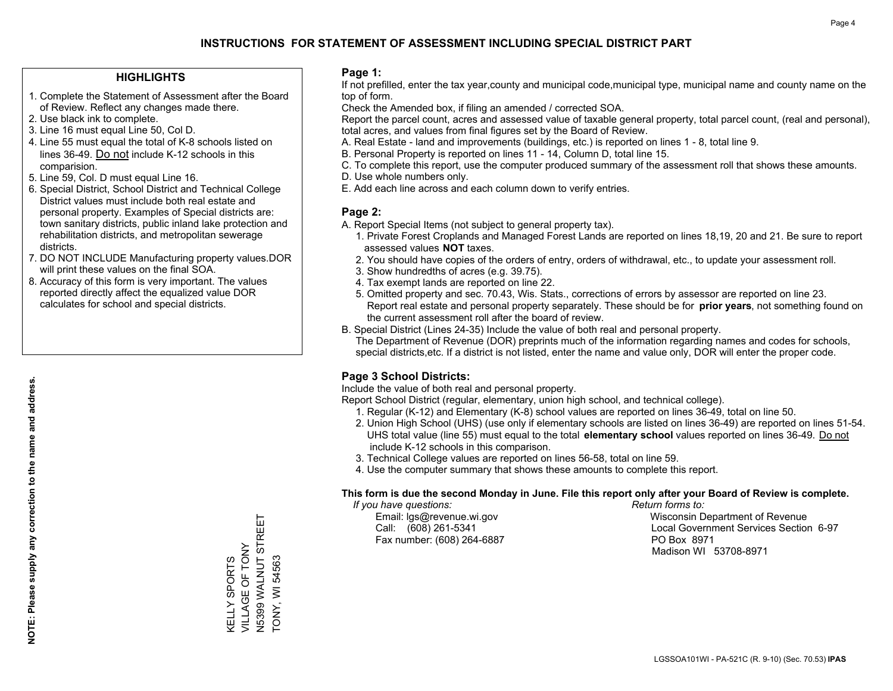## **HIGHLIGHTS**

- 1. Complete the Statement of Assessment after the Board of Review. Reflect any changes made there.
- 2. Use black ink to complete.
- 3. Line 16 must equal Line 50, Col D.
- 4. Line 55 must equal the total of K-8 schools listed on lines 36-49. Do not include K-12 schools in this comparision.
- 5. Line 59, Col. D must equal Line 16.
- 6. Special District, School District and Technical College District values must include both real estate and personal property. Examples of Special districts are: town sanitary districts, public inland lake protection and rehabilitation districts, and metropolitan sewerage districts.
- 7. DO NOT INCLUDE Manufacturing property values.DOR will print these values on the final SOA.

KELLY SPORTS VILLAGE OF TONY N5399 WALNUT STREET

**KELLY SPORTS** 

TONY, WI 54563

**TONY, WI 54563** 

N5399 WALNUT STREET VILLAGE OF TONY

 8. Accuracy of this form is very important. The values reported directly affect the equalized value DOR calculates for school and special districts.

### **Page 1:**

 If not prefilled, enter the tax year,county and municipal code,municipal type, municipal name and county name on the top of form.

Check the Amended box, if filing an amended / corrected SOA.

 Report the parcel count, acres and assessed value of taxable general property, total parcel count, (real and personal), total acres, and values from final figures set by the Board of Review.

- A. Real Estate land and improvements (buildings, etc.) is reported on lines 1 8, total line 9.
- B. Personal Property is reported on lines 11 14, Column D, total line 15.
- C. To complete this report, use the computer produced summary of the assessment roll that shows these amounts.
- D. Use whole numbers only.
- E. Add each line across and each column down to verify entries.

### **Page 2:**

- A. Report Special Items (not subject to general property tax).
- 1. Private Forest Croplands and Managed Forest Lands are reported on lines 18,19, 20 and 21. Be sure to report assessed values **NOT** taxes.
- 2. You should have copies of the orders of entry, orders of withdrawal, etc., to update your assessment roll.
	- 3. Show hundredths of acres (e.g. 39.75).
- 4. Tax exempt lands are reported on line 22.
- 5. Omitted property and sec. 70.43, Wis. Stats., corrections of errors by assessor are reported on line 23. Report real estate and personal property separately. These should be for **prior years**, not something found on the current assessment roll after the board of review.
- B. Special District (Lines 24-35) Include the value of both real and personal property.
- The Department of Revenue (DOR) preprints much of the information regarding names and codes for schools, special districts,etc. If a district is not listed, enter the name and value only, DOR will enter the proper code.

## **Page 3 School Districts:**

Include the value of both real and personal property.

Report School District (regular, elementary, union high school, and technical college).

- 1. Regular (K-12) and Elementary (K-8) school values are reported on lines 36-49, total on line 50.
- 2. Union High School (UHS) (use only if elementary schools are listed on lines 36-49) are reported on lines 51-54. UHS total value (line 55) must equal to the total **elementary school** values reported on lines 36-49. Do notinclude K-12 schools in this comparison.
- 3. Technical College values are reported on lines 56-58, total on line 59.
- 4. Use the computer summary that shows these amounts to complete this report.

#### **This form is due the second Monday in June. File this report only after your Board of Review is complete.**

 *If you have questions: Return forms to:*

Fax number: (608) 264-6887 PO Box 8971

 Email: lgs@revenue.wi.gov Wisconsin Department of Revenue Call: (608) 261-5341 Local Government Services Section 6-97Madison WI 53708-8971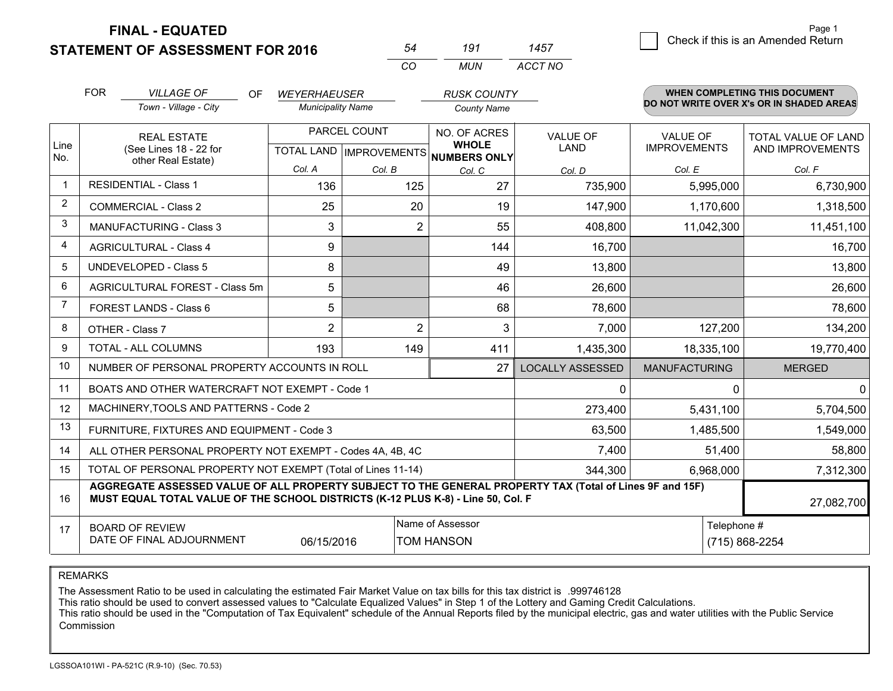**STATEMENT OF ASSESSMENT FOR 2016** 

**FINAL - EQUATED**

|                | <b>FOR</b><br><b>VILLAGE OF</b><br>Town - Village - City                                                                                                                                     | <b>OF</b><br><b>WEYERHAEUSER</b><br><b>Municipality Name</b> |                                           | <b>RUSK COUNTY</b><br><b>County Name</b>     |                         |                                        | <b>WHEN COMPLETING THIS DOCUMENT</b><br>DO NOT WRITE OVER X's OR IN SHADED AREAS |
|----------------|----------------------------------------------------------------------------------------------------------------------------------------------------------------------------------------------|--------------------------------------------------------------|-------------------------------------------|----------------------------------------------|-------------------------|----------------------------------------|----------------------------------------------------------------------------------|
| Line           | <b>REAL ESTATE</b><br>(See Lines 18 - 22 for                                                                                                                                                 |                                                              | PARCEL COUNT<br>TOTAL LAND   IMPROVEMENTS | NO. OF ACRES<br><b>WHOLE</b><br>NUMBERS ONLY | <b>VALUE OF</b><br>LAND | <b>VALUE OF</b><br><b>IMPROVEMENTS</b> | <b>TOTAL VALUE OF LAND</b><br>AND IMPROVEMENTS                                   |
| No.            | other Real Estate)                                                                                                                                                                           | Col. A                                                       | Col. B                                    | Col. C                                       | Col. D                  | Col. E                                 | Col. F                                                                           |
| $\mathbf 1$    | <b>RESIDENTIAL - Class 1</b>                                                                                                                                                                 | 136                                                          | 125                                       | 27                                           | 735,900                 | 5,995,000                              | 6,730,900                                                                        |
| 2              | <b>COMMERCIAL - Class 2</b>                                                                                                                                                                  | 25                                                           | 20                                        | 19                                           | 147,900                 | 1,170,600                              | 1,318,500                                                                        |
| 3              | <b>MANUFACTURING - Class 3</b>                                                                                                                                                               | 3                                                            | $\overline{2}$                            | 55                                           | 408,800                 | 11,042,300                             | 11,451,100                                                                       |
| 4              | <b>AGRICULTURAL - Class 4</b>                                                                                                                                                                | 9                                                            |                                           | 144                                          | 16,700                  |                                        | 16,700                                                                           |
| 5              | <b>UNDEVELOPED - Class 5</b>                                                                                                                                                                 | 8                                                            |                                           | 49                                           | 13,800                  |                                        | 13,800                                                                           |
| 6              | AGRICULTURAL FOREST - Class 5m                                                                                                                                                               | 5                                                            |                                           | 46                                           | 26,600                  |                                        | 26,600                                                                           |
| $\overline{7}$ | FOREST LANDS - Class 6                                                                                                                                                                       | 5                                                            |                                           | 68                                           | 78,600                  |                                        | 78,600                                                                           |
| 8              | OTHER - Class 7                                                                                                                                                                              | $\overline{2}$                                               | $\overline{2}$                            | 3                                            | 7,000                   | 127,200                                | 134,200                                                                          |
| 9              | TOTAL - ALL COLUMNS                                                                                                                                                                          | 193                                                          | 149                                       | 411                                          | 1,435,300               | 18,335,100                             | 19,770,400                                                                       |
| 10             | NUMBER OF PERSONAL PROPERTY ACCOUNTS IN ROLL                                                                                                                                                 |                                                              |                                           | 27                                           | <b>LOCALLY ASSESSED</b> | <b>MANUFACTURING</b>                   | <b>MERGED</b>                                                                    |
| 11             | BOATS AND OTHER WATERCRAFT NOT EXEMPT - Code 1                                                                                                                                               |                                                              |                                           |                                              | 0                       | $\Omega$                               | $\Omega$                                                                         |
| 12             | MACHINERY, TOOLS AND PATTERNS - Code 2                                                                                                                                                       |                                                              |                                           |                                              | 273,400                 | 5,431,100                              | 5,704,500                                                                        |
| 13             | FURNITURE, FIXTURES AND EQUIPMENT - Code 3                                                                                                                                                   |                                                              |                                           |                                              | 63,500                  | 1,485,500                              | 1,549,000                                                                        |
| 14             | ALL OTHER PERSONAL PROPERTY NOT EXEMPT - Codes 4A, 4B, 4C                                                                                                                                    |                                                              |                                           |                                              | 7,400                   | 51,400                                 | 58,800                                                                           |
| 15             | TOTAL OF PERSONAL PROPERTY NOT EXEMPT (Total of Lines 11-14)                                                                                                                                 |                                                              |                                           |                                              | 344,300                 | 6,968,000                              | 7,312,300                                                                        |
| 16             | AGGREGATE ASSESSED VALUE OF ALL PROPERTY SUBJECT TO THE GENERAL PROPERTY TAX (Total of Lines 9F and 15F)<br>MUST EQUAL TOTAL VALUE OF THE SCHOOL DISTRICTS (K-12 PLUS K-8) - Line 50, Col. F |                                                              |                                           |                                              |                         |                                        | 27,082,700                                                                       |
| 17             | Name of Assessor<br><b>BOARD OF REVIEW</b><br>DATE OF FINAL ADJOURNMENT<br>06/15/2016<br><b>TOM HANSON</b>                                                                                   |                                                              |                                           |                                              |                         | Telephone #                            | (715) 868-2254                                                                   |

*CO*

*MUN*

*ACCT NO1457*

*<sup>54</sup> <sup>191</sup>*

REMARKS

The Assessment Ratio to be used in calculating the estimated Fair Market Value on tax bills for this tax district is .999746128<br>This ratio should be used to convert assessed values to "Calculate Equalized Values" in Step 1 Commission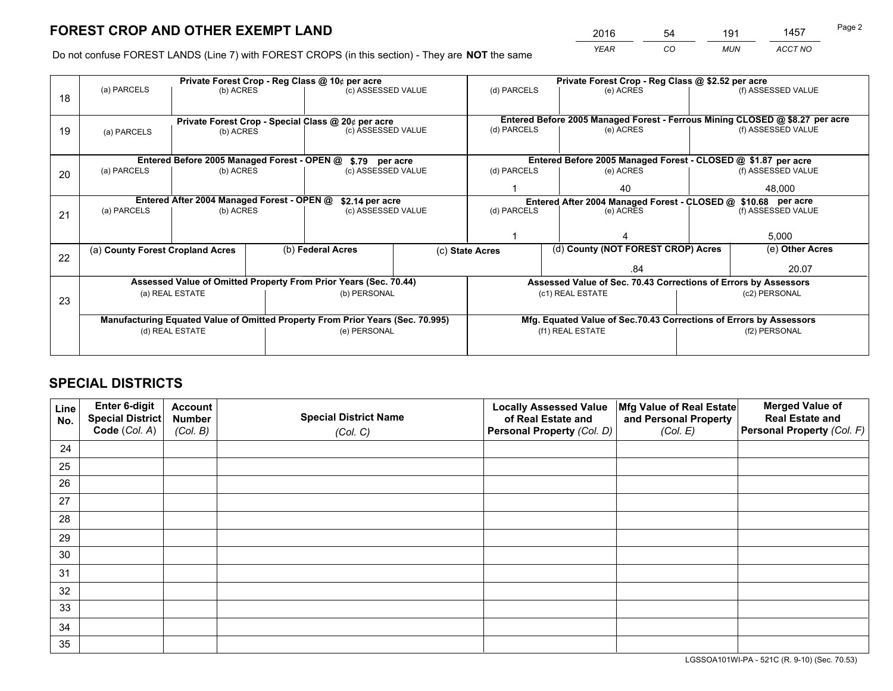*YEAR CO MUN ACCT NO* <sup>2016</sup> <sup>54</sup> <sup>191</sup> <sup>1457</sup>

Do not confuse FOREST LANDS (Line 7) with FOREST CROPS (in this section) - They are **NOT** the same

|    | Private Forest Crop - Reg Class @ 10¢ per acre                                 |                                             |  |                                                                  |                                                                    | Private Forest Crop - Reg Class @ \$2.52 per acre               |                                                               |  |                                                                              |  |
|----|--------------------------------------------------------------------------------|---------------------------------------------|--|------------------------------------------------------------------|--------------------------------------------------------------------|-----------------------------------------------------------------|---------------------------------------------------------------|--|------------------------------------------------------------------------------|--|
| 18 | (a) PARCELS                                                                    | (b) ACRES                                   |  | (c) ASSESSED VALUE                                               |                                                                    | (d) PARCELS                                                     | (e) ACRES                                                     |  | (f) ASSESSED VALUE                                                           |  |
|    |                                                                                |                                             |  |                                                                  |                                                                    |                                                                 |                                                               |  |                                                                              |  |
|    |                                                                                |                                             |  | Private Forest Crop - Special Class @ 20¢ per acre               |                                                                    |                                                                 |                                                               |  | Entered Before 2005 Managed Forest - Ferrous Mining CLOSED @ \$8.27 per acre |  |
| 19 | (a) PARCELS                                                                    | (b) ACRES                                   |  | (c) ASSESSED VALUE                                               |                                                                    | (d) PARCELS                                                     | (e) ACRES                                                     |  | (f) ASSESSED VALUE                                                           |  |
|    |                                                                                |                                             |  |                                                                  |                                                                    |                                                                 |                                                               |  |                                                                              |  |
|    |                                                                                | Entered Before 2005 Managed Forest - OPEN @ |  | \$.79 per acre                                                   |                                                                    |                                                                 | Entered Before 2005 Managed Forest - CLOSED @ \$1.87 per acre |  |                                                                              |  |
| 20 | (a) PARCELS                                                                    | (b) ACRES                                   |  | (c) ASSESSED VALUE                                               |                                                                    | (d) PARCELS                                                     | (e) ACRES                                                     |  | (f) ASSESSED VALUE                                                           |  |
|    |                                                                                |                                             |  |                                                                  |                                                                    | 40                                                              |                                                               |  | 48,000                                                                       |  |
|    | Entered After 2004 Managed Forest - OPEN @<br>\$2.14 per acre                  |                                             |  |                                                                  | Entered After 2004 Managed Forest - CLOSED @ \$10.68 per acre      |                                                                 |                                                               |  |                                                                              |  |
| 21 | (a) PARCELS                                                                    | (b) ACRES                                   |  | (c) ASSESSED VALUE                                               |                                                                    | (d) PARCELS<br>(e) ACRES                                        |                                                               |  | (f) ASSESSED VALUE                                                           |  |
|    |                                                                                |                                             |  |                                                                  |                                                                    |                                                                 |                                                               |  |                                                                              |  |
|    |                                                                                |                                             |  |                                                                  |                                                                    |                                                                 |                                                               |  | 5,000                                                                        |  |
| 22 | (a) County Forest Cropland Acres                                               |                                             |  | (b) Federal Acres                                                |                                                                    | (c) State Acres                                                 | (d) County (NOT FOREST CROP) Acres                            |  | (e) Other Acres                                                              |  |
|    |                                                                                |                                             |  |                                                                  |                                                                    |                                                                 | .84                                                           |  | 20.07                                                                        |  |
|    |                                                                                |                                             |  | Assessed Value of Omitted Property From Prior Years (Sec. 70.44) |                                                                    | Assessed Value of Sec. 70.43 Corrections of Errors by Assessors |                                                               |  |                                                                              |  |
| 23 |                                                                                | (a) REAL ESTATE                             |  | (b) PERSONAL                                                     |                                                                    | (c1) REAL ESTATE                                                |                                                               |  | (c2) PERSONAL                                                                |  |
|    |                                                                                |                                             |  |                                                                  |                                                                    |                                                                 |                                                               |  |                                                                              |  |
|    | Manufacturing Equated Value of Omitted Property From Prior Years (Sec. 70.995) |                                             |  |                                                                  | Mfg. Equated Value of Sec.70.43 Corrections of Errors by Assessors |                                                                 |                                                               |  |                                                                              |  |
|    |                                                                                | (d) REAL ESTATE                             |  | (e) PERSONAL                                                     |                                                                    |                                                                 | (f1) REAL ESTATE                                              |  | (f2) PERSONAL                                                                |  |
|    |                                                                                |                                             |  |                                                                  |                                                                    |                                                                 |                                                               |  |                                                                              |  |

## **SPECIAL DISTRICTS**

| Line<br>No. | Enter 6-digit<br><b>Special District</b> | <b>Account</b><br><b>Number</b> | <b>Special District Name</b> | <b>Locally Assessed Value</b><br>of Real Estate and | Mfg Value of Real Estate<br>and Personal Property | <b>Merged Value of</b><br><b>Real Estate and</b> |
|-------------|------------------------------------------|---------------------------------|------------------------------|-----------------------------------------------------|---------------------------------------------------|--------------------------------------------------|
|             | Code (Col. A)                            | (Col. B)                        | (Col. C)                     | Personal Property (Col. D)                          | (Col. E)                                          | Personal Property (Col. F)                       |
| 24          |                                          |                                 |                              |                                                     |                                                   |                                                  |
| 25          |                                          |                                 |                              |                                                     |                                                   |                                                  |
| 26          |                                          |                                 |                              |                                                     |                                                   |                                                  |
| 27          |                                          |                                 |                              |                                                     |                                                   |                                                  |
| 28          |                                          |                                 |                              |                                                     |                                                   |                                                  |
| 29          |                                          |                                 |                              |                                                     |                                                   |                                                  |
| 30          |                                          |                                 |                              |                                                     |                                                   |                                                  |
| 31          |                                          |                                 |                              |                                                     |                                                   |                                                  |
| 32          |                                          |                                 |                              |                                                     |                                                   |                                                  |
| 33          |                                          |                                 |                              |                                                     |                                                   |                                                  |
| 34          |                                          |                                 |                              |                                                     |                                                   |                                                  |
| 35          |                                          |                                 |                              |                                                     |                                                   |                                                  |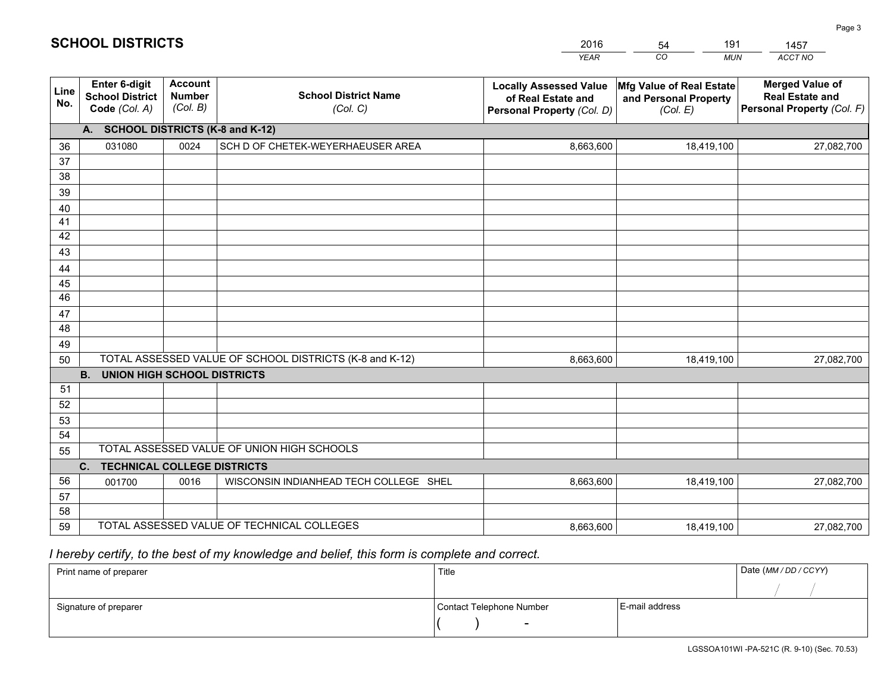|             |                                                                 |                                             |                                                         | <b>YEAR</b>                                                                       | CO<br><b>MUN</b>                                              | ACCT NO                                                                        |
|-------------|-----------------------------------------------------------------|---------------------------------------------|---------------------------------------------------------|-----------------------------------------------------------------------------------|---------------------------------------------------------------|--------------------------------------------------------------------------------|
| Line<br>No. | <b>Enter 6-digit</b><br><b>School District</b><br>Code (Col. A) | <b>Account</b><br><b>Number</b><br>(Col. B) | <b>School District Name</b><br>(Col. C)                 | <b>Locally Assessed Value</b><br>of Real Estate and<br>Personal Property (Col. D) | Mfg Value of Real Estate<br>and Personal Property<br>(Col. E) | <b>Merged Value of</b><br><b>Real Estate and</b><br>Personal Property (Col. F) |
|             | A. SCHOOL DISTRICTS (K-8 and K-12)                              |                                             |                                                         |                                                                                   |                                                               |                                                                                |
| 36          | 031080                                                          | 0024                                        | SCH D OF CHETEK-WEYERHAEUSER AREA                       | 8,663,600                                                                         | 18,419,100                                                    | 27,082,700                                                                     |
| 37          |                                                                 |                                             |                                                         |                                                                                   |                                                               |                                                                                |
| 38          |                                                                 |                                             |                                                         |                                                                                   |                                                               |                                                                                |
| 39          |                                                                 |                                             |                                                         |                                                                                   |                                                               |                                                                                |
| 40          |                                                                 |                                             |                                                         |                                                                                   |                                                               |                                                                                |
| 41<br>42    |                                                                 |                                             |                                                         |                                                                                   |                                                               |                                                                                |
| 43          |                                                                 |                                             |                                                         |                                                                                   |                                                               |                                                                                |
| 44          |                                                                 |                                             |                                                         |                                                                                   |                                                               |                                                                                |
| 45          |                                                                 |                                             |                                                         |                                                                                   |                                                               |                                                                                |
| 46          |                                                                 |                                             |                                                         |                                                                                   |                                                               |                                                                                |
| 47          |                                                                 |                                             |                                                         |                                                                                   |                                                               |                                                                                |
| 48          |                                                                 |                                             |                                                         |                                                                                   |                                                               |                                                                                |
| 49          |                                                                 |                                             |                                                         |                                                                                   |                                                               |                                                                                |
| 50          |                                                                 |                                             | TOTAL ASSESSED VALUE OF SCHOOL DISTRICTS (K-8 and K-12) | 8,663,600                                                                         | 18,419,100                                                    | 27,082,700                                                                     |
|             | <b>B.</b><br><b>UNION HIGH SCHOOL DISTRICTS</b>                 |                                             |                                                         |                                                                                   |                                                               |                                                                                |
| 51          |                                                                 |                                             |                                                         |                                                                                   |                                                               |                                                                                |
| 52          |                                                                 |                                             |                                                         |                                                                                   |                                                               |                                                                                |
| 53          |                                                                 |                                             |                                                         |                                                                                   |                                                               |                                                                                |
| 54          |                                                                 |                                             | TOTAL ASSESSED VALUE OF UNION HIGH SCHOOLS              |                                                                                   |                                                               |                                                                                |
| 55          |                                                                 |                                             |                                                         |                                                                                   |                                                               |                                                                                |
| 56          | C.<br><b>TECHNICAL COLLEGE DISTRICTS</b>                        | 0016                                        | WISCONSIN INDIANHEAD TECH COLLEGE SHEL                  | 8,663,600                                                                         | 18,419,100                                                    |                                                                                |
| 57          | 001700                                                          |                                             |                                                         |                                                                                   |                                                               | 27,082,700                                                                     |
| 58          |                                                                 |                                             |                                                         |                                                                                   |                                                               |                                                                                |
| 59          |                                                                 |                                             | TOTAL ASSESSED VALUE OF TECHNICAL COLLEGES              | 8,663,600                                                                         | 18,419,100                                                    | 27,082,700                                                                     |

54

191

 *I hereby certify, to the best of my knowledge and belief, this form is complete and correct.*

**SCHOOL DISTRICTS**

| Print name of preparer | Title                    |                | Date (MM/DD/CCYY) |
|------------------------|--------------------------|----------------|-------------------|
|                        |                          |                |                   |
| Signature of preparer  | Contact Telephone Number | E-mail address |                   |
|                        | $\overline{\phantom{0}}$ |                |                   |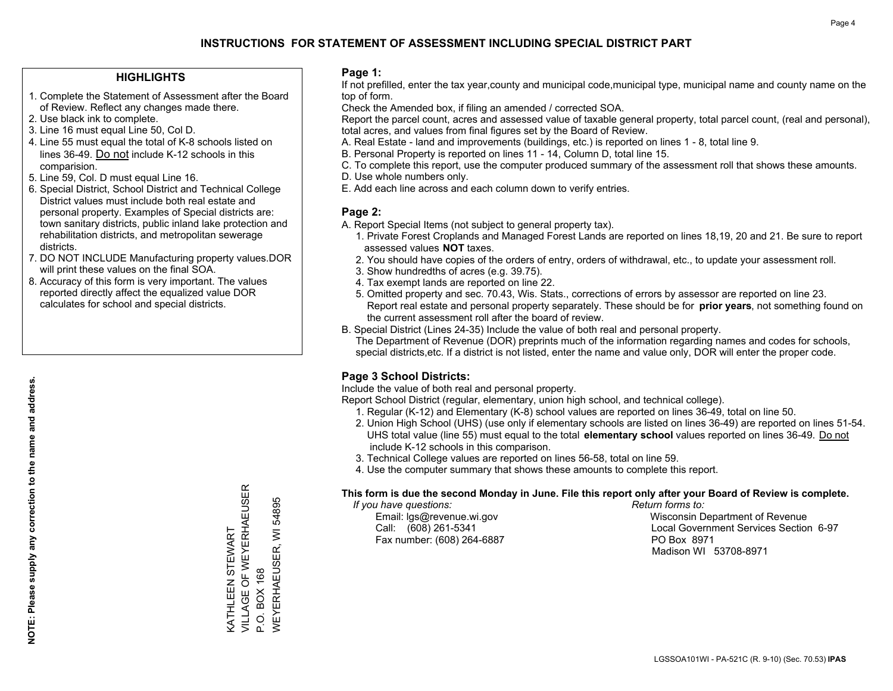## **HIGHLIGHTS**

- 1. Complete the Statement of Assessment after the Board of Review. Reflect any changes made there.
- 2. Use black ink to complete.
- 3. Line 16 must equal Line 50, Col D.
- 4. Line 55 must equal the total of K-8 schools listed on lines 36-49. Do not include K-12 schools in this comparision.
- 5. Line 59, Col. D must equal Line 16.
- 6. Special District, School District and Technical College District values must include both real estate and personal property. Examples of Special districts are: town sanitary districts, public inland lake protection and rehabilitation districts, and metropolitan sewerage districts.
- 7. DO NOT INCLUDE Manufacturing property values.DOR will print these values on the final SOA.
- 8. Accuracy of this form is very important. The values reported directly affect the equalized value DOR calculates for school and special districts.

### **Page 1:**

 If not prefilled, enter the tax year,county and municipal code,municipal type, municipal name and county name on the top of form.

Check the Amended box, if filing an amended / corrected SOA.

 Report the parcel count, acres and assessed value of taxable general property, total parcel count, (real and personal), total acres, and values from final figures set by the Board of Review.

- A. Real Estate land and improvements (buildings, etc.) is reported on lines 1 8, total line 9.
- B. Personal Property is reported on lines 11 14, Column D, total line 15.
- C. To complete this report, use the computer produced summary of the assessment roll that shows these amounts.
- D. Use whole numbers only.
- E. Add each line across and each column down to verify entries.

## **Page 2:**

- A. Report Special Items (not subject to general property tax).
- 1. Private Forest Croplands and Managed Forest Lands are reported on lines 18,19, 20 and 21. Be sure to report assessed values **NOT** taxes.
- 2. You should have copies of the orders of entry, orders of withdrawal, etc., to update your assessment roll.
	- 3. Show hundredths of acres (e.g. 39.75).
- 4. Tax exempt lands are reported on line 22.
- 5. Omitted property and sec. 70.43, Wis. Stats., corrections of errors by assessor are reported on line 23. Report real estate and personal property separately. These should be for **prior years**, not something found on the current assessment roll after the board of review.
- B. Special District (Lines 24-35) Include the value of both real and personal property.
- The Department of Revenue (DOR) preprints much of the information regarding names and codes for schools, special districts,etc. If a district is not listed, enter the name and value only, DOR will enter the proper code.

## **Page 3 School Districts:**

Include the value of both real and personal property.

Report School District (regular, elementary, union high school, and technical college).

- 1. Regular (K-12) and Elementary (K-8) school values are reported on lines 36-49, total on line 50.
- 2. Union High School (UHS) (use only if elementary schools are listed on lines 36-49) are reported on lines 51-54. UHS total value (line 55) must equal to the total **elementary school** values reported on lines 36-49. Do notinclude K-12 schools in this comparison.
- 3. Technical College values are reported on lines 56-58, total on line 59.
- 4. Use the computer summary that shows these amounts to complete this report.

#### **This form is due the second Monday in June. File this report only after your Board of Review is complete.**

 *If you have questions: Return forms to:*

Fax number: (608) 264-6887 PO Box 8971

 Email: lgs@revenue.wi.gov Wisconsin Department of Revenue Call: (608) 261-5341 Local Government Services Section 6-97Madison WI 53708-8971

VILLAGE OF WEYERHAEUSER KATHLEEN STEWART<br>VILLAGE OF WEYERHAEUSER 54895 WEYERHAEUSER, WI 54895  $\overline{\geq}$ KATHLEEN STEWART WEYERHAEUSER, **BOX 168** P.O. BOX 168  $P.0.1$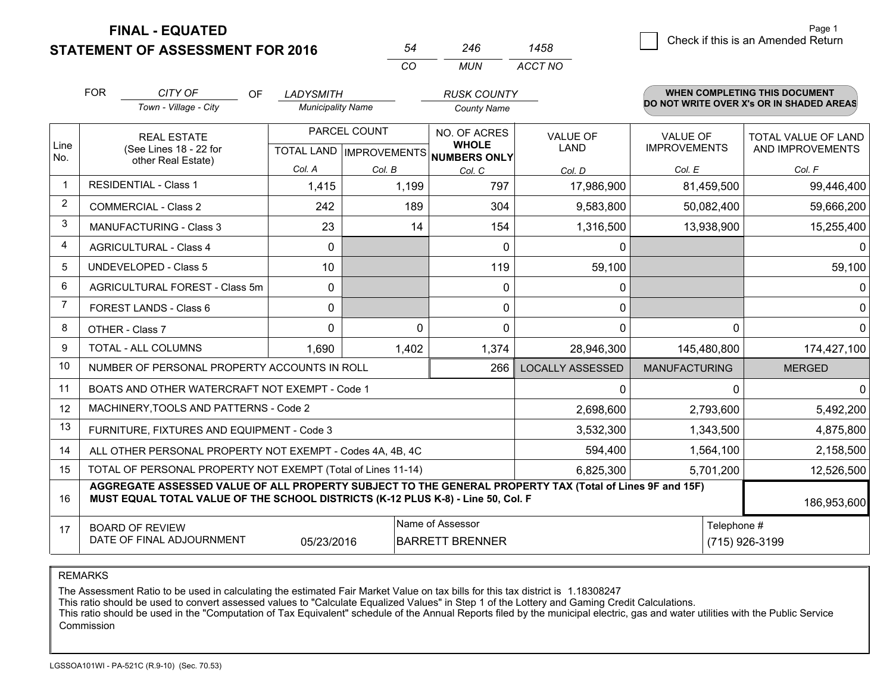**FINAL - EQUATED**

**STATEMENT OF ASSESSMENT FOR 2016** 

| 54 | 246        | 1458    |
|----|------------|---------|
| CO | <b>MUN</b> | ACCT NO |

|                | <b>FOR</b>                                                                                                                     | CITY OF<br><b>OF</b>                                                                                                                                                                         | <b>LADYSMITH</b>         |                                                | <b>RUSK COUNTY</b>                                  |                         |                                        | <b>WHEN COMPLETING THIS DOCUMENT</b>           |
|----------------|--------------------------------------------------------------------------------------------------------------------------------|----------------------------------------------------------------------------------------------------------------------------------------------------------------------------------------------|--------------------------|------------------------------------------------|-----------------------------------------------------|-------------------------|----------------------------------------|------------------------------------------------|
|                |                                                                                                                                | Town - Village - City                                                                                                                                                                        | <b>Municipality Name</b> |                                                | <b>County Name</b>                                  |                         |                                        | DO NOT WRITE OVER X's OR IN SHADED AREAS       |
| Line<br>No.    |                                                                                                                                | <b>REAL ESTATE</b><br>(See Lines 18 - 22 for                                                                                                                                                 |                          | PARCEL COUNT<br><b>TOTAL LAND IMPROVEMENTS</b> | NO. OF ACRES<br><b>WHOLE</b><br><b>NUMBERS ONLY</b> | <b>VALUE OF</b><br>LAND | <b>VALUE OF</b><br><b>IMPROVEMENTS</b> | <b>TOTAL VALUE OF LAND</b><br>AND IMPROVEMENTS |
|                |                                                                                                                                | other Real Estate)                                                                                                                                                                           | Col. A                   | Col. B                                         | Col. C                                              | Col. D                  | Col. E                                 | Col. F                                         |
| $\mathbf 1$    |                                                                                                                                | <b>RESIDENTIAL - Class 1</b>                                                                                                                                                                 | 1,415                    | 1,199                                          | 797                                                 | 17,986,900              | 81,459,500                             | 99,446,400                                     |
| 2              |                                                                                                                                | <b>COMMERCIAL - Class 2</b>                                                                                                                                                                  | 242                      | 189                                            | 304                                                 | 9,583,800               | 50,082,400                             | 59,666,200                                     |
| 3              |                                                                                                                                | <b>MANUFACTURING - Class 3</b>                                                                                                                                                               | 23                       | 14                                             | 154                                                 | 1,316,500               | 13,938,900                             | 15,255,400                                     |
| 4              |                                                                                                                                | <b>AGRICULTURAL - Class 4</b>                                                                                                                                                                | $\Omega$                 |                                                | $\Omega$                                            | $\Omega$                |                                        | $\Omega$                                       |
| 5              |                                                                                                                                | <b>UNDEVELOPED - Class 5</b>                                                                                                                                                                 | 10                       |                                                | 119                                                 | 59,100                  |                                        | 59,100                                         |
| 6              |                                                                                                                                | AGRICULTURAL FOREST - Class 5m                                                                                                                                                               | $\mathbf{0}$             |                                                | 0                                                   | 0                       |                                        | $\Omega$                                       |
| $\overline{7}$ |                                                                                                                                | FOREST LANDS - Class 6                                                                                                                                                                       | $\mathbf{0}$             |                                                | $\Omega$                                            | $\mathbf{0}$            |                                        | $\mathbf 0$                                    |
| 8              |                                                                                                                                | OTHER - Class 7                                                                                                                                                                              | $\Omega$                 | $\Omega$                                       | $\Omega$                                            | $\mathbf{0}$            | $\Omega$                               | $\Omega$                                       |
| 9              |                                                                                                                                | TOTAL - ALL COLUMNS                                                                                                                                                                          | 1,690                    | 1,402                                          | 1,374                                               | 28,946,300              | 145,480,800                            | 174,427,100                                    |
| 10             |                                                                                                                                | NUMBER OF PERSONAL PROPERTY ACCOUNTS IN ROLL                                                                                                                                                 |                          |                                                | 266                                                 | <b>LOCALLY ASSESSED</b> | <b>MANUFACTURING</b>                   | <b>MERGED</b>                                  |
| 11             |                                                                                                                                | BOATS AND OTHER WATERCRAFT NOT EXEMPT - Code 1                                                                                                                                               |                          |                                                |                                                     | 0                       | $\Omega$                               | 0                                              |
| 12             |                                                                                                                                | MACHINERY, TOOLS AND PATTERNS - Code 2                                                                                                                                                       |                          |                                                |                                                     | 2,698,600               | 2,793,600                              | 5,492,200                                      |
| 13             |                                                                                                                                | FURNITURE, FIXTURES AND EQUIPMENT - Code 3                                                                                                                                                   |                          |                                                |                                                     | 3,532,300               | 1,343,500                              | 4,875,800                                      |
| 14             |                                                                                                                                | ALL OTHER PERSONAL PROPERTY NOT EXEMPT - Codes 4A, 4B, 4C                                                                                                                                    |                          |                                                |                                                     | 594,400                 | 1,564,100                              | 2,158,500                                      |
| 15             |                                                                                                                                | TOTAL OF PERSONAL PROPERTY NOT EXEMPT (Total of Lines 11-14)                                                                                                                                 |                          |                                                | 6,825,300                                           | 5,701,200               |                                        |                                                |
| 16             |                                                                                                                                | AGGREGATE ASSESSED VALUE OF ALL PROPERTY SUBJECT TO THE GENERAL PROPERTY TAX (Total of Lines 9F and 15F)<br>MUST EQUAL TOTAL VALUE OF THE SCHOOL DISTRICTS (K-12 PLUS K-8) - Line 50, Col. F |                          |                                                |                                                     |                         |                                        | 186,953,600                                    |
| 17             | Name of Assessor<br>Telephone #<br><b>BOARD OF REVIEW</b><br>DATE OF FINAL ADJOURNMENT<br><b>BARRETT BRENNER</b><br>05/23/2016 |                                                                                                                                                                                              |                          |                                                |                                                     | (715) 926-3199          |                                        |                                                |

REMARKS

The Assessment Ratio to be used in calculating the estimated Fair Market Value on tax bills for this tax district is 1.18308247

This ratio should be used to convert assessed values to "Calculate Equalized Values" in Step 1 of the Lottery and Gaming Credit Calculations.

 This ratio should be used in the "Computation of Tax Equivalent" schedule of the Annual Reports filed by the municipal electric, gas and water utilities with the Public Service Commission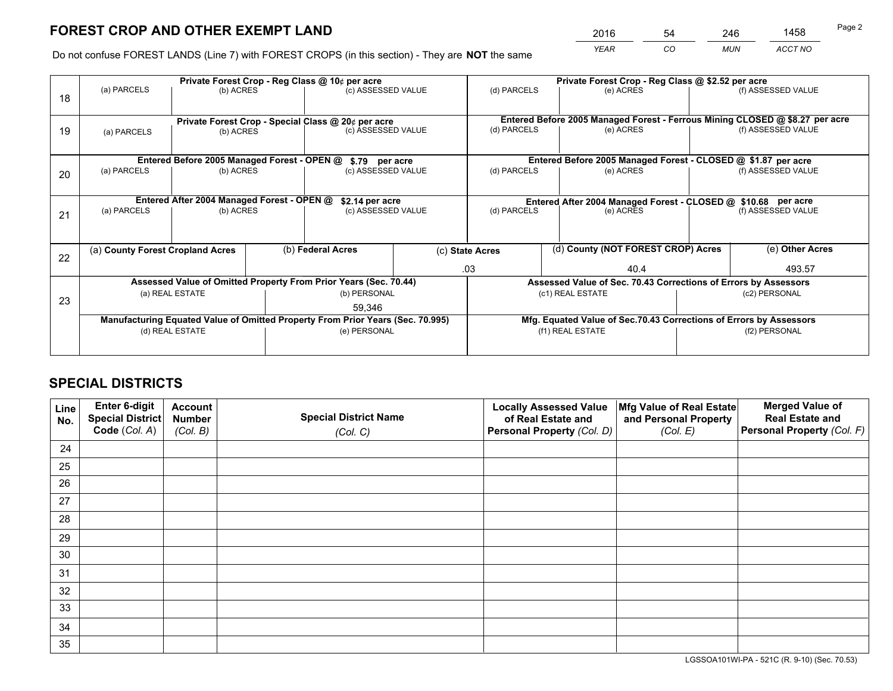*YEAR CO MUN ACCT NO* <sup>2016</sup> <sup>54</sup> <sup>246</sup> <sup>1458</sup>

Do not confuse FOREST LANDS (Line 7) with FOREST CROPS (in this section) - They are **NOT** the same

|    | Private Forest Crop - Reg Class @ 10¢ per acre                                                    |                                            |  |                                                                  |  |                                                                                        | Private Forest Crop - Reg Class @ \$2.52 per acre |                                                               |                    |                                                                              |
|----|---------------------------------------------------------------------------------------------------|--------------------------------------------|--|------------------------------------------------------------------|--|----------------------------------------------------------------------------------------|---------------------------------------------------|---------------------------------------------------------------|--------------------|------------------------------------------------------------------------------|
| 18 | (a) PARCELS                                                                                       | (b) ACRES                                  |  | (c) ASSESSED VALUE                                               |  | (d) PARCELS                                                                            |                                                   | (e) ACRES                                                     |                    | (f) ASSESSED VALUE                                                           |
|    |                                                                                                   |                                            |  |                                                                  |  |                                                                                        |                                                   |                                                               |                    |                                                                              |
|    |                                                                                                   |                                            |  | Private Forest Crop - Special Class @ 20¢ per acre               |  |                                                                                        |                                                   |                                                               |                    | Entered Before 2005 Managed Forest - Ferrous Mining CLOSED @ \$8.27 per acre |
| 19 | (a) PARCELS                                                                                       | (b) ACRES                                  |  | (c) ASSESSED VALUE                                               |  | (d) PARCELS                                                                            |                                                   | (e) ACRES                                                     |                    | (f) ASSESSED VALUE                                                           |
|    |                                                                                                   |                                            |  |                                                                  |  |                                                                                        |                                                   |                                                               |                    |                                                                              |
|    |                                                                                                   |                                            |  | Entered Before 2005 Managed Forest - OPEN @ \$.79 per acre       |  |                                                                                        |                                                   | Entered Before 2005 Managed Forest - CLOSED @ \$1.87 per acre |                    |                                                                              |
| 20 | (a) PARCELS                                                                                       | (b) ACRES                                  |  | (c) ASSESSED VALUE                                               |  | (d) PARCELS                                                                            |                                                   | (e) ACRES                                                     |                    | (f) ASSESSED VALUE                                                           |
|    |                                                                                                   |                                            |  |                                                                  |  |                                                                                        |                                                   |                                                               |                    |                                                                              |
|    |                                                                                                   | Entered After 2004 Managed Forest - OPEN @ |  | \$2.14 per acre                                                  |  | Entered After 2004 Managed Forest - CLOSED @ \$10.68 per acre                          |                                                   |                                                               |                    |                                                                              |
| 21 | (a) PARCELS                                                                                       | (b) ACRES                                  |  | (c) ASSESSED VALUE                                               |  | (d) PARCELS<br>(e) ACRES                                                               |                                                   |                                                               | (f) ASSESSED VALUE |                                                                              |
|    |                                                                                                   |                                            |  |                                                                  |  |                                                                                        |                                                   |                                                               |                    |                                                                              |
|    |                                                                                                   |                                            |  |                                                                  |  |                                                                                        |                                                   |                                                               |                    |                                                                              |
|    | (a) County Forest Cropland Acres                                                                  |                                            |  | (b) Federal Acres                                                |  | (d) County (NOT FOREST CROP) Acres<br>(c) State Acres                                  |                                                   |                                                               |                    | (e) Other Acres                                                              |
| 22 |                                                                                                   |                                            |  |                                                                  |  | .03                                                                                    |                                                   | 40.4                                                          |                    | 493.57                                                                       |
|    |                                                                                                   |                                            |  | Assessed Value of Omitted Property From Prior Years (Sec. 70.44) |  | Assessed Value of Sec. 70.43 Corrections of Errors by Assessors                        |                                                   |                                                               |                    |                                                                              |
|    |                                                                                                   | (a) REAL ESTATE                            |  | (b) PERSONAL                                                     |  | (c1) REAL ESTATE                                                                       |                                                   |                                                               | (c2) PERSONAL      |                                                                              |
| 23 |                                                                                                   |                                            |  |                                                                  |  |                                                                                        |                                                   |                                                               |                    |                                                                              |
|    | 59.346                                                                                            |                                            |  |                                                                  |  |                                                                                        |                                                   |                                                               |                    |                                                                              |
|    | Manufacturing Equated Value of Omitted Property From Prior Years (Sec. 70.995)<br>(d) REAL ESTATE |                                            |  |                                                                  |  | Mfg. Equated Value of Sec.70.43 Corrections of Errors by Assessors<br>(f1) REAL ESTATE |                                                   |                                                               |                    |                                                                              |
|    |                                                                                                   |                                            |  | (e) PERSONAL                                                     |  |                                                                                        |                                                   |                                                               | (f2) PERSONAL      |                                                                              |
|    |                                                                                                   |                                            |  |                                                                  |  |                                                                                        |                                                   |                                                               |                    |                                                                              |

## **SPECIAL DISTRICTS**

| Line<br>No. | Enter 6-digit<br>Special District<br>Code (Col. A) | <b>Account</b><br><b>Number</b><br>(Col. B) | <b>Special District Name</b><br>(Col. C) | <b>Locally Assessed Value</b><br>of Real Estate and<br>Personal Property (Col. D) | Mfg Value of Real Estate<br>and Personal Property<br>(Col. E) | <b>Merged Value of</b><br><b>Real Estate and</b><br>Personal Property (Col. F) |
|-------------|----------------------------------------------------|---------------------------------------------|------------------------------------------|-----------------------------------------------------------------------------------|---------------------------------------------------------------|--------------------------------------------------------------------------------|
| 24          |                                                    |                                             |                                          |                                                                                   |                                                               |                                                                                |
| 25          |                                                    |                                             |                                          |                                                                                   |                                                               |                                                                                |
| 26          |                                                    |                                             |                                          |                                                                                   |                                                               |                                                                                |
| 27          |                                                    |                                             |                                          |                                                                                   |                                                               |                                                                                |
| 28          |                                                    |                                             |                                          |                                                                                   |                                                               |                                                                                |
| 29          |                                                    |                                             |                                          |                                                                                   |                                                               |                                                                                |
| 30          |                                                    |                                             |                                          |                                                                                   |                                                               |                                                                                |
| 31          |                                                    |                                             |                                          |                                                                                   |                                                               |                                                                                |
| 32          |                                                    |                                             |                                          |                                                                                   |                                                               |                                                                                |
| 33          |                                                    |                                             |                                          |                                                                                   |                                                               |                                                                                |
| 34          |                                                    |                                             |                                          |                                                                                   |                                                               |                                                                                |
| 35          |                                                    |                                             |                                          |                                                                                   |                                                               |                                                                                |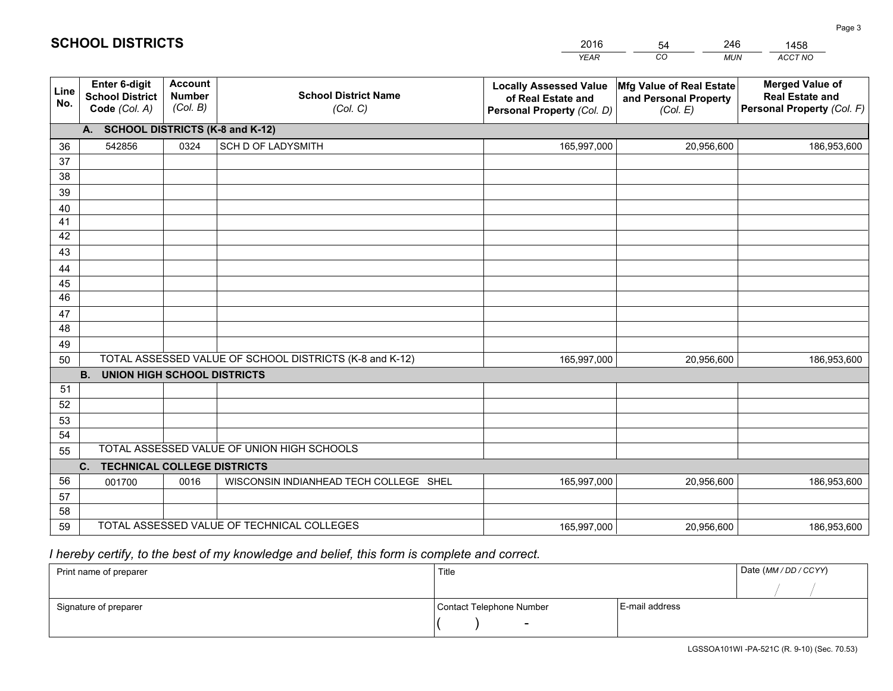|             |                                                                 |                                             |                                                         | <b>YEAR</b>                                                                       | CO<br><b>MUN</b>                                              | ACCT NO                                                                        |
|-------------|-----------------------------------------------------------------|---------------------------------------------|---------------------------------------------------------|-----------------------------------------------------------------------------------|---------------------------------------------------------------|--------------------------------------------------------------------------------|
| Line<br>No. | <b>Enter 6-digit</b><br><b>School District</b><br>Code (Col. A) | <b>Account</b><br><b>Number</b><br>(Col. B) | <b>School District Name</b><br>(Col. C)                 | <b>Locally Assessed Value</b><br>of Real Estate and<br>Personal Property (Col. D) | Mfg Value of Real Estate<br>and Personal Property<br>(Col. E) | <b>Merged Value of</b><br><b>Real Estate and</b><br>Personal Property (Col. F) |
|             | A. SCHOOL DISTRICTS (K-8 and K-12)                              |                                             |                                                         |                                                                                   |                                                               |                                                                                |
| 36          | 542856                                                          | 0324                                        | SCH D OF LADYSMITH                                      | 165,997,000                                                                       | 20,956,600                                                    | 186,953,600                                                                    |
| 37          |                                                                 |                                             |                                                         |                                                                                   |                                                               |                                                                                |
| 38          |                                                                 |                                             |                                                         |                                                                                   |                                                               |                                                                                |
| 39          |                                                                 |                                             |                                                         |                                                                                   |                                                               |                                                                                |
| 40          |                                                                 |                                             |                                                         |                                                                                   |                                                               |                                                                                |
| 41<br>42    |                                                                 |                                             |                                                         |                                                                                   |                                                               |                                                                                |
| 43          |                                                                 |                                             |                                                         |                                                                                   |                                                               |                                                                                |
|             |                                                                 |                                             |                                                         |                                                                                   |                                                               |                                                                                |
| 44<br>45    |                                                                 |                                             |                                                         |                                                                                   |                                                               |                                                                                |
| 46          |                                                                 |                                             |                                                         |                                                                                   |                                                               |                                                                                |
| 47          |                                                                 |                                             |                                                         |                                                                                   |                                                               |                                                                                |
| 48          |                                                                 |                                             |                                                         |                                                                                   |                                                               |                                                                                |
| 49          |                                                                 |                                             |                                                         |                                                                                   |                                                               |                                                                                |
| 50          |                                                                 |                                             | TOTAL ASSESSED VALUE OF SCHOOL DISTRICTS (K-8 and K-12) | 165,997,000                                                                       | 20,956,600                                                    | 186,953,600                                                                    |
|             | <b>B.</b><br>UNION HIGH SCHOOL DISTRICTS                        |                                             |                                                         |                                                                                   |                                                               |                                                                                |
| 51          |                                                                 |                                             |                                                         |                                                                                   |                                                               |                                                                                |
| 52          |                                                                 |                                             |                                                         |                                                                                   |                                                               |                                                                                |
| 53          |                                                                 |                                             |                                                         |                                                                                   |                                                               |                                                                                |
| 54          |                                                                 |                                             |                                                         |                                                                                   |                                                               |                                                                                |
| 55          |                                                                 |                                             | TOTAL ASSESSED VALUE OF UNION HIGH SCHOOLS              |                                                                                   |                                                               |                                                                                |
|             | C.<br><b>TECHNICAL COLLEGE DISTRICTS</b>                        |                                             |                                                         |                                                                                   |                                                               |                                                                                |
| 56          | 001700                                                          | 0016                                        | WISCONSIN INDIANHEAD TECH COLLEGE SHEL                  | 165,997,000                                                                       | 20,956,600                                                    | 186,953,600                                                                    |
| 57<br>58    |                                                                 |                                             |                                                         |                                                                                   |                                                               |                                                                                |
| 59          |                                                                 |                                             | TOTAL ASSESSED VALUE OF TECHNICAL COLLEGES              | 165,997,000                                                                       | 20,956,600                                                    | 186,953,600                                                                    |
|             |                                                                 |                                             |                                                         |                                                                                   |                                                               |                                                                                |

54

246

 *I hereby certify, to the best of my knowledge and belief, this form is complete and correct.*

**SCHOOL DISTRICTS**

| Print name of preparer | Title                    |                | Date (MM / DD / CCYY) |
|------------------------|--------------------------|----------------|-----------------------|
|                        |                          |                |                       |
| Signature of preparer  | Contact Telephone Number | E-mail address |                       |
|                        | $\sim$                   |                |                       |